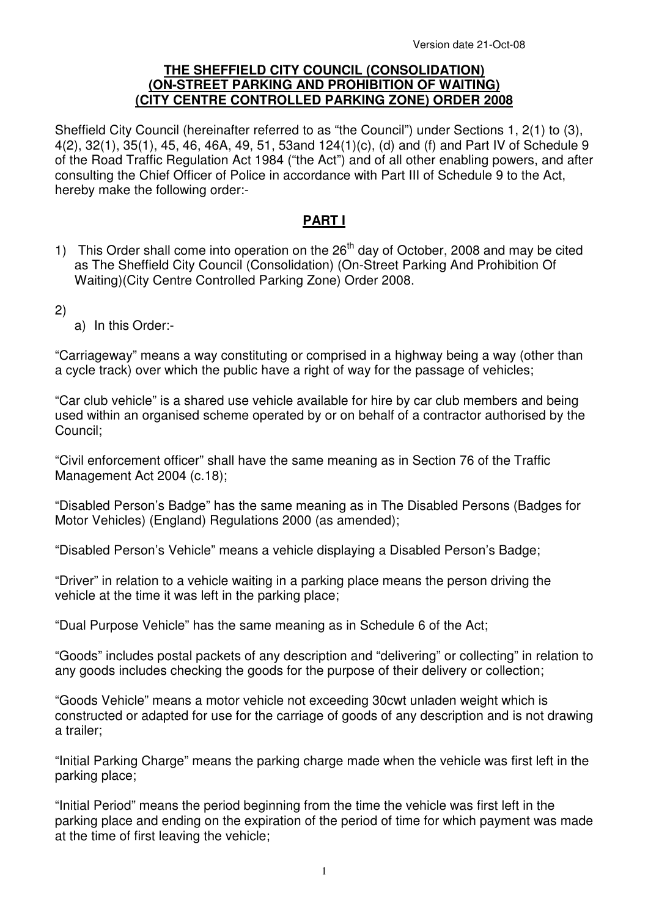#### **THE SHEFFIELD CITY COUNCIL (CONSOLIDATION) (ON-STREET PARKING AND PROHIBITION OF WAITING) (CITY CENTRE CONTROLLED PARKING ZONE) ORDER 2008**

Sheffield City Council (hereinafter referred to as "the Council") under Sections 1, 2(1) to (3), 4(2), 32(1), 35(1), 45, 46, 46A, 49, 51, 53and 124(1)(c), (d) and (f) and Part IV of Schedule 9 of the Road Traffic Regulation Act 1984 ("the Act") and of all other enabling powers, and after consulting the Chief Officer of Police in accordance with Part III of Schedule 9 to the Act, hereby make the following order:-

## **PART I**

- 1) This Order shall come into operation on the  $26<sup>th</sup>$  day of October, 2008 and may be cited as The Sheffield City Council (Consolidation) (On-Street Parking And Prohibition Of Waiting)(City Centre Controlled Parking Zone) Order 2008.
- 2)
- a) In this Order:-

"Carriageway" means a way constituting or comprised in a highway being a way (other than a cycle track) over which the public have a right of way for the passage of vehicles;

"Car club vehicle" is a shared use vehicle available for hire by car club members and being used within an organised scheme operated by or on behalf of a contractor authorised by the Council;

"Civil enforcement officer" shall have the same meaning as in Section 76 of the Traffic Management Act 2004 (c.18);

"Disabled Person's Badge" has the same meaning as in The Disabled Persons (Badges for Motor Vehicles) (England) Regulations 2000 (as amended);

"Disabled Person's Vehicle" means a vehicle displaying a Disabled Person's Badge;

"Driver" in relation to a vehicle waiting in a parking place means the person driving the vehicle at the time it was left in the parking place;

"Dual Purpose Vehicle" has the same meaning as in Schedule 6 of the Act;

"Goods" includes postal packets of any description and "delivering" or collecting" in relation to any goods includes checking the goods for the purpose of their delivery or collection;

"Goods Vehicle" means a motor vehicle not exceeding 30cwt unladen weight which is constructed or adapted for use for the carriage of goods of any description and is not drawing a trailer;

"Initial Parking Charge" means the parking charge made when the vehicle was first left in the parking place;

"Initial Period" means the period beginning from the time the vehicle was first left in the parking place and ending on the expiration of the period of time for which payment was made at the time of first leaving the vehicle;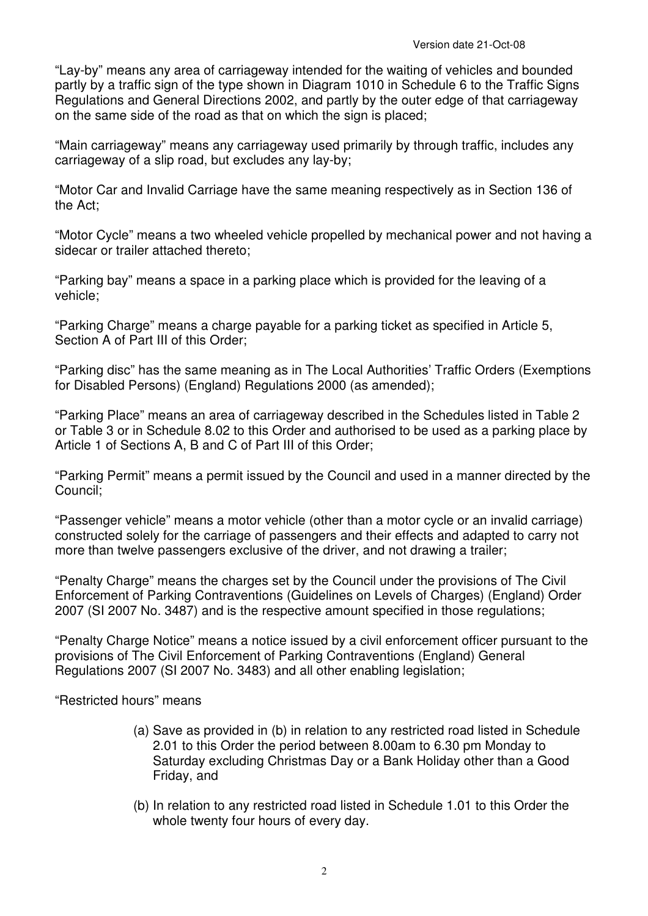"Lay-by" means any area of carriageway intended for the waiting of vehicles and bounded partly by a traffic sign of the type shown in Diagram 1010 in Schedule 6 to the Traffic Signs Regulations and General Directions 2002, and partly by the outer edge of that carriageway on the same side of the road as that on which the sign is placed;

"Main carriageway" means any carriageway used primarily by through traffic, includes any carriageway of a slip road, but excludes any lay-by;

"Motor Car and Invalid Carriage have the same meaning respectively as in Section 136 of the Act;

"Motor Cycle" means a two wheeled vehicle propelled by mechanical power and not having a sidecar or trailer attached thereto;

"Parking bay" means a space in a parking place which is provided for the leaving of a vehicle;

"Parking Charge" means a charge payable for a parking ticket as specified in Article 5, Section A of Part III of this Order:

"Parking disc" has the same meaning as in The Local Authorities' Traffic Orders (Exemptions for Disabled Persons) (England) Regulations 2000 (as amended);

"Parking Place" means an area of carriageway described in the Schedules listed in Table 2 or Table 3 or in Schedule 8.02 to this Order and authorised to be used as a parking place by Article 1 of Sections A, B and C of Part III of this Order;

"Parking Permit" means a permit issued by the Council and used in a manner directed by the Council;

"Passenger vehicle" means a motor vehicle (other than a motor cycle or an invalid carriage) constructed solely for the carriage of passengers and their effects and adapted to carry not more than twelve passengers exclusive of the driver, and not drawing a trailer;

"Penalty Charge" means the charges set by the Council under the provisions of The Civil Enforcement of Parking Contraventions (Guidelines on Levels of Charges) (England) Order 2007 (SI 2007 No. 3487) and is the respective amount specified in those regulations;

"Penalty Charge Notice" means a notice issued by a civil enforcement officer pursuant to the provisions of The Civil Enforcement of Parking Contraventions (England) General Regulations 2007 (SI 2007 No. 3483) and all other enabling legislation;

"Restricted hours" means

- (a) Save as provided in (b) in relation to any restricted road listed in Schedule 2.01 to this Order the period between 8.00am to 6.30 pm Monday to Saturday excluding Christmas Day or a Bank Holiday other than a Good Friday, and
- (b) In relation to any restricted road listed in Schedule 1.01 to this Order the whole twenty four hours of every day.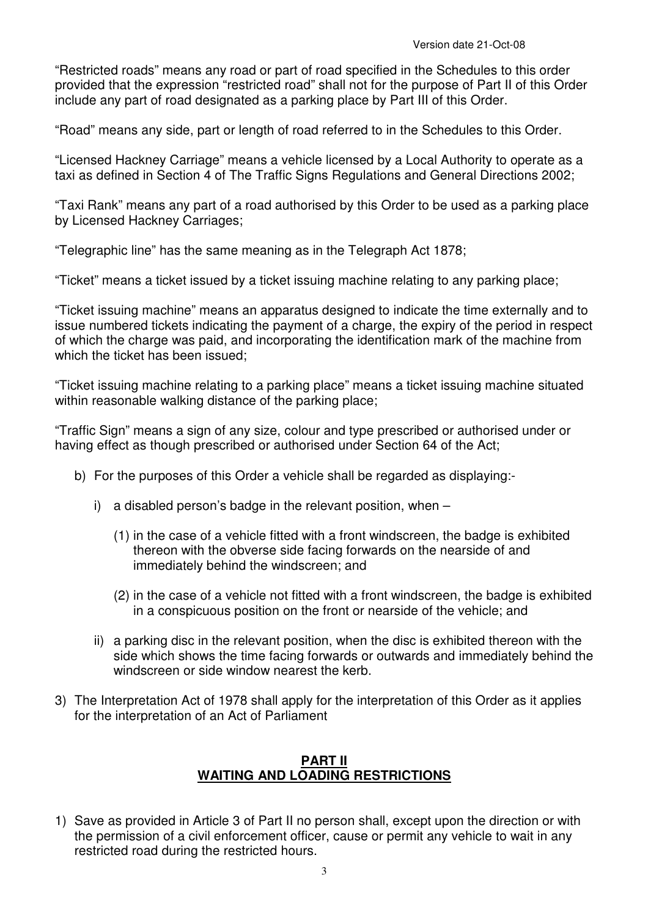"Restricted roads" means any road or part of road specified in the Schedules to this order provided that the expression "restricted road" shall not for the purpose of Part II of this Order include any part of road designated as a parking place by Part III of this Order.

"Road" means any side, part or length of road referred to in the Schedules to this Order.

"Licensed Hackney Carriage" means a vehicle licensed by a Local Authority to operate as a taxi as defined in Section 4 of The Traffic Signs Regulations and General Directions 2002;

"Taxi Rank" means any part of a road authorised by this Order to be used as a parking place by Licensed Hackney Carriages;

"Telegraphic line" has the same meaning as in the Telegraph Act 1878;

"Ticket" means a ticket issued by a ticket issuing machine relating to any parking place;

"Ticket issuing machine" means an apparatus designed to indicate the time externally and to issue numbered tickets indicating the payment of a charge, the expiry of the period in respect of which the charge was paid, and incorporating the identification mark of the machine from which the ticket has been issued;

"Ticket issuing machine relating to a parking place" means a ticket issuing machine situated within reasonable walking distance of the parking place;

"Traffic Sign" means a sign of any size, colour and type prescribed or authorised under or having effect as though prescribed or authorised under Section 64 of the Act;

- b) For the purposes of this Order a vehicle shall be regarded as displaying:
	- i) a disabled person's badge in the relevant position, when
		- (1) in the case of a vehicle fitted with a front windscreen, the badge is exhibited thereon with the obverse side facing forwards on the nearside of and immediately behind the windscreen; and
		- (2) in the case of a vehicle not fitted with a front windscreen, the badge is exhibited in a conspicuous position on the front or nearside of the vehicle; and
	- ii) a parking disc in the relevant position, when the disc is exhibited thereon with the side which shows the time facing forwards or outwards and immediately behind the windscreen or side window nearest the kerb.
- 3) The Interpretation Act of 1978 shall apply for the interpretation of this Order as it applies for the interpretation of an Act of Parliament

## **PART II WAITING AND LOADING RESTRICTIONS**

1) Save as provided in Article 3 of Part II no person shall, except upon the direction or with the permission of a civil enforcement officer, cause or permit any vehicle to wait in any restricted road during the restricted hours.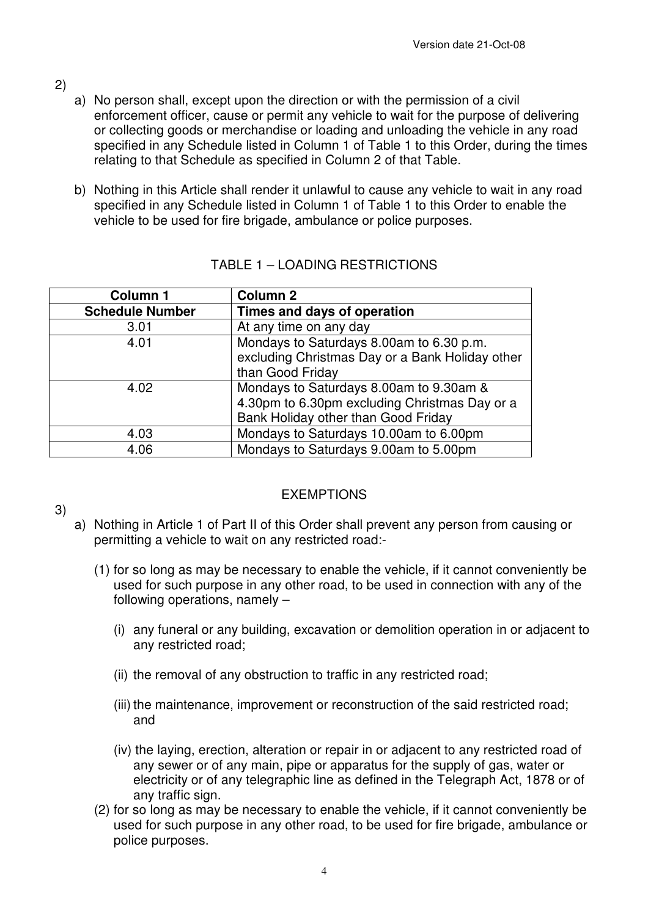- 2)
- a) No person shall, except upon the direction or with the permission of a civil enforcement officer, cause or permit any vehicle to wait for the purpose of delivering or collecting goods or merchandise or loading and unloading the vehicle in any road specified in any Schedule listed in Column 1 of Table 1 to this Order, during the times relating to that Schedule as specified in Column 2 of that Table.
- b) Nothing in this Article shall render it unlawful to cause any vehicle to wait in any road specified in any Schedule listed in Column 1 of Table 1 to this Order to enable the vehicle to be used for fire brigade, ambulance or police purposes.

| <b>Column 1</b>        | <b>Column 2</b>                                 |  |  |
|------------------------|-------------------------------------------------|--|--|
| <b>Schedule Number</b> | Times and days of operation                     |  |  |
| 3.01                   | At any time on any day                          |  |  |
| 4.01                   | Mondays to Saturdays 8.00am to 6.30 p.m.        |  |  |
|                        | excluding Christmas Day or a Bank Holiday other |  |  |
|                        | than Good Friday                                |  |  |
| 4.02                   | Mondays to Saturdays 8.00am to 9.30am &         |  |  |
|                        | 4.30pm to 6.30pm excluding Christmas Day or a   |  |  |
|                        | Bank Holiday other than Good Friday             |  |  |
| 4.03                   | Mondays to Saturdays 10.00am to 6.00pm          |  |  |
| 4.06                   | Mondays to Saturdays 9.00am to 5.00pm           |  |  |

## TABLE 1 – LOADING RESTRICTIONS

3)

## EXEMPTIONS

- a) Nothing in Article 1 of Part II of this Order shall prevent any person from causing or permitting a vehicle to wait on any restricted road:-
	- (1) for so long as may be necessary to enable the vehicle, if it cannot conveniently be used for such purpose in any other road, to be used in connection with any of the following operations, namely –
		- (i) any funeral or any building, excavation or demolition operation in or adjacent to any restricted road;
		- (ii) the removal of any obstruction to traffic in any restricted road;
		- (iii) the maintenance, improvement or reconstruction of the said restricted road; and
		- (iv) the laying, erection, alteration or repair in or adjacent to any restricted road of any sewer or of any main, pipe or apparatus for the supply of gas, water or electricity or of any telegraphic line as defined in the Telegraph Act, 1878 or of any traffic sign.
	- (2) for so long as may be necessary to enable the vehicle, if it cannot conveniently be used for such purpose in any other road, to be used for fire brigade, ambulance or police purposes.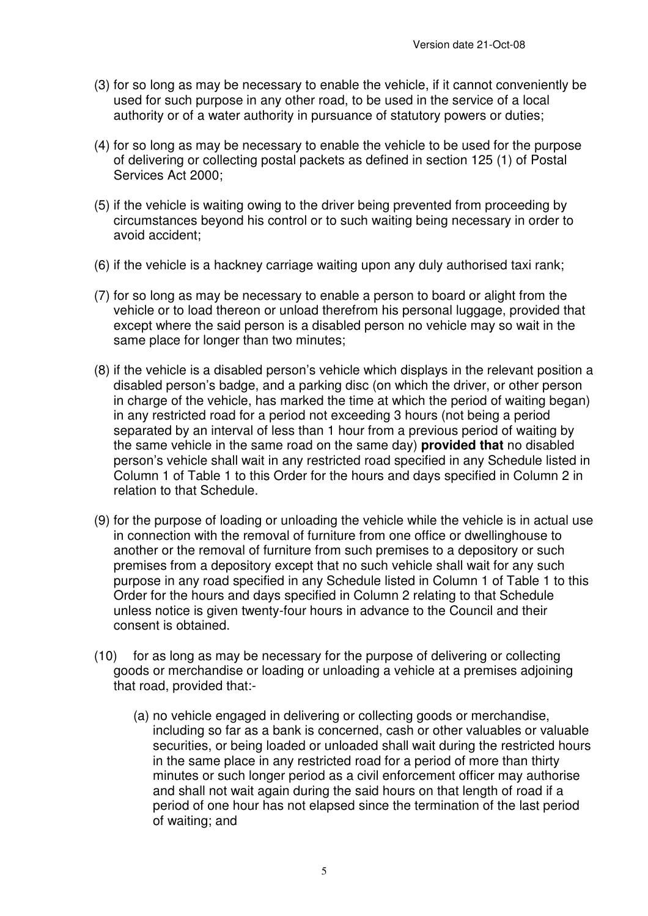- (3) for so long as may be necessary to enable the vehicle, if it cannot conveniently be used for such purpose in any other road, to be used in the service of a local authority or of a water authority in pursuance of statutory powers or duties;
- (4) for so long as may be necessary to enable the vehicle to be used for the purpose of delivering or collecting postal packets as defined in section 125 (1) of Postal Services Act 2000;
- (5) if the vehicle is waiting owing to the driver being prevented from proceeding by circumstances beyond his control or to such waiting being necessary in order to avoid accident;
- (6) if the vehicle is a hackney carriage waiting upon any duly authorised taxi rank;
- (7) for so long as may be necessary to enable a person to board or alight from the vehicle or to load thereon or unload therefrom his personal luggage, provided that except where the said person is a disabled person no vehicle may so wait in the same place for longer than two minutes;
- (8) if the vehicle is a disabled person's vehicle which displays in the relevant position a disabled person's badge, and a parking disc (on which the driver, or other person in charge of the vehicle, has marked the time at which the period of waiting began) in any restricted road for a period not exceeding 3 hours (not being a period separated by an interval of less than 1 hour from a previous period of waiting by the same vehicle in the same road on the same day) **provided that** no disabled person's vehicle shall wait in any restricted road specified in any Schedule listed in Column 1 of Table 1 to this Order for the hours and days specified in Column 2 in relation to that Schedule.
- (9) for the purpose of loading or unloading the vehicle while the vehicle is in actual use in connection with the removal of furniture from one office or dwellinghouse to another or the removal of furniture from such premises to a depository or such premises from a depository except that no such vehicle shall wait for any such purpose in any road specified in any Schedule listed in Column 1 of Table 1 to this Order for the hours and days specified in Column 2 relating to that Schedule unless notice is given twenty-four hours in advance to the Council and their consent is obtained.
- (10) for as long as may be necessary for the purpose of delivering or collecting goods or merchandise or loading or unloading a vehicle at a premises adjoining that road, provided that:-
	- (a) no vehicle engaged in delivering or collecting goods or merchandise, including so far as a bank is concerned, cash or other valuables or valuable securities, or being loaded or unloaded shall wait during the restricted hours in the same place in any restricted road for a period of more than thirty minutes or such longer period as a civil enforcement officer may authorise and shall not wait again during the said hours on that length of road if a period of one hour has not elapsed since the termination of the last period of waiting; and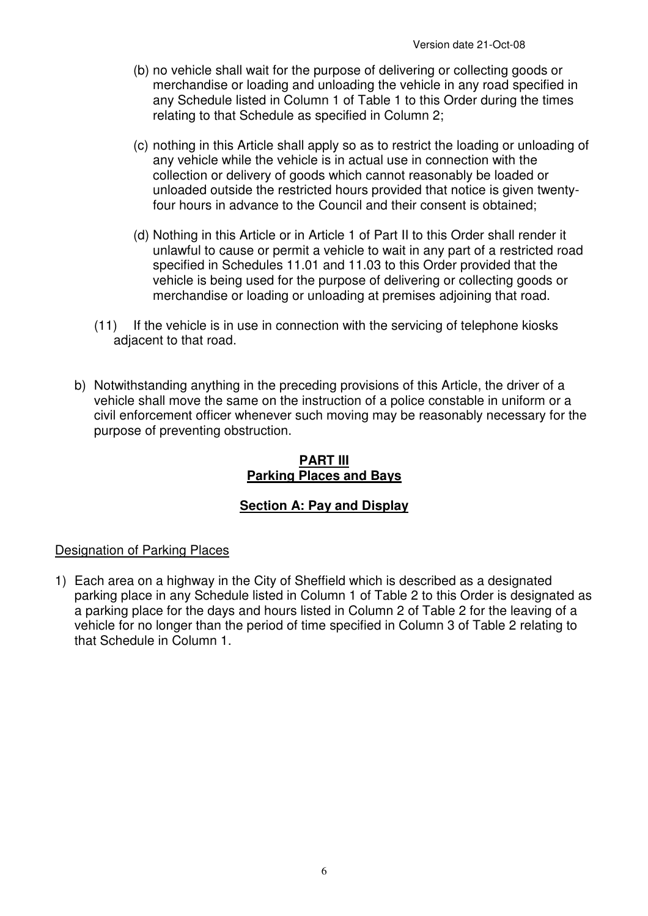- (b) no vehicle shall wait for the purpose of delivering or collecting goods or merchandise or loading and unloading the vehicle in any road specified in any Schedule listed in Column 1 of Table 1 to this Order during the times relating to that Schedule as specified in Column 2;
- (c) nothing in this Article shall apply so as to restrict the loading or unloading of any vehicle while the vehicle is in actual use in connection with the collection or delivery of goods which cannot reasonably be loaded or unloaded outside the restricted hours provided that notice is given twentyfour hours in advance to the Council and their consent is obtained;
- (d) Nothing in this Article or in Article 1 of Part II to this Order shall render it unlawful to cause or permit a vehicle to wait in any part of a restricted road specified in Schedules 11.01 and 11.03 to this Order provided that the vehicle is being used for the purpose of delivering or collecting goods or merchandise or loading or unloading at premises adjoining that road.
- (11) If the vehicle is in use in connection with the servicing of telephone kiosks adjacent to that road.
- b) Notwithstanding anything in the preceding provisions of this Article, the driver of a vehicle shall move the same on the instruction of a police constable in uniform or a civil enforcement officer whenever such moving may be reasonably necessary for the purpose of preventing obstruction.

## **PART III Parking Places and Bays**

# **Section A: Pay and Display**

## Designation of Parking Places

1) Each area on a highway in the City of Sheffield which is described as a designated parking place in any Schedule listed in Column 1 of Table 2 to this Order is designated as a parking place for the days and hours listed in Column 2 of Table 2 for the leaving of a vehicle for no longer than the period of time specified in Column 3 of Table 2 relating to that Schedule in Column 1.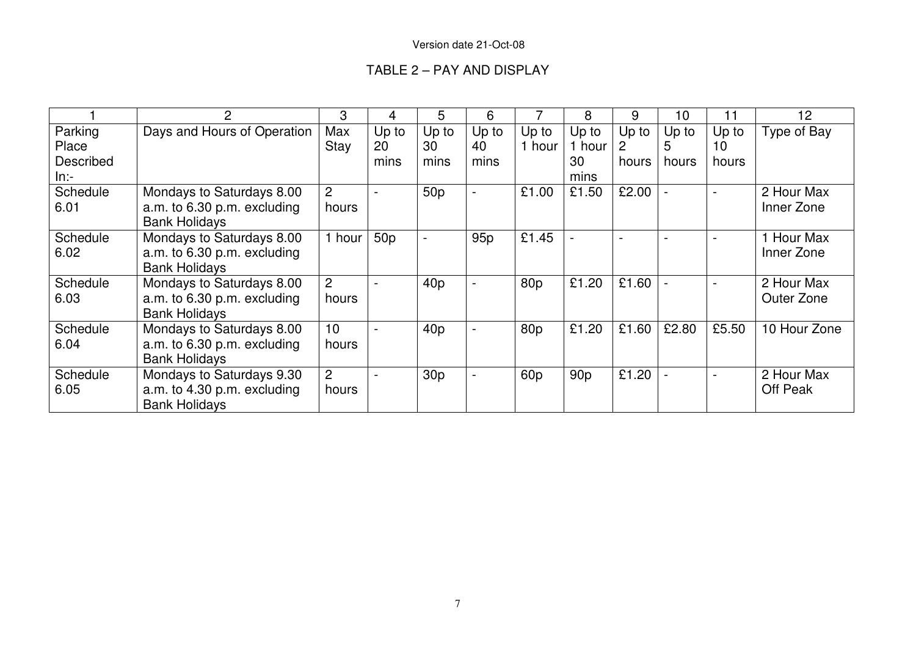|                                      |                                                                                  | 3                       | 4                   | 5                   | 6                   |                 | 8                     | 9                              | 10         | 11                   | 12                       |
|--------------------------------------|----------------------------------------------------------------------------------|-------------------------|---------------------|---------------------|---------------------|-----------------|-----------------------|--------------------------------|------------|----------------------|--------------------------|
| Parking<br>Place<br><b>Described</b> | Days and Hours of Operation                                                      | Max<br>Stay             | Up to<br>20<br>mins | Up to<br>30<br>mins | Up to<br>40<br>mins | Up to<br>1 hour | Up to<br>1 hour<br>30 | Up to<br>$\mathbf{2}$<br>hours | Up to<br>5 | Up to<br>10<br>hours | Type of Bay              |
| $ln:-$                               |                                                                                  |                         |                     |                     |                     |                 | mins                  |                                | hours      |                      |                          |
| Schedule<br>6.01                     | Mondays to Saturdays 8.00<br>a.m. to 6.30 p.m. excluding<br><b>Bank Holidays</b> | $\overline{2}$<br>hours |                     | 50 <sub>p</sub>     | $\blacksquare$      | £1.00           | £1.50                 | £2.00                          |            | $\sim$               | 2 Hour Max<br>Inner Zone |
| Schedule<br>6.02                     | Mondays to Saturdays 8.00<br>a.m. to 6.30 p.m. excluding<br><b>Bank Holidays</b> | hour                    | 50 <sub>p</sub>     |                     | 95 <sub>p</sub>     | £1.45           |                       |                                |            |                      | Hour Max<br>Inner Zone   |
| Schedule<br>6.03                     | Mondays to Saturdays 8.00<br>a.m. to 6.30 p.m. excluding<br><b>Bank Holidays</b> | 2<br>hours              |                     | 40 <sub>p</sub>     | $\blacksquare$      | 80p             | £1.20                 | £1.60                          |            |                      | 2 Hour Max<br>Outer Zone |
| Schedule<br>6.04                     | Mondays to Saturdays 8.00<br>a.m. to 6.30 p.m. excluding<br><b>Bank Holidays</b> | 10<br>hours             |                     | 40p                 | $\blacksquare$      | 80p             | £1.20                 | £1.60                          | £2.80      | £5.50                | 10 Hour Zone             |
| Schedule<br>6.05                     | Mondays to Saturdays 9.30<br>a.m. to 4.30 p.m. excluding<br><b>Bank Holidays</b> | 2<br>hours              |                     | 30 <sub>p</sub>     | Ξ.                  | 60 <sub>p</sub> | 90 <sub>p</sub>       | £1.20                          |            |                      | 2 Hour Max<br>Off Peak   |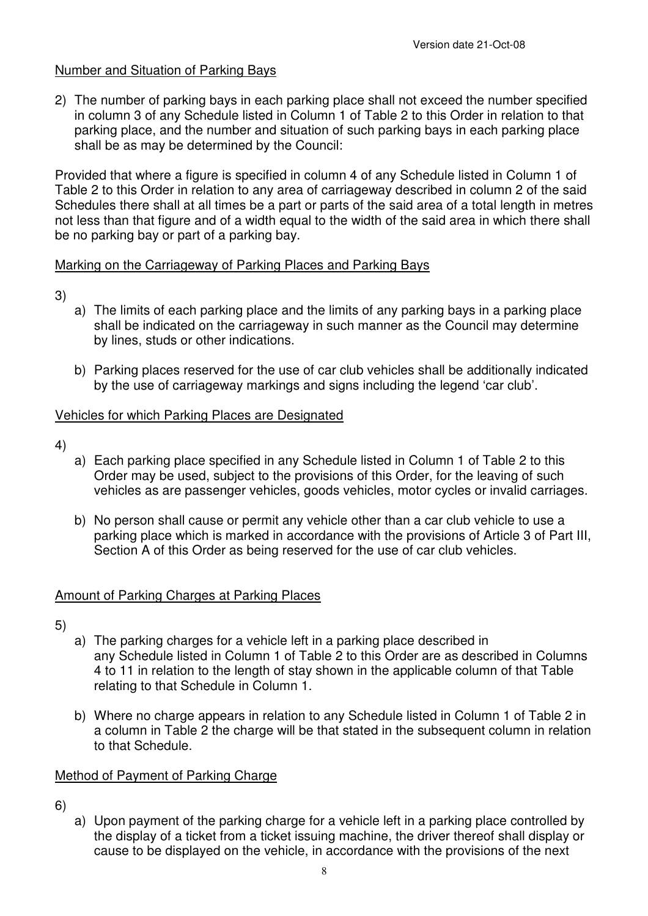## Number and Situation of Parking Bays

2) The number of parking bays in each parking place shall not exceed the number specified in column 3 of any Schedule listed in Column 1 of Table 2 to this Order in relation to that parking place, and the number and situation of such parking bays in each parking place shall be as may be determined by the Council:

Provided that where a figure is specified in column 4 of any Schedule listed in Column 1 of Table 2 to this Order in relation to any area of carriageway described in column 2 of the said Schedules there shall at all times be a part or parts of the said area of a total length in metres not less than that figure and of a width equal to the width of the said area in which there shall be no parking bay or part of a parking bay.

## Marking on the Carriageway of Parking Places and Parking Bays

- 3)
- a) The limits of each parking place and the limits of any parking bays in a parking place shall be indicated on the carriageway in such manner as the Council may determine by lines, studs or other indications.
- b) Parking places reserved for the use of car club vehicles shall be additionally indicated by the use of carriageway markings and signs including the legend 'car club'.

## Vehicles for which Parking Places are Designated

- 4)
- a) Each parking place specified in any Schedule listed in Column 1 of Table 2 to this Order may be used, subject to the provisions of this Order, for the leaving of such vehicles as are passenger vehicles, goods vehicles, motor cycles or invalid carriages.
- b) No person shall cause or permit any vehicle other than a car club vehicle to use a parking place which is marked in accordance with the provisions of Article 3 of Part III, Section A of this Order as being reserved for the use of car club vehicles.

## Amount of Parking Charges at Parking Places

- 5)
	- a) The parking charges for a vehicle left in a parking place described in any Schedule listed in Column 1 of Table 2 to this Order are as described in Columns 4 to 11 in relation to the length of stay shown in the applicable column of that Table relating to that Schedule in Column 1.
	- b) Where no charge appears in relation to any Schedule listed in Column 1 of Table 2 in a column in Table 2 the charge will be that stated in the subsequent column in relation to that Schedule.

### Method of Payment of Parking Charge

- 6)
- a) Upon payment of the parking charge for a vehicle left in a parking place controlled by the display of a ticket from a ticket issuing machine, the driver thereof shall display or cause to be displayed on the vehicle, in accordance with the provisions of the next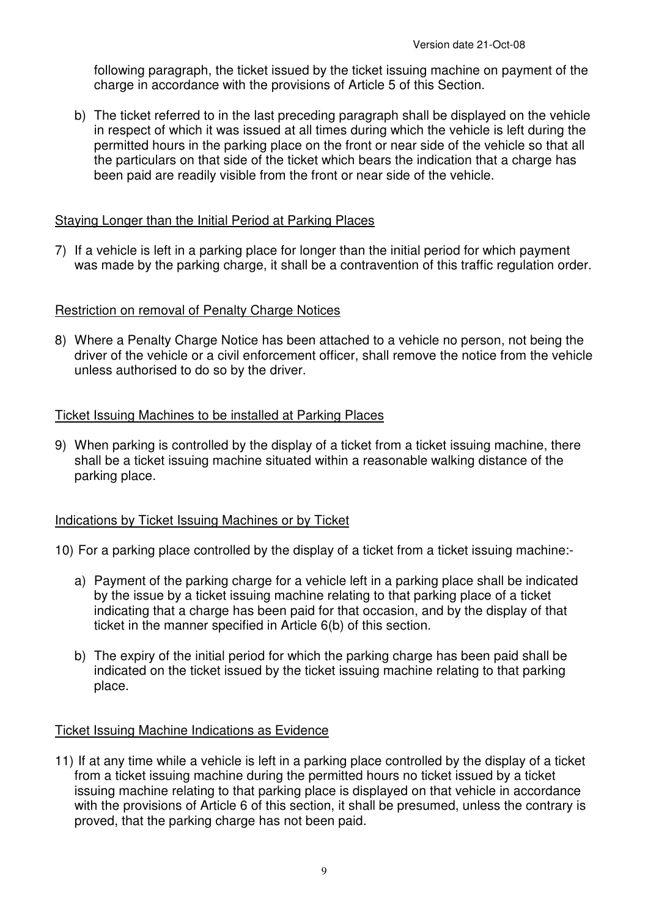following paragraph, the ticket issued by the ticket issuing machine on payment of the charge in accordance with the provisions of Article 5 of this Section.

b) The ticket referred to in the last preceding paragraph shall be displayed on the vehicle in respect of which it was issued at all times during which the vehicle is left during the permitted hours in the parking place on the front or near side of the vehicle so that all the particulars on that side of the ticket which bears the indication that a charge has been paid are readily visible from the front or near side of the vehicle.

## Staying Longer than the Initial Period at Parking Places

7) If a vehicle is left in a parking place for longer than the initial period for which payment was made by the parking charge, it shall be a contravention of this traffic regulation order.

## Restriction on removal of Penalty Charge Notices

8) Where a Penalty Charge Notice has been attached to a vehicle no person, not being the driver of the vehicle or a civil enforcement officer, shall remove the notice from the vehicle unless authorised to do so by the driver.

## Ticket Issuing Machines to be installed at Parking Places

9) When parking is controlled by the display of a ticket from a ticket issuing machine, there shall be a ticket issuing machine situated within a reasonable walking distance of the parking place.

### Indications by Ticket Issuing Machines or by Ticket

10) For a parking place controlled by the display of a ticket from a ticket issuing machine:-

- a) Payment of the parking charge for a vehicle left in a parking place shall be indicated by the issue by a ticket issuing machine relating to that parking place of a ticket indicating that a charge has been paid for that occasion, and by the display of that ticket in the manner specified in Article 6(b) of this section.
- b) The expiry of the initial period for which the parking charge has been paid shall be indicated on the ticket issued by the ticket issuing machine relating to that parking place.

### Ticket Issuing Machine Indications as Evidence

11) If at any time while a vehicle is left in a parking place controlled by the display of a ticket from a ticket issuing machine during the permitted hours no ticket issued by a ticket issuing machine relating to that parking place is displayed on that vehicle in accordance with the provisions of Article 6 of this section, it shall be presumed, unless the contrary is proved, that the parking charge has not been paid.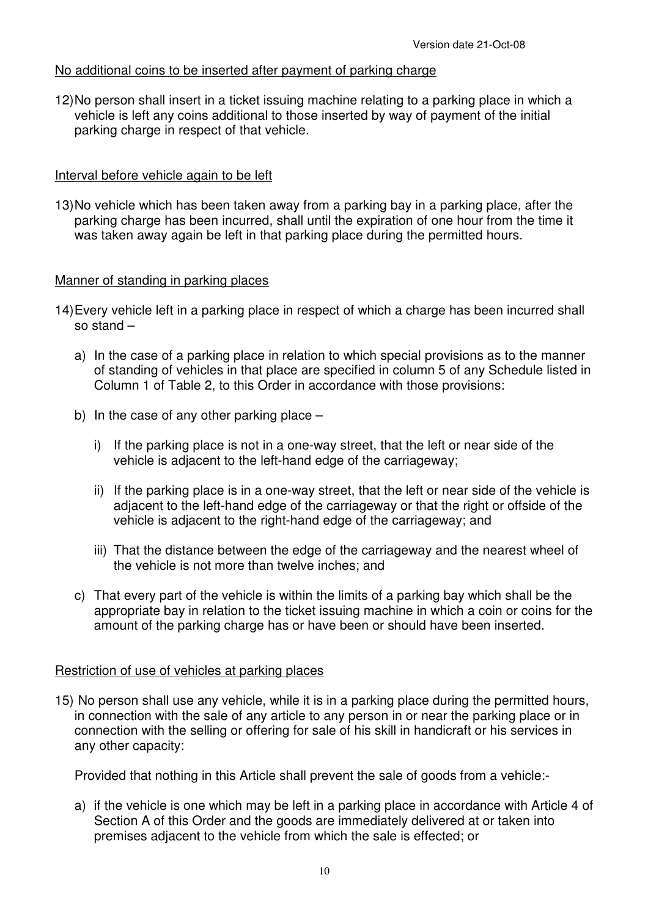### No additional coins to be inserted after payment of parking charge

12) No person shall insert in a ticket issuing machine relating to a parking place in which a vehicle is left any coins additional to those inserted by way of payment of the initial parking charge in respect of that vehicle.

## Interval before vehicle again to be left

13) No vehicle which has been taken away from a parking bay in a parking place, after the parking charge has been incurred, shall until the expiration of one hour from the time it was taken away again be left in that parking place during the permitted hours.

## Manner of standing in parking places

- 14) Every vehicle left in a parking place in respect of which a charge has been incurred shall so stand –
	- a) In the case of a parking place in relation to which special provisions as to the manner of standing of vehicles in that place are specified in column 5 of any Schedule listed in Column 1 of Table 2, to this Order in accordance with those provisions:
	- b) In the case of any other parking place  $$ 
		- i) If the parking place is not in a one-way street, that the left or near side of the vehicle is adjacent to the left-hand edge of the carriageway;
		- ii) If the parking place is in a one-way street, that the left or near side of the vehicle is adjacent to the left-hand edge of the carriageway or that the right or offside of the vehicle is adjacent to the right-hand edge of the carriageway; and
		- iii) That the distance between the edge of the carriageway and the nearest wheel of the vehicle is not more than twelve inches; and
	- c) That every part of the vehicle is within the limits of a parking bay which shall be the appropriate bay in relation to the ticket issuing machine in which a coin or coins for the amount of the parking charge has or have been or should have been inserted.

### Restriction of use of vehicles at parking places

15) No person shall use any vehicle, while it is in a parking place during the permitted hours, in connection with the sale of any article to any person in or near the parking place or in connection with the selling or offering for sale of his skill in handicraft or his services in any other capacity:

Provided that nothing in this Article shall prevent the sale of goods from a vehicle:-

a) if the vehicle is one which may be left in a parking place in accordance with Article 4 of Section A of this Order and the goods are immediately delivered at or taken into premises adjacent to the vehicle from which the sale is effected; or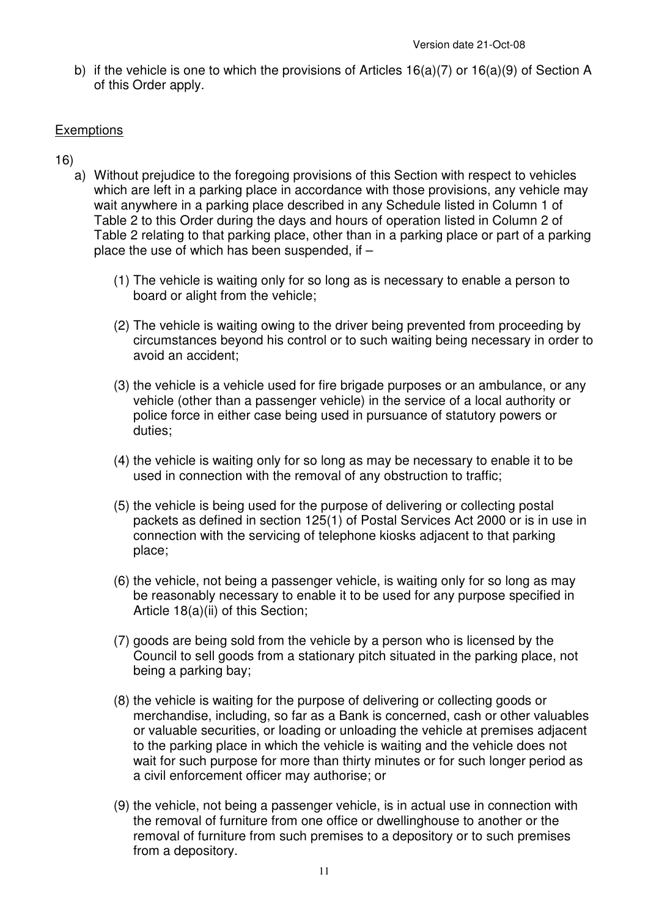b) if the vehicle is one to which the provisions of Articles  $16(a)(7)$  or  $16(a)(9)$  of Section A of this Order apply.

## **Exemptions**

- 16)
	- a) Without prejudice to the foregoing provisions of this Section with respect to vehicles which are left in a parking place in accordance with those provisions, any vehicle may wait anywhere in a parking place described in any Schedule listed in Column 1 of Table 2 to this Order during the days and hours of operation listed in Column 2 of Table 2 relating to that parking place, other than in a parking place or part of a parking place the use of which has been suspended, if –
		- (1) The vehicle is waiting only for so long as is necessary to enable a person to board or alight from the vehicle;
		- (2) The vehicle is waiting owing to the driver being prevented from proceeding by circumstances beyond his control or to such waiting being necessary in order to avoid an accident;
		- (3) the vehicle is a vehicle used for fire brigade purposes or an ambulance, or any vehicle (other than a passenger vehicle) in the service of a local authority or police force in either case being used in pursuance of statutory powers or duties;
		- (4) the vehicle is waiting only for so long as may be necessary to enable it to be used in connection with the removal of any obstruction to traffic;
		- (5) the vehicle is being used for the purpose of delivering or collecting postal packets as defined in section 125(1) of Postal Services Act 2000 or is in use in connection with the servicing of telephone kiosks adjacent to that parking place;
		- (6) the vehicle, not being a passenger vehicle, is waiting only for so long as may be reasonably necessary to enable it to be used for any purpose specified in Article 18(a)(ii) of this Section;
		- (7) goods are being sold from the vehicle by a person who is licensed by the Council to sell goods from a stationary pitch situated in the parking place, not being a parking bay;
		- (8) the vehicle is waiting for the purpose of delivering or collecting goods or merchandise, including, so far as a Bank is concerned, cash or other valuables or valuable securities, or loading or unloading the vehicle at premises adjacent to the parking place in which the vehicle is waiting and the vehicle does not wait for such purpose for more than thirty minutes or for such longer period as a civil enforcement officer may authorise; or
		- (9) the vehicle, not being a passenger vehicle, is in actual use in connection with the removal of furniture from one office or dwellinghouse to another or the removal of furniture from such premises to a depository or to such premises from a depository.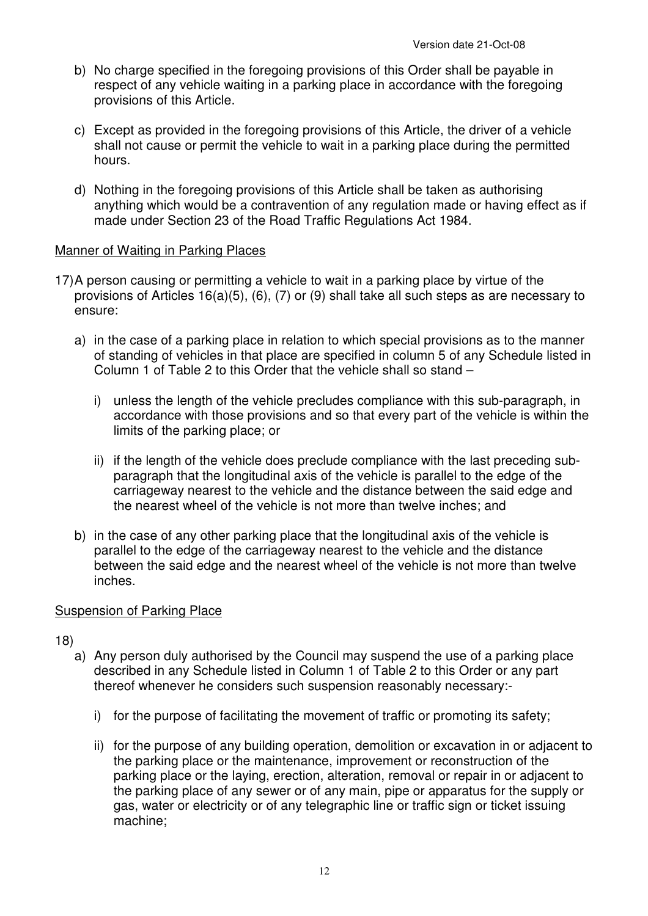- b) No charge specified in the foregoing provisions of this Order shall be payable in respect of any vehicle waiting in a parking place in accordance with the foregoing provisions of this Article.
- c) Except as provided in the foregoing provisions of this Article, the driver of a vehicle shall not cause or permit the vehicle to wait in a parking place during the permitted hours.
- d) Nothing in the foregoing provisions of this Article shall be taken as authorising anything which would be a contravention of any regulation made or having effect as if made under Section 23 of the Road Traffic Regulations Act 1984.

## Manner of Waiting in Parking Places

- 17) A person causing or permitting a vehicle to wait in a parking place by virtue of the provisions of Articles 16(a)(5), (6), (7) or (9) shall take all such steps as are necessary to ensure:
	- a) in the case of a parking place in relation to which special provisions as to the manner of standing of vehicles in that place are specified in column 5 of any Schedule listed in Column 1 of Table 2 to this Order that the vehicle shall so stand –
		- i) unless the length of the vehicle precludes compliance with this sub-paragraph, in accordance with those provisions and so that every part of the vehicle is within the limits of the parking place; or
		- ii) if the length of the vehicle does preclude compliance with the last preceding subparagraph that the longitudinal axis of the vehicle is parallel to the edge of the carriageway nearest to the vehicle and the distance between the said edge and the nearest wheel of the vehicle is not more than twelve inches; and
	- b) in the case of any other parking place that the longitudinal axis of the vehicle is parallel to the edge of the carriageway nearest to the vehicle and the distance between the said edge and the nearest wheel of the vehicle is not more than twelve inches.

### Suspension of Parking Place

- 18)
	- a) Any person duly authorised by the Council may suspend the use of a parking place described in any Schedule listed in Column 1 of Table 2 to this Order or any part thereof whenever he considers such suspension reasonably necessary:
		- i) for the purpose of facilitating the movement of traffic or promoting its safety;
		- ii) for the purpose of any building operation, demolition or excavation in or adjacent to the parking place or the maintenance, improvement or reconstruction of the parking place or the laying, erection, alteration, removal or repair in or adjacent to the parking place of any sewer or of any main, pipe or apparatus for the supply or gas, water or electricity or of any telegraphic line or traffic sign or ticket issuing machine;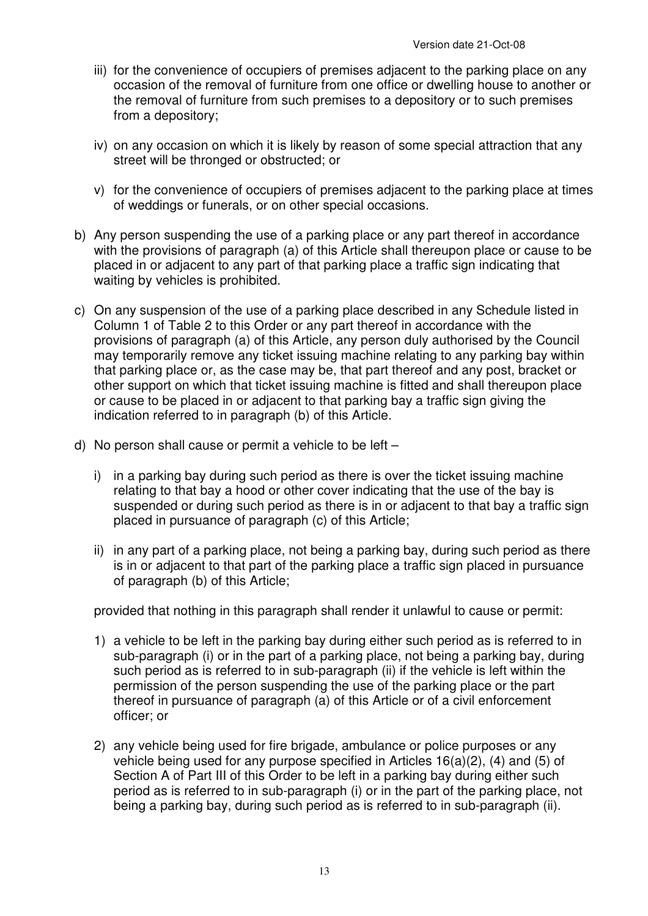- iii) for the convenience of occupiers of premises adjacent to the parking place on any occasion of the removal of furniture from one office or dwelling house to another or the removal of furniture from such premises to a depository or to such premises from a depository;
- iv) on any occasion on which it is likely by reason of some special attraction that any street will be thronged or obstructed; or
- v) for the convenience of occupiers of premises adjacent to the parking place at times of weddings or funerals, or on other special occasions.
- b) Any person suspending the use of a parking place or any part thereof in accordance with the provisions of paragraph (a) of this Article shall thereupon place or cause to be placed in or adjacent to any part of that parking place a traffic sign indicating that waiting by vehicles is prohibited.
- c) On any suspension of the use of a parking place described in any Schedule listed in Column 1 of Table 2 to this Order or any part thereof in accordance with the provisions of paragraph (a) of this Article, any person duly authorised by the Council may temporarily remove any ticket issuing machine relating to any parking bay within that parking place or, as the case may be, that part thereof and any post, bracket or other support on which that ticket issuing machine is fitted and shall thereupon place or cause to be placed in or adjacent to that parking bay a traffic sign giving the indication referred to in paragraph (b) of this Article.
- d) No person shall cause or permit a vehicle to be left
	- i) in a parking bay during such period as there is over the ticket issuing machine relating to that bay a hood or other cover indicating that the use of the bay is suspended or during such period as there is in or adjacent to that bay a traffic sign placed in pursuance of paragraph (c) of this Article;
	- ii) in any part of a parking place, not being a parking bay, during such period as there is in or adjacent to that part of the parking place a traffic sign placed in pursuance of paragraph (b) of this Article;

provided that nothing in this paragraph shall render it unlawful to cause or permit:

- 1) a vehicle to be left in the parking bay during either such period as is referred to in sub-paragraph (i) or in the part of a parking place, not being a parking bay, during such period as is referred to in sub-paragraph (ii) if the vehicle is left within the permission of the person suspending the use of the parking place or the part thereof in pursuance of paragraph (a) of this Article or of a civil enforcement officer; or
- 2) any vehicle being used for fire brigade, ambulance or police purposes or any vehicle being used for any purpose specified in Articles 16(a)(2), (4) and (5) of Section A of Part III of this Order to be left in a parking bay during either such period as is referred to in sub-paragraph (i) or in the part of the parking place, not being a parking bay, during such period as is referred to in sub-paragraph (ii).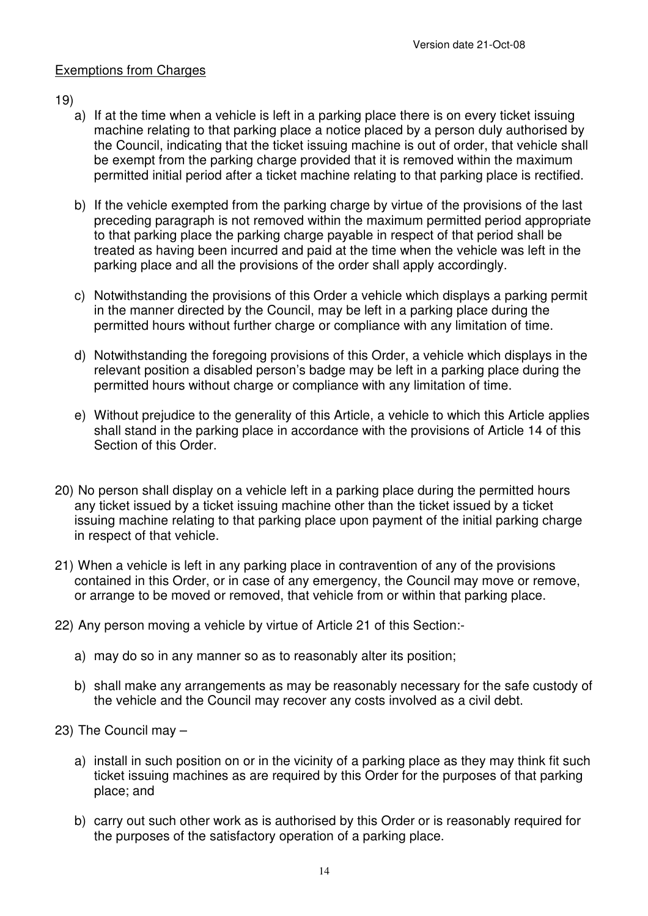## Exemptions from Charges

## 19)

- a) If at the time when a vehicle is left in a parking place there is on every ticket issuing machine relating to that parking place a notice placed by a person duly authorised by the Council, indicating that the ticket issuing machine is out of order, that vehicle shall be exempt from the parking charge provided that it is removed within the maximum permitted initial period after a ticket machine relating to that parking place is rectified.
- b) If the vehicle exempted from the parking charge by virtue of the provisions of the last preceding paragraph is not removed within the maximum permitted period appropriate to that parking place the parking charge payable in respect of that period shall be treated as having been incurred and paid at the time when the vehicle was left in the parking place and all the provisions of the order shall apply accordingly.
- c) Notwithstanding the provisions of this Order a vehicle which displays a parking permit in the manner directed by the Council, may be left in a parking place during the permitted hours without further charge or compliance with any limitation of time.
- d) Notwithstanding the foregoing provisions of this Order, a vehicle which displays in the relevant position a disabled person's badge may be left in a parking place during the permitted hours without charge or compliance with any limitation of time.
- e) Without prejudice to the generality of this Article, a vehicle to which this Article applies shall stand in the parking place in accordance with the provisions of Article 14 of this Section of this Order.
- 20) No person shall display on a vehicle left in a parking place during the permitted hours any ticket issued by a ticket issuing machine other than the ticket issued by a ticket issuing machine relating to that parking place upon payment of the initial parking charge in respect of that vehicle.
- 21) When a vehicle is left in any parking place in contravention of any of the provisions contained in this Order, or in case of any emergency, the Council may move or remove, or arrange to be moved or removed, that vehicle from or within that parking place.
- 22) Any person moving a vehicle by virtue of Article 21 of this Section:
	- a) may do so in any manner so as to reasonably alter its position;
	- b) shall make any arrangements as may be reasonably necessary for the safe custody of the vehicle and the Council may recover any costs involved as a civil debt.
- 23) The Council may
	- a) install in such position on or in the vicinity of a parking place as they may think fit such ticket issuing machines as are required by this Order for the purposes of that parking place; and
	- b) carry out such other work as is authorised by this Order or is reasonably required for the purposes of the satisfactory operation of a parking place.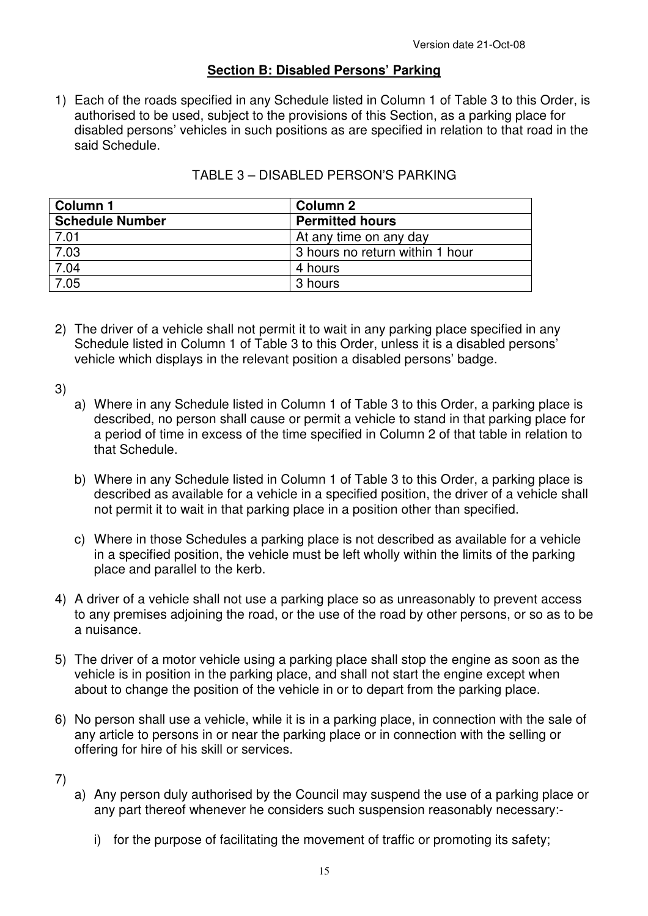## **Section B: Disabled Persons' Parking**

1) Each of the roads specified in any Schedule listed in Column 1 of Table 3 to this Order, is authorised to be used, subject to the provisions of this Section, as a parking place for disabled persons' vehicles in such positions as are specified in relation to that road in the said Schedule.

| Column 1               | <b>Column 2</b>                 |
|------------------------|---------------------------------|
| <b>Schedule Number</b> | <b>Permitted hours</b>          |
| 7.01                   | At any time on any day          |
| 7.03                   | 3 hours no return within 1 hour |
| 7.04                   | 4 hours                         |
| 7.05                   | 3 hours                         |

### TABLE 3 – DISABLED PERSON'S PARKING

2) The driver of a vehicle shall not permit it to wait in any parking place specified in any Schedule listed in Column 1 of Table 3 to this Order, unless it is a disabled persons' vehicle which displays in the relevant position a disabled persons' badge.

3)

- a) Where in any Schedule listed in Column 1 of Table 3 to this Order, a parking place is described, no person shall cause or permit a vehicle to stand in that parking place for a period of time in excess of the time specified in Column 2 of that table in relation to that Schedule.
- b) Where in any Schedule listed in Column 1 of Table 3 to this Order, a parking place is described as available for a vehicle in a specified position, the driver of a vehicle shall not permit it to wait in that parking place in a position other than specified.
- c) Where in those Schedules a parking place is not described as available for a vehicle in a specified position, the vehicle must be left wholly within the limits of the parking place and parallel to the kerb.
- 4) A driver of a vehicle shall not use a parking place so as unreasonably to prevent access to any premises adjoining the road, or the use of the road by other persons, or so as to be a nuisance.
- 5) The driver of a motor vehicle using a parking place shall stop the engine as soon as the vehicle is in position in the parking place, and shall not start the engine except when about to change the position of the vehicle in or to depart from the parking place.
- 6) No person shall use a vehicle, while it is in a parking place, in connection with the sale of any article to persons in or near the parking place or in connection with the selling or offering for hire of his skill or services.

7)

- a) Any person duly authorised by the Council may suspend the use of a parking place or any part thereof whenever he considers such suspension reasonably necessary:
	- i) for the purpose of facilitating the movement of traffic or promoting its safety;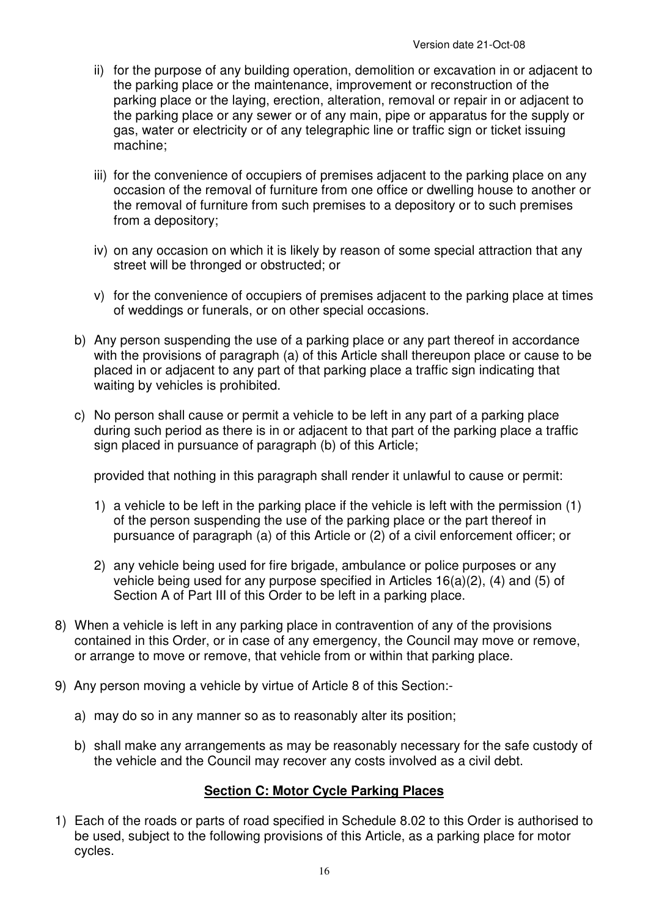- ii) for the purpose of any building operation, demolition or excavation in or adjacent to the parking place or the maintenance, improvement or reconstruction of the parking place or the laying, erection, alteration, removal or repair in or adjacent to the parking place or any sewer or of any main, pipe or apparatus for the supply or gas, water or electricity or of any telegraphic line or traffic sign or ticket issuing machine;
- iii) for the convenience of occupiers of premises adiacent to the parking place on any occasion of the removal of furniture from one office or dwelling house to another or the removal of furniture from such premises to a depository or to such premises from a depository;
- iv) on any occasion on which it is likely by reason of some special attraction that any street will be thronged or obstructed; or
- v) for the convenience of occupiers of premises adjacent to the parking place at times of weddings or funerals, or on other special occasions.
- b) Any person suspending the use of a parking place or any part thereof in accordance with the provisions of paragraph (a) of this Article shall thereupon place or cause to be placed in or adjacent to any part of that parking place a traffic sign indicating that waiting by vehicles is prohibited.
- c) No person shall cause or permit a vehicle to be left in any part of a parking place during such period as there is in or adjacent to that part of the parking place a traffic sign placed in pursuance of paragraph (b) of this Article;

provided that nothing in this paragraph shall render it unlawful to cause or permit:

- 1) a vehicle to be left in the parking place if the vehicle is left with the permission (1) of the person suspending the use of the parking place or the part thereof in pursuance of paragraph (a) of this Article or (2) of a civil enforcement officer; or
- 2) any vehicle being used for fire brigade, ambulance or police purposes or any vehicle being used for any purpose specified in Articles 16(a)(2), (4) and (5) of Section A of Part III of this Order to be left in a parking place.
- 8) When a vehicle is left in any parking place in contravention of any of the provisions contained in this Order, or in case of any emergency, the Council may move or remove, or arrange to move or remove, that vehicle from or within that parking place.
- 9) Any person moving a vehicle by virtue of Article 8 of this Section:
	- a) may do so in any manner so as to reasonably alter its position;
	- b) shall make any arrangements as may be reasonably necessary for the safe custody of the vehicle and the Council may recover any costs involved as a civil debt.

## **Section C: Motor Cycle Parking Places**

1) Each of the roads or parts of road specified in Schedule 8.02 to this Order is authorised to be used, subject to the following provisions of this Article, as a parking place for motor cycles.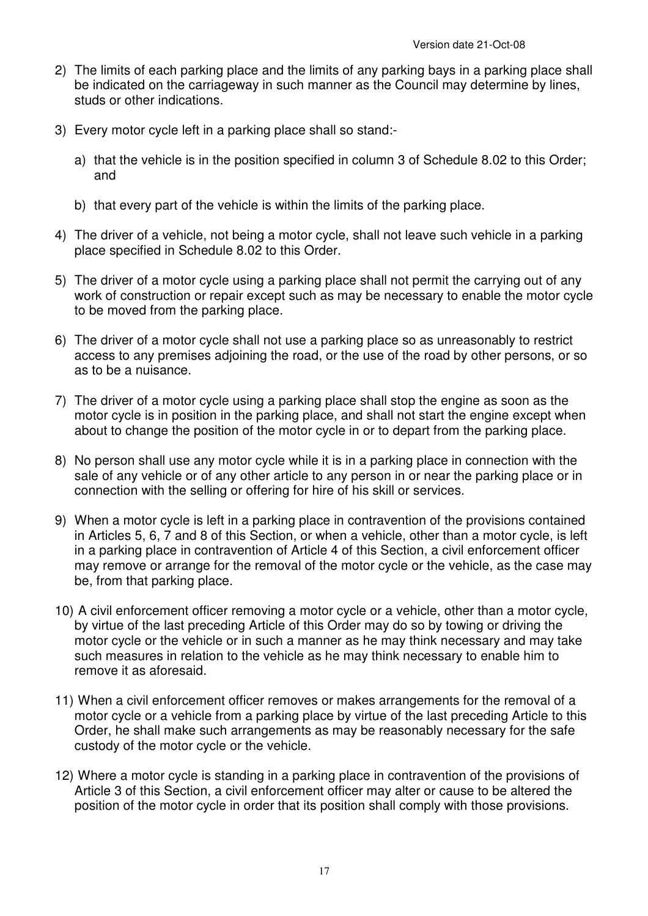- 2) The limits of each parking place and the limits of any parking bays in a parking place shall be indicated on the carriageway in such manner as the Council may determine by lines, studs or other indications.
- 3) Every motor cycle left in a parking place shall so stand:
	- a) that the vehicle is in the position specified in column 3 of Schedule 8.02 to this Order; and
	- b) that every part of the vehicle is within the limits of the parking place.
- 4) The driver of a vehicle, not being a motor cycle, shall not leave such vehicle in a parking place specified in Schedule 8.02 to this Order.
- 5) The driver of a motor cycle using a parking place shall not permit the carrying out of any work of construction or repair except such as may be necessary to enable the motor cycle to be moved from the parking place.
- 6) The driver of a motor cycle shall not use a parking place so as unreasonably to restrict access to any premises adjoining the road, or the use of the road by other persons, or so as to be a nuisance.
- 7) The driver of a motor cycle using a parking place shall stop the engine as soon as the motor cycle is in position in the parking place, and shall not start the engine except when about to change the position of the motor cycle in or to depart from the parking place.
- 8) No person shall use any motor cycle while it is in a parking place in connection with the sale of any vehicle or of any other article to any person in or near the parking place or in connection with the selling or offering for hire of his skill or services.
- 9) When a motor cycle is left in a parking place in contravention of the provisions contained in Articles 5, 6, 7 and 8 of this Section, or when a vehicle, other than a motor cycle, is left in a parking place in contravention of Article 4 of this Section, a civil enforcement officer may remove or arrange for the removal of the motor cycle or the vehicle, as the case may be, from that parking place.
- 10) A civil enforcement officer removing a motor cycle or a vehicle, other than a motor cycle, by virtue of the last preceding Article of this Order may do so by towing or driving the motor cycle or the vehicle or in such a manner as he may think necessary and may take such measures in relation to the vehicle as he may think necessary to enable him to remove it as aforesaid.
- 11) When a civil enforcement officer removes or makes arrangements for the removal of a motor cycle or a vehicle from a parking place by virtue of the last preceding Article to this Order, he shall make such arrangements as may be reasonably necessary for the safe custody of the motor cycle or the vehicle.
- 12) Where a motor cycle is standing in a parking place in contravention of the provisions of Article 3 of this Section, a civil enforcement officer may alter or cause to be altered the position of the motor cycle in order that its position shall comply with those provisions.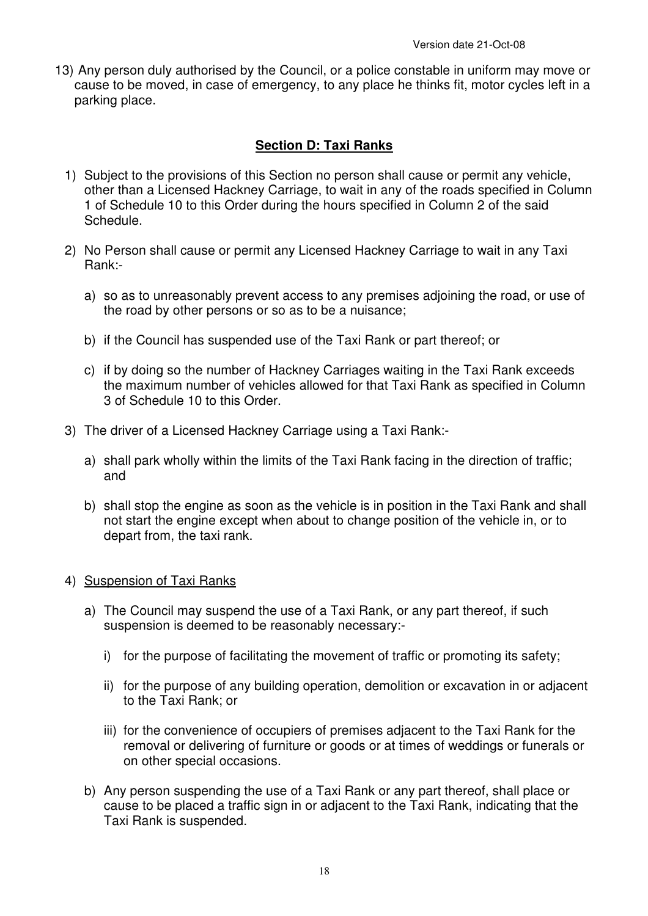13) Any person duly authorised by the Council, or a police constable in uniform may move or cause to be moved, in case of emergency, to any place he thinks fit, motor cycles left in a parking place.

# **Section D: Taxi Ranks**

- 1) Subject to the provisions of this Section no person shall cause or permit any vehicle, other than a Licensed Hackney Carriage, to wait in any of the roads specified in Column 1 of Schedule 10 to this Order during the hours specified in Column 2 of the said Schedule.
- 2) No Person shall cause or permit any Licensed Hackney Carriage to wait in any Taxi Rank:
	- a) so as to unreasonably prevent access to any premises adjoining the road, or use of the road by other persons or so as to be a nuisance;
	- b) if the Council has suspended use of the Taxi Rank or part thereof; or
	- c) if by doing so the number of Hackney Carriages waiting in the Taxi Rank exceeds the maximum number of vehicles allowed for that Taxi Rank as specified in Column 3 of Schedule 10 to this Order.
- 3) The driver of a Licensed Hackney Carriage using a Taxi Rank:
	- a) shall park wholly within the limits of the Taxi Rank facing in the direction of traffic; and
	- b) shall stop the engine as soon as the vehicle is in position in the Taxi Rank and shall not start the engine except when about to change position of the vehicle in, or to depart from, the taxi rank.

## 4) Suspension of Taxi Ranks

- a) The Council may suspend the use of a Taxi Rank, or any part thereof, if such suspension is deemed to be reasonably necessary:
	- i) for the purpose of facilitating the movement of traffic or promoting its safety;
	- ii) for the purpose of any building operation, demolition or excavation in or adjacent to the Taxi Rank; or
	- iii) for the convenience of occupiers of premises adjacent to the Taxi Rank for the removal or delivering of furniture or goods or at times of weddings or funerals or on other special occasions.
- b) Any person suspending the use of a Taxi Rank or any part thereof, shall place or cause to be placed a traffic sign in or adjacent to the Taxi Rank, indicating that the Taxi Rank is suspended.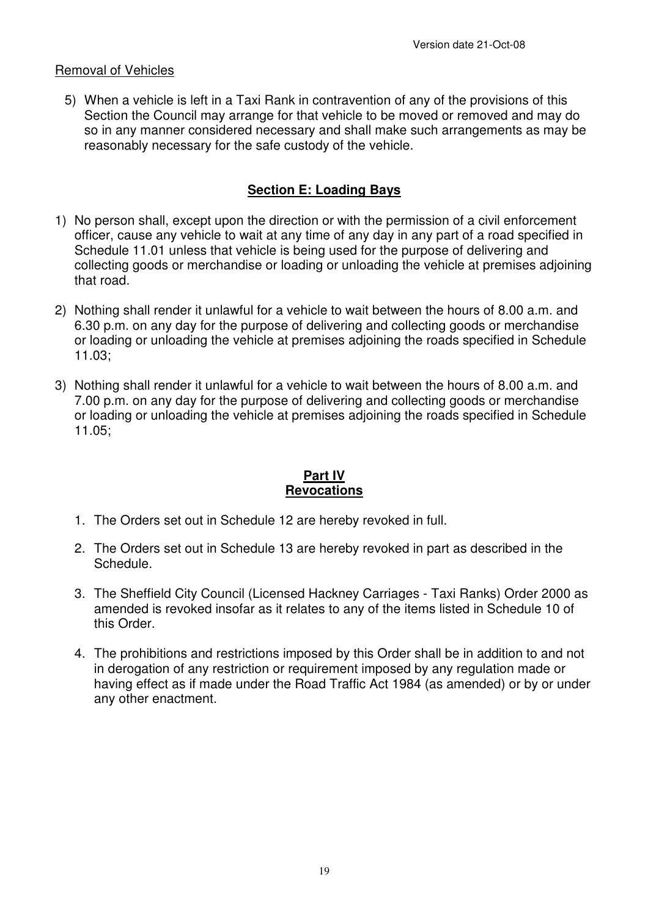## Removal of Vehicles

5) When a vehicle is left in a Taxi Rank in contravention of any of the provisions of this Section the Council may arrange for that vehicle to be moved or removed and may do so in any manner considered necessary and shall make such arrangements as may be reasonably necessary for the safe custody of the vehicle.

## **Section E: Loading Bays**

- 1) No person shall, except upon the direction or with the permission of a civil enforcement officer, cause any vehicle to wait at any time of any day in any part of a road specified in Schedule 11.01 unless that vehicle is being used for the purpose of delivering and collecting goods or merchandise or loading or unloading the vehicle at premises adjoining that road.
- 2) Nothing shall render it unlawful for a vehicle to wait between the hours of 8.00 a.m. and 6.30 p.m. on any day for the purpose of delivering and collecting goods or merchandise or loading or unloading the vehicle at premises adjoining the roads specified in Schedule 11.03;
- 3) Nothing shall render it unlawful for a vehicle to wait between the hours of 8.00 a.m. and 7.00 p.m. on any day for the purpose of delivering and collecting goods or merchandise or loading or unloading the vehicle at premises adjoining the roads specified in Schedule 11.05;

## **Part IV Revocations**

- 1. The Orders set out in Schedule 12 are hereby revoked in full.
- 2. The Orders set out in Schedule 13 are hereby revoked in part as described in the Schedule.
- 3. The Sheffield City Council (Licensed Hackney Carriages Taxi Ranks) Order 2000 as amended is revoked insofar as it relates to any of the items listed in Schedule 10 of this Order.
- 4. The prohibitions and restrictions imposed by this Order shall be in addition to and not in derogation of any restriction or requirement imposed by any regulation made or having effect as if made under the Road Traffic Act 1984 (as amended) or by or under any other enactment.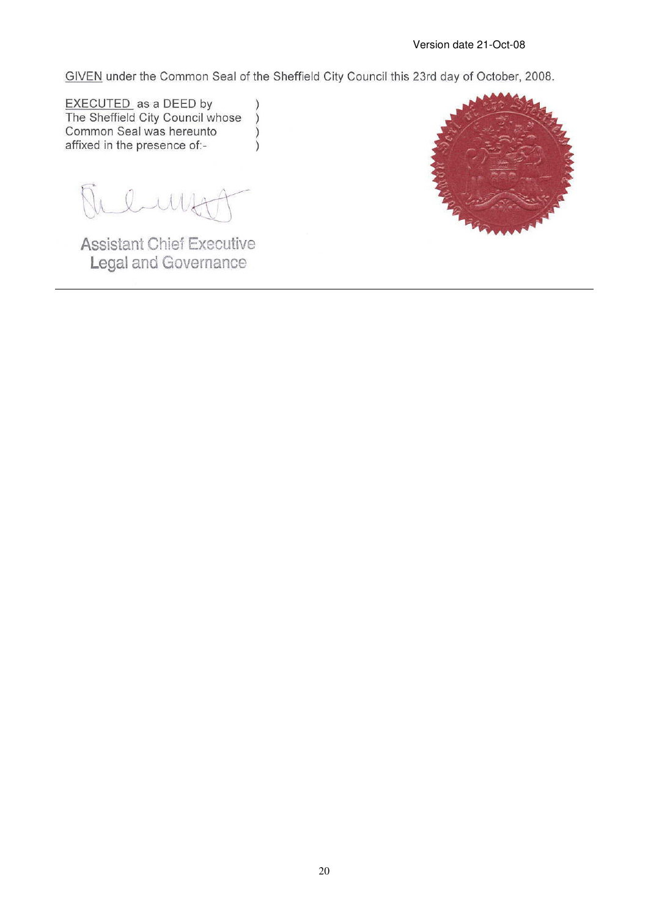GIVEN under the Common Seal of the Sheffield City Council this 23rd day of October, 2008.

 $\lambda$ 

 $\mathcal{E}$ 

 $\lambda$ 

**EXECUTED** as a DEED by<br>The Sheffield City Council whose Common Seal was hereunto affixed in the presence of:-

lunt

**Assistant Chief Executive** Legal and Governance

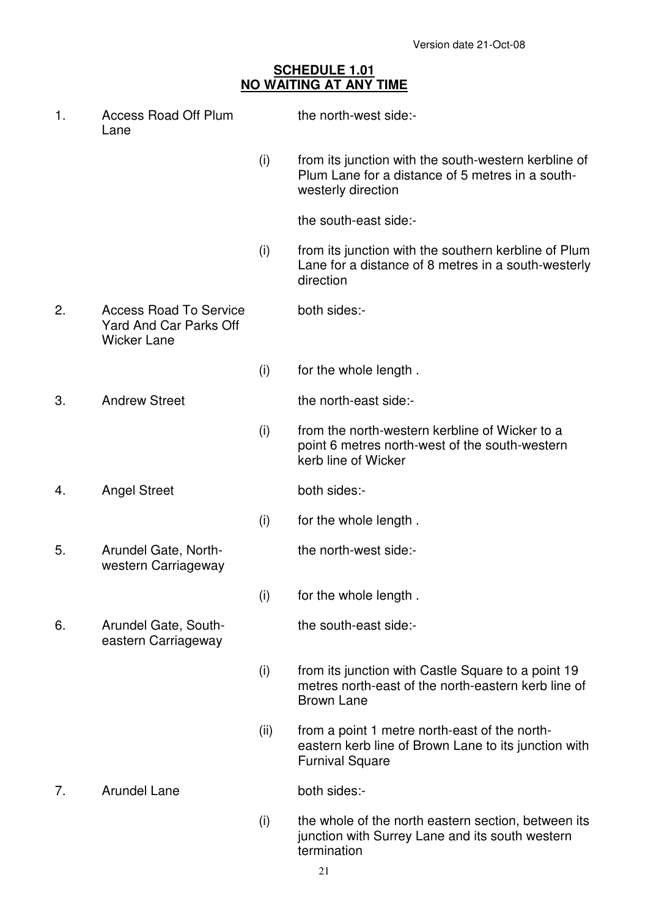## **SCHEDULE 1.01 NO WAITING AT ANY TIME**

| 1. | <b>Access Road Off Plum</b><br>Lane                                           |      | the north-west side:-                                                                                                           |
|----|-------------------------------------------------------------------------------|------|---------------------------------------------------------------------------------------------------------------------------------|
|    |                                                                               | (i)  | from its junction with the south-western kerbline of<br>Plum Lane for a distance of 5 metres in a south-<br>westerly direction  |
|    |                                                                               |      | the south-east side:-                                                                                                           |
|    |                                                                               | (i)  | from its junction with the southern kerbline of Plum<br>Lane for a distance of 8 metres in a south-westerly<br>direction        |
| 2. | <b>Access Road To Service</b><br>Yard And Car Parks Off<br><b>Wicker Lane</b> |      | both sides:-                                                                                                                    |
|    |                                                                               | (i)  | for the whole length.                                                                                                           |
| 3. | <b>Andrew Street</b>                                                          |      | the north-east side:-                                                                                                           |
|    |                                                                               | (i)  | from the north-western kerbline of Wicker to a<br>point 6 metres north-west of the south-western<br>kerb line of Wicker         |
| 4. | <b>Angel Street</b>                                                           |      | both sides:-                                                                                                                    |
|    |                                                                               | (i)  | for the whole length.                                                                                                           |
| 5. | Arundel Gate, North-<br>western Carriageway                                   |      | the north-west side:-                                                                                                           |
|    |                                                                               | (i)  | for the whole length.                                                                                                           |
| 6. | Arundel Gate, South-<br>eastern Carriageway                                   |      | the south-east side:-                                                                                                           |
|    |                                                                               | (i)  | from its junction with Castle Square to a point 19<br>metres north-east of the north-eastern kerb line of<br><b>Brown Lane</b>  |
|    |                                                                               | (ii) | from a point 1 metre north-east of the north-<br>eastern kerb line of Brown Lane to its junction with<br><b>Furnival Square</b> |
| 7. | <b>Arundel Lane</b>                                                           |      | both sides:-                                                                                                                    |
|    |                                                                               |      |                                                                                                                                 |

 (i) the whole of the north eastern section, between its junction with Surrey Lane and its south western termination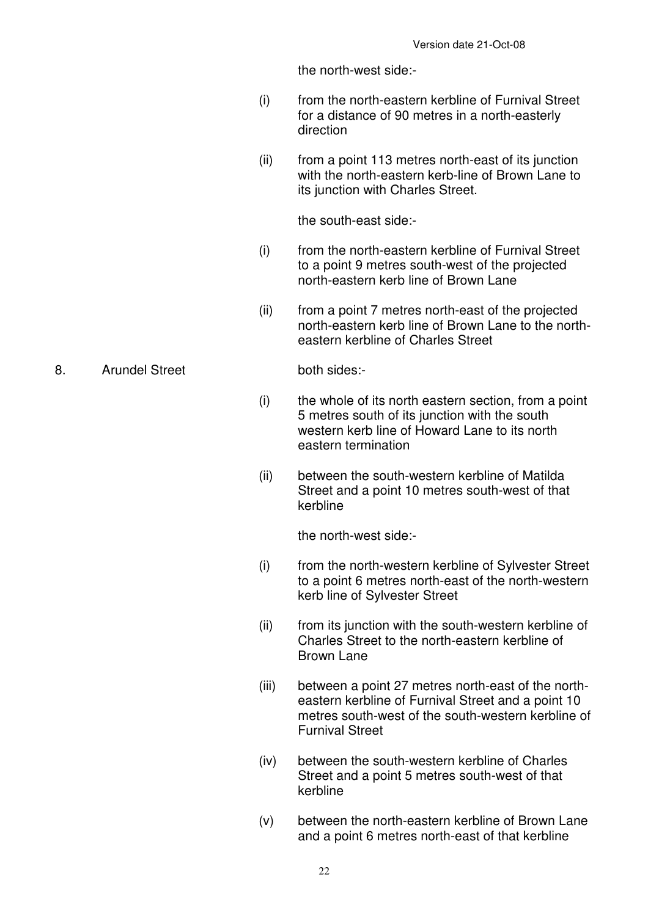the north-west side:-

- (i) from the north-eastern kerbline of Furnival Street for a distance of 90 metres in a north-easterly direction
- (ii) from a point 113 metres north-east of its junction with the north-eastern kerb-line of Brown Lane to its junction with Charles Street.

the south-east side:-

- (i) from the north-eastern kerbline of Furnival Street to a point 9 metres south-west of the projected north-eastern kerb line of Brown Lane
- (ii) from a point 7 metres north-east of the projected north-eastern kerb line of Brown Lane to the northeastern kerbline of Charles Street

- (i) the whole of its north eastern section, from a point 5 metres south of its junction with the south western kerb line of Howard Lane to its north eastern termination
- (ii) between the south-western kerbline of Matilda Street and a point 10 metres south-west of that kerbline

the north-west side:-

- (i) from the north-western kerbline of Sylvester Street to a point 6 metres north-east of the north-western kerb line of Sylvester Street
- (ii) from its junction with the south-western kerbline of Charles Street to the north-eastern kerbline of Brown Lane
- (iii) between a point 27 metres north-east of the northeastern kerbline of Furnival Street and a point 10 metres south-west of the south-western kerbline of Furnival Street
- (iv) between the south-western kerbline of Charles Street and a point 5 metres south-west of that kerbline
- (v) between the north-eastern kerbline of Brown Lane and a point 6 metres north-east of that kerbline

#### 8. Arundel Street both sides:-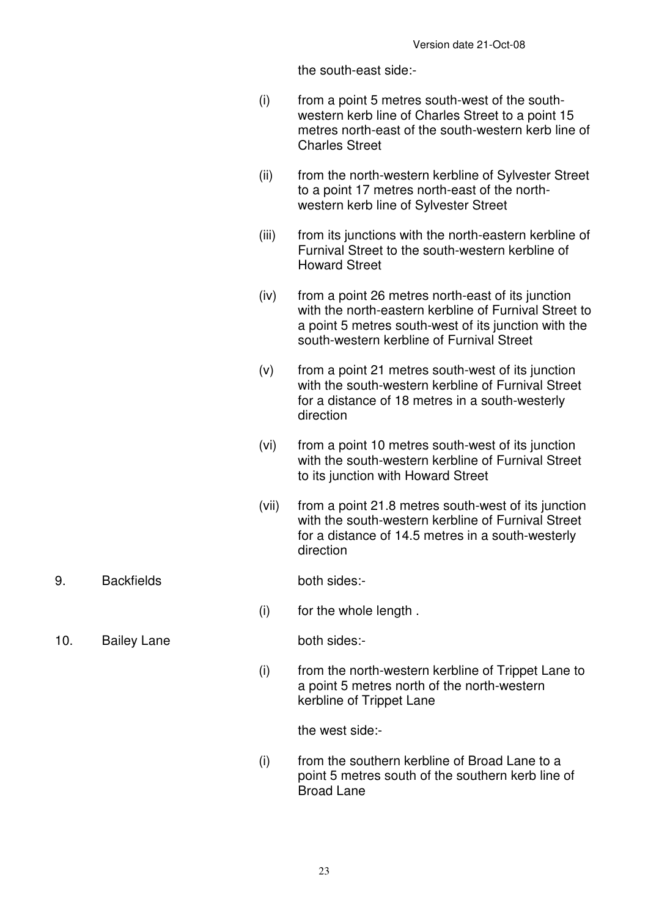the south-east side:-

- (i) from a point 5 metres south-west of the southwestern kerb line of Charles Street to a point 15 metres north-east of the south-western kerb line of Charles Street
- (ii) from the north-western kerbline of Sylvester Street to a point 17 metres north-east of the northwestern kerb line of Sylvester Street
- (iii) from its junctions with the north-eastern kerbline of Furnival Street to the south-western kerbline of Howard Street
- (iv) from a point 26 metres north-east of its junction with the north-eastern kerbline of Furnival Street to a point 5 metres south-west of its junction with the south-western kerbline of Furnival Street
- (v) from a point 21 metres south-west of its junction with the south-western kerbline of Furnival Street for a distance of 18 metres in a south-westerly direction
- (vi) from a point 10 metres south-west of its junction with the south-western kerbline of Furnival Street to its junction with Howard Street
- (vii) from a point 21.8 metres south-west of its junction with the south-western kerbline of Furnival Street for a distance of 14.5 metres in a south-westerly direction
- 9. Backfields both sides:

(i) for the whole length .

10. Bailey Lane both sides:-

 (i) from the north-western kerbline of Trippet Lane to a point 5 metres north of the north-western kerbline of Trippet Lane

the west side:-

 (i) from the southern kerbline of Broad Lane to a point 5 metres south of the southern kerb line of Broad Lane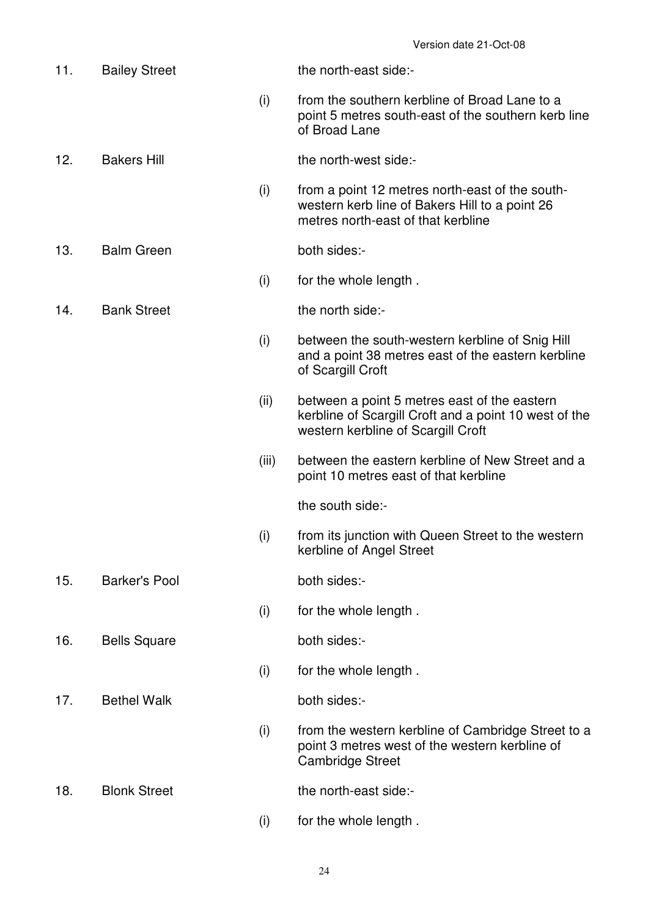| 11. | <b>Bailey Street</b> |       | the north-east side:-                                                                                                                       |
|-----|----------------------|-------|---------------------------------------------------------------------------------------------------------------------------------------------|
|     |                      | (i)   | from the southern kerbline of Broad Lane to a<br>point 5 metres south-east of the southern kerb line<br>of Broad Lane                       |
| 12. | <b>Bakers Hill</b>   |       | the north-west side:-                                                                                                                       |
|     |                      | (i)   | from a point 12 metres north-east of the south-<br>western kerb line of Bakers Hill to a point 26<br>metres north-east of that kerbline     |
| 13. | <b>Balm Green</b>    |       | both sides:-                                                                                                                                |
|     |                      | (i)   | for the whole length.                                                                                                                       |
| 14. | <b>Bank Street</b>   |       | the north side:-                                                                                                                            |
|     |                      | (i)   | between the south-western kerbline of Snig Hill<br>and a point 38 metres east of the eastern kerbline<br>of Scargill Croft                  |
|     |                      | (ii)  | between a point 5 metres east of the eastern<br>kerbline of Scargill Croft and a point 10 west of the<br>western kerbline of Scargill Croft |
|     |                      | (iii) | between the eastern kerbline of New Street and a<br>point 10 metres east of that kerbline                                                   |
|     |                      |       | the south side:-                                                                                                                            |
|     |                      | (i)   | from its junction with Queen Street to the western<br>kerbline of Angel Street                                                              |
| 15. | <b>Barker's Pool</b> |       | both sides:-                                                                                                                                |
|     |                      | (i)   | for the whole length.                                                                                                                       |
| 16. | <b>Bells Square</b>  |       | both sides:-                                                                                                                                |
|     |                      | (i)   | for the whole length.                                                                                                                       |
| 17. | <b>Bethel Walk</b>   |       | both sides:-                                                                                                                                |
|     |                      | (i)   | from the western kerbline of Cambridge Street to a<br>point 3 metres west of the western kerbline of<br><b>Cambridge Street</b>             |
| 18. | <b>Blonk Street</b>  |       | the north-east side:-                                                                                                                       |
|     |                      | (i)   | for the whole length.                                                                                                                       |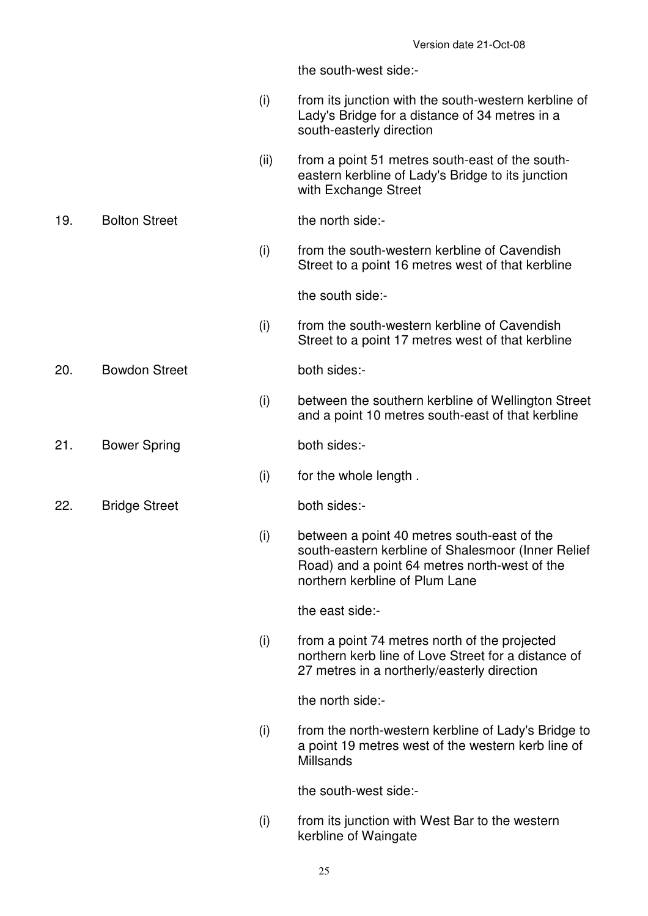the south-west side:-

- (i) from its junction with the south-western kerbline of Lady's Bridge for a distance of 34 metres in a south-easterly direction
- (ii) from a point 51 metres south-east of the southeastern kerbline of Lady's Bridge to its junction with Exchange Street

19. Bolton Street the north side:-

 (i) from the south-western kerbline of Cavendish Street to a point 16 metres west of that kerbline

the south side:-

 (i) from the south-western kerbline of Cavendish Street to a point 17 metres west of that kerbline

20. Bowdon Street both sides:-

 (i) between the southern kerbline of Wellington Street and a point 10 metres south-east of that kerbline

21. Bower Spring both sides:-

(i) for the whole length .

22. Bridge Street both sides:-

 (i) between a point 40 metres south-east of the south-eastern kerbline of Shalesmoor (Inner Relief Road) and a point 64 metres north-west of the northern kerbline of Plum Lane

the east side:-

 (i) from a point 74 metres north of the projected northern kerb line of Love Street for a distance of 27 metres in a northerly/easterly direction

the north side:-

 (i) from the north-western kerbline of Lady's Bridge to a point 19 metres west of the western kerb line of **Millsands** 

the south-west side:-

- (i) from its junction with West Bar to the western kerbline of Waingate
	- 25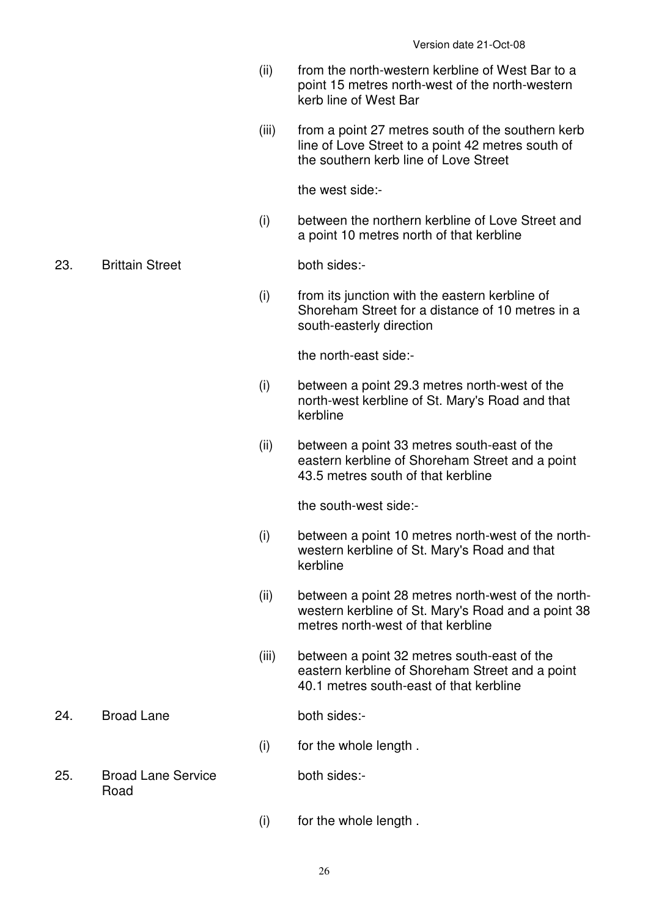- (ii) from the north-western kerbline of West Bar to a point 15 metres north-west of the north-western kerb line of West Bar
- (iii) from a point 27 metres south of the southern kerb line of Love Street to a point 42 metres south of the southern kerb line of Love Street

the west side:-

 (i) between the northern kerbline of Love Street and a point 10 metres north of that kerbline

23. Brittain Street both sides:-

 (i) from its junction with the eastern kerbline of Shoreham Street for a distance of 10 metres in a south-easterly direction

the north-east side:-

- (i) between a point 29.3 metres north-west of the north-west kerbline of St. Mary's Road and that kerbline
- (ii) between a point 33 metres south-east of the eastern kerbline of Shoreham Street and a point 43.5 metres south of that kerbline

the south-west side:-

- (i) between a point 10 metres north-west of the northwestern kerbline of St. Mary's Road and that kerbline
- (ii) between a point 28 metres north-west of the northwestern kerbline of St. Mary's Road and a point 38 metres north-west of that kerbline
- (iii) between a point 32 metres south-east of the eastern kerbline of Shoreham Street and a point 40.1 metres south-east of that kerbline
- 24. Broad Lane both sides:-

- (i) for the whole length .
- 25. Broad Lane Service Road

both sides:-

(i) for the whole length .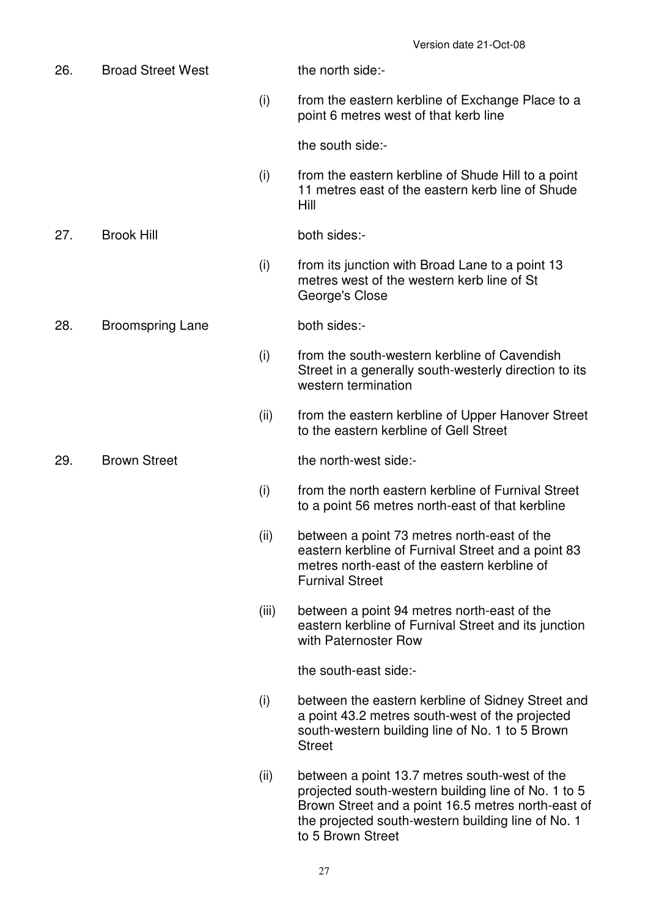| 26. | <b>Broad Street West</b> |       | the north side:-                                                                                                                                                                                                                      |
|-----|--------------------------|-------|---------------------------------------------------------------------------------------------------------------------------------------------------------------------------------------------------------------------------------------|
|     |                          | (i)   | from the eastern kerbline of Exchange Place to a<br>point 6 metres west of that kerb line                                                                                                                                             |
|     |                          |       | the south side:-                                                                                                                                                                                                                      |
|     |                          | (i)   | from the eastern kerbline of Shude Hill to a point<br>11 metres east of the eastern kerb line of Shude<br>Hill                                                                                                                        |
| 27. | <b>Brook Hill</b>        |       | both sides:-                                                                                                                                                                                                                          |
|     |                          | (i)   | from its junction with Broad Lane to a point 13<br>metres west of the western kerb line of St<br>George's Close                                                                                                                       |
| 28. | <b>Broomspring Lane</b>  |       | both sides:-                                                                                                                                                                                                                          |
|     |                          | (i)   | from the south-western kerbline of Cavendish<br>Street in a generally south-westerly direction to its<br>western termination                                                                                                          |
|     |                          | (ii)  | from the eastern kerbline of Upper Hanover Street<br>to the eastern kerbline of Gell Street                                                                                                                                           |
| 29. | <b>Brown Street</b>      |       | the north-west side:-                                                                                                                                                                                                                 |
|     |                          | (i)   | from the north eastern kerbline of Furnival Street<br>to a point 56 metres north-east of that kerbline                                                                                                                                |
|     |                          | (ii)  | between a point 73 metres north-east of the<br>eastern kerbline of Furnival Street and a point 83<br>metres north-east of the eastern kerbline of<br><b>Furnival Street</b>                                                           |
|     |                          | (iii) | between a point 94 metres north-east of the<br>eastern kerbline of Furnival Street and its junction<br>with Paternoster Row                                                                                                           |
|     |                          |       | the south-east side:-                                                                                                                                                                                                                 |
|     |                          | (i)   | between the eastern kerbline of Sidney Street and<br>a point 43.2 metres south-west of the projected<br>south-western building line of No. 1 to 5 Brown<br><b>Street</b>                                                              |
|     |                          | (ii)  | between a point 13.7 metres south-west of the<br>projected south-western building line of No. 1 to 5<br>Brown Street and a point 16.5 metres north-east of<br>the projected south-western building line of No. 1<br>to 5 Brown Street |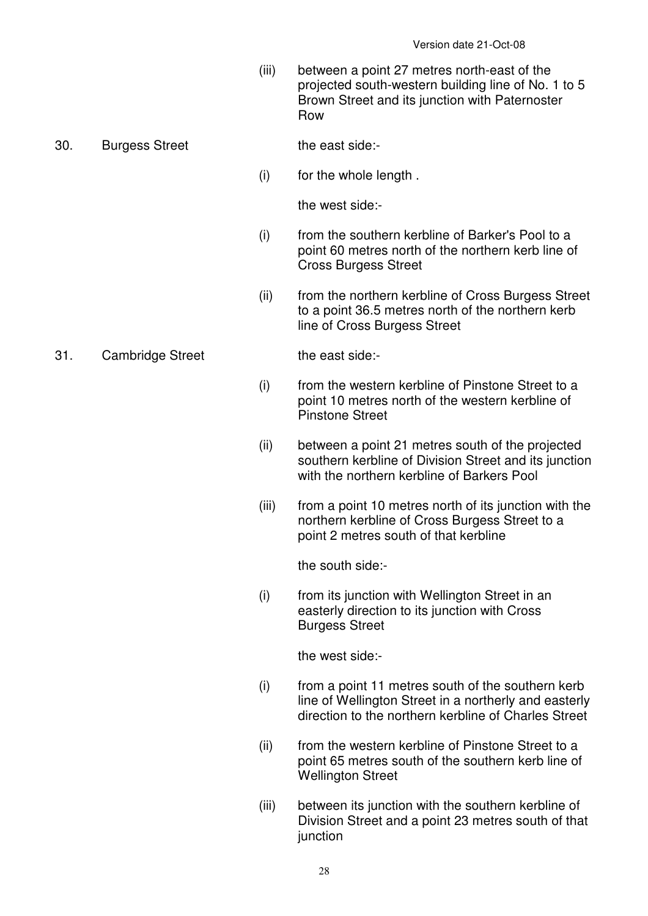(iii) between a point 27 metres north-east of the projected south-western building line of No. 1 to 5 Brown Street and its junction with Paternoster Row

30. Burgess Street the east side:-

(i) for the whole length .

the west side:-

- (i) from the southern kerbline of Barker's Pool to a point 60 metres north of the northern kerb line of Cross Burgess Street
- (ii) from the northern kerbline of Cross Burgess Street to a point 36.5 metres north of the northern kerb line of Cross Burgess Street

31. Cambridge Street the east side:-

- (i) from the western kerbline of Pinstone Street to a point 10 metres north of the western kerbline of Pinstone Street
- (ii) between a point 21 metres south of the projected southern kerbline of Division Street and its junction with the northern kerbline of Barkers Pool
- (iii) from a point 10 metres north of its junction with the northern kerbline of Cross Burgess Street to a point 2 metres south of that kerbline

the south side:-

 (i) from its junction with Wellington Street in an easterly direction to its junction with Cross Burgess Street

the west side:-

- (i) from a point 11 metres south of the southern kerb line of Wellington Street in a northerly and easterly direction to the northern kerbline of Charles Street
- (ii) from the western kerbline of Pinstone Street to a point 65 metres south of the southern kerb line of Wellington Street
- (iii) between its junction with the southern kerbline of Division Street and a point 23 metres south of that junction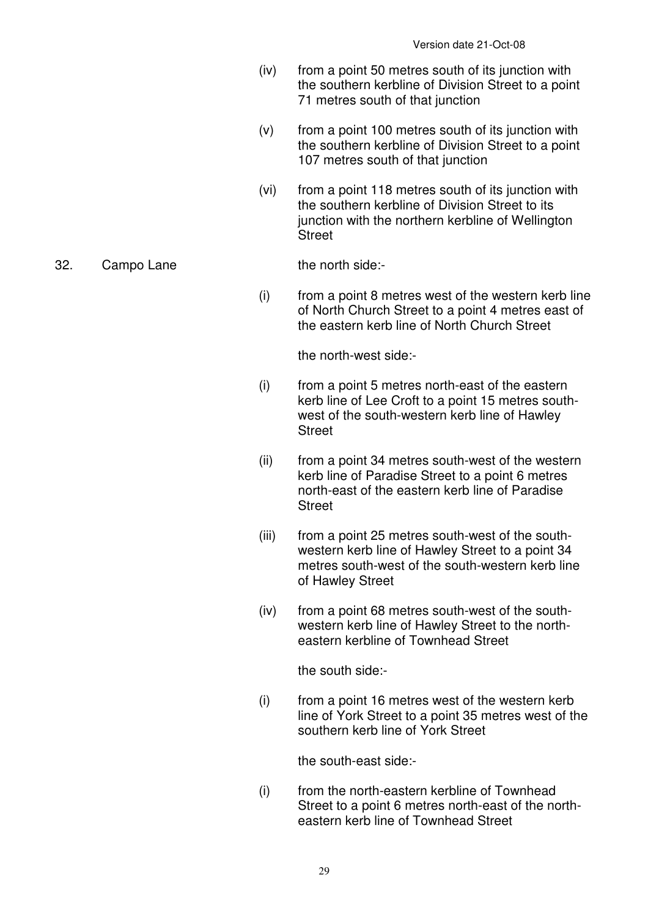- (iv) from a point 50 metres south of its junction with the southern kerbline of Division Street to a point 71 metres south of that junction
- (v) from a point 100 metres south of its junction with the southern kerbline of Division Street to a point 107 metres south of that junction
- (vi) from a point 118 metres south of its junction with the southern kerbline of Division Street to its junction with the northern kerbline of Wellington **Street**

#### 32. Campo Lane the north side:-

 (i) from a point 8 metres west of the western kerb line of North Church Street to a point 4 metres east of the eastern kerb line of North Church Street

the north-west side:-

- (i) from a point 5 metres north-east of the eastern kerb line of Lee Croft to a point 15 metres southwest of the south-western kerb line of Hawley **Street**
- (ii) from a point 34 metres south-west of the western kerb line of Paradise Street to a point 6 metres north-east of the eastern kerb line of Paradise **Street**
- (iii) from a point 25 metres south-west of the southwestern kerb line of Hawley Street to a point 34 metres south-west of the south-western kerb line of Hawley Street
- (iv) from a point 68 metres south-west of the southwestern kerb line of Hawley Street to the northeastern kerbline of Townhead Street

the south side:-

 (i) from a point 16 metres west of the western kerb line of York Street to a point 35 metres west of the southern kerb line of York Street

the south-east side:-

 (i) from the north-eastern kerbline of Townhead Street to a point 6 metres north-east of the northeastern kerb line of Townhead Street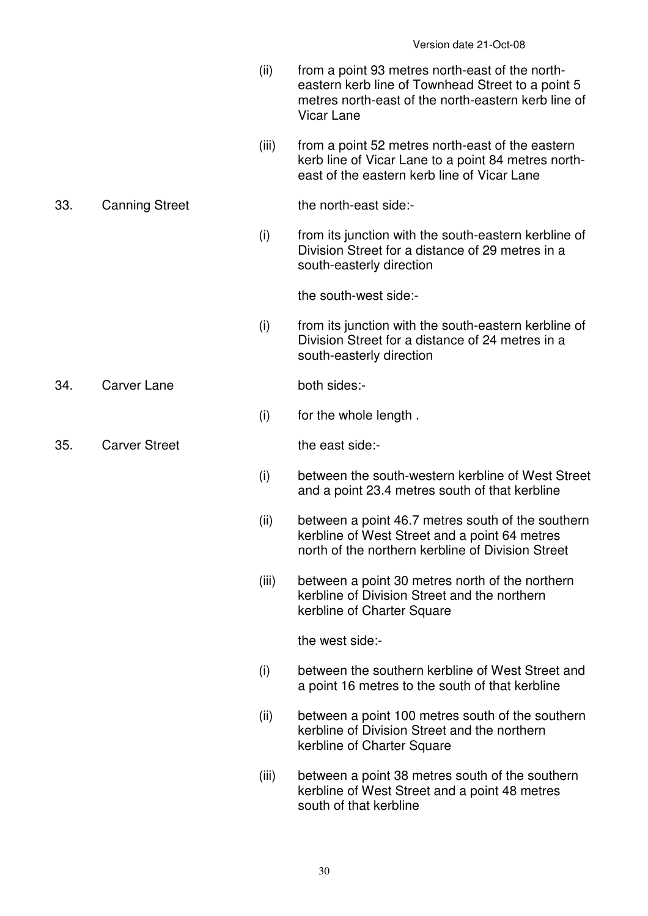- (ii) from a point 93 metres north-east of the northeastern kerb line of Townhead Street to a point 5 metres north-east of the north-eastern kerb line of Vicar Lane
- (iii) from a point 52 metres north-east of the eastern kerb line of Vicar Lane to a point 84 metres northeast of the eastern kerb line of Vicar Lane

#### 33. Canning Street the north-east side:-

 (i) from its junction with the south-eastern kerbline of Division Street for a distance of 29 metres in a south-easterly direction

the south-west side:-

 (i) from its junction with the south-eastern kerbline of Division Street for a distance of 24 metres in a south-easterly direction

34. Carver Lane both sides:-

(i) for the whole length .

35. Carver Street the east side:-

- (i) between the south-western kerbline of West Street and a point 23.4 metres south of that kerbline
- (ii) between a point 46.7 metres south of the southern kerbline of West Street and a point 64 metres north of the northern kerbline of Division Street
- (iii) between a point 30 metres north of the northern kerbline of Division Street and the northern kerbline of Charter Square

the west side:-

- (i) between the southern kerbline of West Street and a point 16 metres to the south of that kerbline
- (ii) between a point 100 metres south of the southern kerbline of Division Street and the northern kerbline of Charter Square
- (iii) between a point 38 metres south of the southern kerbline of West Street and a point 48 metres south of that kerbline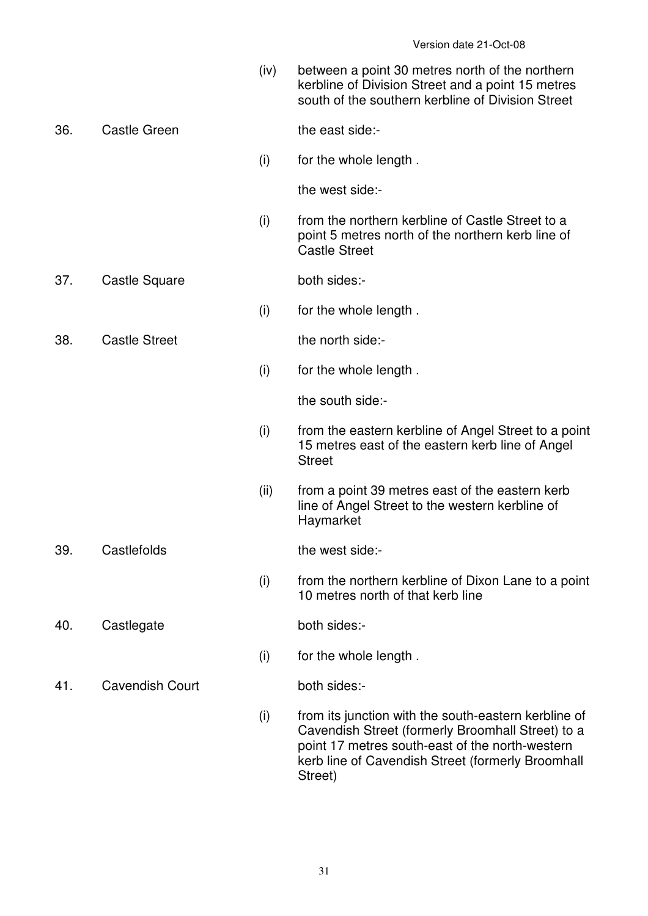(iv) between a point 30 metres north of the northern kerbline of Division Street and a point 15 metres south of the southern kerbline of Division Street

36. Castle Green the east side:-

(i) for the whole length .

the west side:-

- (i) from the northern kerbline of Castle Street to a point 5 metres north of the northern kerb line of Castle Street
- 37. Castle Square both sides:-
	- (i) for the whole length .
- 38. Castle Street the north side:-
	- (i) for the whole length .

the south side:-

- (i) from the eastern kerbline of Angel Street to a point 15 metres east of the eastern kerb line of Angel **Street**
- (ii) from a point 39 metres east of the eastern kerb line of Angel Street to the western kerbline of Haymarket

39. Castlefolds the west side:-

 (i) from the northern kerbline of Dixon Lane to a point 10 metres north of that kerb line

40. Castlegate both sides:-

- (i) for the whole length .
- 41. Cavendish Court both sides:-

 (i) from its junction with the south-eastern kerbline of Cavendish Street (formerly Broomhall Street) to a point 17 metres south-east of the north-western kerb line of Cavendish Street (formerly Broomhall Street)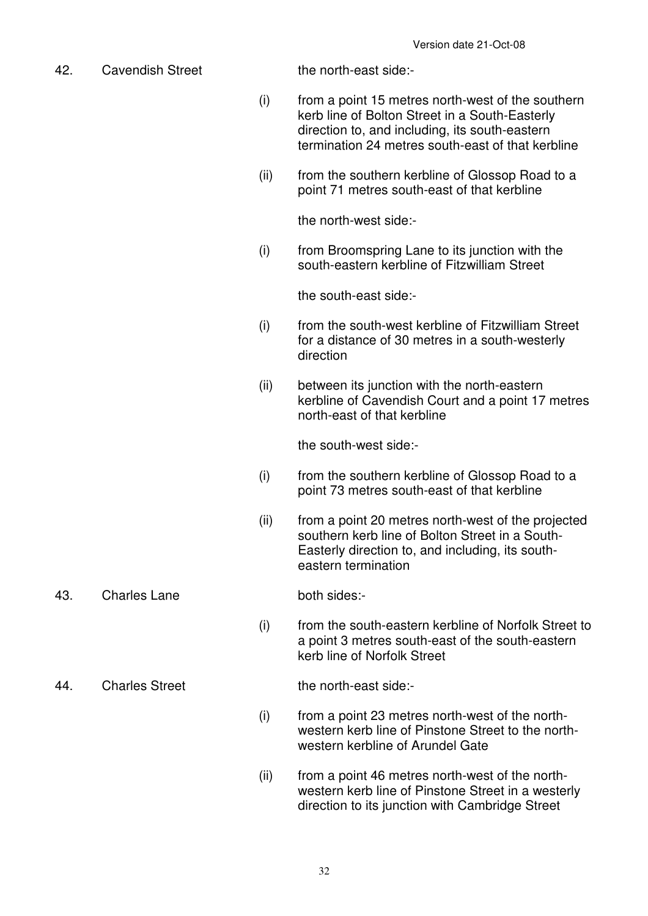42. Cavendish Street the north-east side:-

- (i) from a point 15 metres north-west of the southern kerb line of Bolton Street in a South-Easterly direction to, and including, its south-eastern termination 24 metres south-east of that kerbline
- (ii) from the southern kerbline of Glossop Road to a point 71 metres south-east of that kerbline

the north-west side:-

 (i) from Broomspring Lane to its junction with the south-eastern kerbline of Fitzwilliam Street

the south-east side:-

- (i) from the south-west kerbline of Fitzwilliam Street for a distance of 30 metres in a south-westerly direction
- (ii) between its junction with the north-eastern kerbline of Cavendish Court and a point 17 metres north-east of that kerbline

the south-west side:-

- (i) from the southern kerbline of Glossop Road to a point 73 metres south-east of that kerbline
- (ii) from a point 20 metres north-west of the projected southern kerb line of Bolton Street in a South-Easterly direction to, and including, its southeastern termination
- 43. Charles Lane both sides:-

 (i) from the south-eastern kerbline of Norfolk Street to a point 3 metres south-east of the south-eastern kerb line of Norfolk Street

44. Charles Street the north-east side:-

- (i) from a point 23 metres north-west of the northwestern kerb line of Pinstone Street to the northwestern kerbline of Arundel Gate
- (ii) from a point 46 metres north-west of the northwestern kerb line of Pinstone Street in a westerly direction to its junction with Cambridge Street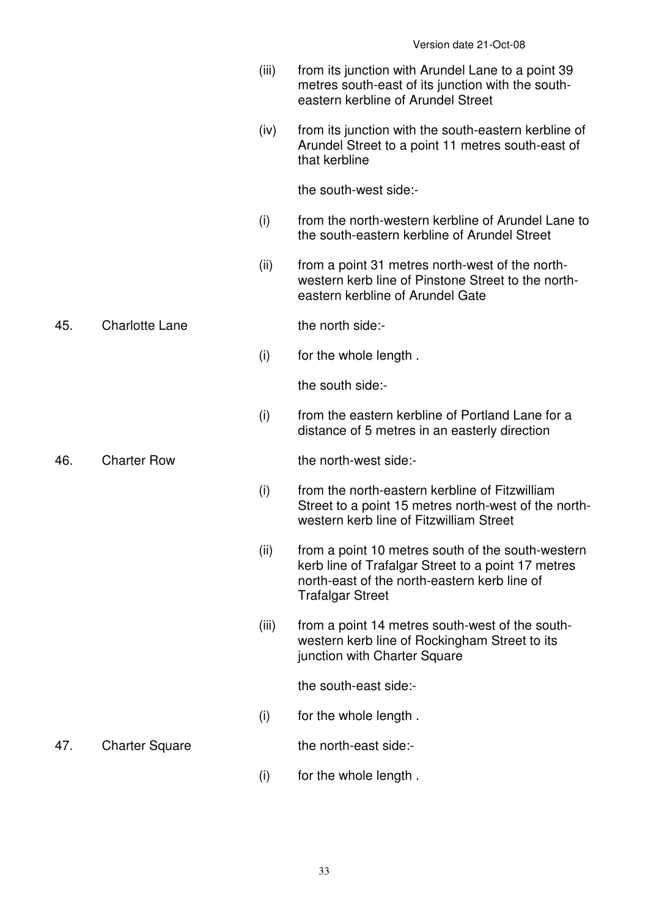- (iii) from its junction with Arundel Lane to a point 39 metres south-east of its junction with the southeastern kerbline of Arundel Street
- (iv) from its junction with the south-eastern kerbline of Arundel Street to a point 11 metres south-east of that kerbline

the south-west side:-

- (i) from the north-western kerbline of Arundel Lane to the south-eastern kerbline of Arundel Street
- (ii) from a point 31 metres north-west of the northwestern kerb line of Pinstone Street to the northeastern kerbline of Arundel Gate

45. Charlotte Lane the north side:-

(i) for the whole length .

the south side:-

 (i) from the eastern kerbline of Portland Lane for a distance of 5 metres in an easterly direction

46. Charter Row the north-west side:-

- (i) from the north-eastern kerbline of Fitzwilliam Street to a point 15 metres north-west of the northwestern kerb line of Fitzwilliam Street
- (ii) from a point 10 metres south of the south-western kerb line of Trafalgar Street to a point 17 metres north-east of the north-eastern kerb line of Trafalgar Street
- (iii) from a point 14 metres south-west of the southwestern kerb line of Rockingham Street to its junction with Charter Square

the south-east side:-

(i) for the whole length .

47. Charter Square the north-east side:-

- 
- (i) for the whole length .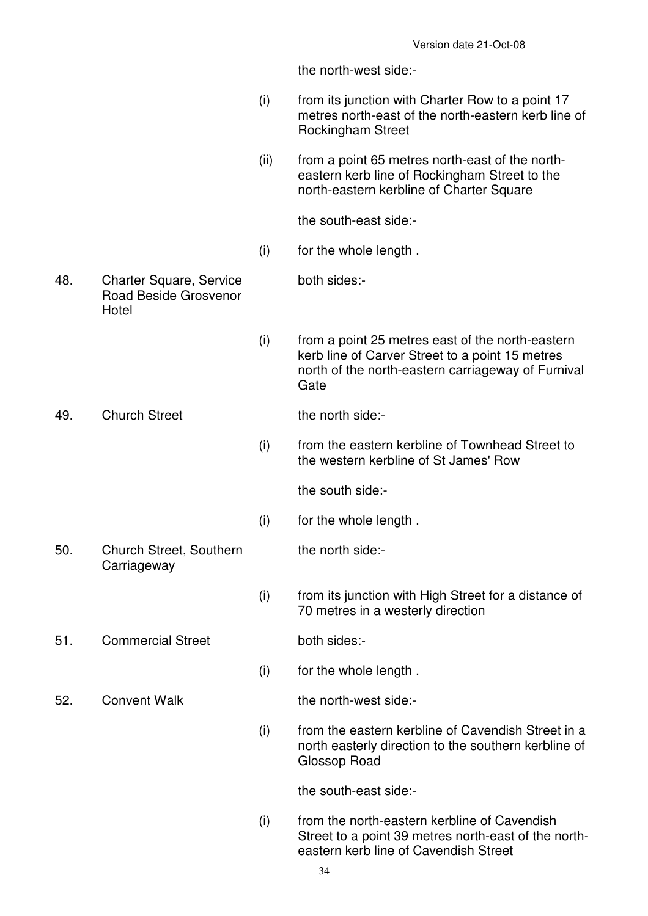the north-west side:-

 (i) from its junction with Charter Row to a point 17 metres north-east of the north-eastern kerb line of Rockingham Street (ii) from a point 65 metres north-east of the northeastern kerb line of Rockingham Street to the north-eastern kerbline of Charter Square the south-east side:- (i) for the whole length . 48. Charter Square, Service Road Beside Grosvenor **Hotel**  both sides:- (i) from a point 25 metres east of the north-eastern kerb line of Carver Street to a point 15 metres north of the north-eastern carriageway of Furnival **Gate** 49. Church Street the north side:- (i) from the eastern kerbline of Townhead Street to the western kerbline of St James' Row the south side:- (i) for the whole length . 50. Church Street, Southern **Carriageway**  the north side:- (i) from its junction with High Street for a distance of 70 metres in a westerly direction 51. Commercial Street both sides:- (i) for the whole length . 52. Convent Walk the north-west side:- (i) from the eastern kerbline of Cavendish Street in a north easterly direction to the southern kerbline of Glossop Road the south-east side:- (i) from the north-eastern kerbline of Cavendish Street to a point 39 metres north-east of the north-

eastern kerb line of Cavendish Street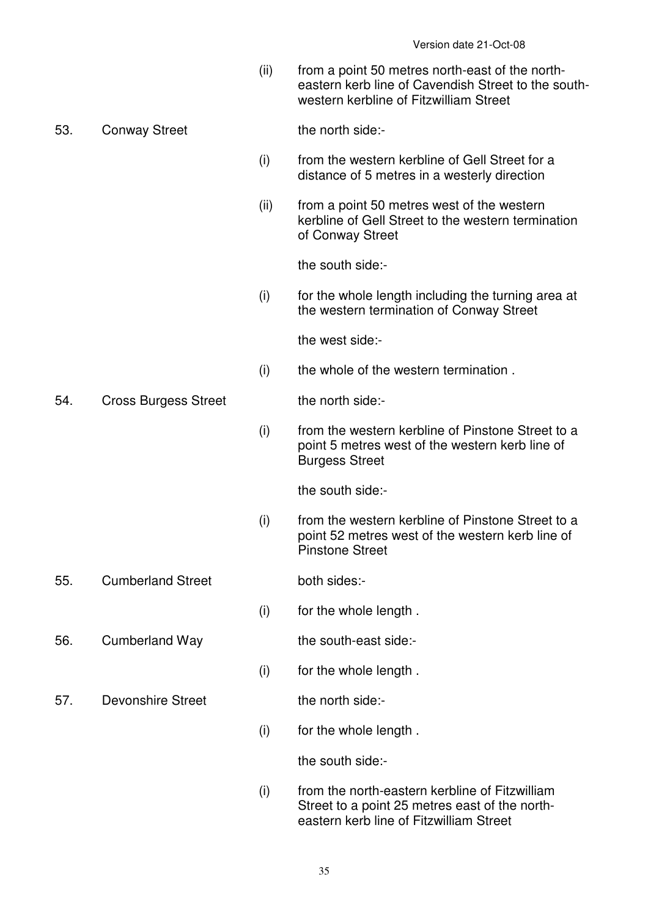(ii) from a point 50 metres north-east of the northeastern kerb line of Cavendish Street to the southwestern kerbline of Fitzwilliam Street

53. Conway Street the north side:-

- (i) from the western kerbline of Gell Street for a distance of 5 metres in a westerly direction
- (ii) from a point 50 metres west of the western kerbline of Gell Street to the western termination of Conway Street

the south side:-

 (i) for the whole length including the turning area at the western termination of Conway Street

the west side:-

(i) the whole of the western termination .

54. Cross Burgess Street the north side:-

 (i) from the western kerbline of Pinstone Street to a point 5 metres west of the western kerb line of Burgess Street

the south side:-

- (i) from the western kerbline of Pinstone Street to a point 52 metres west of the western kerb line of Pinstone Street
- 55. Cumberland Street both sides:-

- (i) for the whole length .
- 56. Cumberland Way the south-east side:-

(i) for the whole length .

57. Devonshire Street the north side:-

(i) for the whole length .

the south side:-

 (i) from the north-eastern kerbline of Fitzwilliam Street to a point 25 metres east of the northeastern kerb line of Fitzwilliam Street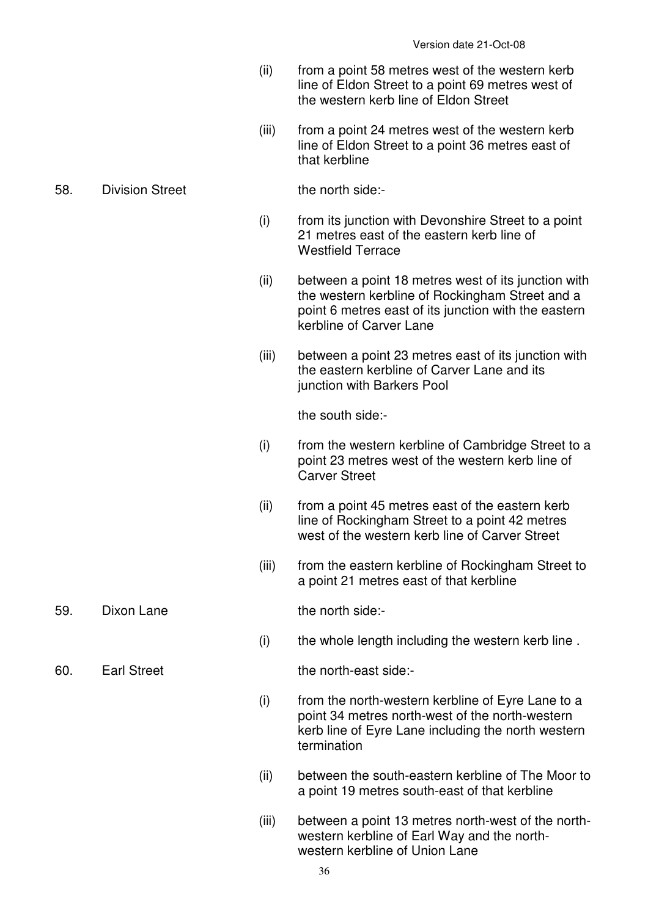- (ii) from a point 58 metres west of the western kerb line of Eldon Street to a point 69 metres west of the western kerb line of Eldon Street
- (iii) from a point 24 metres west of the western kerb line of Eldon Street to a point 36 metres east of that kerbline
- 58. Division Street the north side:-

- (i) from its junction with Devonshire Street to a point 21 metres east of the eastern kerb line of Westfield Terrace
- (ii) between a point 18 metres west of its junction with the western kerbline of Rockingham Street and a point 6 metres east of its junction with the eastern kerbline of Carver Lane
- (iii) between a point 23 metres east of its junction with the eastern kerbline of Carver Lane and its junction with Barkers Pool

the south side:-

- (i) from the western kerbline of Cambridge Street to a point 23 metres west of the western kerb line of Carver Street
- (ii) from a point 45 metres east of the eastern kerb line of Rockingham Street to a point 42 metres west of the western kerb line of Carver Street
- (iii) from the eastern kerbline of Rockingham Street to a point 21 metres east of that kerbline
- 59. Dixon Lane the north side:-

(i) the whole length including the western kerb line .

60. Earl Street the north-east side:-

- $(i)$  from the north-western kerbline of Eyre Lane to a point 34 metres north-west of the north-western kerb line of Eyre Lane including the north western termination
- (ii) between the south-eastern kerbline of The Moor to a point 19 metres south-east of that kerbline
- (iii) between a point 13 metres north-west of the northwestern kerbline of Earl Way and the northwestern kerbline of Union Lane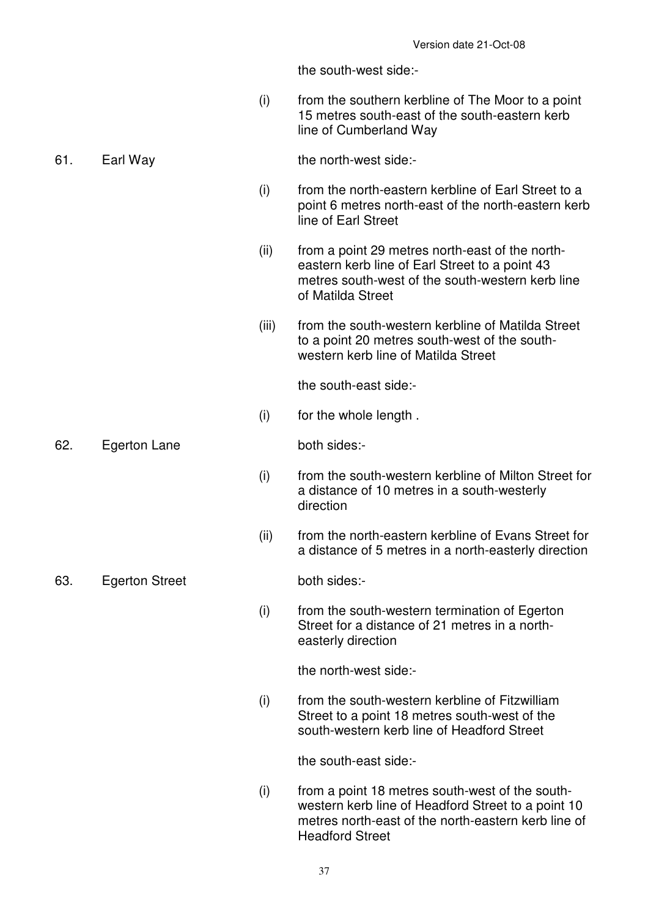the south-west side:-

 (i) from the southern kerbline of The Moor to a point 15 metres south-east of the south-eastern kerb line of Cumberland Way

#### 61. Earl Way the north-west side:-

- (i) from the north-eastern kerbline of Earl Street to a point 6 metres north-east of the north-eastern kerb line of Earl Street
- (ii) from a point 29 metres north-east of the northeastern kerb line of Earl Street to a point 43 metres south-west of the south-western kerb line of Matilda Street
- (iii) from the south-western kerbline of Matilda Street to a point 20 metres south-west of the southwestern kerb line of Matilda Street

the south-east side:-

(i) for the whole length .

62. Egerton Lane both sides:-

- (i) from the south-western kerbline of Milton Street for a distance of 10 metres in a south-westerly direction
- (ii) from the north-eastern kerbline of Evans Street for a distance of 5 metres in a north-easterly direction

63. Egerton Street both sides:-

 (i) from the south-western termination of Egerton Street for a distance of 21 metres in a northeasterly direction

the north-west side:-

 (i) from the south-western kerbline of Fitzwilliam Street to a point 18 metres south-west of the south-western kerb line of Headford Street

the south-east side:-

 (i) from a point 18 metres south-west of the southwestern kerb line of Headford Street to a point 10 metres north-east of the north-eastern kerb line of Headford Street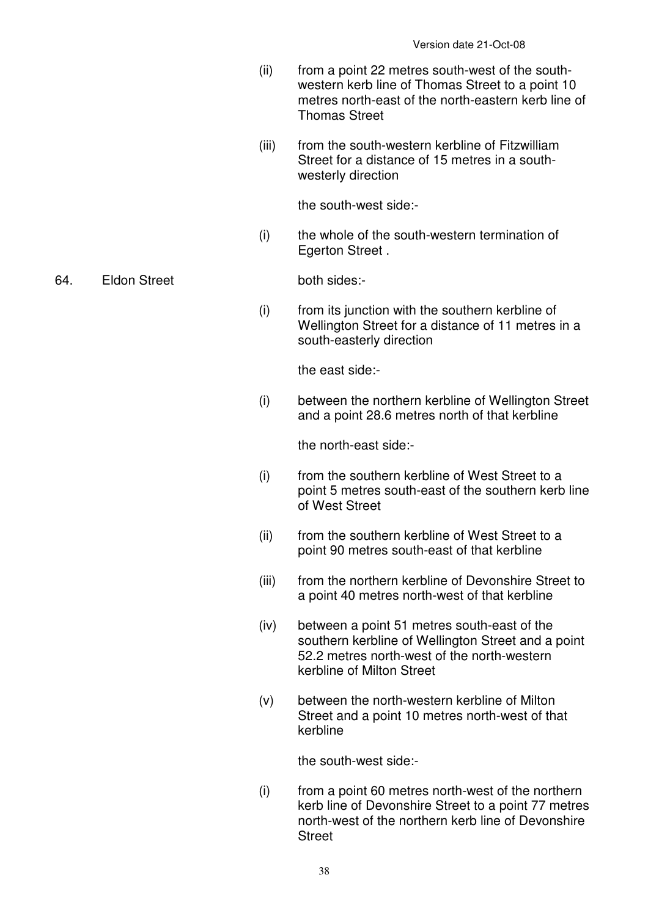- (ii) from a point 22 metres south-west of the southwestern kerb line of Thomas Street to a point 10 metres north-east of the north-eastern kerb line of Thomas Street
- (iii) from the south-western kerbline of Fitzwilliam Street for a distance of 15 metres in a southwesterly direction

the south-west side:-

 (i) the whole of the south-western termination of Egerton Street .

64. Eldon Street both sides:-

 (i) from its junction with the southern kerbline of Wellington Street for a distance of 11 metres in a south-easterly direction

the east side:-

 (i) between the northern kerbline of Wellington Street and a point 28.6 metres north of that kerbline

the north-east side:-

- (i) from the southern kerbline of West Street to a point 5 metres south-east of the southern kerb line of West Street
- (ii) from the southern kerbline of West Street to a point 90 metres south-east of that kerbline
- (iii) from the northern kerbline of Devonshire Street to a point 40 metres north-west of that kerbline
- (iv) between a point 51 metres south-east of the southern kerbline of Wellington Street and a point 52.2 metres north-west of the north-western kerbline of Milton Street
- (v) between the north-western kerbline of Milton Street and a point 10 metres north-west of that kerbline

the south-west side:-

 (i) from a point 60 metres north-west of the northern kerb line of Devonshire Street to a point 77 metres north-west of the northern kerb line of Devonshire Street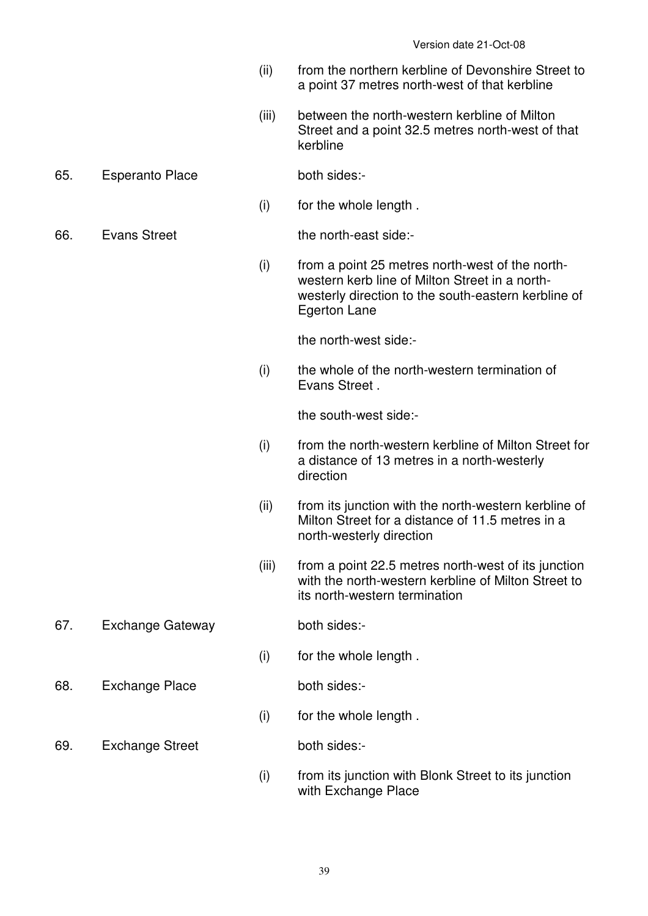- (ii) from the northern kerbline of Devonshire Street to a point 37 metres north-west of that kerbline
- (iii) between the north-western kerbline of Milton Street and a point 32.5 metres north-west of that kerbline

# 65. Esperanto Place both sides:-

(i) for the whole length .

66. Evans Street the north-east side:-

 (i) from a point 25 metres north-west of the northwestern kerb line of Milton Street in a northwesterly direction to the south-eastern kerbline of Egerton Lane

the north-west side:-

 (i) the whole of the north-western termination of Evans Street .

the south-west side:-

- (i) from the north-western kerbline of Milton Street for a distance of 13 metres in a north-westerly direction
- (ii) from its junction with the north-western kerbline of Milton Street for a distance of 11.5 metres in a north-westerly direction
- (iii) from a point 22.5 metres north-west of its junction with the north-western kerbline of Milton Street to its north-western termination
- 67. Exchange Gateway both sides:-
	-
	- (i) for the whole length .
- 68. Exchange Place both sides:-

- (i) for the whole length .
- 69. Exchange Street both sides:-

 (i) from its junction with Blonk Street to its junction with Exchange Place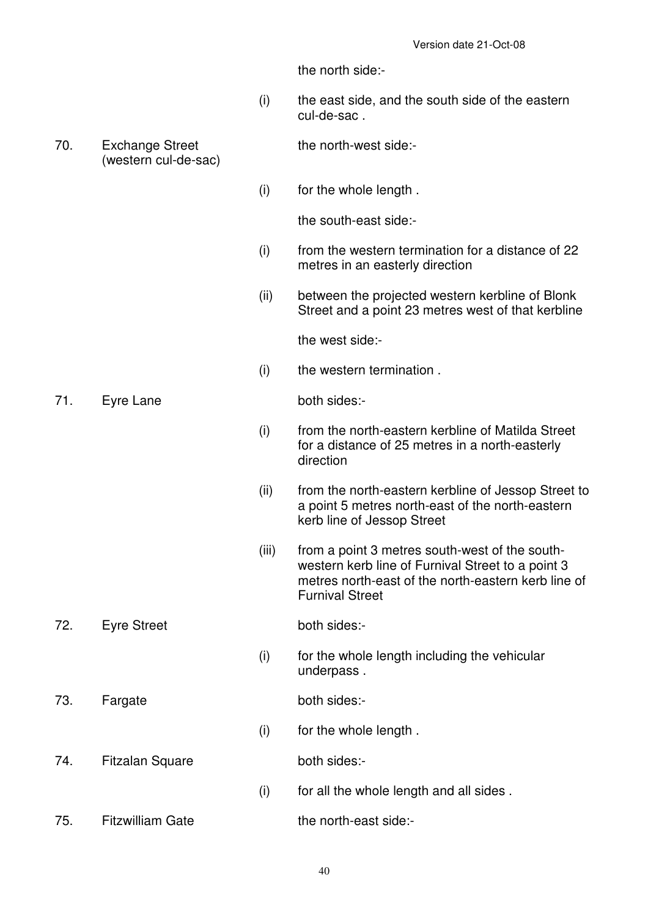the north side:-

- (i) the east side, and the south side of the eastern cul-de-sac .
- 70. Exchange Street (western cul-de-sac)

the north-west side:-

(i) for the whole length .

the south-east side:-

- (i) from the western termination for a distance of 22 metres in an easterly direction
- (ii) between the projected western kerbline of Blonk Street and a point 23 metres west of that kerbline

the west side:-

(i) the western termination .

71. Eyre Lane both sides:-

- (i) from the north-eastern kerbline of Matilda Street for a distance of 25 metres in a north-easterly direction
- (ii) from the north-eastern kerbline of Jessop Street to a point 5 metres north-east of the north-eastern kerb line of Jessop Street
- (iii) from a point 3 metres south-west of the southwestern kerb line of Furnival Street to a point 3 metres north-east of the north-eastern kerb line of Furnival Street

72. Eyre Street both sides:-

 $(i)$  for the whole length including the vehicular underpass .

73. Fargate both sides:-

(i) for the whole length .

74. Fitzalan Square both sides:-

(i) for all the whole length and all sides .

75. Fitzwilliam Gate the north-east side:-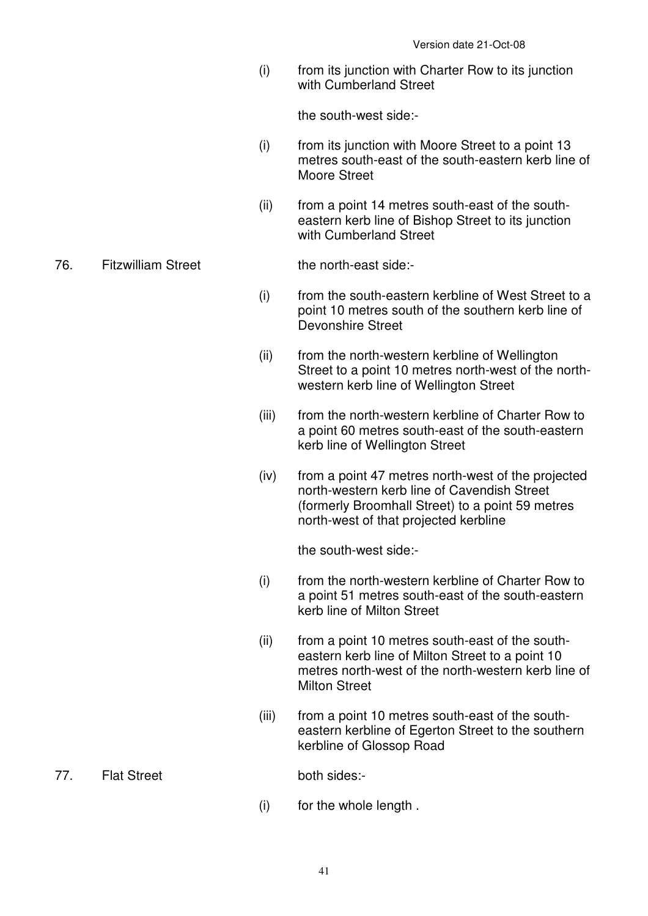(i) from its junction with Charter Row to its junction with Cumberland Street

the south-west side:-

- (i) from its junction with Moore Street to a point 13 metres south-east of the south-eastern kerb line of Moore Street
- (ii) from a point 14 metres south-east of the southeastern kerb line of Bishop Street to its junction with Cumberland Street

#### 76. Fitzwilliam Street the north-east side:-

- (i) from the south-eastern kerbline of West Street to a point 10 metres south of the southern kerb line of Devonshire Street
- (ii) from the north-western kerbline of Wellington Street to a point 10 metres north-west of the northwestern kerb line of Wellington Street
- (iii) from the north-western kerbline of Charter Row to a point 60 metres south-east of the south-eastern kerb line of Wellington Street
- (iv) from a point 47 metres north-west of the projected north-western kerb line of Cavendish Street (formerly Broomhall Street) to a point 59 metres north-west of that projected kerbline

the south-west side:-

- (i) from the north-western kerbline of Charter Row to a point 51 metres south-east of the south-eastern kerb line of Milton Street
- (ii) from a point 10 metres south-east of the southeastern kerb line of Milton Street to a point 10 metres north-west of the north-western kerb line of Milton Street
- (iii) from a point 10 metres south-east of the southeastern kerbline of Egerton Street to the southern kerbline of Glossop Road

77. Flat Street both sides:-

(i) for the whole length .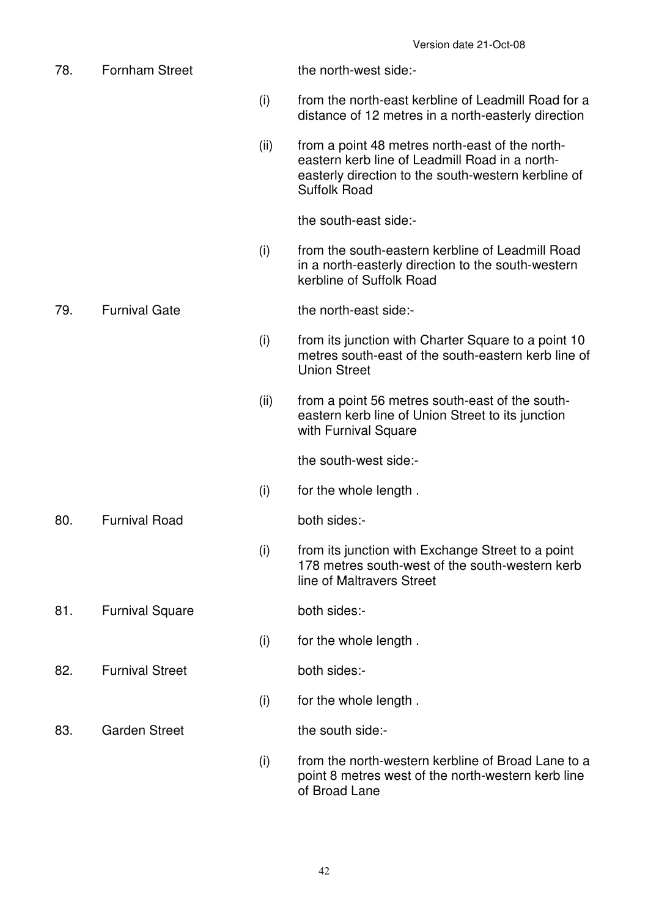| 78. | <b>Fornham Street</b>  |      | the north-west side:-                                                                                                                                                           |
|-----|------------------------|------|---------------------------------------------------------------------------------------------------------------------------------------------------------------------------------|
|     |                        | (i)  | from the north-east kerbline of Leadmill Road for a<br>distance of 12 metres in a north-easterly direction                                                                      |
|     |                        | (ii) | from a point 48 metres north-east of the north-<br>eastern kerb line of Leadmill Road in a north-<br>easterly direction to the south-western kerbline of<br><b>Suffolk Road</b> |
|     |                        |      | the south-east side:-                                                                                                                                                           |
|     |                        | (i)  | from the south-eastern kerbline of Leadmill Road<br>in a north-easterly direction to the south-western<br>kerbline of Suffolk Road                                              |
| 79. | <b>Furnival Gate</b>   |      | the north-east side:-                                                                                                                                                           |
|     |                        | (i)  | from its junction with Charter Square to a point 10<br>metres south-east of the south-eastern kerb line of<br><b>Union Street</b>                                               |
|     |                        | (ii) | from a point 56 metres south-east of the south-<br>eastern kerb line of Union Street to its junction<br>with Furnival Square                                                    |
|     |                        |      | the south-west side:-                                                                                                                                                           |
|     |                        | (i)  | for the whole length.                                                                                                                                                           |
| 80. | <b>Furnival Road</b>   |      | both sides:-                                                                                                                                                                    |
|     |                        | (i)  | from its junction with Exchange Street to a point<br>178 metres south-west of the south-western kerb<br>line of Maltravers Street                                               |
| 81. | <b>Furnival Square</b> |      | both sides:-                                                                                                                                                                    |
|     |                        | (i)  | for the whole length.                                                                                                                                                           |
| 82. | <b>Furnival Street</b> |      | both sides:-                                                                                                                                                                    |
|     |                        | (i)  | for the whole length.                                                                                                                                                           |
| 83. | <b>Garden Street</b>   |      | the south side:-                                                                                                                                                                |
|     |                        | (i)  | from the north-western kerbline of Broad Lane to a<br>point 8 metres west of the north-western kerb line<br>of Broad Lane                                                       |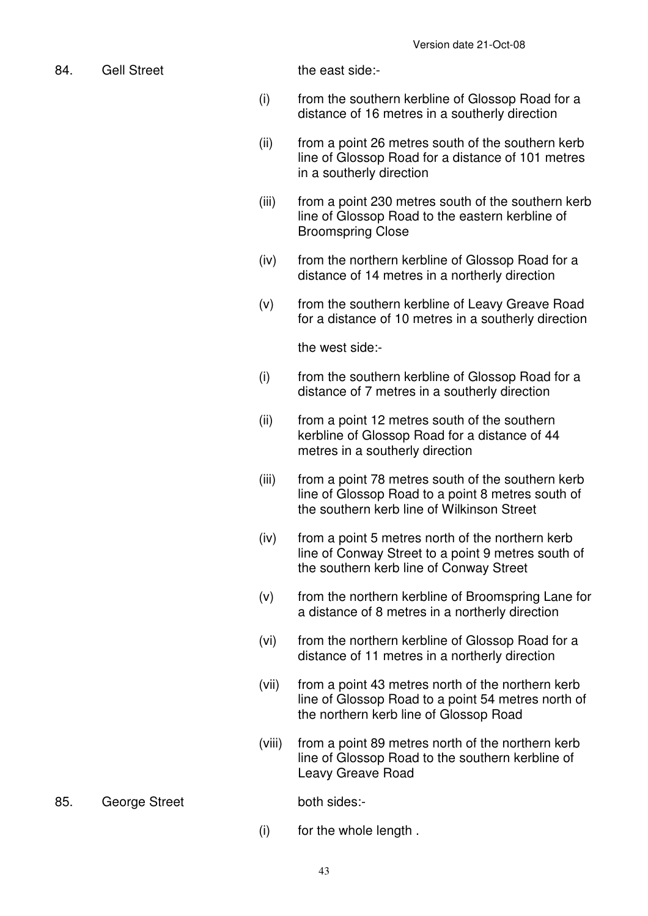84. Gell Street the east side:-

- (i) from the southern kerbline of Glossop Road for a distance of 16 metres in a southerly direction
- (ii) from a point 26 metres south of the southern kerb line of Glossop Road for a distance of 101 metres in a southerly direction
- (iii) from a point 230 metres south of the southern kerb line of Glossop Road to the eastern kerbline of Broomspring Close
- (iv) from the northern kerbline of Glossop Road for a distance of 14 metres in a northerly direction
- (v) from the southern kerbline of Leavy Greave Road for a distance of 10 metres in a southerly direction

the west side:-

- (i) from the southern kerbline of Glossop Road for a distance of 7 metres in a southerly direction
- (ii) from a point 12 metres south of the southern kerbline of Glossop Road for a distance of 44 metres in a southerly direction
- (iii) from a point 78 metres south of the southern kerb line of Glossop Road to a point 8 metres south of the southern kerb line of Wilkinson Street
- (iv) from a point 5 metres north of the northern kerb line of Conway Street to a point 9 metres south of the southern kerb line of Conway Street
- (v) from the northern kerbline of Broomspring Lane for a distance of 8 metres in a northerly direction
- (vi) from the northern kerbline of Glossop Road for a distance of 11 metres in a northerly direction
- (vii) from a point 43 metres north of the northern kerb line of Glossop Road to a point 54 metres north of the northern kerb line of Glossop Road
- (viii) from a point 89 metres north of the northern kerb line of Glossop Road to the southern kerbline of Leavy Greave Road
- 85. George Street both sides:-

(i) for the whole length .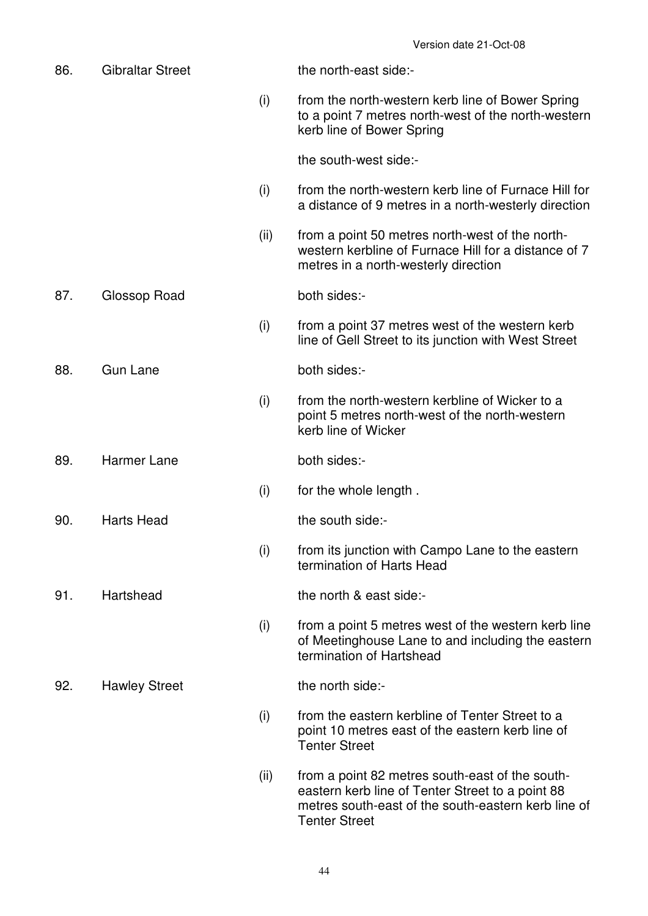| 86. | <b>Gibraltar Street</b> |      | the north-east side:-                                                                                                                                                              |
|-----|-------------------------|------|------------------------------------------------------------------------------------------------------------------------------------------------------------------------------------|
|     |                         | (i)  | from the north-western kerb line of Bower Spring<br>to a point 7 metres north-west of the north-western<br>kerb line of Bower Spring                                               |
|     |                         |      | the south-west side:-                                                                                                                                                              |
|     |                         | (i)  | from the north-western kerb line of Furnace Hill for<br>a distance of 9 metres in a north-westerly direction                                                                       |
|     |                         | (ii) | from a point 50 metres north-west of the north-<br>western kerbline of Furnace Hill for a distance of 7<br>metres in a north-westerly direction                                    |
| 87. | Glossop Road            |      | both sides:-                                                                                                                                                                       |
|     |                         | (i)  | from a point 37 metres west of the western kerb<br>line of Gell Street to its junction with West Street                                                                            |
| 88. | <b>Gun Lane</b>         |      | both sides:-                                                                                                                                                                       |
|     |                         | (i)  | from the north-western kerbline of Wicker to a<br>point 5 metres north-west of the north-western<br>kerb line of Wicker                                                            |
| 89. | <b>Harmer Lane</b>      |      | both sides:-                                                                                                                                                                       |
|     |                         | (i)  | for the whole length.                                                                                                                                                              |
| 90. | <b>Harts Head</b>       |      | the south side:-                                                                                                                                                                   |
|     |                         | (i)  | from its junction with Campo Lane to the eastern<br>termination of Harts Head                                                                                                      |
| 91. | Hartshead               |      | the north & east side:-                                                                                                                                                            |
|     |                         | (i)  | from a point 5 metres west of the western kerb line<br>of Meetinghouse Lane to and including the eastern<br>termination of Hartshead                                               |
| 92. | <b>Hawley Street</b>    |      | the north side:-                                                                                                                                                                   |
|     |                         | (i)  | from the eastern kerbline of Tenter Street to a<br>point 10 metres east of the eastern kerb line of<br><b>Tenter Street</b>                                                        |
|     |                         | (ii) | from a point 82 metres south-east of the south-<br>eastern kerb line of Tenter Street to a point 88<br>metres south-east of the south-eastern kerb line of<br><b>Tenter Street</b> |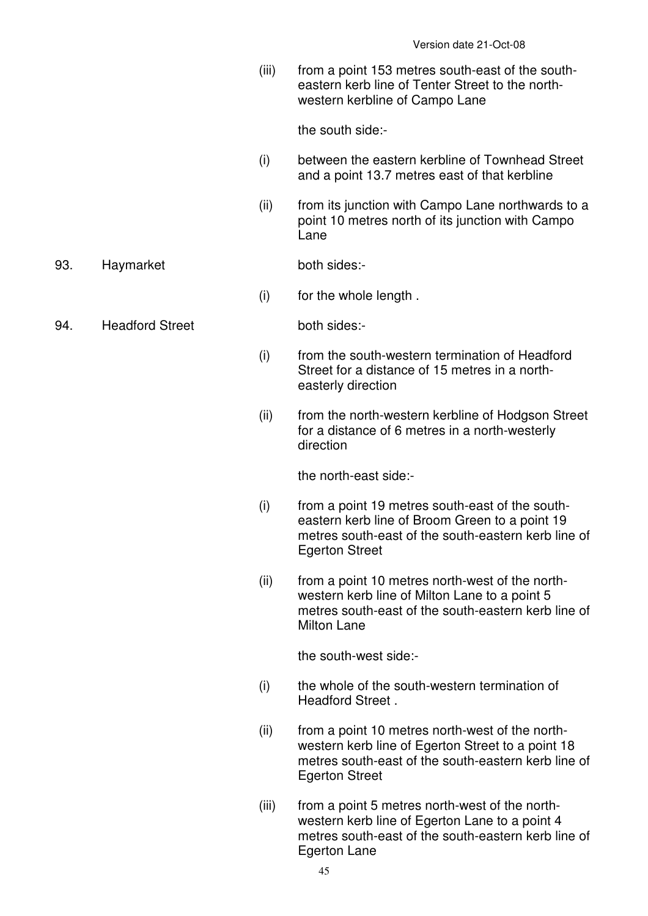(iii) from a point 153 metres south-east of the southeastern kerb line of Tenter Street to the northwestern kerbline of Campo Lane

the south side:-

- (i) between the eastern kerbline of Townhead Street and a point 13.7 metres east of that kerbline
- (ii) from its junction with Campo Lane northwards to a point 10 metres north of its junction with Campo Lane

#### 93. Haymarket both sides:-

(i) for the whole length .

94. Headford Street both sides:-

- (i) from the south-western termination of Headford Street for a distance of 15 metres in a northeasterly direction
- (ii) from the north-western kerbline of Hodgson Street for a distance of 6 metres in a north-westerly direction

the north-east side:-

- (i) from a point 19 metres south-east of the southeastern kerb line of Broom Green to a point 19 metres south-east of the south-eastern kerb line of Egerton Street
- (ii) from a point 10 metres north-west of the northwestern kerb line of Milton Lane to a point 5 metres south-east of the south-eastern kerb line of Milton Lane

the south-west side:-

- (i) the whole of the south-western termination of Headford Street .
- (ii) from a point 10 metres north-west of the northwestern kerb line of Egerton Street to a point 18 metres south-east of the south-eastern kerb line of Egerton Street
- (iii) from a point 5 metres north-west of the northwestern kerb line of Egerton Lane to a point 4 metres south-east of the south-eastern kerb line of Egerton Lane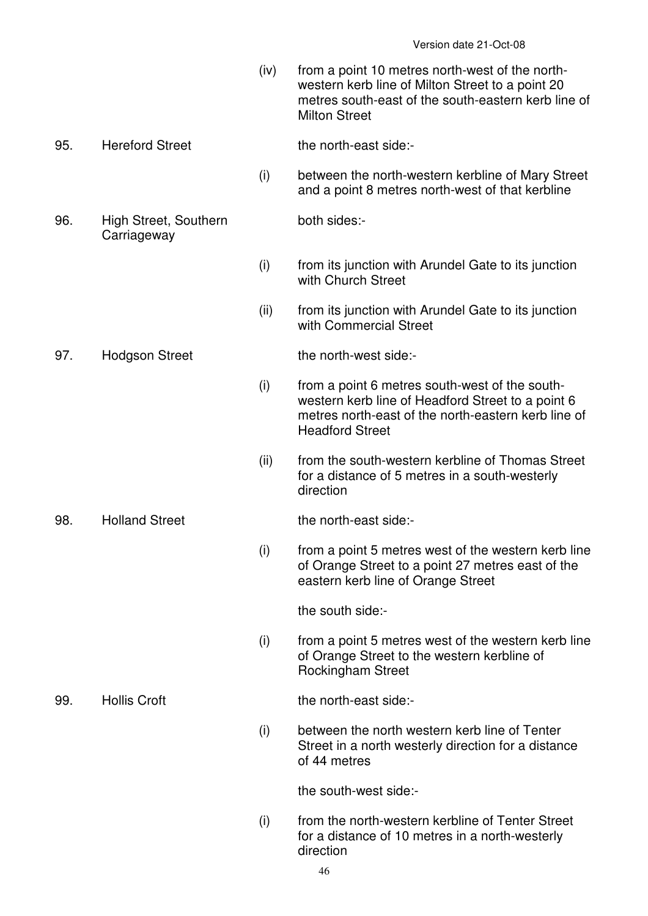(iv) from a point 10 metres north-west of the northwestern kerb line of Milton Street to a point 20 metres south-east of the south-eastern kerb line of Milton Street

# 95. Hereford Street the north-east side:-

 (i) between the north-western kerbline of Mary Street and a point 8 metres north-west of that kerbline

both sides:-

- (i) from its junction with Arundel Gate to its junction with Church Street
- (ii) from its junction with Arundel Gate to its junction with Commercial Street

### 97. Hodgson Street the north-west side:-

- $(i)$  from a point 6 metres south-west of the southwestern kerb line of Headford Street to a point 6 metres north-east of the north-eastern kerb line of Headford Street
- (ii) from the south-western kerbline of Thomas Street for a distance of 5 metres in a south-westerly direction

 (i) from a point 5 metres west of the western kerb line of Orange Street to a point 27 metres east of the eastern kerb line of Orange Street

the south side:-

 (i) from a point 5 metres west of the western kerb line of Orange Street to the western kerbline of Rockingham Street

99. Hollis Croft the north-east side:-

 (i) between the north western kerb line of Tenter Street in a north westerly direction for a distance of 44 metres

the south-west side:-

 (i) from the north-western kerbline of Tenter Street for a distance of 10 metres in a north-westerly direction

96. High Street, Southern **Carriageway** 

98. Holland Street the north-east side:-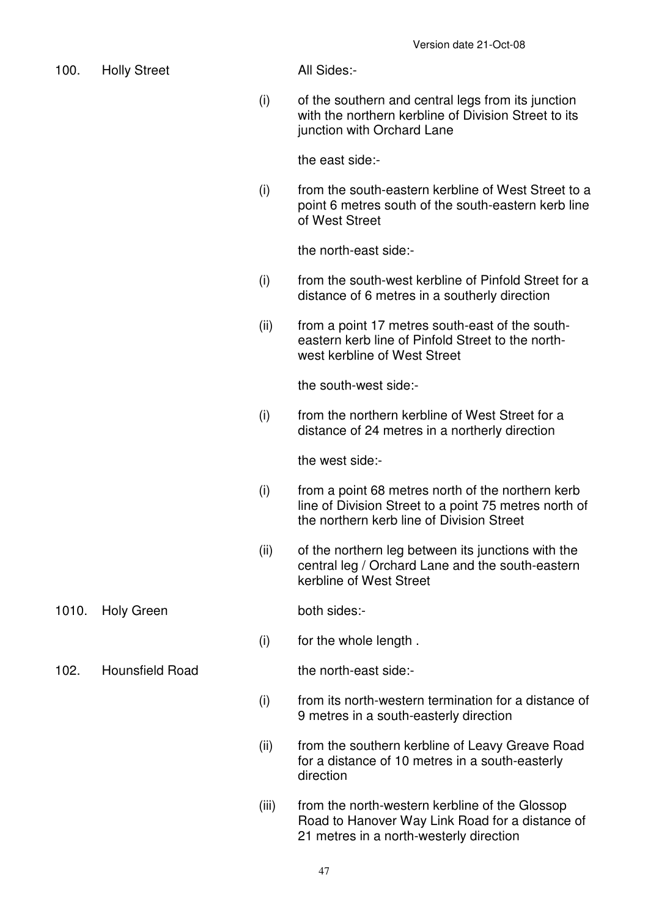- 100. Holly Street **All Sides:-** (i) of the southern and central legs from its junction with the northern kerbline of Division Street to its junction with Orchard Lane the east side:- (i) from the south-eastern kerbline of West Street to a point 6 metres south of the south-eastern kerb line of West Street the north-east side:- (i) from the south-west kerbline of Pinfold Street for a distance of 6 metres in a southerly direction (ii) from a point 17 metres south-east of the southeastern kerb line of Pinfold Street to the northwest kerbline of West Street the south-west side:- (i) from the northern kerbline of West Street for a distance of 24 metres in a northerly direction the west side:- (i) from a point 68 metres north of the northern kerb line of Division Street to a point 75 metres north of the northern kerb line of Division Street (ii) of the northern leg between its junctions with the central leg / Orchard Lane and the south-eastern kerbline of West Street 1010. Holy Green both sides:- (i) for the whole length . 102. Hounsfield Road the north-east side:- (i) from its north-western termination for a distance of 9 metres in a south-easterly direction (ii) from the southern kerbline of Leavy Greave Road for a distance of 10 metres in a south-easterly
	- (iii) from the north-western kerbline of the Glossop Road to Hanover Way Link Road for a distance of 21 metres in a north-westerly direction

direction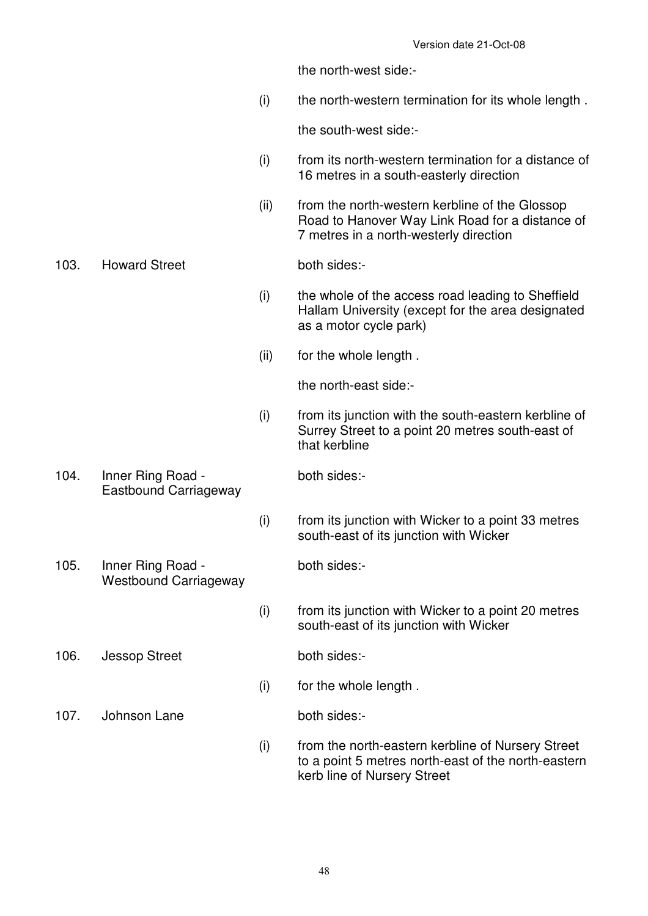the north-west side:-

(i) the north-western termination for its whole length .

the south-west side:-

- (i) from its north-western termination for a distance of 16 metres in a south-easterly direction
- (ii) from the north-western kerbline of the Glossop Road to Hanover Way Link Road for a distance of 7 metres in a north-westerly direction

# 103. Howard Street both sides:-

- (i) the whole of the access road leading to Sheffield Hallam University (except for the area designated as a motor cycle park)
- (ii) for the whole length .

the north-east side:-

- (i) from its junction with the south-eastern kerbline of Surrey Street to a point 20 metres south-east of that kerbline
- 104. Inner Ring Road Eastbound Carriageway

both sides:-

- (i) from its junction with Wicker to a point 33 metres south-east of its junction with Wicker
- 105. Inner Ring Road Westbound Carriageway

both sides:-

 (i) from its junction with Wicker to a point 20 metres south-east of its junction with Wicker

106. Jessop Street both sides:-

107. Johnson Lane both sides:-

(i) for the whole length .

 (i) from the north-eastern kerbline of Nursery Street to a point 5 metres north-east of the north-eastern kerb line of Nursery Street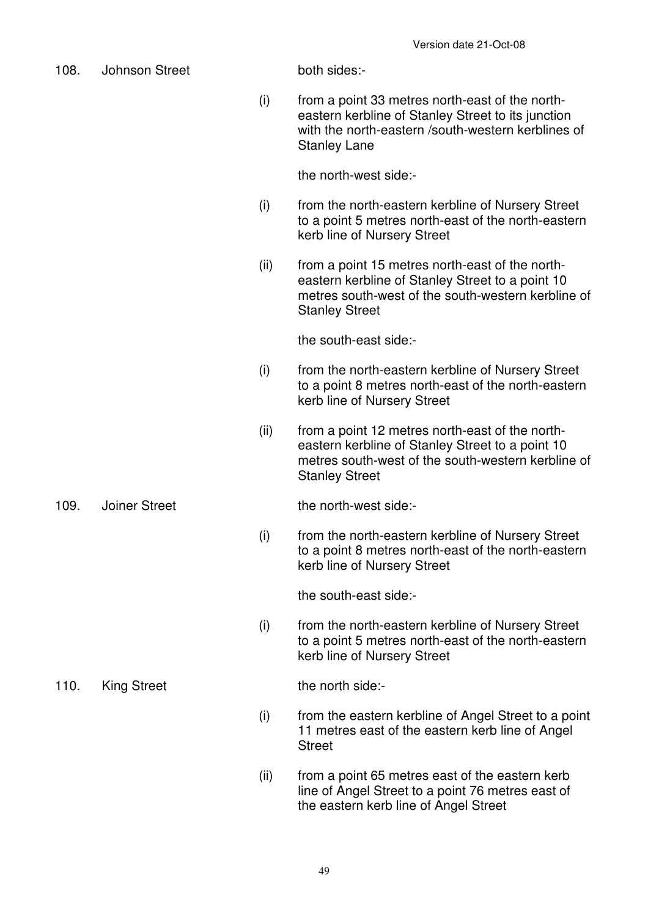- 108. Johnson Street both sides:- (i) from a point 33 metres north-east of the northeastern kerbline of Stanley Street to its junction with the north-eastern /south-western kerblines of Stanley Lane the north-west side:- (i) from the north-eastern kerbline of Nursery Street to a point 5 metres north-east of the north-eastern kerb line of Nursery Street (ii) from a point 15 metres north-east of the northeastern kerbline of Stanley Street to a point 10 metres south-west of the south-western kerbline of Stanley Street the south-east side:- (i) from the north-eastern kerbline of Nursery Street to a point 8 metres north-east of the north-eastern kerb line of Nursery Street (ii) from a point 12 metres north-east of the northeastern kerbline of Stanley Street to a point 10 metres south-west of the south-western kerbline of Stanley Street 109. Joiner Street the north-west side:- (i) from the north-eastern kerbline of Nursery Street to a point 8 metres north-east of the north-eastern kerb line of Nursery Street the south-east side:- (i) from the north-eastern kerbline of Nursery Street to a point 5 metres north-east of the north-eastern kerb line of Nursery Street 110. King Street the north side:- (i) from the eastern kerbline of Angel Street to a point 11 metres east of the eastern kerb line of Angel **Street** 
	- (ii) from a point 65 metres east of the eastern kerb line of Angel Street to a point 76 metres east of the eastern kerb line of Angel Street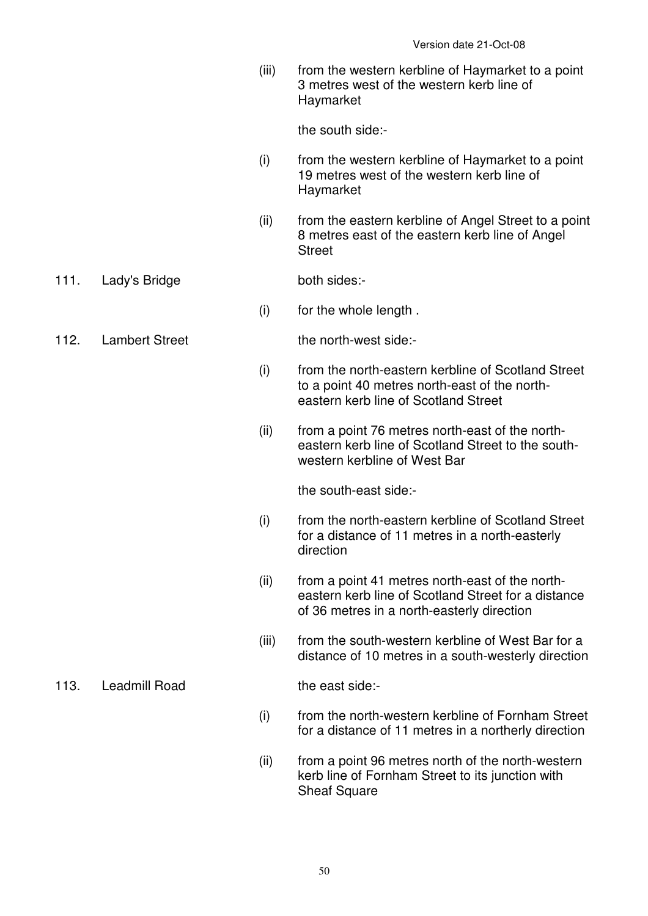(iii) from the western kerbline of Haymarket to a point 3 metres west of the western kerb line of Haymarket

the south side:-

- (i) from the western kerbline of Haymarket to a point 19 metres west of the western kerb line of Haymarket
- (ii) from the eastern kerbline of Angel Street to a point 8 metres east of the eastern kerb line of Angel Street
- 111. Lady's Bridge both sides:-
	- (i) for the whole length .
- 112. Lambert Street the north-west side:-

- (i) from the north-eastern kerbline of Scotland Street to a point 40 metres north-east of the northeastern kerb line of Scotland Street
- (ii) from a point 76 metres north-east of the northeastern kerb line of Scotland Street to the southwestern kerbline of West Bar

the south-east side:-

- (i) from the north-eastern kerbline of Scotland Street for a distance of 11 metres in a north-easterly direction
- (ii) from a point 41 metres north-east of the northeastern kerb line of Scotland Street for a distance of 36 metres in a north-easterly direction
- (iii) from the south-western kerbline of West Bar for a distance of 10 metres in a south-westerly direction

113. Leadmill Road the east side:-

- (i) from the north-western kerbline of Fornham Street for a distance of 11 metres in a northerly direction
- (ii) from a point 96 metres north of the north-western kerb line of Fornham Street to its junction with Sheaf Square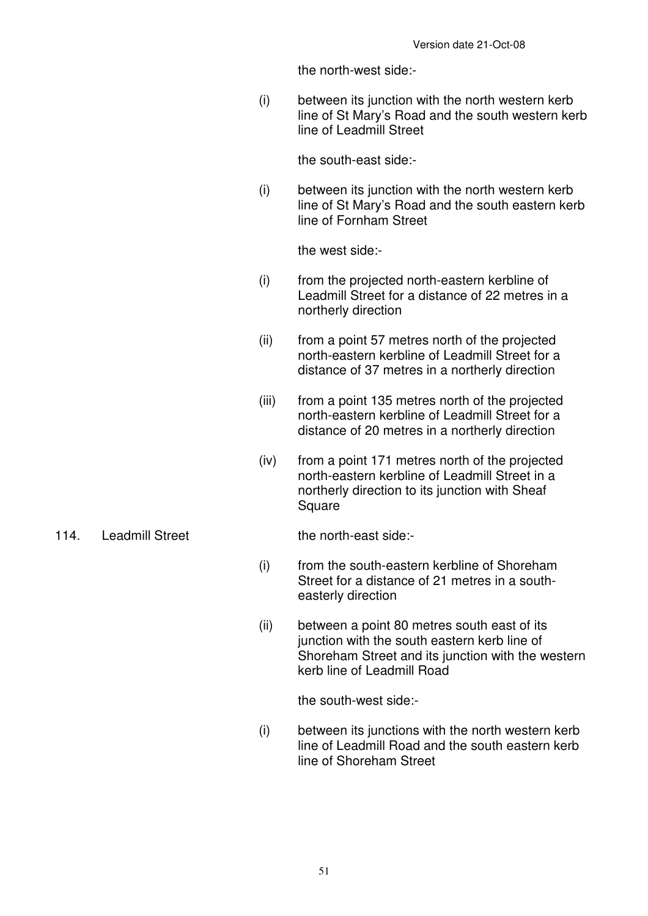the north-west side:-

 (i) between its junction with the north western kerb line of St Mary's Road and the south western kerb line of Leadmill Street

the south-east side:-

 (i) between its junction with the north western kerb line of St Mary's Road and the south eastern kerb line of Fornham Street

the west side:-

- (i) from the projected north-eastern kerbline of Leadmill Street for a distance of 22 metres in a northerly direction
- (ii) from a point 57 metres north of the projected north-eastern kerbline of Leadmill Street for a distance of 37 metres in a northerly direction
- (iii) from a point 135 metres north of the projected north-eastern kerbline of Leadmill Street for a distance of 20 metres in a northerly direction
- (iv) from a point 171 metres north of the projected north-eastern kerbline of Leadmill Street in a northerly direction to its junction with Sheaf **Square**

#### 114. Leadmill Street the north-east side:-

- (i) from the south-eastern kerbline of Shoreham Street for a distance of 21 metres in a southeasterly direction
- (ii) between a point 80 metres south east of its junction with the south eastern kerb line of Shoreham Street and its junction with the western kerb line of Leadmill Road

the south-west side:-

 (i) between its junctions with the north western kerb line of Leadmill Road and the south eastern kerb line of Shoreham Street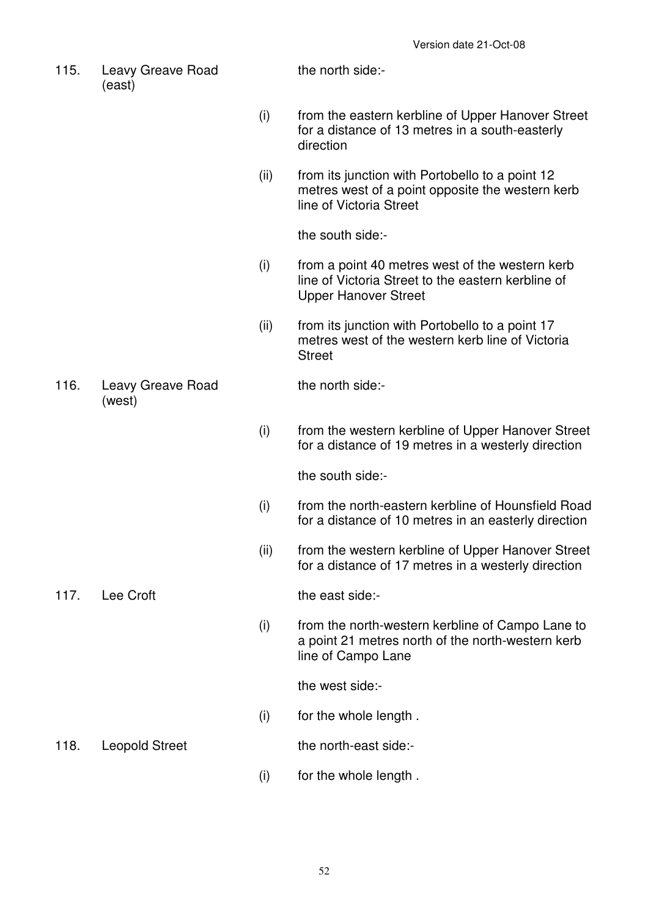115. Leavy Greave Road (east)

the north side:-

- (i) from the eastern kerbline of Upper Hanover Street for a distance of 13 metres in a south-easterly direction
- (ii) from its junction with Portobello to a point 12 metres west of a point opposite the western kerb line of Victoria Street

the south side:-

- (i) from a point 40 metres west of the western kerb line of Victoria Street to the eastern kerbline of Upper Hanover Street
- (ii) from its junction with Portobello to a point 17 metres west of the western kerb line of Victoria **Street**

116. Leavy Greave Road (west)

the north side:-

 (i) from the western kerbline of Upper Hanover Street for a distance of 19 metres in a westerly direction

the south side:-

- (i) from the north-eastern kerbline of Hounsfield Road for a distance of 10 metres in an easterly direction
- (ii) from the western kerbline of Upper Hanover Street for a distance of 17 metres in a westerly direction

117. Lee Croft the east side:-

 (i) from the north-western kerbline of Campo Lane to a point 21 metres north of the north-western kerb line of Campo Lane

the west side:-

(i) for the whole length .

118. Leopold Street the north-east side:-

(i) for the whole length .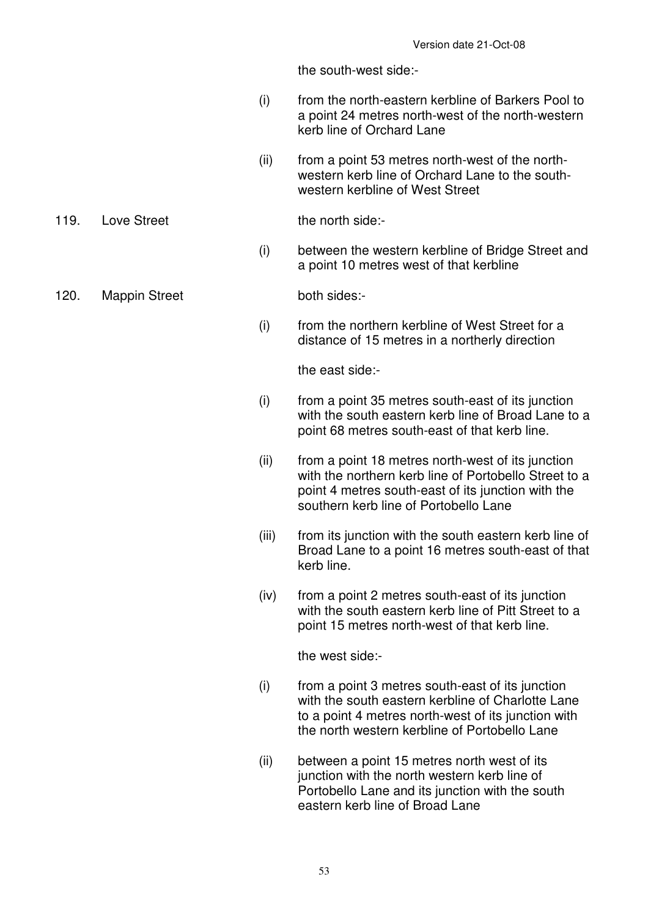the south-west side:-

- (i) from the north-eastern kerbline of Barkers Pool to a point 24 metres north-west of the north-western kerb line of Orchard Lane
- (ii) from a point 53 metres north-west of the northwestern kerb line of Orchard Lane to the southwestern kerbline of West Street

119. Love Street the north side:-

- (i) between the western kerbline of Bridge Street and a point 10 metres west of that kerbline
- 120. Mappin Street both sides:-

 (i) from the northern kerbline of West Street for a distance of 15 metres in a northerly direction

the east side:-

- (i) from a point 35 metres south-east of its junction with the south eastern kerb line of Broad Lane to a point 68 metres south-east of that kerb line.
- (ii) from a point 18 metres north-west of its junction with the northern kerb line of Portobello Street to a point 4 metres south-east of its junction with the southern kerb line of Portobello Lane
- (iii) from its junction with the south eastern kerb line of Broad Lane to a point 16 metres south-east of that kerb line.
- (iv) from a point 2 metres south-east of its junction with the south eastern kerb line of Pitt Street to a point 15 metres north-west of that kerb line.

the west side:-

- (i) from a point 3 metres south-east of its junction with the south eastern kerbline of Charlotte Lane to a point 4 metres north-west of its junction with the north western kerbline of Portobello Lane
- (ii) between a point 15 metres north west of its junction with the north western kerb line of Portobello Lane and its junction with the south eastern kerb line of Broad Lane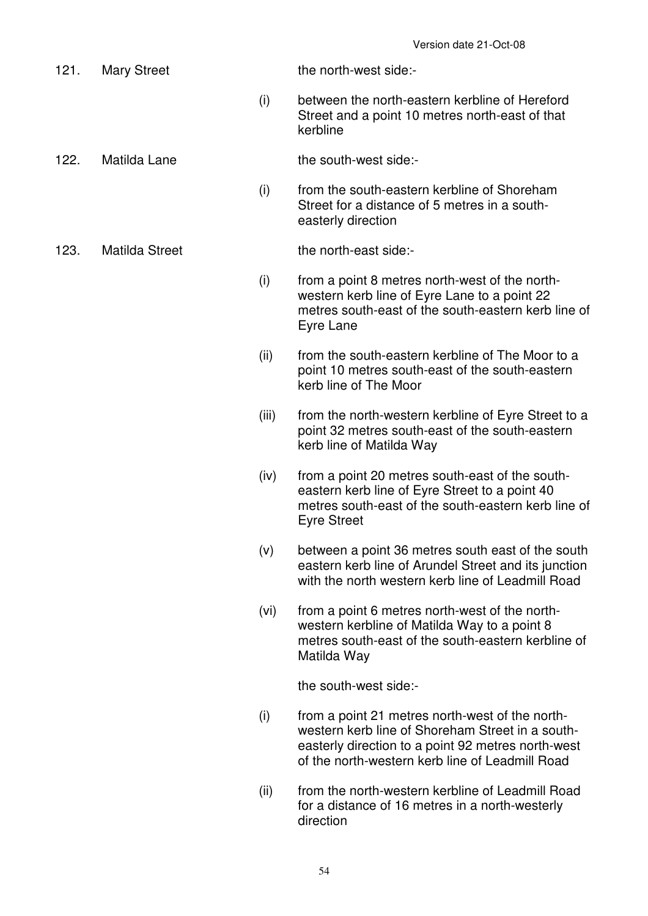- 121. Mary Street the north-west side:-
	- (i) between the north-eastern kerbline of Hereford Street and a point 10 metres north-east of that kerbline
- 122. Matilda Lane the south-west side:-
	- (i) from the south-eastern kerbline of Shoreham Street for a distance of 5 metres in a southeasterly direction

123. Matilda Street the north-east side:-

- (i) from a point 8 metres north-west of the northwestern kerb line of Eyre Lane to a point 22 metres south-east of the south-eastern kerb line of Eyre Lane
- (ii) from the south-eastern kerbline of The Moor to a point 10 metres south-east of the south-eastern kerb line of The Moor
- (iii) from the north-western kerbline of Eyre Street to a point 32 metres south-east of the south-eastern kerb line of Matilda Way
- (iv) from a point 20 metres south-east of the southeastern kerb line of Eyre Street to a point 40 metres south-east of the south-eastern kerb line of Eyre Street
- (v) between a point 36 metres south east of the south eastern kerb line of Arundel Street and its junction with the north western kerb line of Leadmill Road
- (vi) from a point 6 metres north-west of the northwestern kerbline of Matilda Way to a point 8 metres south-east of the south-eastern kerbline of Matilda Way

the south-west side:-

- (i) from a point 21 metres north-west of the northwestern kerb line of Shoreham Street in a southeasterly direction to a point 92 metres north-west of the north-western kerb line of Leadmill Road
- (ii) from the north-western kerbline of Leadmill Road for a distance of 16 metres in a north-westerly direction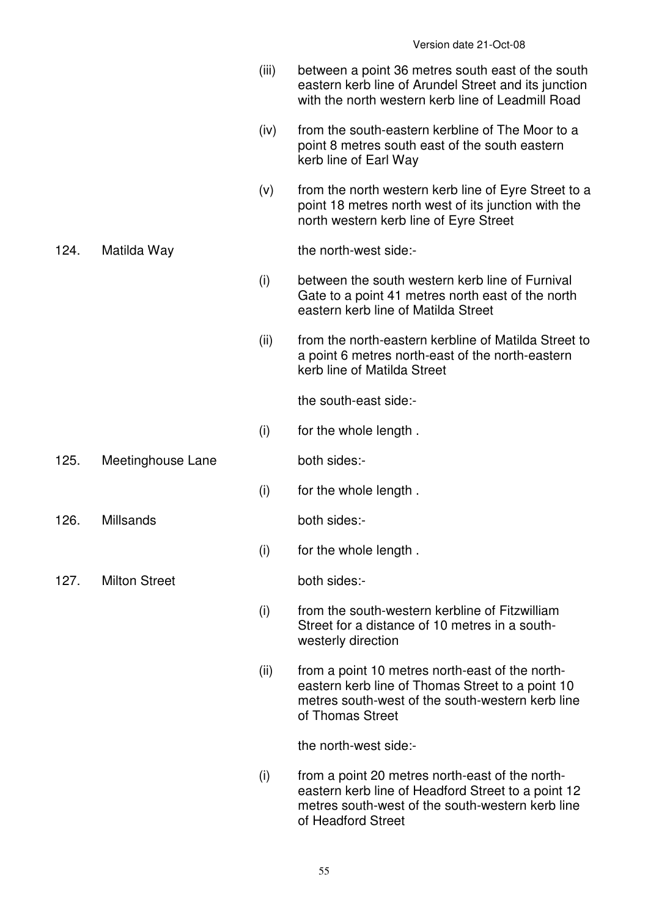- (iii) between a point 36 metres south east of the south eastern kerb line of Arundel Street and its junction with the north western kerb line of Leadmill Road
- (iv) from the south-eastern kerbline of The Moor to a point 8 metres south east of the south eastern kerb line of Earl Way
- $(v)$  from the north western kerb line of Eyre Street to a point 18 metres north west of its junction with the north western kerb line of Eyre Street

124. Matilda Way the north-west side:-

- (i) between the south western kerb line of Furnival Gate to a point 41 metres north east of the north eastern kerb line of Matilda Street
- (ii) from the north-eastern kerbline of Matilda Street to a point 6 metres north-east of the north-eastern kerb line of Matilda Street

the south-east side:-

- (i) for the whole length .
- 125. Meetinghouse Lane both sides:-
- 126. Millsands both sides:-

(i) for the whole length .

(i) for the whole length .

127. Milton Street both sides:

- (i) from the south-western kerbline of Fitzwilliam Street for a distance of 10 metres in a southwesterly direction
- (ii) from a point 10 metres north-east of the northeastern kerb line of Thomas Street to a point 10 metres south-west of the south-western kerb line of Thomas Street

the north-west side:-

 (i) from a point 20 metres north-east of the northeastern kerb line of Headford Street to a point 12 metres south-west of the south-western kerb line of Headford Street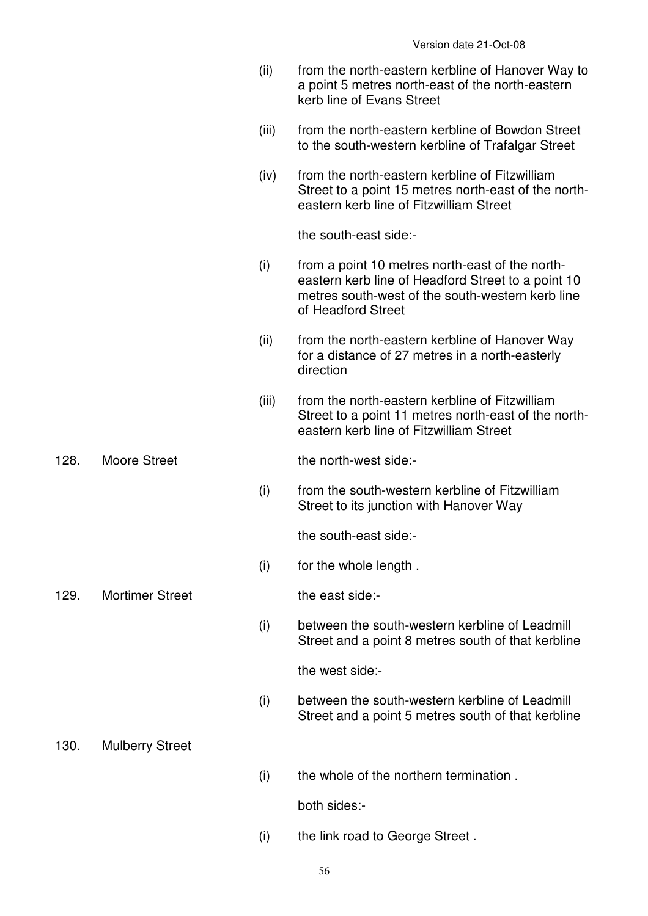|      |                        | (ii)  | from the north-eastern kerbline of Hanover Way to<br>a point 5 metres north-east of the north-eastern<br>kerb line of Evans Street                                              |
|------|------------------------|-------|---------------------------------------------------------------------------------------------------------------------------------------------------------------------------------|
|      |                        | (iii) | from the north-eastern kerbline of Bowdon Street<br>to the south-western kerbline of Trafalgar Street                                                                           |
|      |                        | (iv)  | from the north-eastern kerbline of Fitzwilliam<br>Street to a point 15 metres north-east of the north-<br>eastern kerb line of Fitzwilliam Street                               |
|      |                        |       | the south-east side:-                                                                                                                                                           |
|      |                        | (i)   | from a point 10 metres north-east of the north-<br>eastern kerb line of Headford Street to a point 10<br>metres south-west of the south-western kerb line<br>of Headford Street |
|      |                        | (ii)  | from the north-eastern kerbline of Hanover Way<br>for a distance of 27 metres in a north-easterly<br>direction                                                                  |
|      |                        | (iii) | from the north-eastern kerbline of Fitzwilliam<br>Street to a point 11 metres north-east of the north-<br>eastern kerb line of Fitzwilliam Street                               |
| 128. | <b>Moore Street</b>    |       | the north-west side:-                                                                                                                                                           |
|      |                        | (i)   | from the south-western kerbline of Fitzwilliam<br>Street to its junction with Hanover Way                                                                                       |
|      |                        |       | the south-east side:-                                                                                                                                                           |
|      |                        | (i)   | for the whole length.                                                                                                                                                           |
| 129. | <b>Mortimer Street</b> |       | the east side:-                                                                                                                                                                 |
|      |                        | (i)   | between the south-western kerbline of Leadmill<br>Street and a point 8 metres south of that kerbline                                                                            |
|      |                        |       | the west side:-                                                                                                                                                                 |
|      |                        | (i)   | between the south-western kerbline of Leadmill<br>Street and a point 5 metres south of that kerbline                                                                            |
| 130. | <b>Mulberry Street</b> |       |                                                                                                                                                                                 |
|      |                        | (i)   | the whole of the northern termination.                                                                                                                                          |
|      |                        |       | both sides:-                                                                                                                                                                    |
|      |                        | (i)   | the link road to George Street.                                                                                                                                                 |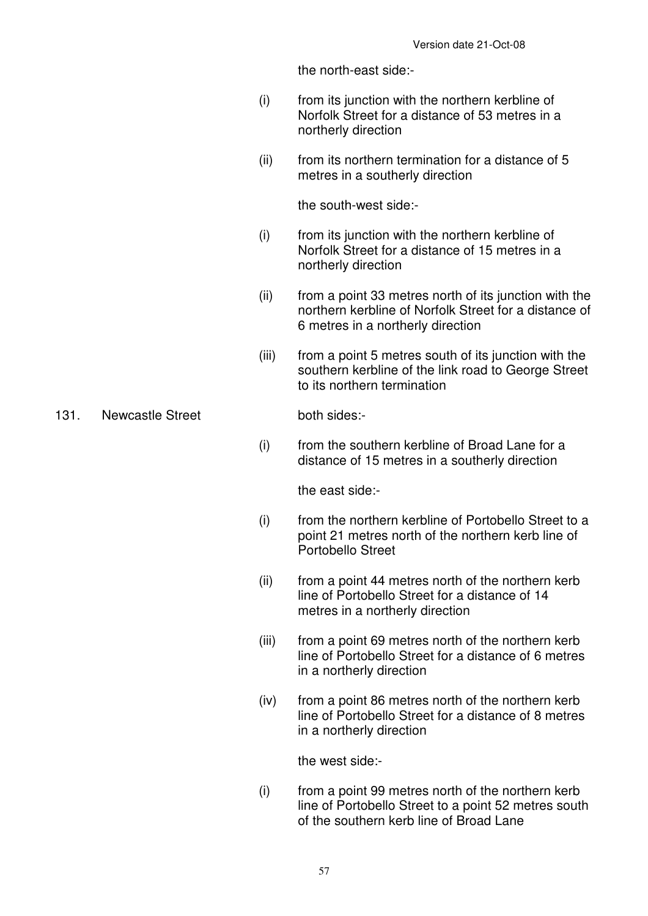the north-east side:-

- (i) from its junction with the northern kerbline of Norfolk Street for a distance of 53 metres in a northerly direction
- (ii) from its northern termination for a distance of 5 metres in a southerly direction

the south-west side:-

- (i) from its junction with the northern kerbline of Norfolk Street for a distance of 15 metres in a northerly direction
- (ii) from a point 33 metres north of its junction with the northern kerbline of Norfolk Street for a distance of 6 metres in a northerly direction
- (iii) from a point 5 metres south of its junction with the southern kerbline of the link road to George Street to its northern termination

131. Newcastle Street both sides:-

 (i) from the southern kerbline of Broad Lane for a distance of 15 metres in a southerly direction

the east side:-

- (i) from the northern kerbline of Portobello Street to a point 21 metres north of the northern kerb line of Portobello Street
- (ii) from a point 44 metres north of the northern kerb line of Portobello Street for a distance of 14 metres in a northerly direction
- (iii) from a point 69 metres north of the northern kerb line of Portobello Street for a distance of 6 metres in a northerly direction
- (iv) from a point 86 metres north of the northern kerb line of Portobello Street for a distance of 8 metres in a northerly direction

the west side:-

 (i) from a point 99 metres north of the northern kerb line of Portobello Street to a point 52 metres south of the southern kerb line of Broad Lane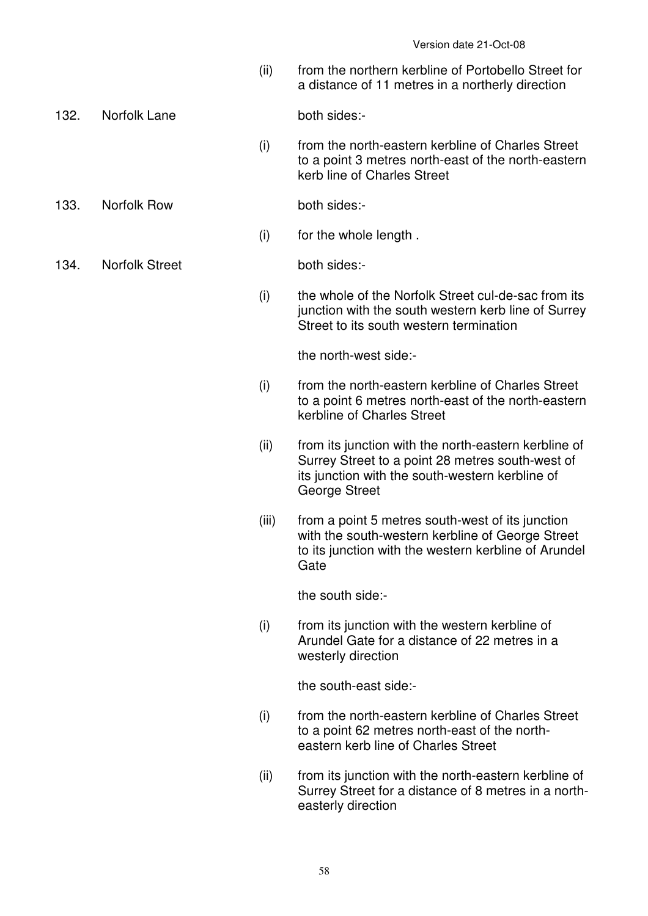(ii) from the northern kerbline of Portobello Street for a distance of 11 metres in a northerly direction

132. Norfolk Lane both sides:-

 (i) from the north-eastern kerbline of Charles Street to a point 3 metres north-east of the north-eastern kerb line of Charles Street

133. Norfolk Row both sides:-

(i) for the whole length .

134. Norfolk Street both sides:-

 (i) the whole of the Norfolk Street cul-de-sac from its junction with the south western kerb line of Surrey Street to its south western termination

the north-west side:-

- (i) from the north-eastern kerbline of Charles Street to a point 6 metres north-east of the north-eastern kerbline of Charles Street
- (ii) from its junction with the north-eastern kerbline of Surrey Street to a point 28 metres south-west of its junction with the south-western kerbline of George Street
- (iii) from a point 5 metres south-west of its junction with the south-western kerbline of George Street to its junction with the western kerbline of Arundel **Gate**

the south side:-

 (i) from its junction with the western kerbline of Arundel Gate for a distance of 22 metres in a westerly direction

the south-east side:-

- (i) from the north-eastern kerbline of Charles Street to a point 62 metres north-east of the northeastern kerb line of Charles Street
- (ii) from its junction with the north-eastern kerbline of Surrey Street for a distance of 8 metres in a northeasterly direction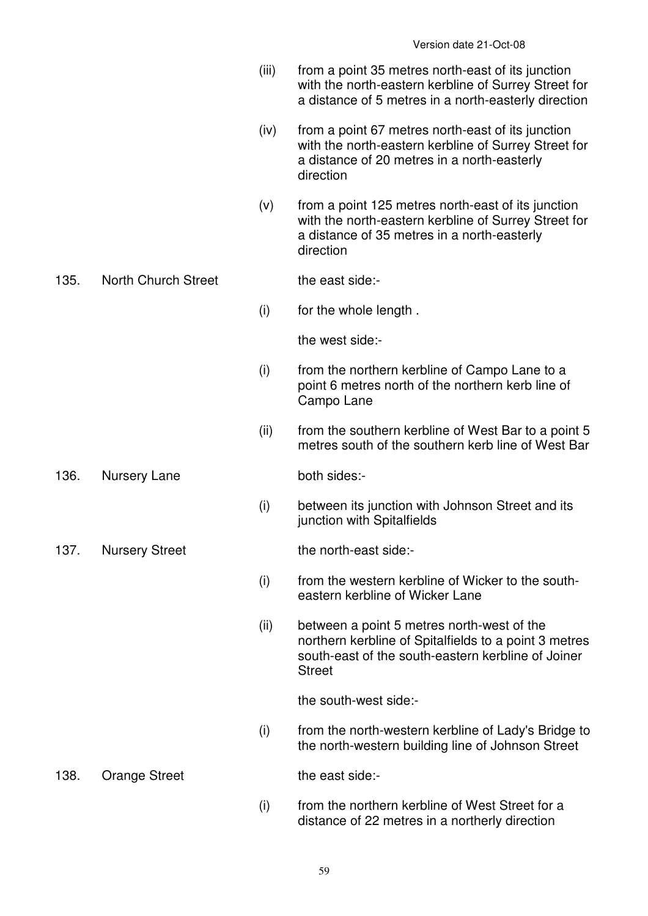- (iii) from a point 35 metres north-east of its junction with the north-eastern kerbline of Surrey Street for a distance of 5 metres in a north-easterly direction
- (iv) from a point 67 metres north-east of its junction with the north-eastern kerbline of Surrey Street for a distance of 20 metres in a north-easterly direction
- (v) from a point 125 metres north-east of its junction with the north-eastern kerbline of Surrey Street for a distance of 35 metres in a north-easterly direction

# 135. North Church Street the east side:-

(i) for the whole length .

the west side:-

- (i) from the northern kerbline of Campo Lane to a point 6 metres north of the northern kerb line of Campo Lane
- (ii) from the southern kerbline of West Bar to a point 5 metres south of the southern kerb line of West Bar
- 136. Nursery Lane both sides:-

 (i) between its junction with Johnson Street and its junction with Spitalfields

137. Nursery Street the north-east side:-

- (i) from the western kerbline of Wicker to the southeastern kerbline of Wicker Lane
- (ii) between a point 5 metres north-west of the northern kerbline of Spitalfields to a point 3 metres south-east of the south-eastern kerbline of Joiner **Street**

the south-west side:-

 (i) from the north-western kerbline of Lady's Bridge to the north-western building line of Johnson Street

138. Orange Street the east side:-

 (i) from the northern kerbline of West Street for a distance of 22 metres in a northerly direction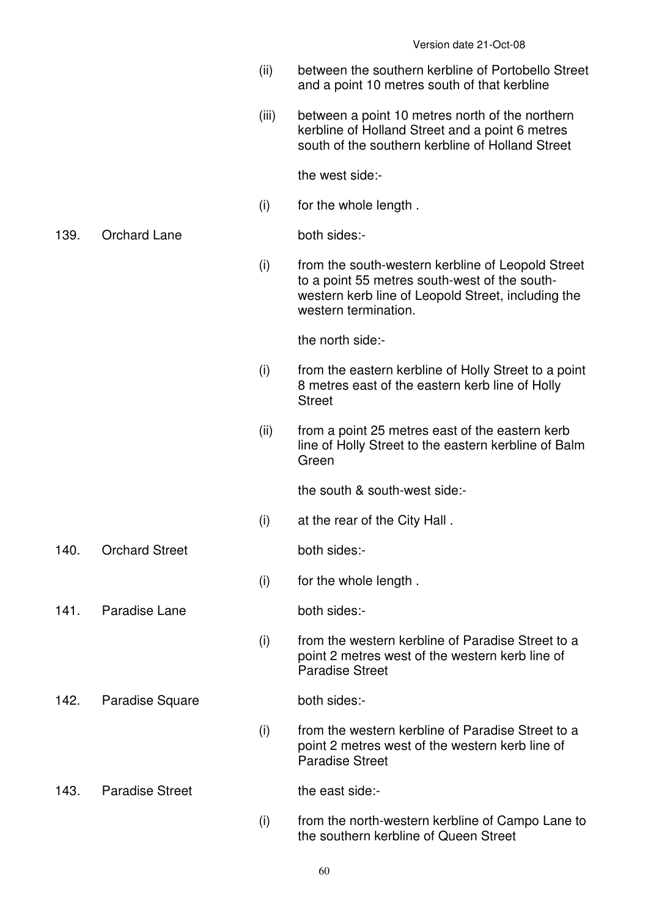- (ii) between the southern kerbline of Portobello Street and a point 10 metres south of that kerbline
- (iii) between a point 10 metres north of the northern kerbline of Holland Street and a point 6 metres south of the southern kerbline of Holland Street

the west side:-

(i) for the whole length .

139. Orchard Lane both sides:-

 (i) from the south-western kerbline of Leopold Street to a point 55 metres south-west of the southwestern kerb line of Leopold Street, including the western termination.

the north side:-

- (i) from the eastern kerbline of Holly Street to a point 8 metres east of the eastern kerb line of Holly **Street**
- (ii) from a point 25 metres east of the eastern kerb line of Holly Street to the eastern kerbline of Balm Green

the south & south-west side:-

- (i) at the rear of the City Hall .
- 140. Orchard Street both sides:-
	- (i) for the whole length .

141. Paradise Lane both sides:-

- 
- (i) from the western kerbline of Paradise Street to a point 2 metres west of the western kerb line of Paradise Street
- 142. Paradise Square both sides:-

- (i) from the western kerbline of Paradise Street to a point 2 metres west of the western kerb line of Paradise Street
- 143. Paradise Street the east side:-
	- (i) from the north-western kerbline of Campo Lane to the southern kerbline of Queen Street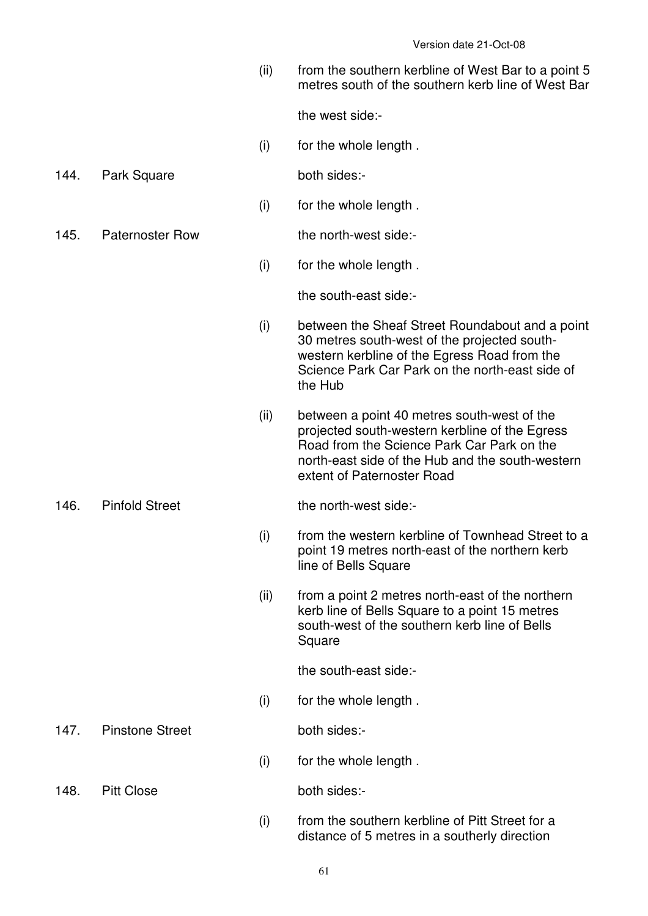(ii) from the southern kerbline of West Bar to a point 5 metres south of the southern kerb line of West Bar

the west side:-

(i) for the whole length .

144. Park Square both sides:-

(i) for the whole length .

145. Paternoster Row the north-west side:-

(i) for the whole length .

the south-east side:-

- (i) between the Sheaf Street Roundabout and a point 30 metres south-west of the projected southwestern kerbline of the Egress Road from the Science Park Car Park on the north-east side of the Hub
- (ii) between a point 40 metres south-west of the projected south-western kerbline of the Egress Road from the Science Park Car Park on the north-east side of the Hub and the south-western extent of Paternoster Road

#### 146. Pinfold Street the north-west side:-

- (i) from the western kerbline of Townhead Street to a point 19 metres north-east of the northern kerb line of Bells Square
- (ii) from a point 2 metres north-east of the northern kerb line of Bells Square to a point 15 metres south-west of the southern kerb line of Bells **Square**

the south-east side:-

(i) for the whole length .

147. Pinstone Street both sides:-

(i) for the whole length .

148. Pitt Close both sides:-

 (i) from the southern kerbline of Pitt Street for a distance of 5 metres in a southerly direction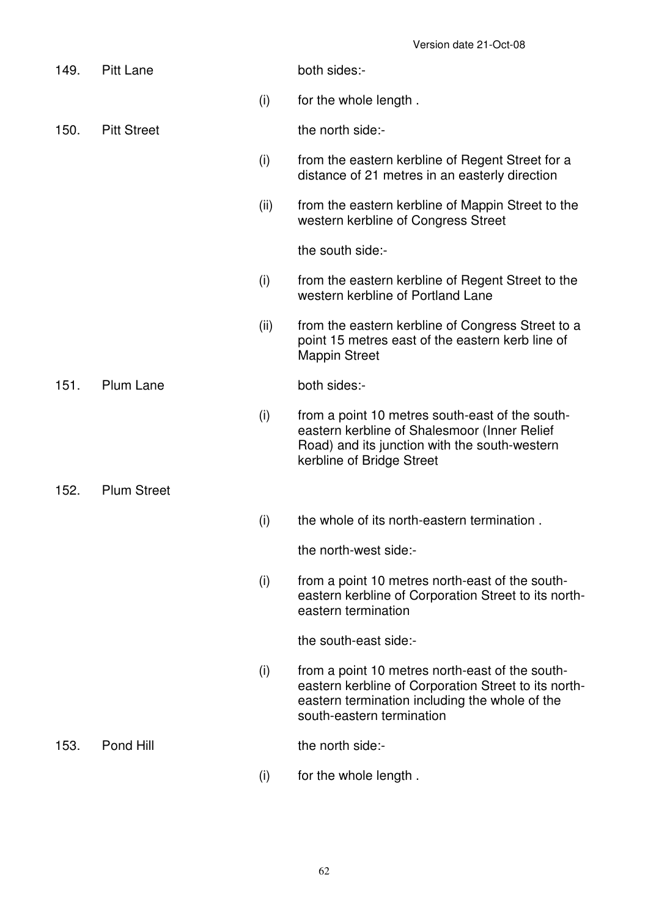| 149. | <b>Pitt Lane</b>   |      | both sides:-                                                                                                                                                                           |
|------|--------------------|------|----------------------------------------------------------------------------------------------------------------------------------------------------------------------------------------|
|      |                    | (i)  | for the whole length.                                                                                                                                                                  |
| 150. | <b>Pitt Street</b> |      | the north side:-                                                                                                                                                                       |
|      |                    | (i)  | from the eastern kerbline of Regent Street for a<br>distance of 21 metres in an easterly direction                                                                                     |
|      |                    | (ii) | from the eastern kerbline of Mappin Street to the<br>western kerbline of Congress Street                                                                                               |
|      |                    |      | the south side:-                                                                                                                                                                       |
|      |                    | (i)  | from the eastern kerbline of Regent Street to the<br>western kerbline of Portland Lane                                                                                                 |
|      |                    | (ii) | from the eastern kerbline of Congress Street to a<br>point 15 metres east of the eastern kerb line of<br><b>Mappin Street</b>                                                          |
| 151. | Plum Lane          |      | both sides:-                                                                                                                                                                           |
|      |                    | (i)  | from a point 10 metres south-east of the south-<br>eastern kerbline of Shalesmoor (Inner Relief<br>Road) and its junction with the south-western<br>kerbline of Bridge Street          |
| 152. | <b>Plum Street</b> |      |                                                                                                                                                                                        |
|      |                    | (i)  | the whole of its north-eastern termination.                                                                                                                                            |
|      |                    |      | the north-west side:-                                                                                                                                                                  |
|      |                    | (i)  | from a point 10 metres north-east of the south-<br>eastern kerbline of Corporation Street to its north-<br>eastern termination                                                         |
|      |                    |      | the south-east side:-                                                                                                                                                                  |
|      |                    | (i)  | from a point 10 metres north-east of the south-<br>eastern kerbline of Corporation Street to its north-<br>eastern termination including the whole of the<br>south-eastern termination |
| 153. | Pond Hill          |      | the north side:-                                                                                                                                                                       |
|      |                    |      |                                                                                                                                                                                        |

(i) for the whole length .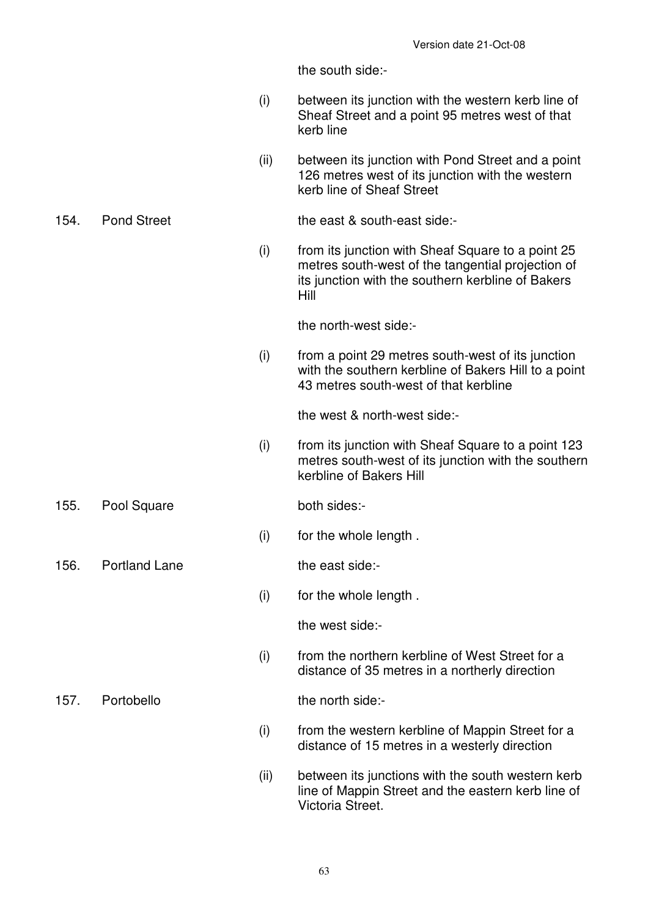the south side:-

- (i) between its junction with the western kerb line of Sheaf Street and a point 95 metres west of that kerb line
- (ii) between its junction with Pond Street and a point 126 metres west of its junction with the western kerb line of Sheaf Street

# 154. Pond Street the east & south-east side:-

 (i) from its junction with Sheaf Square to a point 25 metres south-west of the tangential projection of its junction with the southern kerbline of Bakers Hill

the north-west side:-

 (i) from a point 29 metres south-west of its junction with the southern kerbline of Bakers Hill to a point 43 metres south-west of that kerbline

the west & north-west side:-

- (i) from its junction with Sheaf Square to a point 123 metres south-west of its junction with the southern kerbline of Bakers Hill
- 155. Pool Square both sides:-
	- (i) for the whole length .

156. Portland Lane the east side:-

(i) for the whole length .

the west side:-

 (i) from the northern kerbline of West Street for a distance of 35 metres in a northerly direction

157. Portobello the north side:-

- (i) from the western kerbline of Mappin Street for a distance of 15 metres in a westerly direction
- (ii) between its junctions with the south western kerb line of Mappin Street and the eastern kerb line of Victoria Street.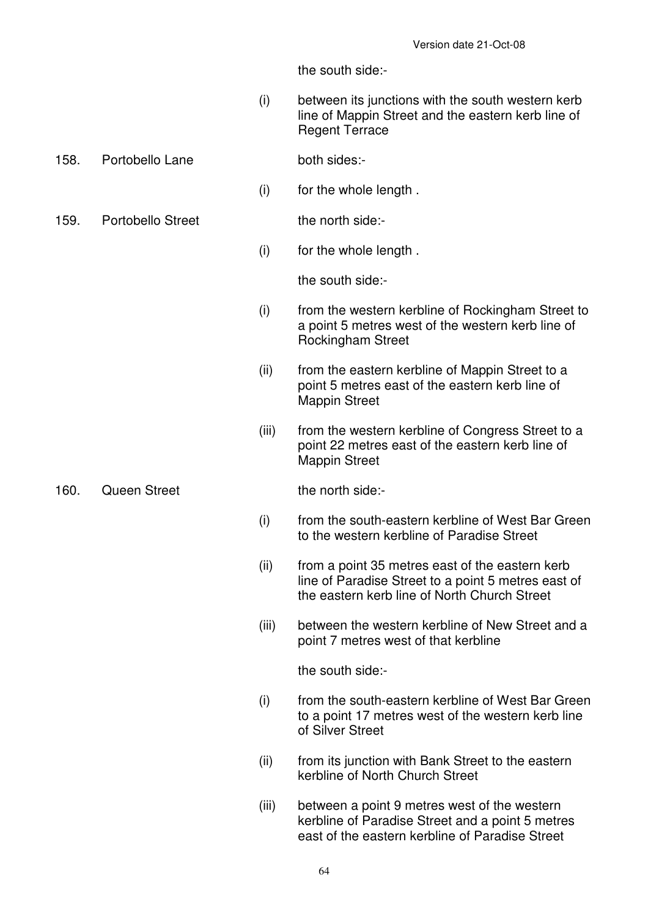the south side:-

- (i) between its junctions with the south western kerb line of Mappin Street and the eastern kerb line of Regent Terrace
- 158. Portobello Lane both sides:-
	- (i) for the whole length .
- 159. Portobello Street the north side:-

(i) for the whole length .

the south side:-

- (i) from the western kerbline of Rockingham Street to a point 5 metres west of the western kerb line of Rockingham Street
- (ii) from the eastern kerbline of Mappin Street to a point 5 metres east of the eastern kerb line of Mappin Street
- (iii) from the western kerbline of Congress Street to a point 22 metres east of the eastern kerb line of Mappin Street

160. Queen Street the north side:-

- (i) from the south-eastern kerbline of West Bar Green to the western kerbline of Paradise Street
- (ii) from a point 35 metres east of the eastern kerb line of Paradise Street to a point 5 metres east of the eastern kerb line of North Church Street
- (iii) between the western kerbline of New Street and a point 7 metres west of that kerbline

the south side:-

- (i) from the south-eastern kerbline of West Bar Green to a point 17 metres west of the western kerb line of Silver Street
- (ii) from its junction with Bank Street to the eastern kerbline of North Church Street
- (iii) between a point 9 metres west of the western kerbline of Paradise Street and a point 5 metres east of the eastern kerbline of Paradise Street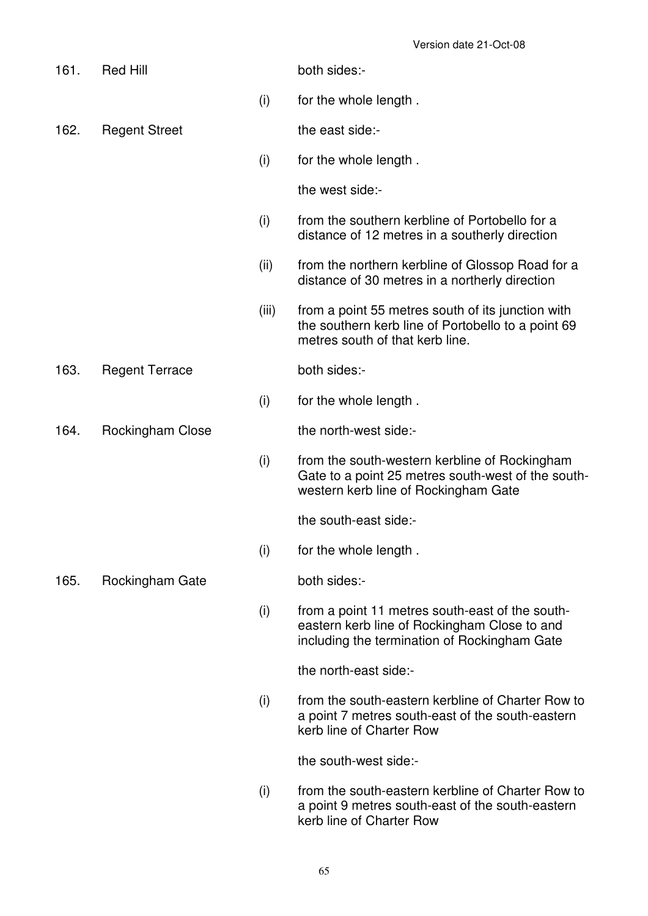| 161. | <b>Red Hill</b>       |       | both sides:-                                                                                                                                    |
|------|-----------------------|-------|-------------------------------------------------------------------------------------------------------------------------------------------------|
|      |                       | (i)   | for the whole length.                                                                                                                           |
| 162. | <b>Regent Street</b>  |       | the east side:-                                                                                                                                 |
|      |                       | (i)   | for the whole length.                                                                                                                           |
|      |                       |       | the west side:-                                                                                                                                 |
|      |                       | (i)   | from the southern kerbline of Portobello for a<br>distance of 12 metres in a southerly direction                                                |
|      |                       | (ii)  | from the northern kerbline of Glossop Road for a<br>distance of 30 metres in a northerly direction                                              |
|      |                       | (iii) | from a point 55 metres south of its junction with<br>the southern kerb line of Portobello to a point 69<br>metres south of that kerb line.      |
| 163. | <b>Regent Terrace</b> |       | both sides:-                                                                                                                                    |
|      |                       | (i)   | for the whole length.                                                                                                                           |
| 164. | Rockingham Close      |       | the north-west side:-                                                                                                                           |
|      |                       | (i)   | from the south-western kerbline of Rockingham<br>Gate to a point 25 metres south-west of the south-<br>western kerb line of Rockingham Gate     |
|      |                       |       | the south-east side:-                                                                                                                           |
|      |                       | (i)   | for the whole length.                                                                                                                           |
| 165. | Rockingham Gate       |       | both sides:-                                                                                                                                    |
|      |                       | (i)   | from a point 11 metres south-east of the south-<br>eastern kerb line of Rockingham Close to and<br>including the termination of Rockingham Gate |
|      |                       |       | the north-east side:-                                                                                                                           |
|      |                       | (i)   | from the south-eastern kerbline of Charter Row to<br>a point 7 metres south-east of the south-eastern<br>kerb line of Charter Row               |
|      |                       |       | the south-west side:-                                                                                                                           |
|      |                       | (i)   | from the south-eastern kerbline of Charter Row to<br>a point 9 metres south-east of the south-eastern<br>kerb line of Charter Row               |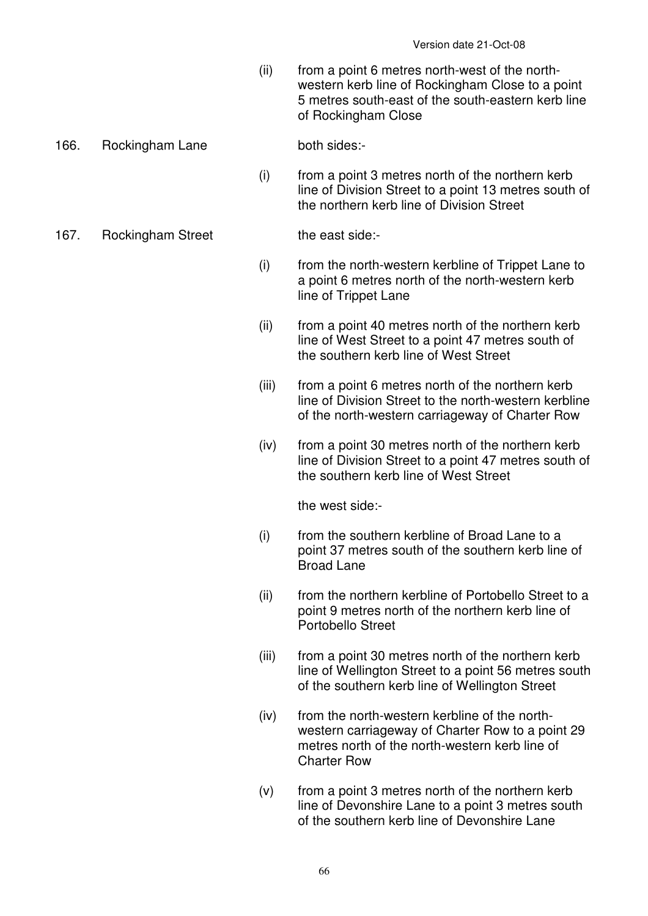(ii) from a point 6 metres north-west of the northwestern kerb line of Rockingham Close to a point 5 metres south-east of the south-eastern kerb line of Rockingham Close

### 166. Rockingham Lane both sides:-

 (i) from a point 3 metres north of the northern kerb line of Division Street to a point 13 metres south of the northern kerb line of Division Street

167. Rockingham Street the east side:-

- (i) from the north-western kerbline of Trippet Lane to a point 6 metres north of the north-western kerb line of Trippet Lane
- (ii) from a point 40 metres north of the northern kerb line of West Street to a point 47 metres south of the southern kerb line of West Street
- (iii) from a point 6 metres north of the northern kerb line of Division Street to the north-western kerbline of the north-western carriageway of Charter Row
- (iv) from a point 30 metres north of the northern kerb line of Division Street to a point 47 metres south of the southern kerb line of West Street

the west side:-

- (i) from the southern kerbline of Broad Lane to a point 37 metres south of the southern kerb line of Broad Lane
- (ii) from the northern kerbline of Portobello Street to a point 9 metres north of the northern kerb line of Portobello Street
- (iii) from a point 30 metres north of the northern kerb line of Wellington Street to a point 56 metres south of the southern kerb line of Wellington Street
- (iv) from the north-western kerbline of the northwestern carriageway of Charter Row to a point 29 metres north of the north-western kerb line of Charter Row
- (v) from a point 3 metres north of the northern kerb line of Devonshire Lane to a point 3 metres south of the southern kerb line of Devonshire Lane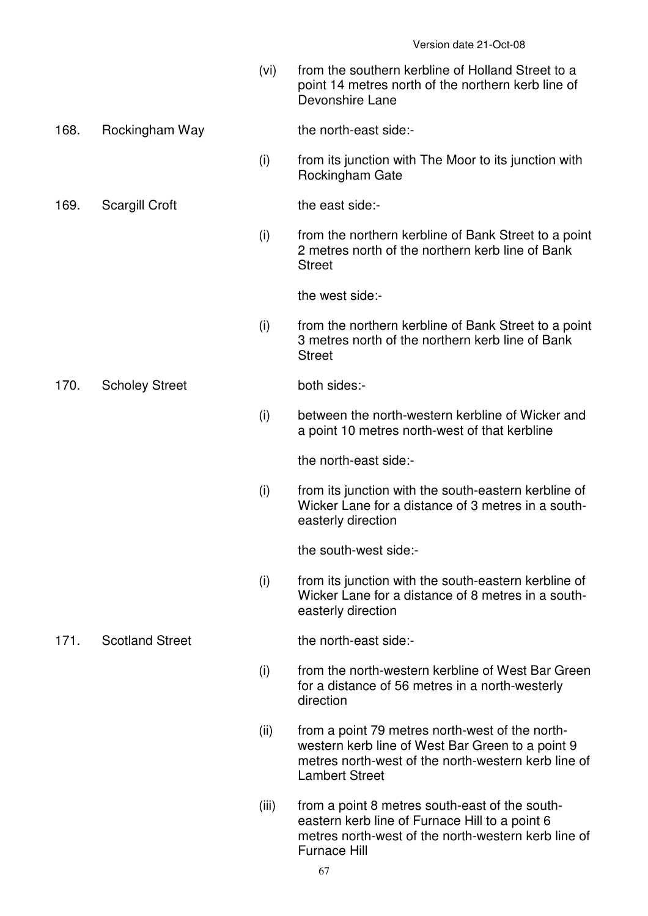(vi) from the southern kerbline of Holland Street to a point 14 metres north of the northern kerb line of Devonshire Lane

# 168. Rockingham Way the north-east side:-

 (i) from its junction with The Moor to its junction with Rockingham Gate

# 169. Scargill Croft the east side:-

 (i) from the northern kerbline of Bank Street to a point 2 metres north of the northern kerb line of Bank **Street** 

the west side:-

 (i) from the northern kerbline of Bank Street to a point 3 metres north of the northern kerb line of Bank **Street** 

170. Scholey Street both sides:-

 (i) between the north-western kerbline of Wicker and a point 10 metres north-west of that kerbline

the north-east side:-

 (i) from its junction with the south-eastern kerbline of Wicker Lane for a distance of 3 metres in a southeasterly direction

the south-west side:-

 (i) from its junction with the south-eastern kerbline of Wicker Lane for a distance of 8 metres in a southeasterly direction

# 171. Scotland Street the north-east side:-

- (i) from the north-western kerbline of West Bar Green for a distance of 56 metres in a north-westerly direction
- (ii) from a point 79 metres north-west of the northwestern kerb line of West Bar Green to a point 9 metres north-west of the north-western kerb line of Lambert Street
- (iii) from a point 8 metres south-east of the southeastern kerb line of Furnace Hill to a point 6 metres north-west of the north-western kerb line of Furnace Hill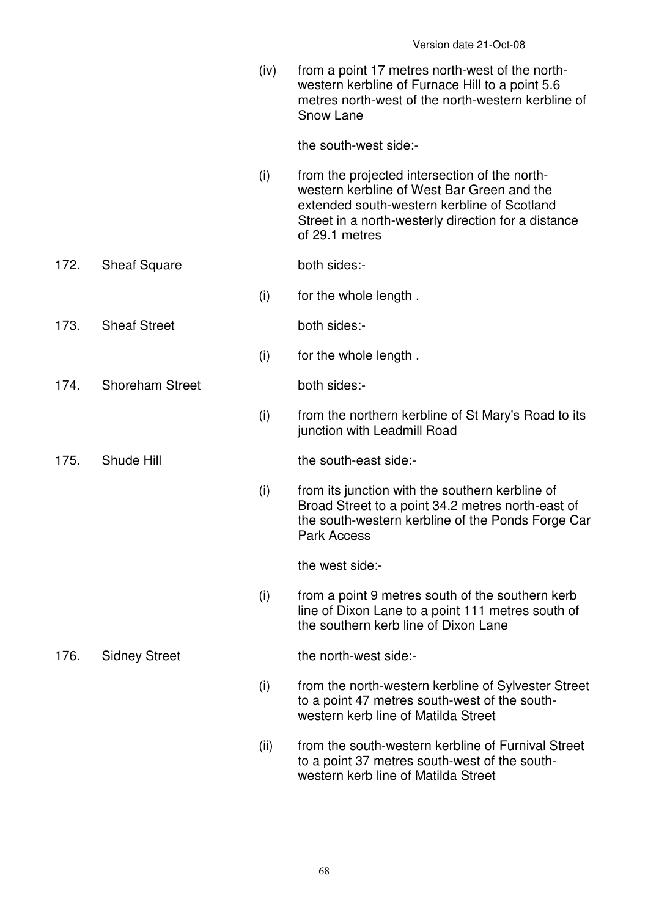(iv) from a point 17 metres north-west of the northwestern kerbline of Furnace Hill to a point 5.6 metres north-west of the north-western kerbline of Snow Lane

the south-west side:-

 (i) from the projected intersection of the northwestern kerbline of West Bar Green and the extended south-western kerbline of Scotland Street in a north-westerly direction for a distance of 29.1 metres

# 172. Sheaf Square both sides:-

- (i) for the whole length .
- 173. Sheaf Street both sides:-
	- (i) for the whole length .

174. Shoreham Street both sides:-

 (i) from the northern kerbline of St Mary's Road to its junction with Leadmill Road

- 
- 175. Shude Hill the south-east side:-
	- (i) from its junction with the southern kerbline of Broad Street to a point 34.2 metres north-east of the south-western kerbline of the Ponds Forge Car Park Access

the west side:-

 (i) from a point 9 metres south of the southern kerb line of Dixon Lane to a point 111 metres south of the southern kerb line of Dixon Lane

# 176. Sidney Street the north-west side:-

- (i) from the north-western kerbline of Sylvester Street to a point 47 metres south-west of the southwestern kerb line of Matilda Street
- (ii) from the south-western kerbline of Furnival Street to a point 37 metres south-west of the southwestern kerb line of Matilda Street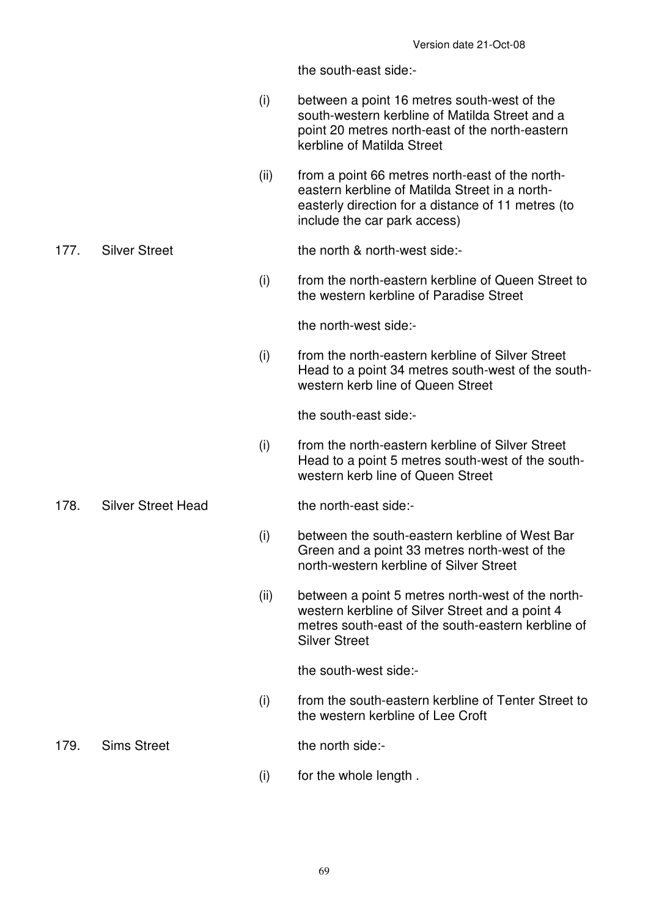the south-east side:-

- (i) between a point 16 metres south-west of the south-western kerbline of Matilda Street and a point 20 metres north-east of the north-eastern kerbline of Matilda Street
- (ii) from a point 66 metres north-east of the northeastern kerbline of Matilda Street in a northeasterly direction for a distance of 11 metres (to include the car park access)

177. Silver Street the north & north-west side:-

 (i) from the north-eastern kerbline of Queen Street to the western kerbline of Paradise Street

the north-west side:-

 (i) from the north-eastern kerbline of Silver Street Head to a point 34 metres south-west of the southwestern kerb line of Queen Street

the south-east side:-

- (i) from the north-eastern kerbline of Silver Street Head to a point 5 metres south-west of the southwestern kerb line of Queen Street
- 178. Silver Street Head the north-east side:-

- (i) between the south-eastern kerbline of West Bar Green and a point 33 metres north-west of the north-western kerbline of Silver Street
- (ii) between a point 5 metres north-west of the northwestern kerbline of Silver Street and a point 4 metres south-east of the south-eastern kerbline of Silver Street

the south-west side:-

 (i) from the south-eastern kerbline of Tenter Street to the western kerbline of Lee Croft

179. Sims Street the north side:-

- 
- (i) for the whole length .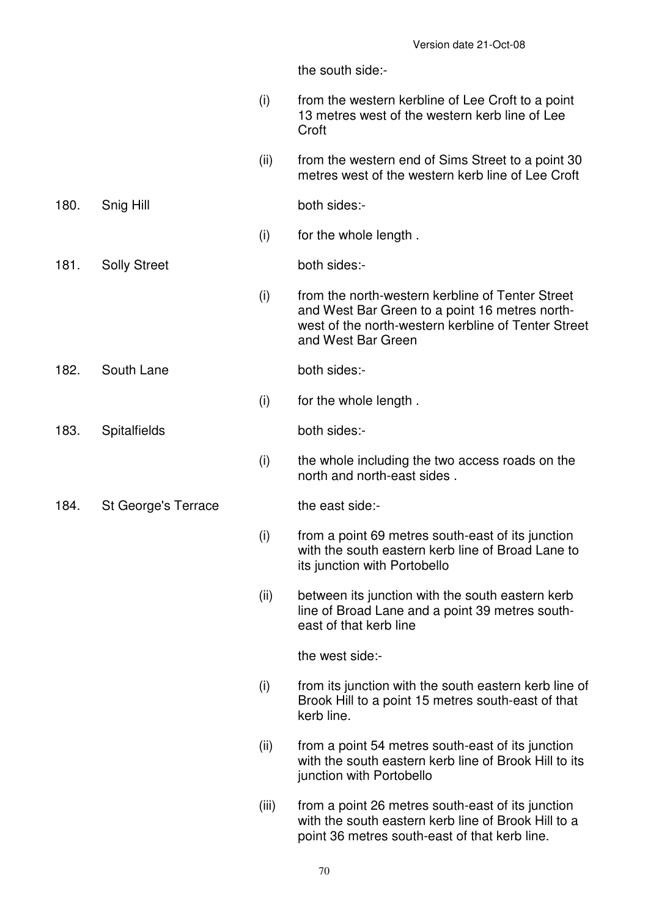the south side:-

- (i) from the western kerbline of Lee Croft to a point 13 metres west of the western kerb line of Lee Croft
- (ii) from the western end of Sims Street to a point 30 metres west of the western kerb line of Lee Croft

180. Snig Hill both sides:-

- (i) for the whole length .
- 181. Solly Street both sides:-

 (i) from the north-western kerbline of Tenter Street and West Bar Green to a point 16 metres northwest of the north-western kerbline of Tenter Street and West Bar Green

182. South Lane both sides:-

(i) for the whole length .

# 183. Spitalfields both sides:-

- (i) the whole including the two access roads on the north and north-east sides .
- 184. St George's Terrace the east side:-

- (i) from a point 69 metres south-east of its junction with the south eastern kerb line of Broad Lane to its junction with Portobello
- (ii) between its junction with the south eastern kerb line of Broad Lane and a point 39 metres southeast of that kerb line

the west side:-

- (i) from its junction with the south eastern kerb line of Brook Hill to a point 15 metres south-east of that kerb line.
- (ii) from a point 54 metres south-east of its junction with the south eastern kerb line of Brook Hill to its junction with Portobello
- (iii) from a point 26 metres south-east of its junction with the south eastern kerb line of Brook Hill to a point 36 metres south-east of that kerb line.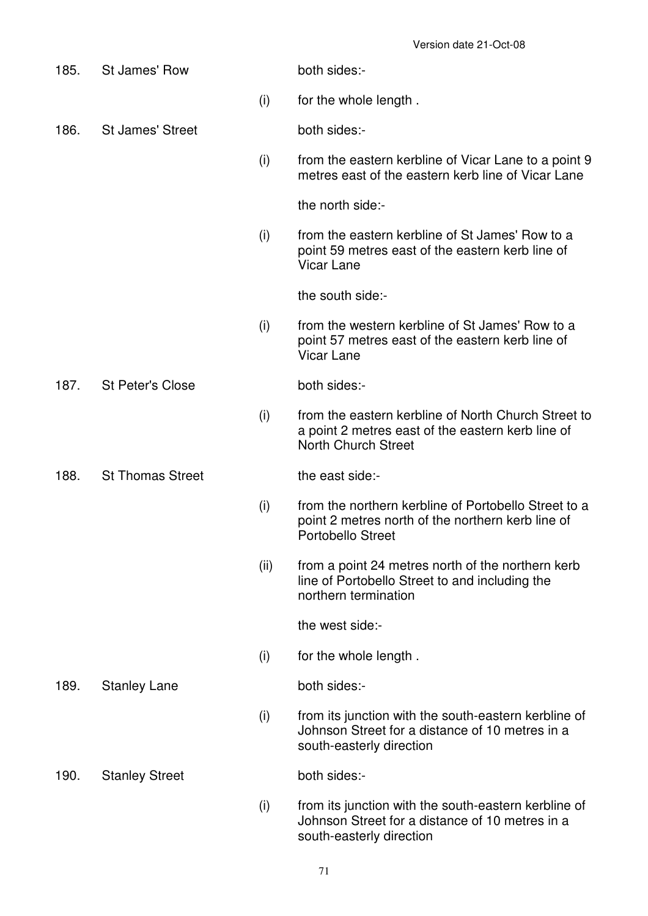| 185. | St James' Row           |      | both sides:-                                                                                                                           |
|------|-------------------------|------|----------------------------------------------------------------------------------------------------------------------------------------|
|      |                         | (i)  | for the whole length.                                                                                                                  |
| 186. | <b>St James' Street</b> |      | both sides:-                                                                                                                           |
|      |                         | (i)  | from the eastern kerbline of Vicar Lane to a point 9<br>metres east of the eastern kerb line of Vicar Lane                             |
|      |                         |      | the north side:-                                                                                                                       |
|      |                         | (i)  | from the eastern kerbline of St James' Row to a<br>point 59 metres east of the eastern kerb line of<br><b>Vicar Lane</b>               |
|      |                         |      | the south side:-                                                                                                                       |
|      |                         | (i)  | from the western kerbline of St James' Row to a<br>point 57 metres east of the eastern kerb line of<br><b>Vicar Lane</b>               |
| 187. | <b>St Peter's Close</b> |      | both sides:-                                                                                                                           |
|      |                         | (i)  | from the eastern kerbline of North Church Street to<br>a point 2 metres east of the eastern kerb line of<br><b>North Church Street</b> |
| 188. | <b>St Thomas Street</b> |      | the east side:-                                                                                                                        |
|      |                         | (i)  | from the northern kerbline of Portobello Street to a<br>point 2 metres north of the northern kerb line of<br><b>Portobello Street</b>  |
|      |                         | (ii) | from a point 24 metres north of the northern kerb<br>line of Portobello Street to and including the<br>northern termination            |
|      |                         |      | the west side:-                                                                                                                        |
|      |                         | (i)  | for the whole length.                                                                                                                  |
| 189. | <b>Stanley Lane</b>     |      | both sides:-                                                                                                                           |
|      |                         | (i)  | from its junction with the south-eastern kerbline of<br>Johnson Street for a distance of 10 metres in a<br>south-easterly direction    |
| 190. | <b>Stanley Street</b>   |      | both sides:-                                                                                                                           |
|      |                         | (i)  | from its junction with the south-eastern kerbline of<br>Johnson Street for a distance of 10 metres in a<br>south-easterly direction    |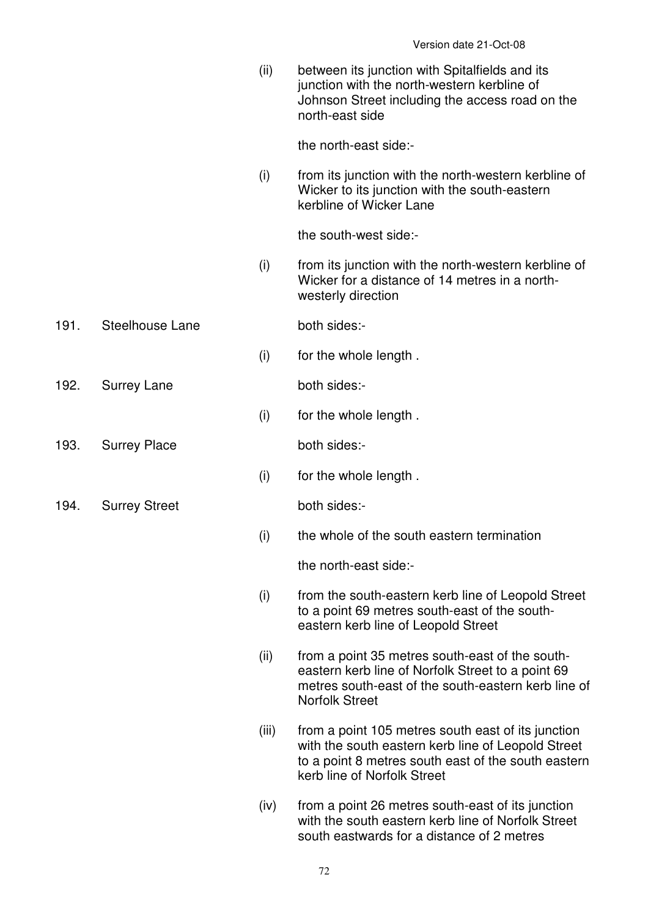(ii) between its junction with Spitalfields and its junction with the north-western kerbline of Johnson Street including the access road on the north-east side the north-east side:- (i) from its junction with the north-western kerbline of Wicker to its junction with the south-eastern kerbline of Wicker Lane the south-west side:- (i) from its junction with the north-western kerbline of Wicker for a distance of 14 metres in a northwesterly direction 191. Steelhouse Lane both sides:- (i) for the whole length . 192. Surrey Lane both sides:- (i) for the whole length . 193. Surrey Place both sides:- (i) for the whole length . 194. Surrey Street both sides:- (i) the whole of the south eastern termination the north-east side:- (i) from the south-eastern kerb line of Leopold Street to a point 69 metres south-east of the southeastern kerb line of Leopold Street (ii) from a point 35 metres south-east of the southeastern kerb line of Norfolk Street to a point 69 metres south-east of the south-eastern kerb line of Norfolk Street (iii) from a point 105 metres south east of its junction with the south eastern kerb line of Leopold Street to a point 8 metres south east of the south eastern kerb line of Norfolk Street (iv) from a point 26 metres south-east of its junction with the south eastern kerb line of Norfolk Street south eastwards for a distance of 2 metres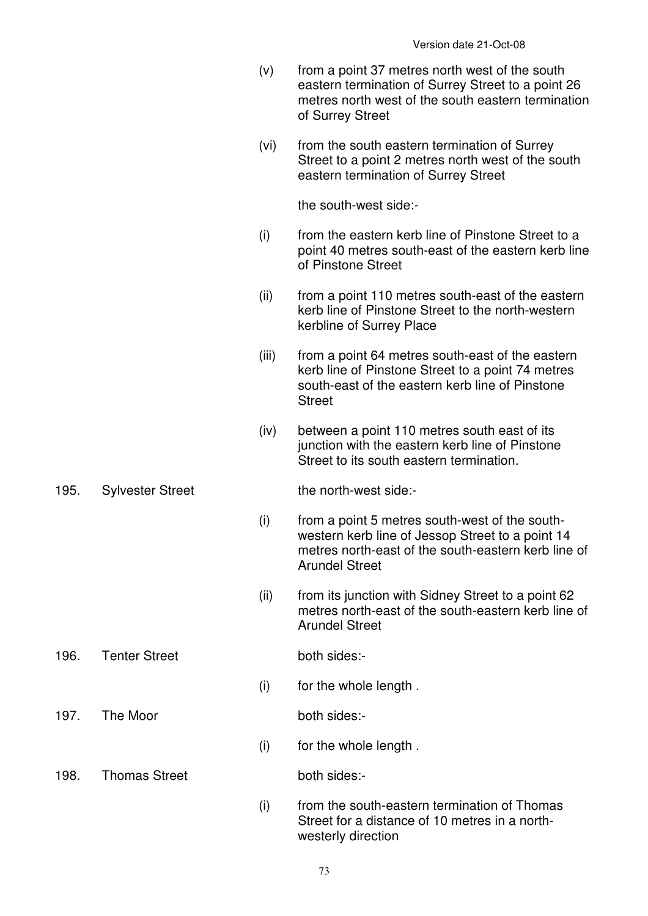|      |                         | (v)   | from a point 37 metres north west of the south<br>eastern termination of Surrey Street to a point 26<br>metres north west of the south eastern termination<br>of Surrey Street     |
|------|-------------------------|-------|------------------------------------------------------------------------------------------------------------------------------------------------------------------------------------|
|      |                         | (vi)  | from the south eastern termination of Surrey<br>Street to a point 2 metres north west of the south<br>eastern termination of Surrey Street                                         |
|      |                         |       | the south-west side:-                                                                                                                                                              |
|      |                         | (i)   | from the eastern kerb line of Pinstone Street to a<br>point 40 metres south-east of the eastern kerb line<br>of Pinstone Street                                                    |
|      |                         | (ii)  | from a point 110 metres south-east of the eastern<br>kerb line of Pinstone Street to the north-western<br>kerbline of Surrey Place                                                 |
|      |                         | (iii) | from a point 64 metres south-east of the eastern<br>kerb line of Pinstone Street to a point 74 metres<br>south-east of the eastern kerb line of Pinstone<br><b>Street</b>          |
|      |                         | (iv)  | between a point 110 metres south east of its<br>junction with the eastern kerb line of Pinstone<br>Street to its south eastern termination.                                        |
| 195. | <b>Sylvester Street</b> |       | the north-west side:-                                                                                                                                                              |
|      |                         | (i)   | from a point 5 metres south-west of the south-<br>western kerb line of Jessop Street to a point 14<br>metres north-east of the south-eastern kerb line of<br><b>Arundel Street</b> |
|      |                         | (ii)  | from its junction with Sidney Street to a point 62<br>metres north-east of the south-eastern kerb line of<br><b>Arundel Street</b>                                                 |
| 196. | <b>Tenter Street</b>    |       | both sides:-                                                                                                                                                                       |
|      |                         | (i)   | for the whole length.                                                                                                                                                              |
| 197. | The Moor                |       | both sides:-                                                                                                                                                                       |
|      |                         | (i)   | for the whole length.                                                                                                                                                              |
| 198. | <b>Thomas Street</b>    |       | both sides:-                                                                                                                                                                       |
|      |                         | (i)   | from the south-eastern termination of Thomas<br>Street for a distance of 10 metres in a north-<br>westerly direction                                                               |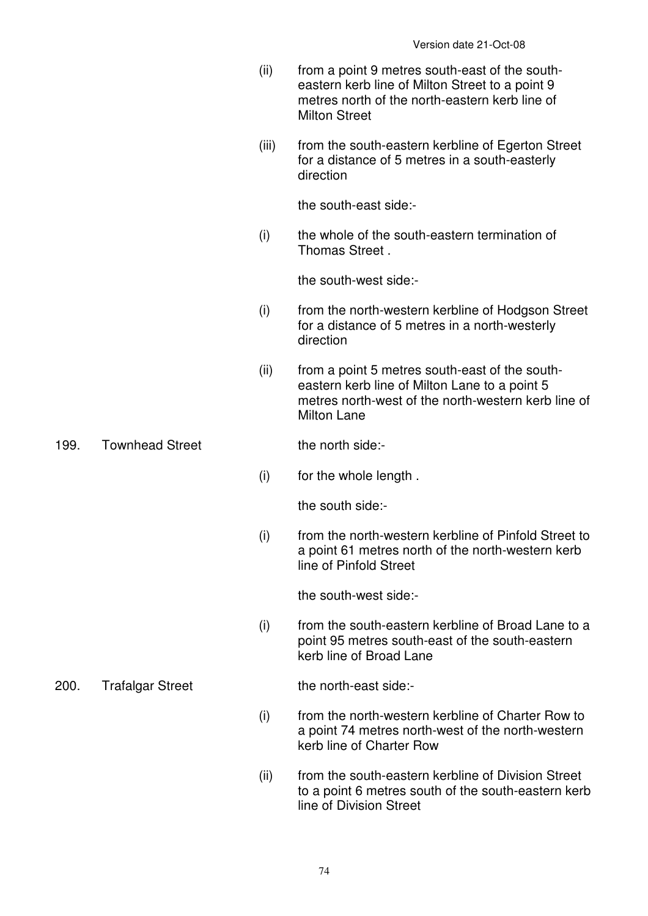- (ii) from a point 9 metres south-east of the southeastern kerb line of Milton Street to a point 9 metres north of the north-eastern kerb line of Milton Street
- (iii) from the south-eastern kerbline of Egerton Street for a distance of 5 metres in a south-easterly direction

 (i) the whole of the south-eastern termination of Thomas Street .

the south-west side:-

- (i) from the north-western kerbline of Hodgson Street for a distance of 5 metres in a north-westerly direction
- (ii) from a point 5 metres south-east of the southeastern kerb line of Milton Lane to a point 5 metres north-west of the north-western kerb line of Milton Lane

199. Townhead Street the north side:-

(i) for the whole length .

the south side:-

 (i) from the north-western kerbline of Pinfold Street to a point 61 metres north of the north-western kerb line of Pinfold Street

the south-west side:-

 (i) from the south-eastern kerbline of Broad Lane to a point 95 metres south-east of the south-eastern kerb line of Broad Lane

- (i) from the north-western kerbline of Charter Row to a point 74 metres north-west of the north-western kerb line of Charter Row
- (ii) from the south-eastern kerbline of Division Street to a point 6 metres south of the south-eastern kerb line of Division Street

200. Trafalgar Street the north-east side:-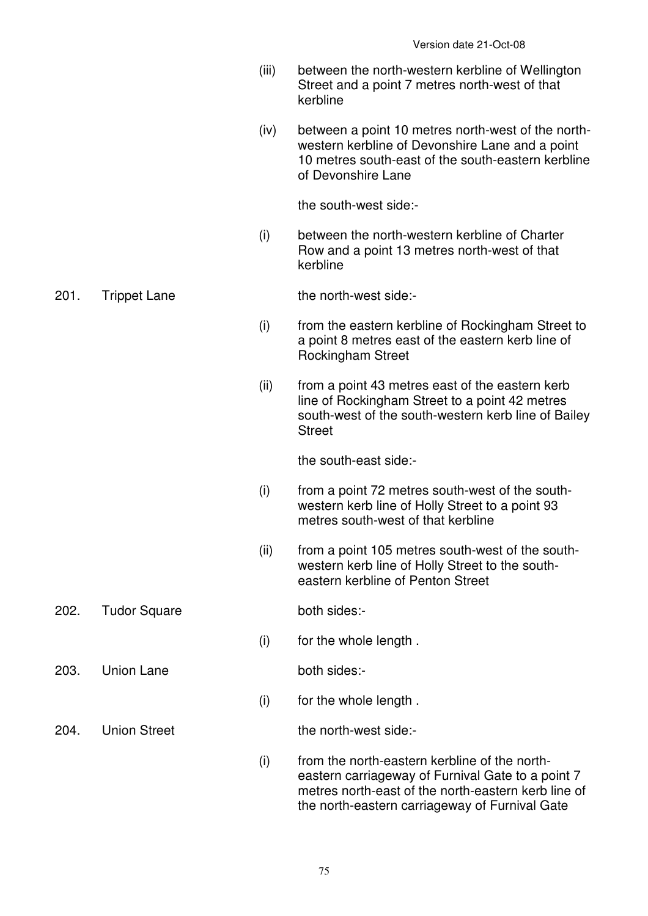- (iii) between the north-western kerbline of Wellington Street and a point 7 metres north-west of that kerbline
- (iv) between a point 10 metres north-west of the northwestern kerbline of Devonshire Lane and a point 10 metres south-east of the south-eastern kerbline of Devonshire Lane

 (i) between the north-western kerbline of Charter Row and a point 13 metres north-west of that kerbline

201. Trippet Lane the north-west side:-

- (i) from the eastern kerbline of Rockingham Street to a point 8 metres east of the eastern kerb line of Rockingham Street
- (ii) from a point 43 metres east of the eastern kerb line of Rockingham Street to a point 42 metres south-west of the south-western kerb line of Bailey **Street**

the south-east side:-

- (i) from a point 72 metres south-west of the southwestern kerb line of Holly Street to a point 93 metres south-west of that kerbline
- (ii) from a point 105 metres south-west of the southwestern kerb line of Holly Street to the southeastern kerbline of Penton Street
- 202. Tudor Square both sides:-

203. Union Lane both sides:-

(i) for the whole length .

(i) for the whole length .

204 Union Street the north-west side:

- 
- (i) from the north-eastern kerbline of the northeastern carriageway of Furnival Gate to a point 7 metres north-east of the north-eastern kerb line of the north-eastern carriageway of Furnival Gate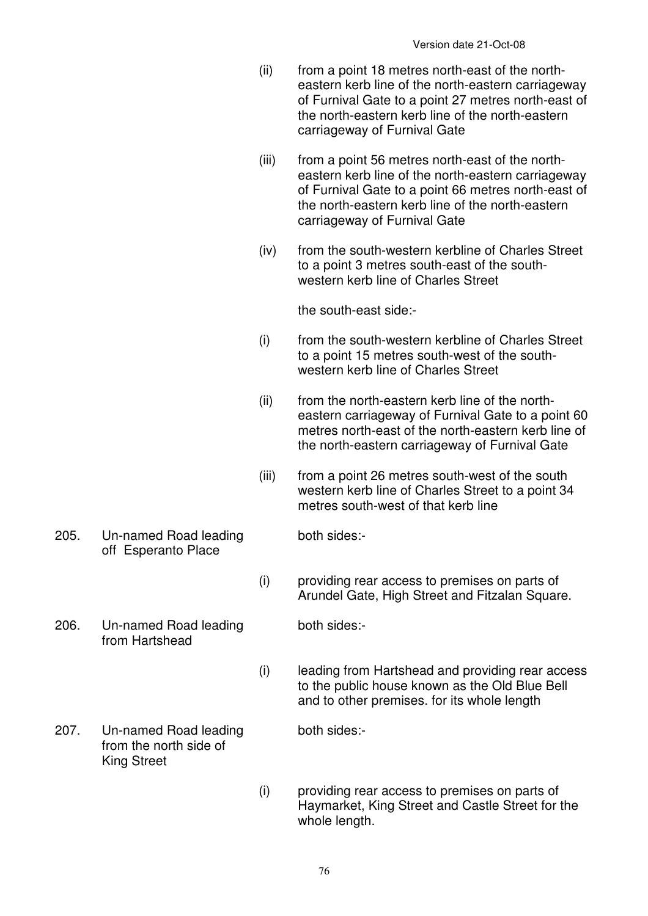- (ii) from a point 18 metres north-east of the northeastern kerb line of the north-eastern carriageway of Furnival Gate to a point 27 metres north-east of the north-eastern kerb line of the north-eastern carriageway of Furnival Gate
- (iii) from a point 56 metres north-east of the northeastern kerb line of the north-eastern carriageway of Furnival Gate to a point 66 metres north-east of the north-eastern kerb line of the north-eastern carriageway of Furnival Gate
- (iv) from the south-western kerbline of Charles Street to a point 3 metres south-east of the southwestern kerb line of Charles Street

- (i) from the south-western kerbline of Charles Street to a point 15 metres south-west of the southwestern kerb line of Charles Street
- (ii) from the north-eastern kerb line of the northeastern carriageway of Furnival Gate to a point 60 metres north-east of the north-eastern kerb line of the north-eastern carriageway of Furnival Gate
- (iii) from a point 26 metres south-west of the south western kerb line of Charles Street to a point 34 metres south-west of that kerb line
- 205. Un-named Road leading off Esperanto Place
- 206. Un-named Road leading from Hartshead
- both sides:-
- (i) providing rear access to premises on parts of Arundel Gate, High Street and Fitzalan Square.

both sides:-

- (i) leading from Hartshead and providing rear access to the public house known as the Old Blue Bell and to other premises. for its whole length
- 207. Un-named Road leading from the north side of King Street

both sides:-

 (i) providing rear access to premises on parts of Haymarket, King Street and Castle Street for the whole length.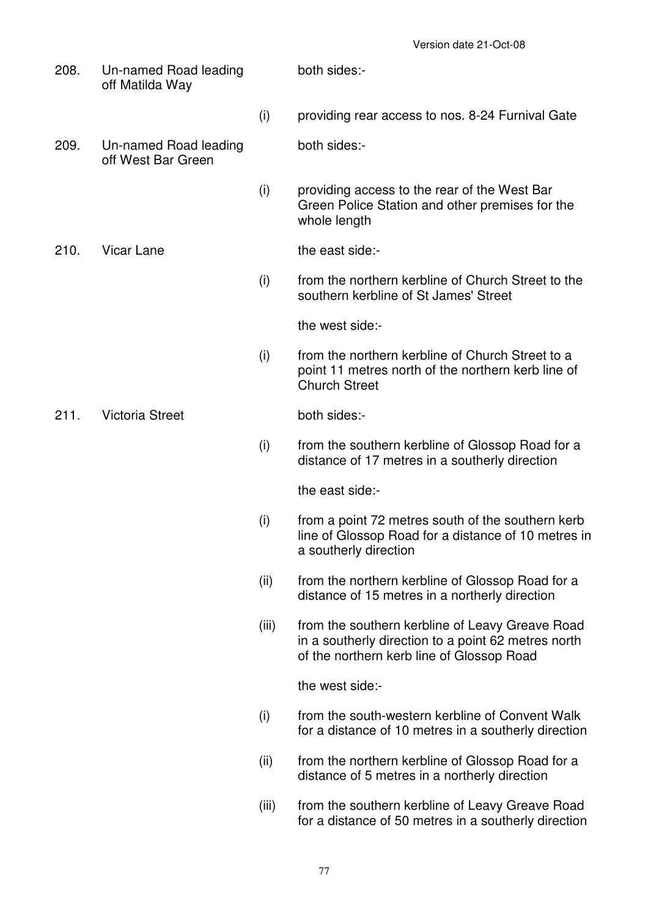208. Un-named Road leading off Matilda Way both sides:- (i) providing rear access to nos. 8-24 Furnival Gate 209. Un-named Road leading off West Bar Green both sides:- (i) providing access to the rear of the West Bar Green Police Station and other premises for the whole length 210. Vicar Lane the east side:- (i) from the northern kerbline of Church Street to the southern kerbline of St James' Street the west side:- (i) from the northern kerbline of Church Street to a point 11 metres north of the northern kerb line of Church Street 211. Victoria Street both sides:- (i) from the southern kerbline of Glossop Road for a distance of 17 metres in a southerly direction the east side:- (i) from a point 72 metres south of the southern kerb line of Glossop Road for a distance of 10 metres in a southerly direction (ii) from the northern kerbline of Glossop Road for a distance of 15 metres in a northerly direction (iii) from the southern kerbline of Leavy Greave Road in a southerly direction to a point 62 metres north of the northern kerb line of Glossop Road the west side:- (i) from the south-western kerbline of Convent Walk for a distance of 10 metres in a southerly direction (ii) from the northern kerbline of Glossop Road for a distance of 5 metres in a northerly direction (iii) from the southern kerbline of Leavy Greave Road for a distance of 50 metres in a southerly direction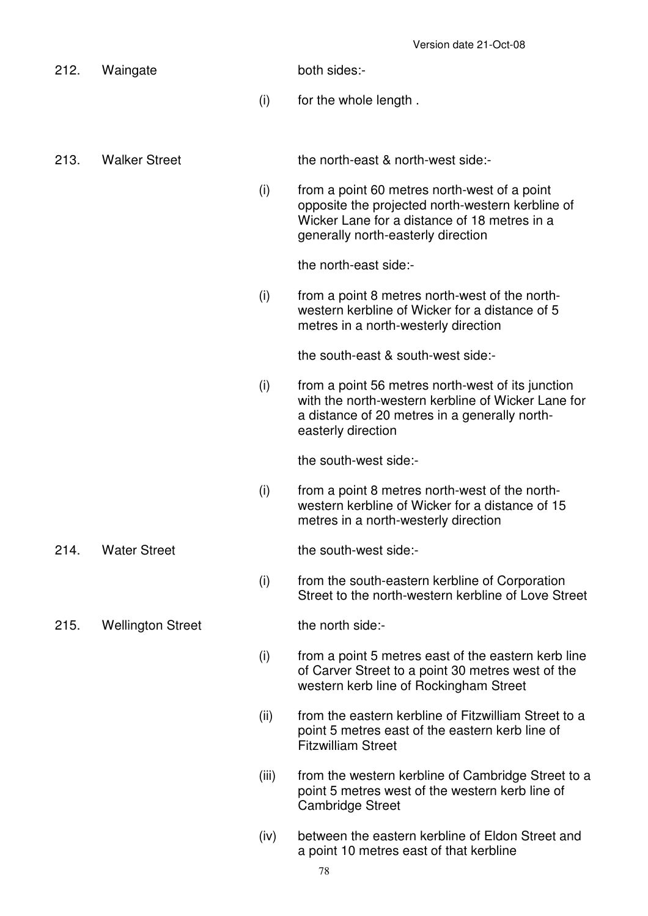| 212. | Waingate                 |       | both sides:-                                                                                                                                                                           |
|------|--------------------------|-------|----------------------------------------------------------------------------------------------------------------------------------------------------------------------------------------|
|      |                          | (i)   | for the whole length.                                                                                                                                                                  |
|      |                          |       |                                                                                                                                                                                        |
| 213. | <b>Walker Street</b>     |       | the north-east & north-west side:-                                                                                                                                                     |
|      |                          | (i)   | from a point 60 metres north-west of a point<br>opposite the projected north-western kerbline of<br>Wicker Lane for a distance of 18 metres in a<br>generally north-easterly direction |
|      |                          |       | the north-east side:-                                                                                                                                                                  |
|      |                          | (i)   | from a point 8 metres north-west of the north-<br>western kerbline of Wicker for a distance of 5<br>metres in a north-westerly direction                                               |
|      |                          |       | the south-east & south-west side:-                                                                                                                                                     |
|      |                          | (i)   | from a point 56 metres north-west of its junction<br>with the north-western kerbline of Wicker Lane for<br>a distance of 20 metres in a generally north-<br>easterly direction         |
|      |                          |       | the south-west side:-                                                                                                                                                                  |
|      |                          | (i)   | from a point 8 metres north-west of the north-<br>western kerbline of Wicker for a distance of 15<br>metres in a north-westerly direction                                              |
| 214. | <b>Water Street</b>      |       | the south-west side:-                                                                                                                                                                  |
|      |                          | (i)   | from the south-eastern kerbline of Corporation<br>Street to the north-western kerbline of Love Street                                                                                  |
| 215. | <b>Wellington Street</b> |       | the north side:-                                                                                                                                                                       |
|      |                          | (i)   | from a point 5 metres east of the eastern kerb line<br>of Carver Street to a point 30 metres west of the<br>western kerb line of Rockingham Street                                     |
|      |                          | (ii)  | from the eastern kerbline of Fitzwilliam Street to a<br>point 5 metres east of the eastern kerb line of<br><b>Fitzwilliam Street</b>                                                   |
|      |                          | (iii) | from the western kerbline of Cambridge Street to a<br>point 5 metres west of the western kerb line of<br><b>Cambridge Street</b>                                                       |

 (iv) between the eastern kerbline of Eldon Street and a point 10 metres east of that kerbline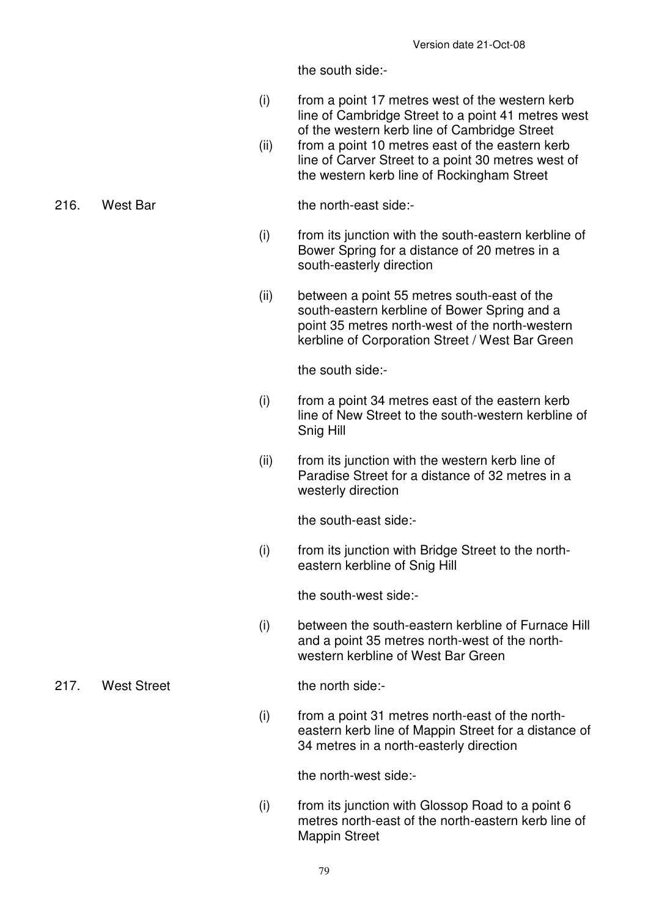the south side:-

- (i) from a point 17 metres west of the western kerb line of Cambridge Street to a point 41 metres west of the western kerb line of Cambridge Street
- (ii) from a point 10 metres east of the eastern kerb line of Carver Street to a point 30 metres west of the western kerb line of Rockingham Street

216. West Bar the north-east side:-

- (i) from its junction with the south-eastern kerbline of Bower Spring for a distance of 20 metres in a south-easterly direction
- (ii) between a point 55 metres south-east of the south-eastern kerbline of Bower Spring and a point 35 metres north-west of the north-western kerbline of Corporation Street / West Bar Green

the south side:-

- $(i)$  from a point 34 metres east of the eastern kerb line of New Street to the south-western kerbline of Snig Hill
- (ii) from its junction with the western kerb line of Paradise Street for a distance of 32 metres in a westerly direction

the south-east side:-

 (i) from its junction with Bridge Street to the northeastern kerbline of Snig Hill

the south-west side:-

 (i) between the south-eastern kerbline of Furnace Hill and a point 35 metres north-west of the northwestern kerbline of West Bar Green

217. West Street the north side:-

 (i) from a point 31 metres north-east of the northeastern kerb line of Mappin Street for a distance of 34 metres in a north-easterly direction

the north-west side:-

 $(i)$  from its junction with Glossop Road to a point 6 metres north-east of the north-eastern kerb line of Mappin Street

### 79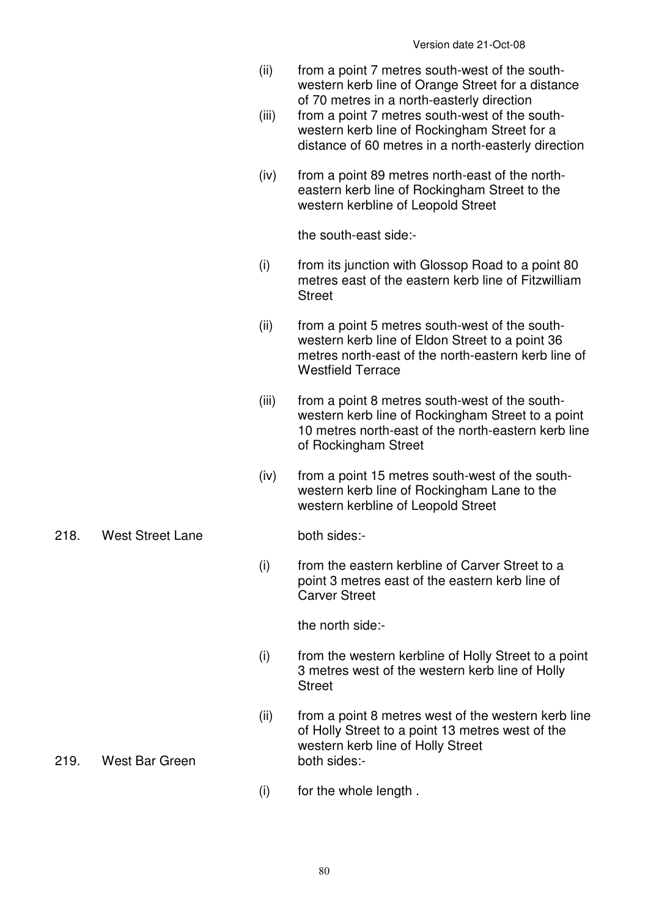- (ii) from a point 7 metres south-west of the southwestern kerb line of Orange Street for a distance of 70 metres in a north-easterly direction
- (iii) from a point 7 metres south-west of the southwestern kerb line of Rockingham Street for a distance of 60 metres in a north-easterly direction
- (iv) from a point 89 metres north-east of the northeastern kerb line of Rockingham Street to the western kerbline of Leopold Street

- (i) from its junction with Glossop Road to a point 80 metres east of the eastern kerb line of Fitzwilliam **Street**
- (ii) from a point 5 metres south-west of the southwestern kerb line of Eldon Street to a point 36 metres north-east of the north-eastern kerb line of Westfield Terrace
- (iii) from a point 8 metres south-west of the southwestern kerb line of Rockingham Street to a point 10 metres north-east of the north-eastern kerb line of Rockingham Street
- (iv) from a point 15 metres south-west of the southwestern kerb line of Rockingham Lane to the western kerbline of Leopold Street
- 218. West Street Lane both sides:-

 (i) from the eastern kerbline of Carver Street to a point 3 metres east of the eastern kerb line of Carver Street

the north side:-

- (i) from the western kerbline of Holly Street to a point 3 metres west of the western kerb line of Holly **Street**
- (ii) from a point 8 metres west of the western kerb line of Holly Street to a point 13 metres west of the western kerb line of Holly Street
- 219. West Bar Green both sides:-
	- (i) for the whole length .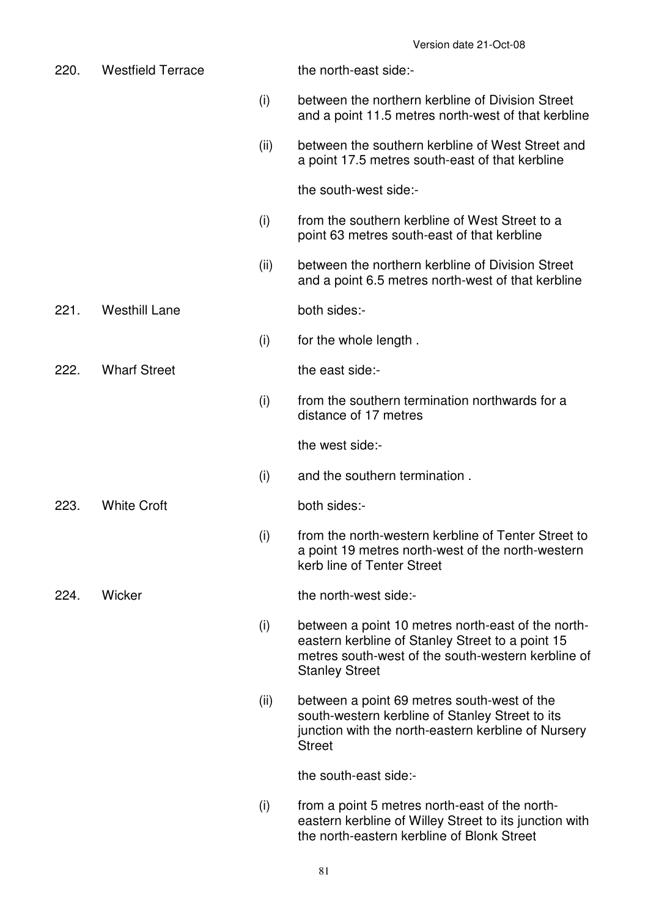| 220. | <b>Westfield Terrace</b> |      | the north-east side:-                                                                                                                                                                 |
|------|--------------------------|------|---------------------------------------------------------------------------------------------------------------------------------------------------------------------------------------|
|      |                          | (i)  | between the northern kerbline of Division Street<br>and a point 11.5 metres north-west of that kerbline                                                                               |
|      |                          | (ii) | between the southern kerbline of West Street and<br>a point 17.5 metres south-east of that kerbline                                                                                   |
|      |                          |      | the south-west side:-                                                                                                                                                                 |
|      |                          | (i)  | from the southern kerbline of West Street to a<br>point 63 metres south-east of that kerbline                                                                                         |
|      |                          | (ii) | between the northern kerbline of Division Street<br>and a point 6.5 metres north-west of that kerbline                                                                                |
| 221. | <b>Westhill Lane</b>     |      | both sides:-                                                                                                                                                                          |
|      |                          | (i)  | for the whole length.                                                                                                                                                                 |
| 222. | <b>Wharf Street</b>      |      | the east side:-                                                                                                                                                                       |
|      |                          | (i)  | from the southern termination northwards for a<br>distance of 17 metres                                                                                                               |
|      |                          |      | the west side:-                                                                                                                                                                       |
|      |                          | (i)  | and the southern termination.                                                                                                                                                         |
| 223. | <b>White Croft</b>       |      | both sides:-                                                                                                                                                                          |
|      |                          | (i)  | from the north-western kerbline of Tenter Street to<br>a point 19 metres north-west of the north-western<br>kerb line of Tenter Street                                                |
| 224. | Wicker                   |      | the north-west side:-                                                                                                                                                                 |
|      |                          | (i)  | between a point 10 metres north-east of the north-<br>eastern kerbline of Stanley Street to a point 15<br>metres south-west of the south-western kerbline of<br><b>Stanley Street</b> |
|      |                          | (ii) | between a point 69 metres south-west of the<br>south-western kerbline of Stanley Street to its<br>junction with the north-eastern kerbline of Nursery<br><b>Street</b>                |
|      |                          |      | the south-east side:-                                                                                                                                                                 |
|      |                          | (i)  | from a point 5 metres north-east of the north-<br>eastern kerbline of Willey Street to its junction with                                                                              |

the north-eastern kerbline of Blonk Street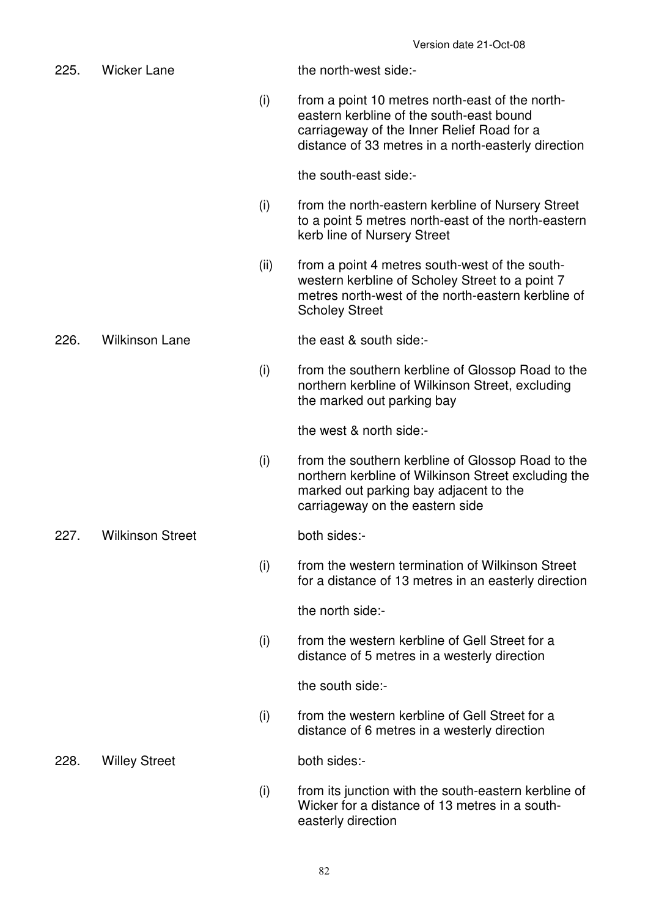| 225. | <b>Wicker Lane</b>      |      | the north-west side:-                                                                                                                                                                            |
|------|-------------------------|------|--------------------------------------------------------------------------------------------------------------------------------------------------------------------------------------------------|
|      |                         | (i)  | from a point 10 metres north-east of the north-<br>eastern kerbline of the south-east bound<br>carriageway of the Inner Relief Road for a<br>distance of 33 metres in a north-easterly direction |
|      |                         |      | the south-east side:-                                                                                                                                                                            |
|      |                         | (i)  | from the north-eastern kerbline of Nursery Street<br>to a point 5 metres north-east of the north-eastern<br>kerb line of Nursery Street                                                          |
|      |                         | (ii) | from a point 4 metres south-west of the south-<br>western kerbline of Scholey Street to a point 7<br>metres north-west of the north-eastern kerbline of<br><b>Scholey Street</b>                 |
| 226. | <b>Wilkinson Lane</b>   |      | the east & south side:-                                                                                                                                                                          |
|      |                         | (i)  | from the southern kerbline of Glossop Road to the<br>northern kerbline of Wilkinson Street, excluding<br>the marked out parking bay                                                              |
|      |                         |      | the west & north side:-                                                                                                                                                                          |
|      |                         | (i)  | from the southern kerbline of Glossop Road to the<br>northern kerbline of Wilkinson Street excluding the<br>marked out parking bay adjacent to the<br>carriageway on the eastern side            |
| 227. | <b>Wilkinson Street</b> |      | both sides:-                                                                                                                                                                                     |
|      |                         | (i)  | from the western termination of Wilkinson Street<br>for a distance of 13 metres in an easterly direction                                                                                         |
|      |                         |      | the north side:-                                                                                                                                                                                 |
|      |                         | (i)  | from the western kerbline of Gell Street for a<br>distance of 5 metres in a westerly direction                                                                                                   |
|      |                         |      | the south side:-                                                                                                                                                                                 |
|      |                         | (i)  | from the western kerbline of Gell Street for a<br>distance of 6 metres in a westerly direction                                                                                                   |
| 228. | <b>Willey Street</b>    |      | both sides:-                                                                                                                                                                                     |
|      |                         | (i)  | from its junction with the south-eastern kerbline of<br>Wicker for a distance of 13 metres in a south-<br>easterly direction                                                                     |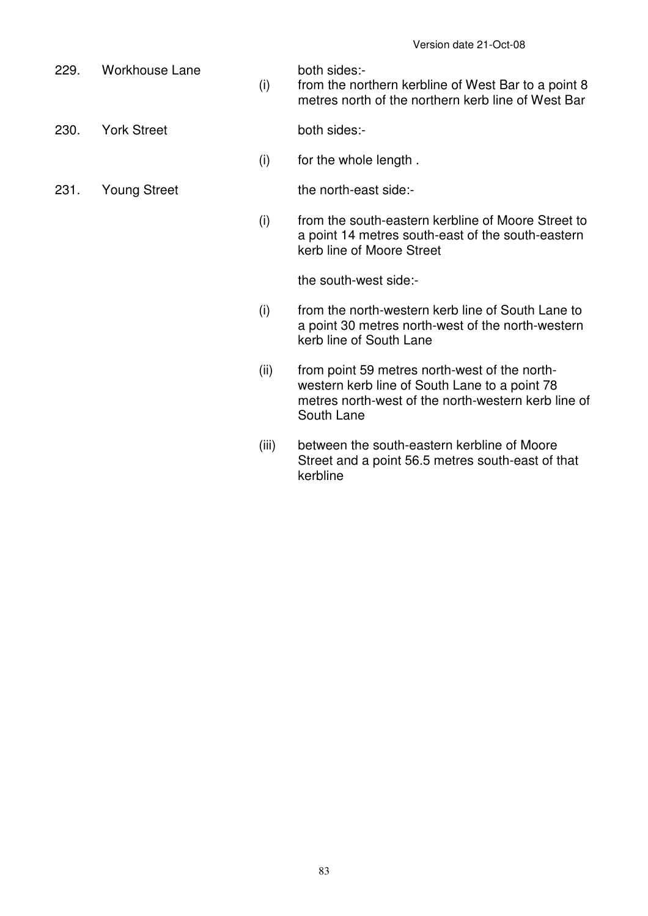229. Workhouse Lane both sides:-

 (i) from the northern kerbline of West Bar to a point 8 metres north of the northern kerb line of West Bar

230. York Street both sides:-

- (i) for the whole length .
- 
- 231. Young Street the north-east side:-
	- (i) from the south-eastern kerbline of Moore Street to a point 14 metres south-east of the south-eastern kerb line of Moore Street

the south-west side:-

- (i) from the north-western kerb line of South Lane to a point 30 metres north-west of the north-western kerb line of South Lane
- (ii) from point 59 metres north-west of the northwestern kerb line of South Lane to a point 78 metres north-west of the north-western kerb line of South Lane
- (iii) between the south-eastern kerbline of Moore Street and a point 56.5 metres south-east of that kerbline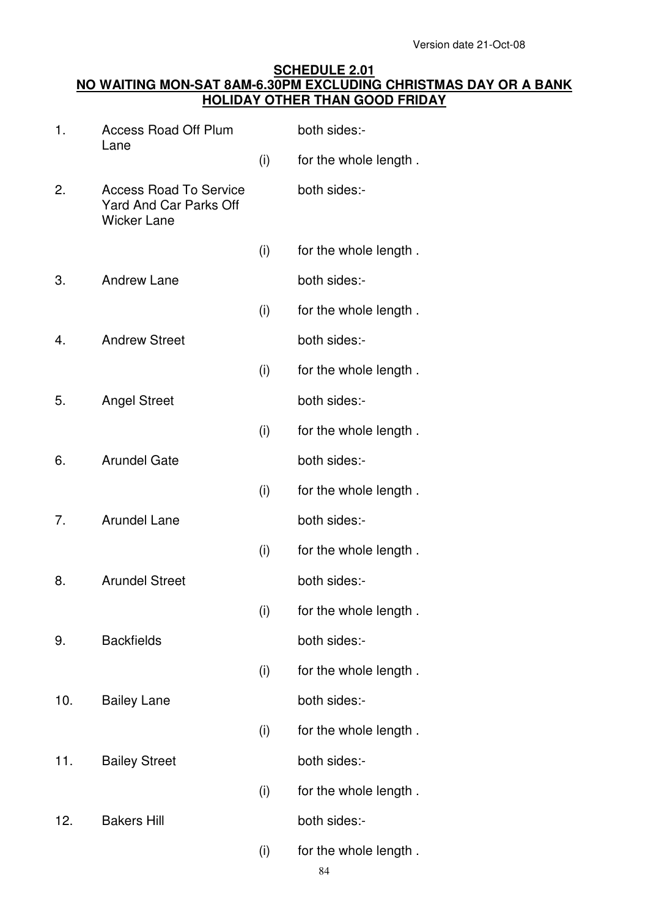### **SCHEDULE 2.01 NO WAITING MON-SAT 8AM-6.30PM EXCLUDING CHRISTMAS DAY OR A BANK HOLIDAY OTHER THAN GOOD FRIDAY**

| 1.  | <b>Access Road Off Plum</b><br>Lane                                                  |     | both sides:-          |
|-----|--------------------------------------------------------------------------------------|-----|-----------------------|
|     |                                                                                      | (i) | for the whole length. |
| 2.  | <b>Access Road To Service</b><br><b>Yard And Car Parks Off</b><br><b>Wicker Lane</b> |     | both sides:-          |
|     |                                                                                      | (i) | for the whole length. |
| 3.  | <b>Andrew Lane</b>                                                                   |     | both sides:-          |
|     |                                                                                      | (i) | for the whole length. |
| 4.  | <b>Andrew Street</b>                                                                 |     | both sides:-          |
|     |                                                                                      | (i) | for the whole length. |
| 5.  | <b>Angel Street</b>                                                                  |     | both sides:-          |
|     |                                                                                      | (i) | for the whole length. |
| 6.  | <b>Arundel Gate</b>                                                                  |     | both sides:-          |
|     |                                                                                      | (i) | for the whole length. |
| 7.  | <b>Arundel Lane</b>                                                                  |     | both sides:-          |
|     |                                                                                      | (i) | for the whole length. |
| 8.  | <b>Arundel Street</b>                                                                |     | both sides:-          |
|     |                                                                                      | (i) | for the whole length. |
| 9.  | <b>Backfields</b>                                                                    |     | both sides:-          |
|     |                                                                                      | (i) | for the whole length. |
| 10. | <b>Bailey Lane</b>                                                                   |     | both sides:-          |
|     |                                                                                      | (i) | for the whole length. |
| 11. | <b>Bailey Street</b>                                                                 |     | both sides:-          |
|     |                                                                                      | (i) | for the whole length. |
| 12. | <b>Bakers Hill</b>                                                                   |     | both sides:-          |
|     |                                                                                      | (i) | for the whole length. |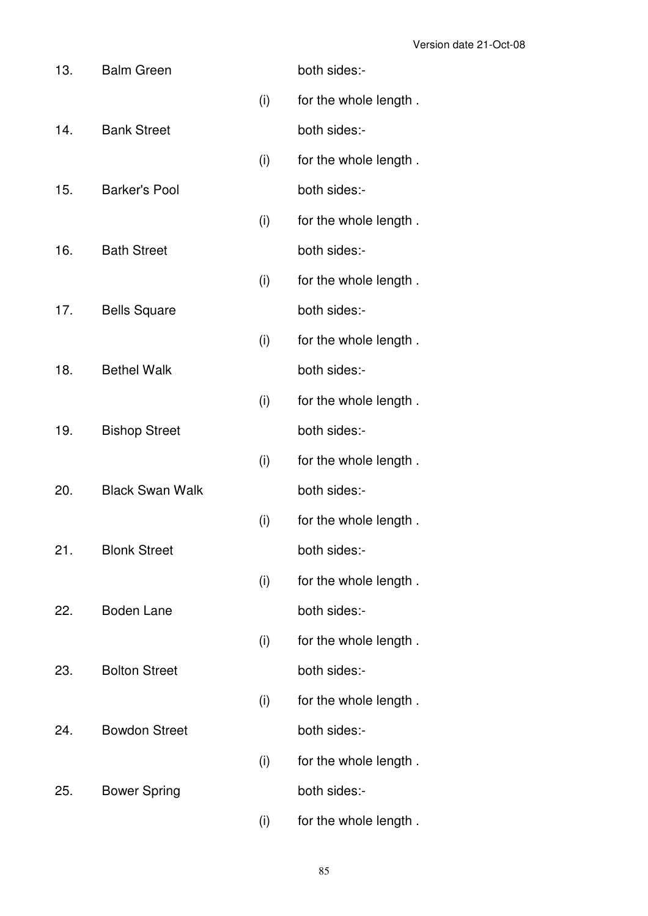| 13. | <b>Balm Green</b>      |     | both sides:-          |
|-----|------------------------|-----|-----------------------|
|     |                        | (i) | for the whole length. |
| 14. | <b>Bank Street</b>     |     | both sides:-          |
|     |                        | (i) | for the whole length. |
| 15. | <b>Barker's Pool</b>   |     | both sides:-          |
|     |                        | (i) | for the whole length. |
| 16. | <b>Bath Street</b>     |     | both sides:-          |
|     |                        | (i) | for the whole length. |
| 17. | <b>Bells Square</b>    |     | both sides:-          |
|     |                        | (i) | for the whole length. |
| 18. | <b>Bethel Walk</b>     |     | both sides:-          |
|     |                        | (i) | for the whole length. |
| 19. | <b>Bishop Street</b>   |     | both sides:-          |
|     |                        | (i) | for the whole length. |
| 20. | <b>Black Swan Walk</b> |     | both sides:-          |
|     |                        | (i) | for the whole length. |
| 21. | <b>Blonk Street</b>    |     | both sides:-          |
|     |                        | (i) | for the whole length. |
| 22. | <b>Boden Lane</b>      |     | both sides:-          |
|     |                        | (i) | for the whole length. |
| 23. | <b>Bolton Street</b>   |     | both sides:-          |
|     |                        | (i) | for the whole length. |
| 24. | <b>Bowdon Street</b>   |     | both sides:-          |
|     |                        | (i) | for the whole length. |
| 25. | <b>Bower Spring</b>    |     | both sides:-          |
|     |                        | (i) | for the whole length. |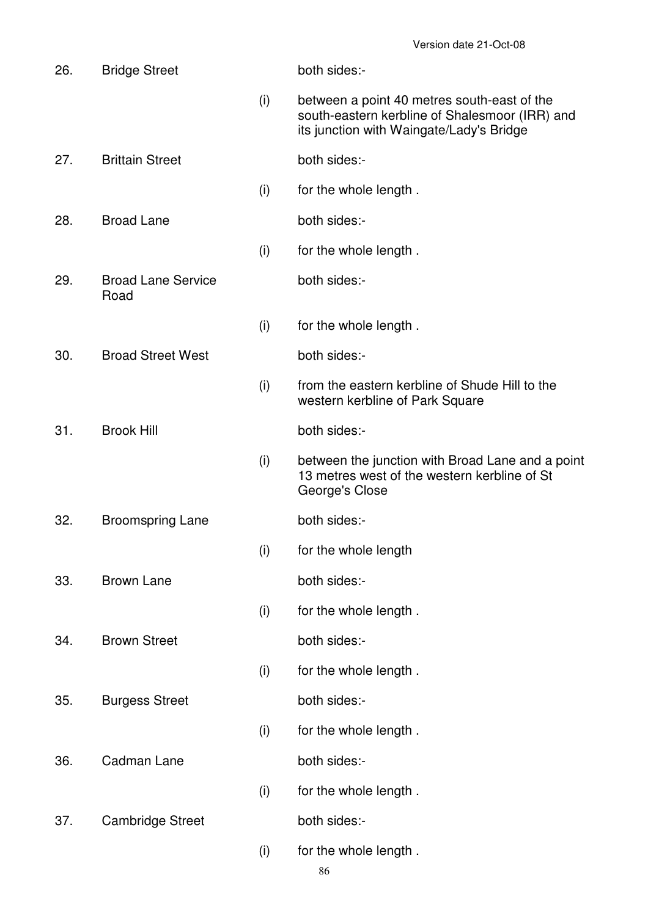| 26. | <b>Bridge Street</b>              |     | both sides:-                                                                                                                              |
|-----|-----------------------------------|-----|-------------------------------------------------------------------------------------------------------------------------------------------|
|     |                                   | (i) | between a point 40 metres south-east of the<br>south-eastern kerbline of Shalesmoor (IRR) and<br>its junction with Waingate/Lady's Bridge |
| 27. | <b>Brittain Street</b>            |     | both sides:-                                                                                                                              |
|     |                                   | (i) | for the whole length.                                                                                                                     |
| 28. | <b>Broad Lane</b>                 |     | both sides:-                                                                                                                              |
|     |                                   | (i) | for the whole length.                                                                                                                     |
| 29. | <b>Broad Lane Service</b><br>Road |     | both sides:-                                                                                                                              |
|     |                                   | (i) | for the whole length.                                                                                                                     |
| 30. | <b>Broad Street West</b>          |     | both sides:-                                                                                                                              |
|     |                                   | (i) | from the eastern kerbline of Shude Hill to the<br>western kerbline of Park Square                                                         |
| 31. | <b>Brook Hill</b>                 |     | both sides:-                                                                                                                              |
|     |                                   | (i) | between the junction with Broad Lane and a point<br>13 metres west of the western kerbline of St<br>George's Close                        |
| 32. | <b>Broomspring Lane</b>           |     | both sides:-                                                                                                                              |
|     |                                   | (i) | for the whole length                                                                                                                      |
| 33. | <b>Brown Lane</b>                 |     | both sides:-                                                                                                                              |
|     |                                   | (i) | for the whole length.                                                                                                                     |
| 34. | <b>Brown Street</b>               |     | both sides:-                                                                                                                              |
|     |                                   | (i) | for the whole length.                                                                                                                     |
| 35. | <b>Burgess Street</b>             |     | both sides:-                                                                                                                              |
|     |                                   | (i) | for the whole length.                                                                                                                     |
| 36. | Cadman Lane                       |     | both sides:-                                                                                                                              |
|     |                                   | (i) | for the whole length.                                                                                                                     |
| 37. | <b>Cambridge Street</b>           |     | both sides:-                                                                                                                              |
|     |                                   | (i) | for the whole length.                                                                                                                     |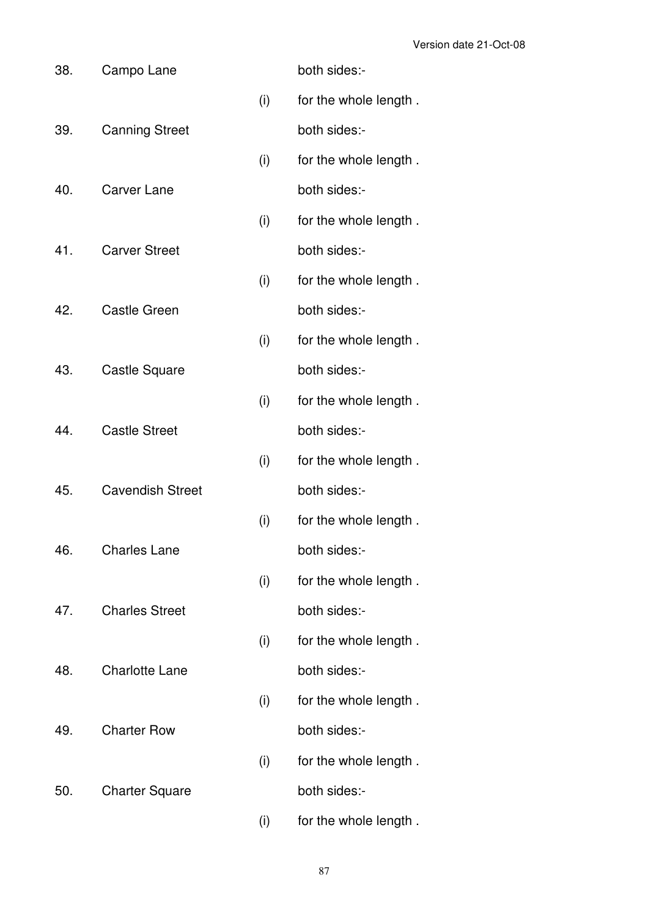| 38. | Campo Lane              |     | both sides:-          |
|-----|-------------------------|-----|-----------------------|
|     |                         | (i) | for the whole length. |
| 39. | <b>Canning Street</b>   |     | both sides:-          |
|     |                         | (i) | for the whole length. |
| 40. | <b>Carver Lane</b>      |     | both sides:-          |
|     |                         | (i) | for the whole length. |
| 41. | <b>Carver Street</b>    |     | both sides:-          |
|     |                         | (i) | for the whole length. |
| 42. | <b>Castle Green</b>     |     | both sides:-          |
|     |                         | (i) | for the whole length. |
| 43. | <b>Castle Square</b>    |     | both sides:-          |
|     |                         | (i) | for the whole length. |
| 44. | <b>Castle Street</b>    |     | both sides:-          |
|     |                         | (i) | for the whole length. |
| 45. | <b>Cavendish Street</b> |     | both sides:-          |
|     |                         | (i) | for the whole length. |
| 46. | <b>Charles Lane</b>     |     | both sides:-          |
|     |                         | (i) | for the whole length. |
| 47. | <b>Charles Street</b>   |     | both sides:-          |
|     |                         | (i) | for the whole length. |
| 48. | <b>Charlotte Lane</b>   |     | both sides:-          |
|     |                         | (i) | for the whole length. |
| 49. | <b>Charter Row</b>      |     | both sides:-          |
|     |                         | (i) | for the whole length. |
| 50. | <b>Charter Square</b>   |     | both sides:-          |
|     |                         | (i) | for the whole length. |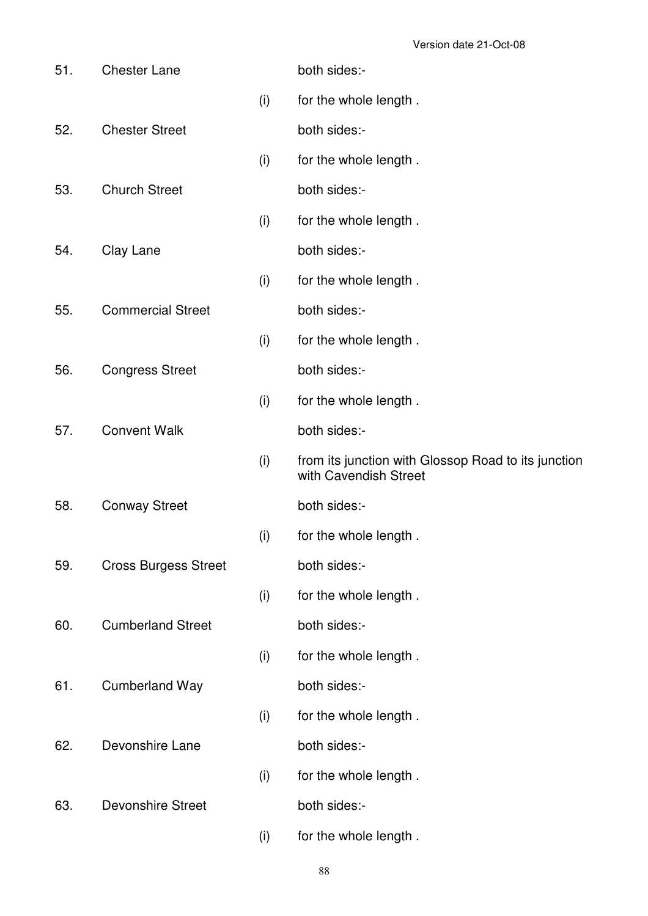| 51. | <b>Chester Lane</b>         |     | both sides:-                                                                 |
|-----|-----------------------------|-----|------------------------------------------------------------------------------|
|     |                             | (i) | for the whole length.                                                        |
| 52. | <b>Chester Street</b>       |     | both sides:-                                                                 |
|     |                             | (i) | for the whole length.                                                        |
| 53. | <b>Church Street</b>        |     | both sides:-                                                                 |
|     |                             | (i) | for the whole length.                                                        |
| 54. | Clay Lane                   |     | both sides:-                                                                 |
|     |                             | (i) | for the whole length.                                                        |
| 55. | <b>Commercial Street</b>    |     | both sides:-                                                                 |
|     |                             | (i) | for the whole length.                                                        |
| 56. | <b>Congress Street</b>      |     | both sides:-                                                                 |
|     |                             | (i) | for the whole length.                                                        |
| 57. | <b>Convent Walk</b>         |     | both sides:-                                                                 |
|     |                             | (i) | from its junction with Glossop Road to its junction<br>with Cavendish Street |
| 58. | <b>Conway Street</b>        |     | both sides:-                                                                 |
|     |                             | (i) | for the whole length.                                                        |
| 59. | <b>Cross Burgess Street</b> |     | both sides:-                                                                 |
|     |                             | (i) | for the whole length.                                                        |
| 60. | <b>Cumberland Street</b>    |     | both sides:-                                                                 |
|     |                             | (i) | for the whole length.                                                        |
| 61. | <b>Cumberland Way</b>       |     | both sides:-                                                                 |
|     |                             | (i) | for the whole length.                                                        |
| 62. | Devonshire Lane             |     | both sides:-                                                                 |
|     |                             | (i) | for the whole length.                                                        |
| 63. | <b>Devonshire Street</b>    |     | both sides:-                                                                 |
|     |                             | (i) | for the whole length.                                                        |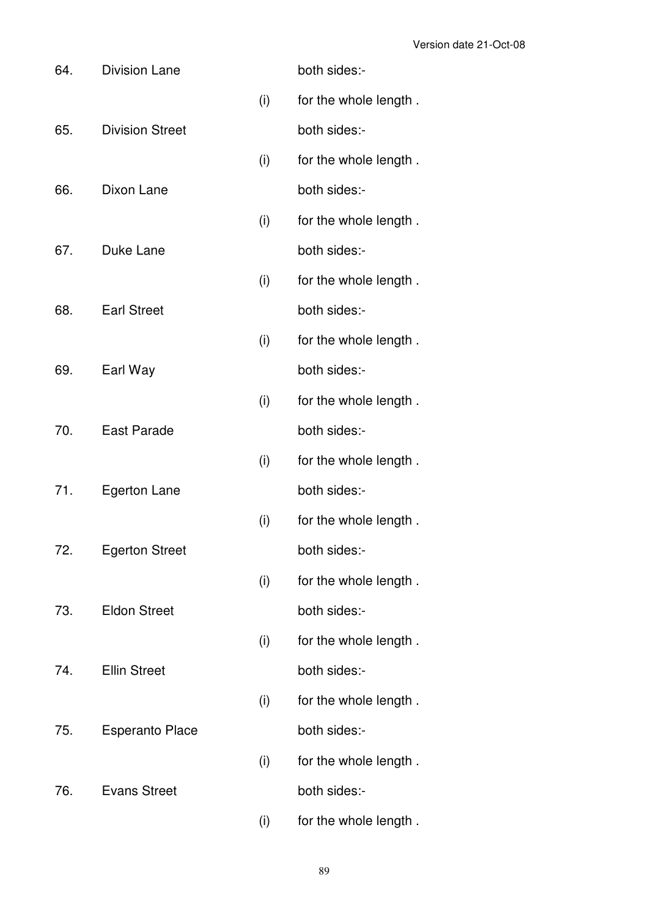| 64. | <b>Division Lane</b>   |     | both sides:-          |
|-----|------------------------|-----|-----------------------|
|     |                        | (i) | for the whole length. |
| 65. | <b>Division Street</b> |     | both sides:-          |
|     |                        | (i) | for the whole length. |
| 66. | Dixon Lane             |     | both sides:-          |
|     |                        | (i) | for the whole length. |
| 67. | Duke Lane              |     | both sides:-          |
|     |                        | (i) | for the whole length. |
| 68. | <b>Earl Street</b>     |     | both sides:-          |
|     |                        | (i) | for the whole length. |
| 69. | Earl Way               |     | both sides:-          |
|     |                        | (i) | for the whole length. |
| 70. | East Parade            |     | both sides:-          |
|     |                        | (i) | for the whole length. |
| 71. | <b>Egerton Lane</b>    |     | both sides:-          |
|     |                        | (i) | for the whole length. |
| 72. | <b>Egerton Street</b>  |     | both sides:-          |
|     |                        | (i) | for the whole length. |
| 73. | <b>Eldon Street</b>    |     | both sides:-          |
|     |                        | (i) | for the whole length. |
| 74. | <b>Ellin Street</b>    |     | both sides:-          |
|     |                        | (i) | for the whole length. |
| 75. | <b>Esperanto Place</b> |     | both sides:-          |
|     |                        | (i) | for the whole length. |
| 76. | <b>Evans Street</b>    |     | both sides:-          |
|     |                        | (i) | for the whole length. |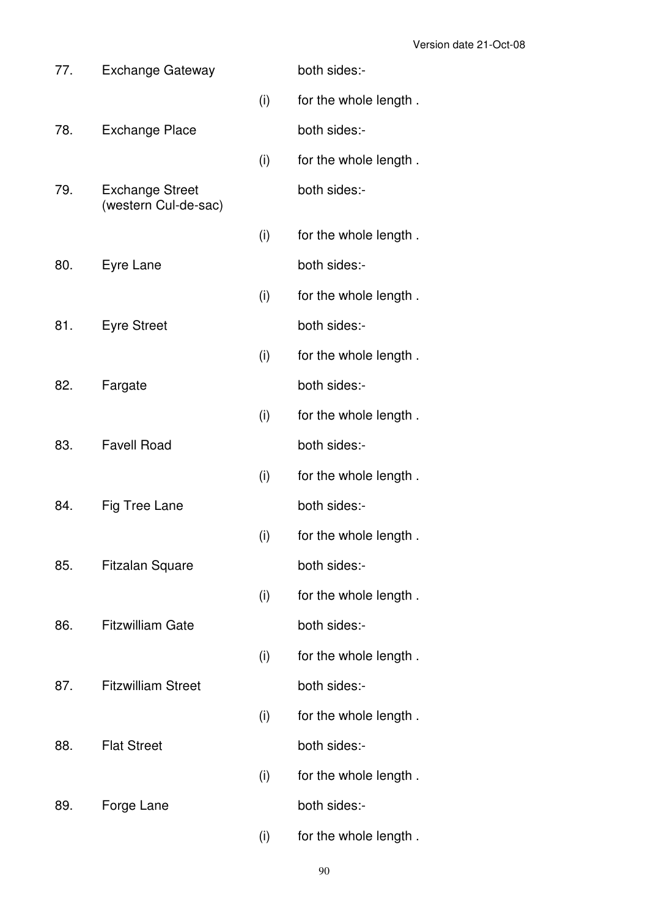| 77. | <b>Exchange Gateway</b>                        |     | both sides:-          |
|-----|------------------------------------------------|-----|-----------------------|
|     |                                                | (i) | for the whole length. |
| 78. | <b>Exchange Place</b>                          |     | both sides:-          |
|     |                                                | (i) | for the whole length. |
| 79. | <b>Exchange Street</b><br>(western Cul-de-sac) |     | both sides:-          |
|     |                                                | (i) | for the whole length. |
| 80. | Eyre Lane                                      |     | both sides:-          |
|     |                                                | (i) | for the whole length. |
| 81. | <b>Eyre Street</b>                             |     | both sides:-          |
|     |                                                | (i) | for the whole length. |
| 82. | Fargate                                        |     | both sides:-          |
|     |                                                | (i) | for the whole length. |
| 83. | <b>Favell Road</b>                             |     | both sides:-          |
|     |                                                | (i) | for the whole length. |
| 84. | Fig Tree Lane                                  |     | both sides:-          |
|     |                                                | (i) | for the whole length. |
| 85. | <b>Fitzalan Square</b>                         |     | both sides:-          |
|     |                                                | (i) | for the whole length. |
| 86. | <b>Fitzwilliam Gate</b>                        |     | both sides:-          |
|     |                                                | (i) | for the whole length. |
| 87. | <b>Fitzwilliam Street</b>                      |     | both sides:-          |
|     |                                                | (i) | for the whole length. |
| 88. | <b>Flat Street</b>                             |     | both sides:-          |
|     |                                                | (i) | for the whole length. |
| 89. | Forge Lane                                     |     | both sides:-          |
|     |                                                | (i) | for the whole length. |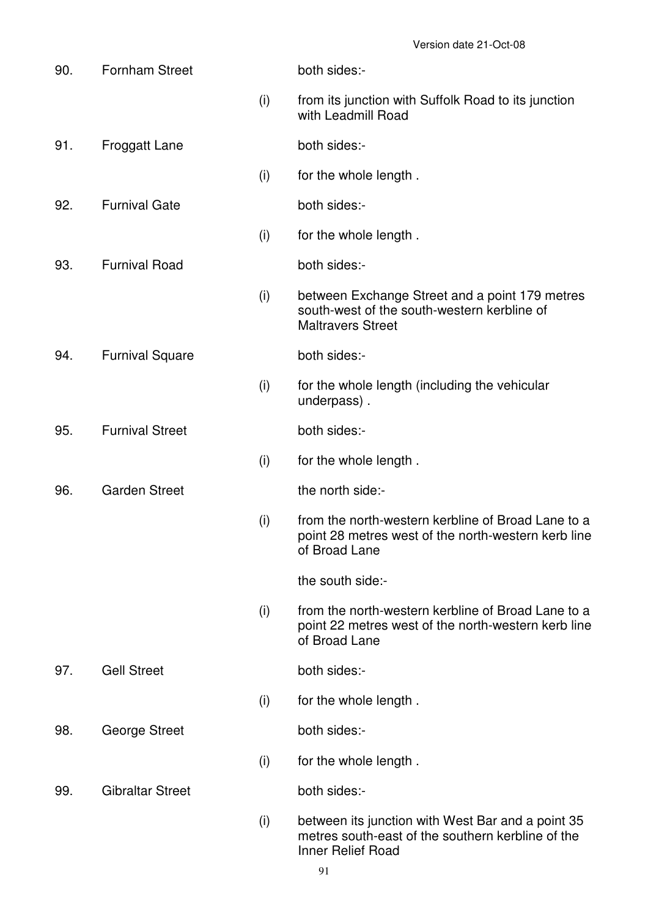| 90. | <b>Fornham Street</b>   |     | both sides:-                                                                                                                |
|-----|-------------------------|-----|-----------------------------------------------------------------------------------------------------------------------------|
|     |                         | (i) | from its junction with Suffolk Road to its junction<br>with Leadmill Road                                                   |
| 91. | <b>Froggatt Lane</b>    |     | both sides:-                                                                                                                |
|     |                         | (i) | for the whole length.                                                                                                       |
| 92. | <b>Furnival Gate</b>    |     | both sides:-                                                                                                                |
|     |                         | (i) | for the whole length.                                                                                                       |
| 93. | <b>Furnival Road</b>    |     | both sides:-                                                                                                                |
|     |                         | (i) | between Exchange Street and a point 179 metres<br>south-west of the south-western kerbline of<br><b>Maltravers Street</b>   |
| 94. | <b>Furnival Square</b>  |     | both sides:-                                                                                                                |
|     |                         | (i) | for the whole length (including the vehicular<br>underpass).                                                                |
| 95. | <b>Furnival Street</b>  |     | both sides:-                                                                                                                |
|     |                         | (i) | for the whole length.                                                                                                       |
| 96. | <b>Garden Street</b>    |     | the north side:-                                                                                                            |
|     |                         | (i) | from the north-western kerbline of Broad Lane to a<br>point 28 metres west of the north-western kerb line<br>of Broad Lane  |
|     |                         |     | the south side:-                                                                                                            |
|     |                         | (i) | from the north-western kerbline of Broad Lane to a<br>point 22 metres west of the north-western kerb line<br>of Broad Lane  |
| 97. | <b>Gell Street</b>      |     | both sides:-                                                                                                                |
|     |                         | (i) | for the whole length.                                                                                                       |
| 98. | George Street           |     | both sides:-                                                                                                                |
|     |                         | (i) | for the whole length.                                                                                                       |
| 99. | <b>Gibraltar Street</b> |     | both sides:-                                                                                                                |
|     |                         | (i) | between its junction with West Bar and a point 35<br>metres south-east of the southern kerbline of the<br>Inner Relief Road |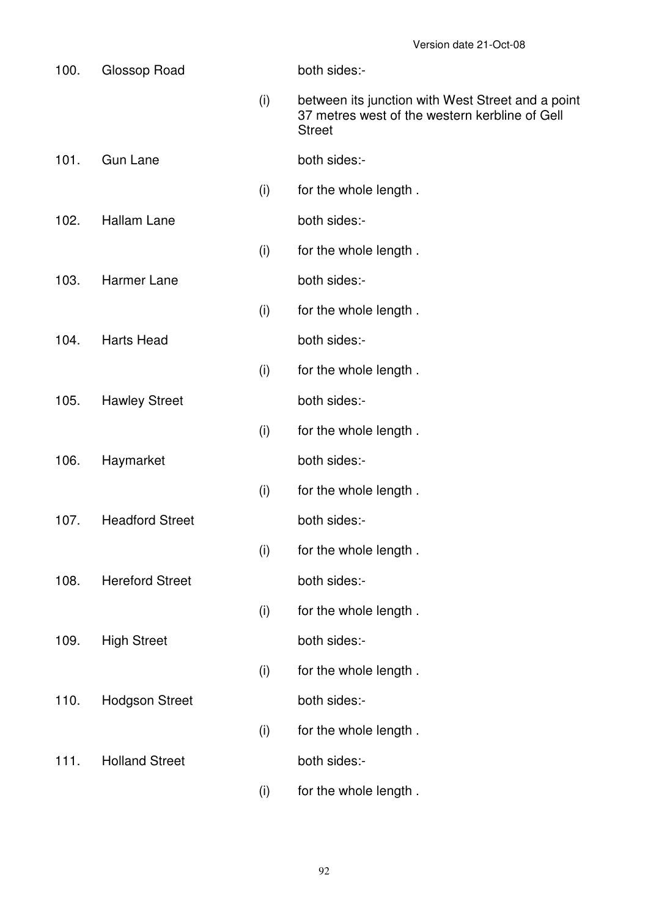| 100. | Glossop Road           |     | both sides:-                                                                                                         |
|------|------------------------|-----|----------------------------------------------------------------------------------------------------------------------|
|      |                        | (i) | between its junction with West Street and a point<br>37 metres west of the western kerbline of Gell<br><b>Street</b> |
| 101. | <b>Gun Lane</b>        |     | both sides:-                                                                                                         |
|      |                        | (i) | for the whole length.                                                                                                |
| 102. | <b>Hallam Lane</b>     |     | both sides:-                                                                                                         |
|      |                        | (i) | for the whole length.                                                                                                |
| 103. | <b>Harmer Lane</b>     |     | both sides:-                                                                                                         |
|      |                        | (i) | for the whole length.                                                                                                |
| 104. | <b>Harts Head</b>      |     | both sides:-                                                                                                         |
|      |                        | (i) | for the whole length.                                                                                                |
| 105. | <b>Hawley Street</b>   |     | both sides:-                                                                                                         |
|      |                        | (i) | for the whole length.                                                                                                |
| 106. | Haymarket              |     | both sides:-                                                                                                         |
|      |                        | (i) | for the whole length.                                                                                                |
| 107. | <b>Headford Street</b> |     | both sides:-                                                                                                         |
|      |                        | (i) | for the whole length.                                                                                                |
| 108. | <b>Hereford Street</b> |     | both sides:-                                                                                                         |
|      |                        | (i) | for the whole length.                                                                                                |
| 109. | <b>High Street</b>     |     | both sides:-                                                                                                         |
|      |                        | (i) | for the whole length.                                                                                                |
| 110. | <b>Hodgson Street</b>  |     | both sides:-                                                                                                         |
|      |                        | (i) | for the whole length.                                                                                                |
| 111. | <b>Holland Street</b>  |     | both sides:-                                                                                                         |
|      |                        | (i) | for the whole length.                                                                                                |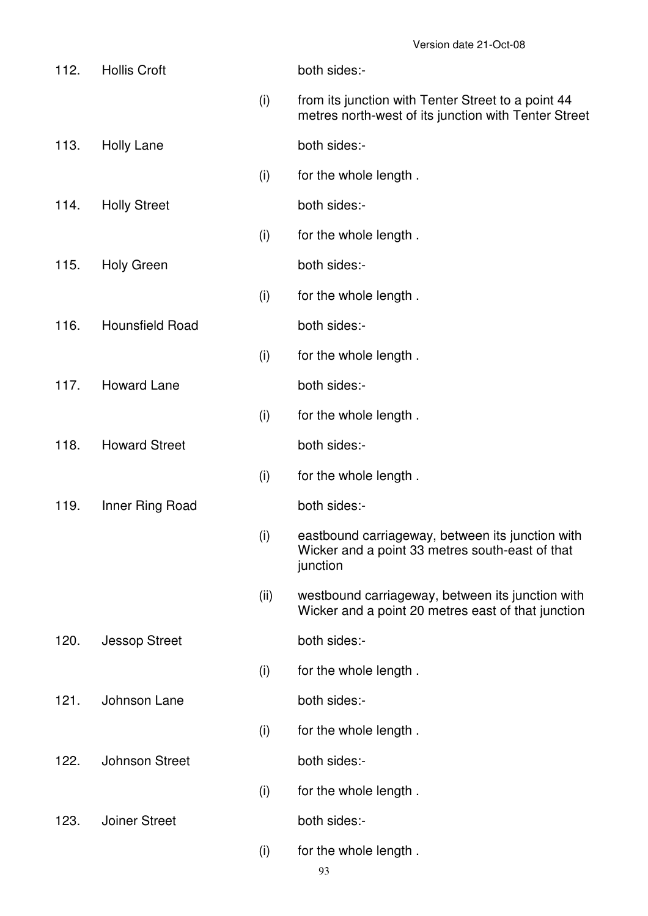| 112. | <b>Hollis Croft</b>    |      | both sides:-                                                                                                    |
|------|------------------------|------|-----------------------------------------------------------------------------------------------------------------|
|      |                        | (i)  | from its junction with Tenter Street to a point 44<br>metres north-west of its junction with Tenter Street      |
| 113. | <b>Holly Lane</b>      |      | both sides:-                                                                                                    |
|      |                        | (i)  | for the whole length.                                                                                           |
| 114. | <b>Holly Street</b>    |      | both sides:-                                                                                                    |
|      |                        | (i)  | for the whole length.                                                                                           |
| 115. | <b>Holy Green</b>      |      | both sides:-                                                                                                    |
|      |                        | (i)  | for the whole length.                                                                                           |
| 116. | <b>Hounsfield Road</b> |      | both sides:-                                                                                                    |
|      |                        | (i)  | for the whole length.                                                                                           |
| 117. | <b>Howard Lane</b>     |      | both sides:-                                                                                                    |
|      |                        | (i)  | for the whole length.                                                                                           |
| 118. | <b>Howard Street</b>   |      | both sides:-                                                                                                    |
|      |                        | (i)  | for the whole length.                                                                                           |
| 119. | Inner Ring Road        |      | both sides:-                                                                                                    |
|      |                        | (i)  | eastbound carriageway, between its junction with<br>Wicker and a point 33 metres south-east of that<br>junction |
|      |                        | (ii) | westbound carriageway, between its junction with<br>Wicker and a point 20 metres east of that junction          |
| 120. | <b>Jessop Street</b>   |      | both sides:-                                                                                                    |
|      |                        | (i)  | for the whole length.                                                                                           |
| 121. | Johnson Lane           |      | both sides:-                                                                                                    |
|      |                        | (i)  | for the whole length.                                                                                           |
| 122. | <b>Johnson Street</b>  |      | both sides:-                                                                                                    |
|      |                        | (i)  | for the whole length.                                                                                           |
| 123. | <b>Joiner Street</b>   |      | both sides:-                                                                                                    |
|      |                        | (i)  | for the whole length.                                                                                           |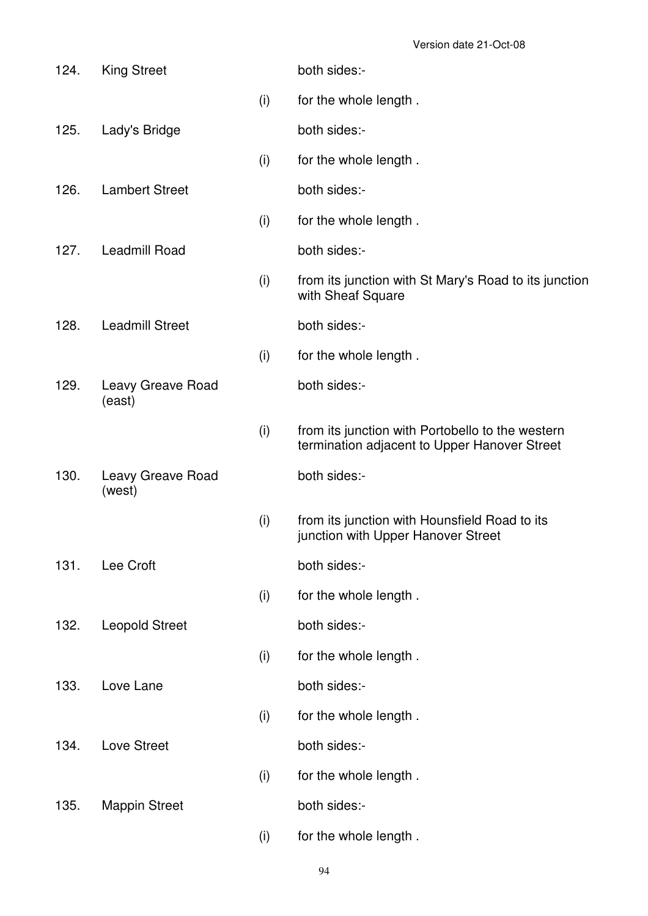| 124. | <b>King Street</b>          |     | both sides:-                                                                                     |
|------|-----------------------------|-----|--------------------------------------------------------------------------------------------------|
|      |                             | (i) | for the whole length.                                                                            |
| 125. | Lady's Bridge               |     | both sides:-                                                                                     |
|      |                             | (i) | for the whole length.                                                                            |
| 126. | <b>Lambert Street</b>       |     | both sides:-                                                                                     |
|      |                             | (i) | for the whole length.                                                                            |
| 127. | Leadmill Road               |     | both sides:-                                                                                     |
|      |                             | (i) | from its junction with St Mary's Road to its junction<br>with Sheaf Square                       |
| 128. | <b>Leadmill Street</b>      |     | both sides:-                                                                                     |
|      |                             | (i) | for the whole length.                                                                            |
| 129. | Leavy Greave Road<br>(east) |     | both sides:-                                                                                     |
|      |                             | (i) | from its junction with Portobello to the western<br>termination adjacent to Upper Hanover Street |
| 130. | Leavy Greave Road<br>(west) |     | both sides:-                                                                                     |
|      |                             | (i) | from its junction with Hounsfield Road to its<br>junction with Upper Hanover Street              |
| 131. | Lee Croft                   |     | both sides:-                                                                                     |
|      |                             | (i) | for the whole length.                                                                            |
| 132. | <b>Leopold Street</b>       |     | both sides:-                                                                                     |
|      |                             | (i) | for the whole length.                                                                            |
| 133. | Love Lane                   |     | both sides:-                                                                                     |
|      |                             | (i) | for the whole length.                                                                            |
| 134. | Love Street                 |     | both sides:-                                                                                     |
|      |                             | (i) | for the whole length.                                                                            |
| 135. | <b>Mappin Street</b>        |     | both sides:-                                                                                     |
|      |                             | (i) | for the whole length.                                                                            |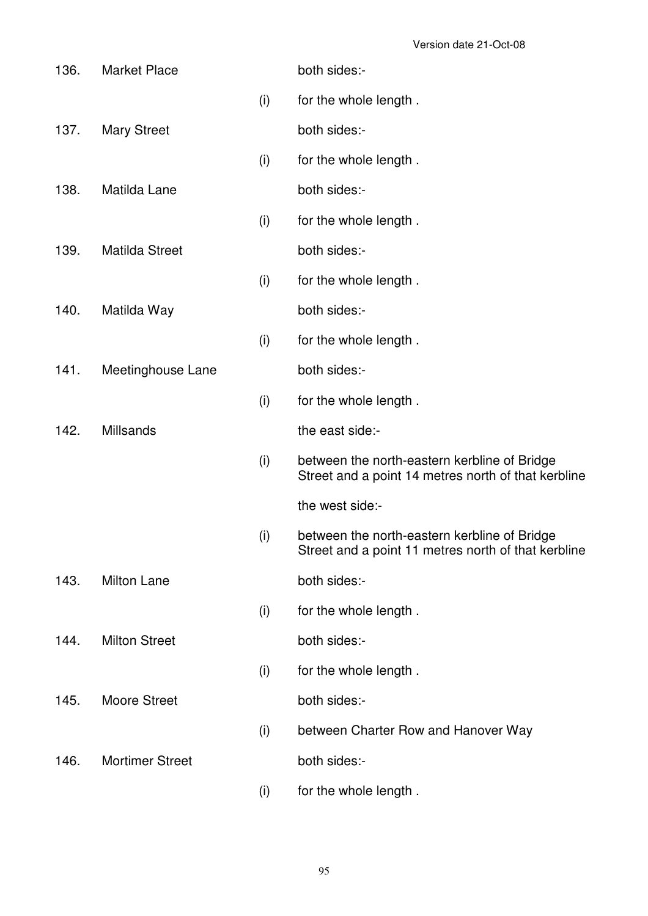| 136. | <b>Market Place</b>    |     | both sides:-                                                                                        |
|------|------------------------|-----|-----------------------------------------------------------------------------------------------------|
|      |                        | (i) | for the whole length.                                                                               |
| 137. | <b>Mary Street</b>     |     | both sides:-                                                                                        |
|      |                        | (i) | for the whole length.                                                                               |
| 138. | Matilda Lane           |     | both sides:-                                                                                        |
|      |                        | (i) | for the whole length.                                                                               |
| 139. | Matilda Street         |     | both sides:-                                                                                        |
|      |                        | (i) | for the whole length.                                                                               |
| 140. | Matilda Way            |     | both sides:-                                                                                        |
|      |                        | (i) | for the whole length.                                                                               |
| 141. | Meetinghouse Lane      |     | both sides:-                                                                                        |
|      |                        | (i) | for the whole length.                                                                               |
| 142. | <b>Millsands</b>       |     | the east side:-                                                                                     |
|      |                        | (i) | between the north-eastern kerbline of Bridge<br>Street and a point 14 metres north of that kerbline |
|      |                        |     | the west side:-                                                                                     |
|      |                        | (i) | between the north-eastern kerbline of Bridge<br>Street and a point 11 metres north of that kerbline |
| 143. | Milton Lane            |     | both sides:-                                                                                        |
|      |                        | (i) | for the whole length.                                                                               |
| 144. | <b>Milton Street</b>   |     | both sides:-                                                                                        |
|      |                        | (i) | for the whole length.                                                                               |
| 145. | <b>Moore Street</b>    |     | both sides:-                                                                                        |
|      |                        | (i) | between Charter Row and Hanover Way                                                                 |
| 146. | <b>Mortimer Street</b> |     | both sides:-                                                                                        |
|      |                        | (i) | for the whole length.                                                                               |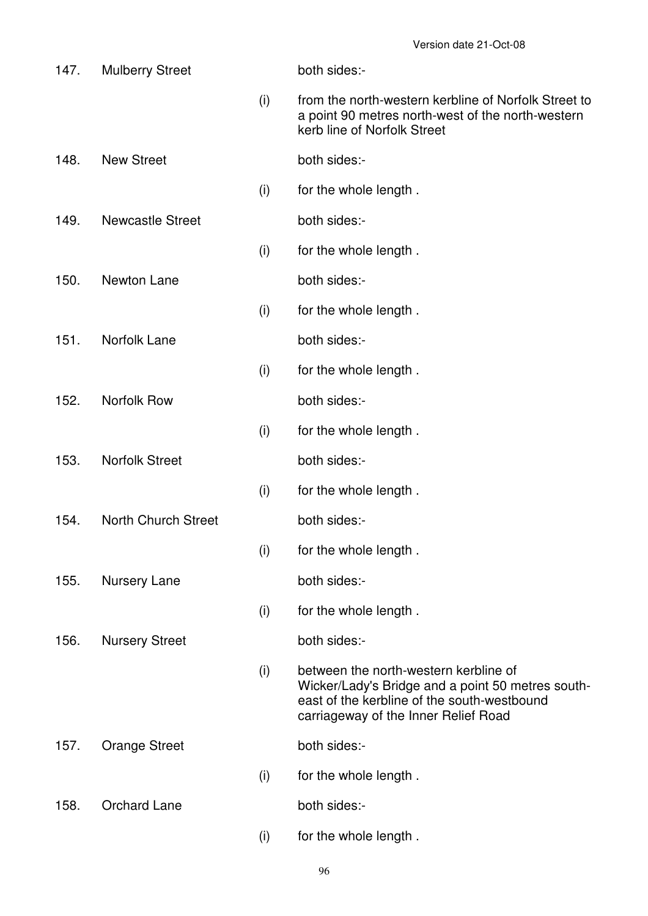| 147. | <b>Mulberry Street</b>     |     | both sides:-                                                                                                                                                                      |
|------|----------------------------|-----|-----------------------------------------------------------------------------------------------------------------------------------------------------------------------------------|
|      |                            | (i) | from the north-western kerbline of Norfolk Street to<br>a point 90 metres north-west of the north-western<br>kerb line of Norfolk Street                                          |
| 148. | <b>New Street</b>          |     | both sides:-                                                                                                                                                                      |
|      |                            | (i) | for the whole length.                                                                                                                                                             |
| 149. | <b>Newcastle Street</b>    |     | both sides:-                                                                                                                                                                      |
|      |                            | (i) | for the whole length.                                                                                                                                                             |
| 150. | Newton Lane                |     | both sides:-                                                                                                                                                                      |
|      |                            | (i) | for the whole length.                                                                                                                                                             |
| 151. | Norfolk Lane               |     | both sides:-                                                                                                                                                                      |
|      |                            | (i) | for the whole length.                                                                                                                                                             |
| 152. | <b>Norfolk Row</b>         |     | both sides:-                                                                                                                                                                      |
|      |                            | (i) | for the whole length.                                                                                                                                                             |
| 153. | <b>Norfolk Street</b>      |     | both sides:-                                                                                                                                                                      |
|      |                            | (i) | for the whole length.                                                                                                                                                             |
| 154. | <b>North Church Street</b> |     | both sides:-                                                                                                                                                                      |
|      |                            | (i) | for the whole length.                                                                                                                                                             |
| 155. | Nursery Lane               |     | both sides:-                                                                                                                                                                      |
|      |                            | (i) | for the whole length.                                                                                                                                                             |
| 156. | <b>Nursery Street</b>      |     | both sides:-                                                                                                                                                                      |
|      |                            | (i) | between the north-western kerbline of<br>Wicker/Lady's Bridge and a point 50 metres south-<br>east of the kerbline of the south-westbound<br>carriageway of the Inner Relief Road |
| 157. | <b>Orange Street</b>       |     | both sides:-                                                                                                                                                                      |
|      |                            | (i) | for the whole length.                                                                                                                                                             |
| 158. | <b>Orchard Lane</b>        |     | both sides:-                                                                                                                                                                      |
|      |                            | (i) | for the whole length.                                                                                                                                                             |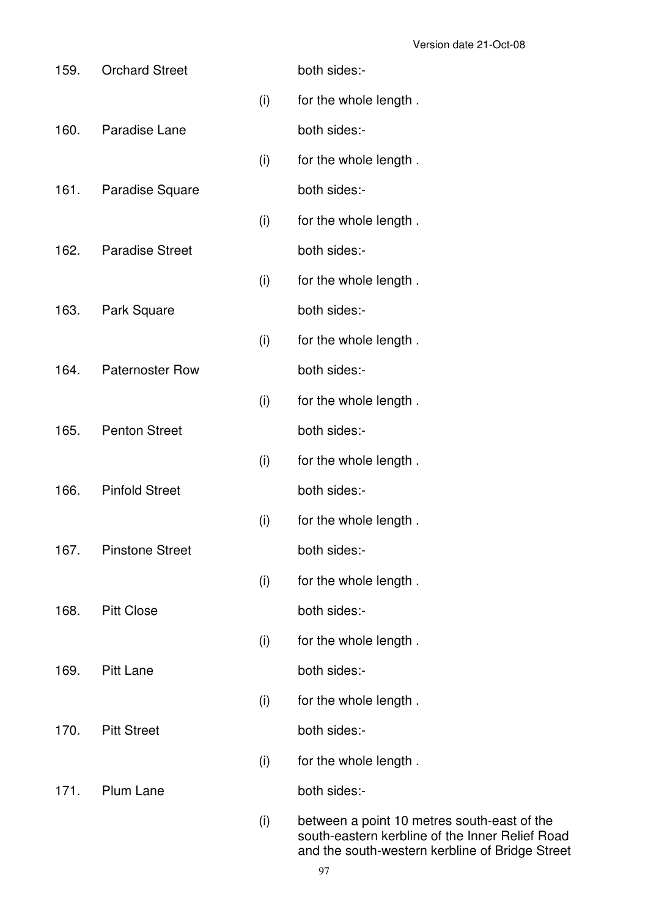| 159. | <b>Orchard Street</b>  |     | both sides:-                                                                                                                                      |
|------|------------------------|-----|---------------------------------------------------------------------------------------------------------------------------------------------------|
|      |                        | (i) | for the whole length.                                                                                                                             |
| 160. | Paradise Lane          |     | both sides:-                                                                                                                                      |
|      |                        | (i) | for the whole length.                                                                                                                             |
| 161. | Paradise Square        |     | both sides:-                                                                                                                                      |
|      |                        | (i) | for the whole length.                                                                                                                             |
| 162. | <b>Paradise Street</b> |     | both sides:-                                                                                                                                      |
|      |                        | (i) | for the whole length.                                                                                                                             |
| 163. | Park Square            |     | both sides:-                                                                                                                                      |
|      |                        | (i) | for the whole length.                                                                                                                             |
| 164. | <b>Paternoster Row</b> |     | both sides:-                                                                                                                                      |
|      |                        | (i) | for the whole length.                                                                                                                             |
| 165. | <b>Penton Street</b>   |     | both sides:-                                                                                                                                      |
|      |                        | (i) | for the whole length.                                                                                                                             |
| 166. | <b>Pinfold Street</b>  |     | both sides:-                                                                                                                                      |
|      |                        | (i) | for the whole length.                                                                                                                             |
| 167. | <b>Pinstone Street</b> |     | both sides:-                                                                                                                                      |
|      |                        | (i) | for the whole length.                                                                                                                             |
| 168. | <b>Pitt Close</b>      |     | both sides:-                                                                                                                                      |
|      |                        | (i) | for the whole length.                                                                                                                             |
| 169. | <b>Pitt Lane</b>       |     | both sides:-                                                                                                                                      |
|      |                        | (i) | for the whole length.                                                                                                                             |
| 170. | <b>Pitt Street</b>     |     | both sides:-                                                                                                                                      |
|      |                        | (i) | for the whole length.                                                                                                                             |
| 171. | <b>Plum Lane</b>       |     | both sides:-                                                                                                                                      |
|      |                        | (i) | between a point 10 metres south-east of the<br>south-eastern kerbline of the Inner Relief Road<br>and the south-western kerbline of Bridge Street |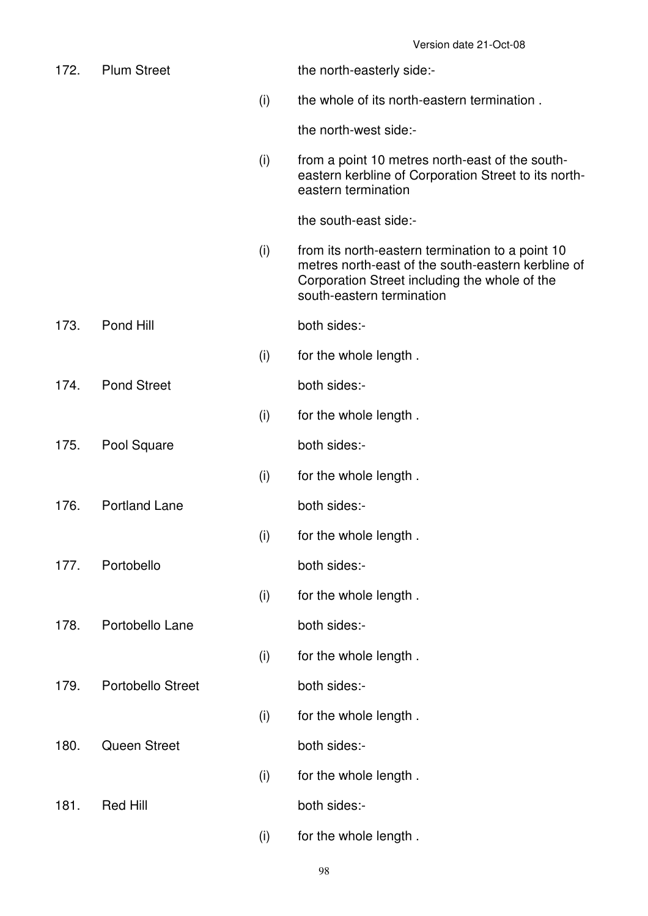| 172. | <b>Plum Street</b>       |     | the north-easterly side:-                                                                                                                                                            |
|------|--------------------------|-----|--------------------------------------------------------------------------------------------------------------------------------------------------------------------------------------|
|      |                          | (i) | the whole of its north-eastern termination.                                                                                                                                          |
|      |                          |     | the north-west side:-                                                                                                                                                                |
|      |                          | (i) | from a point 10 metres north-east of the south-<br>eastern kerbline of Corporation Street to its north-<br>eastern termination                                                       |
|      |                          |     | the south-east side:-                                                                                                                                                                |
|      |                          | (i) | from its north-eastern termination to a point 10<br>metres north-east of the south-eastern kerbline of<br>Corporation Street including the whole of the<br>south-eastern termination |
| 173. | Pond Hill                |     | both sides:-                                                                                                                                                                         |
|      |                          | (i) | for the whole length.                                                                                                                                                                |
| 174. | <b>Pond Street</b>       |     | both sides:-                                                                                                                                                                         |
|      |                          | (i) | for the whole length.                                                                                                                                                                |
| 175. | Pool Square              |     | both sides:-                                                                                                                                                                         |
|      |                          | (i) | for the whole length.                                                                                                                                                                |
| 176. | <b>Portland Lane</b>     |     | both sides:-                                                                                                                                                                         |
|      |                          | (i) | for the whole length.                                                                                                                                                                |
| 177. | Portobello               |     | both sides:-                                                                                                                                                                         |
|      |                          | (i) | for the whole length.                                                                                                                                                                |
| 178. | Portobello Lane          |     | both sides:-                                                                                                                                                                         |
|      |                          | (i) | for the whole length.                                                                                                                                                                |
| 179. | <b>Portobello Street</b> |     | both sides:-                                                                                                                                                                         |
|      |                          | (i) | for the whole length.                                                                                                                                                                |
| 180. | <b>Queen Street</b>      |     | both sides:-                                                                                                                                                                         |
|      |                          | (i) | for the whole length.                                                                                                                                                                |
| 181. | <b>Red Hill</b>          |     | both sides:-                                                                                                                                                                         |
|      |                          | (i) | for the whole length.                                                                                                                                                                |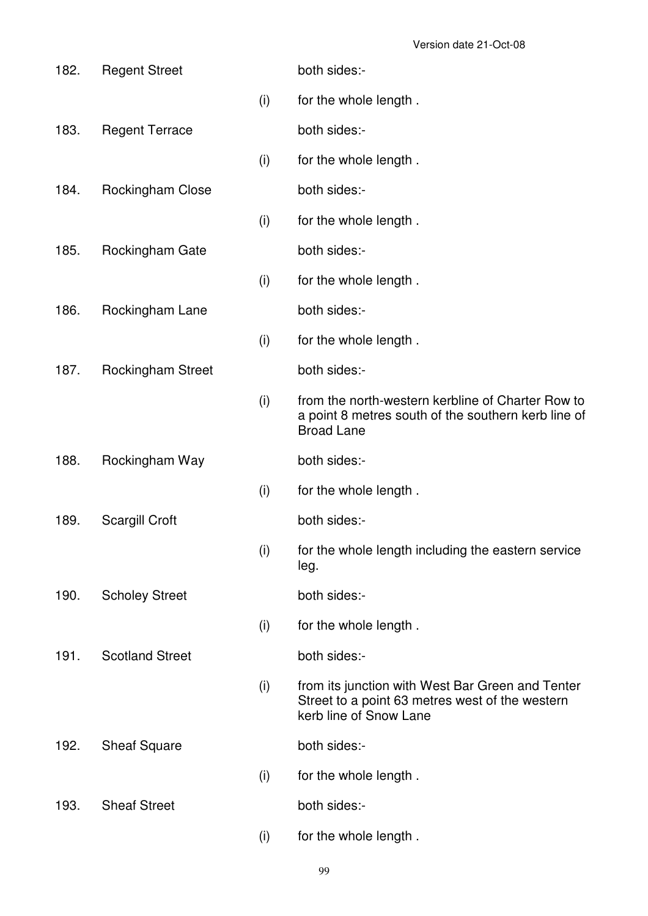| 182. | <b>Regent Street</b>     |     | both sides:-                                                                                                                  |
|------|--------------------------|-----|-------------------------------------------------------------------------------------------------------------------------------|
|      |                          | (i) | for the whole length.                                                                                                         |
| 183. | <b>Regent Terrace</b>    |     | both sides:-                                                                                                                  |
|      |                          | (i) | for the whole length.                                                                                                         |
| 184. | Rockingham Close         |     | both sides:-                                                                                                                  |
|      |                          | (i) | for the whole length.                                                                                                         |
| 185. | Rockingham Gate          |     | both sides:-                                                                                                                  |
|      |                          | (i) | for the whole length.                                                                                                         |
| 186. | Rockingham Lane          |     | both sides:-                                                                                                                  |
|      |                          | (i) | for the whole length.                                                                                                         |
| 187. | <b>Rockingham Street</b> |     | both sides:-                                                                                                                  |
|      |                          | (i) | from the north-western kerbline of Charter Row to<br>a point 8 metres south of the southern kerb line of<br><b>Broad Lane</b> |
| 188. | Rockingham Way           |     | both sides:-                                                                                                                  |
|      |                          | (i) | for the whole length.                                                                                                         |
| 189. | <b>Scargill Croft</b>    |     | both sides:-                                                                                                                  |
|      |                          | (i) | for the whole length including the eastern service<br>leg.                                                                    |
| 190. | <b>Scholey Street</b>    |     | both sides:-                                                                                                                  |
|      |                          | (i) | for the whole length.                                                                                                         |
| 191. | <b>Scotland Street</b>   |     | both sides:-                                                                                                                  |
|      |                          | (i) | from its junction with West Bar Green and Tenter<br>Street to a point 63 metres west of the western<br>kerb line of Snow Lane |
| 192. | <b>Sheaf Square</b>      |     | both sides:-                                                                                                                  |
|      |                          | (i) | for the whole length.                                                                                                         |
| 193. | <b>Sheaf Street</b>      |     | both sides:-                                                                                                                  |
|      |                          | (i) | for the whole length.                                                                                                         |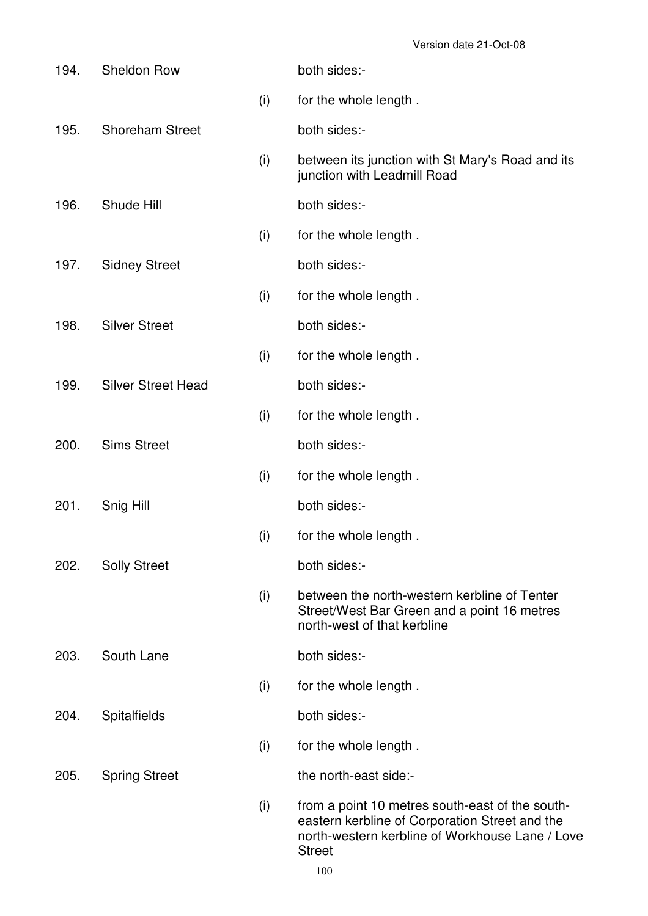| 194. | <b>Sheldon Row</b>        |     | both sides:-                                                                                                                                                          |
|------|---------------------------|-----|-----------------------------------------------------------------------------------------------------------------------------------------------------------------------|
|      |                           | (i) | for the whole length.                                                                                                                                                 |
| 195. | <b>Shoreham Street</b>    |     | both sides:-                                                                                                                                                          |
|      |                           | (i) | between its junction with St Mary's Road and its<br>junction with Leadmill Road                                                                                       |
| 196. | Shude Hill                |     | both sides:-                                                                                                                                                          |
|      |                           | (i) | for the whole length.                                                                                                                                                 |
| 197. | <b>Sidney Street</b>      |     | both sides:-                                                                                                                                                          |
|      |                           | (i) | for the whole length.                                                                                                                                                 |
| 198. | <b>Silver Street</b>      |     | both sides:-                                                                                                                                                          |
|      |                           | (i) | for the whole length.                                                                                                                                                 |
| 199. | <b>Silver Street Head</b> |     | both sides:-                                                                                                                                                          |
|      |                           | (i) | for the whole length.                                                                                                                                                 |
| 200. | <b>Sims Street</b>        |     | both sides:-                                                                                                                                                          |
|      |                           | (i) | for the whole length.                                                                                                                                                 |
| 201. | Snig Hill                 |     | both sides:-                                                                                                                                                          |
|      |                           | (i) | for the whole length.                                                                                                                                                 |
| 202. | <b>Solly Street</b>       |     | both sides:-                                                                                                                                                          |
|      |                           | (i) | between the north-western kerbline of Tenter<br>Street/West Bar Green and a point 16 metres<br>north-west of that kerbline                                            |
| 203. | South Lane                |     | both sides:-                                                                                                                                                          |
|      |                           | (i) | for the whole length.                                                                                                                                                 |
| 204. | <b>Spitalfields</b>       |     | both sides:-                                                                                                                                                          |
|      |                           | (i) | for the whole length.                                                                                                                                                 |
| 205. | <b>Spring Street</b>      |     | the north-east side:-                                                                                                                                                 |
|      |                           | (i) | from a point 10 metres south-east of the south-<br>eastern kerbline of Corporation Street and the<br>north-western kerbline of Workhouse Lane / Love<br><b>Street</b> |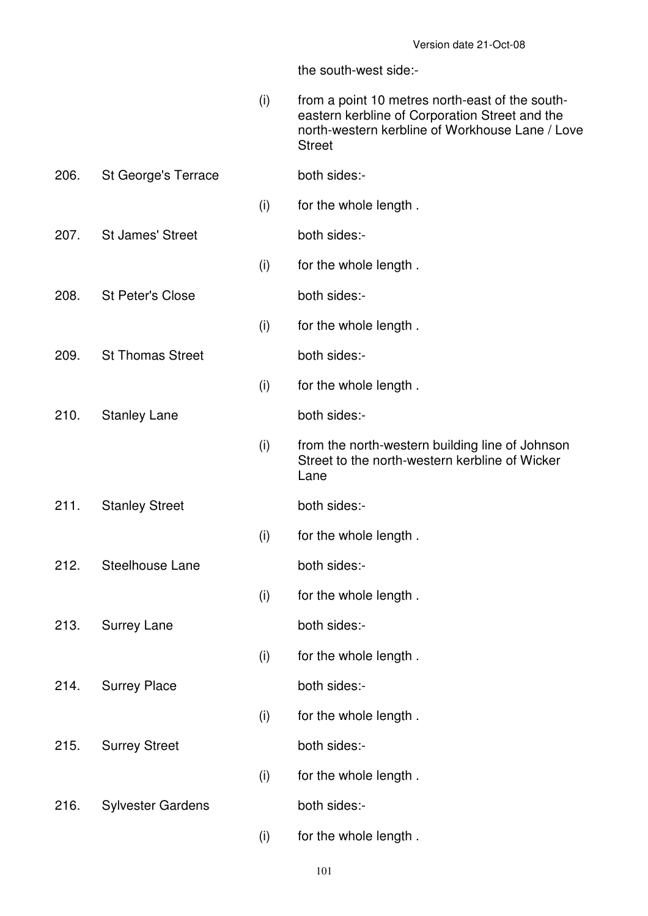|      |                          | (i) | from a point 10 metres north-east of the south-<br>eastern kerbline of Corporation Street and the<br>north-western kerbline of Workhouse Lane / Love<br><b>Street</b> |
|------|--------------------------|-----|-----------------------------------------------------------------------------------------------------------------------------------------------------------------------|
| 206. | St George's Terrace      |     | both sides:-                                                                                                                                                          |
|      |                          | (i) | for the whole length.                                                                                                                                                 |
| 207. | <b>St James' Street</b>  |     | both sides:-                                                                                                                                                          |
|      |                          | (i) | for the whole length.                                                                                                                                                 |
| 208. | <b>St Peter's Close</b>  |     | both sides:-                                                                                                                                                          |
|      |                          | (i) | for the whole length.                                                                                                                                                 |
| 209. | <b>St Thomas Street</b>  |     | both sides:-                                                                                                                                                          |
|      |                          | (i) | for the whole length.                                                                                                                                                 |
| 210. | <b>Stanley Lane</b>      |     | both sides:-                                                                                                                                                          |
|      |                          | (i) | from the north-western building line of Johnson<br>Street to the north-western kerbline of Wicker<br>Lane                                                             |
| 211. | <b>Stanley Street</b>    |     | both sides:-                                                                                                                                                          |
|      |                          | (i) | for the whole length.                                                                                                                                                 |
| 212. | Steelhouse Lane          |     | both sides:-                                                                                                                                                          |
|      |                          | (i) | for the whole length.                                                                                                                                                 |
| 213. | <b>Surrey Lane</b>       |     | both sides:-                                                                                                                                                          |
|      |                          | (i) | for the whole length.                                                                                                                                                 |
| 214. | <b>Surrey Place</b>      |     | both sides:-                                                                                                                                                          |
|      |                          | (i) | for the whole length.                                                                                                                                                 |
| 215. | <b>Surrey Street</b>     |     | both sides:-                                                                                                                                                          |
|      |                          | (i) | for the whole length.                                                                                                                                                 |
| 216. | <b>Sylvester Gardens</b> |     | both sides:-                                                                                                                                                          |
|      |                          | (i) | for the whole length.                                                                                                                                                 |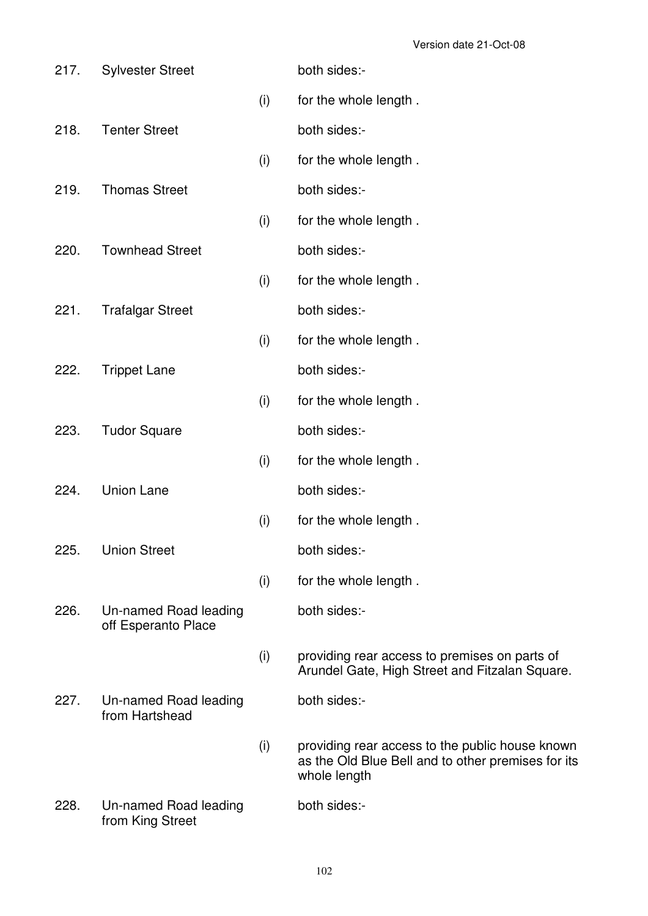| 217. | <b>Sylvester Street</b>                      |     | both sides:-                                                                                                          |
|------|----------------------------------------------|-----|-----------------------------------------------------------------------------------------------------------------------|
|      |                                              | (i) | for the whole length.                                                                                                 |
| 218. | <b>Tenter Street</b>                         |     | both sides:-                                                                                                          |
|      |                                              | (i) | for the whole length.                                                                                                 |
| 219. | <b>Thomas Street</b>                         |     | both sides:-                                                                                                          |
|      |                                              | (i) | for the whole length.                                                                                                 |
| 220. | <b>Townhead Street</b>                       |     | both sides:-                                                                                                          |
|      |                                              | (i) | for the whole length.                                                                                                 |
| 221. | <b>Trafalgar Street</b>                      |     | both sides:-                                                                                                          |
|      |                                              | (i) | for the whole length.                                                                                                 |
| 222. | <b>Trippet Lane</b>                          |     | both sides:-                                                                                                          |
|      |                                              | (i) | for the whole length.                                                                                                 |
| 223. | <b>Tudor Square</b>                          |     | both sides:-                                                                                                          |
|      |                                              | (i) | for the whole length.                                                                                                 |
| 224. | <b>Union Lane</b>                            |     | both sides:-                                                                                                          |
|      |                                              | (i) | for the whole length.                                                                                                 |
| 225. | <b>Union Street</b>                          |     | both sides:-                                                                                                          |
|      |                                              | (i) | for the whole length.                                                                                                 |
| 226. | Un-named Road leading<br>off Esperanto Place |     | both sides:-                                                                                                          |
|      |                                              | (i) | providing rear access to premises on parts of<br>Arundel Gate, High Street and Fitzalan Square.                       |
| 227. | Un-named Road leading<br>from Hartshead      |     | both sides:-                                                                                                          |
|      |                                              | (i) | providing rear access to the public house known<br>as the Old Blue Bell and to other premises for its<br>whole length |
| 228. | Un-named Road leading<br>from King Street    |     | both sides:-                                                                                                          |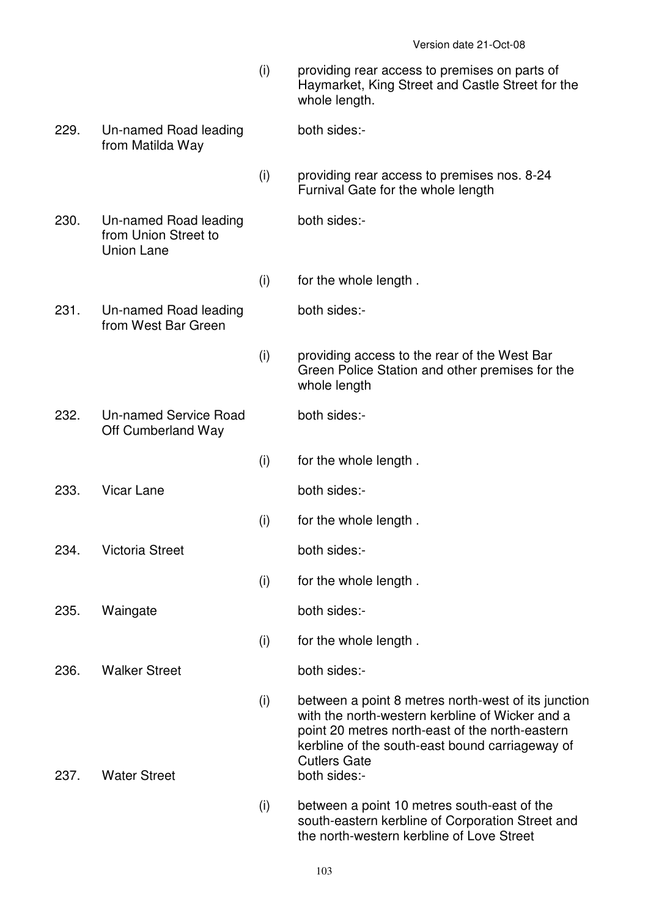- (i) providing rear access to premises on parts of Haymarket, King Street and Castle Street for the whole length.
- 229. Un-named Road leading from Matilda Way both sides:-
	- (i) providing rear access to premises nos. 8-24 Furnival Gate for the whole length
- 230. Un-named Road leading from Union Street to Union Lane
	- (i) for the whole length .

both sides:-

both sides:-

- 231. Un-named Road leading from West Bar Green
	- (i) providing access to the rear of the West Bar Green Police Station and other premises for the whole length
- 232. Un-named Service Road Off Cumberland Way both sides:-
	- (i) for the whole length .

(i) for the whole length .

- 233. Vicar Lane both sides:-
- 234. Victoria Street both sides:-
- 235. Waingate both sides:-
- 236. Walker Street both sides:-
- 
- 237. Water Street both sides:-

(i) for the whole length .

(i) for the whole length .

- (i) between a point 8 metres north-west of its junction with the north-western kerbline of Wicker and a point 20 metres north-east of the north-eastern kerbline of the south-east bound carriageway of Cutlers Gate
- (i) between a point 10 metres south-east of the south-eastern kerbline of Corporation Street and the north-western kerbline of Love Street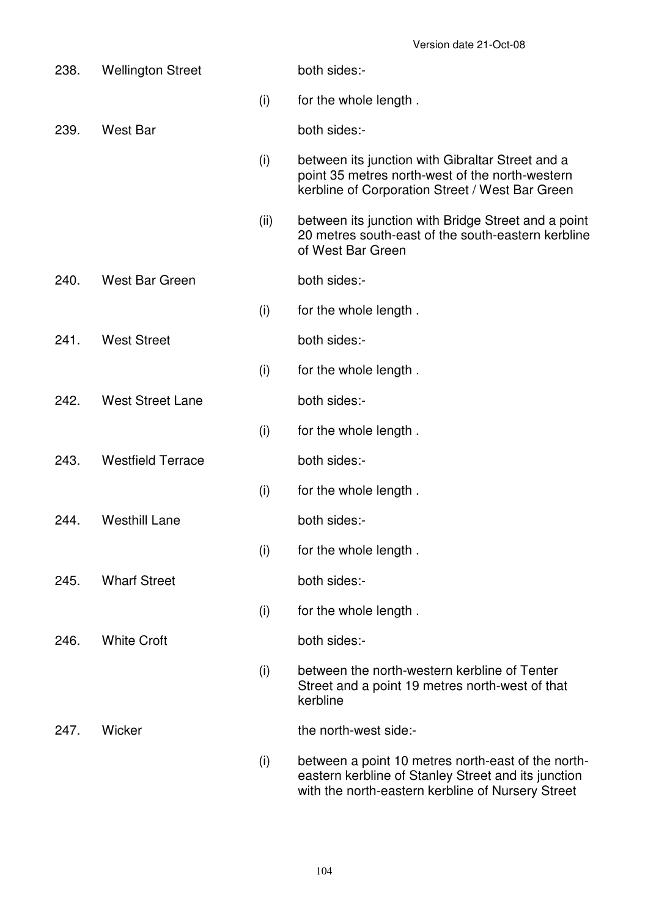| 238. | <b>Wellington Street</b> |      | both sides:-                                                                                                                                                   |
|------|--------------------------|------|----------------------------------------------------------------------------------------------------------------------------------------------------------------|
|      |                          | (i)  | for the whole length.                                                                                                                                          |
| 239. | West Bar                 |      | both sides:-                                                                                                                                                   |
|      |                          | (i)  | between its junction with Gibraltar Street and a<br>point 35 metres north-west of the north-western<br>kerbline of Corporation Street / West Bar Green         |
|      |                          | (ii) | between its junction with Bridge Street and a point<br>20 metres south-east of the south-eastern kerbline<br>of West Bar Green                                 |
| 240. | <b>West Bar Green</b>    |      | both sides:-                                                                                                                                                   |
|      |                          | (i)  | for the whole length.                                                                                                                                          |
| 241. | <b>West Street</b>       |      | both sides:-                                                                                                                                                   |
|      |                          | (i)  | for the whole length.                                                                                                                                          |
| 242. | <b>West Street Lane</b>  |      | both sides:-                                                                                                                                                   |
|      |                          | (i)  | for the whole length.                                                                                                                                          |
| 243. | <b>Westfield Terrace</b> |      | both sides:-                                                                                                                                                   |
|      |                          | (i)  | for the whole length.                                                                                                                                          |
| 244. | <b>Westhill Lane</b>     |      | both sides:-                                                                                                                                                   |
|      |                          | (i)  | for the whole length.                                                                                                                                          |
| 245. | <b>Wharf Street</b>      |      | both sides:-                                                                                                                                                   |
|      |                          | (i)  | for the whole length.                                                                                                                                          |
| 246. | <b>White Croft</b>       |      | both sides:-                                                                                                                                                   |
|      |                          | (i)  | between the north-western kerbline of Tenter<br>Street and a point 19 metres north-west of that<br>kerbline                                                    |
| 247. | Wicker                   |      | the north-west side:-                                                                                                                                          |
|      |                          | (i)  | between a point 10 metres north-east of the north-<br>eastern kerbline of Stanley Street and its junction<br>with the north-eastern kerbline of Nursery Street |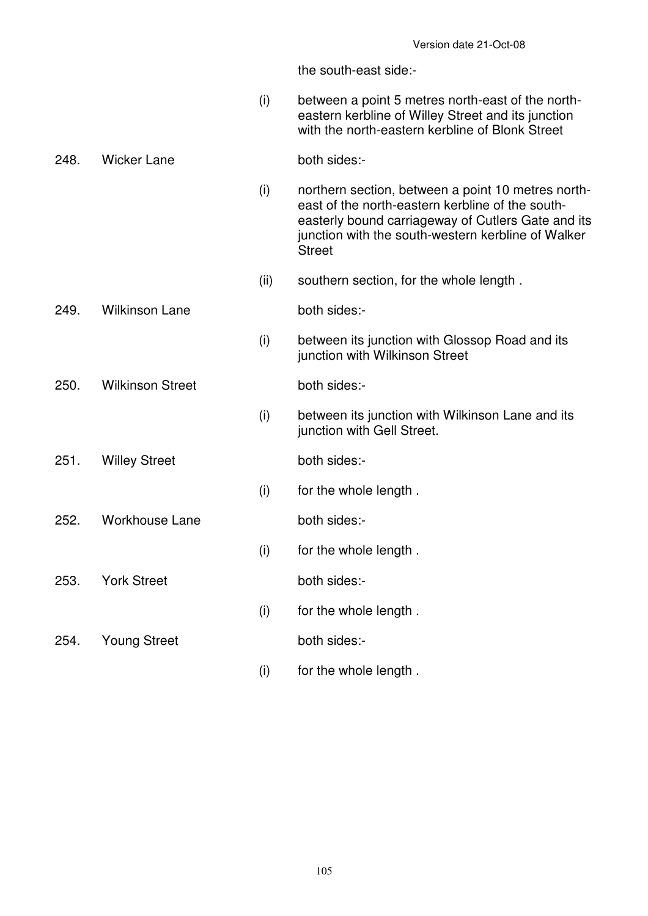(i) between a point 5 metres north-east of the northeastern kerbline of Willey Street and its junction with the north-eastern kerbline of Blonk Street

### 248. Wicker Lane both sides:-

- (i) northern section, between a point 10 metres northeast of the north-eastern kerbline of the southeasterly bound carriageway of Cutlers Gate and its junction with the south-western kerbline of Walker **Street**
- (ii) southern section, for the whole length .
- 249. Wilkinson Lane both sides:-
- - (i) between its junction with Glossop Road and its junction with Wilkinson Street

250. Wilkinson Street both sides:-

- (i) between its junction with Wilkinson Lane and its junction with Gell Street.
- 251. Willey Street both sides:-
	- (i) for the whole length .

252. Workhouse Lane both sides:-

(i) for the whole length .

253. York Street both sides:

(i) for the whole length .

254. Young Street both sides:-

(i) for the whole length .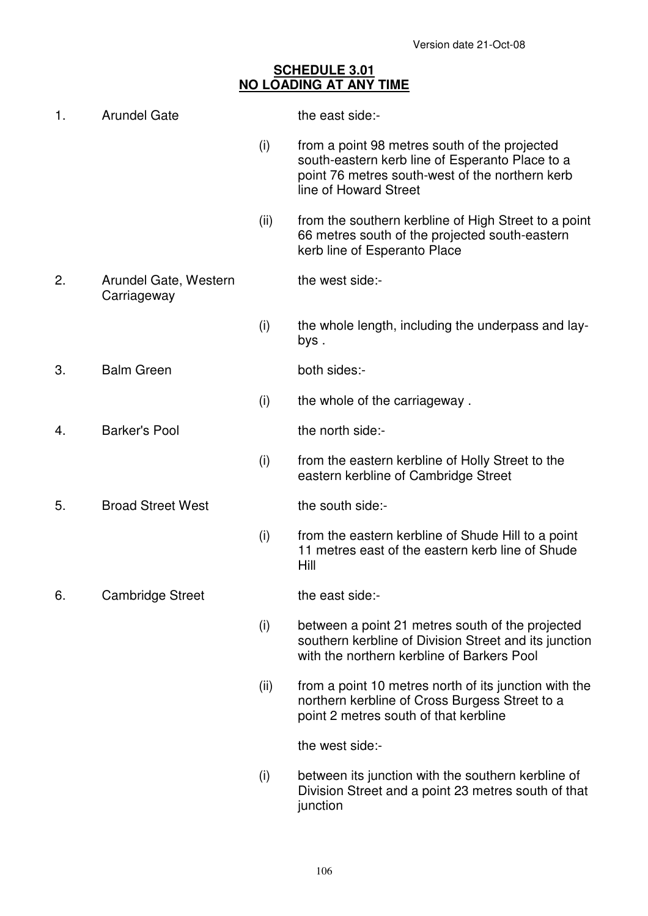# **SCHEDULE 3.01 NO LOADING AT ANY TIME**

| 1. | <b>Arundel Gate</b>                  |      | the east side:-                                                                                                                                                              |
|----|--------------------------------------|------|------------------------------------------------------------------------------------------------------------------------------------------------------------------------------|
|    |                                      | (i)  | from a point 98 metres south of the projected<br>south-eastern kerb line of Esperanto Place to a<br>point 76 metres south-west of the northern kerb<br>line of Howard Street |
|    |                                      | (ii) | from the southern kerbline of High Street to a point<br>66 metres south of the projected south-eastern<br>kerb line of Esperanto Place                                       |
| 2. | Arundel Gate, Western<br>Carriageway |      | the west side:-                                                                                                                                                              |
|    |                                      | (i)  | the whole length, including the underpass and lay-<br>bys.                                                                                                                   |
| 3. | <b>Balm Green</b>                    |      | both sides:-                                                                                                                                                                 |
|    |                                      | (i)  | the whole of the carriageway.                                                                                                                                                |
| 4. | <b>Barker's Pool</b>                 |      | the north side:-                                                                                                                                                             |
|    |                                      | (i)  | from the eastern kerbline of Holly Street to the<br>eastern kerbline of Cambridge Street                                                                                     |
| 5. | <b>Broad Street West</b>             |      | the south side:-                                                                                                                                                             |
|    |                                      | (i)  | from the eastern kerbline of Shude Hill to a point<br>11 metres east of the eastern kerb line of Shude<br>Hill                                                               |
| 6. | <b>Cambridge Street</b>              |      | the east side:-                                                                                                                                                              |
|    |                                      | (i)  | between a point 21 metres south of the projected<br>southern kerbline of Division Street and its junction<br>with the northern kerbline of Barkers Pool                      |
|    |                                      | (ii) | from a point 10 metres north of its junction with the<br>northern kerbline of Cross Burgess Street to a<br>point 2 metres south of that kerbline                             |
|    |                                      |      | the west side:-                                                                                                                                                              |
|    |                                      | (i)  | between its junction with the southern kerbline of<br>Division Street and a point 23 metres south of that<br>junction                                                        |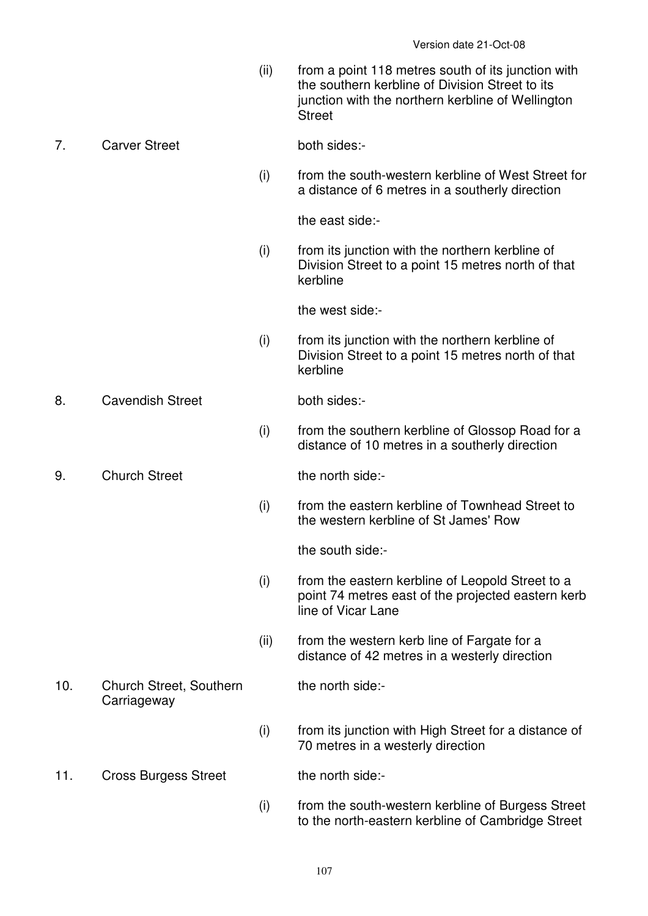(ii) from a point 118 metres south of its junction with the southern kerbline of Division Street to its junction with the northern kerbline of Wellington **Street** 

# 7. Carver Street both sides:-

 (i) from the south-western kerbline of West Street for a distance of 6 metres in a southerly direction

the east side:-

 (i) from its junction with the northern kerbline of Division Street to a point 15 metres north of that kerbline

the west side:-

 (i) from its junction with the northern kerbline of Division Street to a point 15 metres north of that kerbline

8. Cavendish Street both sides:

- (i) from the southern kerbline of Glossop Road for a distance of 10 metres in a southerly direction
- 9. Church Street the north side:
	- (i) from the eastern kerbline of Townhead Street to the western kerbline of St James' Row

the south side:-

the north side:-

- (i) from the eastern kerbline of Leopold Street to a point 74 metres east of the projected eastern kerb line of Vicar Lane
- (ii) from the western kerb line of Fargate for a distance of 42 metres in a westerly direction
- 10. Church Street, Southern **Carriageway**
- (i) from its junction with High Street for a distance of 70 metres in a westerly direction
- 11. Cross Burgess Street the north side:-
	- (i) from the south-western kerbline of Burgess Street to the north-eastern kerbline of Cambridge Street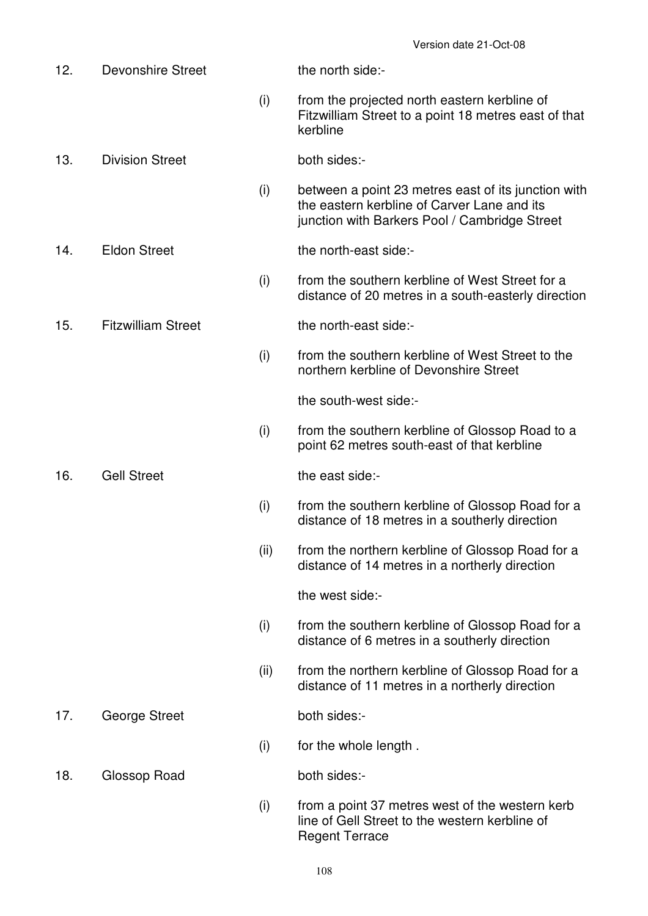| 12. | <b>Devonshire Street</b>  |      | the north side:-                                                                                                                                    |
|-----|---------------------------|------|-----------------------------------------------------------------------------------------------------------------------------------------------------|
|     |                           | (i)  | from the projected north eastern kerbline of<br>Fitzwilliam Street to a point 18 metres east of that<br>kerbline                                    |
| 13. | <b>Division Street</b>    |      | both sides:-                                                                                                                                        |
|     |                           | (i)  | between a point 23 metres east of its junction with<br>the eastern kerbline of Carver Lane and its<br>junction with Barkers Pool / Cambridge Street |
| 14. | <b>Eldon Street</b>       |      | the north-east side:-                                                                                                                               |
|     |                           | (i)  | from the southern kerbline of West Street for a<br>distance of 20 metres in a south-easterly direction                                              |
| 15. | <b>Fitzwilliam Street</b> |      | the north-east side:-                                                                                                                               |
|     |                           | (i)  | from the southern kerbline of West Street to the<br>northern kerbline of Devonshire Street                                                          |
|     |                           |      | the south-west side:-                                                                                                                               |
|     |                           | (i)  | from the southern kerbline of Glossop Road to a<br>point 62 metres south-east of that kerbline                                                      |
| 16. | <b>Gell Street</b>        |      | the east side:-                                                                                                                                     |
|     |                           | (i)  | from the southern kerbline of Glossop Road for a<br>distance of 18 metres in a southerly direction                                                  |
|     |                           | (ii) | from the northern kerbline of Glossop Road for a<br>distance of 14 metres in a northerly direction                                                  |
|     |                           |      | the west side:-                                                                                                                                     |
|     |                           | (i)  | from the southern kerbline of Glossop Road for a<br>distance of 6 metres in a southerly direction                                                   |
|     |                           | (ii) | from the northern kerbline of Glossop Road for a<br>distance of 11 metres in a northerly direction                                                  |
| 17. | George Street             |      | both sides:-                                                                                                                                        |
|     |                           | (i)  | for the whole length.                                                                                                                               |
| 18. | Glossop Road              |      | both sides:-                                                                                                                                        |
|     |                           | (i)  | from a point 37 metres west of the western kerb<br>line of Gell Street to the western kerbline of<br><b>Regent Terrace</b>                          |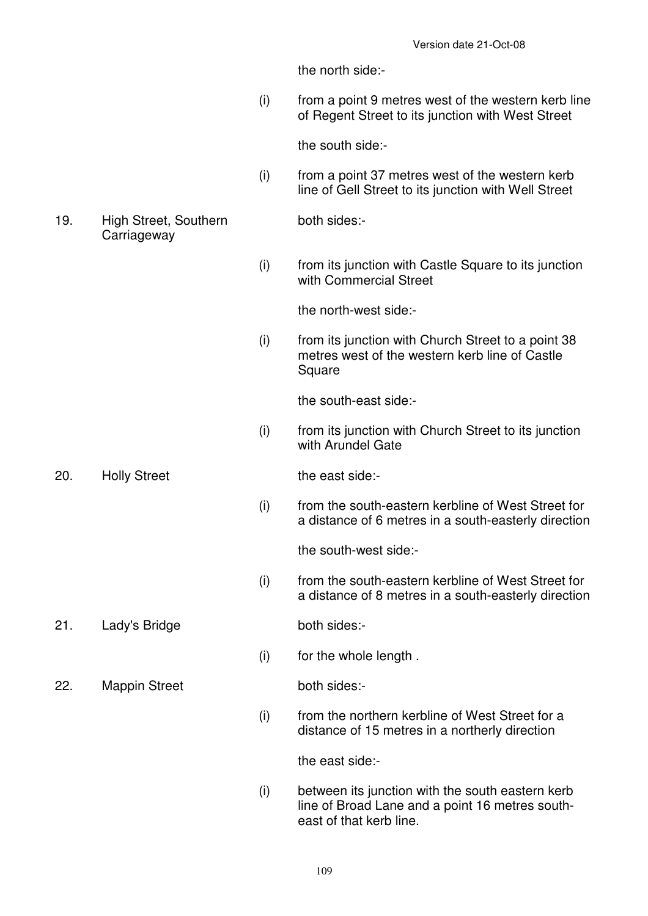the north side:-

 (i) from a point 9 metres west of the western kerb line of Regent Street to its junction with West Street

the south side:-

 (i) from a point 37 metres west of the western kerb line of Gell Street to its junction with Well Street

both sides:-

19. High Street, Southern **Carriageway** 

> (i) from its junction with Castle Square to its junction with Commercial Street

> > the north-west side:-

 (i) from its junction with Church Street to a point 38 metres west of the western kerb line of Castle Square

the south-east side:-

 (i) from its junction with Church Street to its junction with Arundel Gate

20. Holly Street the east side:-

 (i) from the south-eastern kerbline of West Street for a distance of 6 metres in a south-easterly direction

the south-west side:-

 (i) from the south-eastern kerbline of West Street for a distance of 8 metres in a south-easterly direction

21. Lady's Bridge both sides:-

(i) for the whole length .

22. Mappin Street both sides:-

 (i) from the northern kerbline of West Street for a distance of 15 metres in a northerly direction

the east side:-

 (i) between its junction with the south eastern kerb line of Broad Lane and a point 16 metres southeast of that kerb line.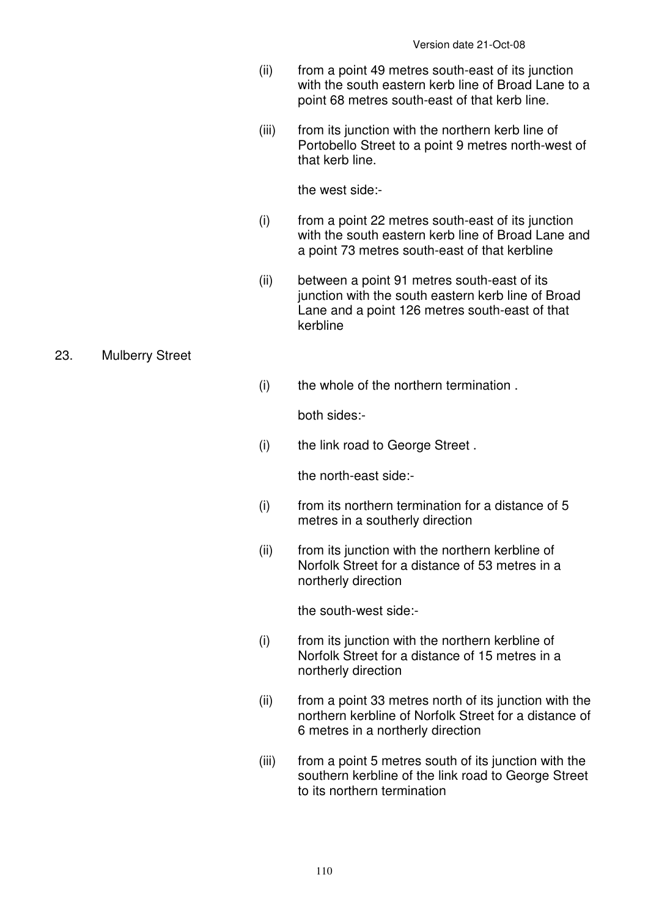- (ii) from a point 49 metres south-east of its junction with the south eastern kerb line of Broad Lane to a point 68 metres south-east of that kerb line.
- (iii) from its junction with the northern kerb line of Portobello Street to a point 9 metres north-west of that kerb line.

the west side:-

- (i) from a point 22 metres south-east of its junction with the south eastern kerb line of Broad Lane and a point 73 metres south-east of that kerbline
- (ii) between a point 91 metres south-east of its junction with the south eastern kerb line of Broad Lane and a point 126 metres south-east of that kerbline
- 23. Mulberry Street
- (i) the whole of the northern termination .

both sides:-

(i) the link road to George Street .

the north-east side:-

- $(i)$  from its northern termination for a distance of 5 metres in a southerly direction
- (ii) from its junction with the northern kerbline of Norfolk Street for a distance of 53 metres in a northerly direction

the south-west side:-

- (i) from its junction with the northern kerbline of Norfolk Street for a distance of 15 metres in a northerly direction
- (ii) from a point 33 metres north of its junction with the northern kerbline of Norfolk Street for a distance of 6 metres in a northerly direction
- (iii) from a point 5 metres south of its junction with the southern kerbline of the link road to George Street to its northern termination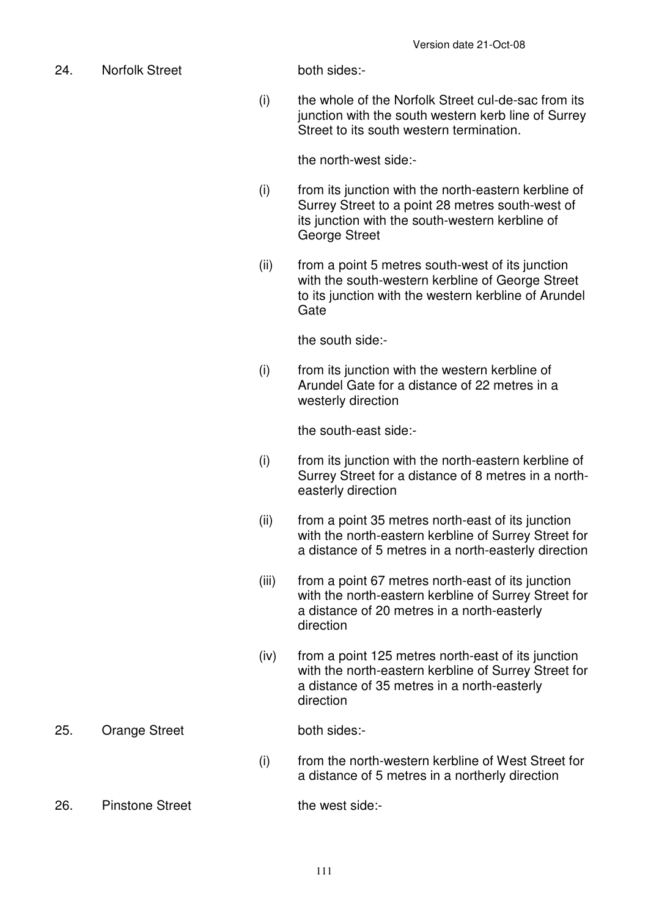24. Norfolk Street both sides:-

 (i) the whole of the Norfolk Street cul-de-sac from its junction with the south western kerb line of Surrey Street to its south western termination.

the north-west side:-

- (i) from its junction with the north-eastern kerbline of Surrey Street to a point 28 metres south-west of its junction with the south-western kerbline of George Street
- (ii) from a point 5 metres south-west of its junction with the south-western kerbline of George Street to its junction with the western kerbline of Arundel **Gate**

the south side:-

 (i) from its junction with the western kerbline of Arundel Gate for a distance of 22 metres in a westerly direction

the south-east side:-

- (i) from its junction with the north-eastern kerbline of Surrey Street for a distance of 8 metres in a northeasterly direction
- (ii) from a point 35 metres north-east of its junction with the north-eastern kerbline of Surrey Street for a distance of 5 metres in a north-easterly direction
- (iii) from a point 67 metres north-east of its junction with the north-eastern kerbline of Surrey Street for a distance of 20 metres in a north-easterly direction
- (iv) from a point 125 metres north-east of its junction with the north-eastern kerbline of Surrey Street for a distance of 35 metres in a north-easterly direction
- 25. Orange Street both sides:-

 (i) from the north-western kerbline of West Street for a distance of 5 metres in a northerly direction

26. Pinstone Street the west side: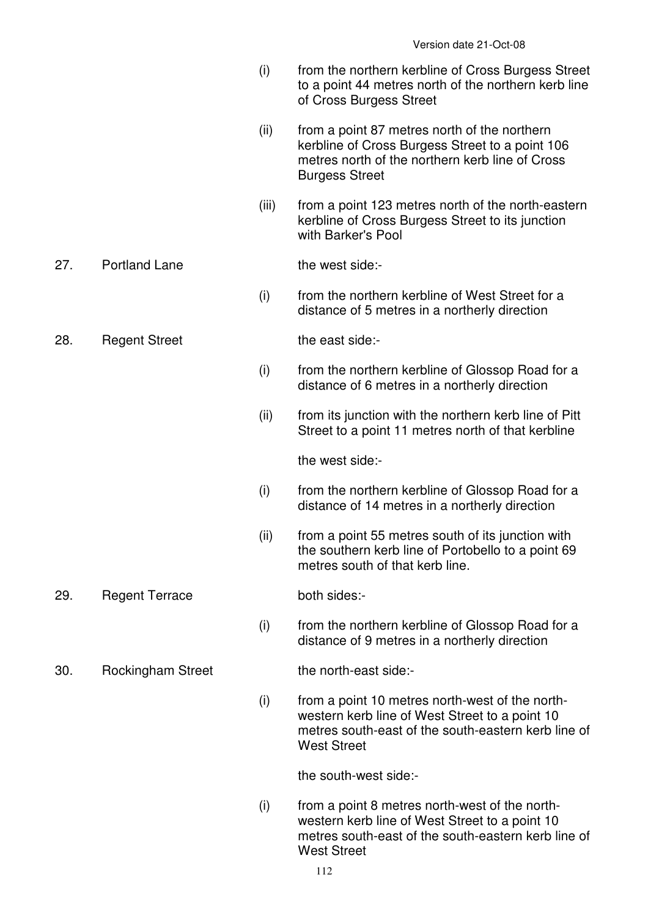- (i) from the northern kerbline of Cross Burgess Street to a point 44 metres north of the northern kerb line of Cross Burgess Street
- (ii) from a point 87 metres north of the northern kerbline of Cross Burgess Street to a point 106 metres north of the northern kerb line of Cross Burgess Street
- (iii) from a point 123 metres north of the north-eastern kerbline of Cross Burgess Street to its junction with Barker's Pool

### 27. Portland Lane the west side:-

- (i) from the northern kerbline of West Street for a distance of 5 metres in a northerly direction
- 28. Regent Street the east side:-
	-
	- (i) from the northern kerbline of Glossop Road for a distance of 6 metres in a northerly direction
	- (ii) from its junction with the northern kerb line of Pitt Street to a point 11 metres north of that kerbline

the west side:-

- (i) from the northern kerbline of Glossop Road for a distance of 14 metres in a northerly direction
- (ii) from a point 55 metres south of its junction with the southern kerb line of Portobello to a point 69 metres south of that kerb line.
- 29. Regent Terrace both sides:-

 (i) from the northern kerbline of Glossop Road for a distance of 9 metres in a northerly direction

30. Rockingham Street the north-east side:-

 (i) from a point 10 metres north-west of the northwestern kerb line of West Street to a point 10 metres south-east of the south-eastern kerb line of West Street

the south-west side:-

 (i) from a point 8 metres north-west of the northwestern kerb line of West Street to a point 10 metres south-east of the south-eastern kerb line of West Street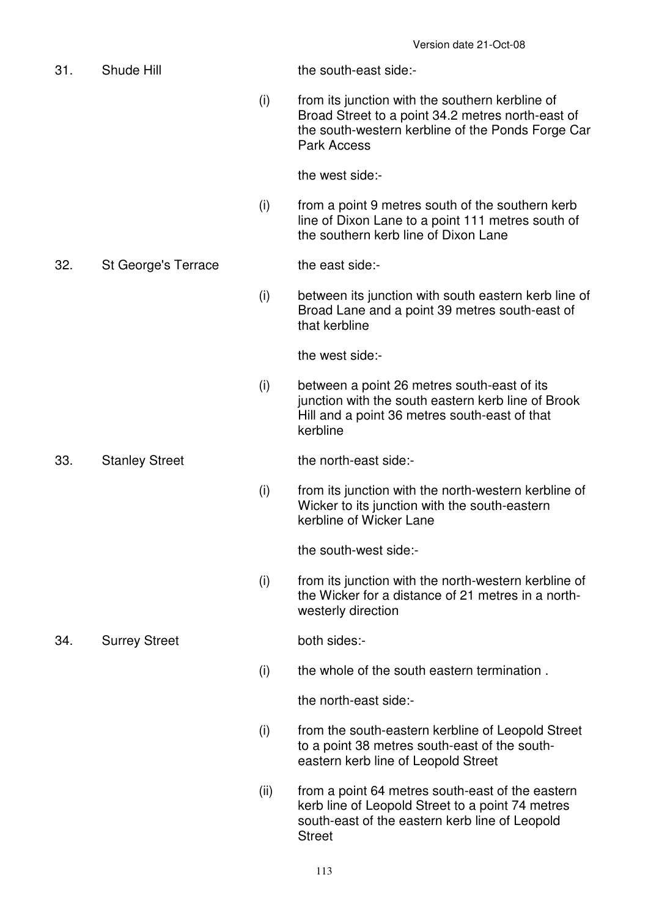31. Shude Hill the south-east side:- (i) from its junction with the southern kerbline of Broad Street to a point 34.2 metres north-east of the south-western kerbline of the Ponds Forge Car Park Access the west side:- (i) from a point 9 metres south of the southern kerb line of Dixon Lane to a point 111 metres south of the southern kerb line of Dixon Lane 32. St George's Terrace the east side:- (i) between its junction with south eastern kerb line of Broad Lane and a point 39 metres south-east of that kerbline the west side:- (i) between a point 26 metres south-east of its junction with the south eastern kerb line of Brook Hill and a point 36 metres south-east of that kerbline 33. Stanley Street the north-east side:- (i) from its junction with the north-western kerbline of Wicker to its junction with the south-eastern kerbline of Wicker Lane the south-west side:- (i) from its junction with the north-western kerbline of the Wicker for a distance of 21 metres in a northwesterly direction 34. Surrey Street both sides:- (i) the whole of the south eastern termination . the north-east side:- (i) from the south-eastern kerbline of Leopold Street to a point 38 metres south-east of the southeastern kerb line of Leopold Street (ii) from a point 64 metres south-east of the eastern

kerb line of Leopold Street to a point 74 metres south-east of the eastern kerb line of Leopold Street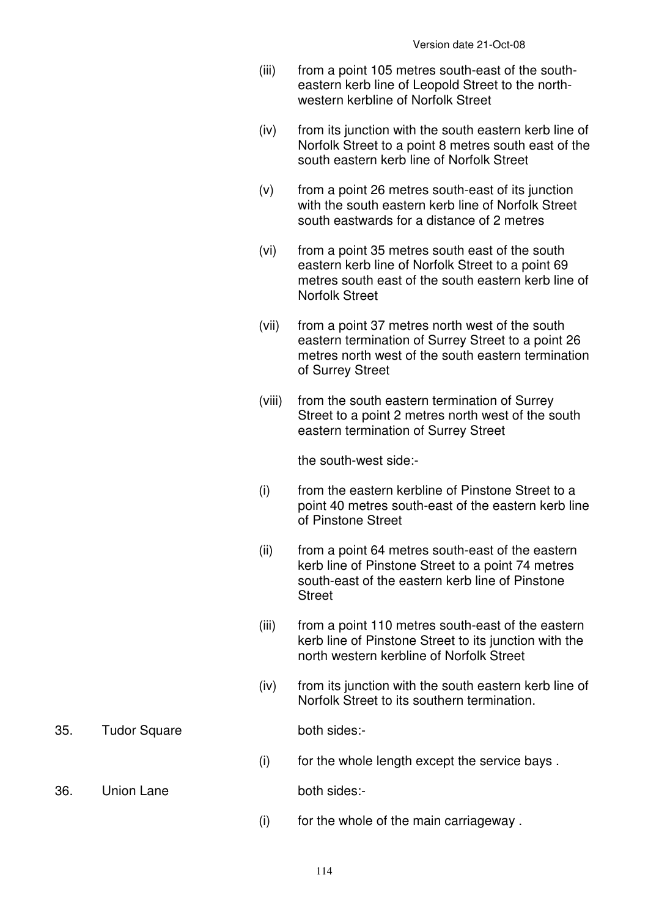- (iii) from a point 105 metres south-east of the southeastern kerb line of Leopold Street to the northwestern kerbline of Norfolk Street
- (iv) from its junction with the south eastern kerb line of Norfolk Street to a point 8 metres south east of the south eastern kerb line of Norfolk Street
- (v) from a point 26 metres south-east of its junction with the south eastern kerb line of Norfolk Street south eastwards for a distance of 2 metres
- (vi) from a point 35 metres south east of the south eastern kerb line of Norfolk Street to a point 69 metres south east of the south eastern kerb line of Norfolk Street
- (vii) from a point 37 metres north west of the south eastern termination of Surrey Street to a point 26 metres north west of the south eastern termination of Surrey Street
- (viii) from the south eastern termination of Surrey Street to a point 2 metres north west of the south eastern termination of Surrey Street

the south-west side:-

- (i) from the eastern kerbline of Pinstone Street to a point 40 metres south-east of the eastern kerb line of Pinstone Street
- (ii) from a point 64 metres south-east of the eastern kerb line of Pinstone Street to a point 74 metres south-east of the eastern kerb line of Pinstone **Street**
- (iii) from a point 110 metres south-east of the eastern kerb line of Pinstone Street to its junction with the north western kerbline of Norfolk Street
- (iv) from its junction with the south eastern kerb line of Norfolk Street to its southern termination.
- 35. Tudor Square both sides:-

- $(i)$  for the whole length except the service bays.
- 36. Union Lane both sides:-

(i) for the whole of the main carriageway .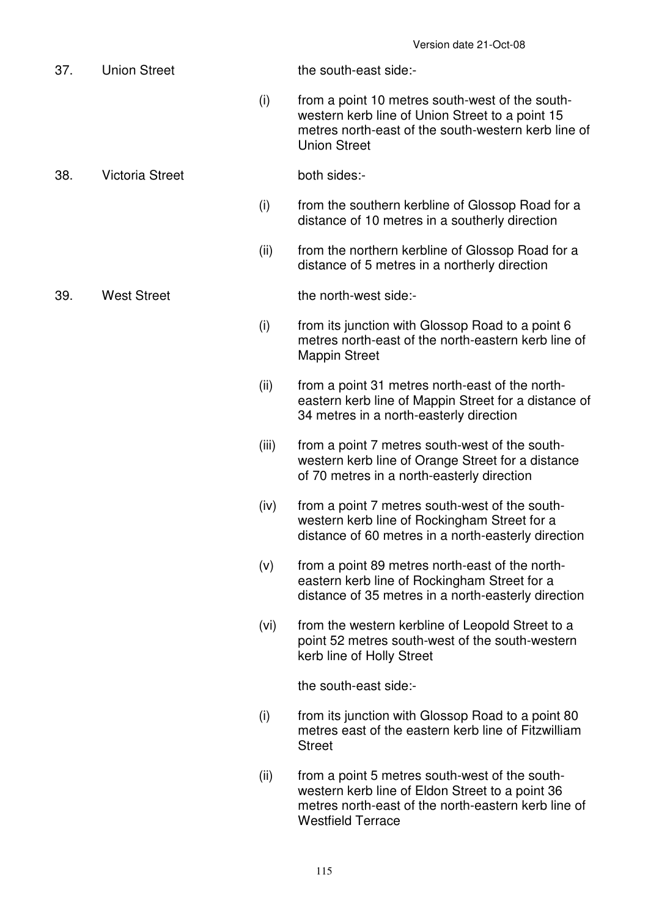|     |                        |       | Version date 21-Oct-08                                                                                                                                                               |
|-----|------------------------|-------|--------------------------------------------------------------------------------------------------------------------------------------------------------------------------------------|
| 37. | <b>Union Street</b>    |       | the south-east side:-                                                                                                                                                                |
|     |                        | (i)   | from a point 10 metres south-west of the south-<br>western kerb line of Union Street to a point 15<br>metres north-east of the south-western kerb line of<br><b>Union Street</b>     |
| 38. | <b>Victoria Street</b> |       | both sides:-                                                                                                                                                                         |
|     |                        | (i)   | from the southern kerbline of Glossop Road for a<br>distance of 10 metres in a southerly direction                                                                                   |
|     |                        | (ii)  | from the northern kerbline of Glossop Road for a<br>distance of 5 metres in a northerly direction                                                                                    |
| 39. | <b>West Street</b>     |       | the north-west side:-                                                                                                                                                                |
|     |                        | (i)   | from its junction with Glossop Road to a point 6<br>metres north-east of the north-eastern kerb line of<br><b>Mappin Street</b>                                                      |
|     |                        | (ii)  | from a point 31 metres north-east of the north-<br>eastern kerb line of Mappin Street for a distance of<br>34 metres in a north-easterly direction                                   |
|     |                        | (iii) | from a point 7 metres south-west of the south-<br>western kerb line of Orange Street for a distance<br>of 70 metres in a north-easterly direction                                    |
|     |                        | (iv)  | from a point 7 metres south-west of the south-<br>western kerb line of Rockingham Street for a<br>distance of 60 metres in a north-easterly direction                                |
|     |                        | (v)   | from a point 89 metres north-east of the north-<br>eastern kerb line of Rockingham Street for a<br>distance of 35 metres in a north-easterly direction                               |
|     |                        | (vi)  | from the western kerbline of Leopold Street to a<br>point 52 metres south-west of the south-western<br>kerb line of Holly Street                                                     |
|     |                        |       | the south-east side:-                                                                                                                                                                |
|     |                        | (i)   | from its junction with Glossop Road to a point 80<br>metres east of the eastern kerb line of Fitzwilliam<br><b>Street</b>                                                            |
|     |                        | (ii)  | from a point 5 metres south-west of the south-<br>western kerb line of Eldon Street to a point 36<br>metres north-east of the north-eastern kerb line of<br><b>Westfield Terrace</b> |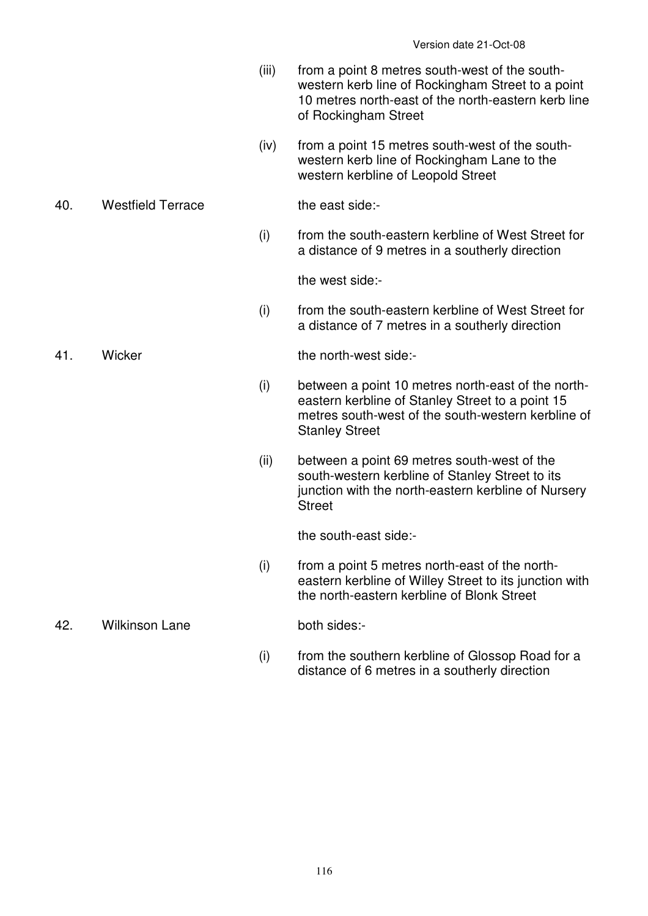- (iii) from a point 8 metres south-west of the southwestern kerb line of Rockingham Street to a point 10 metres north-east of the north-eastern kerb line of Rockingham Street
- (iv) from a point 15 metres south-west of the southwestern kerb line of Rockingham Lane to the western kerbline of Leopold Street

40. Westfield Terrace the east side:-

 (i) from the south-eastern kerbline of West Street for a distance of 9 metres in a southerly direction

the west side:-

 (i) from the south-eastern kerbline of West Street for a distance of 7 metres in a southerly direction

41. Wicker the north-west side:-

- (i) between a point 10 metres north-east of the northeastern kerbline of Stanley Street to a point 15 metres south-west of the south-western kerbline of Stanley Street
- (ii) between a point 69 metres south-west of the south-western kerbline of Stanley Street to its junction with the north-eastern kerbline of Nursery **Street**

the south-east side:-

 $(i)$  from a point 5 metres north-east of the northeastern kerbline of Willey Street to its junction with the north-eastern kerbline of Blonk Street

42. Wilkinson Lane both sides:-

 (i) from the southern kerbline of Glossop Road for a distance of 6 metres in a southerly direction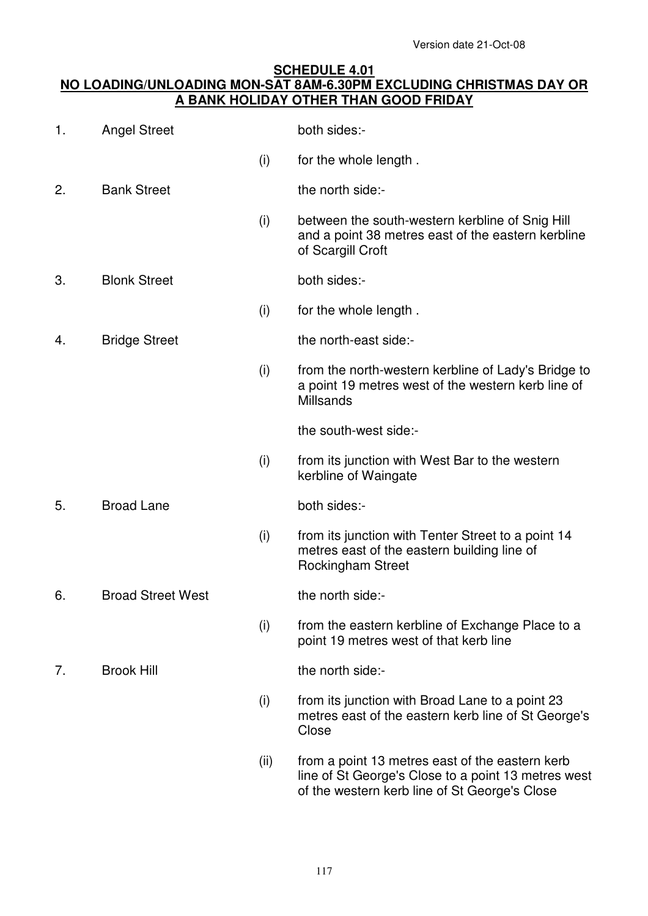### **SCHEDULE 4.01 NO LOADING/UNLOADING MON-SAT 8AM-6.30PM EXCLUDING CHRISTMAS DAY OR A BANK HOLIDAY OTHER THAN GOOD FRIDAY**

| 1. | <b>Angel Street</b>      |      | both sides:-                                                                                                                                            |  |  |
|----|--------------------------|------|---------------------------------------------------------------------------------------------------------------------------------------------------------|--|--|
|    |                          | (i)  | for the whole length.                                                                                                                                   |  |  |
| 2. | <b>Bank Street</b>       |      | the north side:-                                                                                                                                        |  |  |
|    |                          | (i)  | between the south-western kerbline of Snig Hill<br>and a point 38 metres east of the eastern kerbline<br>of Scargill Croft                              |  |  |
| 3. | <b>Blonk Street</b>      |      | both sides:-                                                                                                                                            |  |  |
|    |                          | (i)  | for the whole length.                                                                                                                                   |  |  |
| 4. | <b>Bridge Street</b>     |      | the north-east side:-                                                                                                                                   |  |  |
|    |                          | (i)  | from the north-western kerbline of Lady's Bridge to<br>a point 19 metres west of the western kerb line of<br><b>Millsands</b>                           |  |  |
|    |                          |      | the south-west side:-                                                                                                                                   |  |  |
|    |                          | (i)  | from its junction with West Bar to the western<br>kerbline of Waingate                                                                                  |  |  |
| 5. | <b>Broad Lane</b>        |      | both sides:-                                                                                                                                            |  |  |
|    |                          | (i)  | from its junction with Tenter Street to a point 14<br>metres east of the eastern building line of<br><b>Rockingham Street</b>                           |  |  |
| 6. | <b>Broad Street West</b> |      | the north side:-                                                                                                                                        |  |  |
|    |                          | (i)  | from the eastern kerbline of Exchange Place to a<br>point 19 metres west of that kerb line                                                              |  |  |
| 7. | <b>Brook Hill</b>        |      | the north side:-                                                                                                                                        |  |  |
|    |                          | (i)  | from its junction with Broad Lane to a point 23<br>metres east of the eastern kerb line of St George's<br>Close                                         |  |  |
|    |                          | (ii) | from a point 13 metres east of the eastern kerb<br>line of St George's Close to a point 13 metres west<br>of the western kerb line of St George's Close |  |  |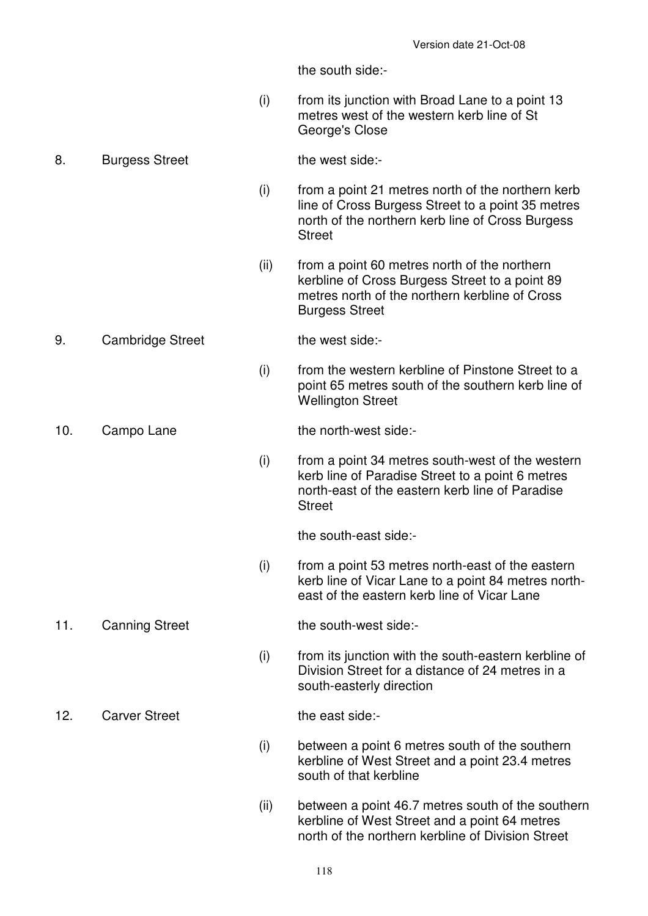the south side:-

 (i) from its junction with Broad Lane to a point 13 metres west of the western kerb line of St George's Close

#### 8. Burgess Street the west side:-

- (i) from a point 21 metres north of the northern kerb line of Cross Burgess Street to a point 35 metres north of the northern kerb line of Cross Burgess **Street**
- (ii) from a point 60 metres north of the northern kerbline of Cross Burgess Street to a point 89 metres north of the northern kerbline of Cross Burgess Street

#### 9. Cambridge Street the west side:-

 (i) from the western kerbline of Pinstone Street to a point 65 metres south of the southern kerb line of Wellington Street

### 10. Campo Lane the north-west side:-

 (i) from a point 34 metres south-west of the western kerb line of Paradise Street to a point 6 metres north-east of the eastern kerb line of Paradise **Street** 

the south-east side:-

 (i) from a point 53 metres north-east of the eastern kerb line of Vicar Lane to a point 84 metres northeast of the eastern kerb line of Vicar Lane

11. Canning Street the south-west side:-

 (i) from its junction with the south-eastern kerbline of Division Street for a distance of 24 metres in a south-easterly direction

12. Carver Street the east side:-

- (i) between a point 6 metres south of the southern kerbline of West Street and a point 23.4 metres south of that kerbline
- (ii) between a point 46.7 metres south of the southern kerbline of West Street and a point 64 metres north of the northern kerbline of Division Street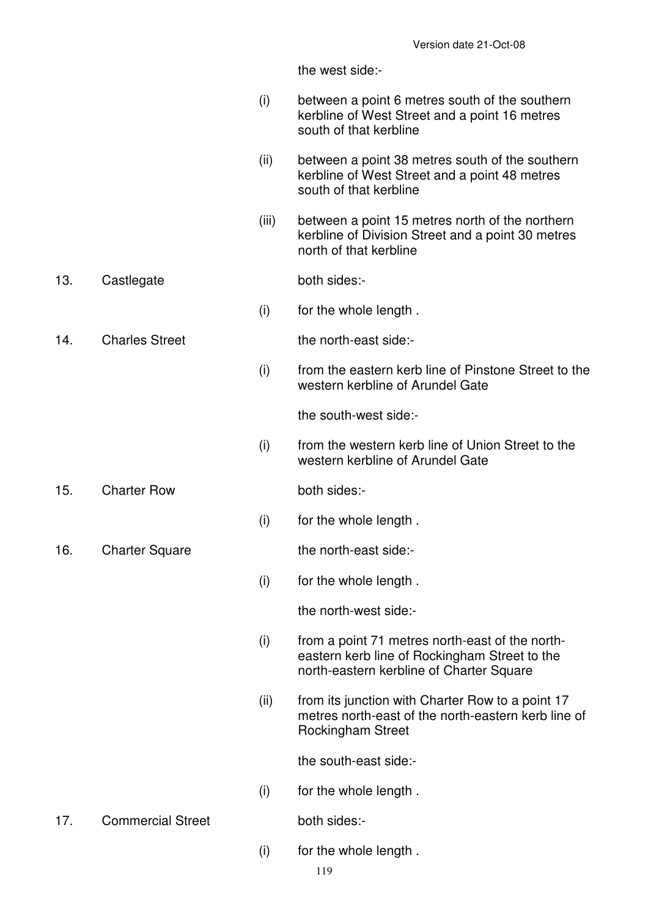the west side:-

- (i) between a point 6 metres south of the southern kerbline of West Street and a point 16 metres south of that kerbline
- (ii) between a point 38 metres south of the southern kerbline of West Street and a point 48 metres south of that kerbline
- (iii) between a point 15 metres north of the northern kerbline of Division Street and a point 30 metres north of that kerbline
- 13. Castlegate both sides:-
	- (i) for the whole length .
- 14. Charles Street the north-east side:-
	-
	- (i) from the eastern kerb line of Pinstone Street to the western kerbline of Arundel Gate

the south-west side:-

- (i) from the western kerb line of Union Street to the western kerbline of Arundel Gate
- 15. Charter Row both sides:-
- 16. Charter Square the north-east side:-
- 
- (i) for the whole length .
	-
	- (i) for the whole length .

the north-west side:-

- (i) from a point 71 metres north-east of the northeastern kerb line of Rockingham Street to the north-eastern kerbline of Charter Square
- (ii) from its junction with Charter Row to a point 17 metres north-east of the north-eastern kerb line of Rockingham Street

the south-east side:-

(i) for the whole length .

17. Commercial Street both sides:-

(i) for the whole length .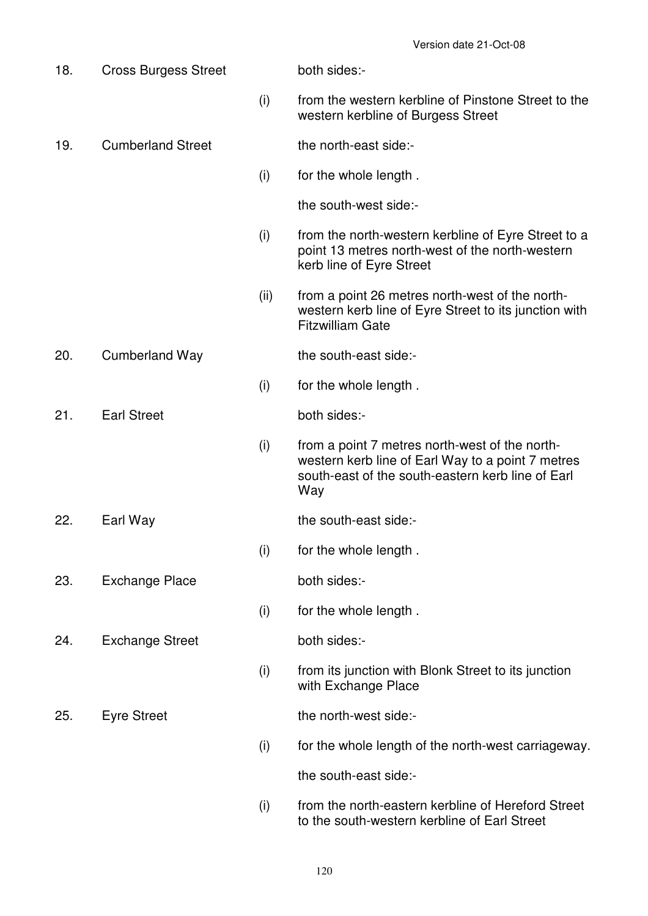18. Cross Burgess Street both sides:- (i) from the western kerbline of Pinstone Street to the western kerbline of Burgess Street 19. Cumberland Street the north-east side:- (i) for the whole length . the south-west side:- (i) from the north-western kerbline of Eyre Street to a point 13 metres north-west of the north-western kerb line of Eyre Street (ii) from a point 26 metres north-west of the northwestern kerb line of Eyre Street to its junction with Fitzwilliam Gate 20. Cumberland Way the south-east side:- (i) for the whole length . 21. Earl Street both sides:- (i) from a point 7 metres north-west of the northwestern kerb line of Earl Way to a point 7 metres south-east of the south-eastern kerb line of Earl Way 22. Earl Way the south-east side:- (i) for the whole length . 23. Exchange Place both sides:- (i) for the whole length . 24. Exchange Street both sides:- (i) from its junction with Blonk Street to its junction with Exchange Place 25. Eyre Street the north-west side:- (i) for the whole length of the north-west carriageway. the south-east side:- (i) from the north-eastern kerbline of Hereford Street to the south-western kerbline of Earl Street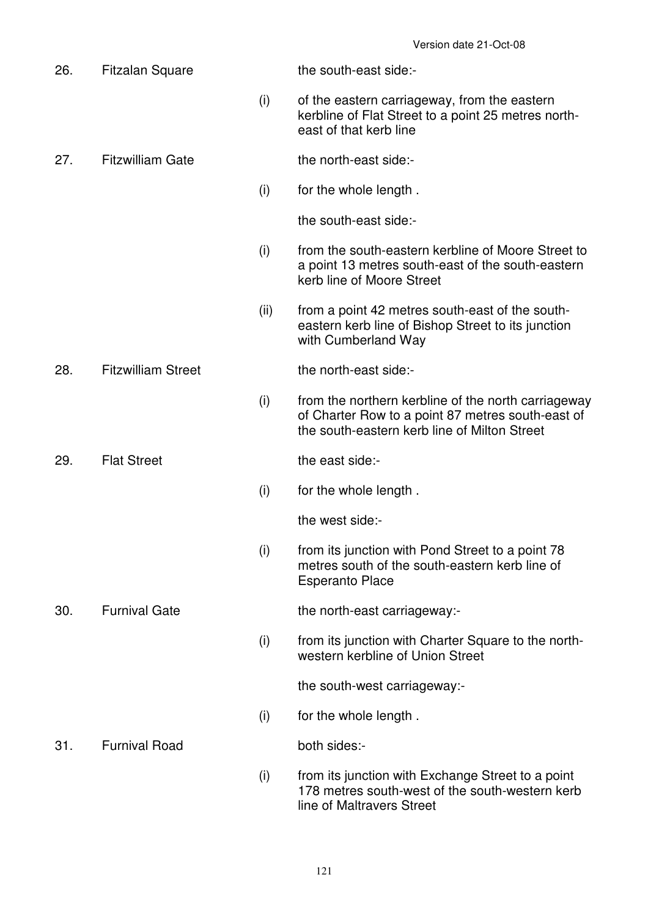| 26. | <b>Fitzalan Square</b>    |      | the south-east side:-                                                                                                                                    |
|-----|---------------------------|------|----------------------------------------------------------------------------------------------------------------------------------------------------------|
|     |                           | (i)  | of the eastern carriageway, from the eastern<br>kerbline of Flat Street to a point 25 metres north-<br>east of that kerb line                            |
| 27. | <b>Fitzwilliam Gate</b>   |      | the north-east side:-                                                                                                                                    |
|     |                           | (i)  | for the whole length.                                                                                                                                    |
|     |                           |      | the south-east side:-                                                                                                                                    |
|     |                           | (i)  | from the south-eastern kerbline of Moore Street to<br>a point 13 metres south-east of the south-eastern<br>kerb line of Moore Street                     |
|     |                           | (ii) | from a point 42 metres south-east of the south-<br>eastern kerb line of Bishop Street to its junction<br>with Cumberland Way                             |
| 28. | <b>Fitzwilliam Street</b> |      | the north-east side:-                                                                                                                                    |
|     |                           | (i)  | from the northern kerbline of the north carriageway<br>of Charter Row to a point 87 metres south-east of<br>the south-eastern kerb line of Milton Street |
| 29. | <b>Flat Street</b>        |      | the east side:-                                                                                                                                          |
|     |                           | (i)  | for the whole length.                                                                                                                                    |
|     |                           |      | the west side:-                                                                                                                                          |
|     |                           | (i)  | from its junction with Pond Street to a point 78<br>metres south of the south-eastern kerb line of<br><b>Esperanto Place</b>                             |
| 30. | <b>Furnival Gate</b>      |      | the north-east carriageway:-                                                                                                                             |
|     |                           | (i)  | from its junction with Charter Square to the north-<br>western kerbline of Union Street                                                                  |
|     |                           |      | the south-west carriageway:-                                                                                                                             |
|     |                           | (i)  | for the whole length.                                                                                                                                    |
| 31. | <b>Furnival Road</b>      |      | both sides:-                                                                                                                                             |
|     |                           | (i)  | from its junction with Exchange Street to a point<br>178 metres south-west of the south-western kerb<br>line of Maltravers Street                        |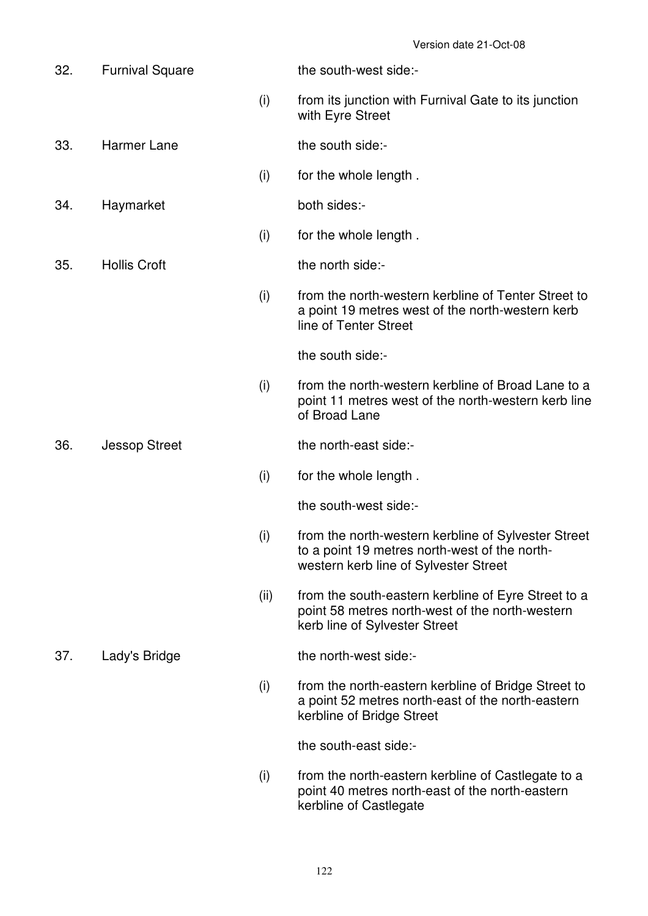| 32. | <b>Furnival Square</b> |      | the south-west side:-                                                                                                                         |
|-----|------------------------|------|-----------------------------------------------------------------------------------------------------------------------------------------------|
|     |                        | (i)  | from its junction with Furnival Gate to its junction<br>with Eyre Street                                                                      |
| 33. | <b>Harmer Lane</b>     |      | the south side:-                                                                                                                              |
|     |                        | (i)  | for the whole length.                                                                                                                         |
| 34. | Haymarket              |      | both sides:-                                                                                                                                  |
|     |                        | (i)  | for the whole length.                                                                                                                         |
| 35. | <b>Hollis Croft</b>    |      | the north side:-                                                                                                                              |
|     |                        | (i)  | from the north-western kerbline of Tenter Street to<br>a point 19 metres west of the north-western kerb<br>line of Tenter Street              |
|     |                        |      | the south side:-                                                                                                                              |
|     |                        | (i)  | from the north-western kerbline of Broad Lane to a<br>point 11 metres west of the north-western kerb line<br>of Broad Lane                    |
| 36. | <b>Jessop Street</b>   |      | the north-east side:-                                                                                                                         |
|     |                        | (i)  | for the whole length.                                                                                                                         |
|     |                        |      | the south-west side:-                                                                                                                         |
|     |                        | (i)  | from the north-western kerbline of Sylvester Street<br>to a point 19 metres north-west of the north-<br>western kerb line of Sylvester Street |
|     |                        | (ii) | from the south-eastern kerbline of Eyre Street to a<br>point 58 metres north-west of the north-western<br>kerb line of Sylvester Street       |
| 37. | Lady's Bridge          |      | the north-west side:-                                                                                                                         |
|     |                        | (i)  | from the north-eastern kerbline of Bridge Street to<br>a point 52 metres north-east of the north-eastern<br>kerbline of Bridge Street         |
|     |                        |      | the south-east side:-                                                                                                                         |
|     |                        | (i)  | from the north-eastern kerbline of Castlegate to a<br>point 40 metres north-east of the north-eastern<br>kerbline of Castlegate               |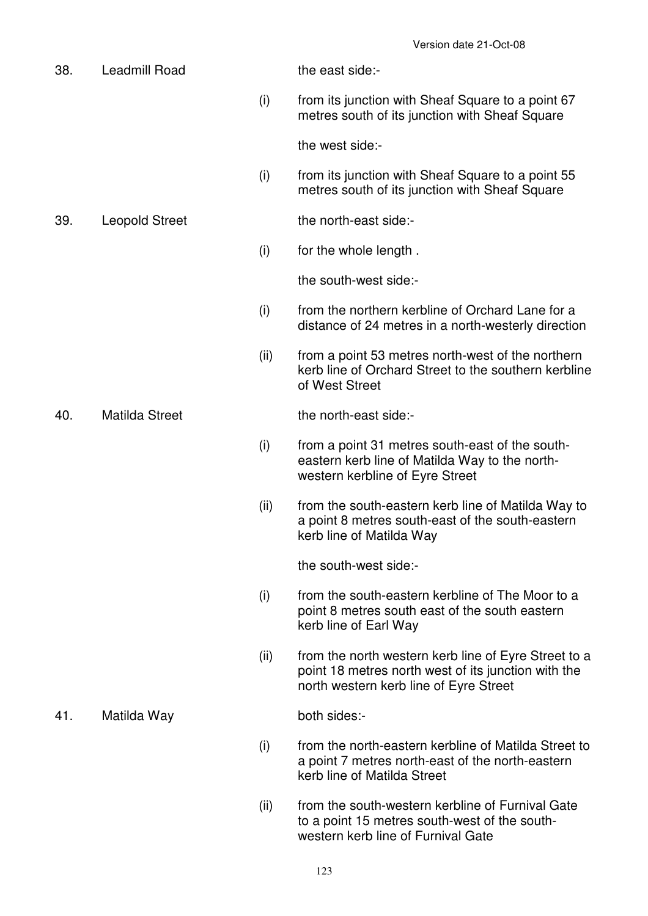38. Leadmill Road the east side:- (i) from its junction with Sheaf Square to a point 67 metres south of its junction with Sheaf Square the west side:- (i) from its junction with Sheaf Square to a point 55 metres south of its junction with Sheaf Square 39. Leopold Street the north-east side:- (i) for the whole length . the south-west side:- (i) from the northern kerbline of Orchard Lane for a distance of 24 metres in a north-westerly direction (ii) from a point 53 metres north-west of the northern kerb line of Orchard Street to the southern kerbline of West Street 40. Matilda Street the north-east side:- (i) from a point 31 metres south-east of the southeastern kerb line of Matilda Way to the northwestern kerbline of Eyre Street (ii) from the south-eastern kerb line of Matilda Way to a point 8 metres south-east of the south-eastern kerb line of Matilda Way the south-west side:- (i) from the south-eastern kerbline of The Moor to a point 8 metres south east of the south eastern kerb line of Earl Way (ii) from the north western kerb line of Eyre Street to a point 18 metres north west of its junction with the north western kerb line of Eyre Street 41. Matilda Way both sides:- (i) from the north-eastern kerbline of Matilda Street to a point 7 metres north-east of the north-eastern kerb line of Matilda Street (ii) from the south-western kerbline of Furnival Gate to a point 15 metres south-west of the south-

western kerb line of Furnival Gate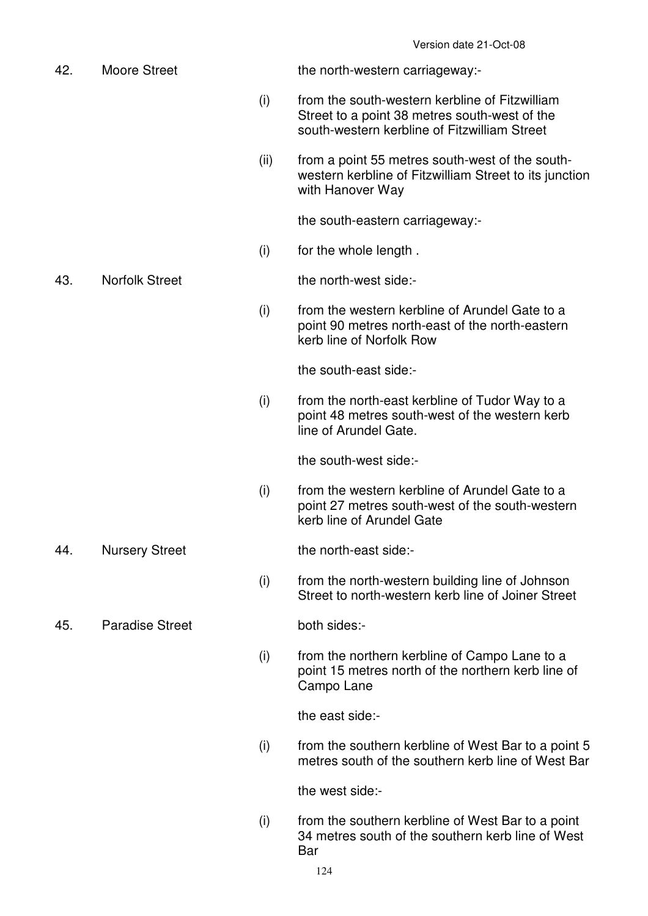| 42. | <b>Moore Street</b>    |      | the north-western carriageway:-                                                                                                                 |
|-----|------------------------|------|-------------------------------------------------------------------------------------------------------------------------------------------------|
|     |                        | (i)  | from the south-western kerbline of Fitzwilliam<br>Street to a point 38 metres south-west of the<br>south-western kerbline of Fitzwilliam Street |
|     |                        | (ii) | from a point 55 metres south-west of the south-<br>western kerbline of Fitzwilliam Street to its junction<br>with Hanover Way                   |
|     |                        |      | the south-eastern carriageway:-                                                                                                                 |
|     |                        | (i)  | for the whole length.                                                                                                                           |
| 43. | <b>Norfolk Street</b>  |      | the north-west side:-                                                                                                                           |
|     |                        | (i)  | from the western kerbline of Arundel Gate to a<br>point 90 metres north-east of the north-eastern<br>kerb line of Norfolk Row                   |
|     |                        |      | the south-east side:-                                                                                                                           |
|     |                        | (i)  | from the north-east kerbline of Tudor Way to a<br>point 48 metres south-west of the western kerb<br>line of Arundel Gate.                       |
|     |                        |      | the south-west side:-                                                                                                                           |
|     |                        | (i)  | from the western kerbline of Arundel Gate to a<br>point 27 metres south-west of the south-western<br>kerb line of Arundel Gate                  |
| 44. | <b>Nursery Street</b>  |      | the north-east side:-                                                                                                                           |
|     |                        | (i)  | from the north-western building line of Johnson<br>Street to north-western kerb line of Joiner Street                                           |
| 45. | <b>Paradise Street</b> |      | both sides:-                                                                                                                                    |
|     |                        | (i)  | from the northern kerbline of Campo Lane to a<br>point 15 metres north of the northern kerb line of<br>Campo Lane                               |
|     |                        |      | the east side:-                                                                                                                                 |
|     |                        | (i)  | from the southern kerbline of West Bar to a point 5<br>metres south of the southern kerb line of West Bar                                       |
|     |                        |      | the west side:-                                                                                                                                 |
|     |                        | (i)  | from the southern kerbline of West Bar to a point<br>34 metres south of the southern kerb line of West                                          |

Bar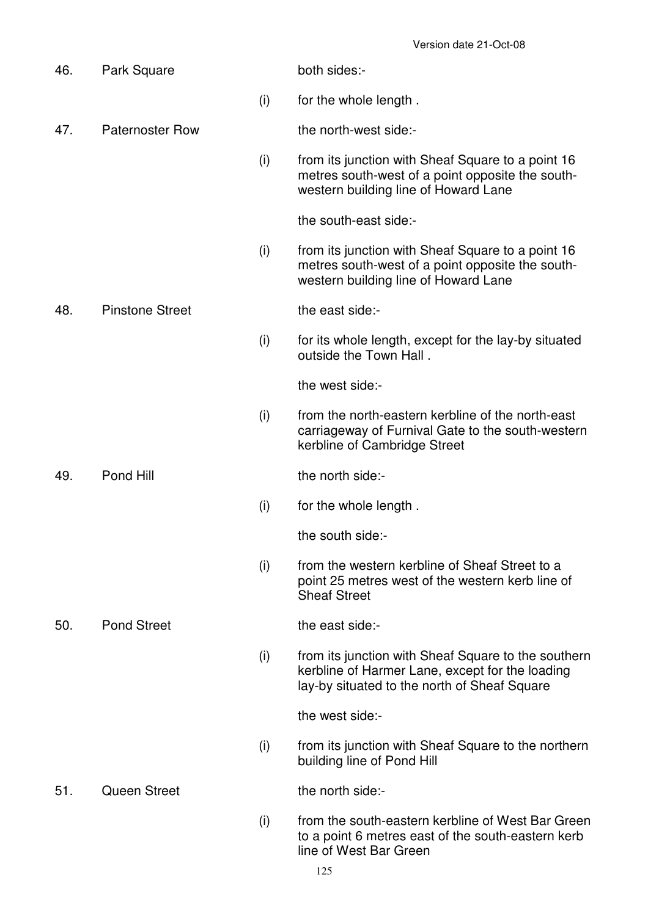| 46. | Park Square            |     | both sides:-                                                                                                                                           |
|-----|------------------------|-----|--------------------------------------------------------------------------------------------------------------------------------------------------------|
|     |                        | (i) | for the whole length.                                                                                                                                  |
| 47. | <b>Paternoster Row</b> |     | the north-west side:-                                                                                                                                  |
|     |                        | (i) | from its junction with Sheaf Square to a point 16<br>metres south-west of a point opposite the south-<br>western building line of Howard Lane          |
|     |                        |     | the south-east side:-                                                                                                                                  |
|     |                        | (i) | from its junction with Sheaf Square to a point 16<br>metres south-west of a point opposite the south-<br>western building line of Howard Lane          |
| 48. | <b>Pinstone Street</b> |     | the east side:-                                                                                                                                        |
|     |                        | (i) | for its whole length, except for the lay-by situated<br>outside the Town Hall.                                                                         |
|     |                        |     | the west side:-                                                                                                                                        |
|     |                        | (i) | from the north-eastern kerbline of the north-east<br>carriageway of Furnival Gate to the south-western<br>kerbline of Cambridge Street                 |
| 49. | Pond Hill              |     | the north side:-                                                                                                                                       |
|     |                        | (i) | for the whole length.                                                                                                                                  |
|     |                        |     | the south side:-                                                                                                                                       |
|     |                        | (i) | from the western kerbline of Sheaf Street to a<br>point 25 metres west of the western kerb line of<br><b>Sheaf Street</b>                              |
| 50. | <b>Pond Street</b>     |     | the east side:-                                                                                                                                        |
|     |                        | (i) | from its junction with Sheaf Square to the southern<br>kerbline of Harmer Lane, except for the loading<br>lay-by situated to the north of Sheaf Square |
|     |                        |     | the west side:-                                                                                                                                        |
|     |                        | (i) | from its junction with Sheaf Square to the northern<br>building line of Pond Hill                                                                      |
| 51. | <b>Queen Street</b>    |     | the north side:-                                                                                                                                       |
|     |                        | (i) | from the south-eastern kerbline of West Bar Green<br>to a point 6 metres east of the south-eastern kerb<br>line of West Bar Green                      |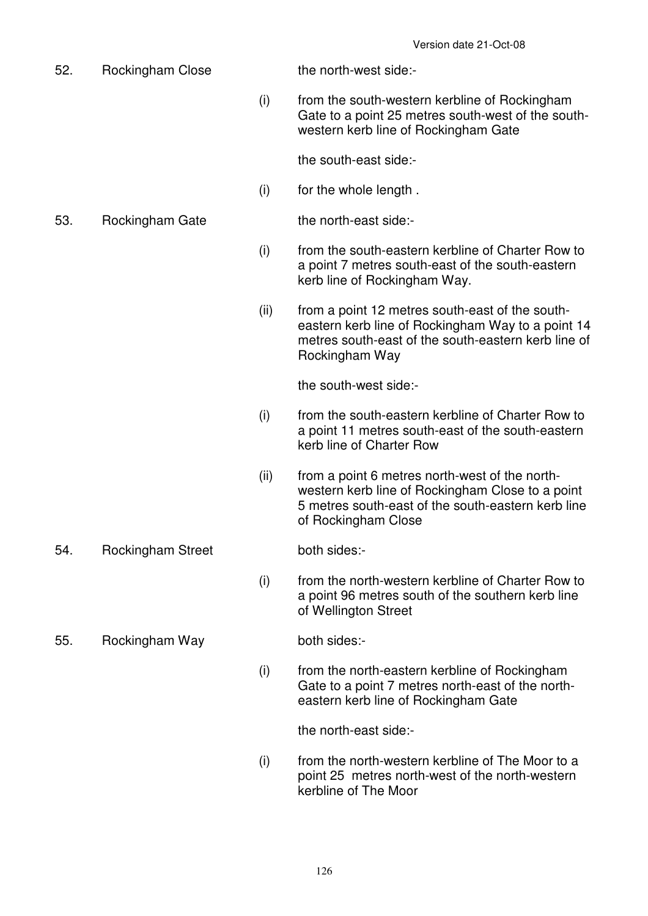52. Rockingham Close the north-west side:- (i) from the south-western kerbline of Rockingham Gate to a point 25 metres south-west of the southwestern kerb line of Rockingham Gate the south-east side:- (i) for the whole length . 53. Rockingham Gate the north-east side:- (i) from the south-eastern kerbline of Charter Row to a point 7 metres south-east of the south-eastern kerb line of Rockingham Way. (ii) from a point 12 metres south-east of the southeastern kerb line of Rockingham Way to a point 14 metres south-east of the south-eastern kerb line of Rockingham Way the south-west side:- (i) from the south-eastern kerbline of Charter Row to a point 11 metres south-east of the south-eastern kerb line of Charter Row (ii) from a point 6 metres north-west of the northwestern kerb line of Rockingham Close to a point 5 metres south-east of the south-eastern kerb line of Rockingham Close 54. Rockingham Street both sides:- (i) from the north-western kerbline of Charter Row to a point 96 metres south of the southern kerb line of Wellington Street 55. Rockingham Way both sides:- (i) from the north-eastern kerbline of Rockingham Gate to a point 7 metres north-east of the northeastern kerb line of Rockingham Gate

the north-east side:-

 (i) from the north-western kerbline of The Moor to a point 25 metres north-west of the north-western kerbline of The Moor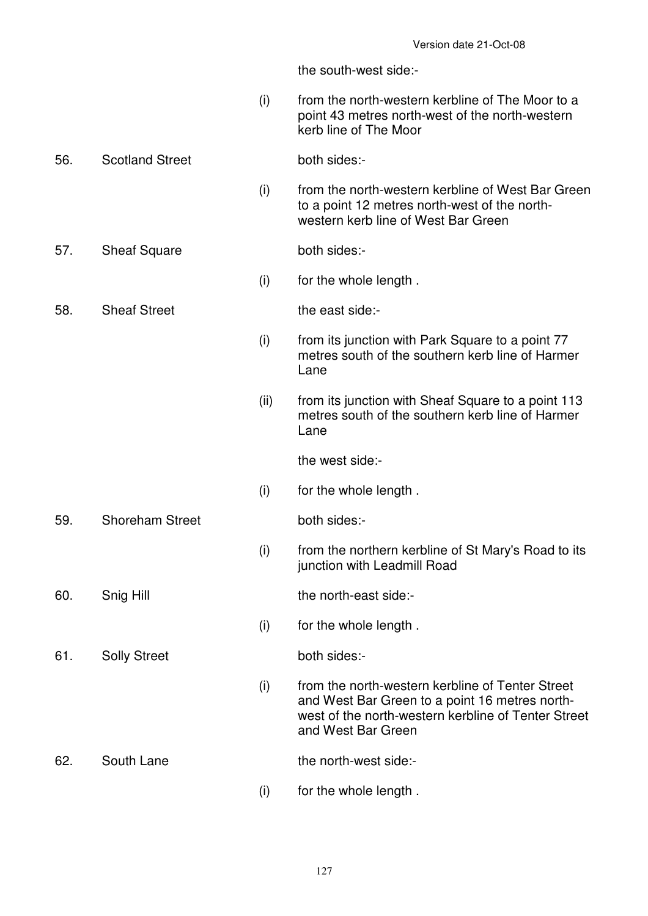the south-west side:-

- (i) from the north-western kerbline of The Moor to a point 43 metres north-west of the north-western kerb line of The Moor
- 56. Scotland Street both sides:-
	- (i) from the north-western kerbline of West Bar Green to a point 12 metres north-west of the northwestern kerb line of West Bar Green
- 57. Sheaf Square both sides:-
	- (i) for the whole length .
- 58. Sheaf Street the east side:-
	- (i) from its junction with Park Square to a point 77 metres south of the southern kerb line of Harmer Lane
	- (ii) from its junction with Sheaf Square to a point 113 metres south of the southern kerb line of Harmer Lane

the west side:-

(i) for the whole length .

59. Shoreham Street both sides:-

 (i) from the northern kerbline of St Mary's Road to its junction with Leadmill Road

60. Snig Hill the north-east side:-

(i) for the whole length .

61. Solly Street both sides:-

- (i) from the north-western kerbline of Tenter Street and West Bar Green to a point 16 metres northwest of the north-western kerbline of Tenter Street and West Bar Green
- 62. South Lane the north-west side:-
	- (i) for the whole length .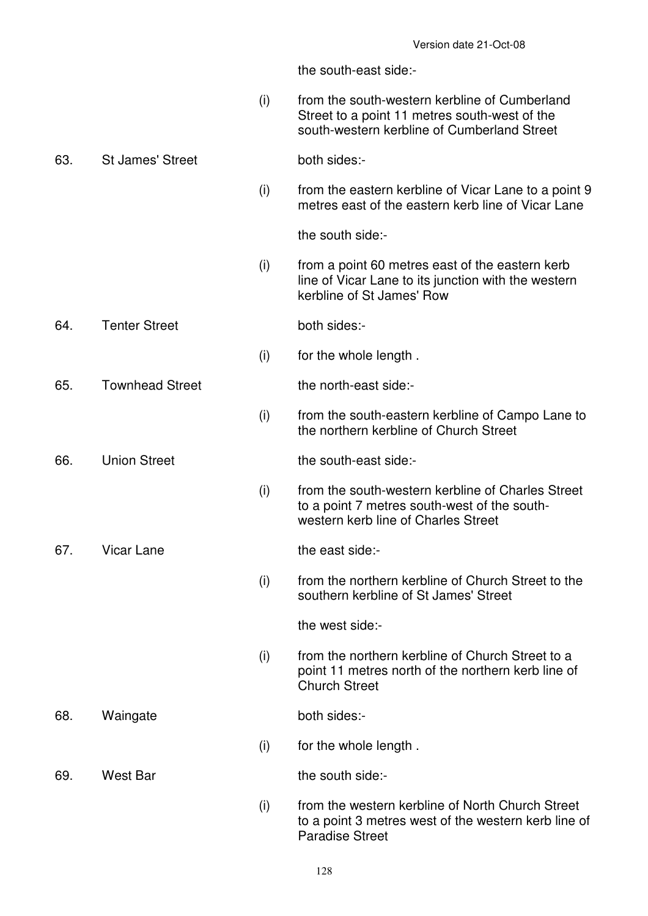the south-east side:-

- (i) from the south-western kerbline of Cumberland Street to a point 11 metres south-west of the south-western kerbline of Cumberland Street
- 63. St James' Street both sides:-
	- (i) from the eastern kerbline of Vicar Lane to a point 9 metres east of the eastern kerb line of Vicar Lane

the south side:-

 (i) from a point 60 metres east of the eastern kerb line of Vicar Lane to its junction with the western kerbline of St James' Row

#### 64. Tenter Street both sides:-

(i) for the whole length .

65. Townhead Street the north-east side:-

- (i) from the south-eastern kerbline of Campo Lane to the northern kerbline of Church Street
- 
- 66. Union Street the south-east side:-
	- (i) from the south-western kerbline of Charles Street to a point 7 metres south-west of the southwestern kerb line of Charles Street

67. Vicar Lane the east side:-

 (i) from the northern kerbline of Church Street to the southern kerbline of St James' Street

the west side:-

- (i) from the northern kerbline of Church Street to a point 11 metres north of the northern kerb line of Church Street
- 68. Waingate both sides:-
	- (i) for the whole length .

69. West Bar the south side:-

 (i) from the western kerbline of North Church Street to a point 3 metres west of the western kerb line of Paradise Street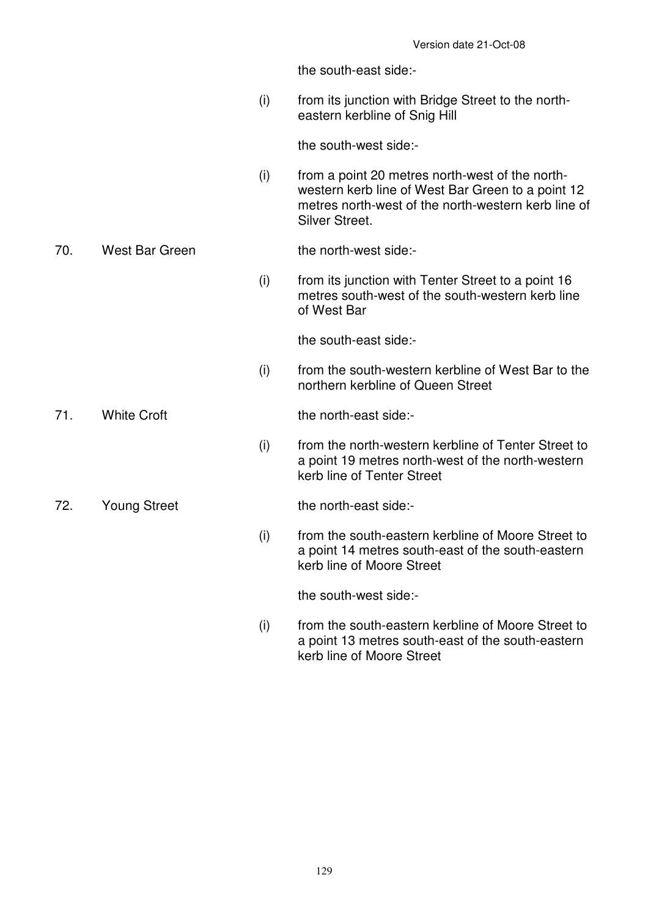the south-east side:-

 (i) from its junction with Bridge Street to the northeastern kerbline of Snig Hill

the south-west side:-

 (i) from a point 20 metres north-west of the northwestern kerb line of West Bar Green to a point 12 metres north-west of the north-western kerb line of Silver Street.

70. West Bar Green the north-west side:-

 $(i)$  from its junction with Tenter Street to a point 16 metres south-west of the south-western kerb line of West Bar

the south-east side:-

 (i) from the south-western kerbline of West Bar to the northern kerbline of Queen Street

71. White Croft the north-east side:-

 (i) from the north-western kerbline of Tenter Street to a point 19 metres north-west of the north-western kerb line of Tenter Street

72. Young Street the north-east side:-

 (i) from the south-eastern kerbline of Moore Street to a point 14 metres south-east of the south-eastern kerb line of Moore Street

the south-west side:-

 (i) from the south-eastern kerbline of Moore Street to a point 13 metres south-east of the south-eastern kerb line of Moore Street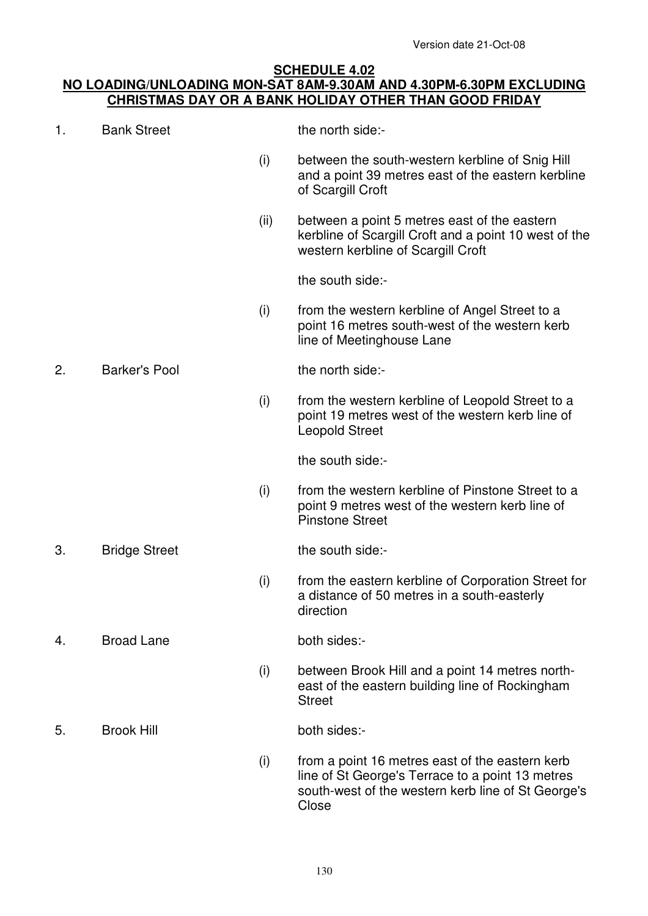### **SCHEDULE 4.02 NO LOADING/UNLOADING MON-SAT 8AM-9.30AM AND 4.30PM-6.30PM EXCLUDING CHRISTMAS DAY OR A BANK HOLIDAY OTHER THAN GOOD FRIDAY**

| 1. | <b>Bank Street</b>   |      | the north side:-                                                                                                                                                   |
|----|----------------------|------|--------------------------------------------------------------------------------------------------------------------------------------------------------------------|
|    |                      | (i)  | between the south-western kerbline of Snig Hill<br>and a point 39 metres east of the eastern kerbline<br>of Scargill Croft                                         |
|    |                      | (ii) | between a point 5 metres east of the eastern<br>kerbline of Scargill Croft and a point 10 west of the<br>western kerbline of Scargill Croft                        |
|    |                      |      | the south side:-                                                                                                                                                   |
|    |                      | (i)  | from the western kerbline of Angel Street to a<br>point 16 metres south-west of the western kerb<br>line of Meetinghouse Lane                                      |
| 2. | <b>Barker's Pool</b> |      | the north side:-                                                                                                                                                   |
|    |                      | (i)  | from the western kerbline of Leopold Street to a<br>point 19 metres west of the western kerb line of<br><b>Leopold Street</b>                                      |
|    |                      |      | the south side:-                                                                                                                                                   |
|    |                      | (i)  | from the western kerbline of Pinstone Street to a<br>point 9 metres west of the western kerb line of<br><b>Pinstone Street</b>                                     |
| 3. | <b>Bridge Street</b> |      | the south side:-                                                                                                                                                   |
|    |                      | (i)  | from the eastern kerbline of Corporation Street for<br>a distance of 50 metres in a south-easterly<br>direction                                                    |
| 4. | <b>Broad Lane</b>    |      | both sides:-                                                                                                                                                       |
|    |                      | (i)  | between Brook Hill and a point 14 metres north-<br>east of the eastern building line of Rockingham<br><b>Street</b>                                                |
| 5. | <b>Brook Hill</b>    |      | both sides:-                                                                                                                                                       |
|    |                      | (i)  | from a point 16 metres east of the eastern kerb<br>line of St George's Terrace to a point 13 metres<br>south-west of the western kerb line of St George's<br>Close |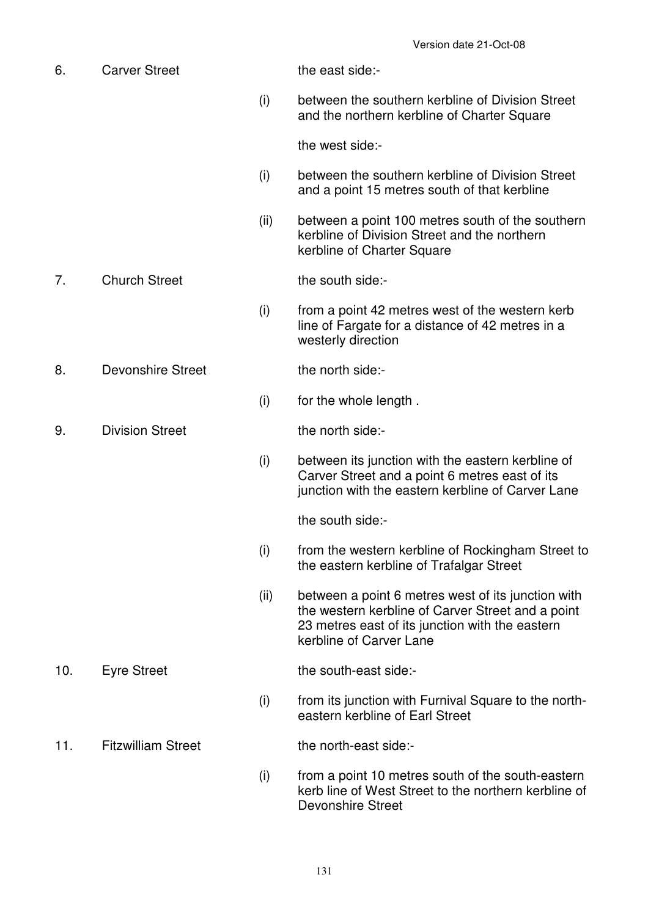6. Carver Street the east side:- (i) between the southern kerbline of Division Street and the northern kerbline of Charter Square the west side:- (i) between the southern kerbline of Division Street and a point 15 metres south of that kerbline (ii) between a point 100 metres south of the southern kerbline of Division Street and the northern kerbline of Charter Square 7. Church Street the south side:- (i) from a point 42 metres west of the western kerb line of Fargate for a distance of 42 metres in a westerly direction 8. Devonshire Street the north side:- (i) for the whole length . 9. Division Street the north side:- (i) between its junction with the eastern kerbline of Carver Street and a point 6 metres east of its junction with the eastern kerbline of Carver Lane the south side:- (i) from the western kerbline of Rockingham Street to the eastern kerbline of Trafalgar Street (ii) between a point 6 metres west of its junction with the western kerbline of Carver Street and a point 23 metres east of its junction with the eastern kerbline of Carver Lane 10. Eyre Street the south-east side:- (i) from its junction with Furnival Square to the northeastern kerbline of Earl Street 11. Fitzwilliam Street the north-east side:- (i) from a point 10 metres south of the south-eastern kerb line of West Street to the northern kerbline of Devonshire Street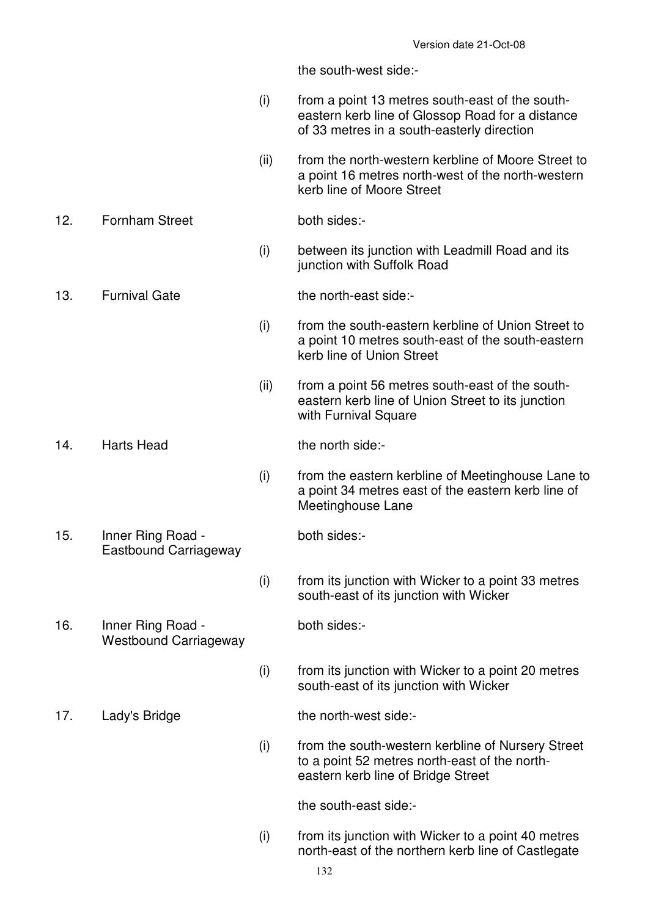the south-west side:-

- (i) from a point 13 metres south-east of the southeastern kerb line of Glossop Road for a distance of 33 metres in a south-easterly direction
- (ii) from the north-western kerbline of Moore Street to a point 16 metres north-west of the north-western kerb line of Moore Street
- 12. Fornham Street both sides:-
	- (i) between its junction with Leadmill Road and its iunction with Suffolk Road

13. Furnival Gate the north-east side:-

- (i) from the south-eastern kerbline of Union Street to a point 10 metres south-east of the south-eastern kerb line of Union Street
- (ii) from a point 56 metres south-east of the southeastern kerb line of Union Street to its junction with Furnival Square

# 14. Harts Head the north side:-

- (i) from the eastern kerbline of Meetinghouse Lane to a point 34 metres east of the eastern kerb line of Meetinghouse Lane
- both sides:-
- $(i)$  from its junction with Wicker to a point 33 metres south-east of its junction with Wicker
- 16. Inner Ring Road Westbound Carriageway

Eastbound Carriageway

- both sides:-
- (i) from its junction with Wicker to a point 20 metres south-east of its junction with Wicker

17. Lady's Bridge the north-west side:-

15. Inner Ring Road -

- 
- (i) from the south-western kerbline of Nursery Street to a point 52 metres north-east of the northeastern kerb line of Bridge Street

the south-east side:-

 $(i)$  from its junction with Wicker to a point 40 metres north-east of the northern kerb line of Castlegate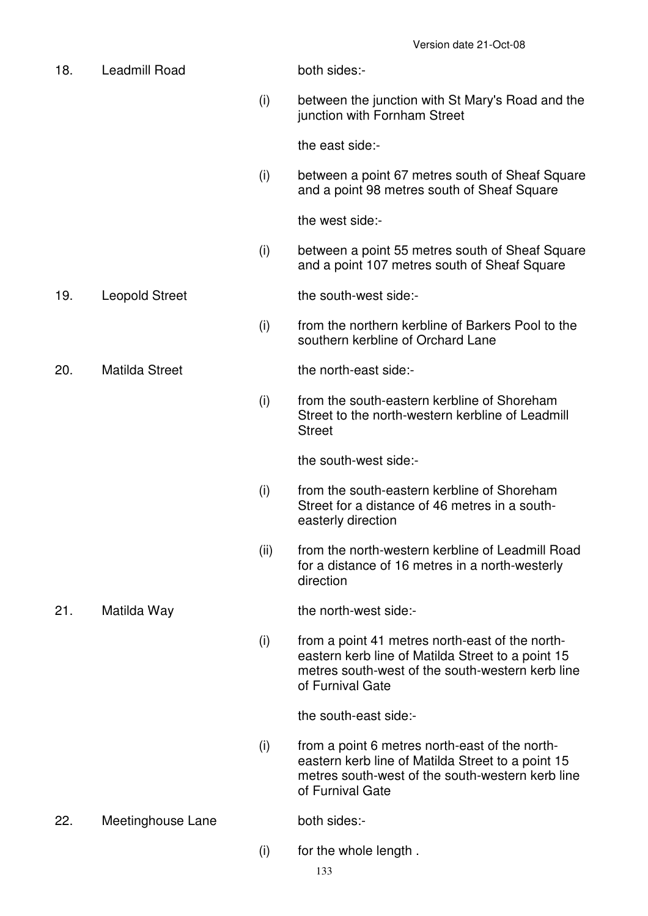18. Leadmill Road both sides:- (i) between the junction with St Mary's Road and the junction with Fornham Street the east side:- (i) between a point 67 metres south of Sheaf Square and a point 98 metres south of Sheaf Square the west side:- (i) between a point 55 metres south of Sheaf Square and a point 107 metres south of Sheaf Square 19. Leopold Street the south-west side:- (i) from the northern kerbline of Barkers Pool to the southern kerbline of Orchard Lane 20. Matilda Street the north-east side:- (i) from the south-eastern kerbline of Shoreham Street to the north-western kerbline of Leadmill **Street**  the south-west side:- (i) from the south-eastern kerbline of Shoreham Street for a distance of 46 metres in a southeasterly direction (ii) from the north-western kerbline of Leadmill Road for a distance of 16 metres in a north-westerly direction 21. Matilda Way the north-west side:- (i) from a point 41 metres north-east of the northeastern kerb line of Matilda Street to a point 15 metres south-west of the south-western kerb line of Furnival Gate the south-east side:- (i) from a point 6 metres north-east of the northeastern kerb line of Matilda Street to a point 15 metres south-west of the south-western kerb line of Furnival Gate 22. Meetinghouse Lane both sides:-(i) for the whole length .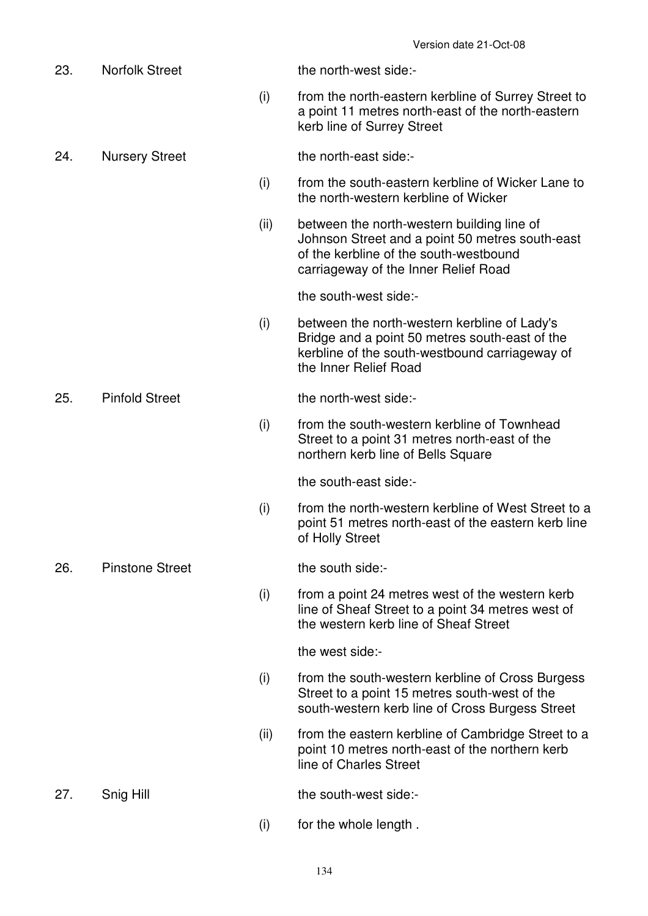| 23. | <b>Norfolk Street</b>  |      | the north-west side:-                                                                                                                                                           |
|-----|------------------------|------|---------------------------------------------------------------------------------------------------------------------------------------------------------------------------------|
|     |                        | (i)  | from the north-eastern kerbline of Surrey Street to<br>a point 11 metres north-east of the north-eastern<br>kerb line of Surrey Street                                          |
| 24. | <b>Nursery Street</b>  |      | the north-east side:-                                                                                                                                                           |
|     |                        | (i)  | from the south-eastern kerbline of Wicker Lane to<br>the north-western kerbline of Wicker                                                                                       |
|     |                        | (ii) | between the north-western building line of<br>Johnson Street and a point 50 metres south-east<br>of the kerbline of the south-westbound<br>carriageway of the Inner Relief Road |
|     |                        |      | the south-west side:-                                                                                                                                                           |
|     |                        | (i)  | between the north-western kerbline of Lady's<br>Bridge and a point 50 metres south-east of the<br>kerbline of the south-westbound carriageway of<br>the Inner Relief Road       |
| 25. | <b>Pinfold Street</b>  |      | the north-west side:-                                                                                                                                                           |
|     |                        | (i)  | from the south-western kerbline of Townhead<br>Street to a point 31 metres north-east of the<br>northern kerb line of Bells Square                                              |
|     |                        |      | the south-east side:-                                                                                                                                                           |
|     |                        | (i)  | from the north-western kerbline of West Street to a<br>point 51 metres north-east of the eastern kerb line<br>of Holly Street                                                   |
| 26. | <b>Pinstone Street</b> |      | the south side:-                                                                                                                                                                |
|     |                        | (i)  | from a point 24 metres west of the western kerb<br>line of Sheaf Street to a point 34 metres west of<br>the western kerb line of Sheaf Street                                   |
|     |                        |      | the west side:-                                                                                                                                                                 |
|     |                        | (i)  | from the south-western kerbline of Cross Burgess<br>Street to a point 15 metres south-west of the<br>south-western kerb line of Cross Burgess Street                            |
|     |                        | (ii) | from the eastern kerbline of Cambridge Street to a<br>point 10 metres north-east of the northern kerb<br>line of Charles Street                                                 |
| 27. | Snig Hill              |      | the south-west side:-                                                                                                                                                           |
|     |                        | (i)  | for the whole length.                                                                                                                                                           |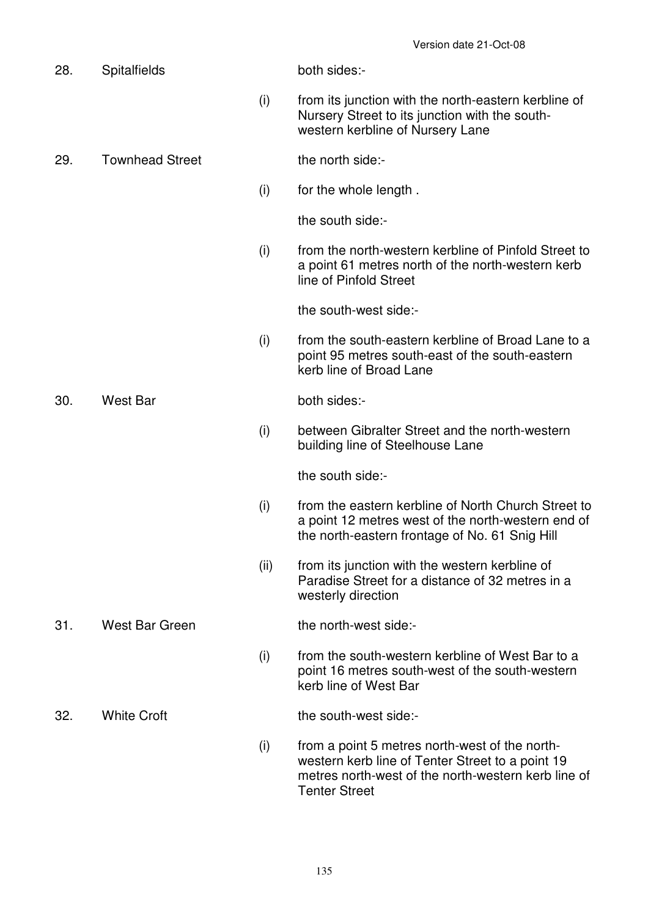| 28. | <b>Spitalfields</b>    |      | both sides:-                                                                                                                                                                      |
|-----|------------------------|------|-----------------------------------------------------------------------------------------------------------------------------------------------------------------------------------|
|     |                        | (i)  | from its junction with the north-eastern kerbline of<br>Nursery Street to its junction with the south-<br>western kerbline of Nursery Lane                                        |
| 29. | <b>Townhead Street</b> |      | the north side:-                                                                                                                                                                  |
|     |                        | (i)  | for the whole length.                                                                                                                                                             |
|     |                        |      | the south side:-                                                                                                                                                                  |
|     |                        | (i)  | from the north-western kerbline of Pinfold Street to<br>a point 61 metres north of the north-western kerb<br>line of Pinfold Street                                               |
|     |                        |      | the south-west side:-                                                                                                                                                             |
|     |                        | (i)  | from the south-eastern kerbline of Broad Lane to a<br>point 95 metres south-east of the south-eastern<br>kerb line of Broad Lane                                                  |
| 30. | <b>West Bar</b>        |      | both sides:-                                                                                                                                                                      |
|     |                        | (i)  | between Gibralter Street and the north-western<br>building line of Steelhouse Lane                                                                                                |
|     |                        |      | the south side:-                                                                                                                                                                  |
|     |                        | (i)  | from the eastern kerbline of North Church Street to<br>a point 12 metres west of the north-western end of<br>the north-eastern frontage of No. 61 Snig Hill                       |
|     |                        | (ii) | from its junction with the western kerbline of<br>Paradise Street for a distance of 32 metres in a<br>westerly direction                                                          |
| 31. | <b>West Bar Green</b>  |      | the north-west side:-                                                                                                                                                             |
|     |                        | (i)  | from the south-western kerbline of West Bar to a<br>point 16 metres south-west of the south-western<br>kerb line of West Bar                                                      |
| 32. | <b>White Croft</b>     |      | the south-west side:-                                                                                                                                                             |
|     |                        | (i)  | from a point 5 metres north-west of the north-<br>western kerb line of Tenter Street to a point 19<br>metres north-west of the north-western kerb line of<br><b>Tenter Street</b> |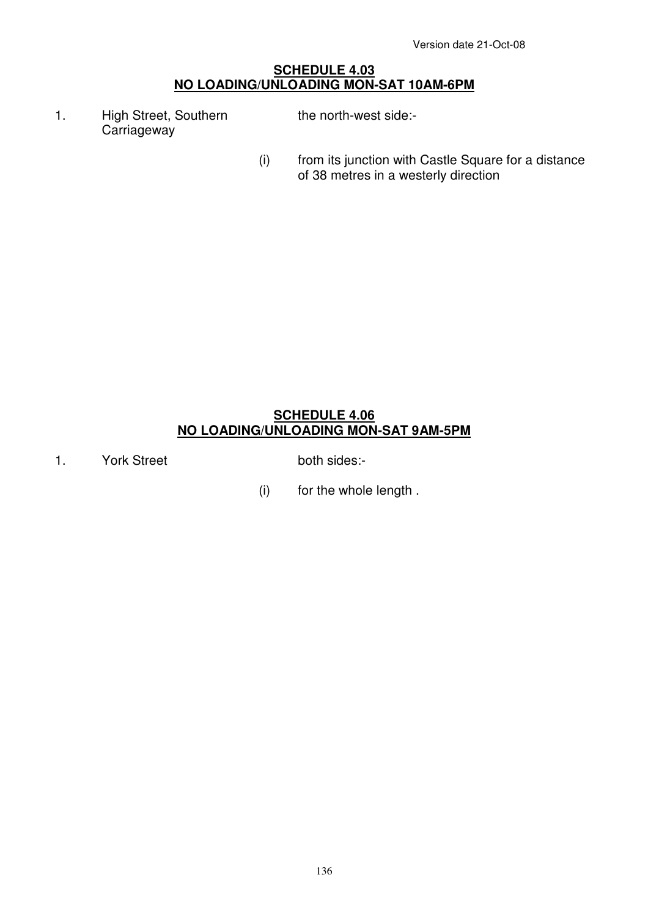#### **SCHEDULE 4.03 NO LOADING/UNLOADING MON-SAT 10AM-6PM**

- 1. High Street, Southern **Carriageway** the north-west side:-
- (i) from its junction with Castle Square for a distance of 38 metres in a westerly direction

# **SCHEDULE 4.06 NO LOADING/UNLOADING MON-SAT 9AM-5PM**

1. York Street both sides:-

(i) for the whole length .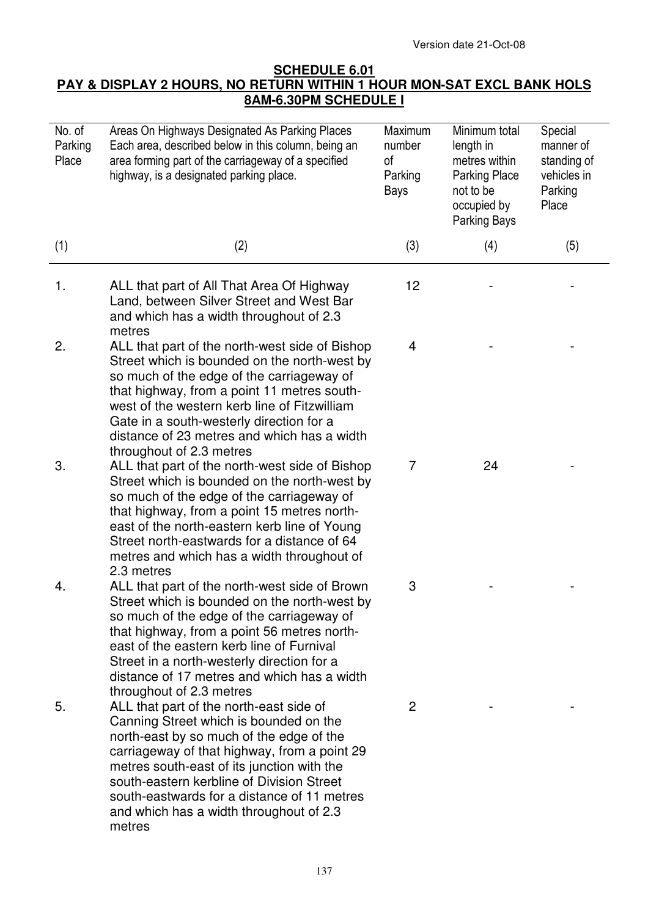# **SCHEDULE 6.01 PAY & DISPLAY 2 HOURS, NO RETURN WITHIN 1 HOUR MON-SAT EXCL BANK HOLS 8AM-6.30PM SCHEDULE I**

| No. of<br>Parking<br>Place | Areas On Highways Designated As Parking Places<br>Each area, described below in this column, being an<br>area forming part of the carriageway of a specified<br>highway, is a designated parking place.                                                                                                                                                                      | Maximum<br>number<br>0f<br>Parking<br>Bays | Minimum total<br>length in<br>metres within<br><b>Parking Place</b><br>not to be<br>occupied by<br>Parking Bays | Special<br>manner of<br>standing of<br>vehicles in<br>Parking<br>Place |
|----------------------------|------------------------------------------------------------------------------------------------------------------------------------------------------------------------------------------------------------------------------------------------------------------------------------------------------------------------------------------------------------------------------|--------------------------------------------|-----------------------------------------------------------------------------------------------------------------|------------------------------------------------------------------------|
| (1)                        | (2)                                                                                                                                                                                                                                                                                                                                                                          | (3)                                        | (4)                                                                                                             | (5)                                                                    |
| 1.                         | ALL that part of All That Area Of Highway<br>Land, between Silver Street and West Bar<br>and which has a width throughout of 2.3<br>metres                                                                                                                                                                                                                                   | 12                                         |                                                                                                                 |                                                                        |
| 2.                         | ALL that part of the north-west side of Bishop<br>Street which is bounded on the north-west by<br>so much of the edge of the carriageway of<br>that highway, from a point 11 metres south-<br>west of the western kerb line of Fitzwilliam<br>Gate in a south-westerly direction for a<br>distance of 23 metres and which has a width<br>throughout of 2.3 metres            | 4                                          |                                                                                                                 |                                                                        |
| 3.                         | ALL that part of the north-west side of Bishop<br>Street which is bounded on the north-west by<br>so much of the edge of the carriageway of<br>that highway, from a point 15 metres north-<br>east of the north-eastern kerb line of Young<br>Street north-eastwards for a distance of 64<br>metres and which has a width throughout of<br>2.3 metres                        | $\overline{7}$                             | 24                                                                                                              |                                                                        |
| 4.                         | ALL that part of the north-west side of Brown<br>Street which is bounded on the north-west by<br>so much of the edge of the carriageway of<br>that highway, from a point 56 metres north-<br>east of the eastern kerb line of Furnival<br>Street in a north-westerly direction for a<br>distance of 17 metres and which has a width<br>throughout of 2.3 metres              | 3                                          |                                                                                                                 |                                                                        |
| 5.                         | ALL that part of the north-east side of<br>Canning Street which is bounded on the<br>north-east by so much of the edge of the<br>carriageway of that highway, from a point 29<br>metres south-east of its junction with the<br>south-eastern kerbline of Division Street<br>south-eastwards for a distance of 11 metres<br>and which has a width throughout of 2.3<br>metres | $\overline{2}$                             |                                                                                                                 |                                                                        |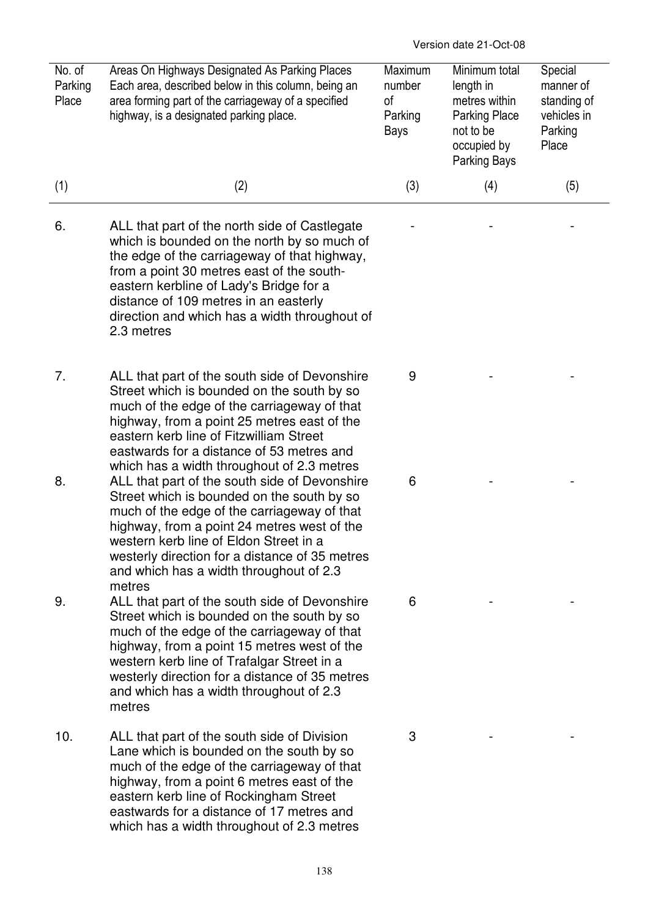| No. of<br>Parking<br>Place | Areas On Highways Designated As Parking Places<br>Each area, described below in this column, being an<br>area forming part of the carriageway of a specified<br>highway, is a designated parking place.                                                                                                                                        | Maximum<br>number<br>0f<br>Parking<br>Bays | Minimum total<br>length in<br>metres within<br><b>Parking Place</b><br>not to be<br>occupied by<br>Parking Bays | Special<br>manner of<br>standing of<br>vehicles in<br>Parking<br>Place |
|----------------------------|------------------------------------------------------------------------------------------------------------------------------------------------------------------------------------------------------------------------------------------------------------------------------------------------------------------------------------------------|--------------------------------------------|-----------------------------------------------------------------------------------------------------------------|------------------------------------------------------------------------|
| (1)                        | (2)                                                                                                                                                                                                                                                                                                                                            | (3)                                        | (4)                                                                                                             | (5)                                                                    |
| 6.                         | ALL that part of the north side of Castlegate<br>which is bounded on the north by so much of<br>the edge of the carriageway of that highway,<br>from a point 30 metres east of the south-<br>eastern kerbline of Lady's Bridge for a<br>distance of 109 metres in an easterly<br>direction and which has a width throughout of<br>2.3 metres   |                                            |                                                                                                                 |                                                                        |
| 7.                         | ALL that part of the south side of Devonshire<br>Street which is bounded on the south by so<br>much of the edge of the carriageway of that<br>highway, from a point 25 metres east of the<br>eastern kerb line of Fitzwilliam Street<br>eastwards for a distance of 53 metres and<br>which has a width throughout of 2.3 metres                | 9                                          |                                                                                                                 |                                                                        |
| 8.                         | ALL that part of the south side of Devonshire<br>Street which is bounded on the south by so<br>much of the edge of the carriageway of that<br>highway, from a point 24 metres west of the<br>western kerb line of Eldon Street in a<br>westerly direction for a distance of 35 metres<br>and which has a width throughout of 2.3<br>metres     | 6                                          |                                                                                                                 |                                                                        |
| 9.                         | ALL that part of the south side of Devonshire<br>Street which is bounded on the south by so<br>much of the edge of the carriageway of that<br>highway, from a point 15 metres west of the<br>western kerb line of Trafalgar Street in a<br>westerly direction for a distance of 35 metres<br>and which has a width throughout of 2.3<br>metres | 6                                          |                                                                                                                 |                                                                        |
| 10.                        | ALL that part of the south side of Division<br>Lane which is bounded on the south by so<br>much of the edge of the carriageway of that<br>highway, from a point 6 metres east of the<br>eastern kerb line of Rockingham Street<br>eastwards for a distance of 17 metres and<br>which has a width throughout of 2.3 metres                      | 3                                          |                                                                                                                 |                                                                        |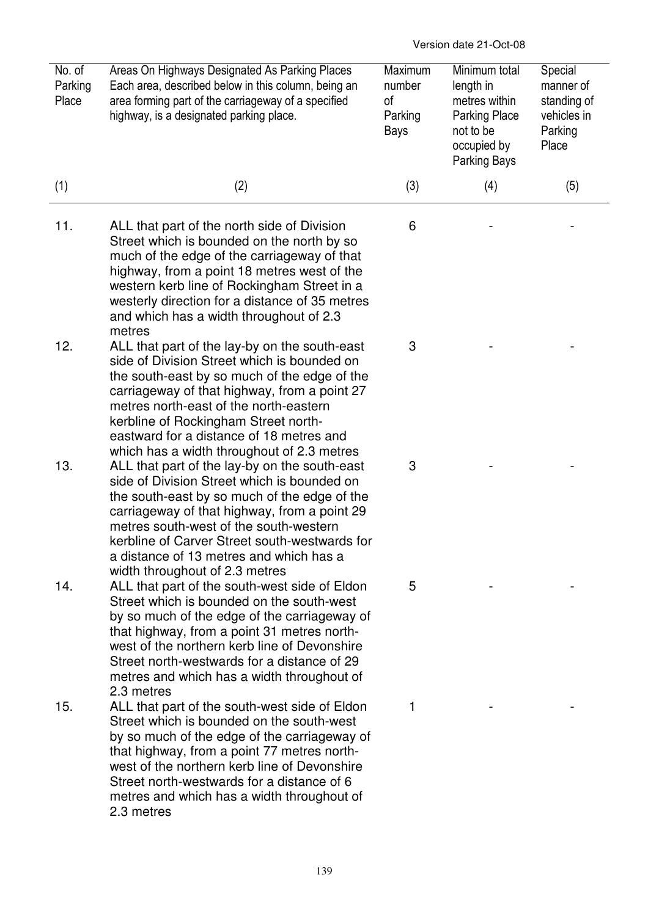| No. of<br>Parking<br>Place | Areas On Highways Designated As Parking Places<br>Each area, described below in this column, being an<br>area forming part of the carriageway of a specified<br>highway, is a designated parking place.                                                                                                                                                                  | Maximum<br>number<br>0f<br>Parking<br>Bays | Minimum total<br>length in<br>metres within<br><b>Parking Place</b><br>not to be<br>occupied by<br>Parking Bays | Special<br>manner of<br>standing of<br>vehicles in<br>Parking<br>Place |
|----------------------------|--------------------------------------------------------------------------------------------------------------------------------------------------------------------------------------------------------------------------------------------------------------------------------------------------------------------------------------------------------------------------|--------------------------------------------|-----------------------------------------------------------------------------------------------------------------|------------------------------------------------------------------------|
| (1)                        | (2)                                                                                                                                                                                                                                                                                                                                                                      | (3)                                        | (4)                                                                                                             | (5)                                                                    |
| 11.                        | ALL that part of the north side of Division<br>Street which is bounded on the north by so<br>much of the edge of the carriageway of that<br>highway, from a point 18 metres west of the<br>western kerb line of Rockingham Street in a<br>westerly direction for a distance of 35 metres<br>and which has a width throughout of 2.3<br>metres                            | 6                                          |                                                                                                                 |                                                                        |
| 12.                        | ALL that part of the lay-by on the south-east<br>side of Division Street which is bounded on<br>the south-east by so much of the edge of the<br>carriageway of that highway, from a point 27<br>metres north-east of the north-eastern<br>kerbline of Rockingham Street north-<br>eastward for a distance of 18 metres and<br>which has a width throughout of 2.3 metres | 3                                          |                                                                                                                 |                                                                        |
| 13.                        | ALL that part of the lay-by on the south-east<br>side of Division Street which is bounded on<br>the south-east by so much of the edge of the<br>carriageway of that highway, from a point 29<br>metres south-west of the south-western<br>kerbline of Carver Street south-westwards for<br>a distance of 13 metres and which has a<br>width throughout of 2.3 metres     | 3                                          |                                                                                                                 |                                                                        |
| 14.                        | ALL that part of the south-west side of Eldon<br>Street which is bounded on the south-west<br>by so much of the edge of the carriageway of<br>that highway, from a point 31 metres north-<br>west of the northern kerb line of Devonshire<br>Street north-westwards for a distance of 29<br>metres and which has a width throughout of<br>2.3 metres                     | 5                                          |                                                                                                                 |                                                                        |
| 15.                        | ALL that part of the south-west side of Eldon<br>Street which is bounded on the south-west<br>by so much of the edge of the carriageway of<br>that highway, from a point 77 metres north-<br>west of the northern kerb line of Devonshire<br>Street north-westwards for a distance of 6<br>metres and which has a width throughout of<br>2.3 metres                      | 1                                          |                                                                                                                 |                                                                        |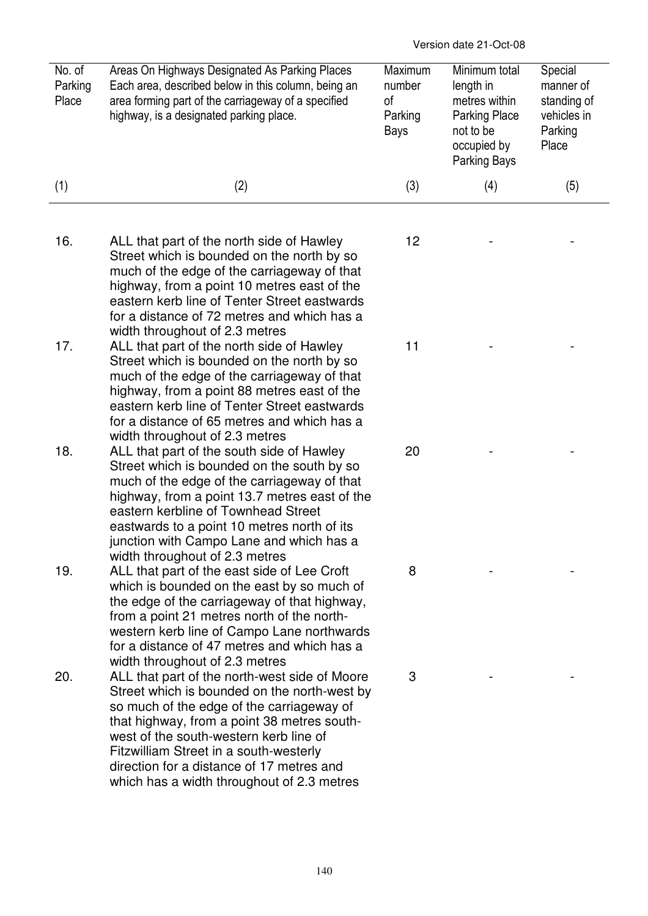| No. of<br>Parking<br>Place | Areas On Highways Designated As Parking Places<br>Each area, described below in this column, being an<br>area forming part of the carriageway of a specified<br>highway, is a designated parking place.                                                                                                                                                                                                                                                                                                 | Maximum<br>number<br>0f<br>Parking<br>Bays | Minimum total<br>length in<br>metres within<br><b>Parking Place</b><br>not to be<br>occupied by<br>Parking Bays | Special<br>manner of<br>standing of<br>vehicles in<br>Parking<br>Place |
|----------------------------|---------------------------------------------------------------------------------------------------------------------------------------------------------------------------------------------------------------------------------------------------------------------------------------------------------------------------------------------------------------------------------------------------------------------------------------------------------------------------------------------------------|--------------------------------------------|-----------------------------------------------------------------------------------------------------------------|------------------------------------------------------------------------|
| (1)                        | (2)                                                                                                                                                                                                                                                                                                                                                                                                                                                                                                     | (3)                                        | (4)                                                                                                             | (5)                                                                    |
| 16.                        | ALL that part of the north side of Hawley<br>Street which is bounded on the north by so<br>much of the edge of the carriageway of that<br>highway, from a point 10 metres east of the                                                                                                                                                                                                                                                                                                                   | 12                                         |                                                                                                                 |                                                                        |
| 17.                        | eastern kerb line of Tenter Street eastwards<br>for a distance of 72 metres and which has a<br>width throughout of 2.3 metres<br>ALL that part of the north side of Hawley<br>Street which is bounded on the north by so<br>much of the edge of the carriageway of that<br>highway, from a point 88 metres east of the                                                                                                                                                                                  | 11                                         |                                                                                                                 |                                                                        |
| 18.                        | eastern kerb line of Tenter Street eastwards<br>for a distance of 65 metres and which has a<br>width throughout of 2.3 metres<br>ALL that part of the south side of Hawley<br>Street which is bounded on the south by so<br>much of the edge of the carriageway of that<br>highway, from a point 13.7 metres east of the                                                                                                                                                                                | 20                                         |                                                                                                                 |                                                                        |
| 19.                        | eastern kerbline of Townhead Street<br>eastwards to a point 10 metres north of its<br>junction with Campo Lane and which has a<br>width throughout of 2.3 metres<br>ALL that part of the east side of Lee Croft<br>which is bounded on the east by so much of<br>the edge of the carriageway of that highway,<br>from a point 21 metres north of the north-                                                                                                                                             | 8                                          |                                                                                                                 |                                                                        |
| 20.                        | western kerb line of Campo Lane northwards<br>for a distance of 47 metres and which has a<br>width throughout of 2.3 metres<br>ALL that part of the north-west side of Moore<br>Street which is bounded on the north-west by<br>so much of the edge of the carriageway of<br>that highway, from a point 38 metres south-<br>west of the south-western kerb line of<br>Fitzwilliam Street in a south-westerly<br>direction for a distance of 17 metres and<br>which has a width throughout of 2.3 metres | 3                                          |                                                                                                                 |                                                                        |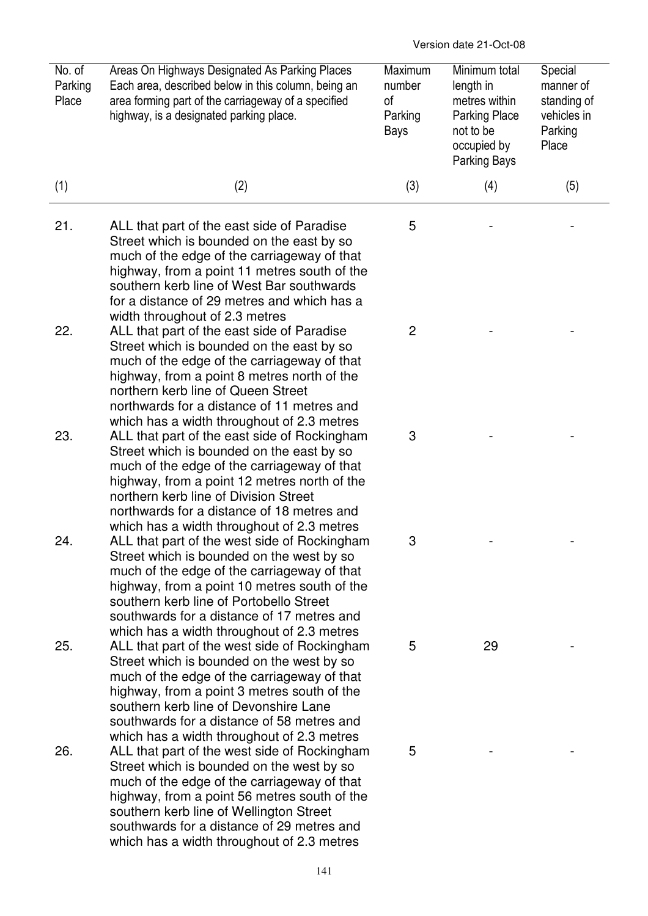| No. of<br>Parking<br>Place | Areas On Highways Designated As Parking Places<br>Each area, described below in this column, being an<br>area forming part of the carriageway of a specified<br>highway, is a designated parking place.                                                                                                                         | Maximum<br>number<br>0f<br>Parking<br>Bays | Minimum total<br>length in<br>metres within<br><b>Parking Place</b><br>not to be<br>occupied by<br>Parking Bays | Special<br>manner of<br>standing of<br>vehicles in<br>Parking<br>Place |
|----------------------------|---------------------------------------------------------------------------------------------------------------------------------------------------------------------------------------------------------------------------------------------------------------------------------------------------------------------------------|--------------------------------------------|-----------------------------------------------------------------------------------------------------------------|------------------------------------------------------------------------|
| (1)                        | (2)                                                                                                                                                                                                                                                                                                                             | (3)                                        | (4)                                                                                                             | (5)                                                                    |
| 21.                        | ALL that part of the east side of Paradise<br>Street which is bounded on the east by so<br>much of the edge of the carriageway of that<br>highway, from a point 11 metres south of the<br>southern kerb line of West Bar southwards<br>for a distance of 29 metres and which has a<br>width throughout of 2.3 metres            | 5                                          |                                                                                                                 |                                                                        |
| 22.                        | ALL that part of the east side of Paradise<br>Street which is bounded on the east by so<br>much of the edge of the carriageway of that<br>highway, from a point 8 metres north of the<br>northern kerb line of Queen Street<br>northwards for a distance of 11 metres and<br>which has a width throughout of 2.3 metres         | $\overline{2}$                             |                                                                                                                 |                                                                        |
| 23.                        | ALL that part of the east side of Rockingham<br>Street which is bounded on the east by so<br>much of the edge of the carriageway of that<br>highway, from a point 12 metres north of the<br>northern kerb line of Division Street<br>northwards for a distance of 18 metres and<br>which has a width throughout of 2.3 metres   | 3                                          |                                                                                                                 |                                                                        |
| 24.                        | ALL that part of the west side of Rockingham<br>Street which is bounded on the west by so<br>much of the edge of the carriageway of that<br>highway, from a point 10 metres south of the<br>southern kerb line of Portobello Street<br>southwards for a distance of 17 metres and<br>which has a width throughout of 2.3 metres | з                                          |                                                                                                                 |                                                                        |
| 25.                        | ALL that part of the west side of Rockingham<br>Street which is bounded on the west by so<br>much of the edge of the carriageway of that<br>highway, from a point 3 metres south of the<br>southern kerb line of Devonshire Lane<br>southwards for a distance of 58 metres and<br>which has a width throughout of 2.3 metres    | 5                                          | 29                                                                                                              |                                                                        |
| 26.                        | ALL that part of the west side of Rockingham<br>Street which is bounded on the west by so<br>much of the edge of the carriageway of that<br>highway, from a point 56 metres south of the<br>southern kerb line of Wellington Street<br>southwards for a distance of 29 metres and<br>which has a width throughout of 2.3 metres | 5                                          |                                                                                                                 |                                                                        |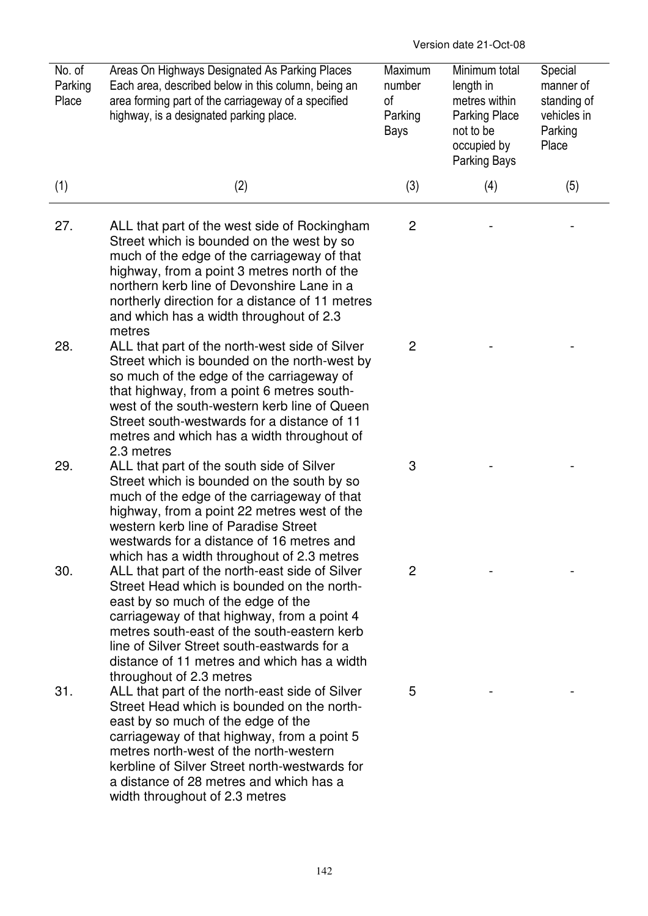| No. of<br>Parking<br>Place | Areas On Highways Designated As Parking Places<br>Each area, described below in this column, being an<br>area forming part of the carriageway of a specified<br>highway, is a designated parking place.                                                                                                                                                    | Maximum<br>number<br>οf<br>Parking<br>Bays | Minimum total<br>length in<br>metres within<br>Parking Place<br>not to be<br>occupied by<br>Parking Bays | Special<br>manner of<br>standing of<br>vehicles in<br>Parking<br>Place |
|----------------------------|------------------------------------------------------------------------------------------------------------------------------------------------------------------------------------------------------------------------------------------------------------------------------------------------------------------------------------------------------------|--------------------------------------------|----------------------------------------------------------------------------------------------------------|------------------------------------------------------------------------|
| (1)                        | (2)                                                                                                                                                                                                                                                                                                                                                        | (3)                                        | (4)                                                                                                      | (5)                                                                    |
| 27.                        | ALL that part of the west side of Rockingham<br>Street which is bounded on the west by so<br>much of the edge of the carriageway of that<br>highway, from a point 3 metres north of the<br>northern kerb line of Devonshire Lane in a<br>northerly direction for a distance of 11 metres<br>and which has a width throughout of 2.3<br>metres              | $\overline{c}$                             |                                                                                                          |                                                                        |
| 28.                        | ALL that part of the north-west side of Silver<br>Street which is bounded on the north-west by<br>so much of the edge of the carriageway of<br>that highway, from a point 6 metres south-<br>west of the south-western kerb line of Queen<br>Street south-westwards for a distance of 11<br>metres and which has a width throughout of<br>2.3 metres       | $\overline{2}$                             |                                                                                                          |                                                                        |
| 29.                        | ALL that part of the south side of Silver<br>Street which is bounded on the south by so<br>much of the edge of the carriageway of that<br>highway, from a point 22 metres west of the<br>western kerb line of Paradise Street<br>westwards for a distance of 16 metres and<br>which has a width throughout of 2.3 metres                                   | 3                                          |                                                                                                          |                                                                        |
| 30.                        | ALL that part of the north-east side of Silver<br>Street Head which is bounded on the north-<br>east by so much of the edge of the<br>carriageway of that highway, from a point 4<br>metres south-east of the south-eastern kerb<br>line of Silver Street south-eastwards for a<br>distance of 11 metres and which has a width<br>throughout of 2.3 metres | 2                                          |                                                                                                          |                                                                        |
| 31.                        | ALL that part of the north-east side of Silver<br>Street Head which is bounded on the north-<br>east by so much of the edge of the<br>carriageway of that highway, from a point 5<br>metres north-west of the north-western<br>kerbline of Silver Street north-westwards for<br>a distance of 28 metres and which has a<br>width throughout of 2.3 metres  | 5                                          |                                                                                                          |                                                                        |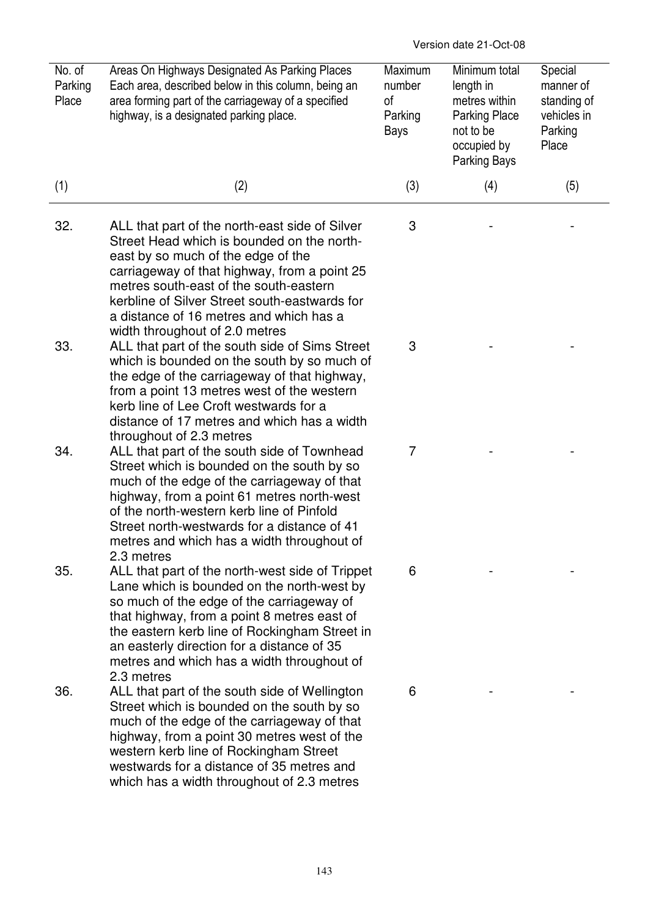| No. of<br>Parking<br>Place | Areas On Highways Designated As Parking Places<br>Each area, described below in this column, being an<br>area forming part of the carriageway of a specified<br>highway, is a designated parking place.                                                                                                                                                                    | Maximum<br>number<br>оf<br>Parking<br>Bays | Minimum total<br>length in<br>metres within<br><b>Parking Place</b><br>not to be<br>occupied by<br>Parking Bays | Special<br>manner of<br>standing of<br>vehicles in<br>Parking<br>Place |
|----------------------------|----------------------------------------------------------------------------------------------------------------------------------------------------------------------------------------------------------------------------------------------------------------------------------------------------------------------------------------------------------------------------|--------------------------------------------|-----------------------------------------------------------------------------------------------------------------|------------------------------------------------------------------------|
| (1)                        | (2)                                                                                                                                                                                                                                                                                                                                                                        | (3)                                        | (4)                                                                                                             | (5)                                                                    |
| 32.                        | ALL that part of the north-east side of Silver<br>Street Head which is bounded on the north-<br>east by so much of the edge of the<br>carriageway of that highway, from a point 25<br>metres south-east of the south-eastern<br>kerbline of Silver Street south-eastwards for<br>a distance of 16 metres and which has a                                                   | 3                                          |                                                                                                                 |                                                                        |
| 33.                        | width throughout of 2.0 metres<br>ALL that part of the south side of Sims Street<br>which is bounded on the south by so much of<br>the edge of the carriageway of that highway,<br>from a point 13 metres west of the western<br>kerb line of Lee Croft westwards for a<br>distance of 17 metres and which has a width                                                     | 3                                          |                                                                                                                 |                                                                        |
| 34.                        | throughout of 2.3 metres<br>ALL that part of the south side of Townhead<br>Street which is bounded on the south by so<br>much of the edge of the carriageway of that<br>highway, from a point 61 metres north-west<br>of the north-western kerb line of Pinfold<br>Street north-westwards for a distance of 41<br>metres and which has a width throughout of<br>2.3 metres | $\overline{7}$                             |                                                                                                                 |                                                                        |
| 35.                        | ALL that part of the north-west side of Trippet<br>Lane which is bounded on the north-west by<br>so much of the edge of the carriageway of<br>that highway, from a point 8 metres east of<br>the eastern kerb line of Rockingham Street in<br>an easterly direction for a distance of 35<br>metres and which has a width throughout of<br>2.3 metres                       | 6                                          |                                                                                                                 |                                                                        |
| 36.                        | ALL that part of the south side of Wellington<br>Street which is bounded on the south by so<br>much of the edge of the carriageway of that<br>highway, from a point 30 metres west of the<br>western kerb line of Rockingham Street<br>westwards for a distance of 35 metres and<br>which has a width throughout of 2.3 metres                                             | 6                                          |                                                                                                                 |                                                                        |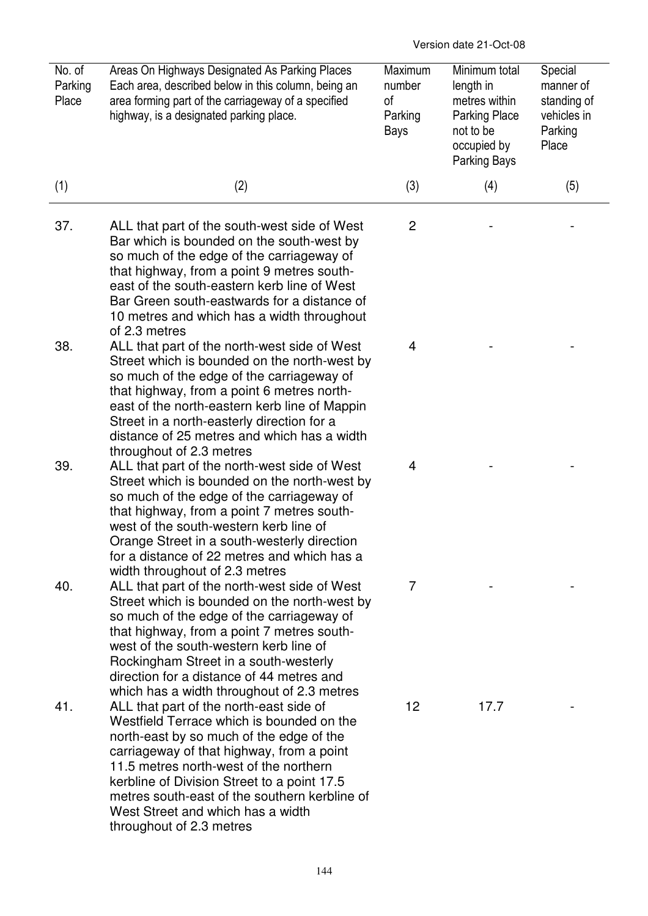| No. of<br>Parking<br>Place | Areas On Highways Designated As Parking Places<br>Each area, described below in this column, being an<br>area forming part of the carriageway of a specified<br>highway, is a designated parking place.                                                                                                                                                                                  | Maximum<br>number<br>0f<br>Parking<br>Bays | Minimum total<br>length in<br>metres within<br><b>Parking Place</b><br>not to be<br>occupied by<br>Parking Bays | Special<br>manner of<br>standing of<br>vehicles in<br>Parking<br>Place |
|----------------------------|------------------------------------------------------------------------------------------------------------------------------------------------------------------------------------------------------------------------------------------------------------------------------------------------------------------------------------------------------------------------------------------|--------------------------------------------|-----------------------------------------------------------------------------------------------------------------|------------------------------------------------------------------------|
| (1)                        | (2)                                                                                                                                                                                                                                                                                                                                                                                      | (3)                                        | (4)                                                                                                             | (5)                                                                    |
| 37.                        | ALL that part of the south-west side of West<br>Bar which is bounded on the south-west by<br>so much of the edge of the carriageway of<br>that highway, from a point 9 metres south-<br>east of the south-eastern kerb line of West<br>Bar Green south-eastwards for a distance of<br>10 metres and which has a width throughout<br>of 2.3 metres                                        | $\overline{c}$                             |                                                                                                                 |                                                                        |
| 38.                        | ALL that part of the north-west side of West<br>Street which is bounded on the north-west by<br>so much of the edge of the carriageway of<br>that highway, from a point 6 metres north-<br>east of the north-eastern kerb line of Mappin<br>Street in a north-easterly direction for a<br>distance of 25 metres and which has a width<br>throughout of 2.3 metres                        | 4                                          |                                                                                                                 |                                                                        |
| 39.                        | ALL that part of the north-west side of West<br>Street which is bounded on the north-west by<br>so much of the edge of the carriageway of<br>that highway, from a point 7 metres south-<br>west of the south-western kerb line of<br>Orange Street in a south-westerly direction<br>for a distance of 22 metres and which has a<br>width throughout of 2.3 metres                        | 4                                          |                                                                                                                 |                                                                        |
| 40.                        | ALL that part of the north-west side of West<br>Street which is bounded on the north-west by<br>so much of the edge of the carriageway of<br>that highway, from a point 7 metres south-<br>west of the south-western kerb line of<br>Rockingham Street in a south-westerly<br>direction for a distance of 44 metres and<br>which has a width throughout of 2.3 metres                    | 7                                          |                                                                                                                 |                                                                        |
| 41.                        | ALL that part of the north-east side of<br>Westfield Terrace which is bounded on the<br>north-east by so much of the edge of the<br>carriageway of that highway, from a point<br>11.5 metres north-west of the northern<br>kerbline of Division Street to a point 17.5<br>metres south-east of the southern kerbline of<br>West Street and which has a width<br>throughout of 2.3 metres | $12 \overline{ }$                          | 17.7                                                                                                            |                                                                        |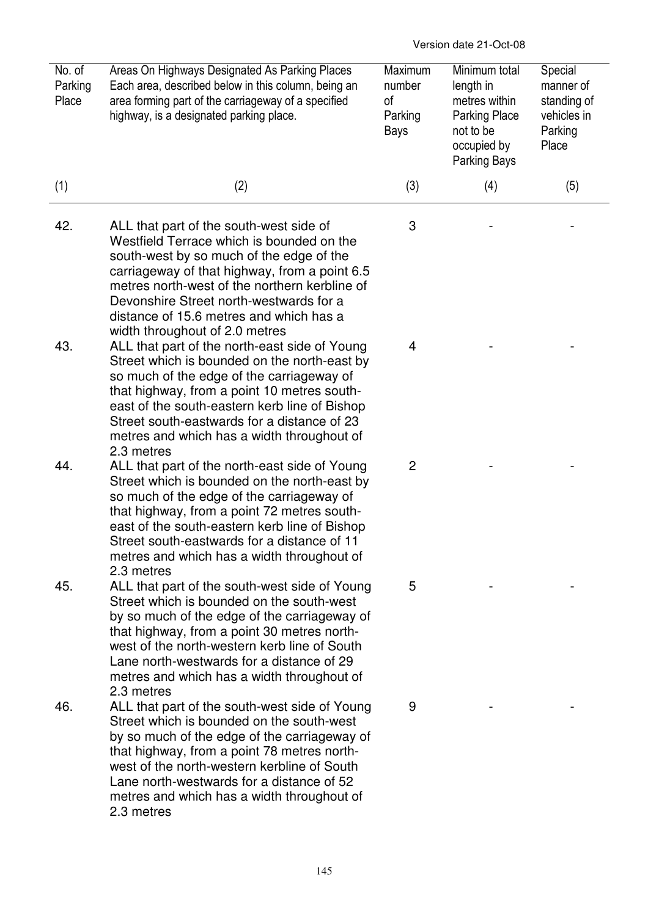Version date 21-Oct-08

| No. of<br>Parking<br>Place | Areas On Highways Designated As Parking Places<br>Each area, described below in this column, being an<br>area forming part of the carriageway of a specified<br>highway, is a designated parking place.                                                                                                                                                    | Maximum<br>number<br>0f<br>Parking<br>Bays | Minimum total<br>length in<br>metres within<br><b>Parking Place</b><br>not to be<br>occupied by<br>Parking Bays | Special<br>manner of<br>standing of<br>vehicles in<br>Parking<br>Place |
|----------------------------|------------------------------------------------------------------------------------------------------------------------------------------------------------------------------------------------------------------------------------------------------------------------------------------------------------------------------------------------------------|--------------------------------------------|-----------------------------------------------------------------------------------------------------------------|------------------------------------------------------------------------|
| (1)                        | (2)                                                                                                                                                                                                                                                                                                                                                        | (3)                                        | (4)                                                                                                             | (5)                                                                    |
| 42.                        | ALL that part of the south-west side of<br>Westfield Terrace which is bounded on the<br>south-west by so much of the edge of the<br>carriageway of that highway, from a point 6.5<br>metres north-west of the northern kerbline of<br>Devonshire Street north-westwards for a<br>distance of 15.6 metres and which has a<br>width throughout of 2.0 metres | 3                                          |                                                                                                                 |                                                                        |
| 43.                        | ALL that part of the north-east side of Young<br>Street which is bounded on the north-east by<br>so much of the edge of the carriageway of<br>that highway, from a point 10 metres south-<br>east of the south-eastern kerb line of Bishop<br>Street south-eastwards for a distance of 23<br>metres and which has a width throughout of<br>2.3 metres      | 4                                          |                                                                                                                 |                                                                        |
| 44.                        | ALL that part of the north-east side of Young<br>Street which is bounded on the north-east by<br>so much of the edge of the carriageway of<br>that highway, from a point 72 metres south-<br>east of the south-eastern kerb line of Bishop<br>Street south-eastwards for a distance of 11<br>metres and which has a width throughout of<br>2.3 metres      | $\overline{c}$                             |                                                                                                                 |                                                                        |
| 45.                        | ALL that part of the south-west side of Young<br>Street which is bounded on the south-west<br>by so much of the edge of the carriageway of<br>that highway, from a point 30 metres north-<br>west of the north-western kerb line of South<br>Lane north-westwards for a distance of 29<br>metres and which has a width throughout of<br>2.3 metres         | 5                                          |                                                                                                                 |                                                                        |
| 46.                        | ALL that part of the south-west side of Young<br>Street which is bounded on the south-west<br>by so much of the edge of the carriageway of<br>that highway, from a point 78 metres north-<br>west of the north-western kerbline of South<br>Lane north-westwards for a distance of 52<br>metres and which has a width throughout of<br>2.3 metres          | 9                                          |                                                                                                                 |                                                                        |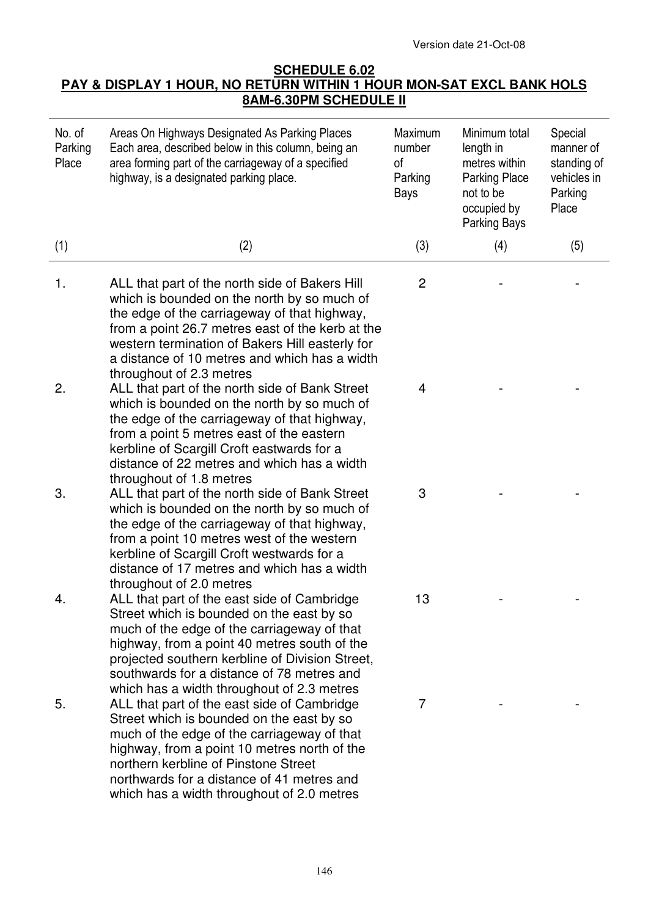Version date 21-Oct-08

## **SCHEDULE 6.02 PAY & DISPLAY 1 HOUR, NO RETURN WITHIN 1 HOUR MON-SAT EXCL BANK HOLS 8AM-6.30PM SCHEDULE II**

| No. of<br>Parking<br>Place | Areas On Highways Designated As Parking Places<br>Each area, described below in this column, being an<br>area forming part of the carriageway of a specified<br>highway, is a designated parking place.                                                                                                                                | Maximum<br>number<br>of<br>Parking<br>Bays | Minimum total<br>length in<br>metres within<br><b>Parking Place</b><br>not to be<br>occupied by<br>Parking Bays | Special<br>manner of<br>standing of<br>vehicles in<br>Parking<br>Place |
|----------------------------|----------------------------------------------------------------------------------------------------------------------------------------------------------------------------------------------------------------------------------------------------------------------------------------------------------------------------------------|--------------------------------------------|-----------------------------------------------------------------------------------------------------------------|------------------------------------------------------------------------|
| (1)                        | (2)                                                                                                                                                                                                                                                                                                                                    | (3)                                        | (4)                                                                                                             | (5)                                                                    |
| 1.                         | ALL that part of the north side of Bakers Hill<br>which is bounded on the north by so much of<br>the edge of the carriageway of that highway,<br>from a point 26.7 metres east of the kerb at the<br>western termination of Bakers Hill easterly for<br>a distance of 10 metres and which has a width<br>throughout of 2.3 metres      | $\overline{c}$                             |                                                                                                                 |                                                                        |
| 2.                         | ALL that part of the north side of Bank Street<br>which is bounded on the north by so much of<br>the edge of the carriageway of that highway,<br>from a point 5 metres east of the eastern<br>kerbline of Scargill Croft eastwards for a<br>distance of 22 metres and which has a width<br>throughout of 1.8 metres                    | 4                                          |                                                                                                                 |                                                                        |
| 3.                         | ALL that part of the north side of Bank Street<br>which is bounded on the north by so much of<br>the edge of the carriageway of that highway,<br>from a point 10 metres west of the western<br>kerbline of Scargill Croft westwards for a<br>distance of 17 metres and which has a width<br>throughout of 2.0 metres                   | 3                                          |                                                                                                                 |                                                                        |
| 4                          | ALL that part of the east side of Cambridge<br>Street which is bounded on the east by so<br>much of the edge of the carriageway of that<br>highway, from a point 40 metres south of the<br>projected southern kerbline of Division Street,<br>southwards for a distance of 78 metres and<br>which has a width throughout of 2.3 metres | 13                                         |                                                                                                                 |                                                                        |
| 5.                         | ALL that part of the east side of Cambridge<br>Street which is bounded on the east by so<br>much of the edge of the carriageway of that<br>highway, from a point 10 metres north of the<br>northern kerbline of Pinstone Street<br>northwards for a distance of 41 metres and<br>which has a width throughout of 2.0 metres            | 7                                          |                                                                                                                 |                                                                        |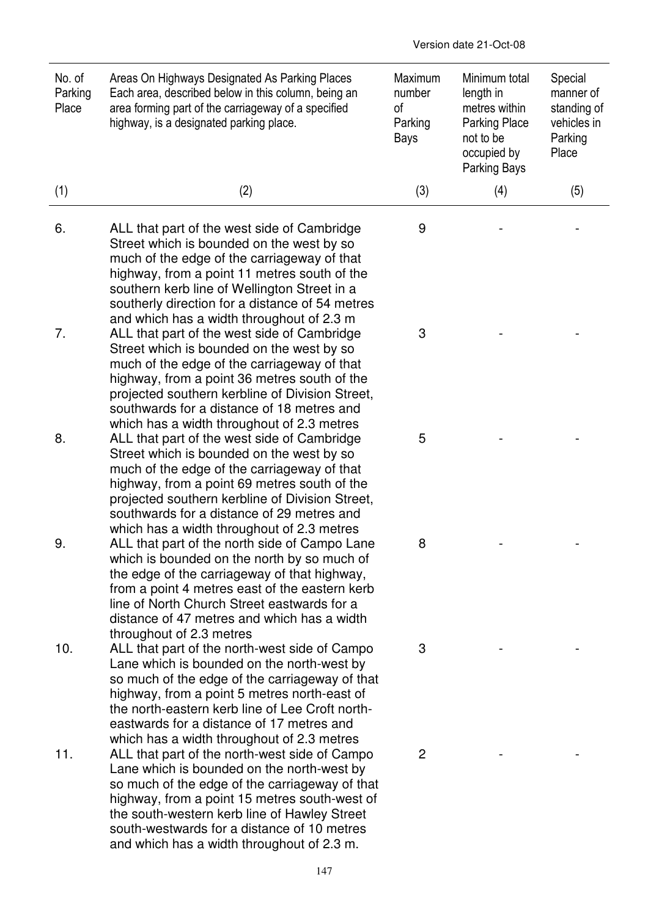| No. of<br>Parking<br>Place | Areas On Highways Designated As Parking Places<br>Each area, described below in this column, being an<br>area forming part of the carriageway of a specified<br>highway, is a designated parking place.                                                                                                                                     | Maximum<br>number<br>of<br>Parking<br>Bays | Minimum total<br>length in<br>metres within<br><b>Parking Place</b><br>not to be<br>occupied by<br>Parking Bays | Special<br>manner of<br>standing of<br>vehicles in<br>Parking<br>Place |
|----------------------------|---------------------------------------------------------------------------------------------------------------------------------------------------------------------------------------------------------------------------------------------------------------------------------------------------------------------------------------------|--------------------------------------------|-----------------------------------------------------------------------------------------------------------------|------------------------------------------------------------------------|
| (1)                        | (2)                                                                                                                                                                                                                                                                                                                                         | (3)                                        | (4)                                                                                                             | (5)                                                                    |
| 6.                         | ALL that part of the west side of Cambridge<br>Street which is bounded on the west by so<br>much of the edge of the carriageway of that<br>highway, from a point 11 metres south of the<br>southern kerb line of Wellington Street in a<br>southerly direction for a distance of 54 metres<br>and which has a width throughout of 2.3 m     | 9                                          |                                                                                                                 |                                                                        |
| 7.                         | ALL that part of the west side of Cambridge<br>Street which is bounded on the west by so<br>much of the edge of the carriageway of that<br>highway, from a point 36 metres south of the<br>projected southern kerbline of Division Street,<br>southwards for a distance of 18 metres and<br>which has a width throughout of 2.3 metres      | 3                                          |                                                                                                                 |                                                                        |
| 8.                         | ALL that part of the west side of Cambridge<br>Street which is bounded on the west by so<br>much of the edge of the carriageway of that<br>highway, from a point 69 metres south of the<br>projected southern kerbline of Division Street,<br>southwards for a distance of 29 metres and<br>which has a width throughout of 2.3 metres      | 5                                          |                                                                                                                 |                                                                        |
| 9.                         | ALL that part of the north side of Campo Lane<br>which is bounded on the north by so much of<br>the edge of the carriageway of that highway,<br>from a point 4 metres east of the eastern kerb<br>line of North Church Street eastwards for a<br>distance of 47 metres and which has a width<br>throughout of 2.3 metres                    | 8                                          |                                                                                                                 |                                                                        |
| 10.                        | ALL that part of the north-west side of Campo<br>Lane which is bounded on the north-west by<br>so much of the edge of the carriageway of that<br>highway, from a point 5 metres north-east of<br>the north-eastern kerb line of Lee Croft north-<br>eastwards for a distance of 17 metres and<br>which has a width throughout of 2.3 metres | 3                                          |                                                                                                                 |                                                                        |
| 11.                        | ALL that part of the north-west side of Campo<br>Lane which is bounded on the north-west by<br>so much of the edge of the carriageway of that<br>highway, from a point 15 metres south-west of<br>the south-western kerb line of Hawley Street<br>south-westwards for a distance of 10 metres<br>and which has a width throughout of 2.3 m. | 2                                          |                                                                                                                 |                                                                        |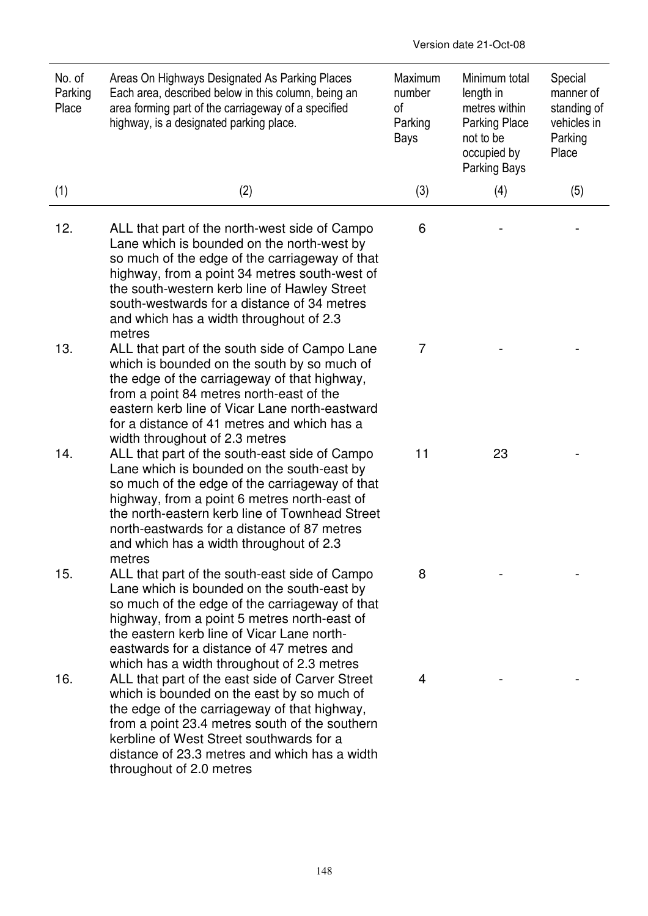| No. of<br>Parking<br>Place | Areas On Highways Designated As Parking Places<br>Each area, described below in this column, being an<br>area forming part of the carriageway of a specified<br>highway, is a designated parking place.                                                                                                                                                                | Maximum<br>number<br>οf<br>Parking<br><b>Bays</b> | Minimum total<br>length in<br>metres within<br><b>Parking Place</b><br>not to be<br>occupied by<br>Parking Bays | Special<br>manner of<br>standing of<br>vehicles in<br>Parking<br>Place |
|----------------------------|------------------------------------------------------------------------------------------------------------------------------------------------------------------------------------------------------------------------------------------------------------------------------------------------------------------------------------------------------------------------|---------------------------------------------------|-----------------------------------------------------------------------------------------------------------------|------------------------------------------------------------------------|
| (1)                        | (2)                                                                                                                                                                                                                                                                                                                                                                    | (3)                                               | (4)                                                                                                             | (5)                                                                    |
| 12.                        | ALL that part of the north-west side of Campo<br>Lane which is bounded on the north-west by<br>so much of the edge of the carriageway of that<br>highway, from a point 34 metres south-west of<br>the south-western kerb line of Hawley Street<br>south-westwards for a distance of 34 metres<br>and which has a width throughout of 2.3<br>metres                     | 6                                                 |                                                                                                                 |                                                                        |
| 13.                        | ALL that part of the south side of Campo Lane<br>which is bounded on the south by so much of<br>the edge of the carriageway of that highway,<br>from a point 84 metres north-east of the<br>eastern kerb line of Vicar Lane north-eastward<br>for a distance of 41 metres and which has a<br>width throughout of 2.3 metres                                            | 7                                                 |                                                                                                                 |                                                                        |
| 14.                        | ALL that part of the south-east side of Campo<br>Lane which is bounded on the south-east by<br>so much of the edge of the carriageway of that<br>highway, from a point 6 metres north-east of<br>the north-eastern kerb line of Townhead Street<br>north-eastwards for a distance of 87 metres<br>and which has a width throughout of 2.3<br>metres                    | 11                                                | 23                                                                                                              |                                                                        |
| 15.                        | ALL that part of the south-east side of Campo<br>Lane which is bounded on the south-east by<br>so much of the edge of the carriageway of that<br>highway, from a point 5 metres north-east of<br>the eastern kerb line of Vicar Lane north-<br>eastwards for a distance of 47 metres and                                                                               | 8                                                 |                                                                                                                 |                                                                        |
| 16.                        | which has a width throughout of 2.3 metres<br>ALL that part of the east side of Carver Street<br>which is bounded on the east by so much of<br>the edge of the carriageway of that highway,<br>from a point 23.4 metres south of the southern<br>kerbline of West Street southwards for a<br>distance of 23.3 metres and which has a width<br>throughout of 2.0 metres | 4                                                 |                                                                                                                 |                                                                        |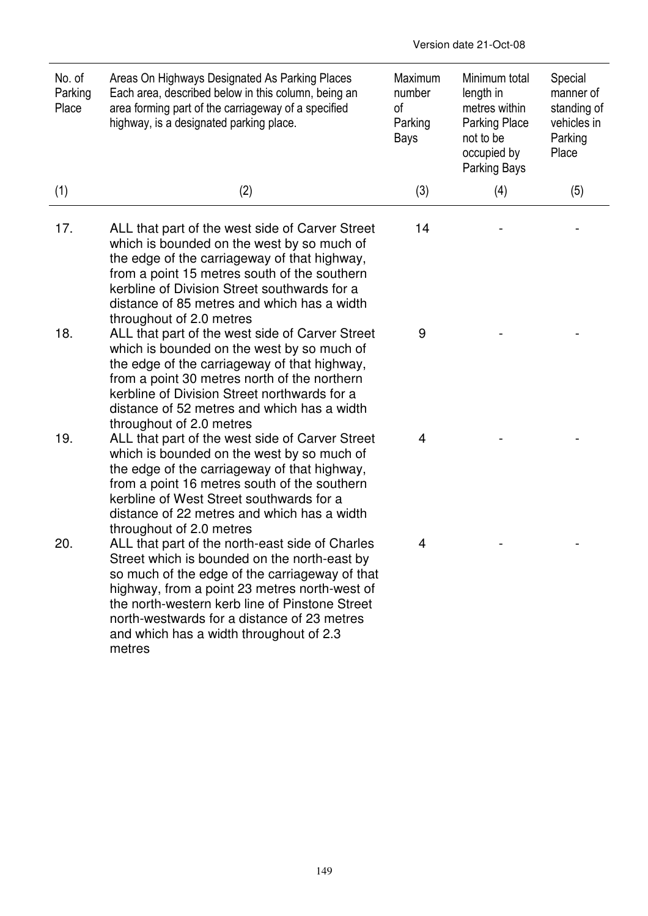| No. of<br>Parking<br>Place | Areas On Highways Designated As Parking Places<br>Each area, described below in this column, being an<br>area forming part of the carriageway of a specified<br>highway, is a designated parking place.                                                                                                                                                  | Maximum<br>number<br>of<br>Parking<br>Bays | Minimum total<br>length in<br>metres within<br><b>Parking Place</b><br>not to be<br>occupied by<br>Parking Bays | Special<br>manner of<br>standing of<br>vehicles in<br>Parking<br>Place |
|----------------------------|----------------------------------------------------------------------------------------------------------------------------------------------------------------------------------------------------------------------------------------------------------------------------------------------------------------------------------------------------------|--------------------------------------------|-----------------------------------------------------------------------------------------------------------------|------------------------------------------------------------------------|
| (1)                        | (2)                                                                                                                                                                                                                                                                                                                                                      | (3)                                        | (4)                                                                                                             | (5)                                                                    |
| 17.                        | ALL that part of the west side of Carver Street<br>which is bounded on the west by so much of<br>the edge of the carriageway of that highway,<br>from a point 15 metres south of the southern<br>kerbline of Division Street southwards for a<br>distance of 85 metres and which has a width<br>throughout of 2.0 metres                                 | 14                                         |                                                                                                                 |                                                                        |
| 18.                        | ALL that part of the west side of Carver Street<br>which is bounded on the west by so much of<br>the edge of the carriageway of that highway,<br>from a point 30 metres north of the northern<br>kerbline of Division Street northwards for a<br>distance of 52 metres and which has a width<br>throughout of 2.0 metres                                 | 9                                          |                                                                                                                 |                                                                        |
| 19.                        | ALL that part of the west side of Carver Street<br>which is bounded on the west by so much of<br>the edge of the carriageway of that highway,<br>from a point 16 metres south of the southern<br>kerbline of West Street southwards for a<br>distance of 22 metres and which has a width<br>throughout of 2.0 metres                                     | 4                                          |                                                                                                                 |                                                                        |
| 20.                        | ALL that part of the north-east side of Charles<br>Street which is bounded on the north-east by<br>so much of the edge of the carriageway of that<br>highway, from a point 23 metres north-west of<br>the north-western kerb line of Pinstone Street<br>north-westwards for a distance of 23 metres<br>and which has a width throughout of 2.3<br>metres | 4                                          |                                                                                                                 |                                                                        |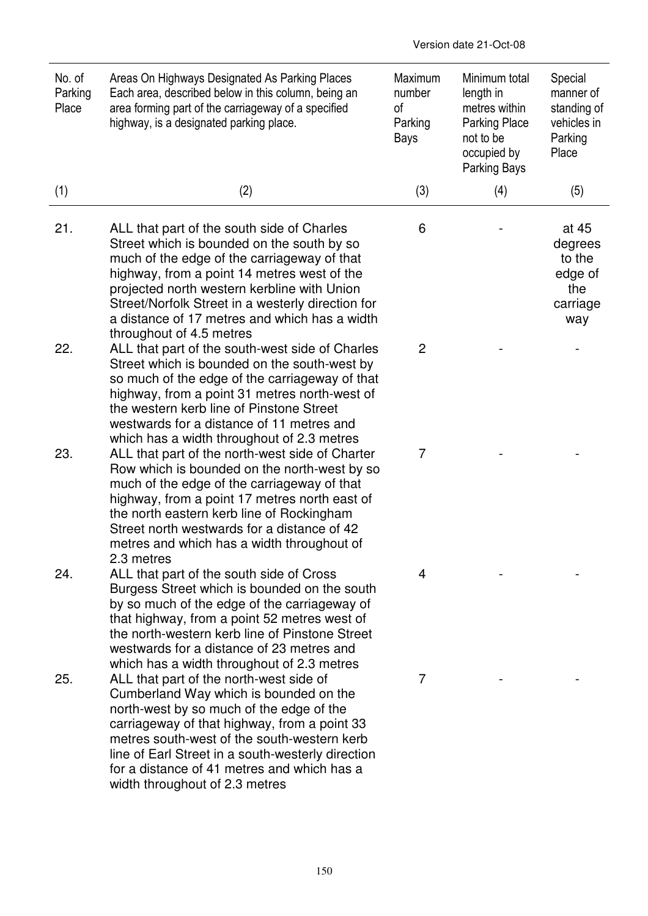| No. of<br>Parking<br>Place | Areas On Highways Designated As Parking Places<br>Each area, described below in this column, being an<br>area forming part of the carriageway of a specified<br>highway, is a designated parking place.                                                                                                                                                                 | Maximum<br>number<br>of<br>Parking<br><b>Bays</b> | Minimum total<br>length in<br>metres within<br><b>Parking Place</b><br>not to be<br>occupied by<br>Parking Bays | Special<br>manner of<br>standing of<br>vehicles in<br>Parking<br>Place |
|----------------------------|-------------------------------------------------------------------------------------------------------------------------------------------------------------------------------------------------------------------------------------------------------------------------------------------------------------------------------------------------------------------------|---------------------------------------------------|-----------------------------------------------------------------------------------------------------------------|------------------------------------------------------------------------|
| (1)                        | (2)                                                                                                                                                                                                                                                                                                                                                                     | (3)                                               | (4)                                                                                                             | (5)                                                                    |
| 21.                        | ALL that part of the south side of Charles<br>Street which is bounded on the south by so<br>much of the edge of the carriageway of that<br>highway, from a point 14 metres west of the<br>projected north western kerbline with Union<br>Street/Norfolk Street in a westerly direction for<br>a distance of 17 metres and which has a width<br>throughout of 4.5 metres | 6                                                 |                                                                                                                 | at 45<br>degrees<br>to the<br>edge of<br>the<br>carriage<br>way        |
| 22.                        | ALL that part of the south-west side of Charles<br>Street which is bounded on the south-west by<br>so much of the edge of the carriageway of that<br>highway, from a point 31 metres north-west of<br>the western kerb line of Pinstone Street<br>westwards for a distance of 11 metres and<br>which has a width throughout of 2.3 metres                               | $\mathbf{2}$                                      |                                                                                                                 |                                                                        |
| 23.                        | ALL that part of the north-west side of Charter<br>Row which is bounded on the north-west by so<br>much of the edge of the carriageway of that<br>highway, from a point 17 metres north east of<br>the north eastern kerb line of Rockingham<br>Street north westwards for a distance of 42<br>metres and which has a width throughout of<br>2.3 metres                 | $\overline{7}$                                    |                                                                                                                 |                                                                        |
| 24.                        | ALL that part of the south side of Cross<br>Burgess Street which is bounded on the south<br>by so much of the edge of the carriageway of<br>that highway, from a point 52 metres west of<br>the north-western kerb line of Pinstone Street<br>westwards for a distance of 23 metres and<br>which has a width throughout of 2.3 metres                                   | 4                                                 |                                                                                                                 |                                                                        |
| 25.                        | ALL that part of the north-west side of<br>Cumberland Way which is bounded on the<br>north-west by so much of the edge of the<br>carriageway of that highway, from a point 33<br>metres south-west of the south-western kerb<br>line of Earl Street in a south-westerly direction<br>for a distance of 41 metres and which has a<br>width throughout of 2.3 metres      | 7                                                 |                                                                                                                 |                                                                        |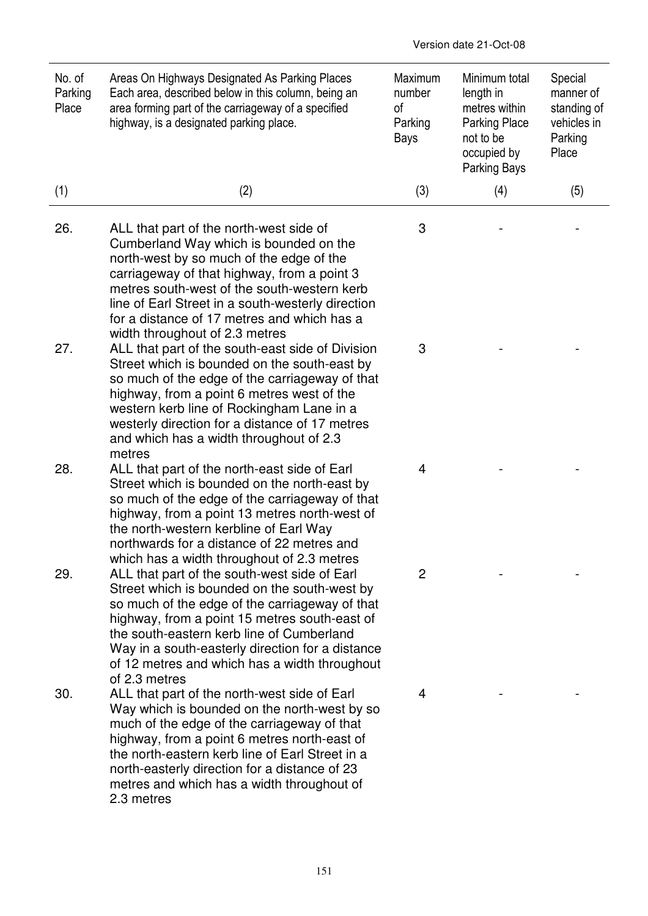| No. of<br>Parking<br>Place | Areas On Highways Designated As Parking Places<br>Each area, described below in this column, being an<br>area forming part of the carriageway of a specified<br>highway, is a designated parking place.                                                                                                                                                            | Maximum<br>number<br>οf<br>Parking<br><b>Bays</b> | Minimum total<br>length in<br>metres within<br><b>Parking Place</b><br>not to be<br>occupied by<br>Parking Bays | Special<br>manner of<br>standing of<br>vehicles in<br>Parking<br>Place |
|----------------------------|--------------------------------------------------------------------------------------------------------------------------------------------------------------------------------------------------------------------------------------------------------------------------------------------------------------------------------------------------------------------|---------------------------------------------------|-----------------------------------------------------------------------------------------------------------------|------------------------------------------------------------------------|
| (1)                        | (2)                                                                                                                                                                                                                                                                                                                                                                | (3)                                               | (4)                                                                                                             | (5)                                                                    |
| 26.                        | ALL that part of the north-west side of<br>Cumberland Way which is bounded on the<br>north-west by so much of the edge of the<br>carriageway of that highway, from a point 3<br>metres south-west of the south-western kerb<br>line of Earl Street in a south-westerly direction<br>for a distance of 17 metres and which has a<br>width throughout of 2.3 metres  | 3                                                 |                                                                                                                 |                                                                        |
| 27.                        | ALL that part of the south-east side of Division<br>Street which is bounded on the south-east by<br>so much of the edge of the carriageway of that<br>highway, from a point 6 metres west of the<br>western kerb line of Rockingham Lane in a<br>westerly direction for a distance of 17 metres<br>and which has a width throughout of 2.3<br>metres               | 3                                                 |                                                                                                                 |                                                                        |
| 28.                        | ALL that part of the north-east side of Earl<br>Street which is bounded on the north-east by<br>so much of the edge of the carriageway of that<br>highway, from a point 13 metres north-west of<br>the north-western kerbline of Earl Way<br>northwards for a distance of 22 metres and<br>which has a width throughout of 2.3 metres                              | 4                                                 |                                                                                                                 |                                                                        |
| 29.                        | ALL that part of the south-west side of Earl<br>Street which is bounded on the south-west by<br>so much of the edge of the carriageway of that<br>highway, from a point 15 metres south-east of<br>the south-eastern kerb line of Cumberland<br>Way in a south-easterly direction for a distance<br>of 12 metres and which has a width throughout<br>of 2.3 metres | 2                                                 |                                                                                                                 |                                                                        |
| 30.                        | ALL that part of the north-west side of Earl<br>Way which is bounded on the north-west by so<br>much of the edge of the carriageway of that<br>highway, from a point 6 metres north-east of<br>the north-eastern kerb line of Earl Street in a<br>north-easterly direction for a distance of 23<br>metres and which has a width throughout of<br>2.3 metres        | 4                                                 |                                                                                                                 |                                                                        |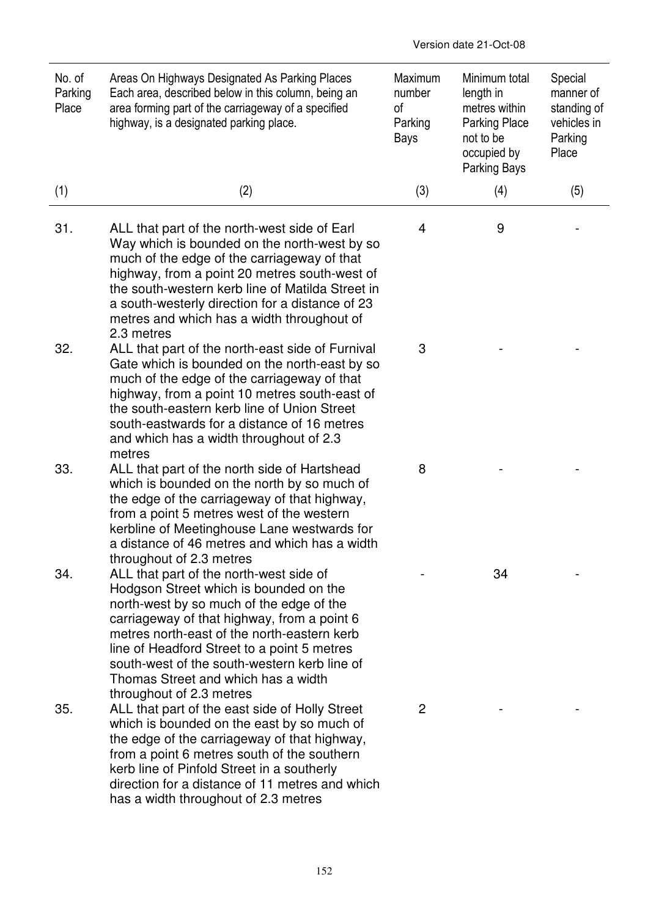| No. of<br>Parking<br>Place | Areas On Highways Designated As Parking Places<br>Each area, described below in this column, being an<br>area forming part of the carriageway of a specified<br>highway, is a designated parking place.                                                                                                                                                           | Maximum<br>number<br>οf<br>Parking<br><b>Bays</b> | Minimum total<br>length in<br>metres within<br><b>Parking Place</b><br>not to be<br>occupied by<br>Parking Bays | Special<br>manner of<br>standing of<br>vehicles in<br>Parking<br>Place |
|----------------------------|-------------------------------------------------------------------------------------------------------------------------------------------------------------------------------------------------------------------------------------------------------------------------------------------------------------------------------------------------------------------|---------------------------------------------------|-----------------------------------------------------------------------------------------------------------------|------------------------------------------------------------------------|
| (1)                        | (2)                                                                                                                                                                                                                                                                                                                                                               | (3)                                               | (4)                                                                                                             | (5)                                                                    |
| 31.                        | ALL that part of the north-west side of Earl<br>Way which is bounded on the north-west by so<br>much of the edge of the carriageway of that<br>highway, from a point 20 metres south-west of<br>the south-western kerb line of Matilda Street in<br>a south-westerly direction for a distance of 23<br>metres and which has a width throughout of<br>2.3 metres   | 4                                                 | 9                                                                                                               |                                                                        |
| 32.                        | ALL that part of the north-east side of Furnival<br>Gate which is bounded on the north-east by so<br>much of the edge of the carriageway of that<br>highway, from a point 10 metres south-east of<br>the south-eastern kerb line of Union Street<br>south-eastwards for a distance of 16 metres<br>and which has a width throughout of 2.3<br>metres              | 3                                                 |                                                                                                                 |                                                                        |
| 33.                        | ALL that part of the north side of Hartshead<br>which is bounded on the north by so much of<br>the edge of the carriageway of that highway,<br>from a point 5 metres west of the western<br>kerbline of Meetinghouse Lane westwards for<br>a distance of 46 metres and which has a width<br>throughout of 2.3 metres                                              | 8                                                 |                                                                                                                 |                                                                        |
| 34.                        | ALL that part of the north-west side of<br>Hodgson Street which is bounded on the<br>north-west by so much of the edge of the<br>carriageway of that highway, from a point 6<br>metres north-east of the north-eastern kerb<br>line of Headford Street to a point 5 metres<br>south-west of the south-western kerb line of<br>Thomas Street and which has a width |                                                   | 34                                                                                                              |                                                                        |
| 35.                        | throughout of 2.3 metres<br>ALL that part of the east side of Holly Street<br>which is bounded on the east by so much of<br>the edge of the carriageway of that highway,<br>from a point 6 metres south of the southern<br>kerb line of Pinfold Street in a southerly<br>direction for a distance of 11 metres and which<br>has a width throughout of 2.3 metres  | 2                                                 |                                                                                                                 |                                                                        |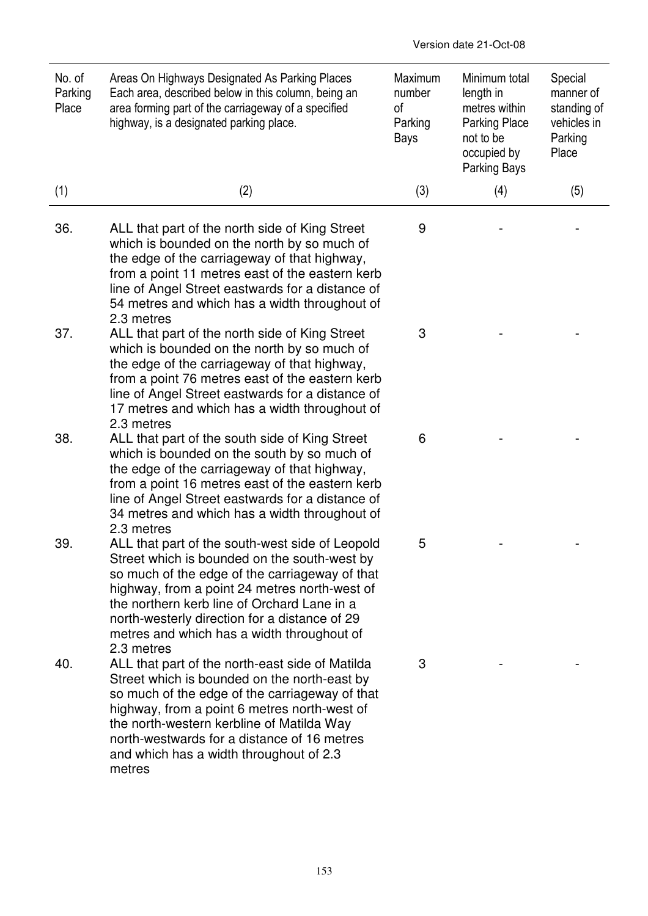| No. of<br>Parking<br>Place | Areas On Highways Designated As Parking Places<br>Each area, described below in this column, being an<br>area forming part of the carriageway of a specified<br>highway, is a designated parking place.                                                                                                                                                        | Maximum<br>number<br>of<br>Parking<br>Bays | Minimum total<br>length in<br>metres within<br><b>Parking Place</b><br>not to be<br>occupied by<br><b>Parking Bays</b> | Special<br>manner of<br>standing of<br>vehicles in<br>Parking<br>Place |
|----------------------------|----------------------------------------------------------------------------------------------------------------------------------------------------------------------------------------------------------------------------------------------------------------------------------------------------------------------------------------------------------------|--------------------------------------------|------------------------------------------------------------------------------------------------------------------------|------------------------------------------------------------------------|
| (1)                        | (2)                                                                                                                                                                                                                                                                                                                                                            | (3)                                        | (4)                                                                                                                    | (5)                                                                    |
| 36.                        | ALL that part of the north side of King Street<br>which is bounded on the north by so much of<br>the edge of the carriageway of that highway,<br>from a point 11 metres east of the eastern kerb<br>line of Angel Street eastwards for a distance of<br>54 metres and which has a width throughout of<br>2.3 metres                                            | 9                                          |                                                                                                                        |                                                                        |
| 37.                        | ALL that part of the north side of King Street<br>which is bounded on the north by so much of<br>the edge of the carriageway of that highway,<br>from a point 76 metres east of the eastern kerb<br>line of Angel Street eastwards for a distance of<br>17 metres and which has a width throughout of<br>2.3 metres                                            | 3                                          |                                                                                                                        |                                                                        |
| 38.                        | ALL that part of the south side of King Street<br>which is bounded on the south by so much of<br>the edge of the carriageway of that highway,<br>from a point 16 metres east of the eastern kerb<br>line of Angel Street eastwards for a distance of<br>34 metres and which has a width throughout of<br>2.3 metres                                            | 6                                          |                                                                                                                        |                                                                        |
| 39.                        | ALL that part of the south-west side of Leopold<br>Street which is bounded on the south-west by<br>so much of the edge of the carriageway of that<br>highway, from a point 24 metres north-west of<br>the northern kerb line of Orchard Lane in a<br>north-westerly direction for a distance of 29<br>metres and which has a width throughout of<br>2.3 metres | 5                                          |                                                                                                                        |                                                                        |
| 40.                        | ALL that part of the north-east side of Matilda<br>Street which is bounded on the north-east by<br>so much of the edge of the carriageway of that<br>highway, from a point 6 metres north-west of<br>the north-western kerbline of Matilda Way<br>north-westwards for a distance of 16 metres<br>and which has a width throughout of 2.3<br>metres             | 3                                          |                                                                                                                        |                                                                        |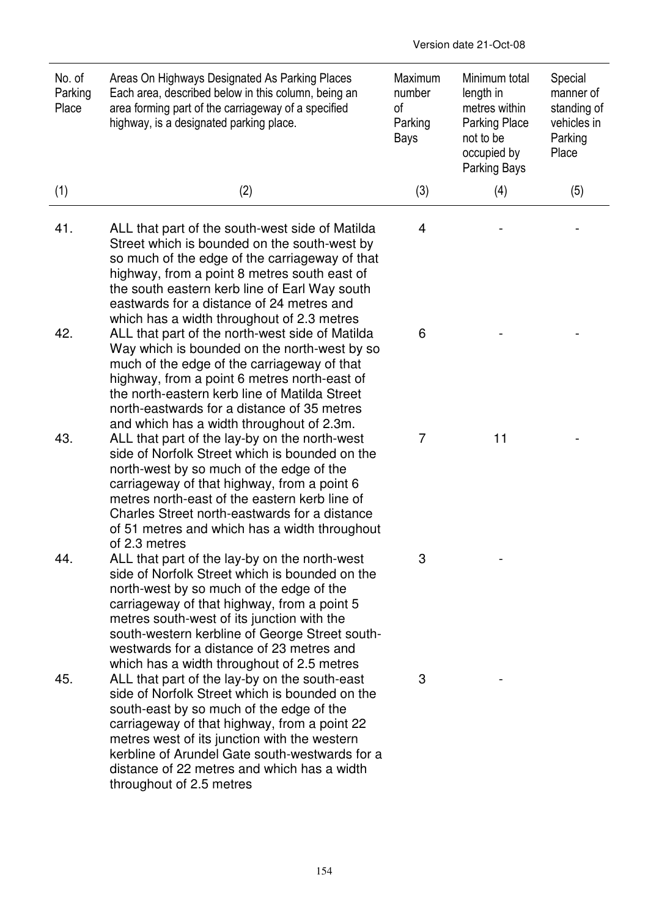| No. of<br>Parking<br>Place | Areas On Highways Designated As Parking Places<br>Each area, described below in this column, being an<br>area forming part of the carriageway of a specified<br>highway, is a designated parking place.                                                                                                                                                                                   | Maximum<br>number<br>of<br>Parking<br>Bays | Minimum total<br>length in<br>metres within<br><b>Parking Place</b><br>not to be<br>occupied by<br>Parking Bays | Special<br>manner of<br>standing of<br>vehicles in<br>Parking<br>Place |
|----------------------------|-------------------------------------------------------------------------------------------------------------------------------------------------------------------------------------------------------------------------------------------------------------------------------------------------------------------------------------------------------------------------------------------|--------------------------------------------|-----------------------------------------------------------------------------------------------------------------|------------------------------------------------------------------------|
| (1)                        | (2)                                                                                                                                                                                                                                                                                                                                                                                       | (3)                                        | (4)                                                                                                             | (5)                                                                    |
| 41.                        | ALL that part of the south-west side of Matilda<br>Street which is bounded on the south-west by<br>so much of the edge of the carriageway of that<br>highway, from a point 8 metres south east of<br>the south eastern kerb line of Earl Way south<br>eastwards for a distance of 24 metres and                                                                                           | 4                                          |                                                                                                                 |                                                                        |
| 42.                        | which has a width throughout of 2.3 metres<br>ALL that part of the north-west side of Matilda<br>Way which is bounded on the north-west by so<br>much of the edge of the carriageway of that<br>highway, from a point 6 metres north-east of<br>the north-eastern kerb line of Matilda Street<br>north-eastwards for a distance of 35 metres<br>and which has a width throughout of 2.3m. | 6                                          |                                                                                                                 |                                                                        |
| 43.                        | ALL that part of the lay-by on the north-west<br>side of Norfolk Street which is bounded on the<br>north-west by so much of the edge of the<br>carriageway of that highway, from a point 6<br>metres north-east of the eastern kerb line of<br>Charles Street north-eastwards for a distance<br>of 51 metres and which has a width throughout<br>of 2.3 metres                            | 7                                          | 11                                                                                                              |                                                                        |
| 44.                        | ALL that part of the lay-by on the north-west<br>side of Norfolk Street which is bounded on the<br>north-west by so much of the edge of the<br>carriageway of that highway, from a point 5<br>metres south-west of its junction with the<br>south-western kerbline of George Street south-<br>westwards for a distance of 23 metres and<br>which has a width throughout of 2.5 metres     | 3                                          |                                                                                                                 |                                                                        |
| 45.                        | ALL that part of the lay-by on the south-east<br>side of Norfolk Street which is bounded on the<br>south-east by so much of the edge of the<br>carriageway of that highway, from a point 22<br>metres west of its junction with the western<br>kerbline of Arundel Gate south-westwards for a<br>distance of 22 metres and which has a width<br>throughout of 2.5 metres                  | 3                                          |                                                                                                                 |                                                                        |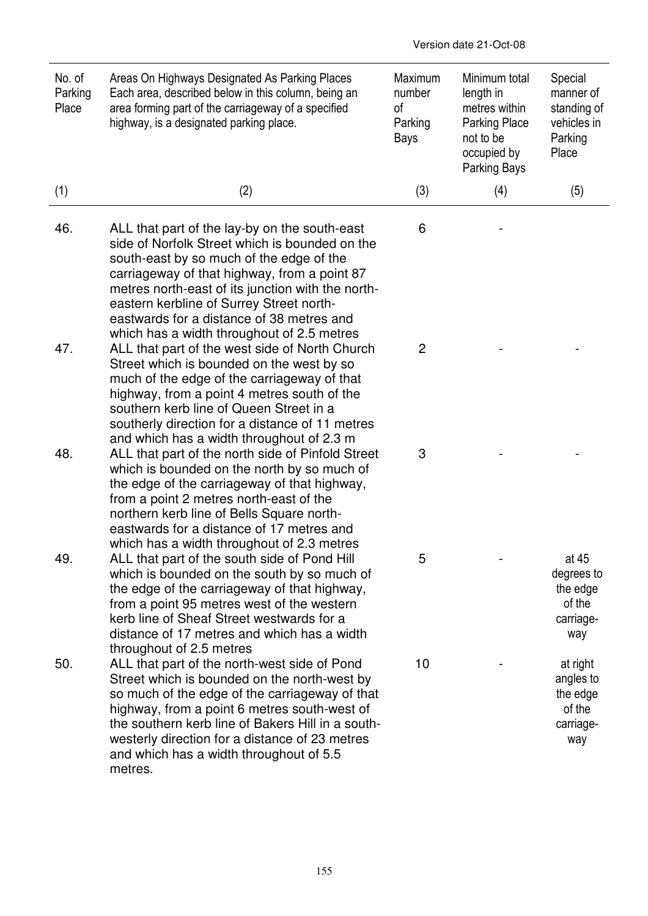| No. of<br>Parking<br>Place | Areas On Highways Designated As Parking Places<br>Each area, described below in this column, being an<br>area forming part of the carriageway of a specified<br>highway, is a designated parking place.                                                                                                                                                                                 | Maximum<br>number<br>οf<br>Parking<br>Bays | Minimum total<br>length in<br>metres within<br><b>Parking Place</b><br>not to be<br>occupied by<br><b>Parking Bays</b> | Special<br>manner of<br>standing of<br>vehicles in<br>Parking<br>Place |
|----------------------------|-----------------------------------------------------------------------------------------------------------------------------------------------------------------------------------------------------------------------------------------------------------------------------------------------------------------------------------------------------------------------------------------|--------------------------------------------|------------------------------------------------------------------------------------------------------------------------|------------------------------------------------------------------------|
| (1)                        | (2)                                                                                                                                                                                                                                                                                                                                                                                     | (3)                                        | (4)                                                                                                                    | (5)                                                                    |
| 46.                        | ALL that part of the lay-by on the south-east<br>side of Norfolk Street which is bounded on the<br>south-east by so much of the edge of the<br>carriageway of that highway, from a point 87<br>metres north-east of its junction with the north-<br>eastern kerbline of Surrey Street north-<br>eastwards for a distance of 38 metres and<br>which has a width throughout of 2.5 metres | 6                                          |                                                                                                                        |                                                                        |
| 47.                        | ALL that part of the west side of North Church<br>Street which is bounded on the west by so<br>much of the edge of the carriageway of that<br>highway, from a point 4 metres south of the<br>southern kerb line of Queen Street in a<br>southerly direction for a distance of 11 metres                                                                                                 | 2                                          |                                                                                                                        |                                                                        |
| 48.                        | and which has a width throughout of 2.3 m<br>ALL that part of the north side of Pinfold Street<br>which is bounded on the north by so much of<br>the edge of the carriageway of that highway,<br>from a point 2 metres north-east of the<br>northern kerb line of Bells Square north-<br>eastwards for a distance of 17 metres and<br>which has a width throughout of 2.3 metres        | 3                                          |                                                                                                                        |                                                                        |
| 49.                        | ALL that part of the south side of Pond Hill<br>which is bounded on the south by so much of<br>the edge of the carriageway of that highway,<br>from a point 95 metres west of the western<br>kerb line of Sheaf Street westwards for a<br>distance of 17 metres and which has a width<br>throughout of 2.5 metres                                                                       | 5                                          |                                                                                                                        | at 45<br>degrees to<br>the edge<br>of the<br>carriage-<br>way          |
| 50.                        | ALL that part of the north-west side of Pond<br>Street which is bounded on the north-west by<br>so much of the edge of the carriageway of that<br>highway, from a point 6 metres south-west of<br>the southern kerb line of Bakers Hill in a south-<br>westerly direction for a distance of 23 metres<br>and which has a width throughout of 5.5<br>metres.                             | 10                                         |                                                                                                                        | at right<br>angles to<br>the edge<br>of the<br>carriage-<br>way        |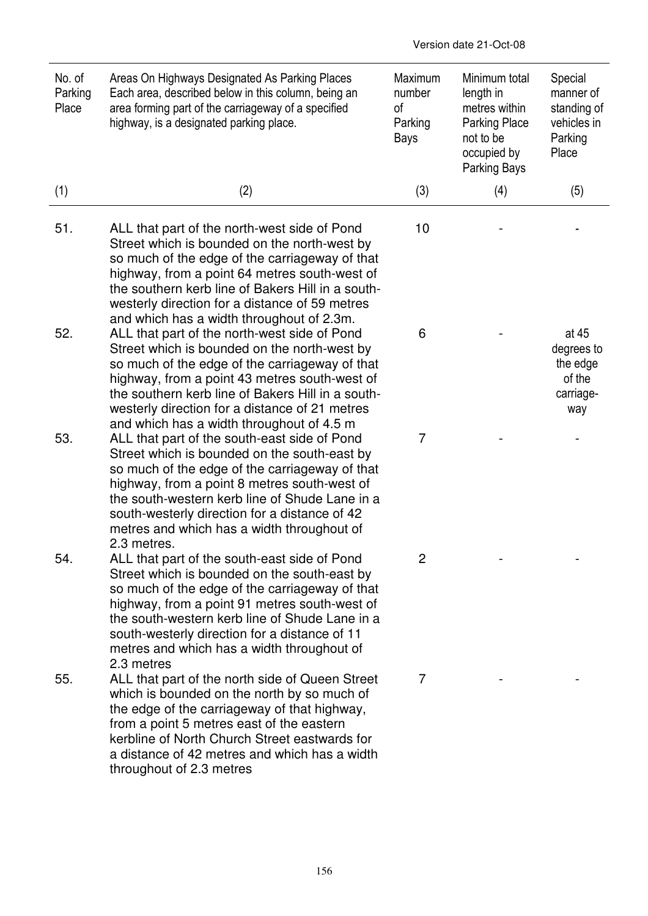| No. of<br>Parking<br>Place | Areas On Highways Designated As Parking Places<br>Each area, described below in this column, being an<br>area forming part of the carriageway of a specified<br>highway, is a designated parking place.                                                                                                                                                        | Maximum<br>number<br>of<br>Parking<br>Bays | Minimum total<br>length in<br>metres within<br><b>Parking Place</b><br>not to be<br>occupied by<br>Parking Bays | Special<br>manner of<br>standing of<br>vehicles in<br>Parking<br>Place |
|----------------------------|----------------------------------------------------------------------------------------------------------------------------------------------------------------------------------------------------------------------------------------------------------------------------------------------------------------------------------------------------------------|--------------------------------------------|-----------------------------------------------------------------------------------------------------------------|------------------------------------------------------------------------|
| (1)                        | (2)                                                                                                                                                                                                                                                                                                                                                            | (3)                                        | (4)                                                                                                             | (5)                                                                    |
| 51.                        | ALL that part of the north-west side of Pond<br>Street which is bounded on the north-west by<br>so much of the edge of the carriageway of that<br>highway, from a point 64 metres south-west of<br>the southern kerb line of Bakers Hill in a south-<br>westerly direction for a distance of 59 metres<br>and which has a width throughout of 2.3m.            | 10                                         |                                                                                                                 |                                                                        |
| 52.                        | ALL that part of the north-west side of Pond<br>Street which is bounded on the north-west by<br>so much of the edge of the carriageway of that<br>highway, from a point 43 metres south-west of<br>the southern kerb line of Bakers Hill in a south-<br>westerly direction for a distance of 21 metres<br>and which has a width throughout of 4.5 m            | 6                                          |                                                                                                                 | at 45<br>degrees to<br>the edge<br>of the<br>carriage-<br>way          |
| 53.                        | ALL that part of the south-east side of Pond<br>Street which is bounded on the south-east by<br>so much of the edge of the carriageway of that<br>highway, from a point 8 metres south-west of<br>the south-western kerb line of Shude Lane in a<br>south-westerly direction for a distance of 42<br>metres and which has a width throughout of<br>2.3 metres. | 7                                          |                                                                                                                 |                                                                        |
| 54.                        | ALL that part of the south-east side of Pond<br>Street which is bounded on the south-east by<br>so much of the edge of the carriageway of that<br>highway, from a point 91 metres south-west of<br>the south-western kerb line of Shude Lane in a<br>south-westerly direction for a distance of 11<br>metres and which has a width throughout of<br>2.3 metres | $\overline{2}$                             |                                                                                                                 |                                                                        |
| 55.                        | ALL that part of the north side of Queen Street<br>which is bounded on the north by so much of<br>the edge of the carriageway of that highway,<br>from a point 5 metres east of the eastern<br>kerbline of North Church Street eastwards for<br>a distance of 42 metres and which has a width<br>throughout of 2.3 metres                                      | 7                                          |                                                                                                                 |                                                                        |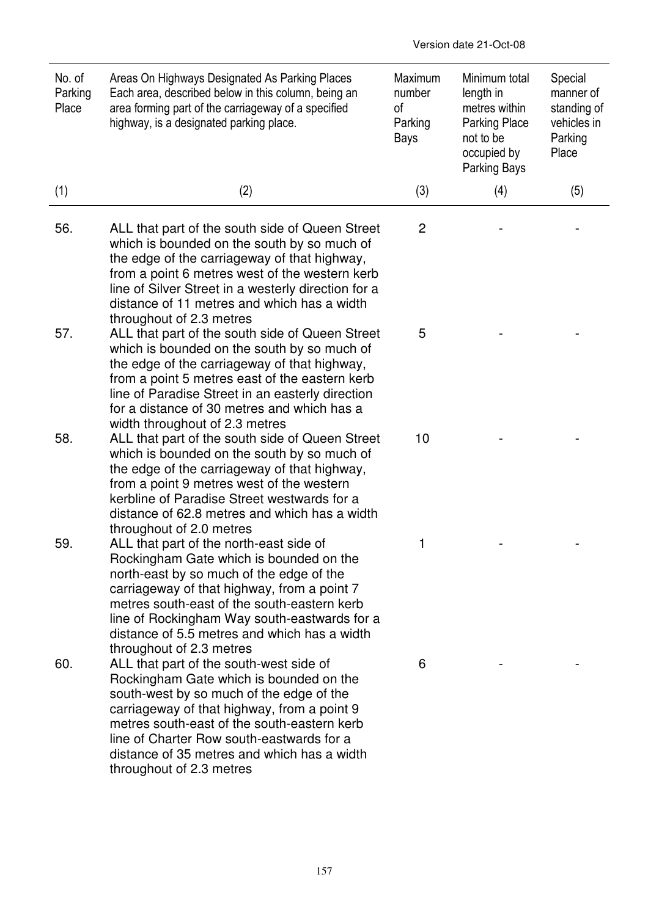| No. of<br>Parking<br>Place | Areas On Highways Designated As Parking Places<br>Each area, described below in this column, being an<br>area forming part of the carriageway of a specified<br>highway, is a designated parking place.                                                                                                                                                  | Maximum<br>number<br>of<br>Parking<br>Bays | Minimum total<br>length in<br>metres within<br><b>Parking Place</b><br>not to be<br>occupied by<br>Parking Bays | Special<br>manner of<br>standing of<br>vehicles in<br>Parking<br>Place |
|----------------------------|----------------------------------------------------------------------------------------------------------------------------------------------------------------------------------------------------------------------------------------------------------------------------------------------------------------------------------------------------------|--------------------------------------------|-----------------------------------------------------------------------------------------------------------------|------------------------------------------------------------------------|
| (1)                        | (2)                                                                                                                                                                                                                                                                                                                                                      | (3)                                        | (4)                                                                                                             | (5)                                                                    |
| 56.                        | ALL that part of the south side of Queen Street<br>which is bounded on the south by so much of<br>the edge of the carriageway of that highway,<br>from a point 6 metres west of the western kerb<br>line of Silver Street in a westerly direction for a<br>distance of 11 metres and which has a width<br>throughout of 2.3 metres                       | $\overline{c}$                             |                                                                                                                 |                                                                        |
| 57.                        | ALL that part of the south side of Queen Street<br>which is bounded on the south by so much of<br>the edge of the carriageway of that highway,<br>from a point 5 metres east of the eastern kerb<br>line of Paradise Street in an easterly direction<br>for a distance of 30 metres and which has a<br>width throughout of 2.3 metres                    | 5                                          |                                                                                                                 |                                                                        |
| 58.                        | ALL that part of the south side of Queen Street<br>which is bounded on the south by so much of<br>the edge of the carriageway of that highway,<br>from a point 9 metres west of the western<br>kerbline of Paradise Street westwards for a<br>distance of 62.8 metres and which has a width<br>throughout of 2.0 metres                                  | 10                                         |                                                                                                                 |                                                                        |
| 59.                        | ALL that part of the north-east side of<br>Rockingham Gate which is bounded on the<br>north-east by so much of the edge of the<br>carriageway of that highway, from a point 7<br>metres south-east of the south-eastern kerb<br>line of Rockingham Way south-eastwards for a<br>distance of 5.5 metres and which has a width<br>throughout of 2.3 metres | 1                                          |                                                                                                                 |                                                                        |
| 60.                        | ALL that part of the south-west side of<br>Rockingham Gate which is bounded on the<br>south-west by so much of the edge of the<br>carriageway of that highway, from a point 9<br>metres south-east of the south-eastern kerb<br>line of Charter Row south-eastwards for a<br>distance of 35 metres and which has a width<br>throughout of 2.3 metres     | 6                                          |                                                                                                                 |                                                                        |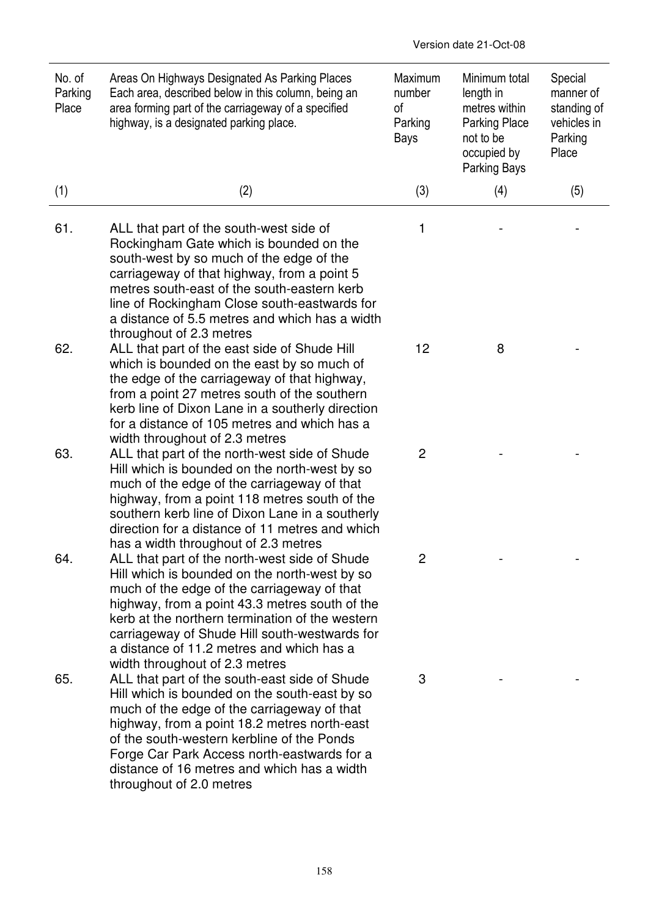| No. of<br>Parking<br>Place | Areas On Highways Designated As Parking Places<br>Each area, described below in this column, being an<br>area forming part of the carriageway of a specified<br>highway, is a designated parking place.                                                                                                                                                                                                 | Maximum<br>number<br>οf<br>Parking<br><b>Bays</b> | Minimum total<br>length in<br>metres within<br><b>Parking Place</b><br>not to be<br>occupied by<br>Parking Bays | Special<br>manner of<br>standing of<br>vehicles in<br>Parking<br>Place |
|----------------------------|---------------------------------------------------------------------------------------------------------------------------------------------------------------------------------------------------------------------------------------------------------------------------------------------------------------------------------------------------------------------------------------------------------|---------------------------------------------------|-----------------------------------------------------------------------------------------------------------------|------------------------------------------------------------------------|
| (1)                        | (2)                                                                                                                                                                                                                                                                                                                                                                                                     | (3)                                               | (4)                                                                                                             | (5)                                                                    |
| 61.                        | ALL that part of the south-west side of<br>Rockingham Gate which is bounded on the<br>south-west by so much of the edge of the<br>carriageway of that highway, from a point 5<br>metres south-east of the south-eastern kerb<br>line of Rockingham Close south-eastwards for<br>a distance of 5.5 metres and which has a width<br>throughout of 2.3 metres                                              | 1                                                 |                                                                                                                 |                                                                        |
| 62.                        | ALL that part of the east side of Shude Hill<br>which is bounded on the east by so much of<br>the edge of the carriageway of that highway,<br>from a point 27 metres south of the southern<br>kerb line of Dixon Lane in a southerly direction<br>for a distance of 105 metres and which has a<br>width throughout of 2.3 metres                                                                        | 12                                                | 8                                                                                                               |                                                                        |
| 63.                        | ALL that part of the north-west side of Shude<br>Hill which is bounded on the north-west by so<br>much of the edge of the carriageway of that<br>highway, from a point 118 metres south of the<br>southern kerb line of Dixon Lane in a southerly<br>direction for a distance of 11 metres and which<br>has a width throughout of 2.3 metres                                                            | 2                                                 |                                                                                                                 |                                                                        |
| 64.                        | ALL that part of the north-west side of Shude<br>Hill which is bounded on the north-west by so<br>much of the edge of the carriageway of that<br>highway, from a point 43.3 metres south of the<br>kerb at the northern termination of the western<br>carriageway of Shude Hill south-westwards for<br>a distance of 11.2 metres and which has a                                                        | $\overline{c}$                                    |                                                                                                                 |                                                                        |
| 65.                        | width throughout of 2.3 metres<br>ALL that part of the south-east side of Shude<br>Hill which is bounded on the south-east by so<br>much of the edge of the carriageway of that<br>highway, from a point 18.2 metres north-east<br>of the south-western kerbline of the Ponds<br>Forge Car Park Access north-eastwards for a<br>distance of 16 metres and which has a width<br>throughout of 2.0 metres | 3                                                 |                                                                                                                 |                                                                        |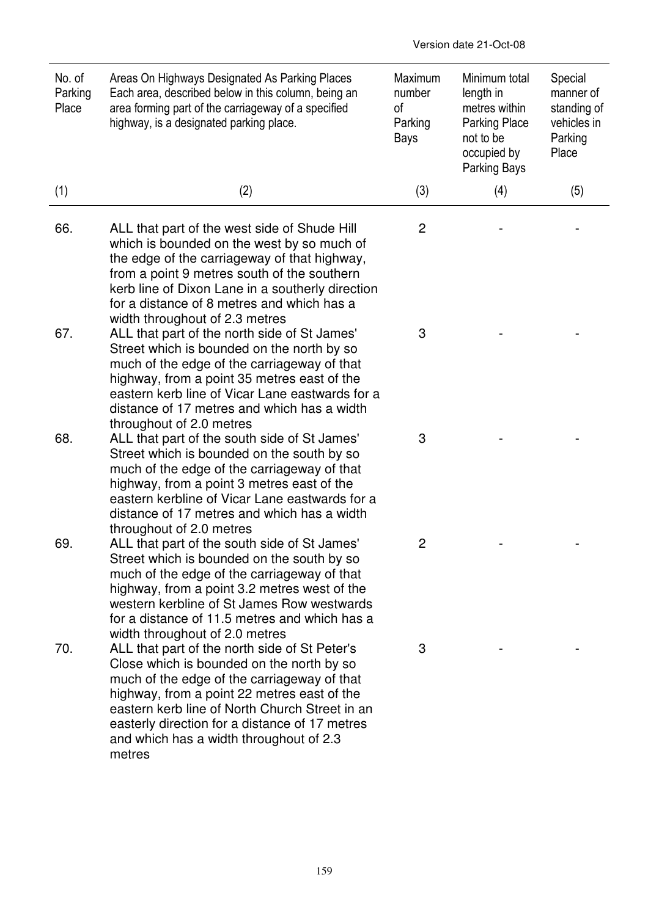| No. of<br>Parking<br>Place | Areas On Highways Designated As Parking Places<br>Each area, described below in this column, being an<br>area forming part of the carriageway of a specified<br>highway, is a designated parking place.                                                                                                                                           | Maximum<br>number<br>of<br>Parking<br>Bays | Minimum total<br>length in<br>metres within<br><b>Parking Place</b><br>not to be<br>occupied by<br>Parking Bays | Special<br>manner of<br>standing of<br>vehicles in<br>Parking<br>Place |
|----------------------------|---------------------------------------------------------------------------------------------------------------------------------------------------------------------------------------------------------------------------------------------------------------------------------------------------------------------------------------------------|--------------------------------------------|-----------------------------------------------------------------------------------------------------------------|------------------------------------------------------------------------|
| (1)                        | (2)                                                                                                                                                                                                                                                                                                                                               | (3)                                        | (4)                                                                                                             | (5)                                                                    |
| 66.                        | ALL that part of the west side of Shude Hill<br>which is bounded on the west by so much of<br>the edge of the carriageway of that highway,<br>from a point 9 metres south of the southern<br>kerb line of Dixon Lane in a southerly direction<br>for a distance of 8 metres and which has a<br>width throughout of 2.3 metres                     | 2                                          |                                                                                                                 |                                                                        |
| 67.                        | ALL that part of the north side of St James'<br>Street which is bounded on the north by so<br>much of the edge of the carriageway of that<br>highway, from a point 35 metres east of the<br>eastern kerb line of Vicar Lane eastwards for a<br>distance of 17 metres and which has a width<br>throughout of 2.0 metres                            | 3                                          |                                                                                                                 |                                                                        |
| 68.                        | ALL that part of the south side of St James'<br>Street which is bounded on the south by so<br>much of the edge of the carriageway of that<br>highway, from a point 3 metres east of the<br>eastern kerbline of Vicar Lane eastwards for a<br>distance of 17 metres and which has a width<br>throughout of 2.0 metres                              | 3                                          |                                                                                                                 |                                                                        |
| 69.                        | ALL that part of the south side of St James'<br>Street which is bounded on the south by so<br>much of the edge of the carriageway of that<br>highway, from a point 3.2 metres west of the<br>western kerbline of St James Row westwards<br>for a distance of 11.5 metres and which has a<br>width throughout of 2.0 metres                        | 2                                          |                                                                                                                 |                                                                        |
| 70.                        | ALL that part of the north side of St Peter's<br>Close which is bounded on the north by so<br>much of the edge of the carriageway of that<br>highway, from a point 22 metres east of the<br>eastern kerb line of North Church Street in an<br>easterly direction for a distance of 17 metres<br>and which has a width throughout of 2.3<br>metres | 3                                          |                                                                                                                 |                                                                        |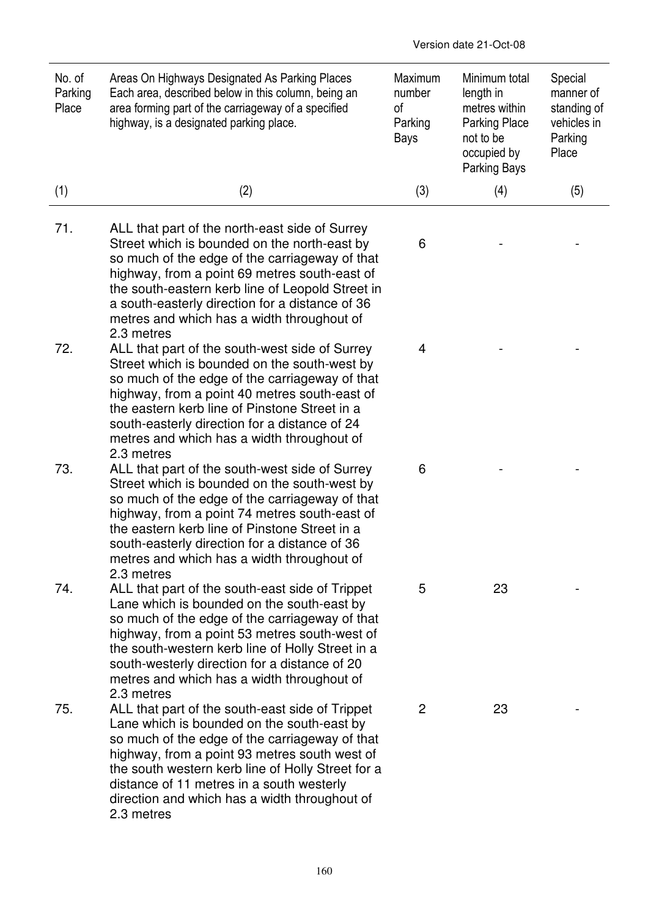| No. of<br>Parking<br>Place | Areas On Highways Designated As Parking Places<br>Each area, described below in this column, being an<br>area forming part of the carriageway of a specified<br>highway, is a designated parking place.                                                                                                                                                              | Maximum<br>number<br>οf<br>Parking<br>Bays | Minimum total<br>length in<br>metres within<br><b>Parking Place</b><br>not to be<br>occupied by<br>Parking Bays | Special<br>manner of<br>standing of<br>vehicles in<br>Parking<br>Place |
|----------------------------|----------------------------------------------------------------------------------------------------------------------------------------------------------------------------------------------------------------------------------------------------------------------------------------------------------------------------------------------------------------------|--------------------------------------------|-----------------------------------------------------------------------------------------------------------------|------------------------------------------------------------------------|
| (1)                        | (2)                                                                                                                                                                                                                                                                                                                                                                  | (3)                                        | (4)                                                                                                             | (5)                                                                    |
| 71.                        | ALL that part of the north-east side of Surrey<br>Street which is bounded on the north-east by<br>so much of the edge of the carriageway of that<br>highway, from a point 69 metres south-east of<br>the south-eastern kerb line of Leopold Street in<br>a south-easterly direction for a distance of 36<br>metres and which has a width throughout of<br>2.3 metres | 6                                          |                                                                                                                 |                                                                        |
| 72.                        | ALL that part of the south-west side of Surrey<br>Street which is bounded on the south-west by<br>so much of the edge of the carriageway of that<br>highway, from a point 40 metres south-east of<br>the eastern kerb line of Pinstone Street in a<br>south-easterly direction for a distance of 24<br>metres and which has a width throughout of<br>2.3 metres      | 4                                          |                                                                                                                 |                                                                        |
| 73.                        | ALL that part of the south-west side of Surrey<br>Street which is bounded on the south-west by<br>so much of the edge of the carriageway of that<br>highway, from a point 74 metres south-east of<br>the eastern kerb line of Pinstone Street in a<br>south-easterly direction for a distance of 36<br>metres and which has a width throughout of<br>2.3 metres      | 6                                          |                                                                                                                 |                                                                        |
| 74.                        | ALL that part of the south-east side of Trippet<br>Lane which is bounded on the south-east by<br>so much of the edge of the carriageway of that<br>highway, from a point 53 metres south-west of<br>the south-western kerb line of Holly Street in a<br>south-westerly direction for a distance of 20<br>metres and which has a width throughout of<br>2.3 metres    | 5                                          | 23                                                                                                              |                                                                        |
| 75.                        | ALL that part of the south-east side of Trippet<br>Lane which is bounded on the south-east by<br>so much of the edge of the carriageway of that<br>highway, from a point 93 metres south west of<br>the south western kerb line of Holly Street for a<br>distance of 11 metres in a south westerly<br>direction and which has a width throughout of<br>2.3 metres    | 2                                          | 23                                                                                                              |                                                                        |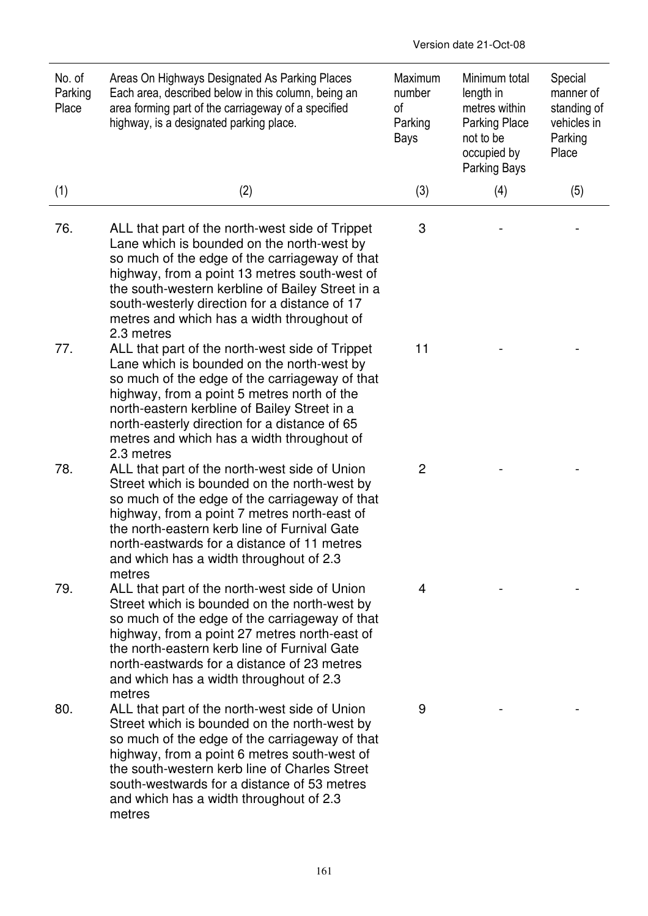| No. of<br>Parking<br>Place | Areas On Highways Designated As Parking Places<br>Each area, described below in this column, being an<br>area forming part of the carriageway of a specified<br>highway, is a designated parking place.                                                                                                                                                           | Maximum<br>number<br>οf<br>Parking<br>Bays | Minimum total<br>length in<br>metres within<br><b>Parking Place</b><br>not to be<br>occupied by<br><b>Parking Bays</b> | Special<br>manner of<br>standing of<br>vehicles in<br>Parking<br>Place |
|----------------------------|-------------------------------------------------------------------------------------------------------------------------------------------------------------------------------------------------------------------------------------------------------------------------------------------------------------------------------------------------------------------|--------------------------------------------|------------------------------------------------------------------------------------------------------------------------|------------------------------------------------------------------------|
| (1)                        | (2)                                                                                                                                                                                                                                                                                                                                                               | (3)                                        | (4)                                                                                                                    | (5)                                                                    |
| 76.                        | ALL that part of the north-west side of Trippet<br>Lane which is bounded on the north-west by<br>so much of the edge of the carriageway of that<br>highway, from a point 13 metres south-west of<br>the south-western kerbline of Bailey Street in a<br>south-westerly direction for a distance of 17<br>metres and which has a width throughout of<br>2.3 metres | 3                                          |                                                                                                                        |                                                                        |
| 77.                        | ALL that part of the north-west side of Trippet<br>Lane which is bounded on the north-west by<br>so much of the edge of the carriageway of that<br>highway, from a point 5 metres north of the<br>north-eastern kerbline of Bailey Street in a<br>north-easterly direction for a distance of 65<br>metres and which has a width throughout of<br>2.3 metres       | 11                                         |                                                                                                                        |                                                                        |
| 78.                        | ALL that part of the north-west side of Union<br>Street which is bounded on the north-west by<br>so much of the edge of the carriageway of that<br>highway, from a point 7 metres north-east of<br>the north-eastern kerb line of Furnival Gate<br>north-eastwards for a distance of 11 metres<br>and which has a width throughout of 2.3<br>metres               | 2                                          |                                                                                                                        |                                                                        |
| 79.                        | ALL that part of the north-west side of Union<br>Street which is bounded on the north-west by<br>so much of the edge of the carriageway of that<br>highway, from a point 27 metres north-east of<br>the north-eastern kerb line of Furnival Gate<br>north-eastwards for a distance of 23 metres<br>and which has a width throughout of 2.3<br>metres              | 4                                          |                                                                                                                        |                                                                        |
| 80.                        | ALL that part of the north-west side of Union<br>Street which is bounded on the north-west by<br>so much of the edge of the carriageway of that<br>highway, from a point 6 metres south-west of<br>the south-western kerb line of Charles Street<br>south-westwards for a distance of 53 metres<br>and which has a width throughout of 2.3<br>metres              | 9                                          |                                                                                                                        |                                                                        |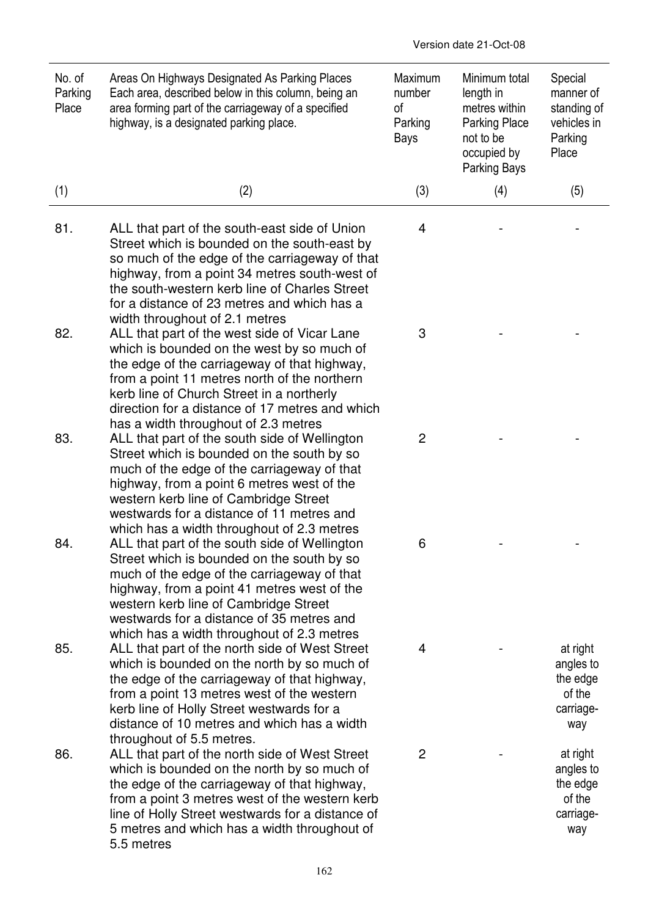| No. of<br>Parking<br>Place | Areas On Highways Designated As Parking Places<br>Each area, described below in this column, being an<br>area forming part of the carriageway of a specified<br>highway, is a designated parking place.                                                                                                                            | Maximum<br>number<br>of<br>Parking<br>Bays | Minimum total<br>length in<br>metres within<br><b>Parking Place</b><br>not to be<br>occupied by<br><b>Parking Bays</b> | Special<br>manner of<br>standing of<br>vehicles in<br>Parking<br>Place |
|----------------------------|------------------------------------------------------------------------------------------------------------------------------------------------------------------------------------------------------------------------------------------------------------------------------------------------------------------------------------|--------------------------------------------|------------------------------------------------------------------------------------------------------------------------|------------------------------------------------------------------------|
| (1)                        | (2)                                                                                                                                                                                                                                                                                                                                | (3)                                        | (4)                                                                                                                    | (5)                                                                    |
| 81.                        | ALL that part of the south-east side of Union<br>Street which is bounded on the south-east by<br>so much of the edge of the carriageway of that<br>highway, from a point 34 metres south-west of<br>the south-western kerb line of Charles Street<br>for a distance of 23 metres and which has a<br>width throughout of 2.1 metres | 4                                          |                                                                                                                        |                                                                        |
| 82.                        | ALL that part of the west side of Vicar Lane<br>which is bounded on the west by so much of<br>the edge of the carriageway of that highway,<br>from a point 11 metres north of the northern<br>kerb line of Church Street in a northerly<br>direction for a distance of 17 metres and which<br>has a width throughout of 2.3 metres | 3                                          |                                                                                                                        |                                                                        |
| 83.                        | ALL that part of the south side of Wellington<br>Street which is bounded on the south by so<br>much of the edge of the carriageway of that<br>highway, from a point 6 metres west of the<br>western kerb line of Cambridge Street<br>westwards for a distance of 11 metres and<br>which has a width throughout of 2.3 metres       | 2                                          |                                                                                                                        |                                                                        |
| 84.                        | ALL that part of the south side of Wellington<br>Street which is bounded on the south by so<br>much of the edge of the carriageway of that<br>highway, from a point 41 metres west of the<br>western kerb line of Cambridge Street<br>westwards for a distance of 35 metres and<br>which has a width throughout of 2.3 metres      | 6                                          |                                                                                                                        |                                                                        |
| 85.                        | ALL that part of the north side of West Street<br>which is bounded on the north by so much of<br>the edge of the carriageway of that highway,<br>from a point 13 metres west of the western<br>kerb line of Holly Street westwards for a<br>distance of 10 metres and which has a width<br>throughout of 5.5 metres.               | 4                                          |                                                                                                                        | at right<br>angles to<br>the edge<br>of the<br>carriage-<br>way        |
| 86.                        | ALL that part of the north side of West Street<br>which is bounded on the north by so much of<br>the edge of the carriageway of that highway,<br>from a point 3 metres west of the western kerb<br>line of Holly Street westwards for a distance of<br>5 metres and which has a width throughout of<br>5.5 metres                  | $\overline{c}$                             |                                                                                                                        | at right<br>angles to<br>the edge<br>of the<br>carriage-<br>way        |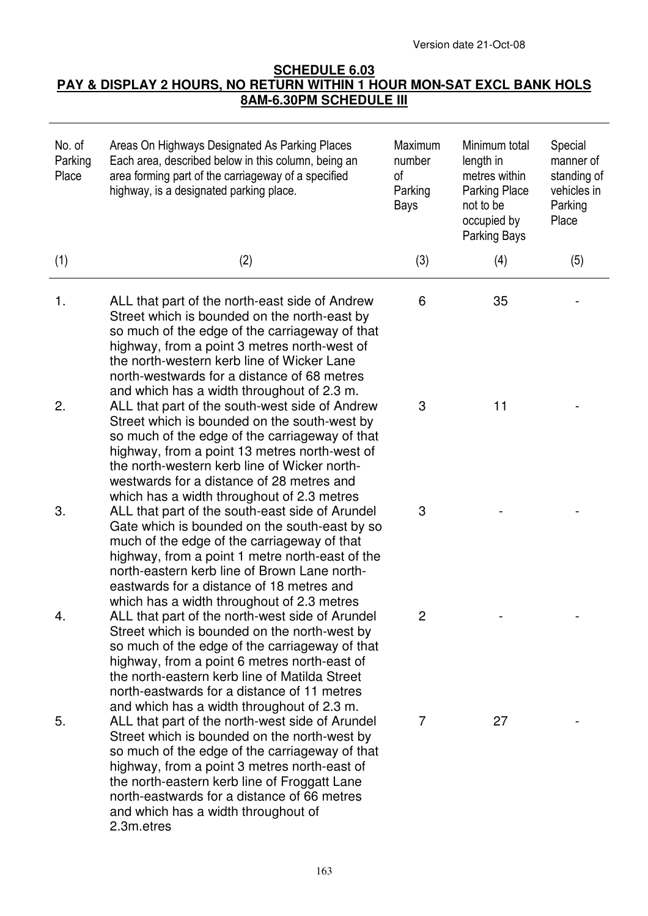Version date 21-Oct-08

## **SCHEDULE 6.03 PAY & DISPLAY 2 HOURS, NO RETURN WITHIN 1 HOUR MON-SAT EXCL BANK HOLS 8AM-6.30PM SCHEDULE III**

| No. of<br>Parking<br>Place | Areas On Highways Designated As Parking Places<br>Each area, described below in this column, being an<br>area forming part of the carriageway of a specified<br>highway, is a designated parking place.                                                                                                                                               | Maximum<br>number<br>0f<br>Parking<br>Bays | Minimum total<br>length in<br>metres within<br><b>Parking Place</b><br>not to be<br>occupied by<br><b>Parking Bays</b> | Special<br>manner of<br>standing of<br>vehicles in<br>Parking<br>Place |
|----------------------------|-------------------------------------------------------------------------------------------------------------------------------------------------------------------------------------------------------------------------------------------------------------------------------------------------------------------------------------------------------|--------------------------------------------|------------------------------------------------------------------------------------------------------------------------|------------------------------------------------------------------------|
| (1)                        | (2)                                                                                                                                                                                                                                                                                                                                                   | (3)                                        | (4)                                                                                                                    | (5)                                                                    |
| 1.                         | ALL that part of the north-east side of Andrew<br>Street which is bounded on the north-east by<br>so much of the edge of the carriageway of that<br>highway, from a point 3 metres north-west of<br>the north-western kerb line of Wicker Lane<br>north-westwards for a distance of 68 metres<br>and which has a width throughout of 2.3 m.           | 6                                          | 35                                                                                                                     |                                                                        |
| 2.                         | ALL that part of the south-west side of Andrew<br>Street which is bounded on the south-west by<br>so much of the edge of the carriageway of that<br>highway, from a point 13 metres north-west of<br>the north-western kerb line of Wicker north-<br>westwards for a distance of 28 metres and<br>which has a width throughout of 2.3 metres          | 3                                          | 11                                                                                                                     |                                                                        |
| 3.                         | ALL that part of the south-east side of Arundel<br>Gate which is bounded on the south-east by so<br>much of the edge of the carriageway of that<br>highway, from a point 1 metre north-east of the<br>north-eastern kerb line of Brown Lane north-<br>eastwards for a distance of 18 metres and<br>which has a width throughout of 2.3 metres         | 3                                          |                                                                                                                        |                                                                        |
| 4.                         | ALL that part of the north-west side of Arundel<br>Street which is bounded on the north-west by<br>so much of the edge of the carriageway of that<br>highway, from a point 6 metres north-east of<br>the north-eastern kerb line of Matilda Street<br>north-eastwards for a distance of 11 metres<br>and which has a width throughout of 2.3 m.       |                                            |                                                                                                                        |                                                                        |
| 5.                         | ALL that part of the north-west side of Arundel<br>Street which is bounded on the north-west by<br>so much of the edge of the carriageway of that<br>highway, from a point 3 metres north-east of<br>the north-eastern kerb line of Froggatt Lane<br>north-eastwards for a distance of 66 metres<br>and which has a width throughout of<br>2.3m.etres | 7                                          | 27                                                                                                                     |                                                                        |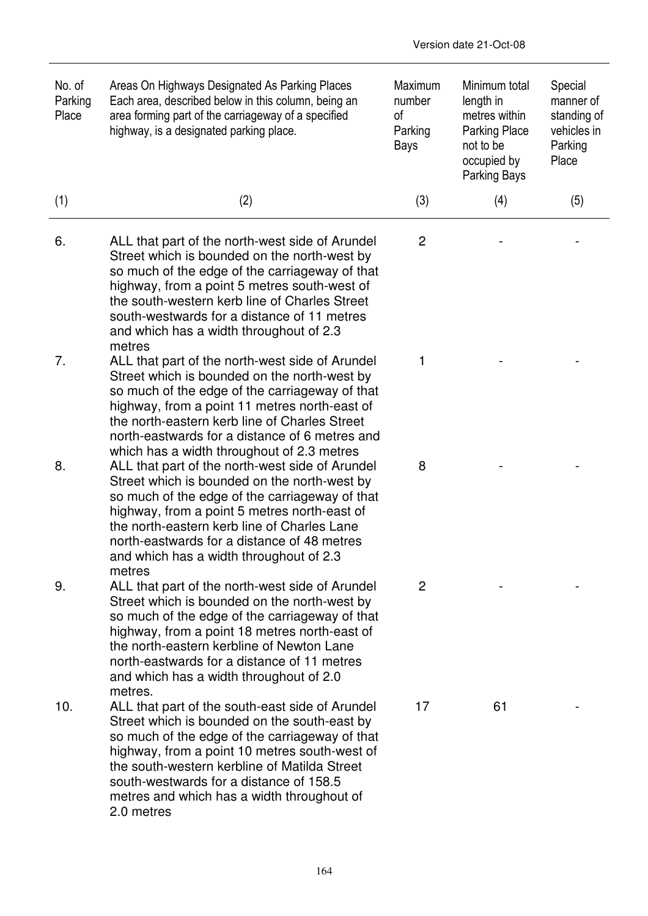| No. of<br>Parking<br>Place | Areas On Highways Designated As Parking Places<br>Each area, described below in this column, being an<br>area forming part of the carriageway of a specified<br>highway, is a designated parking place.                                                                                                                                                   | Maximum<br>number<br>of<br>Parking<br>Bays | Minimum total<br>length in<br>metres within<br><b>Parking Place</b><br>not to be<br>occupied by<br>Parking Bays | Special<br>manner of<br>standing of<br>vehicles in<br>Parking<br>Place |
|----------------------------|-----------------------------------------------------------------------------------------------------------------------------------------------------------------------------------------------------------------------------------------------------------------------------------------------------------------------------------------------------------|--------------------------------------------|-----------------------------------------------------------------------------------------------------------------|------------------------------------------------------------------------|
| (1)                        | (2)                                                                                                                                                                                                                                                                                                                                                       | (3)                                        | (4)                                                                                                             | (5)                                                                    |
| 6.                         | ALL that part of the north-west side of Arundel<br>Street which is bounded on the north-west by<br>so much of the edge of the carriageway of that<br>highway, from a point 5 metres south-west of<br>the south-western kerb line of Charles Street<br>south-westwards for a distance of 11 metres<br>and which has a width throughout of 2.3<br>metres    | $\overline{c}$                             |                                                                                                                 |                                                                        |
| 7.                         | ALL that part of the north-west side of Arundel<br>Street which is bounded on the north-west by<br>so much of the edge of the carriageway of that<br>highway, from a point 11 metres north-east of<br>the north-eastern kerb line of Charles Street<br>north-eastwards for a distance of 6 metres and<br>which has a width throughout of 2.3 metres       | 1                                          |                                                                                                                 |                                                                        |
| 8.                         | ALL that part of the north-west side of Arundel<br>Street which is bounded on the north-west by<br>so much of the edge of the carriageway of that<br>highway, from a point 5 metres north-east of<br>the north-eastern kerb line of Charles Lane<br>north-eastwards for a distance of 48 metres<br>and which has a width throughout of 2.3<br>metres      | 8                                          |                                                                                                                 |                                                                        |
| 9.                         | ALL that part of the north-west side of Arundel<br>Street which is bounded on the north-west by<br>so much of the edge of the carriageway of that<br>highway, from a point 18 metres north-east of<br>the north-eastern kerbline of Newton Lane<br>north-eastwards for a distance of 11 metres<br>and which has a width throughout of 2.0<br>metres.      | 2                                          |                                                                                                                 |                                                                        |
| 10.                        | ALL that part of the south-east side of Arundel<br>Street which is bounded on the south-east by<br>so much of the edge of the carriageway of that<br>highway, from a point 10 metres south-west of<br>the south-western kerbline of Matilda Street<br>south-westwards for a distance of 158.5<br>metres and which has a width throughout of<br>2.0 metres | 17                                         | 61                                                                                                              |                                                                        |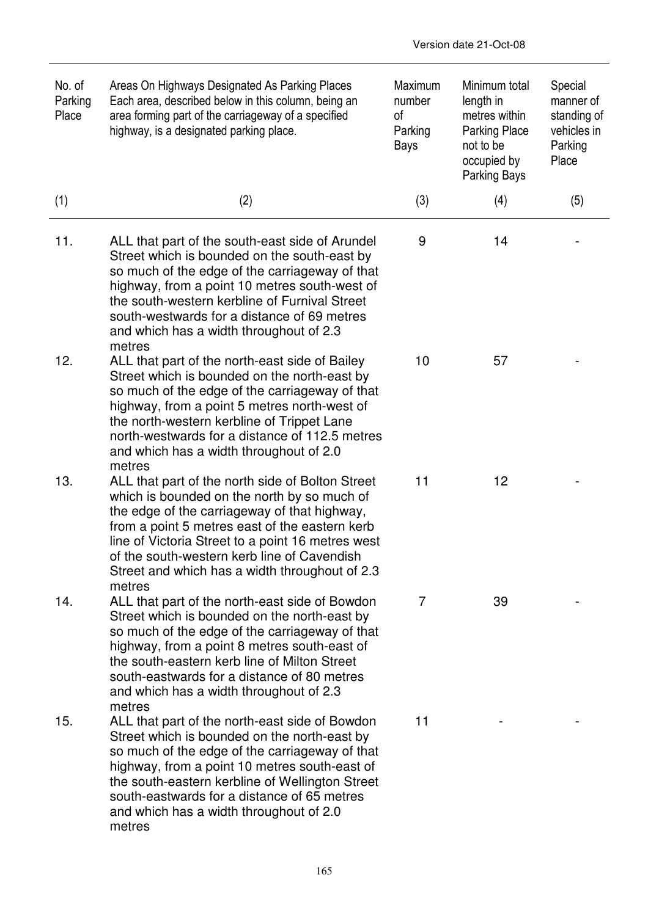| No. of<br>Parking<br>Place | Areas On Highways Designated As Parking Places<br>Each area, described below in this column, being an<br>area forming part of the carriageway of a specified<br>highway, is a designated parking place.                                                                                                                                                           | Maximum<br>number<br>οf<br>Parking<br>Bays | Minimum total<br>length in<br>metres within<br><b>Parking Place</b><br>not to be<br>occupied by<br>Parking Bays | Special<br>manner of<br>standing of<br>vehicles in<br>Parking<br>Place |
|----------------------------|-------------------------------------------------------------------------------------------------------------------------------------------------------------------------------------------------------------------------------------------------------------------------------------------------------------------------------------------------------------------|--------------------------------------------|-----------------------------------------------------------------------------------------------------------------|------------------------------------------------------------------------|
| (1)                        | (2)                                                                                                                                                                                                                                                                                                                                                               | (3)                                        | (4)                                                                                                             | (5)                                                                    |
| 11.                        | ALL that part of the south-east side of Arundel<br>Street which is bounded on the south-east by<br>so much of the edge of the carriageway of that<br>highway, from a point 10 metres south-west of<br>the south-western kerbline of Furnival Street<br>south-westwards for a distance of 69 metres<br>and which has a width throughout of 2.3<br>metres           | 9                                          | 14                                                                                                              |                                                                        |
| 12.                        | ALL that part of the north-east side of Bailey<br>Street which is bounded on the north-east by<br>so much of the edge of the carriageway of that<br>highway, from a point 5 metres north-west of<br>the north-western kerbline of Trippet Lane<br>north-westwards for a distance of 112.5 metres<br>and which has a width throughout of 2.0<br>metres             | 10                                         | 57                                                                                                              |                                                                        |
| 13.                        | ALL that part of the north side of Bolton Street<br>which is bounded on the north by so much of<br>the edge of the carriageway of that highway,<br>from a point 5 metres east of the eastern kerb<br>line of Victoria Street to a point 16 metres west<br>of the south-western kerb line of Cavendish<br>Street and which has a width throughout of 2.3<br>metres | 11                                         | 12                                                                                                              |                                                                        |
| 14.                        | ALL that part of the north-east side of Bowdon<br>Street which is bounded on the north-east by<br>so much of the edge of the carriageway of that<br>highway, from a point 8 metres south-east of<br>the south-eastern kerb line of Milton Street<br>south-eastwards for a distance of 80 metres<br>and which has a width throughout of 2.3<br>metres              | $\overline{7}$                             | 39                                                                                                              |                                                                        |
| 15.                        | ALL that part of the north-east side of Bowdon<br>Street which is bounded on the north-east by<br>so much of the edge of the carriageway of that<br>highway, from a point 10 metres south-east of<br>the south-eastern kerbline of Wellington Street<br>south-eastwards for a distance of 65 metres<br>and which has a width throughout of 2.0<br>metres          | 11                                         |                                                                                                                 |                                                                        |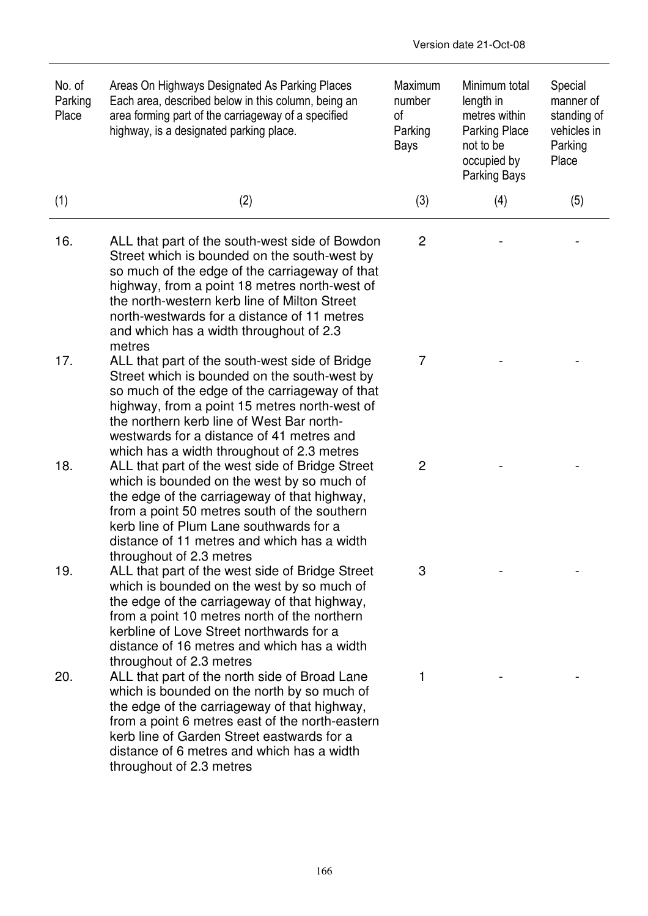| No. of<br>Parking<br>Place | Areas On Highways Designated As Parking Places<br>Each area, described below in this column, being an<br>area forming part of the carriageway of a specified<br>highway, is a designated parking place.                                                                                                                                               | Maximum<br>number<br>of<br>Parking<br>Bays | Minimum total<br>length in<br>metres within<br><b>Parking Place</b><br>not to be<br>occupied by<br>Parking Bays | Special<br>manner of<br>standing of<br>vehicles in<br>Parking<br>Place |
|----------------------------|-------------------------------------------------------------------------------------------------------------------------------------------------------------------------------------------------------------------------------------------------------------------------------------------------------------------------------------------------------|--------------------------------------------|-----------------------------------------------------------------------------------------------------------------|------------------------------------------------------------------------|
| (1)                        | (2)                                                                                                                                                                                                                                                                                                                                                   | (3)                                        | (4)                                                                                                             | (5)                                                                    |
| 16.                        | ALL that part of the south-west side of Bowdon<br>Street which is bounded on the south-west by<br>so much of the edge of the carriageway of that<br>highway, from a point 18 metres north-west of<br>the north-western kerb line of Milton Street<br>north-westwards for a distance of 11 metres<br>and which has a width throughout of 2.3<br>metres | $\overline{c}$                             |                                                                                                                 |                                                                        |
| 17.                        | ALL that part of the south-west side of Bridge<br>Street which is bounded on the south-west by<br>so much of the edge of the carriageway of that<br>highway, from a point 15 metres north-west of<br>the northern kerb line of West Bar north-<br>westwards for a distance of 41 metres and<br>which has a width throughout of 2.3 metres             | 7                                          |                                                                                                                 |                                                                        |
| 18.                        | ALL that part of the west side of Bridge Street<br>which is bounded on the west by so much of<br>the edge of the carriageway of that highway,<br>from a point 50 metres south of the southern<br>kerb line of Plum Lane southwards for a<br>distance of 11 metres and which has a width<br>throughout of 2.3 metres                                   | $\overline{2}$                             |                                                                                                                 |                                                                        |
| 19.                        | ALL that part of the west side of Bridge Street<br>which is bounded on the west by so much of<br>the edge of the carriageway of that highway,<br>from a point 10 metres north of the northern<br>kerbline of Love Street northwards for a<br>distance of 16 metres and which has a width<br>throughout of 2.3 metres                                  | 3                                          |                                                                                                                 |                                                                        |
| 20.                        | ALL that part of the north side of Broad Lane<br>which is bounded on the north by so much of<br>the edge of the carriageway of that highway,<br>from a point 6 metres east of the north-eastern<br>kerb line of Garden Street eastwards for a<br>distance of 6 metres and which has a width<br>throughout of 2.3 metres                               | 1                                          |                                                                                                                 |                                                                        |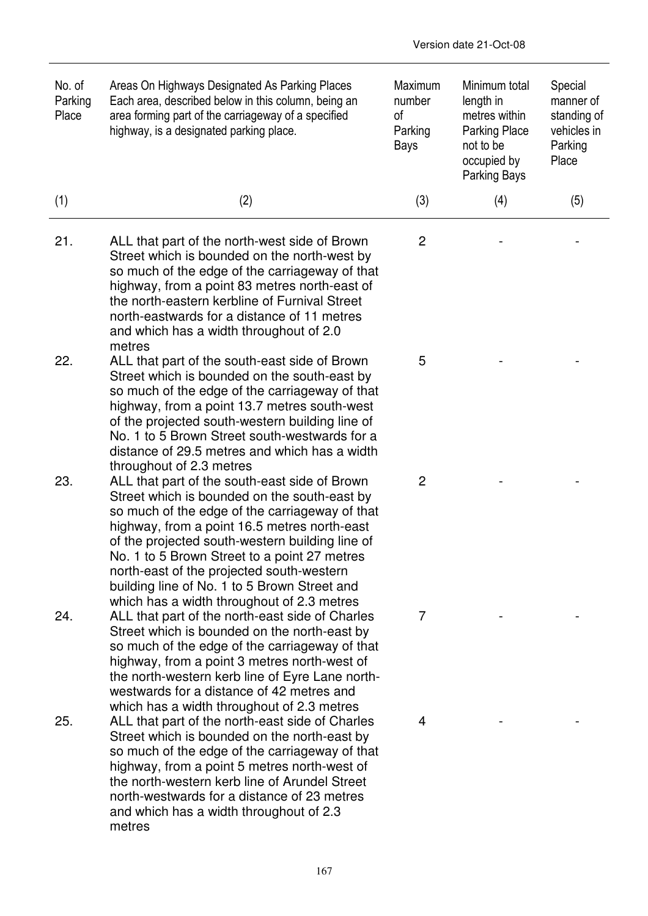| No. of<br>Parking<br>Place | Areas On Highways Designated As Parking Places<br>Each area, described below in this column, being an<br>area forming part of the carriageway of a specified<br>highway, is a designated parking place.                                                                                                                                                                                                                                       | Maximum<br>number<br>οf<br>Parking<br>Bays | Minimum total<br>length in<br>metres within<br><b>Parking Place</b><br>not to be<br>occupied by<br>Parking Bays | Special<br>manner of<br>standing of<br>vehicles in<br>Parking<br>Place |
|----------------------------|-----------------------------------------------------------------------------------------------------------------------------------------------------------------------------------------------------------------------------------------------------------------------------------------------------------------------------------------------------------------------------------------------------------------------------------------------|--------------------------------------------|-----------------------------------------------------------------------------------------------------------------|------------------------------------------------------------------------|
| (1)                        | (2)                                                                                                                                                                                                                                                                                                                                                                                                                                           | (3)                                        | (4)                                                                                                             | (5)                                                                    |
| 21.                        | ALL that part of the north-west side of Brown<br>Street which is bounded on the north-west by<br>so much of the edge of the carriageway of that<br>highway, from a point 83 metres north-east of<br>the north-eastern kerbline of Furnival Street<br>north-eastwards for a distance of 11 metres<br>and which has a width throughout of 2.0<br>metres                                                                                         | $\overline{c}$                             |                                                                                                                 |                                                                        |
| 22.                        | ALL that part of the south-east side of Brown<br>Street which is bounded on the south-east by<br>so much of the edge of the carriageway of that<br>highway, from a point 13.7 metres south-west<br>of the projected south-western building line of<br>No. 1 to 5 Brown Street south-westwards for a<br>distance of 29.5 metres and which has a width<br>throughout of 2.3 metres                                                              | 5                                          |                                                                                                                 |                                                                        |
| 23.                        | ALL that part of the south-east side of Brown<br>Street which is bounded on the south-east by<br>so much of the edge of the carriageway of that<br>highway, from a point 16.5 metres north-east<br>of the projected south-western building line of<br>No. 1 to 5 Brown Street to a point 27 metres<br>north-east of the projected south-western<br>building line of No. 1 to 5 Brown Street and<br>which has a width throughout of 2.3 metres | 2                                          |                                                                                                                 |                                                                        |
| 24.                        | ALL that part of the north-east side of Charles<br>Street which is bounded on the north-east by<br>so much of the edge of the carriageway of that<br>highway, from a point 3 metres north-west of<br>the north-western kerb line of Eyre Lane north-<br>westwards for a distance of 42 metres and<br>which has a width throughout of 2.3 metres                                                                                               | 7                                          |                                                                                                                 |                                                                        |
| 25.                        | ALL that part of the north-east side of Charles<br>Street which is bounded on the north-east by<br>so much of the edge of the carriageway of that<br>highway, from a point 5 metres north-west of<br>the north-western kerb line of Arundel Street<br>north-westwards for a distance of 23 metres<br>and which has a width throughout of 2.3<br>metres                                                                                        | 4                                          |                                                                                                                 |                                                                        |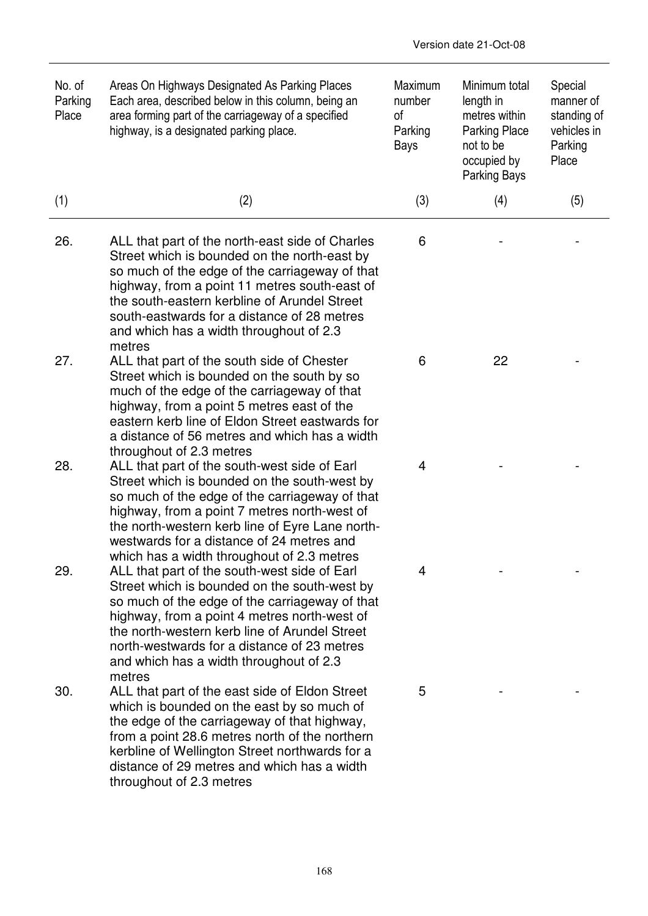| No. of<br>Parking<br>Place | Areas On Highways Designated As Parking Places<br>Each area, described below in this column, being an<br>area forming part of the carriageway of a specified<br>highway, is a designated parking place.                                                                                                                                                | Maximum<br>number<br>of<br>Parking<br>Bays | Minimum total<br>length in<br>metres within<br><b>Parking Place</b><br>not to be<br>occupied by<br>Parking Bays | Special<br>manner of<br>standing of<br>vehicles in<br>Parking<br>Place |
|----------------------------|--------------------------------------------------------------------------------------------------------------------------------------------------------------------------------------------------------------------------------------------------------------------------------------------------------------------------------------------------------|--------------------------------------------|-----------------------------------------------------------------------------------------------------------------|------------------------------------------------------------------------|
| (1)                        | (2)                                                                                                                                                                                                                                                                                                                                                    | (3)                                        | (4)                                                                                                             | (5)                                                                    |
| 26.                        | ALL that part of the north-east side of Charles<br>Street which is bounded on the north-east by<br>so much of the edge of the carriageway of that<br>highway, from a point 11 metres south-east of<br>the south-eastern kerbline of Arundel Street<br>south-eastwards for a distance of 28 metres<br>and which has a width throughout of 2.3<br>metres | 6                                          |                                                                                                                 |                                                                        |
| 27.                        | ALL that part of the south side of Chester<br>Street which is bounded on the south by so<br>much of the edge of the carriageway of that<br>highway, from a point 5 metres east of the<br>eastern kerb line of Eldon Street eastwards for<br>a distance of 56 metres and which has a width<br>throughout of 2.3 metres                                  | 6                                          | 22                                                                                                              |                                                                        |
| 28.                        | ALL that part of the south-west side of Earl<br>Street which is bounded on the south-west by<br>so much of the edge of the carriageway of that<br>highway, from a point 7 metres north-west of<br>the north-western kerb line of Eyre Lane north-<br>westwards for a distance of 24 metres and<br>which has a width throughout of 2.3 metres           | 4                                          |                                                                                                                 |                                                                        |
| 29.                        | ALL that part of the south-west side of Earl<br>Street which is bounded on the south-west by<br>so much of the edge of the carriageway of that<br>highway, from a point 4 metres north-west of<br>the north-western kerb line of Arundel Street<br>north-westwards for a distance of 23 metres<br>and which has a width throughout of 2.3<br>metres    | 4                                          |                                                                                                                 |                                                                        |
| 30.                        | ALL that part of the east side of Eldon Street<br>which is bounded on the east by so much of<br>the edge of the carriageway of that highway,<br>from a point 28.6 metres north of the northern<br>kerbline of Wellington Street northwards for a<br>distance of 29 metres and which has a width<br>throughout of 2.3 metres                            | 5                                          |                                                                                                                 |                                                                        |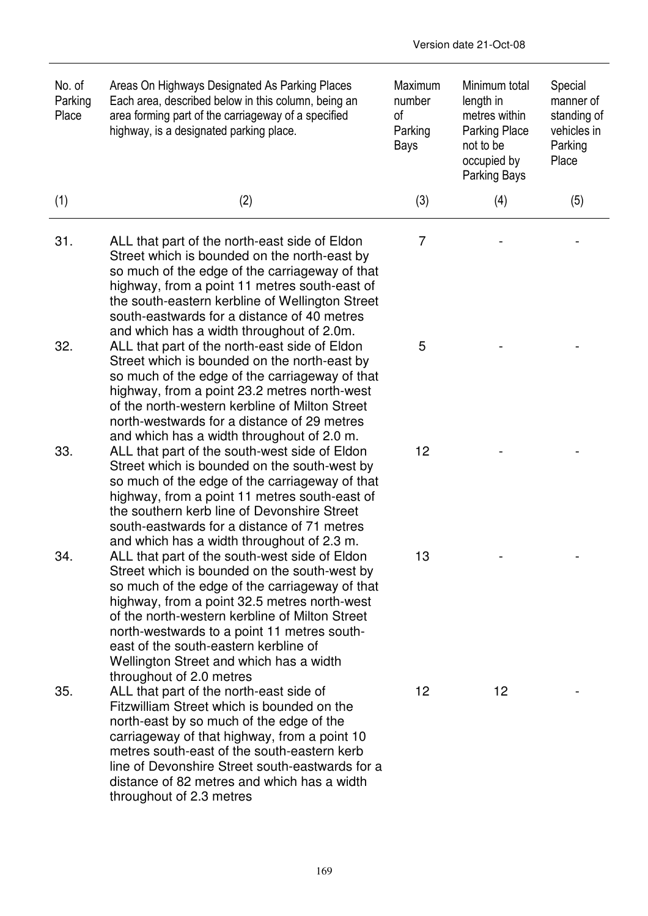| No. of<br>Parking<br>Place | Areas On Highways Designated As Parking Places<br>Each area, described below in this column, being an<br>area forming part of the carriageway of a specified<br>highway, is a designated parking place.                                                                                                                                                                                    | Maximum<br>number<br>οf<br>Parking<br>Bays | Minimum total<br>length in<br>metres within<br><b>Parking Place</b><br>not to be<br>occupied by<br><b>Parking Bays</b> | Special<br>manner of<br>standing of<br>vehicles in<br>Parking<br>Place |
|----------------------------|--------------------------------------------------------------------------------------------------------------------------------------------------------------------------------------------------------------------------------------------------------------------------------------------------------------------------------------------------------------------------------------------|--------------------------------------------|------------------------------------------------------------------------------------------------------------------------|------------------------------------------------------------------------|
| (1)                        | (2)                                                                                                                                                                                                                                                                                                                                                                                        | (3)                                        | (4)                                                                                                                    | (5)                                                                    |
| 31.                        | ALL that part of the north-east side of Eldon<br>Street which is bounded on the north-east by<br>so much of the edge of the carriageway of that<br>highway, from a point 11 metres south-east of<br>the south-eastern kerbline of Wellington Street<br>south-eastwards for a distance of 40 metres<br>and which has a width throughout of 2.0m.                                            | $\overline{7}$                             |                                                                                                                        |                                                                        |
| 32.                        | ALL that part of the north-east side of Eldon<br>Street which is bounded on the north-east by<br>so much of the edge of the carriageway of that<br>highway, from a point 23.2 metres north-west<br>of the north-western kerbline of Milton Street<br>north-westwards for a distance of 29 metres<br>and which has a width throughout of 2.0 m.                                             | 5                                          |                                                                                                                        |                                                                        |
| 33.                        | ALL that part of the south-west side of Eldon<br>Street which is bounded on the south-west by<br>so much of the edge of the carriageway of that<br>highway, from a point 11 metres south-east of<br>the southern kerb line of Devonshire Street<br>south-eastwards for a distance of 71 metres<br>and which has a width throughout of 2.3 m.                                               | 12                                         |                                                                                                                        |                                                                        |
| 34                         | ALL that part of the south-west side of Eldon<br>Street which is bounded on the south-west by<br>so much of the edge of the carriageway of that<br>highway, from a point 32.5 metres north-west<br>of the north-western kerbline of Milton Street<br>north-westwards to a point 11 metres south-<br>east of the south-eastern kerbline of<br>Wellington Street and which has a width       | 13                                         |                                                                                                                        |                                                                        |
| 35.                        | throughout of 2.0 metres<br>ALL that part of the north-east side of<br>Fitzwilliam Street which is bounded on the<br>north-east by so much of the edge of the<br>carriageway of that highway, from a point 10<br>metres south-east of the south-eastern kerb<br>line of Devonshire Street south-eastwards for a<br>distance of 82 metres and which has a width<br>throughout of 2.3 metres | 12                                         | 12                                                                                                                     |                                                                        |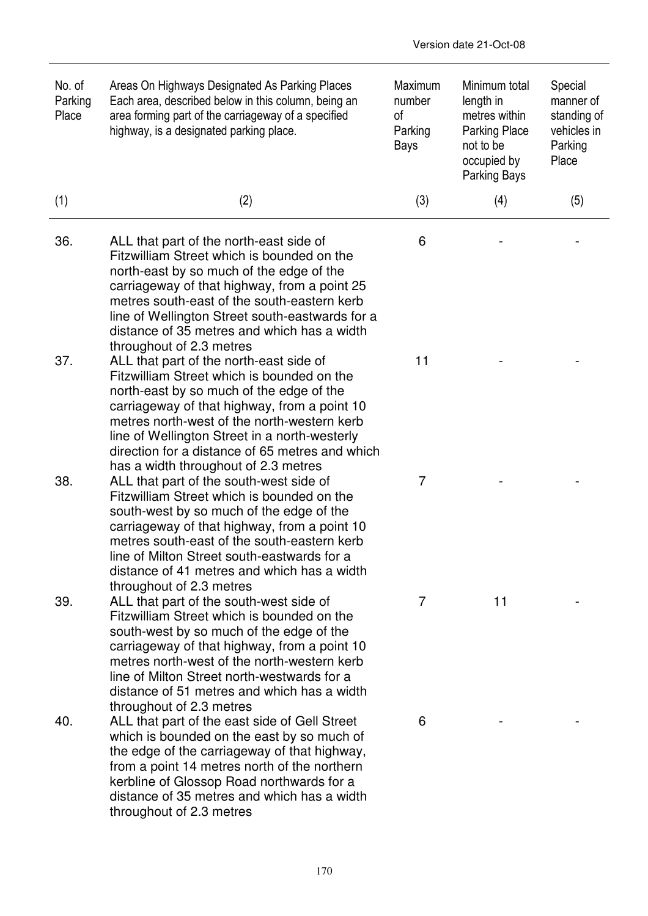| No. of<br>Parking<br>Place | Areas On Highways Designated As Parking Places<br>Each area, described below in this column, being an<br>area forming part of the carriageway of a specified<br>highway, is a designated parking place.                                                                                                                                                                      | <b>Maximum</b><br>number<br>of<br>Parking<br><b>Bays</b> | Minimum total<br>length in<br>metres within<br><b>Parking Place</b><br>not to be<br>occupied by<br><b>Parking Bays</b> | Special<br>manner of<br>standing of<br>vehicles in<br>Parking<br>Place |
|----------------------------|------------------------------------------------------------------------------------------------------------------------------------------------------------------------------------------------------------------------------------------------------------------------------------------------------------------------------------------------------------------------------|----------------------------------------------------------|------------------------------------------------------------------------------------------------------------------------|------------------------------------------------------------------------|
| (1)                        | (2)                                                                                                                                                                                                                                                                                                                                                                          | (3)                                                      | (4)                                                                                                                    | (5)                                                                    |
| 36.                        | ALL that part of the north-east side of<br>Fitzwilliam Street which is bounded on the<br>north-east by so much of the edge of the<br>carriageway of that highway, from a point 25<br>metres south-east of the south-eastern kerb<br>line of Wellington Street south-eastwards for a<br>distance of 35 metres and which has a width<br>throughout of 2.3 metres               | 6                                                        |                                                                                                                        |                                                                        |
| 37.                        | ALL that part of the north-east side of<br>Fitzwilliam Street which is bounded on the<br>north-east by so much of the edge of the<br>carriageway of that highway, from a point 10<br>metres north-west of the north-western kerb<br>line of Wellington Street in a north-westerly<br>direction for a distance of 65 metres and which<br>has a width throughout of 2.3 metres | 11                                                       |                                                                                                                        |                                                                        |
| 38.                        | ALL that part of the south-west side of<br>Fitzwilliam Street which is bounded on the<br>south-west by so much of the edge of the<br>carriageway of that highway, from a point 10<br>metres south-east of the south-eastern kerb<br>line of Milton Street south-eastwards for a<br>distance of 41 metres and which has a width<br>throughout of 2.3 metres                   | 7                                                        |                                                                                                                        |                                                                        |
| 39.                        | ALL that part of the south-west side of<br>Fitzwilliam Street which is bounded on the<br>south-west by so much of the edge of the<br>carriageway of that highway, from a point 10<br>metres north-west of the north-western kerb<br>line of Milton Street north-westwards for a<br>distance of 51 metres and which has a width<br>throughout of 2.3 metres                   | 7                                                        | 11                                                                                                                     |                                                                        |
| 40.                        | ALL that part of the east side of Gell Street<br>which is bounded on the east by so much of<br>the edge of the carriageway of that highway,<br>from a point 14 metres north of the northern<br>kerbline of Glossop Road northwards for a<br>distance of 35 metres and which has a width<br>throughout of 2.3 metres                                                          | 6                                                        |                                                                                                                        |                                                                        |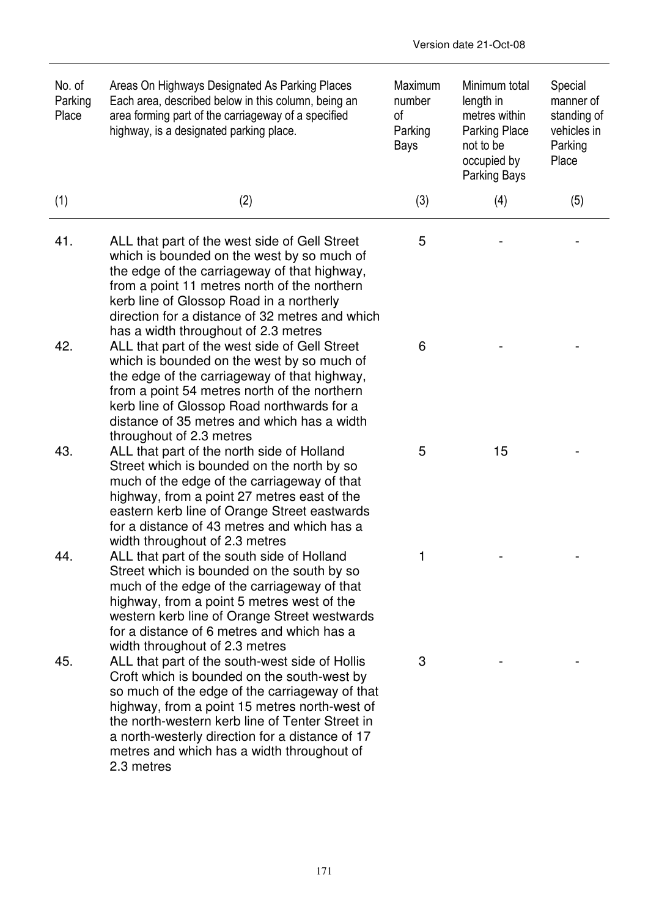| No. of<br>Parking<br>Place | Areas On Highways Designated As Parking Places<br>Each area, described below in this column, being an<br>area forming part of the carriageway of a specified<br>highway, is a designated parking place.                                                                                                                                                            | Maximum<br>number<br>οf<br>Parking<br>Bays | Minimum total<br>length in<br>metres within<br><b>Parking Place</b><br>not to be<br>occupied by<br>Parking Bays | Special<br>manner of<br>standing of<br>vehicles in<br>Parking<br>Place |
|----------------------------|--------------------------------------------------------------------------------------------------------------------------------------------------------------------------------------------------------------------------------------------------------------------------------------------------------------------------------------------------------------------|--------------------------------------------|-----------------------------------------------------------------------------------------------------------------|------------------------------------------------------------------------|
| (1)                        | (2)                                                                                                                                                                                                                                                                                                                                                                | (3)                                        | (4)                                                                                                             | (5)                                                                    |
| 41.                        | ALL that part of the west side of Gell Street<br>which is bounded on the west by so much of<br>the edge of the carriageway of that highway,<br>from a point 11 metres north of the northern<br>kerb line of Glossop Road in a northerly<br>direction for a distance of 32 metres and which<br>has a width throughout of 2.3 metres                                 | 5                                          |                                                                                                                 |                                                                        |
| 42.                        | ALL that part of the west side of Gell Street<br>which is bounded on the west by so much of<br>the edge of the carriageway of that highway,<br>from a point 54 metres north of the northern<br>kerb line of Glossop Road northwards for a<br>distance of 35 metres and which has a width<br>throughout of 2.3 metres                                               | 6                                          |                                                                                                                 |                                                                        |
| 43.                        | ALL that part of the north side of Holland<br>Street which is bounded on the north by so<br>much of the edge of the carriageway of that<br>highway, from a point 27 metres east of the<br>eastern kerb line of Orange Street eastwards<br>for a distance of 43 metres and which has a<br>width throughout of 2.3 metres                                            | 5                                          | 15                                                                                                              |                                                                        |
| 44.                        | ALL that part of the south side of Holland<br>Street which is bounded on the south by so<br>much of the edge of the carriageway of that<br>highway, from a point 5 metres west of the<br>western kerb line of Orange Street westwards<br>for a distance of 6 metres and which has a<br>width throughout of 2.3 metres                                              | 1                                          |                                                                                                                 |                                                                        |
| 45.                        | ALL that part of the south-west side of Hollis<br>Croft which is bounded on the south-west by<br>so much of the edge of the carriageway of that<br>highway, from a point 15 metres north-west of<br>the north-western kerb line of Tenter Street in<br>a north-westerly direction for a distance of 17<br>metres and which has a width throughout of<br>2.3 metres | 3                                          |                                                                                                                 |                                                                        |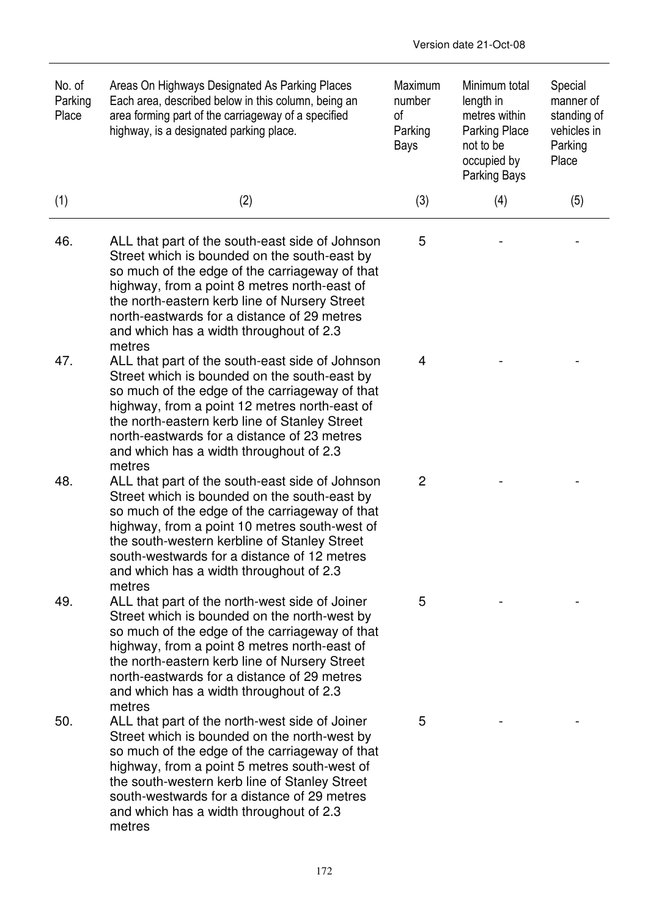| No. of<br>Parking<br>Place | Areas On Highways Designated As Parking Places<br>Each area, described below in this column, being an<br>area forming part of the carriageway of a specified<br>highway, is a designated parking place.                                                                                                                                                 | Maximum<br>number<br>0f<br>Parking<br>Bays | Minimum total<br>length in<br>metres within<br><b>Parking Place</b><br>not to be<br>occupied by<br><b>Parking Bays</b> | Special<br>manner of<br>standing of<br>vehicles in<br>Parking<br>Place |
|----------------------------|---------------------------------------------------------------------------------------------------------------------------------------------------------------------------------------------------------------------------------------------------------------------------------------------------------------------------------------------------------|--------------------------------------------|------------------------------------------------------------------------------------------------------------------------|------------------------------------------------------------------------|
| (1)                        | (2)                                                                                                                                                                                                                                                                                                                                                     | (3)                                        | (4)                                                                                                                    | (5)                                                                    |
| 46.                        | ALL that part of the south-east side of Johnson<br>Street which is bounded on the south-east by<br>so much of the edge of the carriageway of that<br>highway, from a point 8 metres north-east of<br>the north-eastern kerb line of Nursery Street<br>north-eastwards for a distance of 29 metres<br>and which has a width throughout of 2.3<br>metres  | 5                                          |                                                                                                                        |                                                                        |
| 47.                        | ALL that part of the south-east side of Johnson<br>Street which is bounded on the south-east by<br>so much of the edge of the carriageway of that<br>highway, from a point 12 metres north-east of<br>the north-eastern kerb line of Stanley Street<br>north-eastwards for a distance of 23 metres<br>and which has a width throughout of 2.3<br>metres | 4                                          |                                                                                                                        |                                                                        |
| 48.                        | ALL that part of the south-east side of Johnson<br>Street which is bounded on the south-east by<br>so much of the edge of the carriageway of that<br>highway, from a point 10 metres south-west of<br>the south-western kerbline of Stanley Street<br>south-westwards for a distance of 12 metres<br>and which has a width throughout of 2.3<br>metres  | 2                                          |                                                                                                                        |                                                                        |
| 49.                        | ALL that part of the north-west side of Joiner<br>Street which is bounded on the north-west by<br>so much of the edge of the carriageway of that<br>highway, from a point 8 metres north-east of<br>the north-eastern kerb line of Nursery Street<br>north-eastwards for a distance of 29 metres<br>and which has a width throughout of 2.3<br>metres   | 5                                          |                                                                                                                        |                                                                        |
| 50.                        | ALL that part of the north-west side of Joiner<br>Street which is bounded on the north-west by<br>so much of the edge of the carriageway of that<br>highway, from a point 5 metres south-west of<br>the south-western kerb line of Stanley Street<br>south-westwards for a distance of 29 metres<br>and which has a width throughout of 2.3<br>metres   | 5                                          |                                                                                                                        |                                                                        |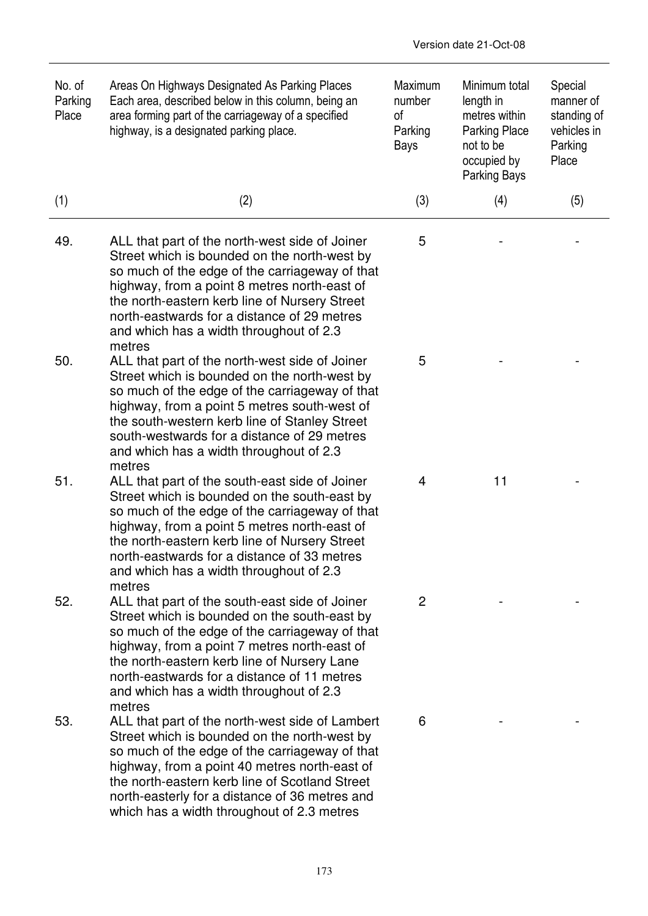| No. of<br>Parking<br>Place | Areas On Highways Designated As Parking Places<br>Each area, described below in this column, being an<br>area forming part of the carriageway of a specified<br>highway, is a designated parking place.                                                                                                                                               | Maximum<br>number<br>0f<br>Parking<br>Bays | Minimum total<br>length in<br>metres within<br><b>Parking Place</b><br>not to be<br>occupied by<br><b>Parking Bays</b> | Special<br>manner of<br>standing of<br>vehicles in<br>Parking<br>Place |
|----------------------------|-------------------------------------------------------------------------------------------------------------------------------------------------------------------------------------------------------------------------------------------------------------------------------------------------------------------------------------------------------|--------------------------------------------|------------------------------------------------------------------------------------------------------------------------|------------------------------------------------------------------------|
| (1)                        | (2)                                                                                                                                                                                                                                                                                                                                                   | (3)                                        | (4)                                                                                                                    | (5)                                                                    |
| 49.                        | ALL that part of the north-west side of Joiner<br>Street which is bounded on the north-west by<br>so much of the edge of the carriageway of that<br>highway, from a point 8 metres north-east of<br>the north-eastern kerb line of Nursery Street<br>north-eastwards for a distance of 29 metres<br>and which has a width throughout of 2.3<br>metres | 5                                          |                                                                                                                        |                                                                        |
| 50.                        | ALL that part of the north-west side of Joiner<br>Street which is bounded on the north-west by<br>so much of the edge of the carriageway of that<br>highway, from a point 5 metres south-west of<br>the south-western kerb line of Stanley Street<br>south-westwards for a distance of 29 metres<br>and which has a width throughout of 2.3<br>metres | 5                                          |                                                                                                                        |                                                                        |
| 51.                        | ALL that part of the south-east side of Joiner<br>Street which is bounded on the south-east by<br>so much of the edge of the carriageway of that<br>highway, from a point 5 metres north-east of<br>the north-eastern kerb line of Nursery Street<br>north-eastwards for a distance of 33 metres<br>and which has a width throughout of 2.3<br>metres | 4                                          | 11                                                                                                                     |                                                                        |
| 52.                        | ALL that part of the south-east side of Joiner<br>Street which is bounded on the south-east by<br>so much of the edge of the carriageway of that<br>highway, from a point 7 metres north-east of<br>the north-eastern kerb line of Nursery Lane<br>north-eastwards for a distance of 11 metres<br>and which has a width throughout of 2.3<br>metres   | $\overline{2}$                             |                                                                                                                        |                                                                        |
| 53.                        | ALL that part of the north-west side of Lambert<br>Street which is bounded on the north-west by<br>so much of the edge of the carriageway of that<br>highway, from a point 40 metres north-east of<br>the north-eastern kerb line of Scotland Street<br>north-easterly for a distance of 36 metres and<br>which has a width throughout of 2.3 metres  | 6                                          |                                                                                                                        |                                                                        |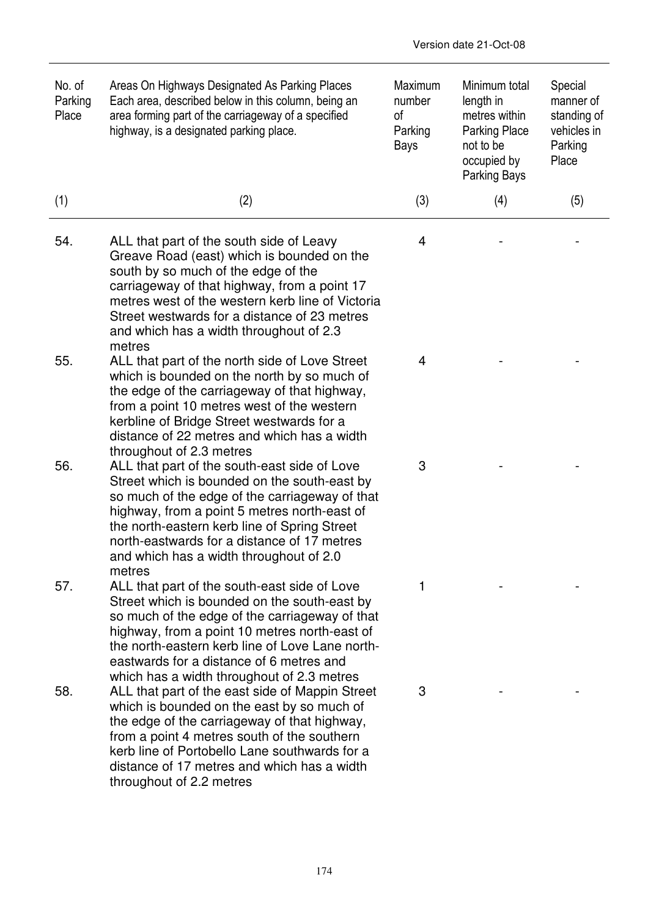| No. of<br>Parking<br>Place | Areas On Highways Designated As Parking Places<br>Each area, described below in this column, being an<br>area forming part of the carriageway of a specified<br>highway, is a designated parking place.                                                                                                                                            | Maximum<br>number<br>0f<br>Parking<br>Bays | Minimum total<br>length in<br>metres within<br><b>Parking Place</b><br>not to be<br>occupied by<br><b>Parking Bays</b> | Special<br>manner of<br>standing of<br>vehicles in<br>Parking<br>Place |
|----------------------------|----------------------------------------------------------------------------------------------------------------------------------------------------------------------------------------------------------------------------------------------------------------------------------------------------------------------------------------------------|--------------------------------------------|------------------------------------------------------------------------------------------------------------------------|------------------------------------------------------------------------|
| (1)                        | (2)                                                                                                                                                                                                                                                                                                                                                | (3)                                        | (4)                                                                                                                    | (5)                                                                    |
| 54.                        | ALL that part of the south side of Leavy<br>Greave Road (east) which is bounded on the<br>south by so much of the edge of the<br>carriageway of that highway, from a point 17<br>metres west of the western kerb line of Victoria<br>Street westwards for a distance of 23 metres<br>and which has a width throughout of 2.3<br>metres             | 4                                          |                                                                                                                        |                                                                        |
| 55.                        | ALL that part of the north side of Love Street<br>which is bounded on the north by so much of<br>the edge of the carriageway of that highway,<br>from a point 10 metres west of the western<br>kerbline of Bridge Street westwards for a<br>distance of 22 metres and which has a width<br>throughout of 2.3 metres                                | 4                                          |                                                                                                                        |                                                                        |
| 56.                        | ALL that part of the south-east side of Love<br>Street which is bounded on the south-east by<br>so much of the edge of the carriageway of that<br>highway, from a point 5 metres north-east of<br>the north-eastern kerb line of Spring Street<br>north-eastwards for a distance of 17 metres<br>and which has a width throughout of 2.0<br>metres | 3                                          |                                                                                                                        |                                                                        |
| 57.                        | ALL that part of the south-east side of Love<br>Street which is bounded on the south-east by<br>so much of the edge of the carriageway of that<br>highway, from a point 10 metres north-east of<br>the north-eastern kerb line of Love Lane north-<br>eastwards for a distance of 6 metres and<br>which has a width throughout of 2.3 metres       |                                            |                                                                                                                        |                                                                        |
| 58.                        | ALL that part of the east side of Mappin Street<br>which is bounded on the east by so much of<br>the edge of the carriageway of that highway,<br>from a point 4 metres south of the southern<br>kerb line of Portobello Lane southwards for a<br>distance of 17 metres and which has a width<br>throughout of 2.2 metres                           | 3                                          |                                                                                                                        |                                                                        |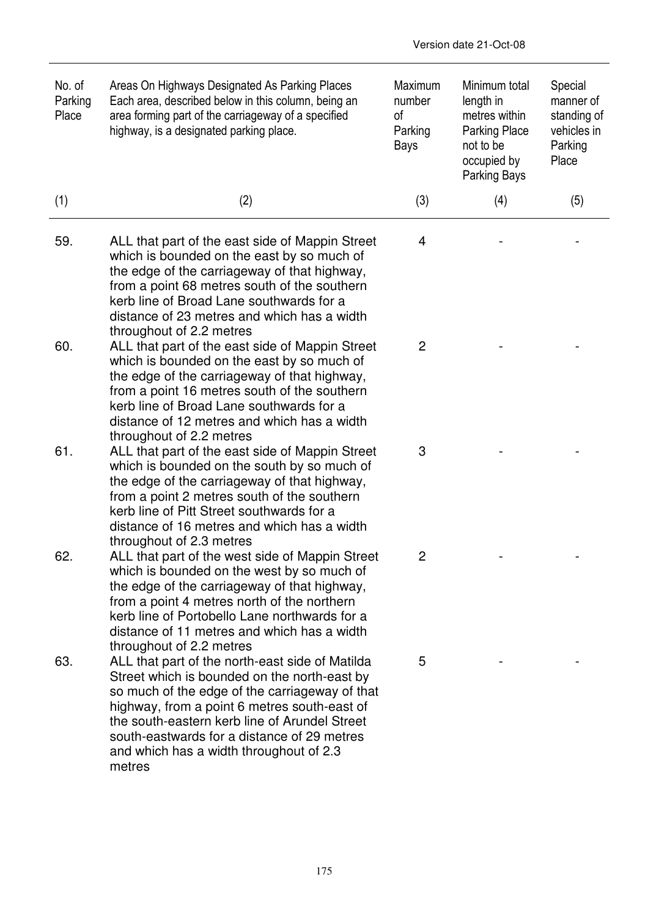| No. of<br>Parking<br>Place | Areas On Highways Designated As Parking Places<br>Each area, described below in this column, being an<br>area forming part of the carriageway of a specified<br>highway, is a designated parking place.                                                                                                                                                | Maximum<br>number<br>οf<br>Parking<br>Bays | Minimum total<br>length in<br>metres within<br><b>Parking Place</b><br>not to be<br>occupied by<br><b>Parking Bays</b> | Special<br>manner of<br>standing of<br>vehicles in<br>Parking<br>Place |
|----------------------------|--------------------------------------------------------------------------------------------------------------------------------------------------------------------------------------------------------------------------------------------------------------------------------------------------------------------------------------------------------|--------------------------------------------|------------------------------------------------------------------------------------------------------------------------|------------------------------------------------------------------------|
| (1)                        | (2)                                                                                                                                                                                                                                                                                                                                                    | (3)                                        | (4)                                                                                                                    | (5)                                                                    |
| 59.                        | ALL that part of the east side of Mappin Street<br>which is bounded on the east by so much of<br>the edge of the carriageway of that highway,<br>from a point 68 metres south of the southern<br>kerb line of Broad Lane southwards for a<br>distance of 23 metres and which has a width<br>throughout of 2.2 metres                                   | 4                                          |                                                                                                                        |                                                                        |
| 60.                        | ALL that part of the east side of Mappin Street<br>which is bounded on the east by so much of<br>the edge of the carriageway of that highway,<br>from a point 16 metres south of the southern<br>kerb line of Broad Lane southwards for a<br>distance of 12 metres and which has a width<br>throughout of 2.2 metres                                   | $\overline{2}$                             |                                                                                                                        |                                                                        |
| 61.                        | ALL that part of the east side of Mappin Street<br>which is bounded on the south by so much of<br>the edge of the carriageway of that highway,<br>from a point 2 metres south of the southern<br>kerb line of Pitt Street southwards for a<br>distance of 16 metres and which has a width<br>throughout of 2.3 metres                                  | 3                                          |                                                                                                                        |                                                                        |
| 62.                        | ALL that part of the west side of Mappin Street<br>which is bounded on the west by so much of<br>the edge of the carriageway of that highway,<br>from a point 4 metres north of the northern<br>kerb line of Portobello Lane northwards for a<br>distance of 11 metres and which has a width<br>throughout of 2.2 metres                               | $\overline{c}$                             |                                                                                                                        |                                                                        |
| 63.                        | ALL that part of the north-east side of Matilda<br>Street which is bounded on the north-east by<br>so much of the edge of the carriageway of that<br>highway, from a point 6 metres south-east of<br>the south-eastern kerb line of Arundel Street<br>south-eastwards for a distance of 29 metres<br>and which has a width throughout of 2.3<br>metres | 5                                          |                                                                                                                        |                                                                        |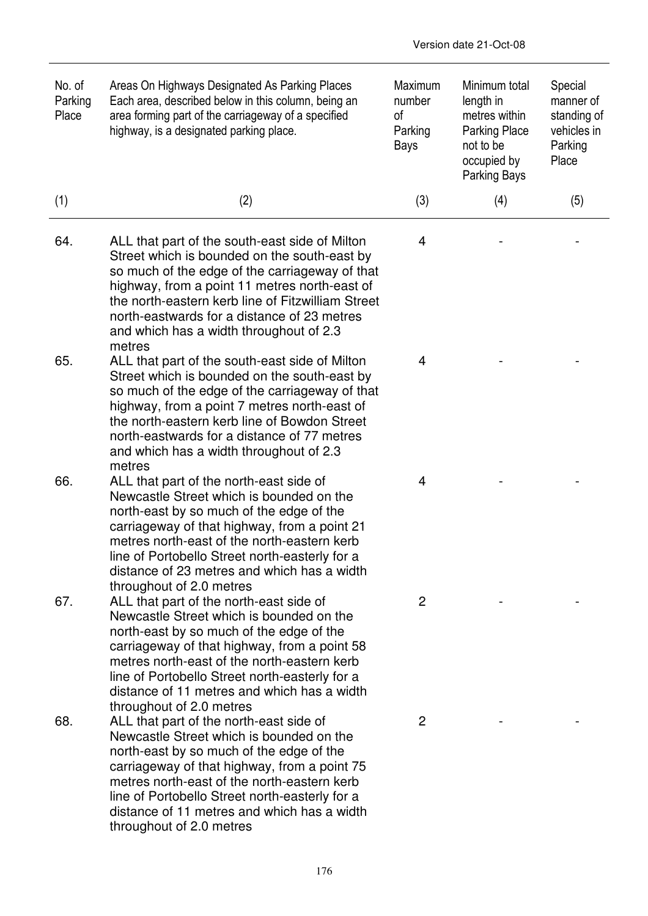| No. of<br>Parking<br>Place | Areas On Highways Designated As Parking Places<br>Each area, described below in this column, being an<br>area forming part of the carriageway of a specified<br>highway, is a designated parking place.                                                                                                                                                     | Maximum<br>number<br>οf<br>Parking<br>Bays | Minimum total<br>length in<br>metres within<br><b>Parking Place</b><br>not to be<br>occupied by<br>Parking Bays | Special<br>manner of<br>standing of<br>vehicles in<br>Parking<br>Place |
|----------------------------|-------------------------------------------------------------------------------------------------------------------------------------------------------------------------------------------------------------------------------------------------------------------------------------------------------------------------------------------------------------|--------------------------------------------|-----------------------------------------------------------------------------------------------------------------|------------------------------------------------------------------------|
| (1)                        | (2)                                                                                                                                                                                                                                                                                                                                                         | (3)                                        | (4)                                                                                                             | (5)                                                                    |
| 64.                        | ALL that part of the south-east side of Milton<br>Street which is bounded on the south-east by<br>so much of the edge of the carriageway of that<br>highway, from a point 11 metres north-east of<br>the north-eastern kerb line of Fitzwilliam Street<br>north-eastwards for a distance of 23 metres<br>and which has a width throughout of 2.3<br>metres  | 4                                          |                                                                                                                 |                                                                        |
| 65.                        | ALL that part of the south-east side of Milton<br>Street which is bounded on the south-east by<br>so much of the edge of the carriageway of that<br>highway, from a point 7 metres north-east of<br>the north-eastern kerb line of Bowdon Street<br>north-eastwards for a distance of 77 metres<br>and which has a width throughout of 2.3<br>metres        | 4                                          |                                                                                                                 |                                                                        |
| 66.                        | ALL that part of the north-east side of<br>Newcastle Street which is bounded on the<br>north-east by so much of the edge of the<br>carriageway of that highway, from a point 21<br>metres north-east of the north-eastern kerb<br>line of Portobello Street north-easterly for a<br>distance of 23 metres and which has a width<br>throughout of 2.0 metres | 4                                          |                                                                                                                 |                                                                        |
| 67.                        | ALL that part of the north-east side of<br>Newcastle Street which is bounded on the<br>north-east by so much of the edge of the<br>carriageway of that highway, from a point 58<br>metres north-east of the north-eastern kerb<br>line of Portobello Street north-easterly for a<br>distance of 11 metres and which has a width<br>throughout of 2.0 metres | $\overline{2}$                             |                                                                                                                 |                                                                        |
| 68.                        | ALL that part of the north-east side of<br>Newcastle Street which is bounded on the<br>north-east by so much of the edge of the<br>carriageway of that highway, from a point 75<br>metres north-east of the north-eastern kerb<br>line of Portobello Street north-easterly for a<br>distance of 11 metres and which has a width<br>throughout of 2.0 metres | 2                                          |                                                                                                                 |                                                                        |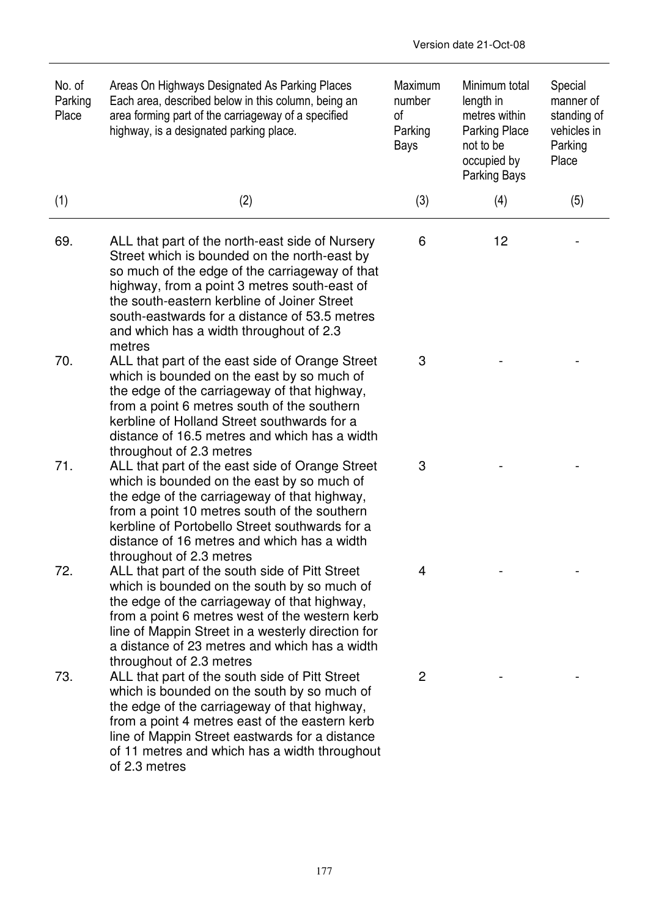| No. of<br>Parking<br>Place | Areas On Highways Designated As Parking Places<br>Each area, described below in this column, being an<br>area forming part of the carriageway of a specified<br>highway, is a designated parking place.                                                                                                                                                | Maximum<br>number<br>of<br>Parking<br>Bays | Minimum total<br>length in<br>metres within<br><b>Parking Place</b><br>not to be<br>occupied by<br>Parking Bays | Special<br>manner of<br>standing of<br>vehicles in<br>Parking<br>Place |
|----------------------------|--------------------------------------------------------------------------------------------------------------------------------------------------------------------------------------------------------------------------------------------------------------------------------------------------------------------------------------------------------|--------------------------------------------|-----------------------------------------------------------------------------------------------------------------|------------------------------------------------------------------------|
| (1)                        | (2)                                                                                                                                                                                                                                                                                                                                                    | (3)                                        | (4)                                                                                                             | (5)                                                                    |
| 69.                        | ALL that part of the north-east side of Nursery<br>Street which is bounded on the north-east by<br>so much of the edge of the carriageway of that<br>highway, from a point 3 metres south-east of<br>the south-eastern kerbline of Joiner Street<br>south-eastwards for a distance of 53.5 metres<br>and which has a width throughout of 2.3<br>metres | 6                                          | 12                                                                                                              |                                                                        |
| 70.                        | ALL that part of the east side of Orange Street<br>which is bounded on the east by so much of<br>the edge of the carriageway of that highway,<br>from a point 6 metres south of the southern<br>kerbline of Holland Street southwards for a<br>distance of 16.5 metres and which has a width<br>throughout of 2.3 metres                               | 3                                          |                                                                                                                 |                                                                        |
| 71.                        | ALL that part of the east side of Orange Street<br>which is bounded on the east by so much of<br>the edge of the carriageway of that highway,<br>from a point 10 metres south of the southern<br>kerbline of Portobello Street southwards for a<br>distance of 16 metres and which has a width<br>throughout of 2.3 metres                             | 3                                          |                                                                                                                 |                                                                        |
| 72.                        | ALL that part of the south side of Pitt Street<br>which is bounded on the south by so much of<br>the edge of the carriageway of that highway,<br>from a point 6 metres west of the western kerb<br>line of Mappin Street in a westerly direction for<br>a distance of 23 metres and which has a width<br>throughout of 2.3 metres                      | 4                                          |                                                                                                                 |                                                                        |
| 73.                        | ALL that part of the south side of Pitt Street<br>which is bounded on the south by so much of<br>the edge of the carriageway of that highway,<br>from a point 4 metres east of the eastern kerb<br>line of Mappin Street eastwards for a distance<br>of 11 metres and which has a width throughout<br>of 2.3 metres                                    | 2                                          |                                                                                                                 |                                                                        |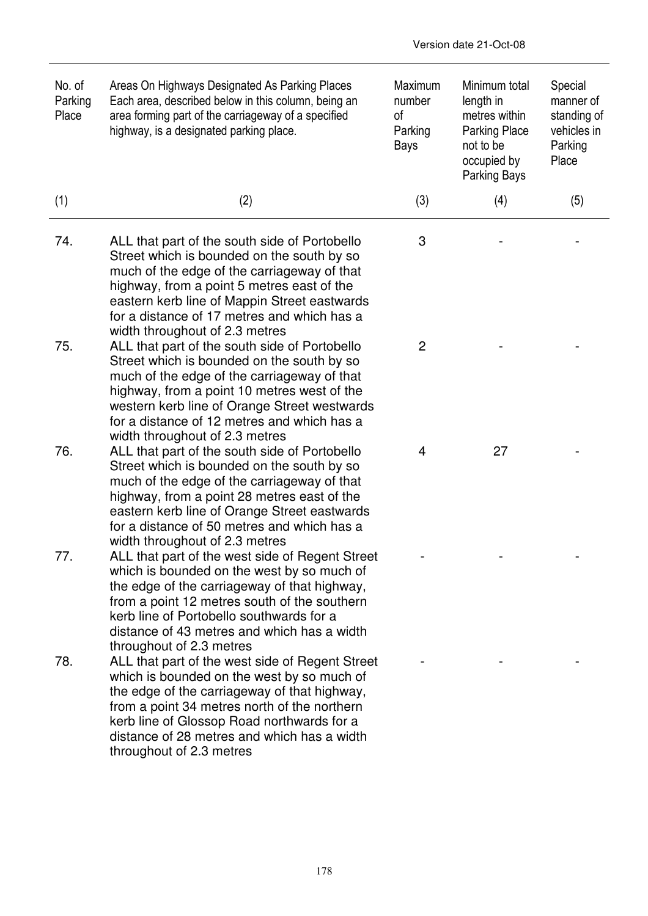| No. of<br>Parking<br>Place | Areas On Highways Designated As Parking Places<br>Each area, described below in this column, being an<br>area forming part of the carriageway of a specified<br>highway, is a designated parking place.                                                                                                                    | Maximum<br>number<br>οf<br>Parking<br>Bays | Minimum total<br>length in<br>metres within<br><b>Parking Place</b><br>not to be<br>occupied by<br>Parking Bays | Special<br>manner of<br>standing of<br>vehicles in<br>Parking<br>Place |
|----------------------------|----------------------------------------------------------------------------------------------------------------------------------------------------------------------------------------------------------------------------------------------------------------------------------------------------------------------------|--------------------------------------------|-----------------------------------------------------------------------------------------------------------------|------------------------------------------------------------------------|
| (1)                        | (2)                                                                                                                                                                                                                                                                                                                        | (3)                                        | (4)                                                                                                             | (5)                                                                    |
| 74.                        | ALL that part of the south side of Portobello<br>Street which is bounded on the south by so<br>much of the edge of the carriageway of that<br>highway, from a point 5 metres east of the<br>eastern kerb line of Mappin Street eastwards<br>for a distance of 17 metres and which has a<br>width throughout of 2.3 metres  | 3                                          |                                                                                                                 |                                                                        |
| 75.                        | ALL that part of the south side of Portobello<br>Street which is bounded on the south by so<br>much of the edge of the carriageway of that<br>highway, from a point 10 metres west of the<br>western kerb line of Orange Street westwards<br>for a distance of 12 metres and which has a<br>width throughout of 2.3 metres | 2                                          |                                                                                                                 |                                                                        |
| 76.                        | ALL that part of the south side of Portobello<br>Street which is bounded on the south by so<br>much of the edge of the carriageway of that<br>highway, from a point 28 metres east of the<br>eastern kerb line of Orange Street eastwards<br>for a distance of 50 metres and which has a<br>width throughout of 2.3 metres | 4                                          | 27                                                                                                              |                                                                        |
| 77.                        | ALL that part of the west side of Regent Street<br>which is bounded on the west by so much of<br>the edge of the carriageway of that highway,<br>from a point 12 metres south of the southern<br>kerb line of Portobello southwards for a<br>distance of 43 metres and which has a width<br>throughout of 2.3 metres       |                                            |                                                                                                                 |                                                                        |
| 78.                        | ALL that part of the west side of Regent Street<br>which is bounded on the west by so much of<br>the edge of the carriageway of that highway,<br>from a point 34 metres north of the northern<br>kerb line of Glossop Road northwards for a<br>distance of 28 metres and which has a width<br>throughout of 2.3 metres     |                                            |                                                                                                                 |                                                                        |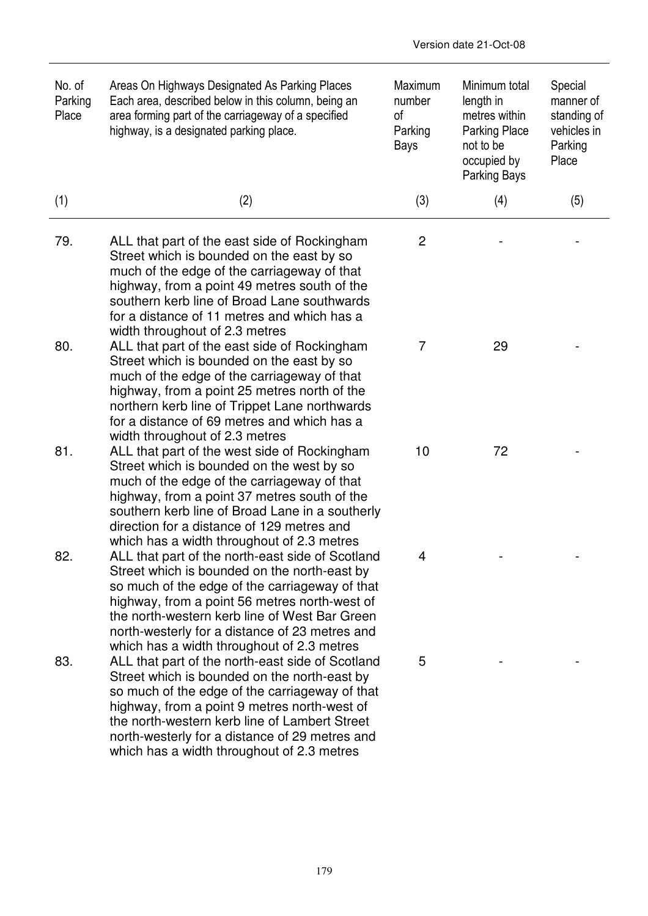| No. of<br>Parking<br>Place | Areas On Highways Designated As Parking Places<br>Each area, described below in this column, being an<br>area forming part of the carriageway of a specified<br>highway, is a designated parking place.                                                                                                                                              | Maximum<br>number<br>of<br>Parking<br>Bays | Minimum total<br>length in<br>metres within<br><b>Parking Place</b><br>not to be<br>occupied by<br><b>Parking Bays</b> | Special<br>manner of<br>standing of<br>vehicles in<br>Parking<br>Place |
|----------------------------|------------------------------------------------------------------------------------------------------------------------------------------------------------------------------------------------------------------------------------------------------------------------------------------------------------------------------------------------------|--------------------------------------------|------------------------------------------------------------------------------------------------------------------------|------------------------------------------------------------------------|
| (1)                        | (2)                                                                                                                                                                                                                                                                                                                                                  | (3)                                        | (4)                                                                                                                    | (5)                                                                    |
| 79.                        | ALL that part of the east side of Rockingham<br>Street which is bounded on the east by so<br>much of the edge of the carriageway of that<br>highway, from a point 49 metres south of the<br>southern kerb line of Broad Lane southwards<br>for a distance of 11 metres and which has a<br>width throughout of 2.3 metres                             | 2                                          |                                                                                                                        |                                                                        |
| 80.                        | ALL that part of the east side of Rockingham<br>Street which is bounded on the east by so<br>much of the edge of the carriageway of that<br>highway, from a point 25 metres north of the<br>northern kerb line of Trippet Lane northwards<br>for a distance of 69 metres and which has a<br>width throughout of 2.3 metres                           | 7                                          | 29                                                                                                                     |                                                                        |
| 81.                        | ALL that part of the west side of Rockingham<br>Street which is bounded on the west by so<br>much of the edge of the carriageway of that<br>highway, from a point 37 metres south of the<br>southern kerb line of Broad Lane in a southerly<br>direction for a distance of 129 metres and<br>which has a width throughout of 2.3 metres              | 10                                         | 72                                                                                                                     |                                                                        |
| 82                         | ALL that part of the north-east side of Scotland<br>Street which is bounded on the north-east by<br>so much of the edge of the carriageway of that<br>highway, from a point 56 metres north-west of<br>the north-western kerb line of West Bar Green<br>north-westerly for a distance of 23 metres and<br>which has a width throughout of 2.3 metres | 4                                          |                                                                                                                        |                                                                        |
| 83.                        | ALL that part of the north-east side of Scotland<br>Street which is bounded on the north-east by<br>so much of the edge of the carriageway of that<br>highway, from a point 9 metres north-west of<br>the north-western kerb line of Lambert Street<br>north-westerly for a distance of 29 metres and<br>which has a width throughout of 2.3 metres  | 5                                          |                                                                                                                        |                                                                        |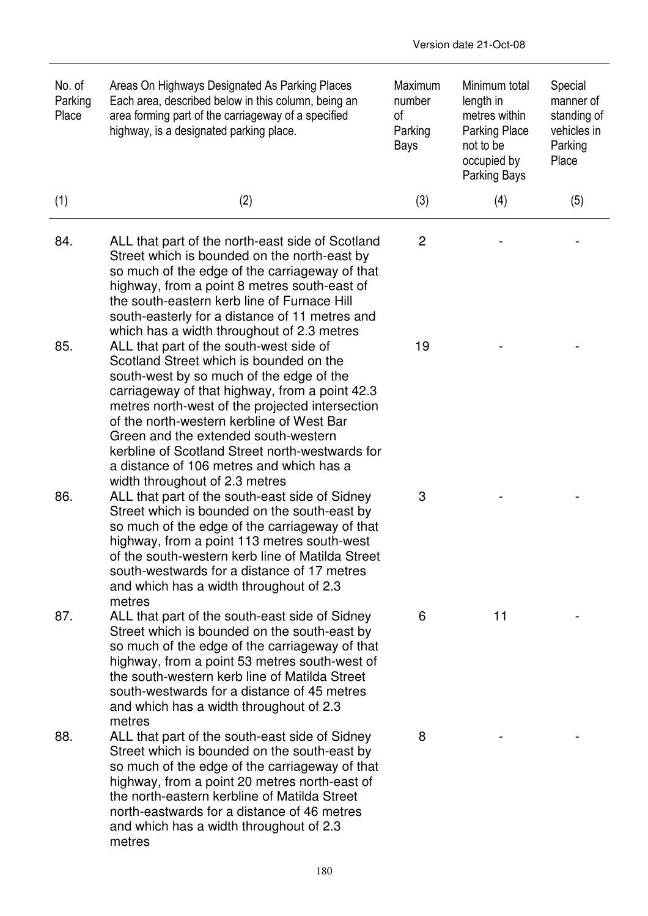| No. of<br>Parking<br>Place | Areas On Highways Designated As Parking Places<br>Each area, described below in this column, being an<br>area forming part of the carriageway of a specified<br>highway, is a designated parking place.                                                                                                                                                                                                                                                                                                                | Maximum<br>number<br>οf<br>Parking<br>Bays | Minimum total<br>length in<br>metres within<br><b>Parking Place</b><br>not to be<br>occupied by<br>Parking Bays | Special<br>manner of<br>standing of<br>vehicles in<br>Parking<br>Place |
|----------------------------|------------------------------------------------------------------------------------------------------------------------------------------------------------------------------------------------------------------------------------------------------------------------------------------------------------------------------------------------------------------------------------------------------------------------------------------------------------------------------------------------------------------------|--------------------------------------------|-----------------------------------------------------------------------------------------------------------------|------------------------------------------------------------------------|
| (1)                        | (2)                                                                                                                                                                                                                                                                                                                                                                                                                                                                                                                    | (3)                                        | (4)                                                                                                             | (5)                                                                    |
| 84.                        | ALL that part of the north-east side of Scotland<br>Street which is bounded on the north-east by<br>so much of the edge of the carriageway of that<br>highway, from a point 8 metres south-east of                                                                                                                                                                                                                                                                                                                     | $\overline{c}$                             |                                                                                                                 |                                                                        |
| 85.                        | the south-eastern kerb line of Furnace Hill<br>south-easterly for a distance of 11 metres and<br>which has a width throughout of 2.3 metres<br>ALL that part of the south-west side of<br>Scotland Street which is bounded on the<br>south-west by so much of the edge of the<br>carriageway of that highway, from a point 42.3<br>metres north-west of the projected intersection<br>of the north-western kerbline of West Bar                                                                                        | 19                                         |                                                                                                                 |                                                                        |
| 86.                        | Green and the extended south-western<br>kerbline of Scotland Street north-westwards for<br>a distance of 106 metres and which has a<br>width throughout of 2.3 metres<br>ALL that part of the south-east side of Sidney<br>Street which is bounded on the south-east by<br>so much of the edge of the carriageway of that<br>highway, from a point 113 metres south-west<br>of the south-western kerb line of Matilda Street<br>south-westwards for a distance of 17 metres<br>and which has a width throughout of 2.3 | 3                                          |                                                                                                                 |                                                                        |
| 87.                        | metres<br>ALL that part of the south-east side of Sidney<br>Street which is bounded on the south-east by<br>so much of the edge of the carriageway of that<br>highway, from a point 53 metres south-west of<br>the south-western kerb line of Matilda Street<br>south-westwards for a distance of 45 metres<br>and which has a width throughout of 2.3                                                                                                                                                                 | 6                                          | 11                                                                                                              |                                                                        |
| 88.                        | metres<br>ALL that part of the south-east side of Sidney<br>Street which is bounded on the south-east by<br>so much of the edge of the carriageway of that<br>highway, from a point 20 metres north-east of<br>the north-eastern kerbline of Matilda Street<br>north-eastwards for a distance of 46 metres<br>and which has a width throughout of 2.3<br>metres                                                                                                                                                        | 8                                          |                                                                                                                 |                                                                        |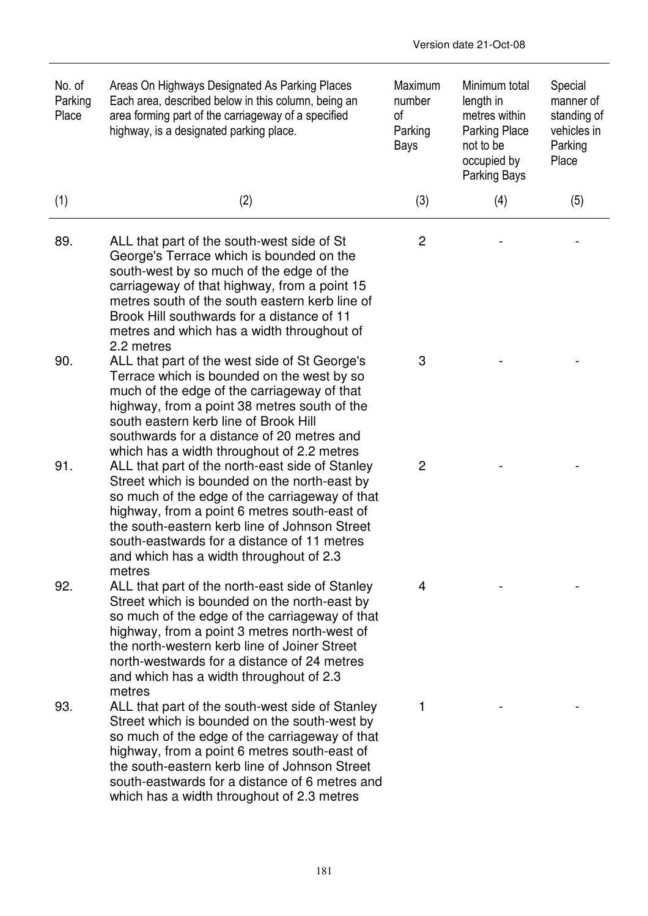| No. of<br>Parking<br>Place | Areas On Highways Designated As Parking Places<br>Each area, described below in this column, being an<br>area forming part of the carriageway of a specified<br>highway, is a designated parking place.                                                                                                                                                | Maximum<br>number<br>οf<br>Parking<br>Bays | Minimum total<br>length in<br>metres within<br><b>Parking Place</b><br>not to be<br>occupied by<br><b>Parking Bays</b> | Special<br>manner of<br>standing of<br>vehicles in<br>Parking<br>Place |
|----------------------------|--------------------------------------------------------------------------------------------------------------------------------------------------------------------------------------------------------------------------------------------------------------------------------------------------------------------------------------------------------|--------------------------------------------|------------------------------------------------------------------------------------------------------------------------|------------------------------------------------------------------------|
| (1)                        | (2)                                                                                                                                                                                                                                                                                                                                                    | (3)                                        | (4)                                                                                                                    | (5)                                                                    |
| 89.                        | ALL that part of the south-west side of St<br>George's Terrace which is bounded on the<br>south-west by so much of the edge of the<br>carriageway of that highway, from a point 15<br>metres south of the south eastern kerb line of<br>Brook Hill southwards for a distance of 11<br>metres and which has a width throughout of<br>2.2 metres         | $\mathbf{2}$                               |                                                                                                                        |                                                                        |
| 90.                        | ALL that part of the west side of St George's<br>Terrace which is bounded on the west by so<br>much of the edge of the carriageway of that<br>highway, from a point 38 metres south of the<br>south eastern kerb line of Brook Hill<br>southwards for a distance of 20 metres and<br>which has a width throughout of 2.2 metres                        | 3                                          |                                                                                                                        |                                                                        |
| 91.                        | ALL that part of the north-east side of Stanley<br>Street which is bounded on the north-east by<br>so much of the edge of the carriageway of that<br>highway, from a point 6 metres south-east of<br>the south-eastern kerb line of Johnson Street<br>south-eastwards for a distance of 11 metres<br>and which has a width throughout of 2.3<br>metres | $\overline{2}$                             |                                                                                                                        |                                                                        |
| 92.                        | ALL that part of the north-east side of Stanley<br>Street which is bounded on the north-east by<br>so much of the edge of the carriageway of that<br>highway, from a point 3 metres north-west of<br>the north-western kerb line of Joiner Street<br>north-westwards for a distance of 24 metres<br>and which has a width throughout of 2.3<br>metres  | 4                                          |                                                                                                                        |                                                                        |
| 93.                        | ALL that part of the south-west side of Stanley<br>Street which is bounded on the south-west by<br>so much of the edge of the carriageway of that<br>highway, from a point 6 metres south-east of<br>the south-eastern kerb line of Johnson Street<br>south-eastwards for a distance of 6 metres and<br>which has a width throughout of 2.3 metres     | 1                                          |                                                                                                                        |                                                                        |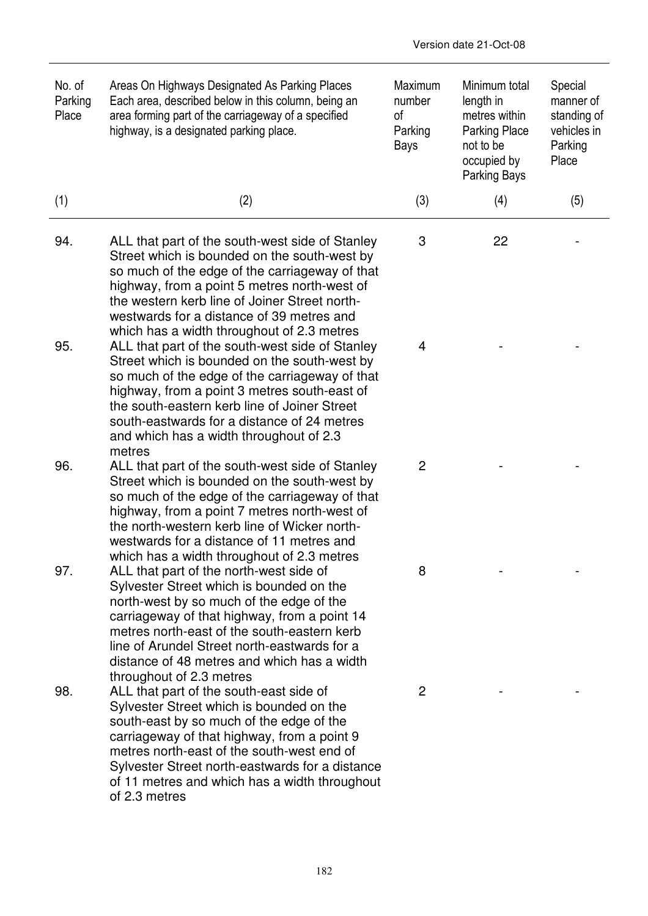| No. of<br>Parking<br>Place | Areas On Highways Designated As Parking Places<br>Each area, described below in this column, being an<br>area forming part of the carriageway of a specified<br>highway, is a designated parking place.                                                                                                                                                                                             | Maximum<br>number<br>of<br>Parking<br>Bays | Minimum total<br>length in<br>metres within<br><b>Parking Place</b><br>not to be<br>occupied by<br>Parking Bays | Special<br>manner of<br>standing of<br>vehicles in<br>Parking<br>Place |
|----------------------------|-----------------------------------------------------------------------------------------------------------------------------------------------------------------------------------------------------------------------------------------------------------------------------------------------------------------------------------------------------------------------------------------------------|--------------------------------------------|-----------------------------------------------------------------------------------------------------------------|------------------------------------------------------------------------|
| (1)                        | (2)                                                                                                                                                                                                                                                                                                                                                                                                 | (3)                                        | (4)                                                                                                             | (5)                                                                    |
| 94.                        | ALL that part of the south-west side of Stanley<br>Street which is bounded on the south-west by<br>so much of the edge of the carriageway of that<br>highway, from a point 5 metres north-west of<br>the western kerb line of Joiner Street north-<br>westwards for a distance of 39 metres and                                                                                                     | 3                                          | 22                                                                                                              |                                                                        |
| 95.                        | which has a width throughout of 2.3 metres<br>ALL that part of the south-west side of Stanley<br>Street which is bounded on the south-west by<br>so much of the edge of the carriageway of that<br>highway, from a point 3 metres south-east of<br>the south-eastern kerb line of Joiner Street<br>south-eastwards for a distance of 24 metres<br>and which has a width throughout of 2.3<br>metres | 4                                          |                                                                                                                 |                                                                        |
| 96.                        | ALL that part of the south-west side of Stanley<br>Street which is bounded on the south-west by<br>so much of the edge of the carriageway of that<br>highway, from a point 7 metres north-west of<br>the north-western kerb line of Wicker north-<br>westwards for a distance of 11 metres and<br>which has a width throughout of 2.3 metres                                                        | 2                                          |                                                                                                                 |                                                                        |
| 97.                        | ALL that part of the north-west side of<br>Sylvester Street which is bounded on the<br>north-west by so much of the edge of the<br>carriageway of that highway, from a point 14<br>metres north-east of the south-eastern kerb<br>line of Arundel Street north-eastwards for a<br>distance of 48 metres and which has a width                                                                       | 8                                          |                                                                                                                 |                                                                        |
| 98.                        | throughout of 2.3 metres<br>ALL that part of the south-east side of<br>Sylvester Street which is bounded on the<br>south-east by so much of the edge of the<br>carriageway of that highway, from a point 9<br>metres north-east of the south-west end of<br>Sylvester Street north-eastwards for a distance<br>of 11 metres and which has a width throughout<br>of 2.3 metres                       | $\overline{c}$                             |                                                                                                                 |                                                                        |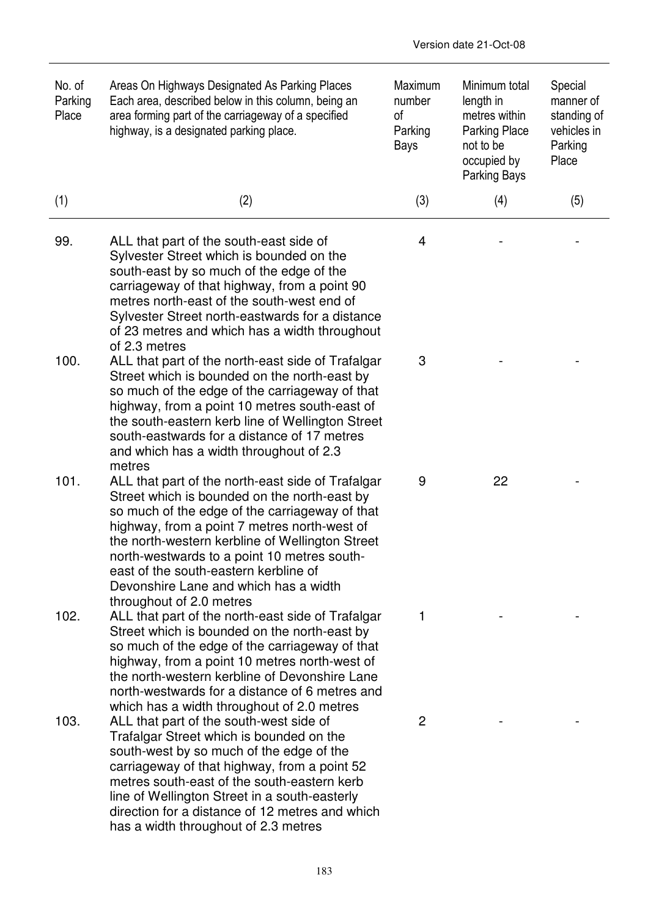| No. of<br>Parking<br>Place | Areas On Highways Designated As Parking Places<br>Each area, described below in this column, being an<br>area forming part of the carriageway of a specified<br>highway, is a designated parking place.                                                                                                                                                                                                             | Maximum<br>number<br>0f<br>Parking<br>Bays | Minimum total<br>length in<br>metres within<br><b>Parking Place</b><br>not to be<br>occupied by<br><b>Parking Bays</b> | Special<br>manner of<br>standing of<br>vehicles in<br>Parking<br>Place |
|----------------------------|---------------------------------------------------------------------------------------------------------------------------------------------------------------------------------------------------------------------------------------------------------------------------------------------------------------------------------------------------------------------------------------------------------------------|--------------------------------------------|------------------------------------------------------------------------------------------------------------------------|------------------------------------------------------------------------|
| (1)                        | (2)                                                                                                                                                                                                                                                                                                                                                                                                                 | (3)                                        | (4)                                                                                                                    | (5)                                                                    |
| 99.                        | ALL that part of the south-east side of<br>Sylvester Street which is bounded on the<br>south-east by so much of the edge of the<br>carriageway of that highway, from a point 90<br>metres north-east of the south-west end of<br>Sylvester Street north-eastwards for a distance<br>of 23 metres and which has a width throughout<br>of 2.3 metres                                                                  | 4                                          |                                                                                                                        |                                                                        |
| 100.                       | ALL that part of the north-east side of Trafalgar<br>Street which is bounded on the north-east by<br>so much of the edge of the carriageway of that<br>highway, from a point 10 metres south-east of<br>the south-eastern kerb line of Wellington Street<br>south-eastwards for a distance of 17 metres<br>and which has a width throughout of 2.3<br>metres                                                        | 3                                          |                                                                                                                        |                                                                        |
| 101.                       | ALL that part of the north-east side of Trafalgar<br>Street which is bounded on the north-east by<br>so much of the edge of the carriageway of that<br>highway, from a point 7 metres north-west of<br>the north-western kerbline of Wellington Street<br>north-westwards to a point 10 metres south-<br>east of the south-eastern kerbline of<br>Devonshire Lane and which has a width<br>throughout of 2.0 metres | 9                                          | 22                                                                                                                     |                                                                        |
| 102.                       | ALL that part of the north-east side of Trafalgar<br>Street which is bounded on the north-east by<br>so much of the edge of the carriageway of that<br>highway, from a point 10 metres north-west of<br>the north-western kerbline of Devonshire Lane<br>north-westwards for a distance of 6 metres and<br>which has a width throughout of 2.0 metres                                                               | 1                                          |                                                                                                                        |                                                                        |
| 103.                       | ALL that part of the south-west side of<br>Trafalgar Street which is bounded on the<br>south-west by so much of the edge of the<br>carriageway of that highway, from a point 52<br>metres south-east of the south-eastern kerb<br>line of Wellington Street in a south-easterly<br>direction for a distance of 12 metres and which<br>has a width throughout of 2.3 metres                                          | 2                                          |                                                                                                                        |                                                                        |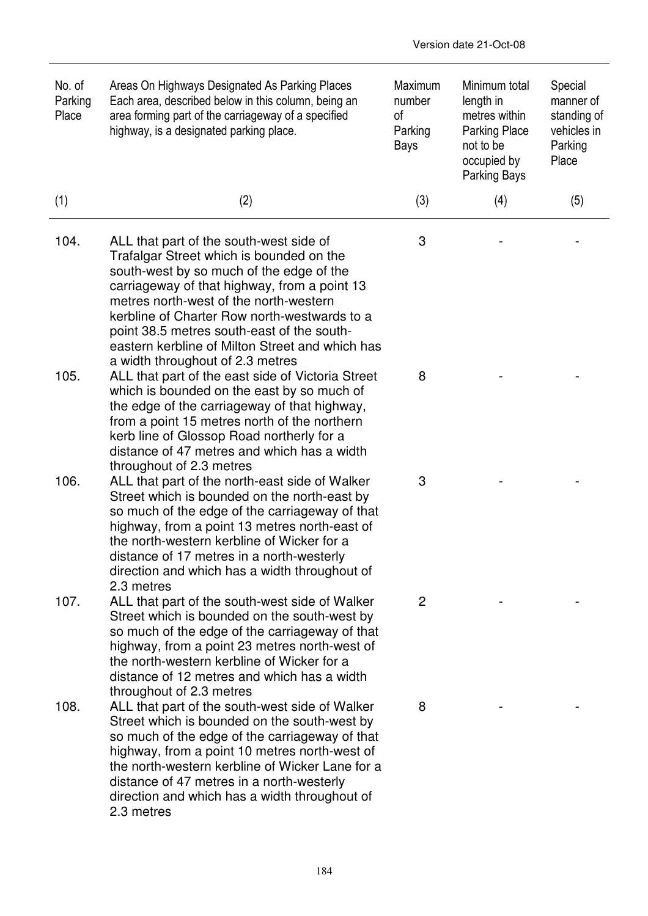| No. of<br>Parking<br>Place | Areas On Highways Designated As Parking Places<br>Each area, described below in this column, being an<br>area forming part of the carriageway of a specified<br>highway, is a designated parking place.                                                                                                                                                                                                        | Maximum<br>number<br>0f<br>Parking<br>Bays | Minimum total<br>length in<br>metres within<br><b>Parking Place</b><br>not to be<br>occupied by<br>Parking Bays | Special<br>manner of<br>standing of<br>vehicles in<br>Parking<br>Place |
|----------------------------|----------------------------------------------------------------------------------------------------------------------------------------------------------------------------------------------------------------------------------------------------------------------------------------------------------------------------------------------------------------------------------------------------------------|--------------------------------------------|-----------------------------------------------------------------------------------------------------------------|------------------------------------------------------------------------|
| (1)                        | (2)                                                                                                                                                                                                                                                                                                                                                                                                            | (3)                                        | (4)                                                                                                             | (5)                                                                    |
| 104.                       | ALL that part of the south-west side of<br>Trafalgar Street which is bounded on the<br>south-west by so much of the edge of the<br>carriageway of that highway, from a point 13<br>metres north-west of the north-western<br>kerbline of Charter Row north-westwards to a<br>point 38.5 metres south-east of the south-<br>eastern kerbline of Milton Street and which has<br>a width throughout of 2.3 metres | 3                                          |                                                                                                                 |                                                                        |
| 105.                       | ALL that part of the east side of Victoria Street<br>which is bounded on the east by so much of<br>the edge of the carriageway of that highway,<br>from a point 15 metres north of the northern<br>kerb line of Glossop Road northerly for a<br>distance of 47 metres and which has a width<br>throughout of 2.3 metres                                                                                        | 8                                          |                                                                                                                 |                                                                        |
| 106.                       | ALL that part of the north-east side of Walker<br>Street which is bounded on the north-east by<br>so much of the edge of the carriageway of that<br>highway, from a point 13 metres north-east of<br>the north-western kerbline of Wicker for a<br>distance of 17 metres in a north-westerly<br>direction and which has a width throughout of<br>2.3 metres                                                    | 3                                          |                                                                                                                 |                                                                        |
| 107.                       | ALL that part of the south-west side of Walker<br>Street which is bounded on the south-west by<br>so much of the edge of the carriageway of that<br>highway, from a point 23 metres north-west of<br>the north-western kerbline of Wicker for a<br>distance of 12 metres and which has a width<br>throughout of 2.3 metres                                                                                     | $\overline{2}$                             |                                                                                                                 |                                                                        |
| 108.                       | ALL that part of the south-west side of Walker<br>Street which is bounded on the south-west by<br>so much of the edge of the carriageway of that<br>highway, from a point 10 metres north-west of<br>the north-western kerbline of Wicker Lane for a<br>distance of 47 metres in a north-westerly<br>direction and which has a width throughout of<br>2.3 metres                                               | 8                                          |                                                                                                                 |                                                                        |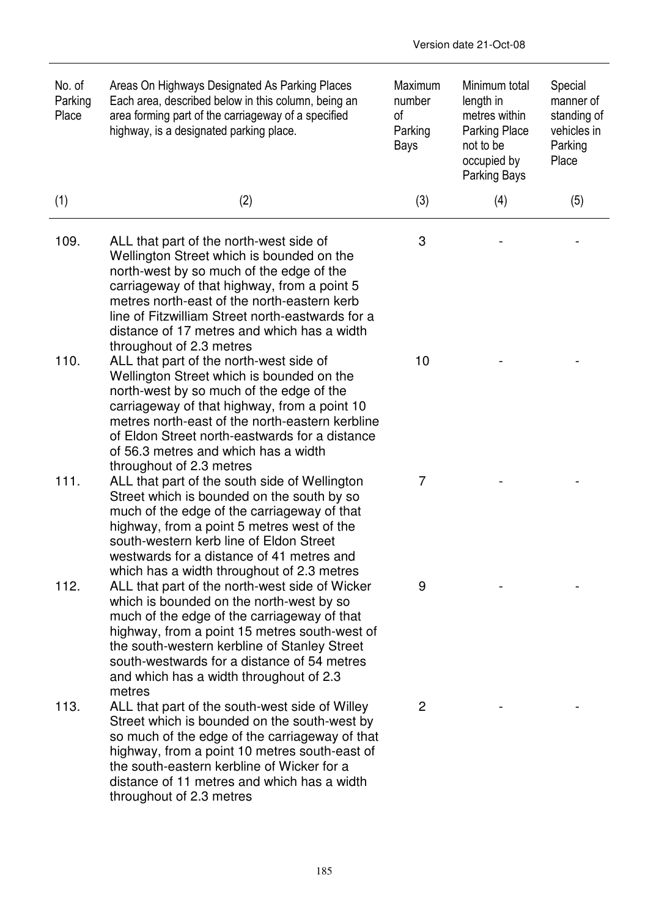| No. of<br>Parking<br>Place | Areas On Highways Designated As Parking Places<br>Each area, described below in this column, being an<br>area forming part of the carriageway of a specified<br>highway, is a designated parking place.                                                                                                                                                       | Maximum<br>number<br>of<br>Parking<br>Bays | Minimum total<br>length in<br>metres within<br><b>Parking Place</b><br>not to be<br>occupied by<br>Parking Bays | Special<br>manner of<br>standing of<br>vehicles in<br>Parking<br>Place |
|----------------------------|---------------------------------------------------------------------------------------------------------------------------------------------------------------------------------------------------------------------------------------------------------------------------------------------------------------------------------------------------------------|--------------------------------------------|-----------------------------------------------------------------------------------------------------------------|------------------------------------------------------------------------|
| (1)                        | (2)                                                                                                                                                                                                                                                                                                                                                           | (3)                                        | (4)                                                                                                             | (5)                                                                    |
| 109.                       | ALL that part of the north-west side of<br>Wellington Street which is bounded on the<br>north-west by so much of the edge of the<br>carriageway of that highway, from a point 5<br>metres north-east of the north-eastern kerb<br>line of Fitzwilliam Street north-eastwards for a<br>distance of 17 metres and which has a width<br>throughout of 2.3 metres | 3                                          |                                                                                                                 |                                                                        |
| 110.                       | ALL that part of the north-west side of<br>Wellington Street which is bounded on the<br>north-west by so much of the edge of the<br>carriageway of that highway, from a point 10<br>metres north-east of the north-eastern kerbline<br>of Eldon Street north-eastwards for a distance<br>of 56.3 metres and which has a width<br>throughout of 2.3 metres     | 10                                         |                                                                                                                 |                                                                        |
| 111.                       | ALL that part of the south side of Wellington<br>Street which is bounded on the south by so<br>much of the edge of the carriageway of that<br>highway, from a point 5 metres west of the<br>south-western kerb line of Eldon Street<br>westwards for a distance of 41 metres and<br>which has a width throughout of 2.3 metres                                | 7                                          |                                                                                                                 |                                                                        |
| 112.                       | ALL that part of the north-west side of Wicker<br>which is bounded on the north-west by so<br>much of the edge of the carriageway of that<br>highway, from a point 15 metres south-west of<br>the south-western kerbline of Stanley Street<br>south-westwards for a distance of 54 metres<br>and which has a width throughout of 2.3<br>metres                | 9                                          |                                                                                                                 |                                                                        |
| 113.                       | ALL that part of the south-west side of Willey<br>Street which is bounded on the south-west by<br>so much of the edge of the carriageway of that<br>highway, from a point 10 metres south-east of<br>the south-eastern kerbline of Wicker for a<br>distance of 11 metres and which has a width<br>throughout of 2.3 metres                                    | 2                                          |                                                                                                                 |                                                                        |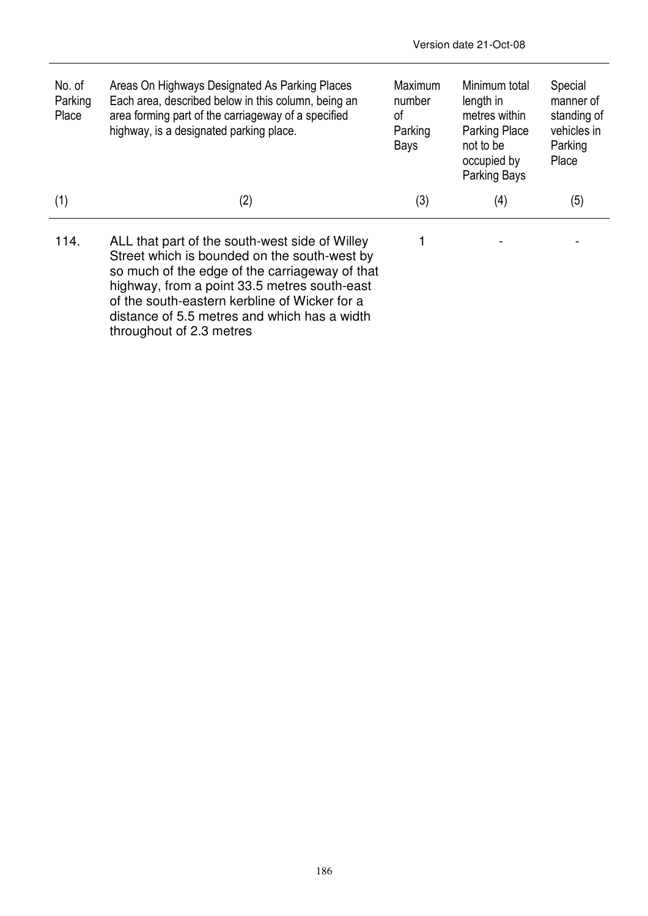| No. of<br>Parking<br>Place | Areas On Highways Designated As Parking Places<br>Each area, described below in this column, being an<br>area forming part of the carriageway of a specified<br>highway, is a designated parking place.                                                                                                                       | <b>Maximum</b><br>number<br>0f<br>Parking<br>Bays | Minimum total<br>length in<br>metres within<br><b>Parking Place</b><br>not to be<br>occupied by<br>Parking Bays | Special<br>manner of<br>standing of<br>vehicles in<br>Parking<br>Place |
|----------------------------|-------------------------------------------------------------------------------------------------------------------------------------------------------------------------------------------------------------------------------------------------------------------------------------------------------------------------------|---------------------------------------------------|-----------------------------------------------------------------------------------------------------------------|------------------------------------------------------------------------|
| (1)                        | (2)                                                                                                                                                                                                                                                                                                                           | (3)                                               | (4)                                                                                                             | (5)                                                                    |
| 114.                       | ALL that part of the south-west side of Willey<br>Street which is bounded on the south-west by<br>so much of the edge of the carriageway of that<br>highway, from a point 33.5 metres south-east<br>of the south-eastern kerbline of Wicker for a<br>distance of 5.5 metres and which has a width<br>throughout of 2.3 metres |                                                   |                                                                                                                 |                                                                        |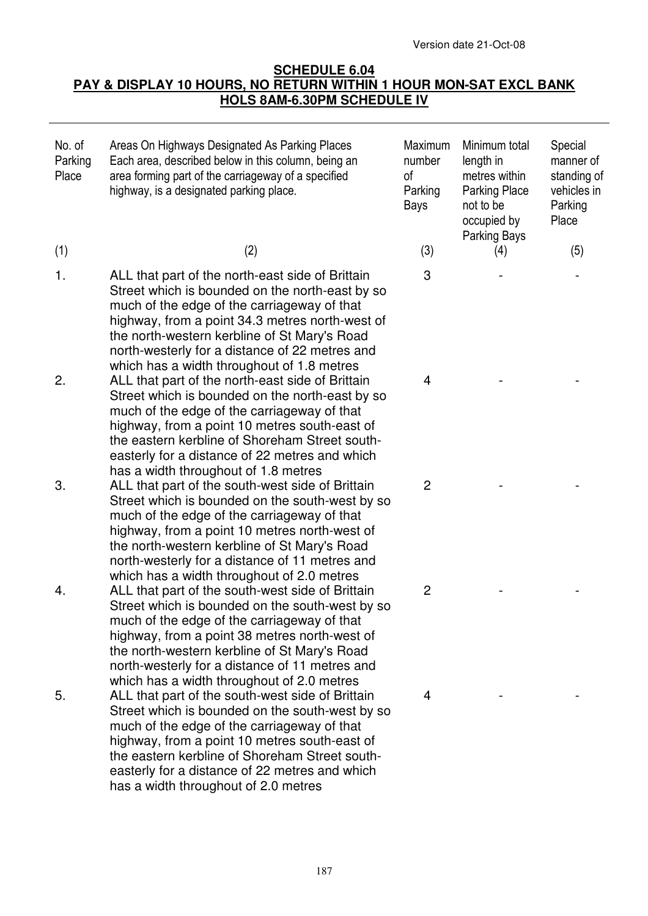## **SCHEDULE 6.04 PAY & DISPLAY 10 HOURS, NO RETURN WITHIN 1 HOUR MON-SAT EXCL BANK HOLS 8AM-6.30PM SCHEDULE IV**

| No. of<br>Parking<br>Place | Areas On Highways Designated As Parking Places<br>Each area, described below in this column, being an<br>area forming part of the carriageway of a specified<br>highway, is a designated parking place.                                                                                                                                               | Maximum<br>number<br>of<br>Parking<br>Bays | Minimum total<br>length in<br>metres within<br><b>Parking Place</b><br>not to be<br>occupied by<br><b>Parking Bays</b> | Special<br>manner of<br>standing of<br>vehicles in<br>Parking<br>Place |
|----------------------------|-------------------------------------------------------------------------------------------------------------------------------------------------------------------------------------------------------------------------------------------------------------------------------------------------------------------------------------------------------|--------------------------------------------|------------------------------------------------------------------------------------------------------------------------|------------------------------------------------------------------------|
| (1)                        | (2)                                                                                                                                                                                                                                                                                                                                                   | (3)                                        | (4)                                                                                                                    | (5)                                                                    |
| 1.                         | ALL that part of the north-east side of Brittain<br>Street which is bounded on the north-east by so<br>much of the edge of the carriageway of that<br>highway, from a point 34.3 metres north-west of<br>the north-western kerbline of St Mary's Road<br>north-westerly for a distance of 22 metres and<br>which has a width throughout of 1.8 metres | 3                                          |                                                                                                                        |                                                                        |
| 2.                         | ALL that part of the north-east side of Brittain<br>Street which is bounded on the north-east by so<br>much of the edge of the carriageway of that<br>highway, from a point 10 metres south-east of<br>the eastern kerbline of Shoreham Street south-<br>easterly for a distance of 22 metres and which<br>has a width throughout of 1.8 metres       | 4                                          |                                                                                                                        |                                                                        |
| 3.                         | ALL that part of the south-west side of Brittain<br>Street which is bounded on the south-west by so<br>much of the edge of the carriageway of that<br>highway, from a point 10 metres north-west of<br>the north-western kerbline of St Mary's Road<br>north-westerly for a distance of 11 metres and<br>which has a width throughout of 2.0 metres   | $\overline{c}$                             |                                                                                                                        |                                                                        |
| 4.                         | ALL that part of the south-west side of Brittain<br>Street which is bounded on the south-west by so<br>much of the edge of the carriageway of that<br>highway, from a point 38 metres north-west of<br>the north-western kerbline of St Mary's Road<br>north-westerly for a distance of 11 metres and<br>which has a width throughout of 2.0 metres   | $\overline{2}$                             |                                                                                                                        |                                                                        |
| 5.                         | ALL that part of the south-west side of Brittain<br>Street which is bounded on the south-west by so<br>much of the edge of the carriageway of that<br>highway, from a point 10 metres south-east of<br>the eastern kerbline of Shoreham Street south-<br>easterly for a distance of 22 metres and which<br>has a width throughout of 2.0 metres       | 4                                          |                                                                                                                        |                                                                        |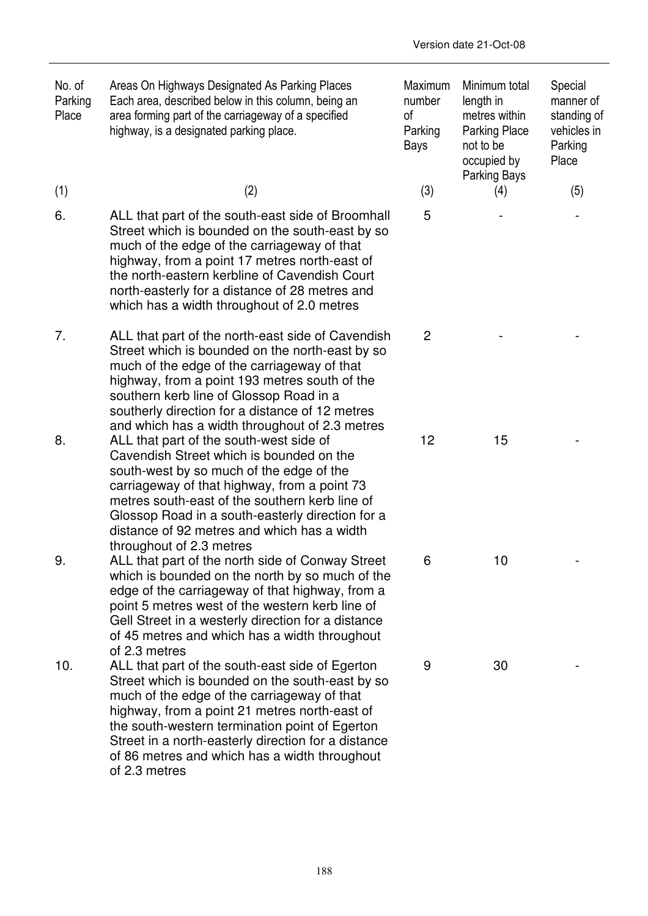| No. of<br>Parking<br>Place | Areas On Highways Designated As Parking Places<br>Each area, described below in this column, being an<br>area forming part of the carriageway of a specified<br>highway, is a designated parking place.                                                                                                                                                                       | Maximum<br>number<br>οf<br>Parking<br>Bays | Minimum total<br>length in<br>metres within<br>Parking Place<br>not to be<br>occupied by<br>Parking Bays | Special<br>manner of<br>standing of<br>vehicles in<br>Parking<br>Place |
|----------------------------|-------------------------------------------------------------------------------------------------------------------------------------------------------------------------------------------------------------------------------------------------------------------------------------------------------------------------------------------------------------------------------|--------------------------------------------|----------------------------------------------------------------------------------------------------------|------------------------------------------------------------------------|
| (1)                        | (2)                                                                                                                                                                                                                                                                                                                                                                           | (3)                                        | (4)                                                                                                      | (5)                                                                    |
| 6.                         | ALL that part of the south-east side of Broomhall<br>Street which is bounded on the south-east by so<br>much of the edge of the carriageway of that<br>highway, from a point 17 metres north-east of<br>the north-eastern kerbline of Cavendish Court<br>north-easterly for a distance of 28 metres and<br>which has a width throughout of 2.0 metres                         | 5                                          |                                                                                                          |                                                                        |
| 7.                         | ALL that part of the north-east side of Cavendish<br>Street which is bounded on the north-east by so<br>much of the edge of the carriageway of that<br>highway, from a point 193 metres south of the<br>southern kerb line of Glossop Road in a<br>southerly direction for a distance of 12 metres<br>and which has a width throughout of 2.3 metres                          | $\overline{2}$                             |                                                                                                          |                                                                        |
| 8.                         | ALL that part of the south-west side of<br>Cavendish Street which is bounded on the<br>south-west by so much of the edge of the<br>carriageway of that highway, from a point 73<br>metres south-east of the southern kerb line of<br>Glossop Road in a south-easterly direction for a<br>distance of 92 metres and which has a width<br>throughout of 2.3 metres              | 12                                         | 15                                                                                                       |                                                                        |
| 9                          | ALL that part of the north side of Conway Street<br>which is bounded on the north by so much of the<br>edge of the carriageway of that highway, from a<br>point 5 metres west of the western kerb line of<br>Gell Street in a westerly direction for a distance<br>of 45 metres and which has a width throughout<br>of 2.3 metres                                             | 6                                          | 10                                                                                                       |                                                                        |
| 10.                        | ALL that part of the south-east side of Egerton<br>Street which is bounded on the south-east by so<br>much of the edge of the carriageway of that<br>highway, from a point 21 metres north-east of<br>the south-western termination point of Egerton<br>Street in a north-easterly direction for a distance<br>of 86 metres and which has a width throughout<br>of 2.3 metres | 9                                          | 30                                                                                                       |                                                                        |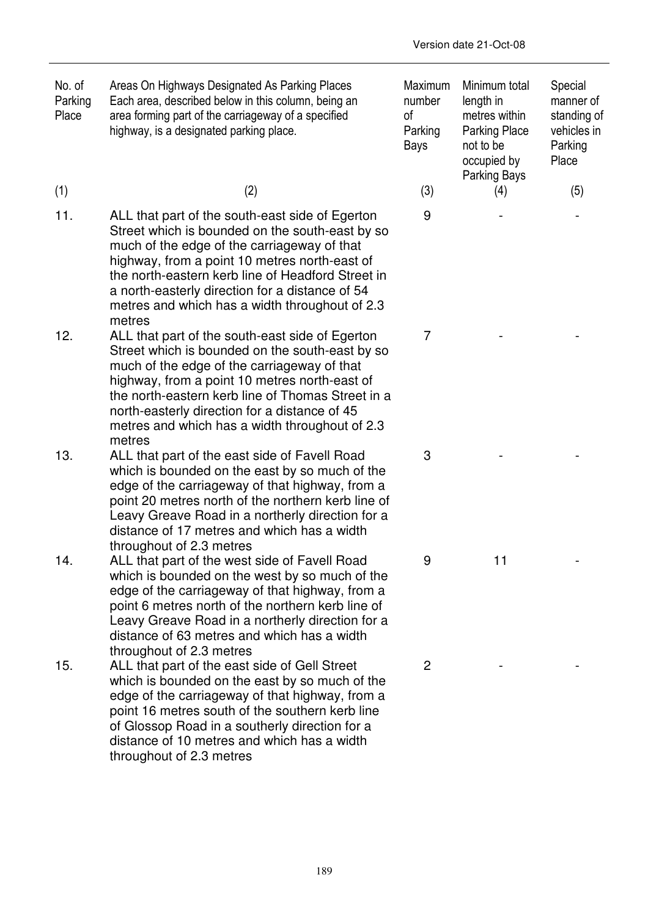| No. of<br>Parking<br>Place | Areas On Highways Designated As Parking Places<br>Each area, described below in this column, being an<br>area forming part of the carriageway of a specified<br>highway, is a designated parking place.                                                                                                                                                                | Maximum<br>number<br>0f<br>Parking<br>Bays | Minimum total<br>length in<br>metres within<br><b>Parking Place</b><br>not to be<br>occupied by<br><b>Parking Bays</b> | Special<br>manner of<br>standing of<br>vehicles in<br>Parking<br>Place |
|----------------------------|------------------------------------------------------------------------------------------------------------------------------------------------------------------------------------------------------------------------------------------------------------------------------------------------------------------------------------------------------------------------|--------------------------------------------|------------------------------------------------------------------------------------------------------------------------|------------------------------------------------------------------------|
| (1)                        | (2)                                                                                                                                                                                                                                                                                                                                                                    | (3)                                        | (4)                                                                                                                    | (5)                                                                    |
| 11.                        | ALL that part of the south-east side of Egerton<br>Street which is bounded on the south-east by so<br>much of the edge of the carriageway of that<br>highway, from a point 10 metres north-east of<br>the north-eastern kerb line of Headford Street in<br>a north-easterly direction for a distance of 54<br>metres and which has a width throughout of 2.3<br>metres | 9                                          |                                                                                                                        |                                                                        |
| 12.                        | ALL that part of the south-east side of Egerton<br>Street which is bounded on the south-east by so<br>much of the edge of the carriageway of that<br>highway, from a point 10 metres north-east of<br>the north-eastern kerb line of Thomas Street in a<br>north-easterly direction for a distance of 45<br>metres and which has a width throughout of 2.3<br>metres   | $\overline{7}$                             |                                                                                                                        |                                                                        |
| 13.                        | ALL that part of the east side of Favell Road<br>which is bounded on the east by so much of the<br>edge of the carriageway of that highway, from a<br>point 20 metres north of the northern kerb line of<br>Leavy Greave Road in a northerly direction for a<br>distance of 17 metres and which has a width<br>throughout of 2.3 metres                                | 3                                          |                                                                                                                        |                                                                        |
| 14.                        | ALL that part of the west side of Favell Road<br>which is bounded on the west by so much of the<br>edge of the carriageway of that highway, from a<br>point 6 metres north of the northern kerb line of<br>Leavy Greave Road in a northerly direction for a<br>distance of 63 metres and which has a width<br>throughout of 2.3 metres                                 | 9                                          | 11                                                                                                                     |                                                                        |
| 15.                        | ALL that part of the east side of Gell Street<br>which is bounded on the east by so much of the<br>edge of the carriageway of that highway, from a<br>point 16 metres south of the southern kerb line<br>of Glossop Road in a southerly direction for a<br>distance of 10 metres and which has a width<br>throughout of 2.3 metres                                     | $\overline{2}$                             |                                                                                                                        |                                                                        |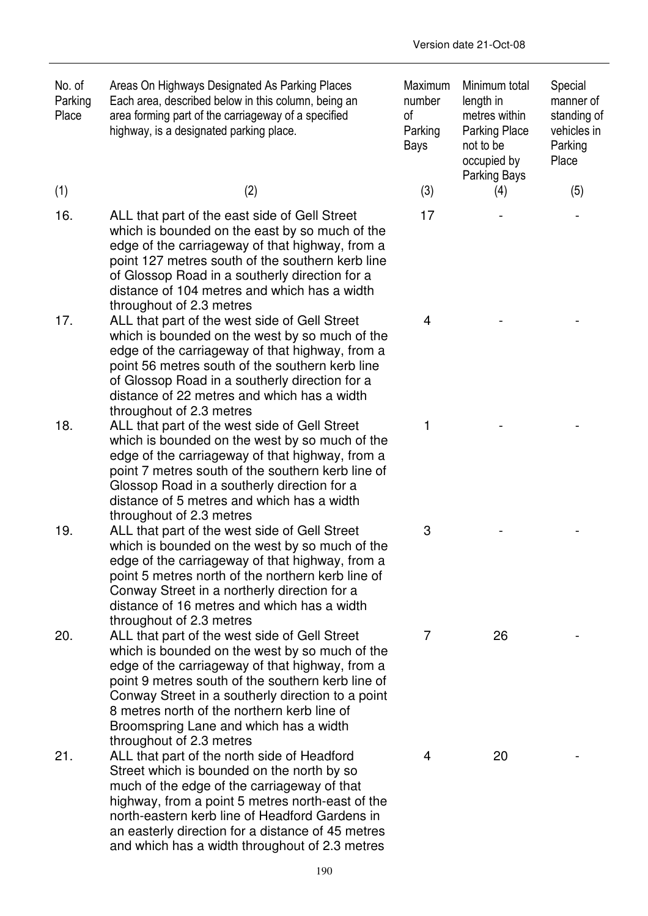| No. of<br>Parking<br>Place | Areas On Highways Designated As Parking Places<br>Each area, described below in this column, being an<br>area forming part of the carriageway of a specified<br>highway, is a designated parking place.                                                                                                                                                                           | Maximum<br>number<br>of<br>Parking<br>Bays | Minimum total<br>length in<br>metres within<br>Parking Place<br>not to be<br>occupied by<br>Parking Bays | Special<br>manner of<br>standing of<br>vehicles in<br>Parking<br>Place |
|----------------------------|-----------------------------------------------------------------------------------------------------------------------------------------------------------------------------------------------------------------------------------------------------------------------------------------------------------------------------------------------------------------------------------|--------------------------------------------|----------------------------------------------------------------------------------------------------------|------------------------------------------------------------------------|
| (1)                        | (2)                                                                                                                                                                                                                                                                                                                                                                               | (3)                                        | (4)                                                                                                      | (5)                                                                    |
| 16.                        | ALL that part of the east side of Gell Street<br>which is bounded on the east by so much of the<br>edge of the carriageway of that highway, from a<br>point 127 metres south of the southern kerb line<br>of Glossop Road in a southerly direction for a<br>distance of 104 metres and which has a width<br>throughout of 2.3 metres                                              | 17                                         |                                                                                                          |                                                                        |
| 17.                        | ALL that part of the west side of Gell Street<br>which is bounded on the west by so much of the<br>edge of the carriageway of that highway, from a<br>point 56 metres south of the southern kerb line<br>of Glossop Road in a southerly direction for a<br>distance of 22 metres and which has a width<br>throughout of 2.3 metres                                                | 4                                          |                                                                                                          |                                                                        |
| 18.                        | ALL that part of the west side of Gell Street<br>which is bounded on the west by so much of the<br>edge of the carriageway of that highway, from a<br>point 7 metres south of the southern kerb line of<br>Glossop Road in a southerly direction for a<br>distance of 5 metres and which has a width<br>throughout of 2.3 metres                                                  | 1                                          |                                                                                                          |                                                                        |
| 19.                        | ALL that part of the west side of Gell Street<br>which is bounded on the west by so much of the<br>edge of the carriageway of that highway, from a<br>point 5 metres north of the northern kerb line of<br>Conway Street in a northerly direction for a<br>distance of 16 metres and which has a width<br>throughout of 2.3 metres                                                | 3                                          |                                                                                                          |                                                                        |
| 20.                        | ALL that part of the west side of Gell Street<br>which is bounded on the west by so much of the<br>edge of the carriageway of that highway, from a<br>point 9 metres south of the southern kerb line of<br>Conway Street in a southerly direction to a point<br>8 metres north of the northern kerb line of<br>Broomspring Lane and which has a width<br>throughout of 2.3 metres | 7                                          | 26                                                                                                       |                                                                        |
| 21.                        | ALL that part of the north side of Headford<br>Street which is bounded on the north by so<br>much of the edge of the carriageway of that<br>highway, from a point 5 metres north-east of the<br>north-eastern kerb line of Headford Gardens in<br>an easterly direction for a distance of 45 metres                                                                               | 4                                          | 20                                                                                                       |                                                                        |

and which has a width throughout of 2.3 metres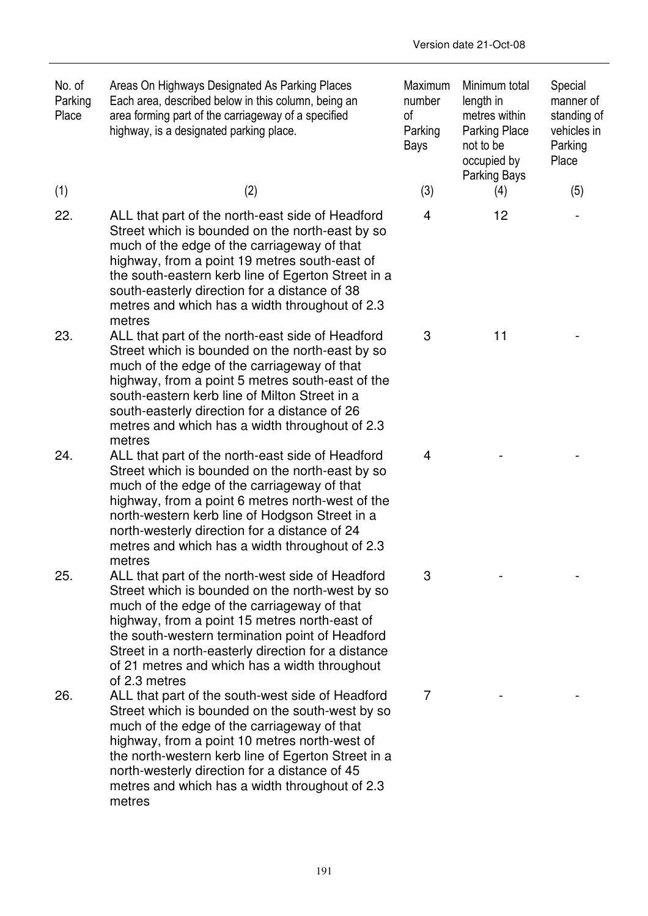| No. of<br>Parking<br>Place | Areas On Highways Designated As Parking Places<br>Each area, described below in this column, being an<br>area forming part of the carriageway of a specified<br>highway, is a designated parking place.                                                                                                                                                                         | Maximum<br>number<br>of<br>Parking<br>Bays | Minimum total<br>length in<br>metres within<br><b>Parking Place</b><br>not to be<br>occupied by<br>Parking Bays | Special<br>manner of<br>standing of<br>vehicles in<br>Parking<br>Place |
|----------------------------|---------------------------------------------------------------------------------------------------------------------------------------------------------------------------------------------------------------------------------------------------------------------------------------------------------------------------------------------------------------------------------|--------------------------------------------|-----------------------------------------------------------------------------------------------------------------|------------------------------------------------------------------------|
| (1)                        | (2)                                                                                                                                                                                                                                                                                                                                                                             | (3)                                        | (4)                                                                                                             | (5)                                                                    |
| 22.                        | ALL that part of the north-east side of Headford<br>Street which is bounded on the north-east by so<br>much of the edge of the carriageway of that<br>highway, from a point 19 metres south-east of<br>the south-eastern kerb line of Egerton Street in a<br>south-easterly direction for a distance of 38<br>metres and which has a width throughout of 2.3<br>metres          | 4                                          | 12                                                                                                              |                                                                        |
| 23.                        | ALL that part of the north-east side of Headford<br>Street which is bounded on the north-east by so<br>much of the edge of the carriageway of that<br>highway, from a point 5 metres south-east of the<br>south-eastern kerb line of Milton Street in a<br>south-easterly direction for a distance of 26<br>metres and which has a width throughout of 2.3<br>metres            | 3                                          | 11                                                                                                              |                                                                        |
| 24.                        | ALL that part of the north-east side of Headford<br>Street which is bounded on the north-east by so<br>much of the edge of the carriageway of that<br>highway, from a point 6 metres north-west of the<br>north-western kerb line of Hodgson Street in a<br>north-westerly direction for a distance of 24<br>metres and which has a width throughout of 2.3<br>metres           | $\overline{4}$                             |                                                                                                                 |                                                                        |
| 25.                        | ALL that part of the north-west side of Headford<br>Street which is bounded on the north-west by so<br>much of the edge of the carriageway of that<br>highway, from a point 15 metres north-east of<br>the south-western termination point of Headford<br>Street in a north-easterly direction for a distance<br>of 21 metres and which has a width throughout<br>of 2.3 metres | 3                                          |                                                                                                                 |                                                                        |
| 26.                        | ALL that part of the south-west side of Headford<br>Street which is bounded on the south-west by so<br>much of the edge of the carriageway of that<br>highway, from a point 10 metres north-west of<br>the north-western kerb line of Egerton Street in a<br>north-westerly direction for a distance of 45<br>metres and which has a width throughout of 2.3<br>metres          | 7                                          |                                                                                                                 |                                                                        |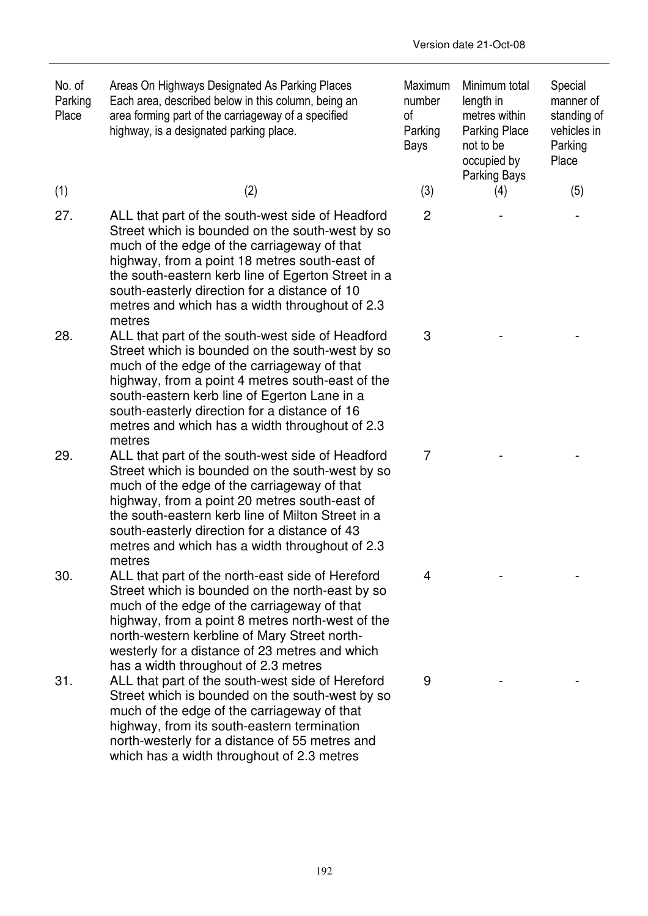| No. of<br>Parking<br>Place | Areas On Highways Designated As Parking Places<br>Each area, described below in this column, being an<br>area forming part of the carriageway of a specified<br>highway, is a designated parking place.                                                                                                                                                                | Maximum<br>number<br>0f<br>Parking<br>Bays | Minimum total<br>length in<br>metres within<br><b>Parking Place</b><br>not to be<br>occupied by | Special<br>manner of<br>standing of<br>vehicles in<br>Parking<br>Place |
|----------------------------|------------------------------------------------------------------------------------------------------------------------------------------------------------------------------------------------------------------------------------------------------------------------------------------------------------------------------------------------------------------------|--------------------------------------------|-------------------------------------------------------------------------------------------------|------------------------------------------------------------------------|
| (1)                        | (2)                                                                                                                                                                                                                                                                                                                                                                    | (3)                                        | Parking Bays<br>(4)                                                                             | (5)                                                                    |
| 27.                        | ALL that part of the south-west side of Headford<br>Street which is bounded on the south-west by so<br>much of the edge of the carriageway of that<br>highway, from a point 18 metres south-east of<br>the south-eastern kerb line of Egerton Street in a<br>south-easterly direction for a distance of 10<br>metres and which has a width throughout of 2.3<br>metres | $\overline{2}$                             |                                                                                                 |                                                                        |
| 28.                        | ALL that part of the south-west side of Headford<br>Street which is bounded on the south-west by so<br>much of the edge of the carriageway of that<br>highway, from a point 4 metres south-east of the<br>south-eastern kerb line of Egerton Lane in a<br>south-easterly direction for a distance of 16<br>metres and which has a width throughout of 2.3<br>metres    | 3                                          |                                                                                                 |                                                                        |
| 29.                        | ALL that part of the south-west side of Headford<br>Street which is bounded on the south-west by so<br>much of the edge of the carriageway of that<br>highway, from a point 20 metres south-east of<br>the south-eastern kerb line of Milton Street in a<br>south-easterly direction for a distance of 43<br>metres and which has a width throughout of 2.3<br>metres  | $\overline{7}$                             |                                                                                                 |                                                                        |
| 30.                        | ALL that part of the north-east side of Hereford<br>Street which is bounded on the north-east by so<br>much of the edge of the carriageway of that<br>highway, from a point 8 metres north-west of the<br>north-western kerbline of Mary Street north-<br>westerly for a distance of 23 metres and which<br>has a width throughout of 2.3 metres                       | 4                                          |                                                                                                 |                                                                        |
| 31.                        | ALL that part of the south-west side of Hereford<br>Street which is bounded on the south-west by so<br>much of the edge of the carriageway of that<br>highway, from its south-eastern termination<br>north-westerly for a distance of 55 metres and<br>which has a width throughout of 2.3 metres                                                                      | 9                                          |                                                                                                 |                                                                        |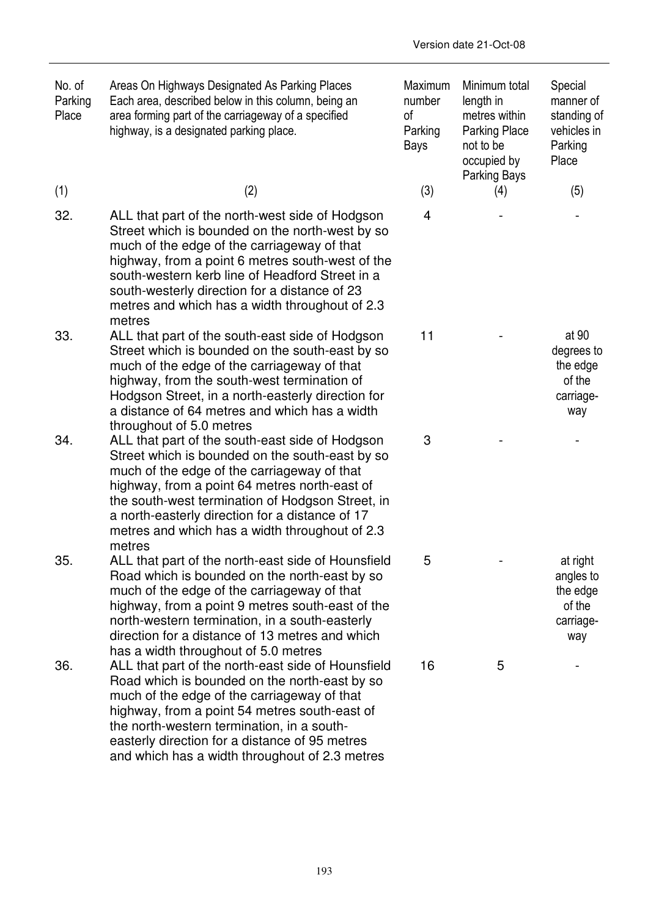| No. of<br>Parking<br>Place | Areas On Highways Designated As Parking Places<br>Each area, described below in this column, being an<br>area forming part of the carriageway of a specified<br>highway, is a designated parking place.                                                                                                                                                               | Maximum<br>number<br>0f<br>Parking<br>Bays | Minimum total<br>length in<br>metres within<br>Parking Place<br>not to be<br>occupied by<br>Parking Bays | Special<br>manner of<br>standing of<br>vehicles in<br>Parking<br>Place |
|----------------------------|-----------------------------------------------------------------------------------------------------------------------------------------------------------------------------------------------------------------------------------------------------------------------------------------------------------------------------------------------------------------------|--------------------------------------------|----------------------------------------------------------------------------------------------------------|------------------------------------------------------------------------|
| (1)                        | (2)                                                                                                                                                                                                                                                                                                                                                                   | (3)                                        | (4)                                                                                                      | (5)                                                                    |
| 32.                        | ALL that part of the north-west side of Hodgson<br>Street which is bounded on the north-west by so<br>much of the edge of the carriageway of that<br>highway, from a point 6 metres south-west of the<br>south-western kerb line of Headford Street in a<br>south-westerly direction for a distance of 23<br>metres and which has a width throughout of 2.3<br>metres | 4                                          |                                                                                                          |                                                                        |
| 33.                        | ALL that part of the south-east side of Hodgson<br>Street which is bounded on the south-east by so<br>much of the edge of the carriageway of that<br>highway, from the south-west termination of<br>Hodgson Street, in a north-easterly direction for<br>a distance of 64 metres and which has a width<br>throughout of 5.0 metres                                    | 11                                         |                                                                                                          | at 90<br>degrees to<br>the edge<br>of the<br>carriage-<br>way          |
| 34.                        | ALL that part of the south-east side of Hodgson<br>Street which is bounded on the south-east by so<br>much of the edge of the carriageway of that<br>highway, from a point 64 metres north-east of<br>the south-west termination of Hodgson Street, in<br>a north-easterly direction for a distance of 17<br>metres and which has a width throughout of 2.3<br>metres | 3                                          |                                                                                                          |                                                                        |
| 35                         | ALL that part of the north-east side of Hounsfield<br>Road which is bounded on the north-east by so<br>much of the edge of the carriageway of that<br>highway, from a point 9 metres south-east of the<br>north-western termination, in a south-easterly<br>direction for a distance of 13 metres and which<br>has a width throughout of 5.0 metres                   | 5                                          |                                                                                                          | at right<br>angles to<br>the edge<br>of the<br>carriage-<br>way        |
| 36.                        | ALL that part of the north-east side of Hounsfield<br>Road which is bounded on the north-east by so<br>much of the edge of the carriageway of that<br>highway, from a point 54 metres south-east of<br>the north-western termination, in a south-<br>easterly direction for a distance of 95 metres<br>and which has a width throughout of 2.3 metres                 | 16                                         | 5                                                                                                        |                                                                        |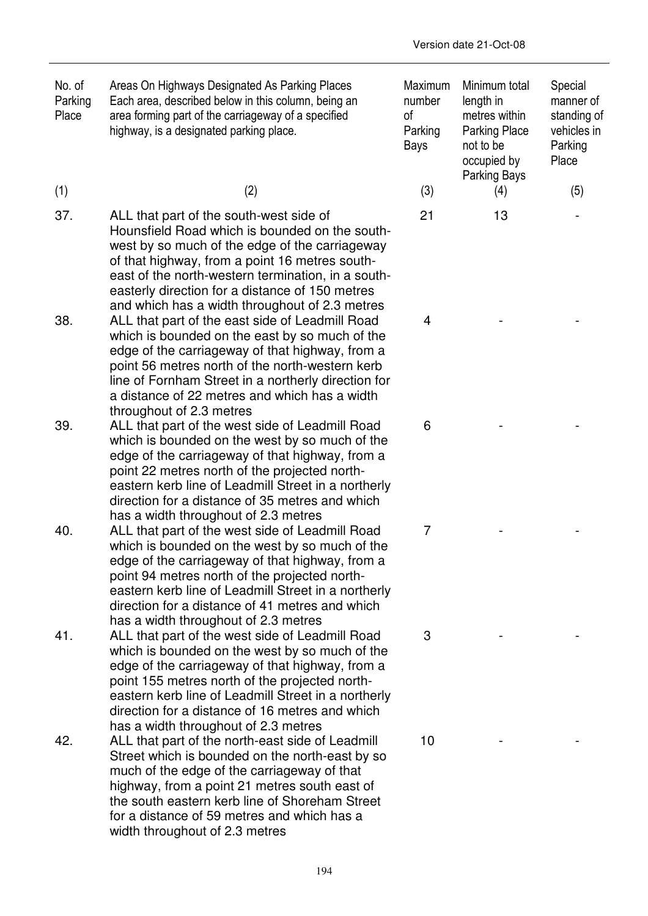| No. of  | Areas On Highways Designated As Parking Places      | Maximum | Minimum total        | Special     |
|---------|-----------------------------------------------------|---------|----------------------|-------------|
| Parking | Each area, described below in this column, being an | number  | length in            | manner of   |
| Place   | area forming part of the carriageway of a specified | 0t      | metres within        | standing of |
|         | highway, is a designated parking place.             | Parking | <b>Parking Place</b> | vehicles in |
|         |                                                     |         |                      |             |

- 
- 37. ALL that part of the south-west side of  $21$  13 -Hounsfield Road which is bounded on the southwest by so much of the edge of the carriageway of that highway, from a point 16 metres southeast of the north-western termination, in a southeasterly direction for a distance of 150 metres and which has a width throughout of 2.3 metres
- 38. ALL that part of the east side of Leadmill Road  $\overline{a}$  4 and  $\overline{a}$   $\overline{a}$ which is bounded on the east by so much of the edge of the carriageway of that highway, from a point 56 metres north of the north-western kerb line of Fornham Street in a northerly direction for a distance of 22 metres and which has a width throughout of 2.3 metres
- 39. ALL that part of the west side of Leadmill Road 6 Family Road control of the west side of Leadmill Road which is bounded on the west by so much of the edge of the carriageway of that highway, from a point 22 metres north of the projected northeastern kerb line of Leadmill Street in a northerly direction for a distance of 35 metres and which has a width throughout of 2.3 metres
- 40. ALL that part of the west side of Leadmill Road  $\overline{7}$  The state of Leadmill Road which is bounded on the west by so much of the edge of the carriageway of that highway, from a point 94 metres north of the projected northeastern kerb line of Leadmill Street in a northerly direction for a distance of 41 metres and which has a width throughout of 2.3 metres
- 41. ALL that part of the west side of Leadmill Road 5 and 1. The state of Leadmill Road which is bounded on the west by so much of the edge of the carriageway of that highway, from a point 155 metres north of the projected northeastern kerb line of Leadmill Street in a northerly direction for a distance of 16 metres and which has a width throughout of 2.3 metres
- 42. ALL that part of the north-east side of Leadmill Street which is bounded on the north-east by so much of the edge of the carriageway of that highway, from a point 21 metres south east of the south eastern kerb line of Shoreham Street for a distance of 59 metres and which has a width throughout of 2.3 metres

Parking Parking Place vehicles in example and the Bays and to be the Parking occupied by Parking Bays Place (1)  $(2)$   $(3)$   $(4)$   $(5)$  $10$  - - -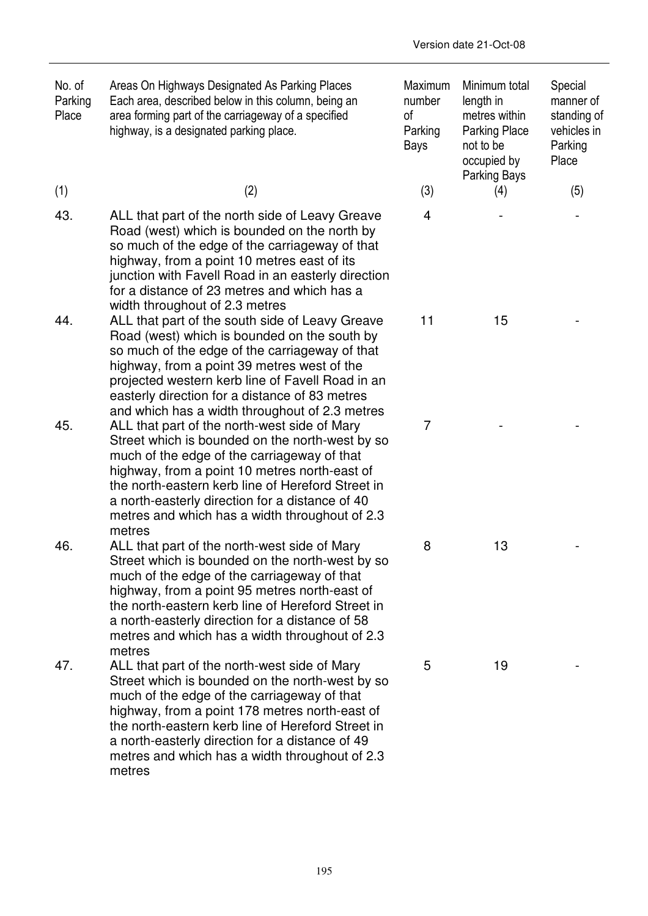| No. of<br>Parking<br>Place | Areas On Highways Designated As Parking Places<br>Each area, described below in this column, being an<br>area forming part of the carriageway of a specified<br>highway, is a designated parking place.                                                                                                                                                              | Maximum<br>number<br>οf<br>Parking<br>Bays | Minimum total<br>length in<br>metres within<br>Parking Place<br>not to be<br>occupied by<br>Parking Bays | Special<br>manner of<br>standing of<br>vehicles in<br>Parking<br>Place |
|----------------------------|----------------------------------------------------------------------------------------------------------------------------------------------------------------------------------------------------------------------------------------------------------------------------------------------------------------------------------------------------------------------|--------------------------------------------|----------------------------------------------------------------------------------------------------------|------------------------------------------------------------------------|
| (1)                        | (2)                                                                                                                                                                                                                                                                                                                                                                  | (3)                                        | (4)                                                                                                      | (5)                                                                    |
| 43.                        | ALL that part of the north side of Leavy Greave<br>Road (west) which is bounded on the north by<br>so much of the edge of the carriageway of that<br>highway, from a point 10 metres east of its<br>junction with Favell Road in an easterly direction<br>for a distance of 23 metres and which has a<br>width throughout of 2.3 metres                              | $\overline{4}$                             |                                                                                                          |                                                                        |
| 44.                        | ALL that part of the south side of Leavy Greave<br>Road (west) which is bounded on the south by<br>so much of the edge of the carriageway of that<br>highway, from a point 39 metres west of the<br>projected western kerb line of Favell Road in an<br>easterly direction for a distance of 83 metres<br>and which has a width throughout of 2.3 metres             | 11                                         | 15                                                                                                       |                                                                        |
| 45.                        | ALL that part of the north-west side of Mary<br>Street which is bounded on the north-west by so<br>much of the edge of the carriageway of that<br>highway, from a point 10 metres north-east of<br>the north-eastern kerb line of Hereford Street in<br>a north-easterly direction for a distance of 40<br>metres and which has a width throughout of 2.3<br>metres  | 7                                          |                                                                                                          |                                                                        |
| 46.                        | ALL that part of the north-west side of Mary<br>Street which is bounded on the north-west by so<br>much of the edge of the carriageway of that<br>highway, from a point 95 metres north-east of<br>the north-eastern kerb line of Hereford Street in<br>a north-easterly direction for a distance of 58<br>metres and which has a width throughout of 2.3<br>metres  | 8                                          | 13                                                                                                       |                                                                        |
| 47.                        | ALL that part of the north-west side of Mary<br>Street which is bounded on the north-west by so<br>much of the edge of the carriageway of that<br>highway, from a point 178 metres north-east of<br>the north-eastern kerb line of Hereford Street in<br>a north-easterly direction for a distance of 49<br>metres and which has a width throughout of 2.3<br>metres | 5                                          | 19                                                                                                       |                                                                        |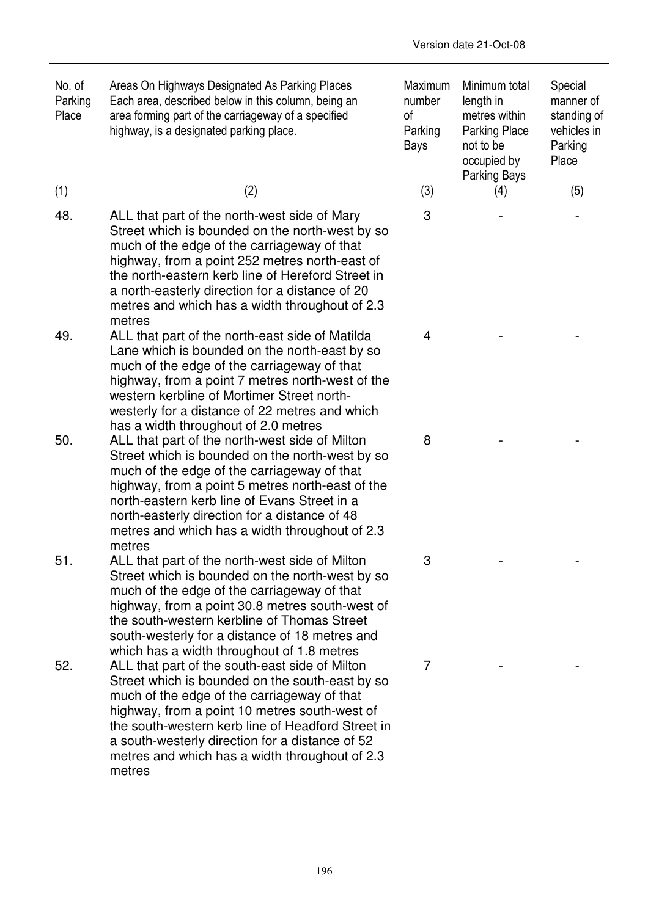| No. of<br>Parking<br>Place | Areas On Highways Designated As Parking Places<br>Each area, described below in this column, being an<br>area forming part of the carriageway of a specified<br>highway, is a designated parking place.                                                                                                                                                               | Maximum<br>number<br>οf<br>Parking<br>Bays | Minimum total<br>length in<br>metres within<br><b>Parking Place</b><br>not to be<br>occupied by<br><b>Parking Bays</b> | Special<br>manner of<br>standing of<br>vehicles in<br>Parking<br>Place |
|----------------------------|-----------------------------------------------------------------------------------------------------------------------------------------------------------------------------------------------------------------------------------------------------------------------------------------------------------------------------------------------------------------------|--------------------------------------------|------------------------------------------------------------------------------------------------------------------------|------------------------------------------------------------------------|
| (1)                        | (2)                                                                                                                                                                                                                                                                                                                                                                   | (3)                                        | (4)                                                                                                                    | (5)                                                                    |
| 48.                        | ALL that part of the north-west side of Mary<br>Street which is bounded on the north-west by so<br>much of the edge of the carriageway of that<br>highway, from a point 252 metres north-east of<br>the north-eastern kerb line of Hereford Street in<br>a north-easterly direction for a distance of 20<br>metres and which has a width throughout of 2.3<br>metres  | 3                                          |                                                                                                                        |                                                                        |
| 49.                        | ALL that part of the north-east side of Matilda<br>Lane which is bounded on the north-east by so<br>much of the edge of the carriageway of that<br>highway, from a point 7 metres north-west of the<br>western kerbline of Mortimer Street north-<br>westerly for a distance of 22 metres and which<br>has a width throughout of 2.0 metres                           | $\overline{4}$                             |                                                                                                                        |                                                                        |
| 50.                        | ALL that part of the north-west side of Milton<br>Street which is bounded on the north-west by so<br>much of the edge of the carriageway of that<br>highway, from a point 5 metres north-east of the<br>north-eastern kerb line of Evans Street in a<br>north-easterly direction for a distance of 48<br>metres and which has a width throughout of 2.3<br>metres     | 8                                          |                                                                                                                        |                                                                        |
| 51.                        | ALL that part of the north-west side of Milton<br>Street which is bounded on the north-west by so<br>much of the edge of the carriageway of that<br>highway, from a point 30.8 metres south-west of<br>the south-western kerbline of Thomas Street<br>south-westerly for a distance of 18 metres and<br>which has a width throughout of 1.8 metres                    | 3                                          |                                                                                                                        |                                                                        |
| 52.                        | ALL that part of the south-east side of Milton<br>Street which is bounded on the south-east by so<br>much of the edge of the carriageway of that<br>highway, from a point 10 metres south-west of<br>the south-western kerb line of Headford Street in<br>a south-westerly direction for a distance of 52<br>metres and which has a width throughout of 2.3<br>metres | 7                                          |                                                                                                                        |                                                                        |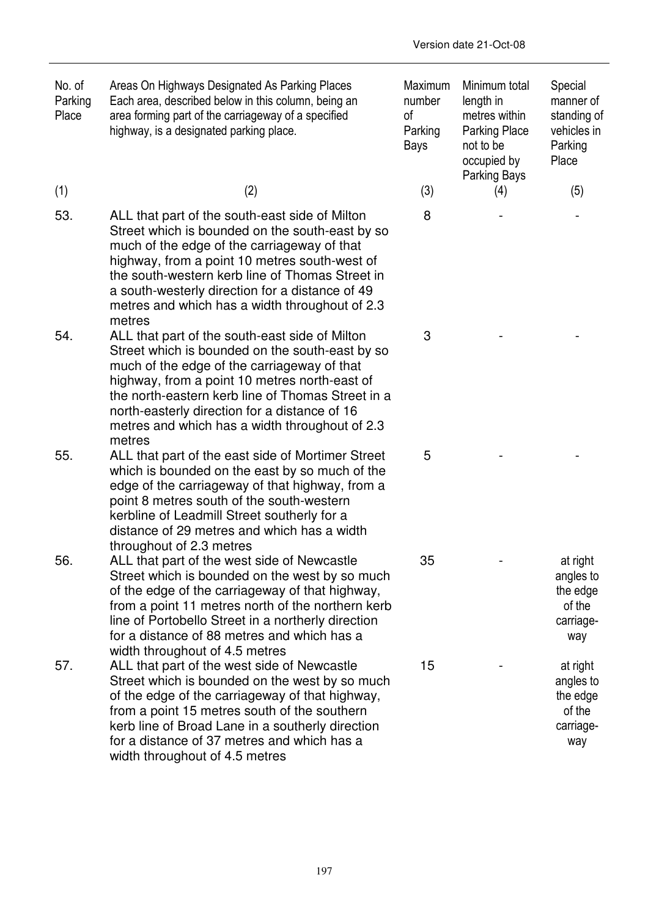| No. of<br>Parking<br>Place | Areas On Highways Designated As Parking Places<br>Each area, described below in this column, being an<br>area forming part of the carriageway of a specified<br>highway, is a designated parking place.                                                                                                                                                             | Maximum<br>number<br>of<br>Parking<br>Bays | Minimum total<br>length in<br>metres within<br>Parking Place<br>not to be<br>occupied by<br>Parking Bays | Special<br>manner of<br>standing of<br>vehicles in<br>Parking<br>Place |
|----------------------------|---------------------------------------------------------------------------------------------------------------------------------------------------------------------------------------------------------------------------------------------------------------------------------------------------------------------------------------------------------------------|--------------------------------------------|----------------------------------------------------------------------------------------------------------|------------------------------------------------------------------------|
| (1)                        | (2)                                                                                                                                                                                                                                                                                                                                                                 | (3)                                        | (4)                                                                                                      | (5)                                                                    |
| 53.                        | ALL that part of the south-east side of Milton<br>Street which is bounded on the south-east by so<br>much of the edge of the carriageway of that<br>highway, from a point 10 metres south-west of<br>the south-western kerb line of Thomas Street in<br>a south-westerly direction for a distance of 49<br>metres and which has a width throughout of 2.3<br>metres | 8                                          |                                                                                                          |                                                                        |
| 54.                        | ALL that part of the south-east side of Milton<br>Street which is bounded on the south-east by so<br>much of the edge of the carriageway of that<br>highway, from a point 10 metres north-east of<br>the north-eastern kerb line of Thomas Street in a<br>north-easterly direction for a distance of 16<br>metres and which has a width throughout of 2.3<br>metres | 3                                          |                                                                                                          |                                                                        |
| 55.                        | ALL that part of the east side of Mortimer Street<br>which is bounded on the east by so much of the<br>edge of the carriageway of that highway, from a<br>point 8 metres south of the south-western<br>kerbline of Leadmill Street southerly for a<br>distance of 29 metres and which has a width<br>throughout of 2.3 metres                                       | 5                                          |                                                                                                          |                                                                        |
| 56                         | ALL that part of the west side of Newcastle<br>Street which is bounded on the west by so much<br>of the edge of the carriageway of that highway,<br>from a point 11 metres north of the northern kerb<br>line of Portobello Street in a northerly direction<br>for a distance of 88 metres and which has a<br>width throughout of 4.5 metres                        | 35                                         |                                                                                                          | at right<br>angles to<br>the edge<br>of the<br>carriage-<br>way        |
| 57.                        | ALL that part of the west side of Newcastle<br>Street which is bounded on the west by so much<br>of the edge of the carriageway of that highway,<br>from a point 15 metres south of the southern<br>kerb line of Broad Lane in a southerly direction<br>for a distance of 37 metres and which has a<br>width throughout of 4.5 metres                               | 15                                         |                                                                                                          | at right<br>angles to<br>the edge<br>of the<br>carriage-<br>way        |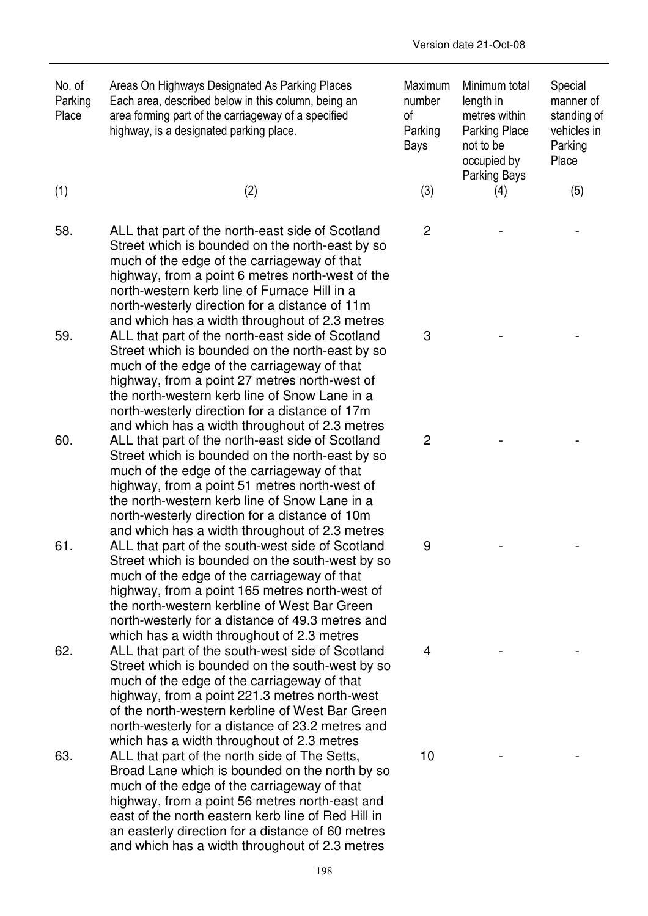| No. of<br>Parking<br>Place | Areas On Highways Designated As Parking Places<br>Each area, described below in this column, being an<br>area forming part of the carriageway of a specified<br>highway, is a designated parking place.                                                                                                                                                       | Maximum<br>number<br>οf<br>Parking<br>Bays | Minimum total<br>length in<br>metres within<br><b>Parking Place</b><br>not to be<br>occupied by<br><b>Parking Bays</b> | Special<br>manner of<br>standing of<br>vehicles in<br>Parking<br>Place |
|----------------------------|---------------------------------------------------------------------------------------------------------------------------------------------------------------------------------------------------------------------------------------------------------------------------------------------------------------------------------------------------------------|--------------------------------------------|------------------------------------------------------------------------------------------------------------------------|------------------------------------------------------------------------|
| (1)                        | (2)                                                                                                                                                                                                                                                                                                                                                           | (3)                                        | (4)                                                                                                                    | (5)                                                                    |
| 58.                        | ALL that part of the north-east side of Scotland<br>Street which is bounded on the north-east by so<br>much of the edge of the carriageway of that<br>highway, from a point 6 metres north-west of the<br>north-western kerb line of Furnace Hill in a<br>north-westerly direction for a distance of 11m<br>and which has a width throughout of 2.3 metres    | $\overline{c}$                             |                                                                                                                        |                                                                        |
| 59.                        | ALL that part of the north-east side of Scotland<br>Street which is bounded on the north-east by so<br>much of the edge of the carriageway of that<br>highway, from a point 27 metres north-west of<br>the north-western kerb line of Snow Lane in a<br>north-westerly direction for a distance of 17m<br>and which has a width throughout of 2.3 metres      | 3                                          |                                                                                                                        |                                                                        |
| 60.                        | ALL that part of the north-east side of Scotland<br>Street which is bounded on the north-east by so<br>much of the edge of the carriageway of that<br>highway, from a point 51 metres north-west of<br>the north-western kerb line of Snow Lane in a<br>north-westerly direction for a distance of 10m<br>and which has a width throughout of 2.3 metres      | 2                                          |                                                                                                                        |                                                                        |
| 61.                        | ALL that part of the south-west side of Scotland<br>Street which is bounded on the south-west by so<br>much of the edge of the carriageway of that<br>highway, from a point 165 metres north-west of<br>the north-western kerbline of West Bar Green<br>north-westerly for a distance of 49.3 metres and<br>which has a width throughout of 2.3 metres        | 9                                          |                                                                                                                        |                                                                        |
| 62.                        | ALL that part of the south-west side of Scotland<br>Street which is bounded on the south-west by so<br>much of the edge of the carriageway of that<br>highway, from a point 221.3 metres north-west<br>of the north-western kerbline of West Bar Green<br>north-westerly for a distance of 23.2 metres and<br>which has a width throughout of 2.3 metres      | 4                                          |                                                                                                                        |                                                                        |
| 63.                        | ALL that part of the north side of The Setts,<br>Broad Lane which is bounded on the north by so<br>much of the edge of the carriageway of that<br>highway, from a point 56 metres north-east and<br>east of the north eastern kerb line of Red Hill in<br>an easterly direction for a distance of 60 metres<br>and which has a width throughout of 2.3 metres | 10                                         |                                                                                                                        |                                                                        |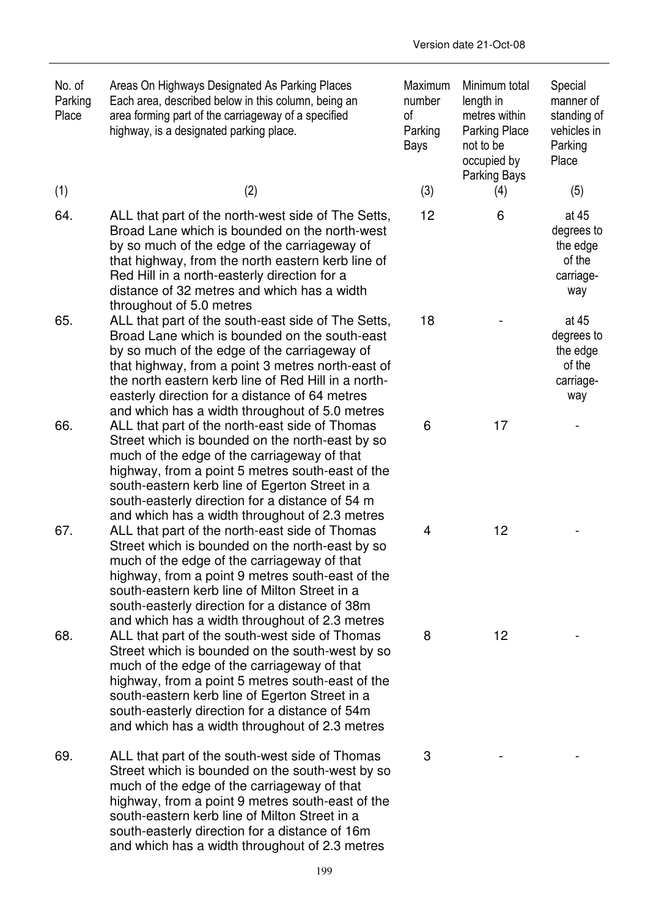| No. of<br>Parking<br>Place | Areas On Highways Designated As Parking Places<br>Each area, described below in this column, being an<br>area forming part of the carriageway of a specified<br>highway, is a designated parking place.                                                                                                                                                             | Maximum<br>number<br>of<br>Parking<br>Bays | Minimum total<br>length in<br>metres within<br><b>Parking Place</b><br>not to be<br>occupied by<br>Parking Bays | Special<br>manner of<br>standing of<br>vehicles in<br>Parking<br>Place |
|----------------------------|---------------------------------------------------------------------------------------------------------------------------------------------------------------------------------------------------------------------------------------------------------------------------------------------------------------------------------------------------------------------|--------------------------------------------|-----------------------------------------------------------------------------------------------------------------|------------------------------------------------------------------------|
| (1)                        | (2)                                                                                                                                                                                                                                                                                                                                                                 | (3)                                        | (4)                                                                                                             | (5)                                                                    |
| 64.                        | ALL that part of the north-west side of The Setts,<br>Broad Lane which is bounded on the north-west<br>by so much of the edge of the carriageway of<br>that highway, from the north eastern kerb line of<br>Red Hill in a north-easterly direction for a<br>distance of 32 metres and which has a width<br>throughout of 5.0 metres                                 | 12                                         | 6                                                                                                               | at 45<br>degrees to<br>the edge<br>of the<br>carriage-<br>way          |
| 65.                        | ALL that part of the south-east side of The Setts,<br>Broad Lane which is bounded on the south-east<br>by so much of the edge of the carriageway of<br>that highway, from a point 3 metres north-east of<br>the north eastern kerb line of Red Hill in a north-<br>easterly direction for a distance of 64 metres<br>and which has a width throughout of 5.0 metres | 18                                         |                                                                                                                 | at 45<br>degrees to<br>the edge<br>of the<br>carriage-<br>way          |
| 66.                        | ALL that part of the north-east side of Thomas<br>Street which is bounded on the north-east by so<br>much of the edge of the carriageway of that<br>highway, from a point 5 metres south-east of the<br>south-eastern kerb line of Egerton Street in a<br>south-easterly direction for a distance of 54 m<br>and which has a width throughout of 2.3 metres         | 6                                          | 17                                                                                                              |                                                                        |
| 67.                        | ALL that part of the north-east side of Thomas<br>Street which is bounded on the north-east by so<br>much of the edge of the carriageway of that<br>highway, from a point 9 metres south-east of the<br>south-eastern kerb line of Milton Street in a<br>south-easterly direction for a distance of 38m<br>and which has a width throughout of 2.3 metres           | 4                                          | 12                                                                                                              |                                                                        |
| 68.                        | ALL that part of the south-west side of Thomas<br>Street which is bounded on the south-west by so<br>much of the edge of the carriageway of that<br>highway, from a point 5 metres south-east of the<br>south-eastern kerb line of Egerton Street in a<br>south-easterly direction for a distance of 54m<br>and which has a width throughout of 2.3 metres          | 8                                          | 12                                                                                                              |                                                                        |
| 69.                        | ALL that part of the south-west side of Thomas<br>Street which is bounded on the south-west by so<br>much of the edge of the carriageway of that<br>highway, from a point 9 metres south-east of the<br>south-eastern kerb line of Milton Street in a<br>south-easterly direction for a distance of 16m<br>and which has a width throughout of 2.3 metres           | 3                                          |                                                                                                                 |                                                                        |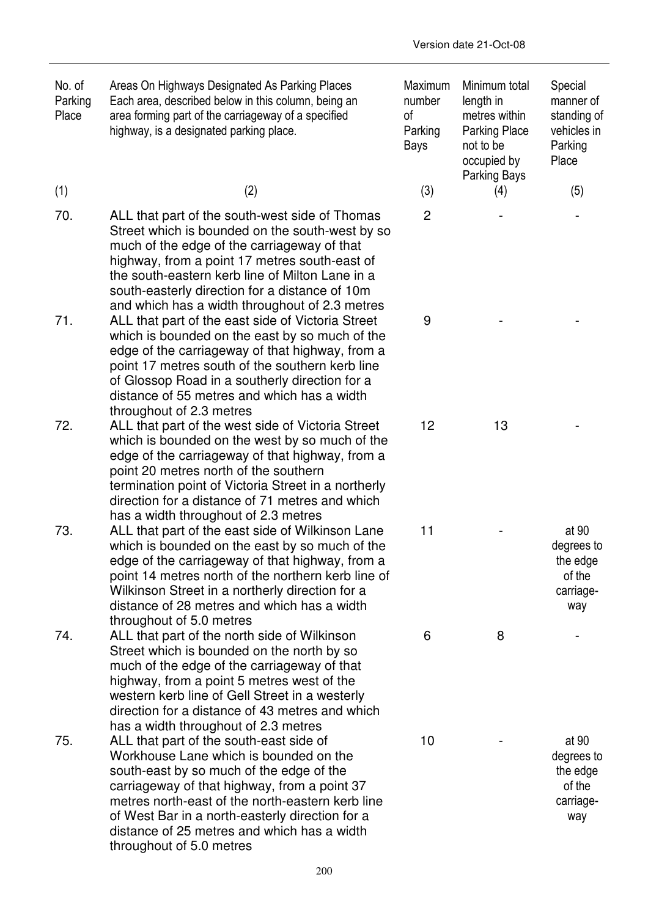| No. of<br>Parking<br>Place | Areas On Highways Designated As Parking Places<br>Each area, described below in this column, being an<br>area forming part of the carriageway of a specified<br>highway, is a designated parking place.                                                                                                                                                         | Maximum<br>number<br>οf<br>Parking<br>Bays | Minimum total<br>length in<br>metres within<br>Parking Place<br>not to be<br>occupied by<br>Parking Bays | Special<br>manner of<br>standing of<br>vehicles in<br>Parking<br>Place |
|----------------------------|-----------------------------------------------------------------------------------------------------------------------------------------------------------------------------------------------------------------------------------------------------------------------------------------------------------------------------------------------------------------|--------------------------------------------|----------------------------------------------------------------------------------------------------------|------------------------------------------------------------------------|
| (1)                        | (2)                                                                                                                                                                                                                                                                                                                                                             | (3)                                        | (4)                                                                                                      | (5)                                                                    |
| 70.                        | ALL that part of the south-west side of Thomas<br>Street which is bounded on the south-west by so<br>much of the edge of the carriageway of that<br>highway, from a point 17 metres south-east of<br>the south-eastern kerb line of Milton Lane in a<br>south-easterly direction for a distance of 10m<br>and which has a width throughout of 2.3 metres        | $\overline{2}$                             |                                                                                                          |                                                                        |
| 71.                        | ALL that part of the east side of Victoria Street<br>which is bounded on the east by so much of the<br>edge of the carriageway of that highway, from a<br>point 17 metres south of the southern kerb line<br>of Glossop Road in a southerly direction for a<br>distance of 55 metres and which has a width<br>throughout of 2.3 metres                          | 9                                          |                                                                                                          |                                                                        |
| 72.                        | ALL that part of the west side of Victoria Street<br>which is bounded on the west by so much of the<br>edge of the carriageway of that highway, from a<br>point 20 metres north of the southern<br>termination point of Victoria Street in a northerly<br>direction for a distance of 71 metres and which<br>has a width throughout of 2.3 metres               | 12                                         | 13                                                                                                       |                                                                        |
| 73.                        | ALL that part of the east side of Wilkinson Lane<br>which is bounded on the east by so much of the<br>edge of the carriageway of that highway, from a<br>point 14 metres north of the northern kerb line of<br>Wilkinson Street in a northerly direction for a<br>distance of 28 metres and which has a width<br>throughout of 5.0 metres                       | 11                                         |                                                                                                          | at 90<br>degrees to<br>the edge<br>of the<br>carriage-<br>way          |
| 74.                        | ALL that part of the north side of Wilkinson<br>Street which is bounded on the north by so<br>much of the edge of the carriageway of that<br>highway, from a point 5 metres west of the<br>western kerb line of Gell Street in a westerly<br>direction for a distance of 43 metres and which<br>has a width throughout of 2.3 metres                            | 6                                          | 8                                                                                                        |                                                                        |
| 75.                        | ALL that part of the south-east side of<br>Workhouse Lane which is bounded on the<br>south-east by so much of the edge of the<br>carriageway of that highway, from a point 37<br>metres north-east of the north-eastern kerb line<br>of West Bar in a north-easterly direction for a<br>distance of 25 metres and which has a width<br>throughout of 5.0 metres | 10                                         |                                                                                                          | at 90<br>degrees to<br>the edge<br>of the<br>carriage-<br>way          |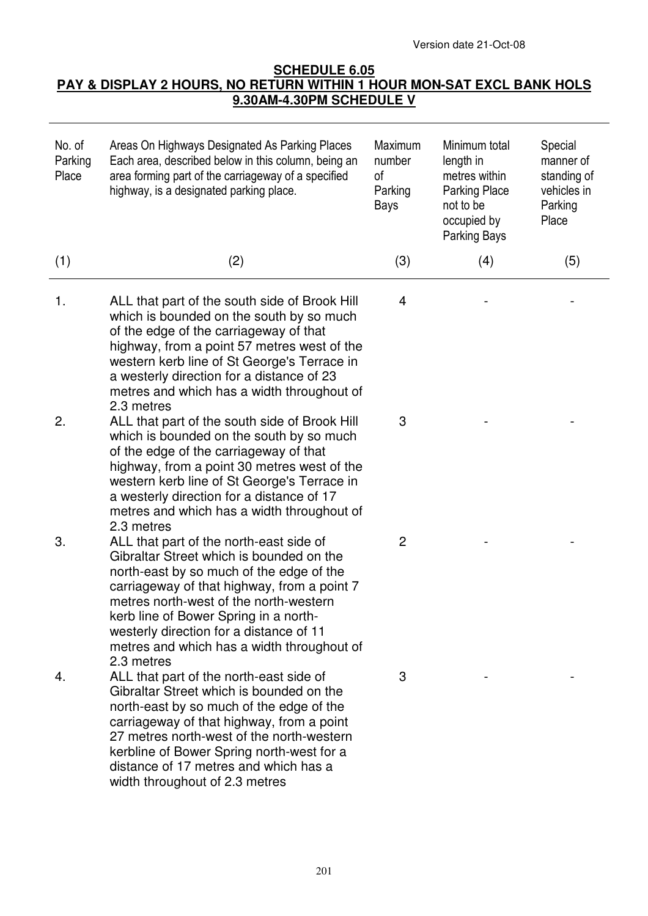Version date 21-Oct-08

## **SCHEDULE 6.05 PAY & DISPLAY 2 HOURS, NO RETURN WITHIN 1 HOUR MON-SAT EXCL BANK HOLS 9.30AM-4.30PM SCHEDULE V**

| No. of<br>Parking<br>Place | Areas On Highways Designated As Parking Places<br>Each area, described below in this column, being an<br>area forming part of the carriageway of a specified<br>highway, is a designated parking place.                                                                                                                                                                  | Maximum<br>number<br>of<br>Parking<br>Bays | Minimum total<br>length in<br>metres within<br><b>Parking Place</b><br>not to be<br>occupied by<br>Parking Bays | Special<br>manner of<br>standing of<br>vehicles in<br>Parking<br>Place |
|----------------------------|--------------------------------------------------------------------------------------------------------------------------------------------------------------------------------------------------------------------------------------------------------------------------------------------------------------------------------------------------------------------------|--------------------------------------------|-----------------------------------------------------------------------------------------------------------------|------------------------------------------------------------------------|
| (1)                        | (2)                                                                                                                                                                                                                                                                                                                                                                      | (3)                                        | (4)                                                                                                             | (5)                                                                    |
| 1.                         | ALL that part of the south side of Brook Hill<br>which is bounded on the south by so much<br>of the edge of the carriageway of that<br>highway, from a point 57 metres west of the<br>western kerb line of St George's Terrace in<br>a westerly direction for a distance of 23<br>metres and which has a width throughout of<br>2.3 metres                               | 4                                          |                                                                                                                 |                                                                        |
| 2.                         | ALL that part of the south side of Brook Hill<br>which is bounded on the south by so much<br>of the edge of the carriageway of that<br>highway, from a point 30 metres west of the<br>western kerb line of St George's Terrace in<br>a westerly direction for a distance of 17<br>metres and which has a width throughout of<br>2.3 metres                               | 3                                          |                                                                                                                 |                                                                        |
| 3.                         | ALL that part of the north-east side of<br>Gibraltar Street which is bounded on the<br>north-east by so much of the edge of the<br>carriageway of that highway, from a point 7<br>metres north-west of the north-western<br>kerb line of Bower Spring in a north-<br>westerly direction for a distance of 11<br>metres and which has a width throughout of<br>2.3 metres | $\mathbf{2}$                               |                                                                                                                 |                                                                        |
| 4.                         | ALL that part of the north-east side of<br>Gibraltar Street which is bounded on the<br>north-east by so much of the edge of the<br>carriageway of that highway, from a point<br>27 metres north-west of the north-western<br>kerbline of Bower Spring north-west for a<br>distance of 17 metres and which has a<br>width throughout of 2.3 metres                        | 3                                          |                                                                                                                 |                                                                        |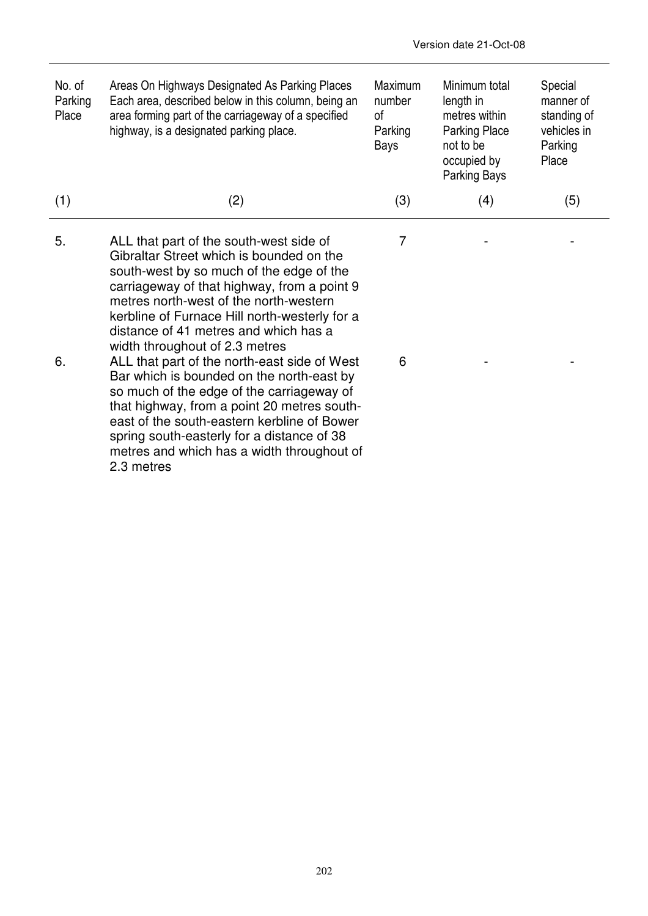| No. of<br>Parking<br>Place | Areas On Highways Designated As Parking Places<br>Each area, described below in this column, being an<br>area forming part of the carriageway of a specified<br>highway, is a designated parking place.                                                                                                                                              | Maximum<br>number<br>οf<br>Parking<br>Bays | Minimum total<br>length in<br>metres within<br>Parking Place<br>not to be<br>occupied by<br>Parking Bays | Special<br>manner of<br>standing of<br>vehicles in<br>Parking<br>Place |
|----------------------------|------------------------------------------------------------------------------------------------------------------------------------------------------------------------------------------------------------------------------------------------------------------------------------------------------------------------------------------------------|--------------------------------------------|----------------------------------------------------------------------------------------------------------|------------------------------------------------------------------------|
| (1)                        | (2)                                                                                                                                                                                                                                                                                                                                                  | (3)                                        | (4)                                                                                                      | (5)                                                                    |
| 5.                         | ALL that part of the south-west side of<br>Gibraltar Street which is bounded on the<br>south-west by so much of the edge of the<br>carriageway of that highway, from a point 9<br>metres north-west of the north-western<br>kerbline of Furnace Hill north-westerly for a<br>distance of 41 metres and which has a<br>width throughout of 2.3 metres | 7                                          |                                                                                                          |                                                                        |
| 6.                         | ALL that part of the north-east side of West<br>Bar which is bounded on the north-east by<br>so much of the edge of the carriageway of<br>that highway, from a point 20 metres south-<br>east of the south-eastern kerbline of Bower<br>spring south-easterly for a distance of 38<br>metres and which has a width throughout of<br>2.3 metres       | 6                                          |                                                                                                          |                                                                        |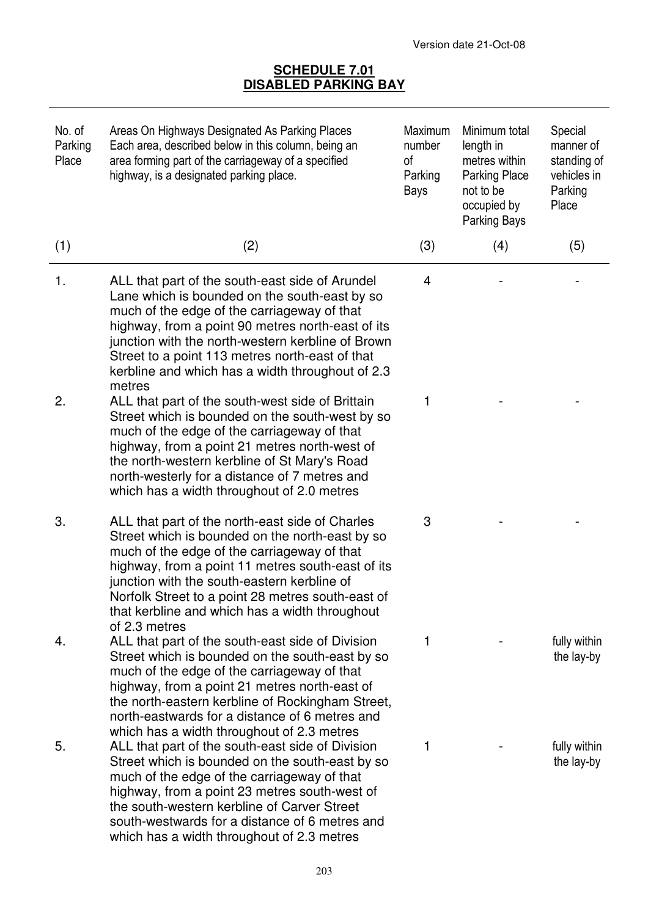## **SCHEDULE 7.01 DISABLED PARKING BAY**

| No. of<br>Parking<br>Place | Areas On Highways Designated As Parking Places<br>Each area, described below in this column, being an<br>area forming part of the carriageway of a specified<br>highway, is a designated parking place.                                                                                                                                                                       | Maximum<br>number<br>0f<br>Parking<br>Bays | Minimum total<br>length in<br>metres within<br><b>Parking Place</b><br>not to be<br>occupied by<br><b>Parking Bays</b> | Special<br>manner of<br>standing of<br>vehicles in<br>Parking<br>Place |
|----------------------------|-------------------------------------------------------------------------------------------------------------------------------------------------------------------------------------------------------------------------------------------------------------------------------------------------------------------------------------------------------------------------------|--------------------------------------------|------------------------------------------------------------------------------------------------------------------------|------------------------------------------------------------------------|
| (1)                        | (2)                                                                                                                                                                                                                                                                                                                                                                           | (3)                                        | (4)                                                                                                                    | (5)                                                                    |
| 1.                         | ALL that part of the south-east side of Arundel<br>Lane which is bounded on the south-east by so<br>much of the edge of the carriageway of that<br>highway, from a point 90 metres north-east of its<br>junction with the north-western kerbline of Brown<br>Street to a point 113 metres north-east of that<br>kerbline and which has a width throughout of 2.3<br>metres    | 4                                          |                                                                                                                        |                                                                        |
| 2.                         | ALL that part of the south-west side of Brittain<br>Street which is bounded on the south-west by so<br>much of the edge of the carriageway of that<br>highway, from a point 21 metres north-west of<br>the north-western kerbline of St Mary's Road<br>north-westerly for a distance of 7 metres and<br>which has a width throughout of 2.0 metres                            | 1                                          |                                                                                                                        |                                                                        |
| 3.                         | ALL that part of the north-east side of Charles<br>Street which is bounded on the north-east by so<br>much of the edge of the carriageway of that<br>highway, from a point 11 metres south-east of its<br>junction with the south-eastern kerbline of<br>Norfolk Street to a point 28 metres south-east of<br>that kerbline and which has a width throughout<br>of 2.3 metres | 3                                          |                                                                                                                        |                                                                        |
| 4.                         | ALL that part of the south-east side of Division<br>Street which is bounded on the south-east by so<br>much of the edge of the carriageway of that<br>highway, from a point 21 metres north-east of<br>the north-eastern kerbline of Rockingham Street,<br>north-eastwards for a distance of 6 metres and<br>which has a width throughout of 2.3 metres                       | 1                                          |                                                                                                                        | fully within<br>the lay-by                                             |
| 5.                         | ALL that part of the south-east side of Division<br>Street which is bounded on the south-east by so<br>much of the edge of the carriageway of that<br>highway, from a point 23 metres south-west of<br>the south-western kerbline of Carver Street<br>south-westwards for a distance of 6 metres and<br>which has a width throughout of 2.3 metres                            | 1                                          |                                                                                                                        | fully within<br>the lay-by                                             |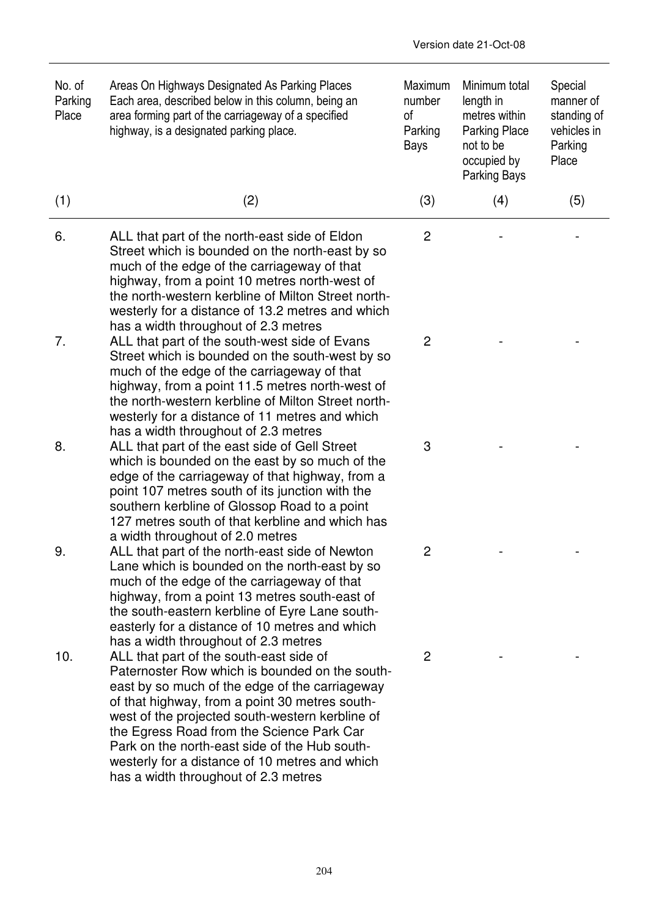| No. of<br>Parking<br>Place | Areas On Highways Designated As Parking Places<br>Each area, described below in this column, being an<br>area forming part of the carriageway of a specified<br>highway, is a designated parking place.                                                                                                                                                                                                                                  | Maximum<br>number<br>οf<br>Parking<br>Bays | Minimum total<br>length in<br>metres within<br><b>Parking Place</b><br>not to be<br>occupied by<br>Parking Bays | Special<br>manner of<br>standing of<br>vehicles in<br>Parking<br>Place |
|----------------------------|------------------------------------------------------------------------------------------------------------------------------------------------------------------------------------------------------------------------------------------------------------------------------------------------------------------------------------------------------------------------------------------------------------------------------------------|--------------------------------------------|-----------------------------------------------------------------------------------------------------------------|------------------------------------------------------------------------|
| (1)                        | (2)                                                                                                                                                                                                                                                                                                                                                                                                                                      | (3)                                        | (4)                                                                                                             | (5)                                                                    |
| 6.                         | ALL that part of the north-east side of Eldon<br>Street which is bounded on the north-east by so<br>much of the edge of the carriageway of that<br>highway, from a point 10 metres north-west of<br>the north-western kerbline of Milton Street north-<br>westerly for a distance of 13.2 metres and which                                                                                                                               | $\overline{2}$                             |                                                                                                                 |                                                                        |
| 7.                         | has a width throughout of 2.3 metres<br>ALL that part of the south-west side of Evans<br>Street which is bounded on the south-west by so<br>much of the edge of the carriageway of that<br>highway, from a point 11.5 metres north-west of<br>the north-western kerbline of Milton Street north-<br>westerly for a distance of 11 metres and which<br>has a width throughout of 2.3 metres                                               | 2                                          |                                                                                                                 |                                                                        |
| 8.                         | ALL that part of the east side of Gell Street<br>which is bounded on the east by so much of the<br>edge of the carriageway of that highway, from a<br>point 107 metres south of its junction with the<br>southern kerbline of Glossop Road to a point<br>127 metres south of that kerbline and which has<br>a width throughout of 2.0 metres                                                                                             | 3                                          |                                                                                                                 |                                                                        |
| 9.                         | ALL that part of the north-east side of Newton<br>Lane which is bounded on the north-east by so<br>much of the edge of the carriageway of that<br>highway, from a point 13 metres south-east of<br>the south-eastern kerbline of Eyre Lane south-<br>easterly for a distance of 10 metres and which<br>has a width throughout of 2.3 metres                                                                                              | $\mathbf{2}$                               |                                                                                                                 |                                                                        |
| 10.                        | ALL that part of the south-east side of<br>Paternoster Row which is bounded on the south-<br>east by so much of the edge of the carriageway<br>of that highway, from a point 30 metres south-<br>west of the projected south-western kerbline of<br>the Egress Road from the Science Park Car<br>Park on the north-east side of the Hub south-<br>westerly for a distance of 10 metres and which<br>has a width throughout of 2.3 metres | $\overline{2}$                             |                                                                                                                 |                                                                        |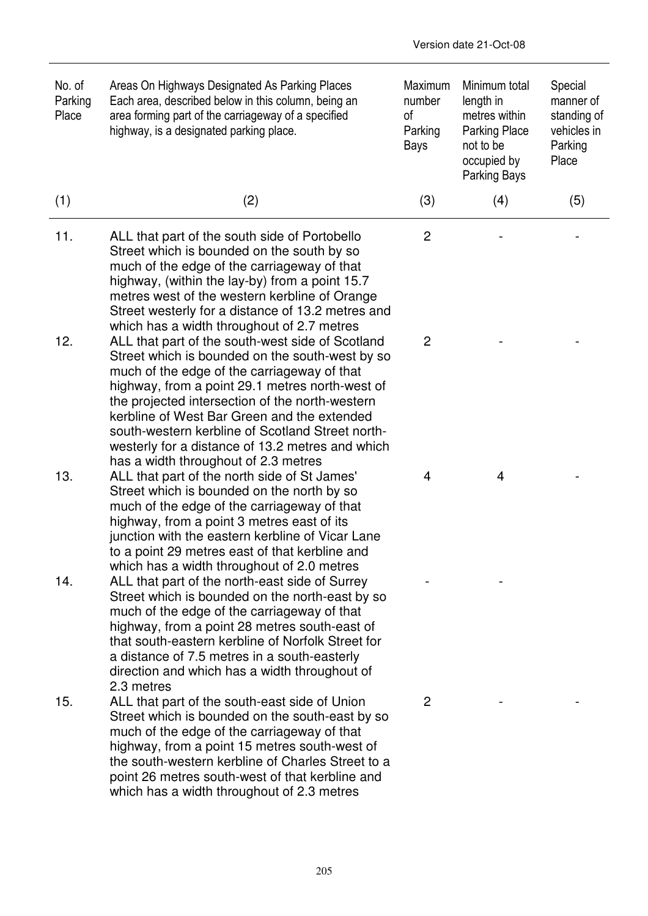| No. of<br>Parking<br>Place | Areas On Highways Designated As Parking Places<br>Each area, described below in this column, being an<br>area forming part of the carriageway of a specified<br>highway, is a designated parking place.                                                                                                                                                                                                                                                                                               | Maximum<br>number<br>οf<br>Parking<br>Bays | Minimum total<br>length in<br>metres within<br><b>Parking Place</b><br>not to be<br>occupied by<br>Parking Bays | Special<br>manner of<br>standing of<br>vehicles in<br>Parking<br>Place |
|----------------------------|-------------------------------------------------------------------------------------------------------------------------------------------------------------------------------------------------------------------------------------------------------------------------------------------------------------------------------------------------------------------------------------------------------------------------------------------------------------------------------------------------------|--------------------------------------------|-----------------------------------------------------------------------------------------------------------------|------------------------------------------------------------------------|
| (1)                        | (2)                                                                                                                                                                                                                                                                                                                                                                                                                                                                                                   | (3)                                        | (4)                                                                                                             | (5)                                                                    |
| 11.                        | ALL that part of the south side of Portobello<br>Street which is bounded on the south by so<br>much of the edge of the carriageway of that<br>highway, (within the lay-by) from a point 15.7<br>metres west of the western kerbline of Orange<br>Street westerly for a distance of 13.2 metres and                                                                                                                                                                                                    | 2                                          |                                                                                                                 |                                                                        |
| 12.                        | which has a width throughout of 2.7 metres<br>ALL that part of the south-west side of Scotland<br>Street which is bounded on the south-west by so<br>much of the edge of the carriageway of that<br>highway, from a point 29.1 metres north-west of<br>the projected intersection of the north-western<br>kerbline of West Bar Green and the extended<br>south-western kerbline of Scotland Street north-<br>westerly for a distance of 13.2 metres and which<br>has a width throughout of 2.3 metres | $\overline{2}$                             |                                                                                                                 |                                                                        |
| 13.                        | ALL that part of the north side of St James'<br>Street which is bounded on the north by so<br>much of the edge of the carriageway of that<br>highway, from a point 3 metres east of its<br>junction with the eastern kerbline of Vicar Lane<br>to a point 29 metres east of that kerbline and<br>which has a width throughout of 2.0 metres                                                                                                                                                           | 4                                          | 4                                                                                                               |                                                                        |
| 14.                        | ALL that part of the north-east side of Surrey<br>Street which is bounded on the north-east by so<br>much of the edge of the carriageway of that<br>highway, from a point 28 metres south-east of<br>that south-eastern kerbline of Norfolk Street for<br>a distance of 7.5 metres in a south-easterly<br>direction and which has a width throughout of<br>2.3 metres                                                                                                                                 |                                            |                                                                                                                 |                                                                        |
| 15.                        | ALL that part of the south-east side of Union<br>Street which is bounded on the south-east by so<br>much of the edge of the carriageway of that<br>highway, from a point 15 metres south-west of<br>the south-western kerbline of Charles Street to a<br>point 26 metres south-west of that kerbline and<br>which has a width throughout of 2.3 metres                                                                                                                                                | $\overline{2}$                             |                                                                                                                 |                                                                        |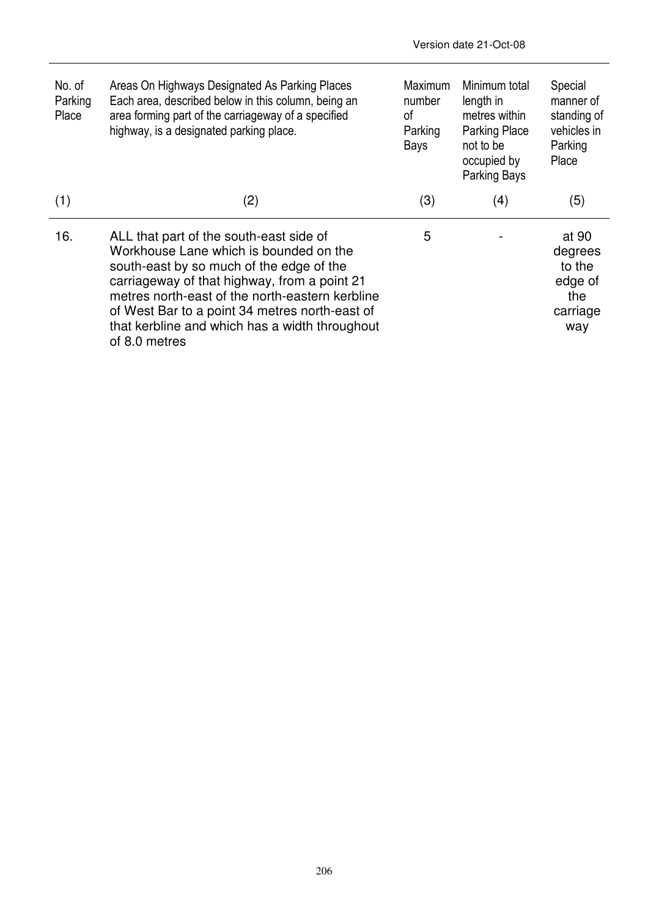| No. of<br>Parking<br>Place | Areas On Highways Designated As Parking Places<br>Each area, described below in this column, being an<br>area forming part of the carriageway of a specified<br>highway, is a designated parking place.                                                                                                                                               | <b>Maximum</b><br>number<br>0f<br>Parking<br>Bays | Minimum total<br>length in<br>metres within<br><b>Parking Place</b><br>not to be<br>occupied by<br>Parking Bays | Special<br>manner of<br>standing of<br>vehicles in<br>Parking<br>Place |
|----------------------------|-------------------------------------------------------------------------------------------------------------------------------------------------------------------------------------------------------------------------------------------------------------------------------------------------------------------------------------------------------|---------------------------------------------------|-----------------------------------------------------------------------------------------------------------------|------------------------------------------------------------------------|
| (1)                        | (2)                                                                                                                                                                                                                                                                                                                                                   | (3)                                               | (4)                                                                                                             | (5)                                                                    |
| 16.                        | ALL that part of the south-east side of<br>Workhouse Lane which is bounded on the<br>south-east by so much of the edge of the<br>carriageway of that highway, from a point 21<br>metres north-east of the north-eastern kerbline<br>of West Bar to a point 34 metres north-east of<br>that kerbline and which has a width throughout<br>of 8.0 metres | 5                                                 |                                                                                                                 | at 90<br>degrees<br>to the<br>edge of<br>the<br>carriage<br>way        |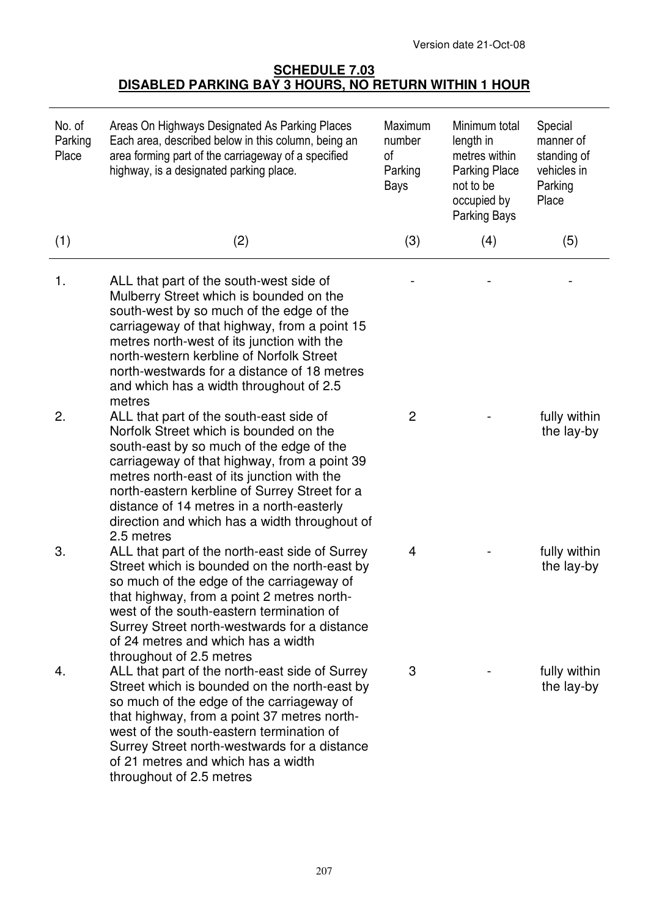## **SCHEDULE 7.03 DISABLED PARKING BAY 3 HOURS, NO RETURN WITHIN 1 HOUR**

| No. of<br>Parking<br>Place | Areas On Highways Designated As Parking Places<br>Each area, described below in this column, being an<br>area forming part of the carriageway of a specified<br>highway, is a designated parking place.                                                                                                                                                                                  | Maximum<br>number<br>οf<br>Parking<br>Bays | Minimum total<br>length in<br>metres within<br><b>Parking Place</b><br>not to be<br>occupied by<br>Parking Bays | Special<br>manner of<br>standing of<br>vehicles in<br>Parking<br>Place |
|----------------------------|------------------------------------------------------------------------------------------------------------------------------------------------------------------------------------------------------------------------------------------------------------------------------------------------------------------------------------------------------------------------------------------|--------------------------------------------|-----------------------------------------------------------------------------------------------------------------|------------------------------------------------------------------------|
| (1)                        | (2)                                                                                                                                                                                                                                                                                                                                                                                      | (3)                                        | (4)                                                                                                             | (5)                                                                    |
| 1.                         | ALL that part of the south-west side of<br>Mulberry Street which is bounded on the<br>south-west by so much of the edge of the<br>carriageway of that highway, from a point 15<br>metres north-west of its junction with the<br>north-western kerbline of Norfolk Street<br>north-westwards for a distance of 18 metres<br>and which has a width throughout of 2.5<br>metres             |                                            |                                                                                                                 |                                                                        |
| 2.                         | ALL that part of the south-east side of<br>Norfolk Street which is bounded on the<br>south-east by so much of the edge of the<br>carriageway of that highway, from a point 39<br>metres north-east of its junction with the<br>north-eastern kerbline of Surrey Street for a<br>distance of 14 metres in a north-easterly<br>direction and which has a width throughout of<br>2.5 metres | 2                                          |                                                                                                                 | fully within<br>the lay-by                                             |
| 3.                         | ALL that part of the north-east side of Surrey<br>Street which is bounded on the north-east by<br>so much of the edge of the carriageway of<br>that highway, from a point 2 metres north-<br>west of the south-eastern termination of<br>Surrey Street north-westwards for a distance<br>of 24 metres and which has a width<br>throughout of 2.5 metres                                  | 4                                          |                                                                                                                 | fully within<br>the lay-by                                             |
| 4.                         | ALL that part of the north-east side of Surrey<br>Street which is bounded on the north-east by<br>so much of the edge of the carriageway of<br>that highway, from a point 37 metres north-<br>west of the south-eastern termination of<br>Surrey Street north-westwards for a distance<br>of 21 metres and which has a width<br>throughout of 2.5 metres                                 | 3                                          |                                                                                                                 | fully within<br>the lay-by                                             |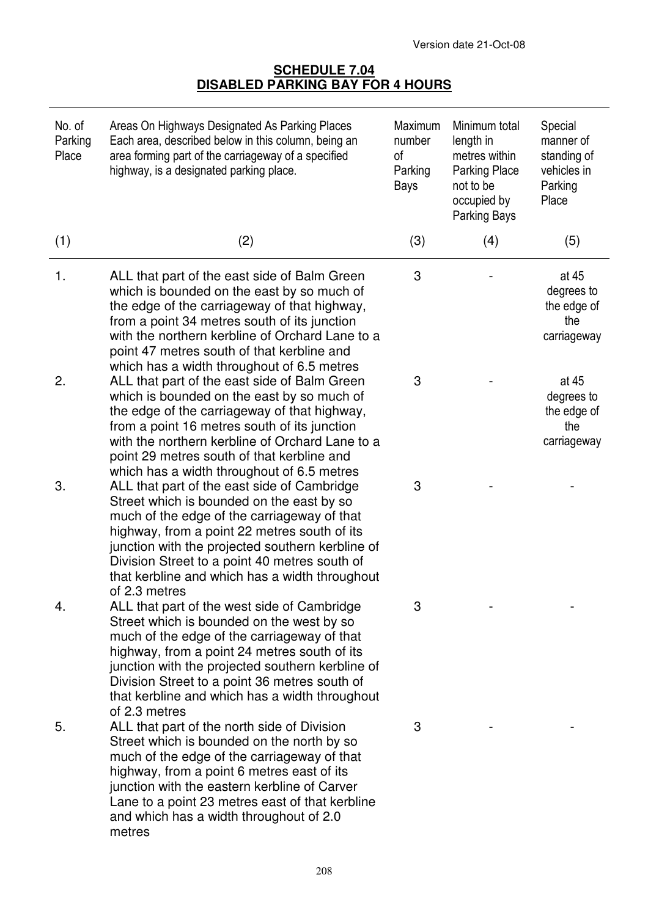#### **SCHEDULE 7.04 DISABLED PARKING BAY FOR 4 HOURS**

| No. of<br>Parking<br>Place | Areas On Highways Designated As Parking Places<br>Each area, described below in this column, being an<br>area forming part of the carriageway of a specified<br>highway, is a designated parking place.                                                                                                                                                                                 | Maximum<br>number<br>of<br>Parking<br>Bays | Minimum total<br>length in<br>metres within<br><b>Parking Place</b><br>not to be<br>occupied by<br>Parking Bays | Special<br>manner of<br>standing of<br>vehicles in<br>Parking<br>Place |
|----------------------------|-----------------------------------------------------------------------------------------------------------------------------------------------------------------------------------------------------------------------------------------------------------------------------------------------------------------------------------------------------------------------------------------|--------------------------------------------|-----------------------------------------------------------------------------------------------------------------|------------------------------------------------------------------------|
| (1)                        | (2)                                                                                                                                                                                                                                                                                                                                                                                     | (3)                                        | (4)                                                                                                             | (5)                                                                    |
| 1.                         | ALL that part of the east side of Balm Green<br>which is bounded on the east by so much of<br>the edge of the carriageway of that highway,<br>from a point 34 metres south of its junction<br>with the northern kerbline of Orchard Lane to a<br>point 47 metres south of that kerbline and                                                                                             | 3                                          |                                                                                                                 | at 45<br>degrees to<br>the edge of<br>the<br>carriageway               |
| 2.                         | which has a width throughout of 6.5 metres<br>ALL that part of the east side of Balm Green<br>which is bounded on the east by so much of<br>the edge of the carriageway of that highway,<br>from a point 16 metres south of its junction<br>with the northern kerbline of Orchard Lane to a<br>point 29 metres south of that kerbline and<br>which has a width throughout of 6.5 metres | 3                                          |                                                                                                                 | at 45<br>degrees to<br>the edge of<br>the<br>carriageway               |
| 3.                         | ALL that part of the east side of Cambridge<br>Street which is bounded on the east by so<br>much of the edge of the carriageway of that<br>highway, from a point 22 metres south of its<br>junction with the projected southern kerbline of<br>Division Street to a point 40 metres south of<br>that kerbline and which has a width throughout<br>of 2.3 metres                         | 3                                          |                                                                                                                 |                                                                        |
| 4.                         | ALL that part of the west side of Cambridge<br>Street which is bounded on the west by so<br>much of the edge of the carriageway of that<br>highway, from a point 24 metres south of its<br>junction with the projected southern kerbline of<br>Division Street to a point 36 metres south of<br>that kerbline and which has a width throughout<br>of 2.3 metres                         | 3                                          |                                                                                                                 |                                                                        |
| 5.                         | ALL that part of the north side of Division<br>Street which is bounded on the north by so<br>much of the edge of the carriageway of that<br>highway, from a point 6 metres east of its<br>junction with the eastern kerbline of Carver<br>Lane to a point 23 metres east of that kerbline<br>and which has a width throughout of 2.0<br>metres                                          | 3                                          |                                                                                                                 |                                                                        |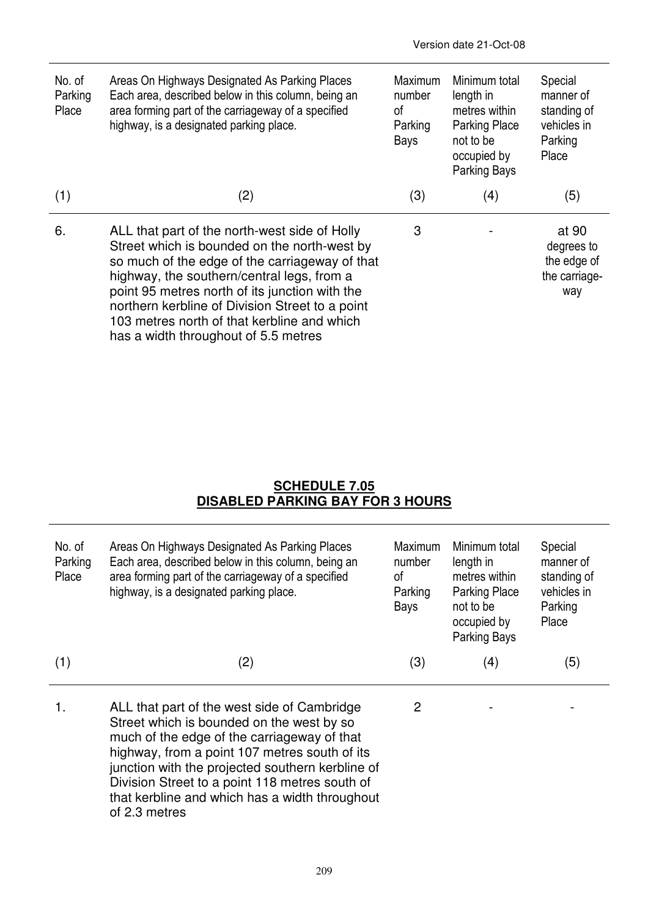| No. of<br>Parking<br>Place | Areas On Highways Designated As Parking Places<br>Each area, described below in this column, being an<br>area forming part of the carriageway of a specified<br>highway, is a designated parking place.                                                                                                                                                                                   | Maximum<br>number<br>0f<br>Parking<br>Bays | Minimum total<br>length in<br>metres within<br><b>Parking Place</b><br>not to be<br>occupied by<br>Parking Bays | Special<br>manner of<br>standing of<br>vehicles in<br>Parking<br>Place |
|----------------------------|-------------------------------------------------------------------------------------------------------------------------------------------------------------------------------------------------------------------------------------------------------------------------------------------------------------------------------------------------------------------------------------------|--------------------------------------------|-----------------------------------------------------------------------------------------------------------------|------------------------------------------------------------------------|
| (1)                        | (2)                                                                                                                                                                                                                                                                                                                                                                                       | (3)                                        | (4)                                                                                                             | (5)                                                                    |
| 6.                         | ALL that part of the north-west side of Holly<br>Street which is bounded on the north-west by<br>so much of the edge of the carriageway of that<br>highway, the southern/central legs, from a<br>point 95 metres north of its junction with the<br>northern kerbline of Division Street to a point<br>103 metres north of that kerbline and which<br>has a width throughout of 5.5 metres | 3                                          |                                                                                                                 | at 90<br>degrees to<br>the edge of<br>the carriage-<br>way             |

## **SCHEDULE 7.05 DISABLED PARKING BAY FOR 3 HOURS**

| No. of<br>Parking<br>Place | Areas On Highways Designated As Parking Places<br>Each area, described below in this column, being an<br>area forming part of the carriageway of a specified<br>highway, is a designated parking place.                                                                                                                                                           | <b>Maximum</b><br>number<br>0f<br>Parking<br>Bays | Minimum total<br>length in<br>metres within<br><b>Parking Place</b><br>not to be<br>occupied by<br>Parking Bays | Special<br>manner of<br>standing of<br>vehicles in<br>Parking<br>Place |
|----------------------------|-------------------------------------------------------------------------------------------------------------------------------------------------------------------------------------------------------------------------------------------------------------------------------------------------------------------------------------------------------------------|---------------------------------------------------|-----------------------------------------------------------------------------------------------------------------|------------------------------------------------------------------------|
| (1)                        | (2)                                                                                                                                                                                                                                                                                                                                                               | (3)                                               | (4)                                                                                                             | (5)                                                                    |
| 1.                         | ALL that part of the west side of Cambridge<br>Street which is bounded on the west by so<br>much of the edge of the carriageway of that<br>highway, from a point 107 metres south of its<br>junction with the projected southern kerbline of<br>Division Street to a point 118 metres south of<br>that kerbline and which has a width throughout<br>of 2.3 metres | 2                                                 |                                                                                                                 |                                                                        |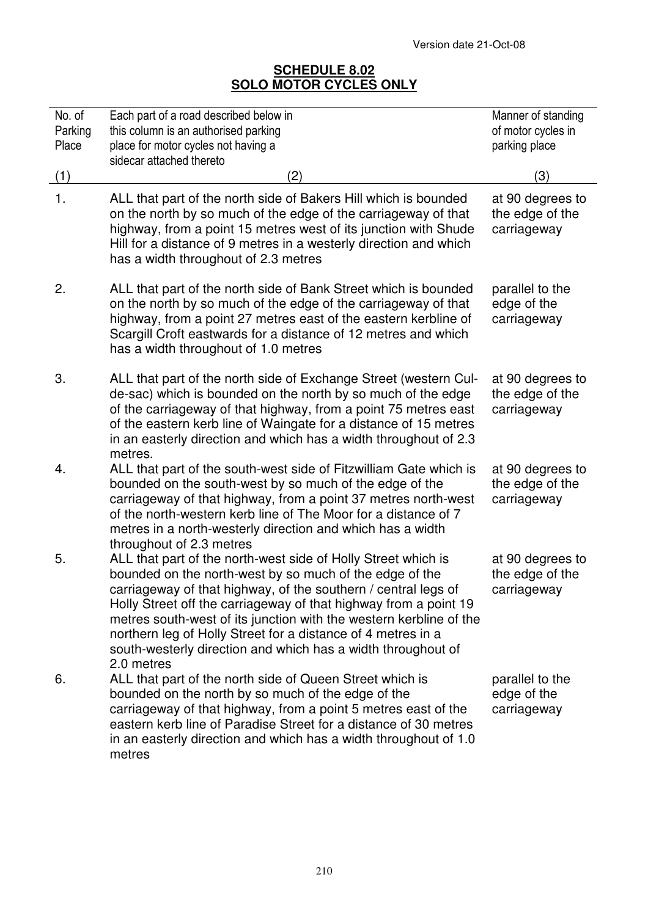## **SCHEDULE 8.02 SOLO MOTOR CYCLES ONLY**

| No. of<br>Parking | Each part of a road described below in<br>this column is an authorised parking                                                                                                                                                                                                                                                                                                                                                                                                     | Manner of standing<br>of motor cycles in           |
|-------------------|------------------------------------------------------------------------------------------------------------------------------------------------------------------------------------------------------------------------------------------------------------------------------------------------------------------------------------------------------------------------------------------------------------------------------------------------------------------------------------|----------------------------------------------------|
| Place             | place for motor cycles not having a<br>sidecar attached thereto                                                                                                                                                                                                                                                                                                                                                                                                                    | parking place                                      |
| (1)               | (2)                                                                                                                                                                                                                                                                                                                                                                                                                                                                                | (3)                                                |
| 1.                | ALL that part of the north side of Bakers Hill which is bounded<br>on the north by so much of the edge of the carriageway of that<br>highway, from a point 15 metres west of its junction with Shude<br>Hill for a distance of 9 metres in a westerly direction and which<br>has a width throughout of 2.3 metres                                                                                                                                                                  | at 90 degrees to<br>the edge of the<br>carriageway |
| 2.                | ALL that part of the north side of Bank Street which is bounded<br>on the north by so much of the edge of the carriageway of that<br>highway, from a point 27 metres east of the eastern kerbline of<br>Scargill Croft eastwards for a distance of 12 metres and which<br>has a width throughout of 1.0 metres                                                                                                                                                                     | parallel to the<br>edge of the<br>carriageway      |
| 3.                | ALL that part of the north side of Exchange Street (western Cul-<br>de-sac) which is bounded on the north by so much of the edge<br>of the carriageway of that highway, from a point 75 metres east<br>of the eastern kerb line of Waingate for a distance of 15 metres<br>in an easterly direction and which has a width throughout of 2.3<br>metres.                                                                                                                             | at 90 degrees to<br>the edge of the<br>carriageway |
| 4.                | ALL that part of the south-west side of Fitzwilliam Gate which is<br>bounded on the south-west by so much of the edge of the<br>carriageway of that highway, from a point 37 metres north-west<br>of the north-western kerb line of The Moor for a distance of 7<br>metres in a north-westerly direction and which has a width<br>throughout of 2.3 metres                                                                                                                         | at 90 degrees to<br>the edge of the<br>carriageway |
| 5.                | ALL that part of the north-west side of Holly Street which is<br>bounded on the north-west by so much of the edge of the<br>carriageway of that highway, of the southern / central legs of<br>Holly Street off the carriageway of that highway from a point 19<br>metres south-west of its junction with the western kerbline of the<br>northern leg of Holly Street for a distance of 4 metres in a<br>south-westerly direction and which has a width throughout of<br>2.0 metres | at 90 degrees to<br>the edge of the<br>carriageway |
| 6.                | ALL that part of the north side of Queen Street which is<br>bounded on the north by so much of the edge of the<br>carriageway of that highway, from a point 5 metres east of the<br>eastern kerb line of Paradise Street for a distance of 30 metres<br>in an easterly direction and which has a width throughout of 1.0<br>metres                                                                                                                                                 | parallel to the<br>edge of the<br>carriageway      |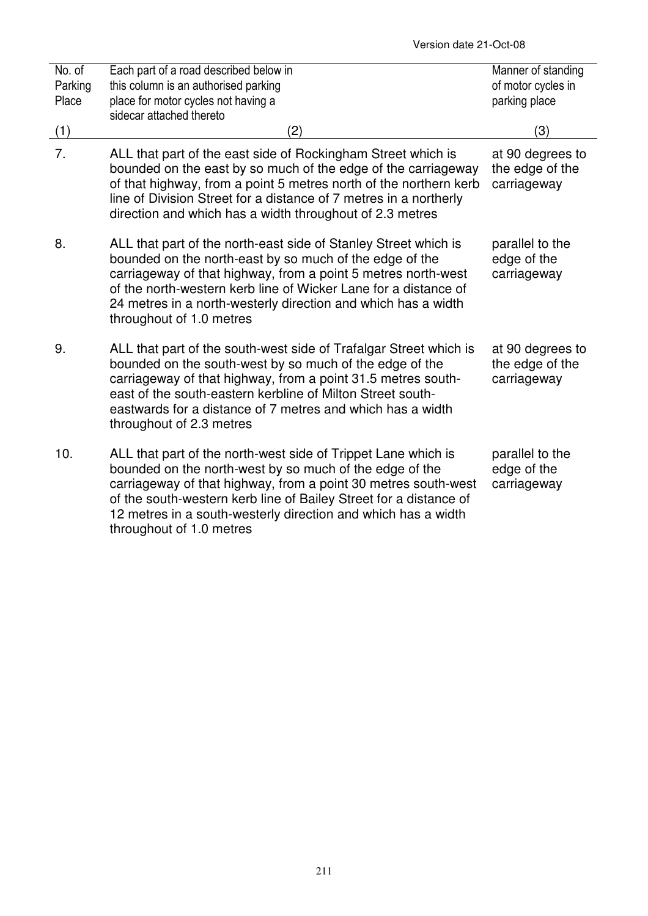| No. of<br>Parking<br>Place | Each part of a road described below in<br>this column is an authorised parking<br>place for motor cycles not having a<br>sidecar attached thereto                                                                                                                                                                                                            | Manner of standing<br>of motor cycles in<br>parking place |
|----------------------------|--------------------------------------------------------------------------------------------------------------------------------------------------------------------------------------------------------------------------------------------------------------------------------------------------------------------------------------------------------------|-----------------------------------------------------------|
| (1)                        | (2)                                                                                                                                                                                                                                                                                                                                                          | (3)                                                       |
| 7.                         | ALL that part of the east side of Rockingham Street which is<br>bounded on the east by so much of the edge of the carriageway<br>of that highway, from a point 5 metres north of the northern kerb<br>line of Division Street for a distance of 7 metres in a northerly<br>direction and which has a width throughout of 2.3 metres                          | at 90 degrees to<br>the edge of the<br>carriageway        |
| 8.                         | ALL that part of the north-east side of Stanley Street which is<br>bounded on the north-east by so much of the edge of the<br>carriageway of that highway, from a point 5 metres north-west<br>of the north-western kerb line of Wicker Lane for a distance of<br>24 metres in a north-westerly direction and which has a width<br>throughout of 1.0 metres  | parallel to the<br>edge of the<br>carriageway             |
| 9.                         | ALL that part of the south-west side of Trafalgar Street which is<br>bounded on the south-west by so much of the edge of the<br>carriageway of that highway, from a point 31.5 metres south-<br>east of the south-eastern kerbline of Milton Street south-<br>eastwards for a distance of 7 metres and which has a width<br>throughout of 2.3 metres         | at 90 degrees to<br>the edge of the<br>carriageway        |
| 10.                        | ALL that part of the north-west side of Trippet Lane which is<br>bounded on the north-west by so much of the edge of the<br>carriageway of that highway, from a point 30 metres south-west<br>of the south-western kerb line of Bailey Street for a distance of<br>12 metres in a south-westerly direction and which has a width<br>throughout of 1.0 metres | parallel to the<br>edge of the<br>carriageway             |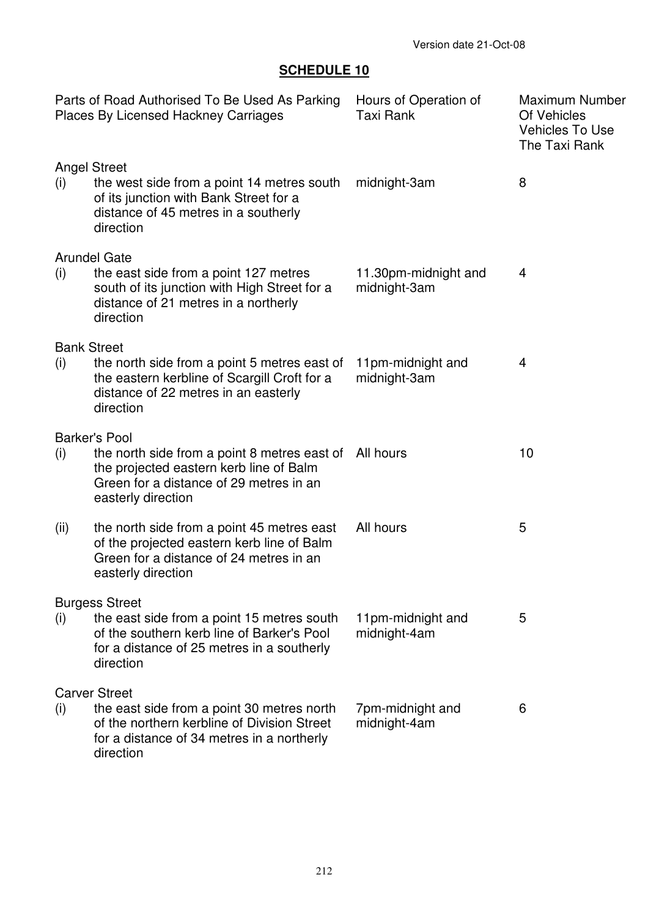# **SCHEDULE 10**

|      | Parts of Road Authorised To Be Used As Parking<br><b>Places By Licensed Hackney Carriages</b>                                                                                              | Hours of Operation of<br><b>Taxi Rank</b> | <b>Maximum Number</b><br>Of Vehicles<br><b>Vehicles To Use</b><br>The Taxi Rank |
|------|--------------------------------------------------------------------------------------------------------------------------------------------------------------------------------------------|-------------------------------------------|---------------------------------------------------------------------------------|
| (i)  | <b>Angel Street</b><br>the west side from a point 14 metres south<br>of its junction with Bank Street for a<br>distance of 45 metres in a southerly<br>direction                           | midnight-3am                              | 8                                                                               |
| (i)  | <b>Arundel Gate</b><br>the east side from a point 127 metres<br>south of its junction with High Street for a<br>distance of 21 metres in a northerly<br>direction                          | 11.30pm-midnight and<br>midnight-3am      | 4                                                                               |
| (i)  | <b>Bank Street</b><br>the north side from a point 5 metres east of<br>the eastern kerbline of Scargill Croft for a<br>distance of 22 metres in an easterly<br>direction                    | 11pm-midnight and<br>midnight-3am         | 4                                                                               |
| (i)  | <b>Barker's Pool</b><br>the north side from a point 8 metres east of All hours<br>the projected eastern kerb line of Balm<br>Green for a distance of 29 metres in an<br>easterly direction |                                           | 10                                                                              |
| (ii) | the north side from a point 45 metres east<br>of the projected eastern kerb line of Balm<br>Green for a distance of 24 metres in an<br>easterly direction                                  | All hours                                 | 5                                                                               |
| (i)  | <b>Burgess Street</b><br>the east side from a point 15 metres south<br>of the southern kerb line of Barker's Pool<br>for a distance of 25 metres in a southerly<br>direction               | 11pm-midnight and<br>midnight-4am         | 5                                                                               |
| (i)  | <b>Carver Street</b><br>the east side from a point 30 metres north<br>of the northern kerbline of Division Street<br>for a distance of 34 metres in a northerly<br>direction               | 7pm-midnight and<br>midnight-4am          | 6                                                                               |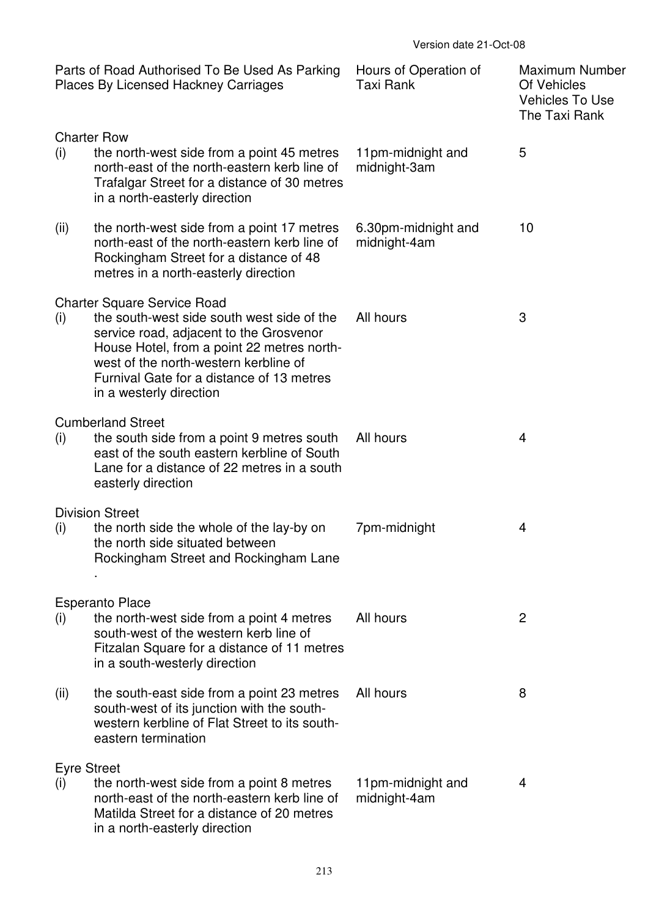|                           | Parts of Road Authorised To Be Used As Parking<br><b>Places By Licensed Hackney Carriages</b>                                                                                                                                                                                              | Hours of Operation of<br>Taxi Rank  | <b>Maximum Number</b><br>Of Vehicles<br><b>Vehicles To Use</b><br>The Taxi Rank |
|---------------------------|--------------------------------------------------------------------------------------------------------------------------------------------------------------------------------------------------------------------------------------------------------------------------------------------|-------------------------------------|---------------------------------------------------------------------------------|
| (i)                       | <b>Charter Row</b><br>the north-west side from a point 45 metres<br>north-east of the north-eastern kerb line of<br>Trafalgar Street for a distance of 30 metres<br>in a north-easterly direction                                                                                          | 11pm-midnight and<br>midnight-3am   | 5                                                                               |
| (ii)                      | the north-west side from a point 17 metres<br>north-east of the north-eastern kerb line of<br>Rockingham Street for a distance of 48<br>metres in a north-easterly direction                                                                                                               | 6.30pm-midnight and<br>midnight-4am | 10                                                                              |
| (i)                       | <b>Charter Square Service Road</b><br>the south-west side south west side of the<br>service road, adjacent to the Grosvenor<br>House Hotel, from a point 22 metres north-<br>west of the north-western kerbline of<br>Furnival Gate for a distance of 13 metres<br>in a westerly direction | All hours                           | 3                                                                               |
| (i)                       | <b>Cumberland Street</b><br>the south side from a point 9 metres south<br>east of the south eastern kerbline of South<br>Lane for a distance of 22 metres in a south<br>easterly direction                                                                                                 | All hours                           | 4                                                                               |
| (i)                       | <b>Division Street</b><br>the north side the whole of the lay-by on<br>the north side situated between<br>Rockingham Street and Rockingham Lane                                                                                                                                            | 7pm-midnight                        | 4                                                                               |
| (i)                       | <b>Esperanto Place</b><br>the north-west side from a point 4 metres<br>south-west of the western kerb line of<br>Fitzalan Square for a distance of 11 metres<br>in a south-westerly direction                                                                                              | All hours                           | $\overline{2}$                                                                  |
| (ii)                      | the south-east side from a point 23 metres<br>south-west of its junction with the south-<br>western kerbline of Flat Street to its south-<br>eastern termination                                                                                                                           | All hours                           | 8                                                                               |
| <b>Eyre Street</b><br>(i) | the north-west side from a point 8 metres<br>north-east of the north-eastern kerb line of<br>Matilda Street for a distance of 20 metres<br>in a north-easterly direction                                                                                                                   | 11pm-midnight and<br>midnight-4am   | 4                                                                               |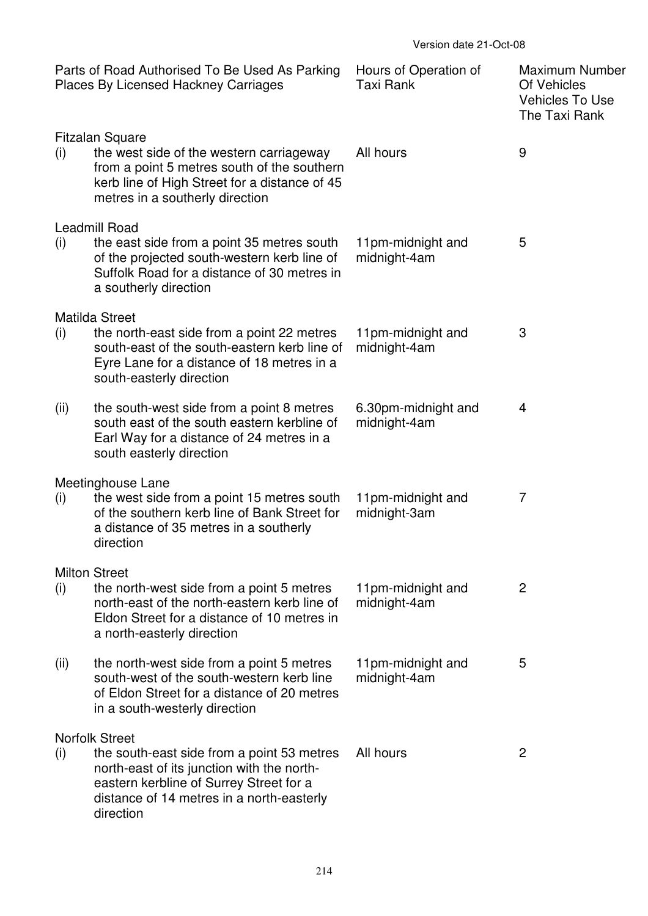|      | Parts of Road Authorised To Be Used As Parking<br><b>Places By Licensed Hackney Carriages</b>                                                                                                                          | Hours of Operation of<br><b>Taxi Rank</b> | <b>Maximum Number</b><br>Of Vehicles<br>Vehicles To Use<br>The Taxi Rank |
|------|------------------------------------------------------------------------------------------------------------------------------------------------------------------------------------------------------------------------|-------------------------------------------|--------------------------------------------------------------------------|
| (i)  | <b>Fitzalan Square</b><br>the west side of the western carriageway<br>from a point 5 metres south of the southern<br>kerb line of High Street for a distance of 45<br>metres in a southerly direction                  | All hours                                 | 9                                                                        |
| (i)  | Leadmill Road<br>the east side from a point 35 metres south<br>of the projected south-western kerb line of<br>Suffolk Road for a distance of 30 metres in<br>a southerly direction                                     | 11pm-midnight and<br>midnight-4am         | 5                                                                        |
| (i)  | <b>Matilda Street</b><br>the north-east side from a point 22 metres<br>south-east of the south-eastern kerb line of<br>Eyre Lane for a distance of 18 metres in a<br>south-easterly direction                          | 11pm-midnight and<br>midnight-4am         | 3                                                                        |
| (ii) | the south-west side from a point 8 metres<br>south east of the south eastern kerbline of<br>Earl Way for a distance of 24 metres in a<br>south easterly direction                                                      | 6.30pm-midnight and<br>midnight-4am       | 4                                                                        |
| (i)  | Meetinghouse Lane<br>the west side from a point 15 metres south<br>of the southern kerb line of Bank Street for<br>a distance of 35 metres in a southerly<br>direction                                                 | 11pm-midnight and<br>midnight-3am         | $\overline{7}$                                                           |
| (i)  | <b>Milton Street</b><br>the north-west side from a point 5 metres<br>north-east of the north-eastern kerb line of<br>Eldon Street for a distance of 10 metres in<br>a north-easterly direction                         | 11pm-midnight and<br>midnight-4am         | $\overline{2}$                                                           |
| (ii) | the north-west side from a point 5 metres<br>south-west of the south-western kerb line<br>of Eldon Street for a distance of 20 metres<br>in a south-westerly direction                                                 | 11pm-midnight and<br>midnight-4am         | 5                                                                        |
| (i)  | <b>Norfolk Street</b><br>the south-east side from a point 53 metres<br>north-east of its junction with the north-<br>eastern kerbline of Surrey Street for a<br>distance of 14 metres in a north-easterly<br>direction | All hours                                 | $\overline{2}$                                                           |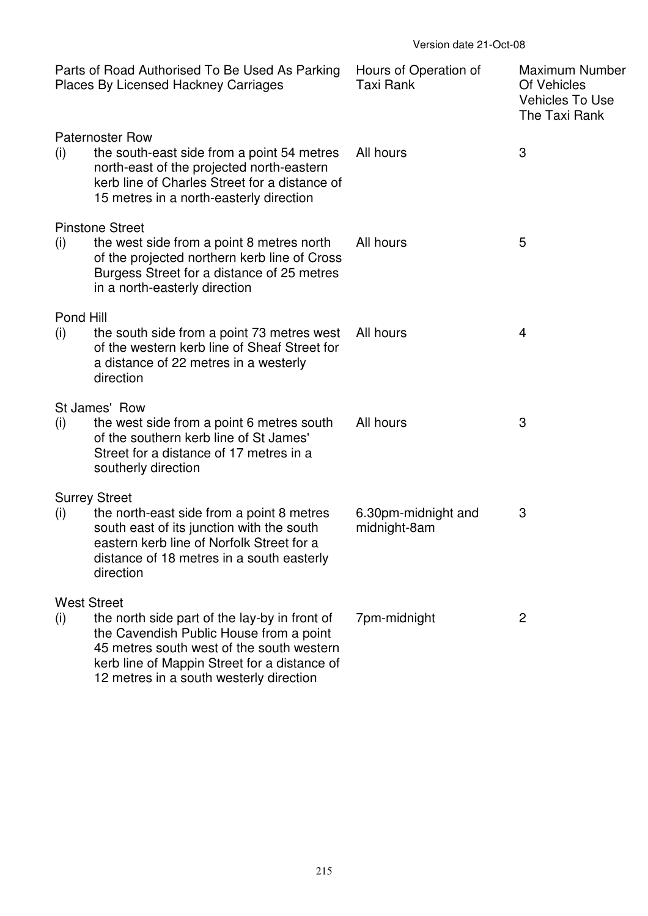|                           | Parts of Road Authorised To Be Used As Parking<br><b>Places By Licensed Hackney Carriages</b>                                                                                                                                    | Hours of Operation of<br>Taxi Rank  | <b>Maximum Number</b><br>Of Vehicles<br><b>Vehicles To Use</b><br>The Taxi Rank |
|---------------------------|----------------------------------------------------------------------------------------------------------------------------------------------------------------------------------------------------------------------------------|-------------------------------------|---------------------------------------------------------------------------------|
| (i)                       | <b>Paternoster Row</b><br>the south-east side from a point 54 metres<br>north-east of the projected north-eastern<br>kerb line of Charles Street for a distance of<br>15 metres in a north-easterly direction                    | All hours                           | 3                                                                               |
| (i)                       | <b>Pinstone Street</b><br>the west side from a point 8 metres north<br>of the projected northern kerb line of Cross<br>Burgess Street for a distance of 25 metres<br>in a north-easterly direction                               | All hours                           | 5                                                                               |
| Pond Hill<br>(i)          | the south side from a point 73 metres west<br>of the western kerb line of Sheaf Street for<br>a distance of 22 metres in a westerly<br>direction                                                                                 | All hours                           | 4                                                                               |
| (i)                       | St James' Row<br>the west side from a point 6 metres south<br>of the southern kerb line of St James'<br>Street for a distance of 17 metres in a<br>southerly direction                                                           | All hours                           | 3                                                                               |
| (i)                       | <b>Surrey Street</b><br>the north-east side from a point 8 metres<br>south east of its junction with the south<br>eastern kerb line of Norfolk Street for a<br>distance of 18 metres in a south easterly<br>direction            | 6.30pm-midnight and<br>midnight-8am | 3                                                                               |
| <b>West Street</b><br>(i) | the north side part of the lay-by in front of<br>the Cavendish Public House from a point<br>45 metres south west of the south western<br>kerb line of Mappin Street for a distance of<br>12 metres in a south westerly direction | 7pm-midnight                        | $\overline{c}$                                                                  |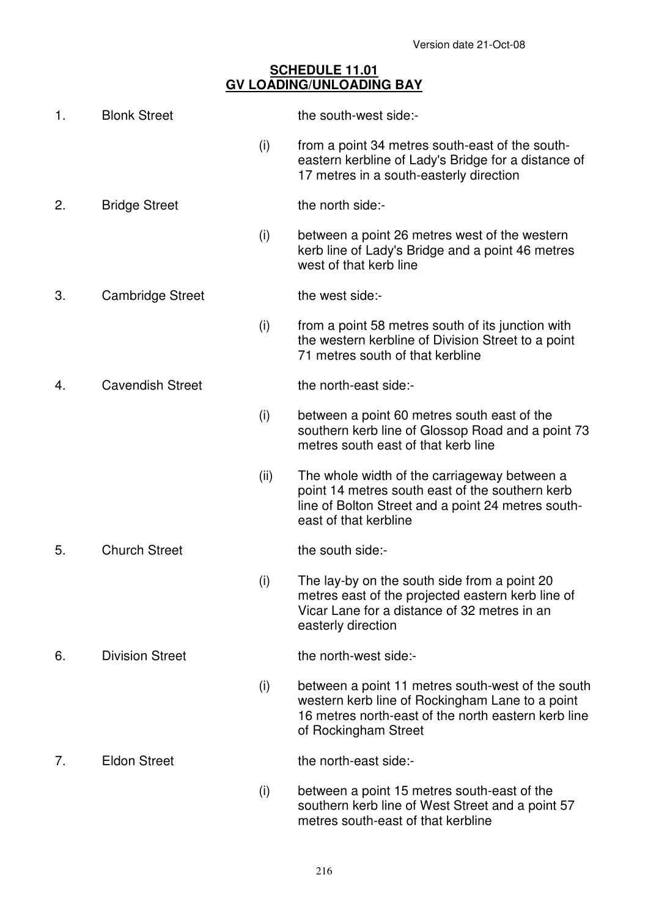## **SCHEDULE 11.01 GV LOADING/UNLOADING BAY**

| 1. | <b>Blonk Street</b>     |      | the south-west side:-                                                                                                                                                               |
|----|-------------------------|------|-------------------------------------------------------------------------------------------------------------------------------------------------------------------------------------|
|    |                         | (i)  | from a point 34 metres south-east of the south-<br>eastern kerbline of Lady's Bridge for a distance of<br>17 metres in a south-easterly direction                                   |
| 2. | <b>Bridge Street</b>    |      | the north side:-                                                                                                                                                                    |
|    |                         | (i)  | between a point 26 metres west of the western<br>kerb line of Lady's Bridge and a point 46 metres<br>west of that kerb line                                                         |
| 3. | <b>Cambridge Street</b> |      | the west side:-                                                                                                                                                                     |
|    |                         | (i)  | from a point 58 metres south of its junction with<br>the western kerbline of Division Street to a point<br>71 metres south of that kerbline                                         |
| 4. | <b>Cavendish Street</b> |      | the north-east side:-                                                                                                                                                               |
|    |                         | (i)  | between a point 60 metres south east of the<br>southern kerb line of Glossop Road and a point 73<br>metres south east of that kerb line                                             |
|    |                         | (ii) | The whole width of the carriageway between a<br>point 14 metres south east of the southern kerb<br>line of Bolton Street and a point 24 metres south-<br>east of that kerbline      |
| 5. | <b>Church Street</b>    |      | the south side:-                                                                                                                                                                    |
|    |                         | (i)  | The lay-by on the south side from a point 20<br>metres east of the projected eastern kerb line of<br>Vicar Lane for a distance of 32 metres in an<br>easterly direction             |
| 6. | <b>Division Street</b>  |      | the north-west side:-                                                                                                                                                               |
|    |                         | (i)  | between a point 11 metres south-west of the south<br>western kerb line of Rockingham Lane to a point<br>16 metres north-east of the north eastern kerb line<br>of Rockingham Street |
| 7. | <b>Eldon Street</b>     |      | the north-east side:-                                                                                                                                                               |
|    |                         | (i)  | between a point 15 metres south-east of the<br>southern kerb line of West Street and a point 57<br>metres south-east of that kerbline                                               |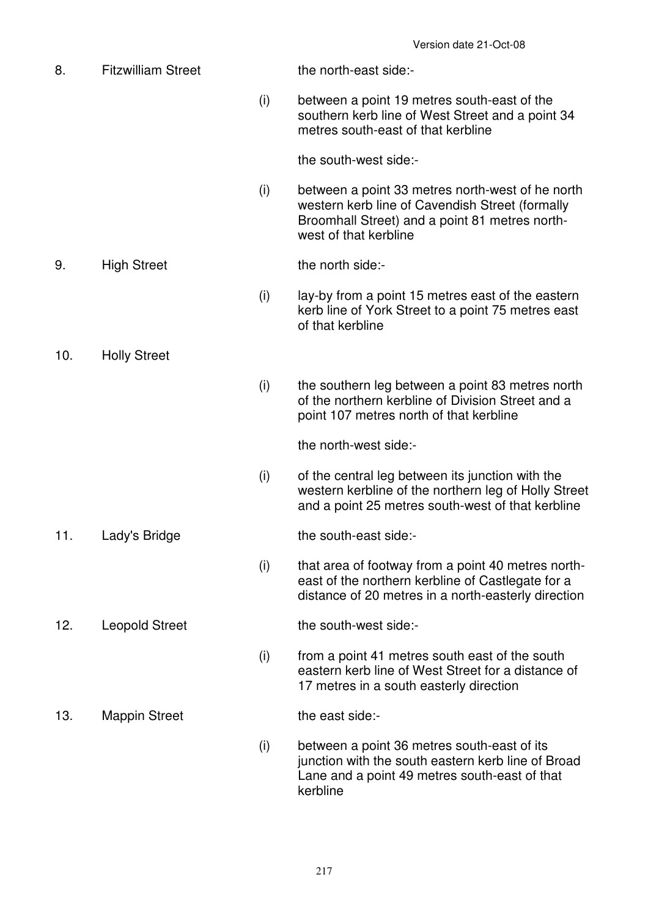8. Fitzwilliam Street the north-east side:- (i) between a point 19 metres south-east of the southern kerb line of West Street and a point 34 metres south-east of that kerbline the south-west side:- (i) between a point 33 metres north-west of he north western kerb line of Cavendish Street (formally Broomhall Street) and a point 81 metres northwest of that kerbline 9. High Street the north side:- (i) lay-by from a point 15 metres east of the eastern kerb line of York Street to a point 75 metres east of that kerbline 10. Holly Street (i) the southern leg between a point 83 metres north of the northern kerbline of Division Street and a point 107 metres north of that kerbline the north-west side:- (i) of the central leg between its junction with the western kerbline of the northern leg of Holly Street and a point 25 metres south-west of that kerbline 11. Lady's Bridge the south-east side:- (i) that area of footway from a point 40 metres northeast of the northern kerbline of Castlegate for a distance of 20 metres in a north-easterly direction 12. Leopold Street the south-west side:- (i) from a point 41 metres south east of the south eastern kerb line of West Street for a distance of 17 metres in a south easterly direction 13. Mappin Street the east side:- (i) between a point 36 metres south-east of its junction with the south eastern kerb line of Broad Lane and a point 49 metres south-east of that kerbline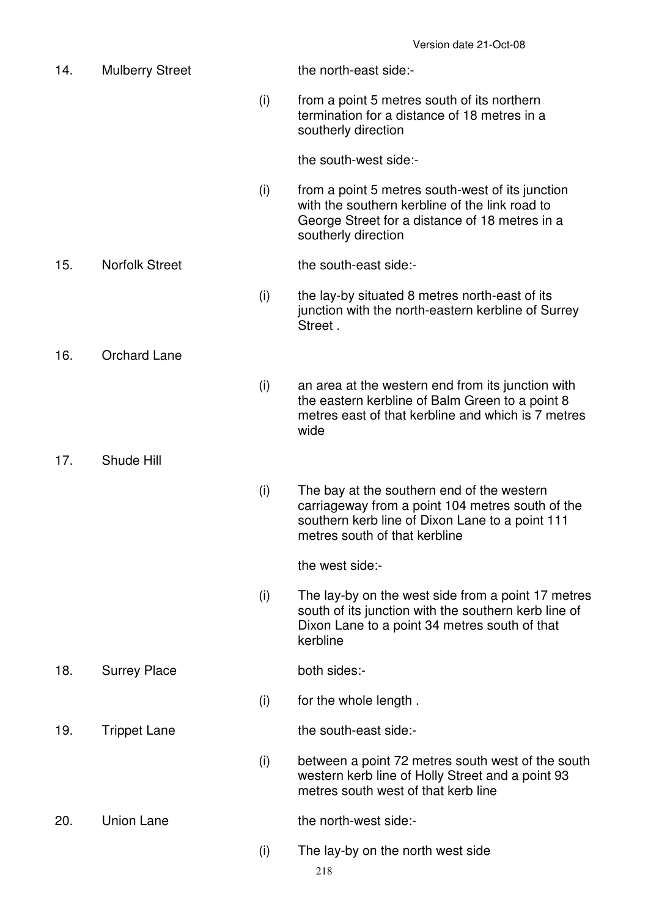14. Mulberry Street the north-east side:- (i) from a point 5 metres south of its northern termination for a distance of 18 metres in a southerly direction the south-west side:- (i) from a point 5 metres south-west of its junction with the southern kerbline of the link road to George Street for a distance of 18 metres in a southerly direction 15. Norfolk Street the south-east side:- (i) the lay-by situated 8 metres north-east of its junction with the north-eastern kerbline of Surrey **Street** 16. Orchard Lane (i) an area at the western end from its junction with the eastern kerbline of Balm Green to a point 8 metres east of that kerbline and which is 7 metres wide 17. Shude Hill (i) The bay at the southern end of the western carriageway from a point 104 metres south of the southern kerb line of Dixon Lane to a point 111 metres south of that kerbline the west side:- (i) The lay-by on the west side from a point 17 metres south of its junction with the southern kerb line of Dixon Lane to a point 34 metres south of that kerbline 18. Surrey Place both sides:- (i) for the whole length . 19. Trippet Lane the south-east side:- (i) between a point 72 metres south west of the south western kerb line of Holly Street and a point 93 metres south west of that kerb line 20. Union Lane the north-west side:-(i) The lay-by on the north west side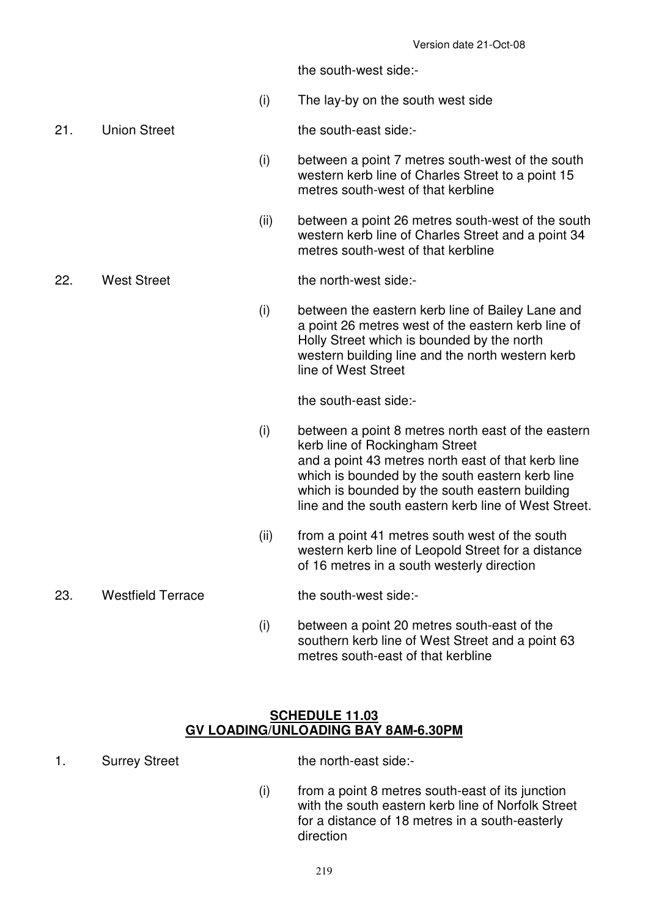the south-west side:-

- (i) The lay-by on the south west side
- 

21. Union Street the south-east side:-

- (i) between a point 7 metres south-west of the south western kerb line of Charles Street to a point 15 metres south-west of that kerbline
- (ii) between a point 26 metres south-west of the south western kerb line of Charles Street and a point 34 metres south-west of that kerbline

22. West Street the north-west side:-

 (i) between the eastern kerb line of Bailey Lane and a point 26 metres west of the eastern kerb line of Holly Street which is bounded by the north western building line and the north western kerb line of West Street

the south-east side:-

- (i) between a point 8 metres north east of the eastern kerb line of Rockingham Street and a point 43 metres north east of that kerb line which is bounded by the south eastern kerb line which is bounded by the south eastern building line and the south eastern kerb line of West Street.
- (ii) from a point 41 metres south west of the south western kerb line of Leopold Street for a distance of 16 metres in a south westerly direction

## 23. Westfield Terrace the south-west side:-

 (i) between a point 20 metres south-east of the southern kerb line of West Street and a point 63 metres south-east of that kerbline

#### **SCHEDULE 11.03 GV LOADING/UNLOADING BAY 8AM-6.30PM**

1. Surrey Street the north-east side:-

 (i) from a point 8 metres south-east of its junction with the south eastern kerb line of Norfolk Street for a distance of 18 metres in a south-easterly direction